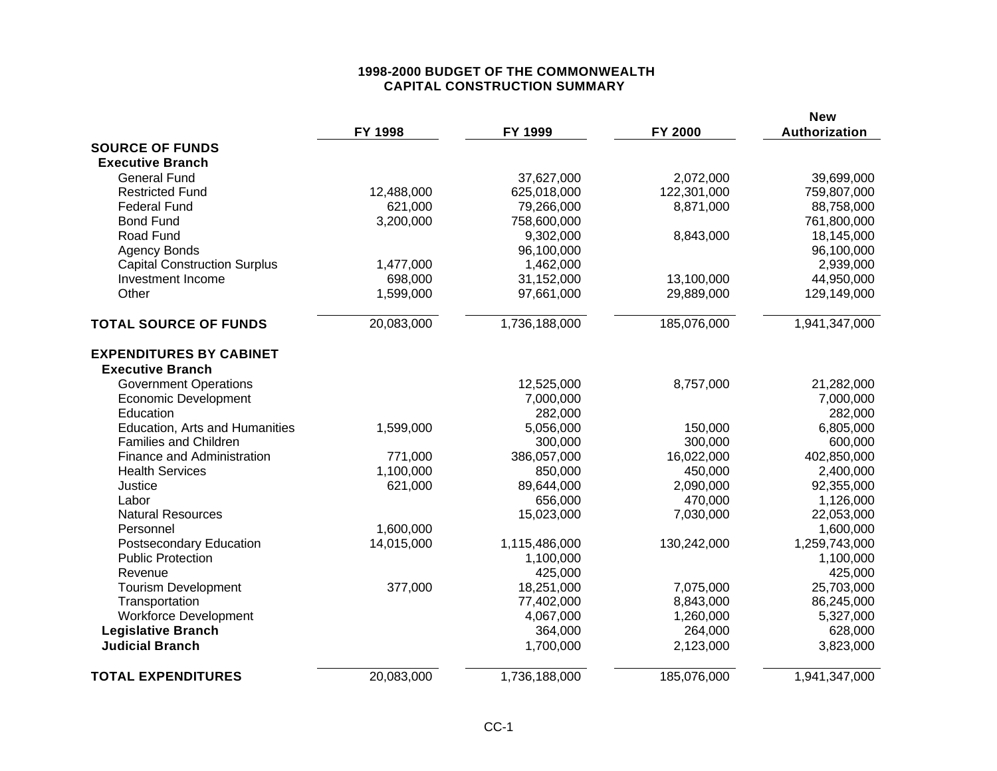### **1998-2000 BUDGET OF THE COMMONWEALTH CAPITAL CONSTRUCTION SUMMARY**

|                                     | FY 1998    | FY 1999       | FY 2000     | <b>New</b><br>Authorization |
|-------------------------------------|------------|---------------|-------------|-----------------------------|
| <b>SOURCE OF FUNDS</b>              |            |               |             |                             |
| <b>Executive Branch</b>             |            |               |             |                             |
| <b>General Fund</b>                 |            | 37,627,000    | 2,072,000   | 39,699,000                  |
| <b>Restricted Fund</b>              | 12,488,000 | 625,018,000   | 122,301,000 | 759,807,000                 |
| <b>Federal Fund</b>                 | 621,000    | 79,266,000    | 8,871,000   | 88,758,000                  |
| <b>Bond Fund</b>                    | 3,200,000  | 758,600,000   |             | 761,800,000                 |
| Road Fund                           |            | 9,302,000     | 8,843,000   | 18,145,000                  |
| <b>Agency Bonds</b>                 |            | 96,100,000    |             | 96,100,000                  |
| <b>Capital Construction Surplus</b> | 1,477,000  | 1,462,000     |             | 2,939,000                   |
| Investment Income                   | 698,000    | 31,152,000    | 13,100,000  | 44,950,000                  |
| Other                               | 1,599,000  | 97,661,000    | 29,889,000  | 129,149,000                 |
| <b>TOTAL SOURCE OF FUNDS</b>        | 20,083,000 | 1,736,188,000 | 185,076,000 | 1,941,347,000               |
| <b>EXPENDITURES BY CABINET</b>      |            |               |             |                             |
| <b>Executive Branch</b>             |            |               |             |                             |
| <b>Government Operations</b>        |            | 12,525,000    | 8,757,000   | 21,282,000                  |
| <b>Economic Development</b>         |            | 7,000,000     |             | 7,000,000                   |
| Education                           |            | 282,000       |             | 282,000                     |
| Education, Arts and Humanities      | 1,599,000  | 5,056,000     | 150,000     | 6,805,000                   |
| <b>Families and Children</b>        |            | 300,000       | 300,000     | 600,000                     |
| Finance and Administration          | 771,000    | 386,057,000   | 16,022,000  | 402,850,000                 |
| <b>Health Services</b>              | 1,100,000  | 850,000       | 450,000     | 2,400,000                   |
| Justice                             | 621,000    | 89,644,000    | 2,090,000   | 92,355,000                  |
| Labor                               |            | 656,000       | 470,000     | 1,126,000                   |
| <b>Natural Resources</b>            |            | 15,023,000    | 7,030,000   | 22,053,000                  |
| Personnel                           | 1,600,000  |               |             | 1,600,000                   |
| <b>Postsecondary Education</b>      | 14,015,000 | 1,115,486,000 | 130,242,000 | 1,259,743,000               |
| <b>Public Protection</b>            |            | 1,100,000     |             | 1,100,000                   |
| Revenue                             |            | 425,000       |             | 425,000                     |
| <b>Tourism Development</b>          | 377,000    | 18,251,000    | 7,075,000   | 25,703,000                  |
| Transportation                      |            | 77,402,000    | 8,843,000   | 86,245,000                  |
| <b>Workforce Development</b>        |            | 4,067,000     | 1,260,000   | 5,327,000                   |
| <b>Legislative Branch</b>           |            | 364,000       | 264,000     | 628,000                     |
| <b>Judicial Branch</b>              |            | 1,700,000     | 2,123,000   | 3,823,000                   |
| <b>TOTAL EXPENDITURES</b>           | 20,083,000 | 1,736,188,000 | 185,076,000 | 1,941,347,000               |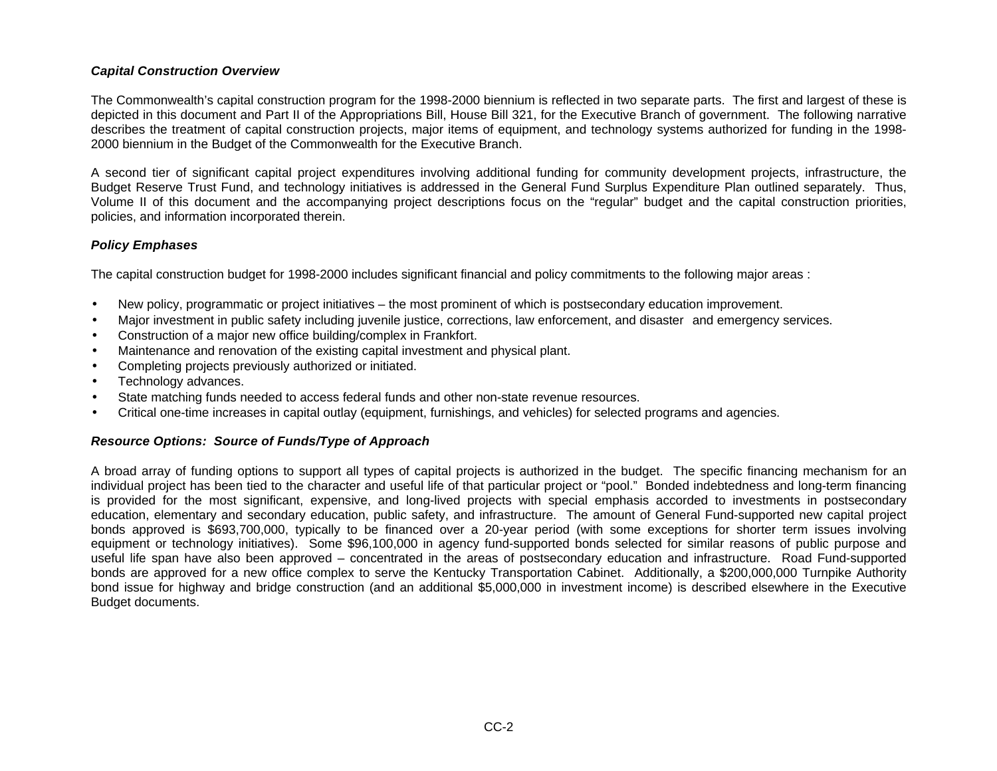#### *Capital Construction Overview*

The Commonwealth's capital construction program for the 1998-2000 biennium is reflected in two separate parts. The first and largest of these is depicted in this document and Part II of the Appropriations Bill, House Bill 321, for the Executive Branch of government. The following narrative describes the treatment of capital construction projects, major items of equipment, and technology systems authorized for funding in the 1998- 2000 biennium in the Budget of the Commonwealth for the Executive Branch.

A second tier of significant capital project expenditures involving additional funding for community development projects, infrastructure, the Budget Reserve Trust Fund, and technology initiatives is addressed in the General Fund Surplus Expenditure Plan outlined separately. Thus, Volume II of this document and the accompanying project descriptions focus on the "regular" budget and the capital construction priorities, policies, and information incorporated therein.

### *Policy Emphases*

The capital construction budget for 1998-2000 includes significant financial and policy commitments to the following major areas :

- New policy, programmatic or project initiatives the most prominent of which is postsecondary education improvement.
- Major investment in public safety including juvenile justice, corrections, law enforcement, and disaster and emergency services.
- Construction of a major new office building/complex in Frankfort.
- Maintenance and renovation of the existing capital investment and physical plant.
- Completing projects previously authorized or initiated.
- Technology advances.
- State matching funds needed to access federal funds and other non-state revenue resources.
- Critical one-time increases in capital outlay (equipment, furnishings, and vehicles) for selected programs and agencies.

## *Resource Options: Source of Funds/Type of Approach*

A broad array of funding options to support all types of capital projects is authorized in the budget. The specific financing mechanism for an individual project has been tied to the character and useful life of that particular project or "pool." Bonded indebtedness and long-term financing is provided for the most significant, expensive, and long-lived projects with special emphasis accorded to investments in postsecondary education, elementary and secondary education, public safety, and infrastructure. The amount of General Fund-supported new capital project bonds approved is \$693,700,000, typically to be financed over a 20-year period (with some exceptions for shorter term issues involving equipment or technology initiatives). Some \$96,100,000 in agency fund-supported bonds selected for similar reasons of public purpose and useful life span have also been approved – concentrated in the areas of postsecondary education and infrastructure. Road Fund-supported bonds are approved for a new office complex to serve the Kentucky Transportation Cabinet. Additionally, a \$200,000,000 Turnpike Authority bond issue for highway and bridge construction (and an additional \$5,000,000 in investment income) is described elsewhere in the Executive Budget documents.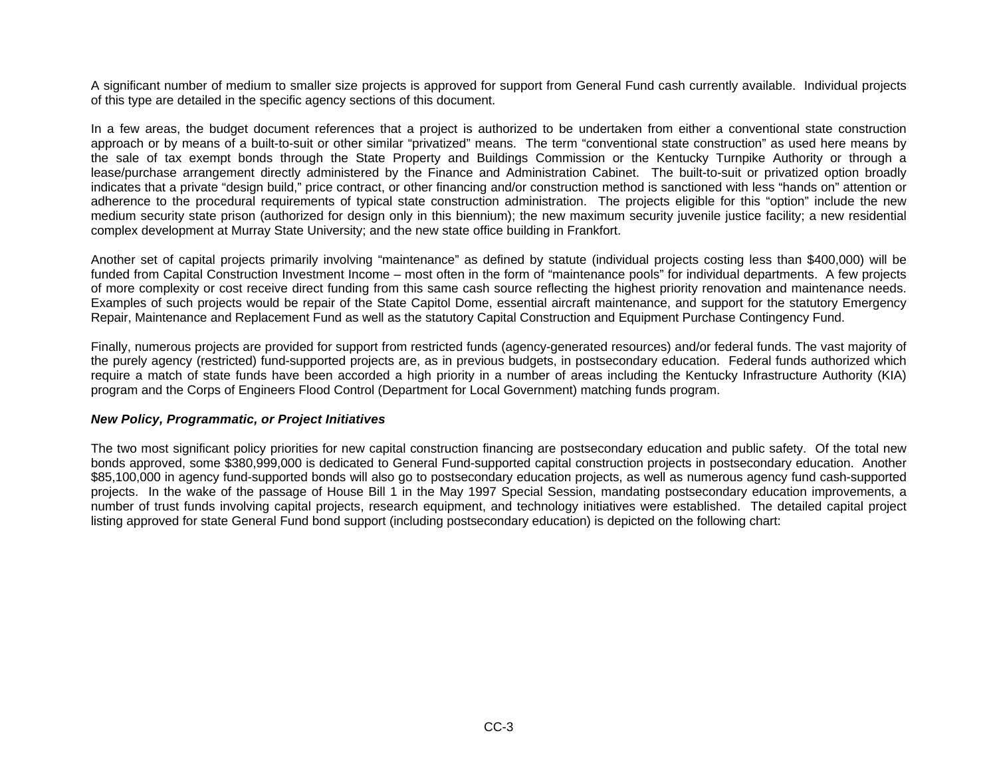A significant number of medium to smaller size projects is approved for support from General Fund cash currently available. Individual projects of this type are detailed in the specific agency sections of this document.

In a few areas, the budget document references that a project is authorized to be undertaken from either a conventional state construction approach or by means of a built-to-suit or other similar "privatized" means. The term "conventional state construction" as used here means by the sale of tax exempt bonds through the State Property and Buildings Commission or the Kentucky Turnpike Authority or through a lease/purchase arrangement directly administered by the Finance and Administration Cabinet. The built-to-suit or privatized option broadly indicates that a private "design build," price contract, or other financing and/or construction method is sanctioned with less "hands on" attention or adherence to the procedural requirements of typical state construction administration. The projects eligible for this "option" include the new medium security state prison (authorized for design only in this biennium); the new maximum security juvenile justice facility; a new residential complex development at Murray State University; and the new state office building in Frankfort.

Another set of capital projects primarily involving "maintenance" as defined by statute (individual projects costing less than \$400,000) will be funded from Capital Construction Investment Income – most often in the form of "maintenance pools" for individual departments. A few projects of more complexity or cost receive direct funding from this same cash source reflecting the highest priority renovation and maintenance needs. Examples of such projects would be repair of the State Capitol Dome, essential aircraft maintenance, and support for the statutory Emergency Repair, Maintenance and Replacement Fund as well as the statutory Capital Construction and Equipment Purchase Contingency Fund.

Finally, numerous projects are provided for support from restricted funds (agency-generated resources) and/or federal funds. The vast majority of the purely agency (restricted) fund-supported projects are, as in previous budgets, in postsecondary education. Federal funds authorized which require a match of state funds have been accorded a high priority in a number of areas including the Kentucky Infrastructure Authority (KIA) program and the Corps of Engineers Flood Control (Department for Local Government) matching funds program.

#### *New Policy, Programmatic, or Project Initiatives*

The two most significant policy priorities for new capital construction financing are postsecondary education and public safety. Of the total new bonds approved, some \$380,999,000 is dedicated to General Fund-supported capital construction projects in postsecondary education. Another \$85,100,000 in agency fund-supported bonds will also go to postsecondary education projects, as well as numerous agency fund cash-supported projects. In the wake of the passage of House Bill 1 in the May 1997 Special Session, mandating postsecondary education improvements, a number of trust funds involving capital projects, research equipment, and technology initiatives were established. The detailed capital project listing approved for state General Fund bond support (including postsecondary education) is depicted on the following chart: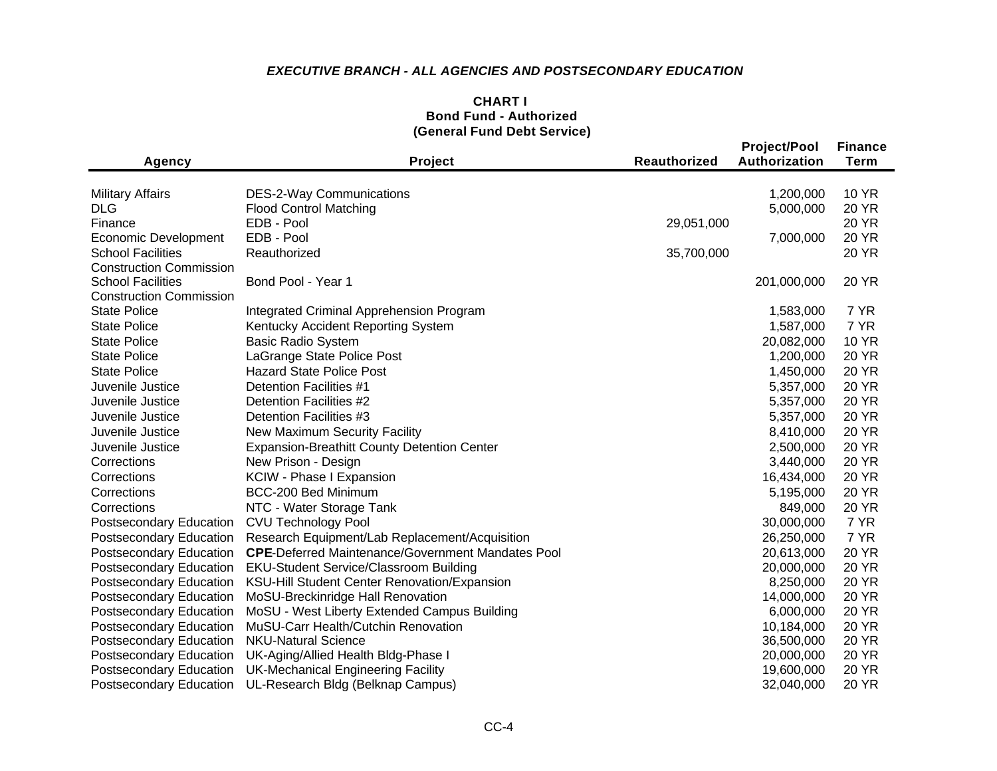## *EXECUTIVE BRANCH - ALL AGENCIES AND POSTSECONDARY EDUCATION*

### **CHART I Bond Fund - Authorized (General Fund Debt Service)**

| <b>Agency</b>                                         | Project                                                  | <b>Reauthorized</b> | <b>Project/Pool</b><br>Authorization | <b>Finance</b><br><b>Term</b> |
|-------------------------------------------------------|----------------------------------------------------------|---------------------|--------------------------------------|-------------------------------|
|                                                       |                                                          |                     |                                      |                               |
| <b>Military Affairs</b>                               | <b>DES-2-Way Communications</b>                          |                     | 1,200,000                            | <b>10 YR</b>                  |
| <b>DLG</b>                                            | <b>Flood Control Matching</b>                            |                     | 5,000,000                            | 20 YR                         |
| Finance                                               | EDB - Pool                                               | 29,051,000          |                                      | 20 YR                         |
| Economic Development                                  | EDB - Pool                                               |                     | 7,000,000                            | 20 YR                         |
| <b>School Facilities</b>                              | Reauthorized                                             | 35,700,000          |                                      | <b>20 YR</b>                  |
| <b>Construction Commission</b>                        |                                                          |                     |                                      |                               |
| <b>School Facilities</b>                              | Bond Pool - Year 1                                       |                     | 201,000,000                          | 20 YR                         |
| <b>Construction Commission</b><br><b>State Police</b> |                                                          |                     | 1,583,000                            | 7 YR                          |
| <b>State Police</b>                                   | Integrated Criminal Apprehension Program                 |                     | 1,587,000                            | 7 YR                          |
|                                                       | Kentucky Accident Reporting System                       |                     |                                      | <b>10 YR</b>                  |
| <b>State Police</b>                                   | <b>Basic Radio System</b>                                |                     | 20,082,000                           |                               |
| <b>State Police</b>                                   | LaGrange State Police Post                               |                     | 1,200,000                            | <b>20 YR</b>                  |
| <b>State Police</b>                                   | <b>Hazard State Police Post</b>                          |                     | 1,450,000                            | <b>20 YR</b>                  |
| Juvenile Justice                                      | <b>Detention Facilities #1</b>                           |                     | 5,357,000                            | <b>20 YR</b>                  |
| Juvenile Justice                                      | Detention Facilities #2                                  |                     | 5,357,000                            | <b>20 YR</b>                  |
| Juvenile Justice                                      | Detention Facilities #3                                  |                     | 5,357,000                            | <b>20 YR</b>                  |
| Juvenile Justice                                      | New Maximum Security Facility                            |                     | 8,410,000                            | <b>20 YR</b>                  |
| Juvenile Justice                                      | <b>Expansion-Breathitt County Detention Center</b>       |                     | 2,500,000                            | <b>20 YR</b>                  |
| Corrections                                           | New Prison - Design                                      |                     | 3,440,000                            | <b>20 YR</b>                  |
| Corrections                                           | KCIW - Phase I Expansion                                 |                     | 16,434,000                           | <b>20 YR</b>                  |
| Corrections                                           | BCC-200 Bed Minimum                                      |                     | 5,195,000                            | <b>20 YR</b>                  |
| Corrections                                           | NTC - Water Storage Tank                                 |                     | 849,000                              | <b>20 YR</b>                  |
| Postsecondary Education                               | <b>CVU Technology Pool</b>                               |                     | 30,000,000                           | 7 YR                          |
| Postsecondary Education                               | Research Equipment/Lab Replacement/Acquisition           |                     | 26,250,000                           | 7 YR                          |
| Postsecondary Education                               | <b>CPE-Deferred Maintenance/Government Mandates Pool</b> |                     | 20,613,000                           | <b>20 YR</b>                  |
| <b>Postsecondary Education</b>                        | <b>EKU-Student Service/Classroom Building</b>            |                     | 20,000,000                           | <b>20 YR</b>                  |
| <b>Postsecondary Education</b>                        | KSU-Hill Student Center Renovation/Expansion             |                     | 8,250,000                            | <b>20 YR</b>                  |
| <b>Postsecondary Education</b>                        | MoSU-Breckinridge Hall Renovation                        |                     | 14,000,000                           | <b>20 YR</b>                  |
| <b>Postsecondary Education</b>                        | MoSU - West Liberty Extended Campus Building             |                     | 6,000,000                            | <b>20 YR</b>                  |
| <b>Postsecondary Education</b>                        | MuSU-Carr Health/Cutchin Renovation                      |                     | 10,184,000                           | <b>20 YR</b>                  |
| <b>Postsecondary Education</b>                        | <b>NKU-Natural Science</b>                               |                     | 36,500,000                           | <b>20 YR</b>                  |
| Postsecondary Education                               | UK-Aging/Allied Health Bldg-Phase I                      |                     | 20,000,000                           | <b>20 YR</b>                  |
| Postsecondary Education                               | <b>UK-Mechanical Engineering Facility</b>                |                     | 19,600,000                           | <b>20 YR</b>                  |
| <b>Postsecondary Education</b>                        | UL-Research Bldg (Belknap Campus)                        |                     | 32,040,000                           | <b>20 YR</b>                  |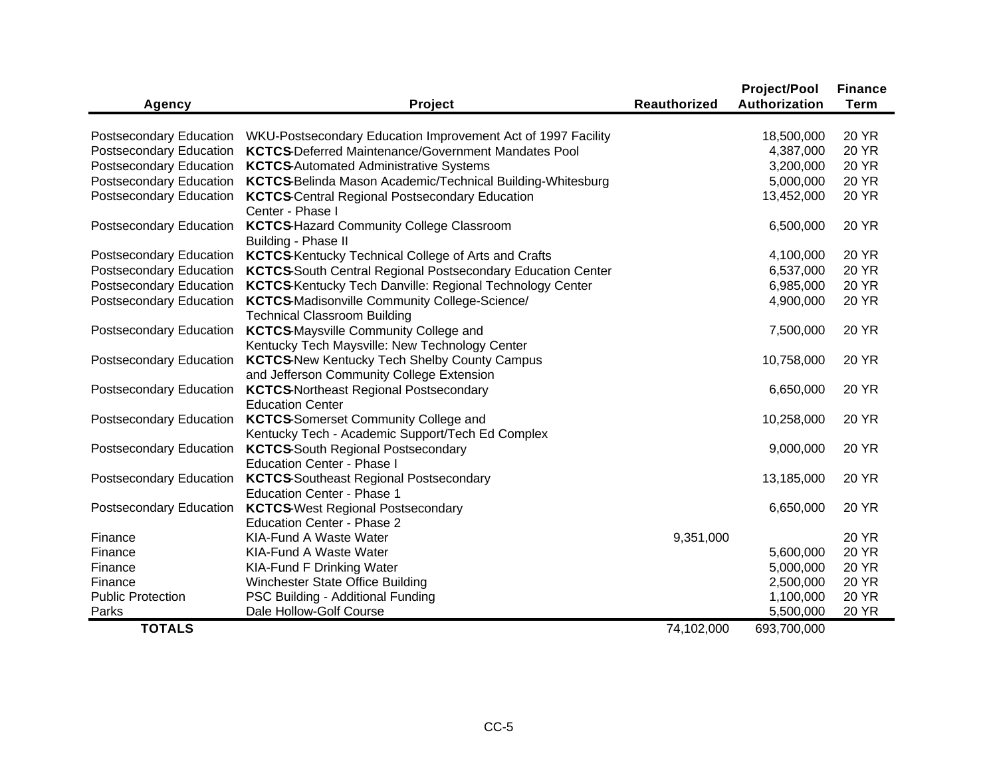|                                                           |                                                                                                                            |                     | <b>Project/Pool</b>     | <b>Finance</b> |
|-----------------------------------------------------------|----------------------------------------------------------------------------------------------------------------------------|---------------------|-------------------------|----------------|
| Agency                                                    | Project                                                                                                                    | <b>Reauthorized</b> | Authorization           | <b>Term</b>    |
|                                                           |                                                                                                                            |                     |                         | <b>20 YR</b>   |
| <b>Postsecondary Education</b><br>Postsecondary Education | WKU-Postsecondary Education Improvement Act of 1997 Facility<br><b>KCTCS-Deferred Maintenance/Government Mandates Pool</b> |                     | 18,500,000<br>4,387,000 | <b>20 YR</b>   |
| Postsecondary Education                                   |                                                                                                                            |                     | 3,200,000               | <b>20 YR</b>   |
| Postsecondary Education                                   | <b>KCTCS-Automated Administrative Systems</b>                                                                              |                     | 5,000,000               | <b>20 YR</b>   |
|                                                           | KCTCS-Belinda Mason Academic/Technical Building-Whitesburg                                                                 |                     |                         |                |
| Postsecondary Education                                   | <b>KCTCS-Central Regional Postsecondary Education</b>                                                                      |                     | 13,452,000              | <b>20 YR</b>   |
|                                                           | Center - Phase I                                                                                                           |                     |                         |                |
| Postsecondary Education                                   | <b>KCTCS-Hazard Community College Classroom</b>                                                                            |                     | 6,500,000               | <b>20 YR</b>   |
|                                                           | Building - Phase II                                                                                                        |                     |                         |                |
| Postsecondary Education                                   | <b>KCTCS-Kentucky Technical College of Arts and Crafts</b>                                                                 |                     | 4,100,000               | <b>20 YR</b>   |
| Postsecondary Education                                   | <b>KCTCS-South Central Regional Postsecondary Education Center</b>                                                         |                     | 6,537,000               | <b>20 YR</b>   |
| Postsecondary Education                                   | <b>KCTCS-Kentucky Tech Danville: Regional Technology Center</b>                                                            |                     | 6,985,000               | <b>20 YR</b>   |
| Postsecondary Education                                   | <b>KCTCS-Madisonville Community College-Science/</b>                                                                       |                     | 4,900,000               | <b>20 YR</b>   |
|                                                           | <b>Technical Classroom Building</b>                                                                                        |                     |                         |                |
| Postsecondary Education                                   | <b>KCTCS</b> Maysville Community College and                                                                               |                     | 7,500,000               | <b>20 YR</b>   |
|                                                           | Kentucky Tech Maysville: New Technology Center                                                                             |                     |                         |                |
| <b>Postsecondary Education</b>                            | <b>KCTCS-New Kentucky Tech Shelby County Campus</b>                                                                        |                     | 10,758,000              | 20 YR          |
|                                                           | and Jefferson Community College Extension                                                                                  |                     |                         |                |
| Postsecondary Education                                   | <b>KCTCS-Northeast Regional Postsecondary</b>                                                                              |                     | 6,650,000               | <b>20 YR</b>   |
|                                                           | <b>Education Center</b>                                                                                                    |                     |                         |                |
| Postsecondary Education                                   | <b>KCTCS-Somerset Community College and</b>                                                                                |                     | 10,258,000              | 20 YR          |
|                                                           | Kentucky Tech - Academic Support/Tech Ed Complex                                                                           |                     |                         |                |
| Postsecondary Education                                   | <b>KCTCS-South Regional Postsecondary</b>                                                                                  |                     | 9,000,000               | <b>20 YR</b>   |
|                                                           | <b>Education Center - Phase I</b>                                                                                          |                     |                         |                |
| Postsecondary Education                                   | <b>KCTCS-Southeast Regional Postsecondary</b>                                                                              |                     | 13,185,000              | <b>20 YR</b>   |
|                                                           | <b>Education Center - Phase 1</b>                                                                                          |                     |                         |                |
| Postsecondary Education                                   | <b>KCTCS</b> West Regional Postsecondary                                                                                   |                     | 6,650,000               | <b>20 YR</b>   |
|                                                           | <b>Education Center - Phase 2</b>                                                                                          |                     |                         |                |
| Finance                                                   | KIA-Fund A Waste Water                                                                                                     | 9,351,000           |                         | <b>20 YR</b>   |
| Finance                                                   | KIA-Fund A Waste Water                                                                                                     |                     | 5,600,000               | <b>20 YR</b>   |
| Finance                                                   | <b>KIA-Fund F Drinking Water</b>                                                                                           |                     | 5,000,000               | <b>20 YR</b>   |
| Finance                                                   | Winchester State Office Building                                                                                           |                     | 2,500,000               | <b>20 YR</b>   |
| <b>Public Protection</b>                                  | PSC Building - Additional Funding                                                                                          |                     | 1,100,000               | <b>20 YR</b>   |
| Parks                                                     | Dale Hollow-Golf Course                                                                                                    |                     | 5,500,000               | <b>20 YR</b>   |
| <b>TOTALS</b>                                             |                                                                                                                            | 74,102,000          | 693,700,000             |                |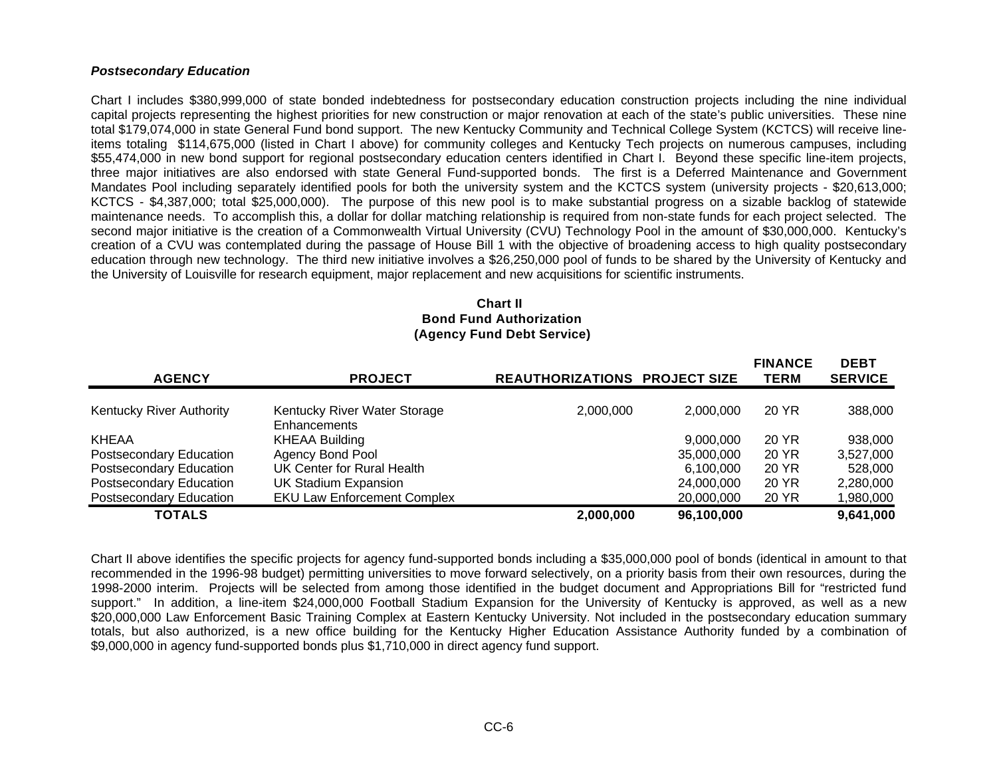#### *Postsecondary Education*

Chart I includes \$380,999,000 of state bonded indebtedness for postsecondary education construction projects including the nine individual capital projects representing the highest priorities for new construction or major renovation at each of the state's public universities. These nine total \$179,074,000 in state General Fund bond support. The new Kentucky Community and Technical College System (KCTCS) will receive lineitems totaling \$114,675,000 (listed in Chart I above) for community colleges and Kentucky Tech projects on numerous campuses, including \$55,474,000 in new bond support for regional postsecondary education centers identified in Chart I. Beyond these specific line-item projects, three major initiatives are also endorsed with state General Fund-supported bonds. The first is a Deferred Maintenance and Government Mandates Pool including separately identified pools for both the university system and the KCTCS system (university projects - \$20,613,000; KCTCS - \$4,387,000; total \$25,000,000). The purpose of this new pool is to make substantial progress on a sizable backlog of statewide maintenance needs. To accomplish this, a dollar for dollar matching relationship is required from non-state funds for each project selected. The second major initiative is the creation of a Commonwealth Virtual University (CVU) Technology Pool in the amount of \$30,000,000. Kentucky's creation of a CVU was contemplated during the passage of House Bill 1 with the objective of broadening access to high quality postsecondary education through new technology. The third new initiative involves a \$26,250,000 pool of funds to be shared by the University of Kentucky and the University of Louisville for research equipment, major replacement and new acquisitions for scientific instruments.

#### **Chart II Bond Fund Authorization (Agency Fund Debt Service)**

| <b>AGENCY</b>                   | <b>PROJECT</b>                     | <b>REAUTHORIZATIONS PROJECT SIZE</b> |            | <b>FINANCE</b><br><b>TERM</b> | <b>DEBT</b><br><b>SERVICE</b> |
|---------------------------------|------------------------------------|--------------------------------------|------------|-------------------------------|-------------------------------|
| <b>Kentucky River Authority</b> | Kentucky River Water Storage       |                                      | 2.000.000  | 20 YR                         |                               |
|                                 | Enhancements                       | 2,000,000                            |            |                               | 388,000                       |
| <b>KHEAA</b>                    | <b>KHEAA Building</b>              |                                      | 9.000.000  | 20 YR                         | 938,000                       |
| <b>Postsecondary Education</b>  | <b>Agency Bond Pool</b>            |                                      | 35,000,000 | 20 YR                         | 3,527,000                     |
| <b>Postsecondary Education</b>  | UK Center for Rural Health         |                                      | 6,100,000  | 20 YR                         | 528,000                       |
| <b>Postsecondary Education</b>  | <b>UK Stadium Expansion</b>        |                                      | 24,000,000 | 20 YR                         | 2,280,000                     |
| <b>Postsecondary Education</b>  | <b>EKU Law Enforcement Complex</b> |                                      | 20,000,000 | 20 YR                         | 1,980,000                     |
| <b>TOTALS</b>                   |                                    | 2,000,000                            | 96,100,000 |                               | 9,641,000                     |

Chart II above identifies the specific projects for agency fund-supported bonds including a \$35,000,000 pool of bonds (identical in amount to that recommended in the 1996-98 budget) permitting universities to move forward selectively, on a priority basis from their own resources, during the 1998-2000 interim. Projects will be selected from among those identified in the budget document and Appropriations Bill for "restricted fund support." In addition, a line-item \$24,000,000 Football Stadium Expansion for the University of Kentucky is approved, as well as a new \$20,000,000 Law Enforcement Basic Training Complex at Eastern Kentucky University. Not included in the postsecondary education summary totals, but also authorized, is a new office building for the Kentucky Higher Education Assistance Authority funded by a combination of \$9,000,000 in agency fund-supported bonds plus \$1,710,000 in direct agency fund support.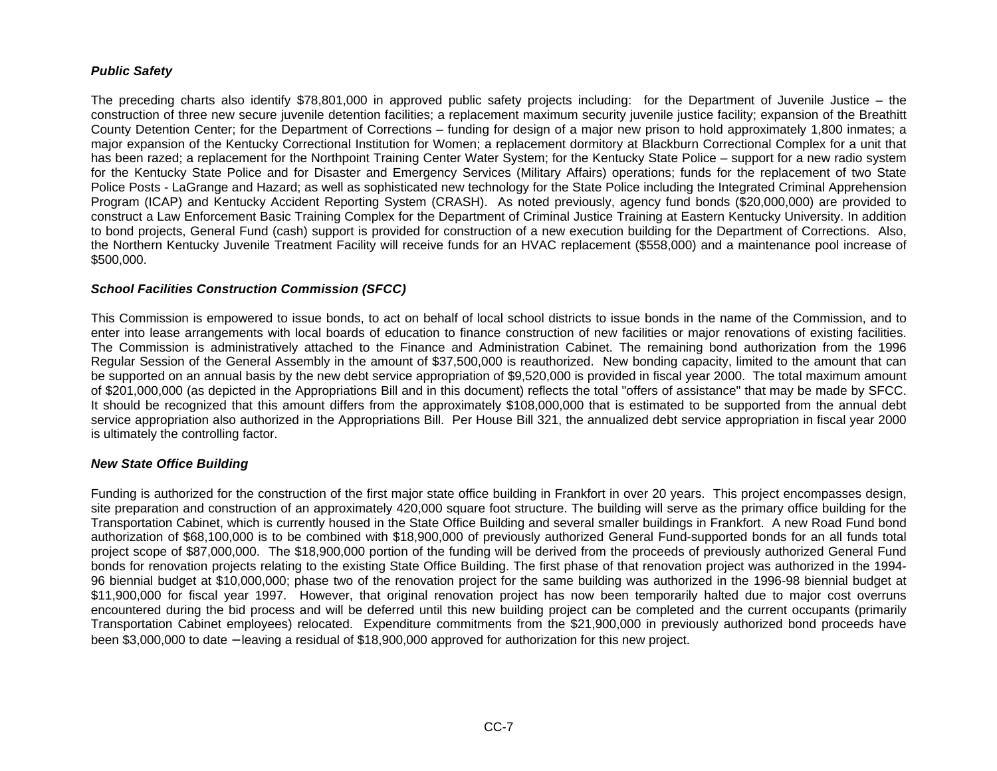### *Public Safety*

The preceding charts also identify \$78,801,000 in approved public safety projects including: for the Department of Juvenile Justice – the construction of three new secure juvenile detention facilities; a replacement maximum security juvenile justice facility; expansion of the Breathitt County Detention Center; for the Department of Corrections – funding for design of a major new prison to hold approximately 1,800 inmates; a major expansion of the Kentucky Correctional Institution for Women; a replacement dormitory at Blackburn Correctional Complex for a unit that has been razed; a replacement for the Northpoint Training Center Water System; for the Kentucky State Police – support for a new radio system for the Kentucky State Police and for Disaster and Emergency Services (Military Affairs) operations; funds for the replacement of two State Police Posts - LaGrange and Hazard; as well as sophisticated new technology for the State Police including the Integrated Criminal Apprehension Program (ICAP) and Kentucky Accident Reporting System (CRASH). As noted previously, agency fund bonds (\$20,000,000) are provided to construct a Law Enforcement Basic Training Complex for the Department of Criminal Justice Training at Eastern Kentucky University. In addition to bond projects, General Fund (cash) support is provided for construction of a new execution building for the Department of Corrections. Also, the Northern Kentucky Juvenile Treatment Facility will receive funds for an HVAC replacement (\$558,000) and a maintenance pool increase of \$500,000.

#### *School Facilities Construction Commission (SFCC)*

This Commission is empowered to issue bonds, to act on behalf of local school districts to issue bonds in the name of the Commission, and to enter into lease arrangements with local boards of education to finance construction of new facilities or major renovations of existing facilities. The Commission is administratively attached to the Finance and Administration Cabinet. The remaining bond authorization from the 1996 Regular Session of the General Assembly in the amount of \$37,500,000 is reauthorized. New bonding capacity, limited to the amount that can be supported on an annual basis by the new debt service appropriation of \$9,520,000 is provided in fiscal year 2000. The total maximum amount of \$201,000,000 (as depicted in the Appropriations Bill and in this document) reflects the total "offers of assistance" that may be made by SFCC. It should be recognized that this amount differs from the approximately \$108,000,000 that is estimated to be supported from the annual debt service appropriation also authorized in the Appropriations Bill. Per House Bill 321, the annualized debt service appropriation in fiscal year 2000 is ultimately the controlling factor.

#### *New State Office Building*

Funding is authorized for the construction of the first major state office building in Frankfort in over 20 years. This project encompasses design, site preparation and construction of an approximately 420,000 square foot structure. The building will serve as the primary office building for the Transportation Cabinet, which is currently housed in the State Office Building and several smaller buildings in Frankfort. A new Road Fund bond authorization of \$68,100,000 is to be combined with \$18,900,000 of previously authorized General Fund-supported bonds for an all funds total project scope of \$87,000,000. The \$18,900,000 portion of the funding will be derived from the proceeds of previously authorized General Fund bonds for renovation projects relating to the existing State Office Building. The first phase of that renovation project was authorized in the 1994- 96 biennial budget at \$10,000,000; phase two of the renovation project for the same building was authorized in the 1996-98 biennial budget at \$11,900,000 for fiscal year 1997. However, that original renovation project has now been temporarily halted due to major cost overruns encountered during the bid process and will be deferred until this new building project can be completed and the current occupants (primarily Transportation Cabinet employees) relocated. Expenditure commitments from the \$21,900,000 in previously authorized bond proceeds have been \$3,000,000 to date − leaving a residual of \$18,900,000 approved for authorization for this new project.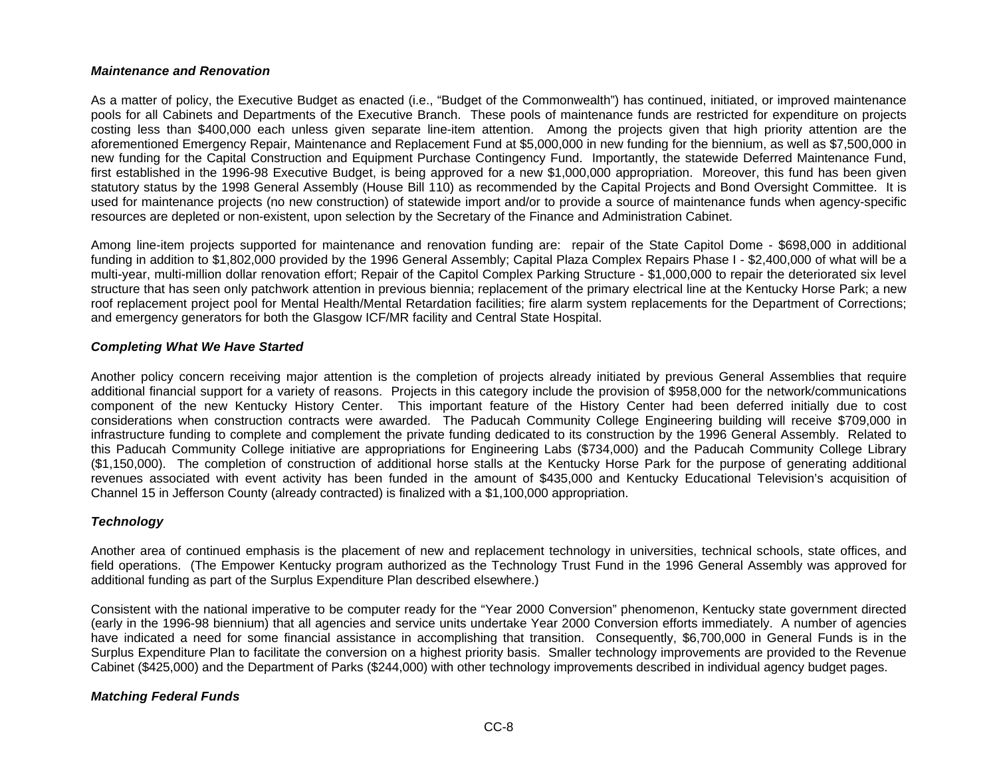#### *Maintenance and Renovation*

As a matter of policy, the Executive Budget as enacted (i.e., "Budget of the Commonwealth") has continued, initiated, or improved maintenance pools for all Cabinets and Departments of the Executive Branch. These pools of maintenance funds are restricted for expenditure on projects costing less than \$400,000 each unless given separate line-item attention. Among the projects given that high priority attention are the aforementioned Emergency Repair, Maintenance and Replacement Fund at \$5,000,000 in new funding for the biennium, as well as \$7,500,000 in new funding for the Capital Construction and Equipment Purchase Contingency Fund. Importantly, the statewide Deferred Maintenance Fund, first established in the 1996-98 Executive Budget, is being approved for a new \$1,000,000 appropriation. Moreover, this fund has been given statutory status by the 1998 General Assembly (House Bill 110) as recommended by the Capital Projects and Bond Oversight Committee. It is used for maintenance projects (no new construction) of statewide import and/or to provide a source of maintenance funds when agency-specific resources are depleted or non-existent, upon selection by the Secretary of the Finance and Administration Cabinet.

Among line-item projects supported for maintenance and renovation funding are: repair of the State Capitol Dome - \$698,000 in additional funding in addition to \$1,802,000 provided by the 1996 General Assembly; Capital Plaza Complex Repairs Phase I - \$2,400,000 of what will be a multi-year, multi-million dollar renovation effort; Repair of the Capitol Complex Parking Structure - \$1,000,000 to repair the deteriorated six level structure that has seen only patchwork attention in previous biennia; replacement of the primary electrical line at the Kentucky Horse Park; a new roof replacement project pool for Mental Health/Mental Retardation facilities; fire alarm system replacements for the Department of Corrections; and emergency generators for both the Glasgow ICF/MR facility and Central State Hospital.

#### *Completing What We Have Started*

Another policy concern receiving major attention is the completion of projects already initiated by previous General Assemblies that require additional financial support for a variety of reasons. Projects in this category include the provision of \$958,000 for the network/communications component of the new Kentucky History Center. This important feature of the History Center had been deferred initially due to cost considerations when construction contracts were awarded. The Paducah Community College Engineering building will receive \$709,000 in infrastructure funding to complete and complement the private funding dedicated to its construction by the 1996 General Assembly. Related to this Paducah Community College initiative are appropriations for Engineering Labs (\$734,000) and the Paducah Community College Library (\$1,150,000). The completion of construction of additional horse stalls at the Kentucky Horse Park for the purpose of generating additional revenues associated with event activity has been funded in the amount of \$435,000 and Kentucky Educational Television's acquisition of Channel 15 in Jefferson County (already contracted) is finalized with a \$1,100,000 appropriation.

#### *Technology*

Another area of continued emphasis is the placement of new and replacement technology in universities, technical schools, state offices, and field operations. (The Empower Kentucky program authorized as the Technology Trust Fund in the 1996 General Assembly was approved for additional funding as part of the Surplus Expenditure Plan described elsewhere.)

Consistent with the national imperative to be computer ready for the "Year 2000 Conversion" phenomenon, Kentucky state government directed (early in the 1996-98 biennium) that all agencies and service units undertake Year 2000 Conversion efforts immediately. A number of agencies have indicated a need for some financial assistance in accomplishing that transition. Consequently, \$6,700,000 in General Funds is in the Surplus Expenditure Plan to facilitate the conversion on a highest priority basis. Smaller technology improvements are provided to the Revenue Cabinet (\$425,000) and the Department of Parks (\$244,000) with other technology improvements described in individual agency budget pages.

#### *Matching Federal Funds*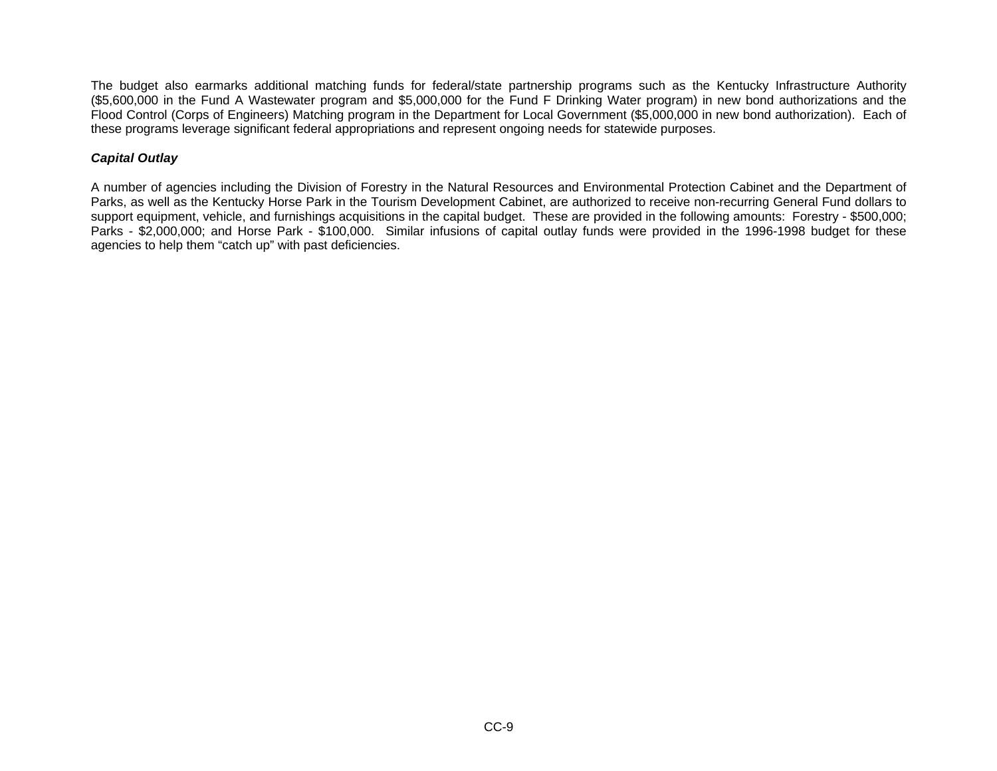The budget also earmarks additional matching funds for federal/state partnership programs such as the Kentucky Infrastructure Authority (\$5,600,000 in the Fund A Wastewater program and \$5,000,000 for the Fund F Drinking Water program) in new bond authorizations and the Flood Control (Corps of Engineers) Matching program in the Department for Local Government (\$5,000,000 in new bond authorization). Each of these programs leverage significant federal appropriations and represent ongoing needs for statewide purposes.

### *Capital Outlay*

A number of agencies including the Division of Forestry in the Natural Resources and Environmental Protection Cabinet and the Department of Parks, as well as the Kentucky Horse Park in the Tourism Development Cabinet, are authorized to receive non-recurring General Fund dollars to support equipment, vehicle, and furnishings acquisitions in the capital budget. These are provided in the following amounts: Forestry - \$500,000; Parks - \$2,000,000; and Horse Park - \$100,000. Similar infusions of capital outlay funds were provided in the 1996-1998 budget for these agencies to help them "catch up" with past deficiencies.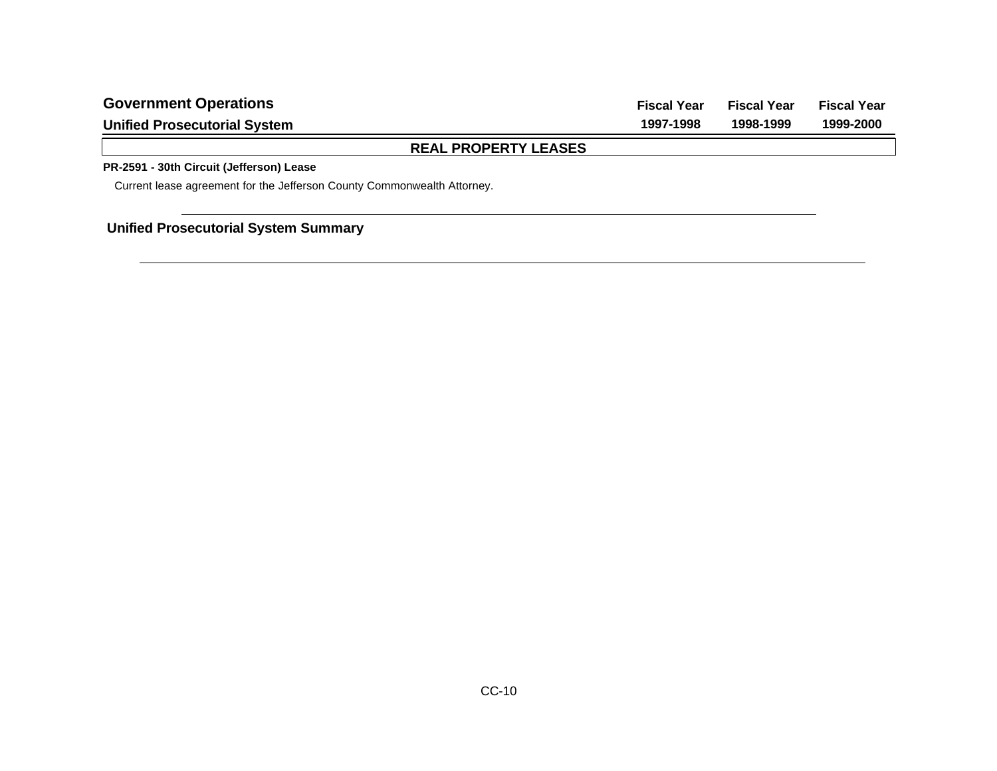|                                     | BEAL BRABERTYLEAGES |                    |                    |                    |
|-------------------------------------|---------------------|--------------------|--------------------|--------------------|
| <b>Unified Prosecutorial System</b> |                     | 1997-1998          | 1998-1999          | 1999-2000          |
| <b>Government Operations</b>        |                     | <b>Fiscal Year</b> | <b>Fiscal Year</b> | <b>Fiscal Year</b> |

**REAL PROPERTY LEASES**

### **PR-2591 - 30th Circuit (Jefferson) Lease**

Current lease agreement for the Jefferson County Commonwealth Attorney.

# **Unified Prosecutorial System Summary**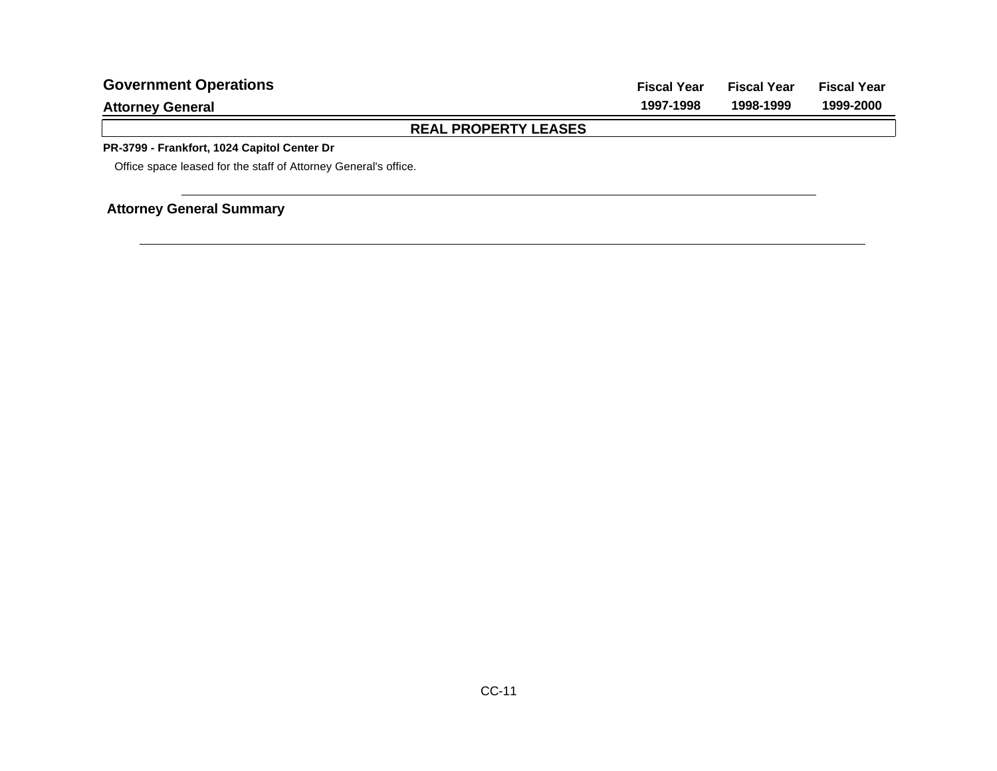| <b>Government Operations</b>                                    | <b>Fiscal Year</b> | <b>Fiscal Year</b> | <b>Fiscal Year</b> |
|-----------------------------------------------------------------|--------------------|--------------------|--------------------|
| <b>Attorney General</b>                                         | 1997-1998          | 1998-1999          | 1999-2000          |
| <b>REAL PROPERTY LEASES</b>                                     |                    |                    |                    |
| PR-3799 - Frankfort, 1024 Capitol Center Dr                     |                    |                    |                    |
| Office space leased for the staff of Attorney General's office. |                    |                    |                    |
|                                                                 |                    |                    |                    |

# **Attorney General Summary**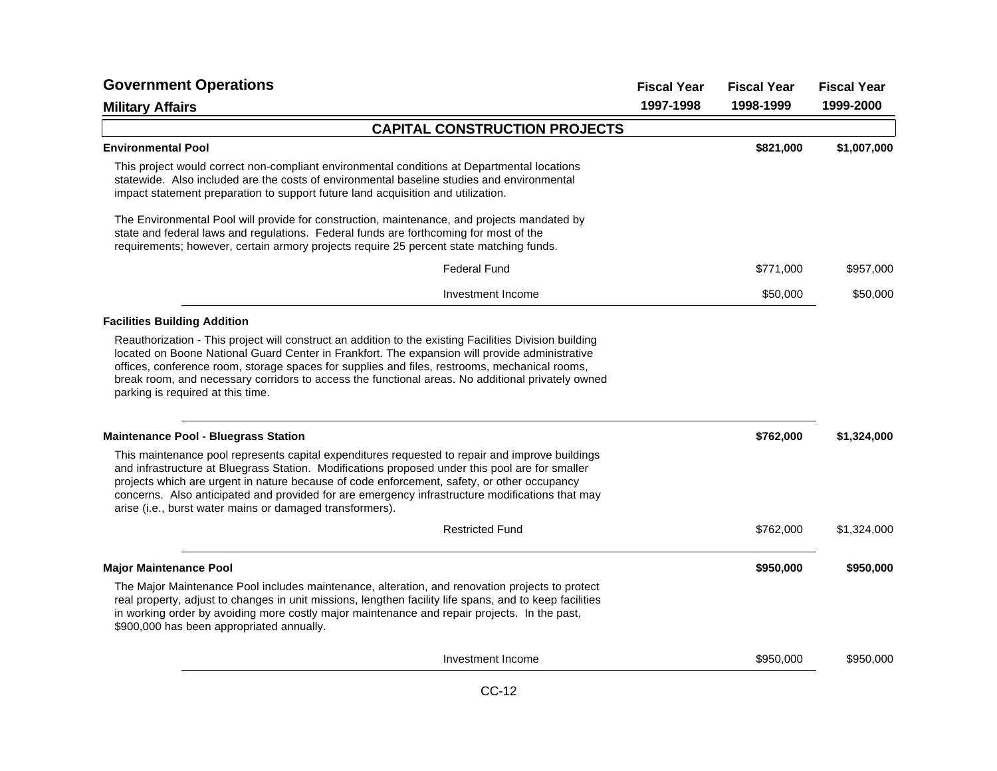| <b>Government Operations</b>                                                                                                                                                                                                                                                                                                                                                                                                                                     | <b>Fiscal Year</b> | <b>Fiscal Year</b> | <b>Fiscal Year</b> |
|------------------------------------------------------------------------------------------------------------------------------------------------------------------------------------------------------------------------------------------------------------------------------------------------------------------------------------------------------------------------------------------------------------------------------------------------------------------|--------------------|--------------------|--------------------|
| <b>Military Affairs</b>                                                                                                                                                                                                                                                                                                                                                                                                                                          | 1997-1998          | 1998-1999          | 1999-2000          |
| <b>CAPITAL CONSTRUCTION PROJECTS</b>                                                                                                                                                                                                                                                                                                                                                                                                                             |                    |                    |                    |
| <b>Environmental Pool</b>                                                                                                                                                                                                                                                                                                                                                                                                                                        |                    | \$821,000          | \$1,007,000        |
| This project would correct non-compliant environmental conditions at Departmental locations<br>statewide. Also included are the costs of environmental baseline studies and environmental<br>impact statement preparation to support future land acquisition and utilization.                                                                                                                                                                                    |                    |                    |                    |
| The Environmental Pool will provide for construction, maintenance, and projects mandated by<br>state and federal laws and regulations. Federal funds are forthcoming for most of the<br>requirements; however, certain armory projects require 25 percent state matching funds.                                                                                                                                                                                  |                    |                    |                    |
| <b>Federal Fund</b>                                                                                                                                                                                                                                                                                                                                                                                                                                              |                    | \$771,000          | \$957,000          |
| Investment Income                                                                                                                                                                                                                                                                                                                                                                                                                                                |                    | \$50,000           | \$50,000           |
| <b>Facilities Building Addition</b>                                                                                                                                                                                                                                                                                                                                                                                                                              |                    |                    |                    |
| Reauthorization - This project will construct an addition to the existing Facilities Division building<br>located on Boone National Guard Center in Frankfort. The expansion will provide administrative<br>offices, conference room, storage spaces for supplies and files, restrooms, mechanical rooms,<br>break room, and necessary corridors to access the functional areas. No additional privately owned<br>parking is required at this time.              |                    |                    |                    |
| <b>Maintenance Pool - Bluegrass Station</b>                                                                                                                                                                                                                                                                                                                                                                                                                      |                    | \$762,000          | \$1,324,000        |
| This maintenance pool represents capital expenditures requested to repair and improve buildings<br>and infrastructure at Bluegrass Station. Modifications proposed under this pool are for smaller<br>projects which are urgent in nature because of code enforcement, safety, or other occupancy<br>concerns. Also anticipated and provided for are emergency infrastructure modifications that may<br>arise (i.e., burst water mains or damaged transformers). |                    |                    |                    |
| <b>Restricted Fund</b>                                                                                                                                                                                                                                                                                                                                                                                                                                           |                    | \$762,000          | \$1,324,000        |
| <b>Major Maintenance Pool</b>                                                                                                                                                                                                                                                                                                                                                                                                                                    |                    | \$950,000          | \$950,000          |
| The Major Maintenance Pool includes maintenance, alteration, and renovation projects to protect<br>real property, adjust to changes in unit missions, lengthen facility life spans, and to keep facilities<br>in working order by avoiding more costly major maintenance and repair projects. In the past,<br>\$900,000 has been appropriated annually.                                                                                                          |                    |                    |                    |
| Investment Income                                                                                                                                                                                                                                                                                                                                                                                                                                                |                    | \$950,000          | \$950,000          |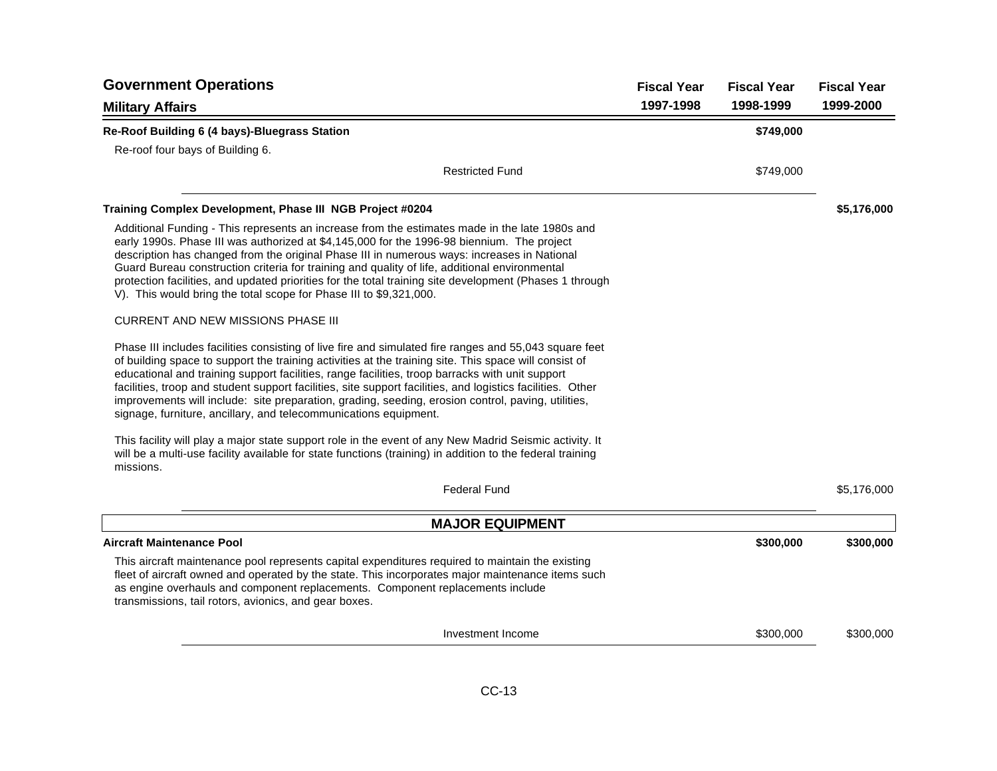| <b>Government Operations</b>                                                                                                                                                                                                                                                                                                                                                                                                                                                                                                                                                                               | <b>Fiscal Year</b> | <b>Fiscal Year</b> | <b>Fiscal Year</b> |
|------------------------------------------------------------------------------------------------------------------------------------------------------------------------------------------------------------------------------------------------------------------------------------------------------------------------------------------------------------------------------------------------------------------------------------------------------------------------------------------------------------------------------------------------------------------------------------------------------------|--------------------|--------------------|--------------------|
| <b>Military Affairs</b>                                                                                                                                                                                                                                                                                                                                                                                                                                                                                                                                                                                    | 1997-1998          | 1998-1999          | 1999-2000          |
| Re-Roof Building 6 (4 bays)-Bluegrass Station                                                                                                                                                                                                                                                                                                                                                                                                                                                                                                                                                              |                    | \$749,000          |                    |
| Re-roof four bays of Building 6.                                                                                                                                                                                                                                                                                                                                                                                                                                                                                                                                                                           |                    |                    |                    |
| <b>Restricted Fund</b>                                                                                                                                                                                                                                                                                                                                                                                                                                                                                                                                                                                     |                    | \$749,000          |                    |
| Training Complex Development, Phase III NGB Project #0204                                                                                                                                                                                                                                                                                                                                                                                                                                                                                                                                                  |                    |                    | \$5,176,000        |
| Additional Funding - This represents an increase from the estimates made in the late 1980s and<br>early 1990s. Phase III was authorized at \$4,145,000 for the 1996-98 biennium. The project<br>description has changed from the original Phase III in numerous ways: increases in National<br>Guard Bureau construction criteria for training and quality of life, additional environmental<br>protection facilities, and updated priorities for the total training site development (Phases 1 through<br>V). This would bring the total scope for Phase III to \$9,321,000.                              |                    |                    |                    |
| <b>CURRENT AND NEW MISSIONS PHASE III</b>                                                                                                                                                                                                                                                                                                                                                                                                                                                                                                                                                                  |                    |                    |                    |
| Phase III includes facilities consisting of live fire and simulated fire ranges and 55,043 square feet<br>of building space to support the training activities at the training site. This space will consist of<br>educational and training support facilities, range facilities, troop barracks with unit support<br>facilities, troop and student support facilities, site support facilities, and logistics facilities. Other<br>improvements will include: site preparation, grading, seeding, erosion control, paving, utilities,<br>signage, furniture, ancillary, and telecommunications equipment. |                    |                    |                    |
| This facility will play a major state support role in the event of any New Madrid Seismic activity. It<br>will be a multi-use facility available for state functions (training) in addition to the federal training<br>missions.                                                                                                                                                                                                                                                                                                                                                                           |                    |                    |                    |
| <b>Federal Fund</b>                                                                                                                                                                                                                                                                                                                                                                                                                                                                                                                                                                                        |                    |                    | \$5,176,000        |
| <b>MAJOR EQUIPMENT</b>                                                                                                                                                                                                                                                                                                                                                                                                                                                                                                                                                                                     |                    |                    |                    |
| <b>Aircraft Maintenance Pool</b>                                                                                                                                                                                                                                                                                                                                                                                                                                                                                                                                                                           |                    | \$300,000          | \$300,000          |
| This aircraft maintenance pool represents capital expenditures required to maintain the existing<br>fleet of aircraft owned and operated by the state. This incorporates major maintenance items such<br>as engine overhauls and component replacements. Component replacements include<br>transmissions, tail rotors, avionics, and gear boxes.                                                                                                                                                                                                                                                           |                    |                    |                    |
| Investment Income                                                                                                                                                                                                                                                                                                                                                                                                                                                                                                                                                                                          |                    | \$300,000          | \$300,000          |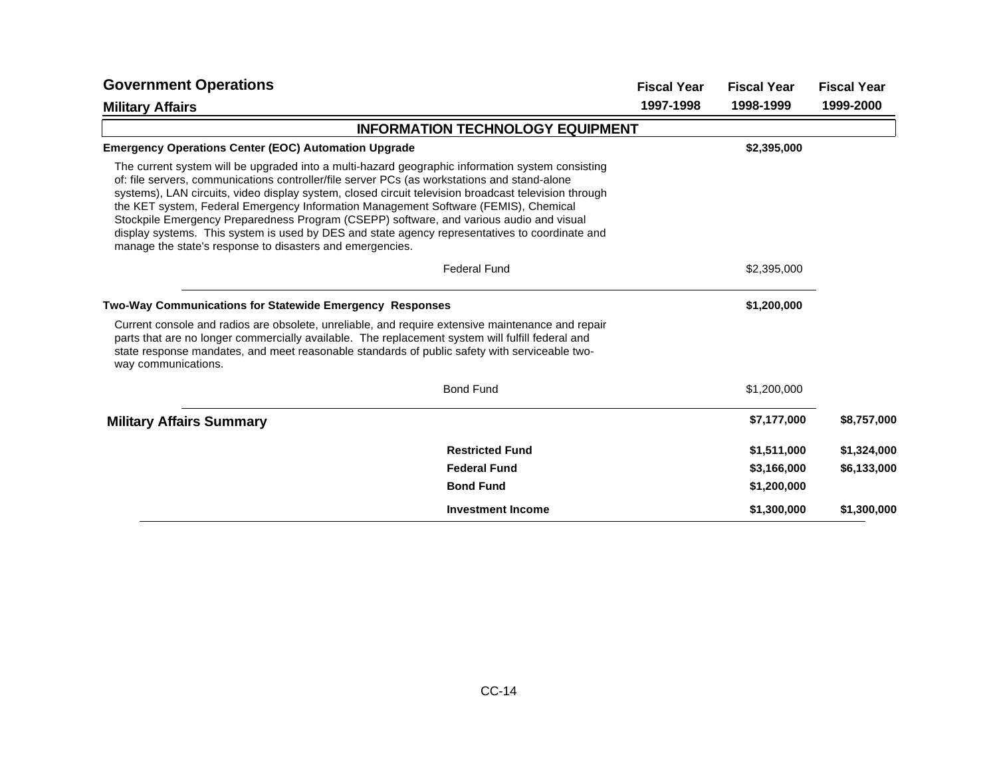| <b>Government Operations</b>                                                                                                                                                                                                                                                                                                                                                                                                                                                                                                                                                                                                                              |                                         | <b>Fiscal Year</b> | <b>Fiscal Year</b> | <b>Fiscal Year</b> |
|-----------------------------------------------------------------------------------------------------------------------------------------------------------------------------------------------------------------------------------------------------------------------------------------------------------------------------------------------------------------------------------------------------------------------------------------------------------------------------------------------------------------------------------------------------------------------------------------------------------------------------------------------------------|-----------------------------------------|--------------------|--------------------|--------------------|
| <b>Military Affairs</b>                                                                                                                                                                                                                                                                                                                                                                                                                                                                                                                                                                                                                                   |                                         | 1997-1998          | 1998-1999          | 1999-2000          |
|                                                                                                                                                                                                                                                                                                                                                                                                                                                                                                                                                                                                                                                           | <b>INFORMATION TECHNOLOGY EQUIPMENT</b> |                    |                    |                    |
| <b>Emergency Operations Center (EOC) Automation Upgrade</b>                                                                                                                                                                                                                                                                                                                                                                                                                                                                                                                                                                                               |                                         |                    | \$2,395,000        |                    |
| The current system will be upgraded into a multi-hazard geographic information system consisting<br>of: file servers, communications controller/file server PCs (as workstations and stand-alone<br>systems), LAN circuits, video display system, closed circuit television broadcast television through<br>the KET system, Federal Emergency Information Management Software (FEMIS), Chemical<br>Stockpile Emergency Preparedness Program (CSEPP) software, and various audio and visual<br>display systems. This system is used by DES and state agency representatives to coordinate and<br>manage the state's response to disasters and emergencies. |                                         |                    |                    |                    |
|                                                                                                                                                                                                                                                                                                                                                                                                                                                                                                                                                                                                                                                           | <b>Federal Fund</b>                     |                    | \$2,395,000        |                    |
| Two-Way Communications for Statewide Emergency Responses                                                                                                                                                                                                                                                                                                                                                                                                                                                                                                                                                                                                  |                                         |                    | \$1,200,000        |                    |
| Current console and radios are obsolete, unreliable, and require extensive maintenance and repair<br>parts that are no longer commercially available. The replacement system will fulfill federal and<br>state response mandates, and meet reasonable standards of public safety with serviceable two-<br>way communications.                                                                                                                                                                                                                                                                                                                             |                                         |                    |                    |                    |
|                                                                                                                                                                                                                                                                                                                                                                                                                                                                                                                                                                                                                                                           | <b>Bond Fund</b>                        |                    | \$1,200,000        |                    |
| <b>Military Affairs Summary</b>                                                                                                                                                                                                                                                                                                                                                                                                                                                                                                                                                                                                                           |                                         |                    | \$7,177,000        | \$8,757,000        |
|                                                                                                                                                                                                                                                                                                                                                                                                                                                                                                                                                                                                                                                           | <b>Restricted Fund</b>                  |                    | \$1,511,000        | \$1,324,000        |
|                                                                                                                                                                                                                                                                                                                                                                                                                                                                                                                                                                                                                                                           | <b>Federal Fund</b>                     |                    | \$3,166,000        | \$6,133,000        |
|                                                                                                                                                                                                                                                                                                                                                                                                                                                                                                                                                                                                                                                           | <b>Bond Fund</b>                        |                    | \$1,200,000        |                    |
|                                                                                                                                                                                                                                                                                                                                                                                                                                                                                                                                                                                                                                                           | <b>Investment Income</b>                |                    | \$1,300,000        | \$1,300,000        |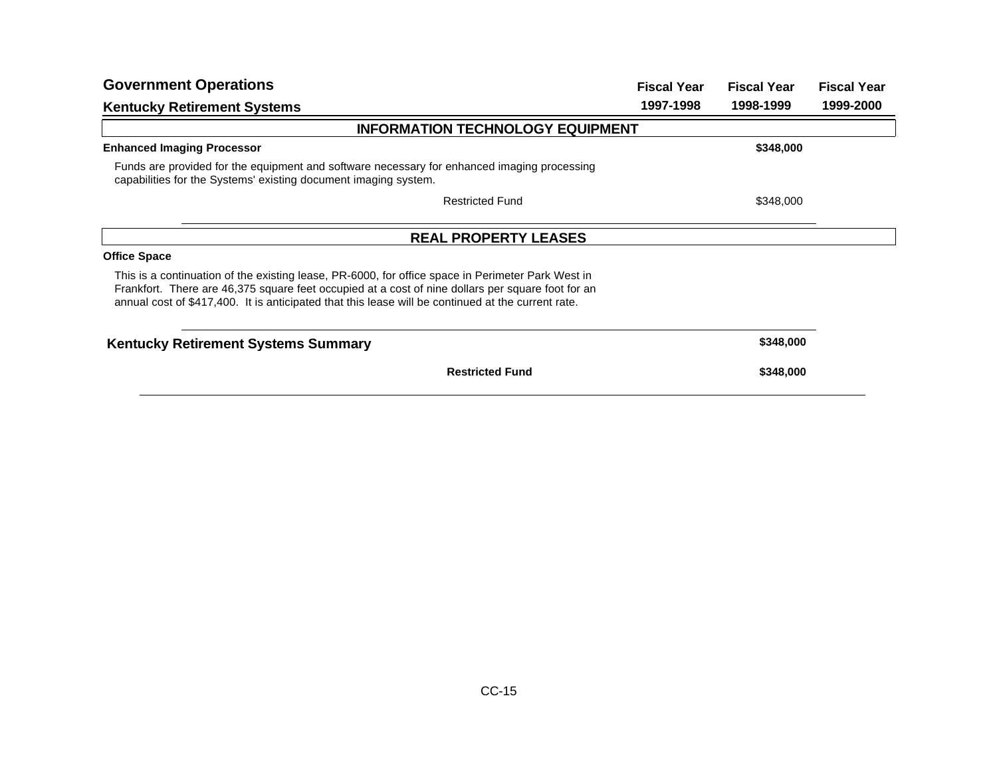| <b>Government Operations</b>                                                                                                                                                                                                                                                                                 | <b>Fiscal Year</b> | <b>Fiscal Year</b> | <b>Fiscal Year</b> |
|--------------------------------------------------------------------------------------------------------------------------------------------------------------------------------------------------------------------------------------------------------------------------------------------------------------|--------------------|--------------------|--------------------|
| <b>Kentucky Retirement Systems</b>                                                                                                                                                                                                                                                                           | 1997-1998          | 1998-1999          | 1999-2000          |
| <b>INFORMATION TECHNOLOGY EQUIPMENT</b>                                                                                                                                                                                                                                                                      |                    |                    |                    |
| <b>Enhanced Imaging Processor</b>                                                                                                                                                                                                                                                                            |                    | \$348,000          |                    |
| Funds are provided for the equipment and software necessary for enhanced imaging processing<br>capabilities for the Systems' existing document imaging system.                                                                                                                                               |                    |                    |                    |
| <b>Restricted Fund</b>                                                                                                                                                                                                                                                                                       |                    | \$348,000          |                    |
| <b>REAL PROPERTY LEASES</b>                                                                                                                                                                                                                                                                                  |                    |                    |                    |
| <b>Office Space</b>                                                                                                                                                                                                                                                                                          |                    |                    |                    |
| This is a continuation of the existing lease, PR-6000, for office space in Perimeter Park West in<br>Frankfort. There are 46,375 square feet occupied at a cost of nine dollars per square foot for an<br>annual cost of \$417,400. It is anticipated that this lease will be continued at the current rate. |                    |                    |                    |
| <b>Kentucky Retirement Systems Summary</b>                                                                                                                                                                                                                                                                   |                    | \$348,000          |                    |
| <b>Restricted Fund</b>                                                                                                                                                                                                                                                                                       |                    | \$348,000          |                    |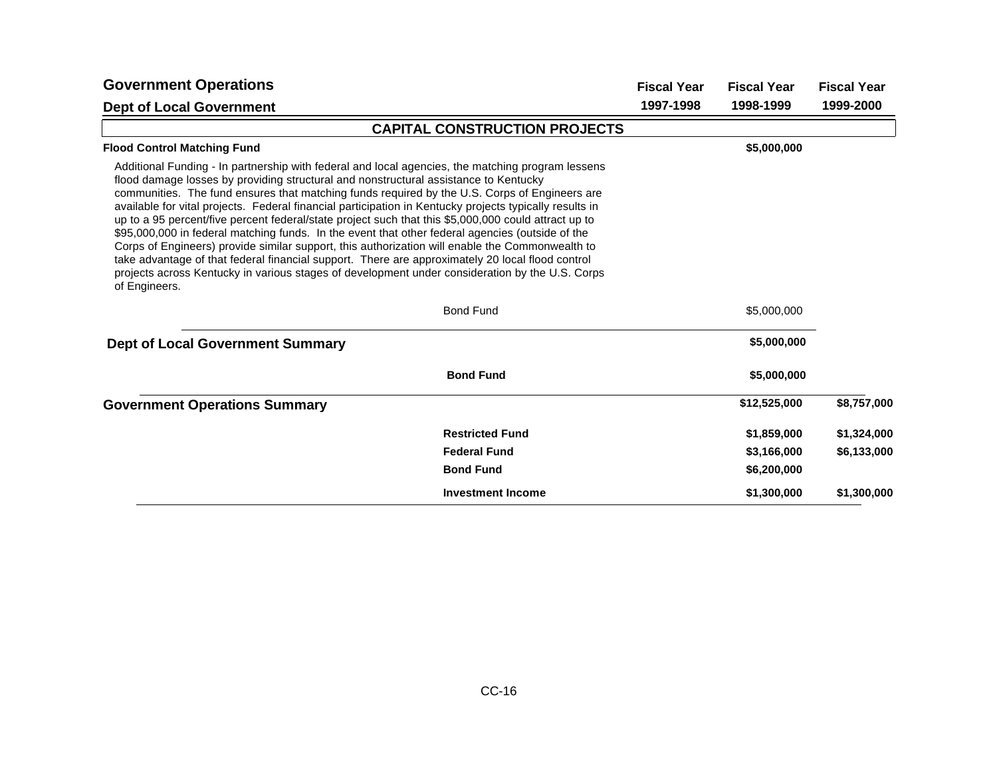| <b>Government Operations</b>                                                                                                                                                                                                                                                                                                                                                                                                                                                                                                                                                                                                                                                                                                                                                                                                                                                                                                                 |                                      | <b>Fiscal Year</b> | <b>Fiscal Year</b> | <b>Fiscal Year</b> |
|----------------------------------------------------------------------------------------------------------------------------------------------------------------------------------------------------------------------------------------------------------------------------------------------------------------------------------------------------------------------------------------------------------------------------------------------------------------------------------------------------------------------------------------------------------------------------------------------------------------------------------------------------------------------------------------------------------------------------------------------------------------------------------------------------------------------------------------------------------------------------------------------------------------------------------------------|--------------------------------------|--------------------|--------------------|--------------------|
| <b>Dept of Local Government</b>                                                                                                                                                                                                                                                                                                                                                                                                                                                                                                                                                                                                                                                                                                                                                                                                                                                                                                              |                                      | 1997-1998          | 1998-1999          | 1999-2000          |
|                                                                                                                                                                                                                                                                                                                                                                                                                                                                                                                                                                                                                                                                                                                                                                                                                                                                                                                                              | <b>CAPITAL CONSTRUCTION PROJECTS</b> |                    |                    |                    |
| <b>Flood Control Matching Fund</b>                                                                                                                                                                                                                                                                                                                                                                                                                                                                                                                                                                                                                                                                                                                                                                                                                                                                                                           |                                      |                    | \$5,000,000        |                    |
| Additional Funding - In partnership with federal and local agencies, the matching program lessens<br>flood damage losses by providing structural and nonstructural assistance to Kentucky<br>communities. The fund ensures that matching funds required by the U.S. Corps of Engineers are<br>available for vital projects. Federal financial participation in Kentucky projects typically results in<br>up to a 95 percent/five percent federal/state project such that this \$5,000,000 could attract up to<br>\$95,000,000 in federal matching funds. In the event that other federal agencies (outside of the<br>Corps of Engineers) provide similar support, this authorization will enable the Commonwealth to<br>take advantage of that federal financial support. There are approximately 20 local flood control<br>projects across Kentucky in various stages of development under consideration by the U.S. Corps<br>of Engineers. |                                      |                    |                    |                    |
|                                                                                                                                                                                                                                                                                                                                                                                                                                                                                                                                                                                                                                                                                                                                                                                                                                                                                                                                              | <b>Bond Fund</b>                     |                    | \$5,000,000        |                    |
| <b>Dept of Local Government Summary</b>                                                                                                                                                                                                                                                                                                                                                                                                                                                                                                                                                                                                                                                                                                                                                                                                                                                                                                      |                                      |                    | \$5,000,000        |                    |
|                                                                                                                                                                                                                                                                                                                                                                                                                                                                                                                                                                                                                                                                                                                                                                                                                                                                                                                                              | <b>Bond Fund</b>                     |                    | \$5,000,000        |                    |
| <b>Government Operations Summary</b>                                                                                                                                                                                                                                                                                                                                                                                                                                                                                                                                                                                                                                                                                                                                                                                                                                                                                                         |                                      |                    | \$12,525,000       | \$8,757,000        |
|                                                                                                                                                                                                                                                                                                                                                                                                                                                                                                                                                                                                                                                                                                                                                                                                                                                                                                                                              | <b>Restricted Fund</b>               |                    | \$1,859,000        | \$1,324,000        |
|                                                                                                                                                                                                                                                                                                                                                                                                                                                                                                                                                                                                                                                                                                                                                                                                                                                                                                                                              | <b>Federal Fund</b>                  |                    | \$3,166,000        | \$6,133,000        |
|                                                                                                                                                                                                                                                                                                                                                                                                                                                                                                                                                                                                                                                                                                                                                                                                                                                                                                                                              | <b>Bond Fund</b>                     |                    | \$6,200,000        |                    |
|                                                                                                                                                                                                                                                                                                                                                                                                                                                                                                                                                                                                                                                                                                                                                                                                                                                                                                                                              | <b>Investment Income</b>             |                    | \$1,300,000        | \$1,300,000        |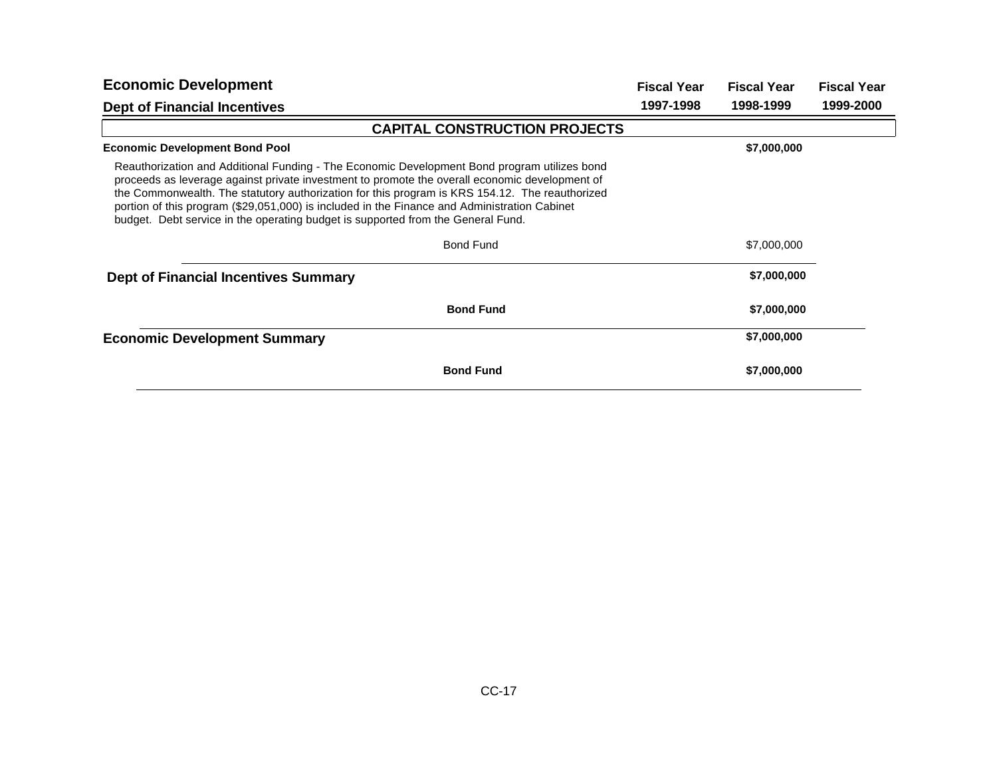| <b>Economic Development</b>                                                                                                                                                                                                                                                                                                                                                                                                                                                          | <b>Fiscal Year</b> | <b>Fiscal Year</b> | <b>Fiscal Year</b> |
|--------------------------------------------------------------------------------------------------------------------------------------------------------------------------------------------------------------------------------------------------------------------------------------------------------------------------------------------------------------------------------------------------------------------------------------------------------------------------------------|--------------------|--------------------|--------------------|
| <b>Dept of Financial Incentives</b>                                                                                                                                                                                                                                                                                                                                                                                                                                                  | 1997-1998          | 1998-1999          | 1999-2000          |
| <b>CAPITAL CONSTRUCTION PROJECTS</b>                                                                                                                                                                                                                                                                                                                                                                                                                                                 |                    |                    |                    |
| <b>Economic Development Bond Pool</b>                                                                                                                                                                                                                                                                                                                                                                                                                                                |                    | \$7,000,000        |                    |
| Reauthorization and Additional Funding - The Economic Development Bond program utilizes bond<br>proceeds as leverage against private investment to promote the overall economic development of<br>the Commonwealth. The statutory authorization for this program is KRS 154.12. The reauthorized<br>portion of this program (\$29,051,000) is included in the Finance and Administration Cabinet<br>budget. Debt service in the operating budget is supported from the General Fund. |                    |                    |                    |
| <b>Bond Fund</b>                                                                                                                                                                                                                                                                                                                                                                                                                                                                     |                    | \$7,000,000        |                    |
| <b>Dept of Financial Incentives Summary</b>                                                                                                                                                                                                                                                                                                                                                                                                                                          |                    | \$7,000,000        |                    |
| <b>Bond Fund</b>                                                                                                                                                                                                                                                                                                                                                                                                                                                                     |                    | \$7,000,000        |                    |
| <b>Economic Development Summary</b>                                                                                                                                                                                                                                                                                                                                                                                                                                                  |                    | \$7,000,000        |                    |
| <b>Bond Fund</b>                                                                                                                                                                                                                                                                                                                                                                                                                                                                     |                    | \$7,000,000        |                    |
|                                                                                                                                                                                                                                                                                                                                                                                                                                                                                      |                    |                    |                    |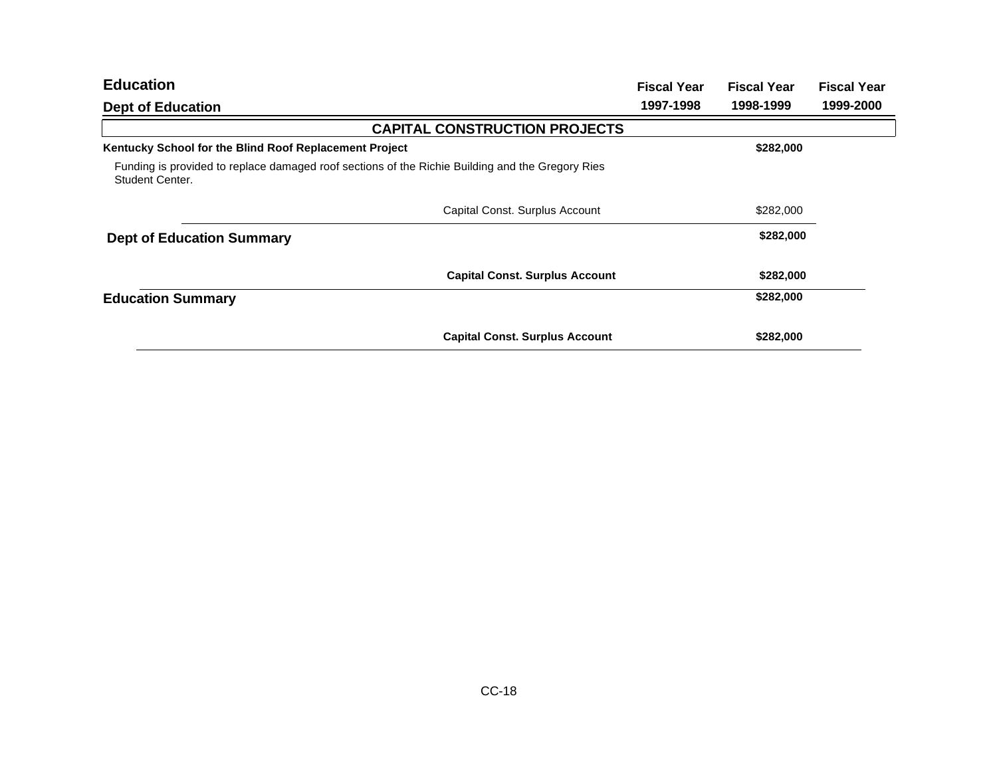| <b>Education</b>                                                                                                    | <b>Fiscal Year</b> | <b>Fiscal Year</b> | <b>Fiscal Year</b> |
|---------------------------------------------------------------------------------------------------------------------|--------------------|--------------------|--------------------|
| <b>Dept of Education</b>                                                                                            | 1997-1998          | 1998-1999          | 1999-2000          |
| <b>CAPITAL CONSTRUCTION PROJECTS</b>                                                                                |                    |                    |                    |
| Kentucky School for the Blind Roof Replacement Project                                                              |                    | \$282,000          |                    |
| Funding is provided to replace damaged roof sections of the Richie Building and the Gregory Ries<br>Student Center. |                    |                    |                    |
| Capital Const. Surplus Account                                                                                      |                    | \$282,000          |                    |
| <b>Dept of Education Summary</b>                                                                                    |                    | \$282,000          |                    |
| <b>Capital Const. Surplus Account</b>                                                                               |                    | \$282,000          |                    |
| <b>Education Summary</b>                                                                                            |                    | \$282,000          |                    |
| <b>Capital Const. Surplus Account</b>                                                                               |                    | \$282,000          |                    |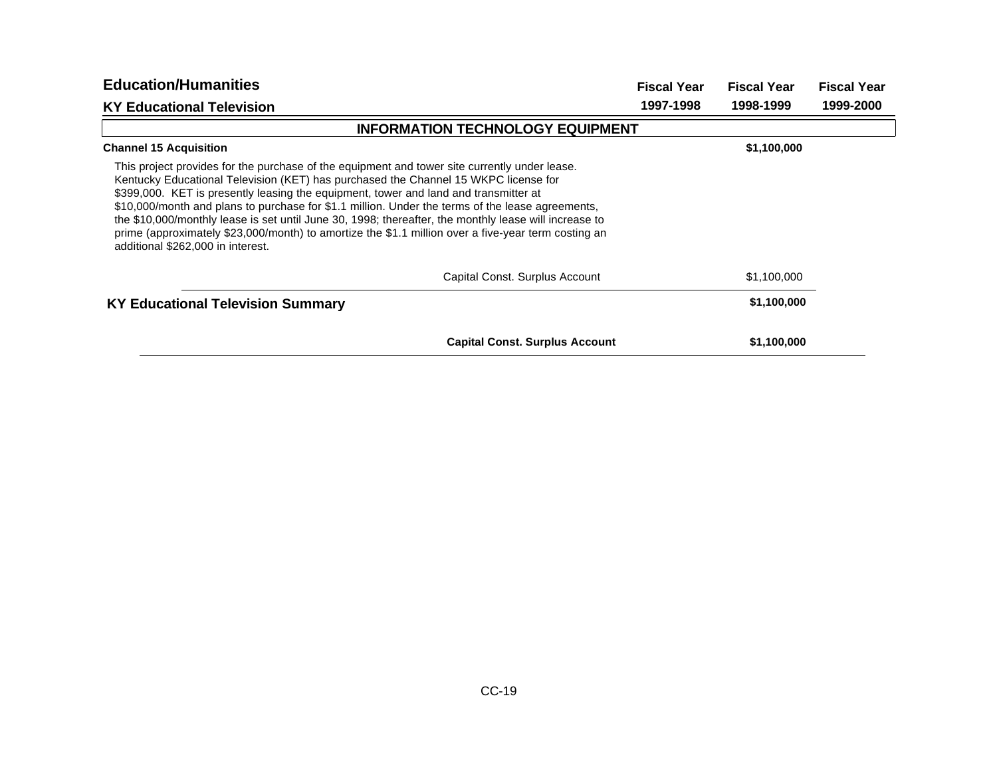| <b>Education/Humanities</b>                                                                                                                                                                                                                                                                                                                                                                                                                                                                                                                                                                                                           | <b>Fiscal Year</b> | <b>Fiscal Year</b> | <b>Fiscal Year</b> |
|---------------------------------------------------------------------------------------------------------------------------------------------------------------------------------------------------------------------------------------------------------------------------------------------------------------------------------------------------------------------------------------------------------------------------------------------------------------------------------------------------------------------------------------------------------------------------------------------------------------------------------------|--------------------|--------------------|--------------------|
| <b>KY Educational Television</b>                                                                                                                                                                                                                                                                                                                                                                                                                                                                                                                                                                                                      | 1997-1998          | 1998-1999          | 1999-2000          |
| <b>INFORMATION TECHNOLOGY EQUIPMENT</b>                                                                                                                                                                                                                                                                                                                                                                                                                                                                                                                                                                                               |                    |                    |                    |
| <b>Channel 15 Acquisition</b>                                                                                                                                                                                                                                                                                                                                                                                                                                                                                                                                                                                                         |                    | \$1,100,000        |                    |
| This project provides for the purchase of the equipment and tower site currently under lease.<br>Kentucky Educational Television (KET) has purchased the Channel 15 WKPC license for<br>\$399,000. KET is presently leasing the equipment, tower and land and transmitter at<br>\$10,000/month and plans to purchase for \$1.1 million. Under the terms of the lease agreements,<br>the \$10,000/monthly lease is set until June 30, 1998; thereafter, the monthly lease will increase to<br>prime (approximately \$23,000/month) to amortize the \$1.1 million over a five-year term costing an<br>additional \$262,000 in interest. |                    |                    |                    |
| Capital Const. Surplus Account                                                                                                                                                                                                                                                                                                                                                                                                                                                                                                                                                                                                        |                    | \$1,100,000        |                    |
| <b>KY Educational Television Summary</b>                                                                                                                                                                                                                                                                                                                                                                                                                                                                                                                                                                                              |                    | \$1,100,000        |                    |
| <b>Capital Const. Surplus Account</b>                                                                                                                                                                                                                                                                                                                                                                                                                                                                                                                                                                                                 |                    | \$1,100,000        |                    |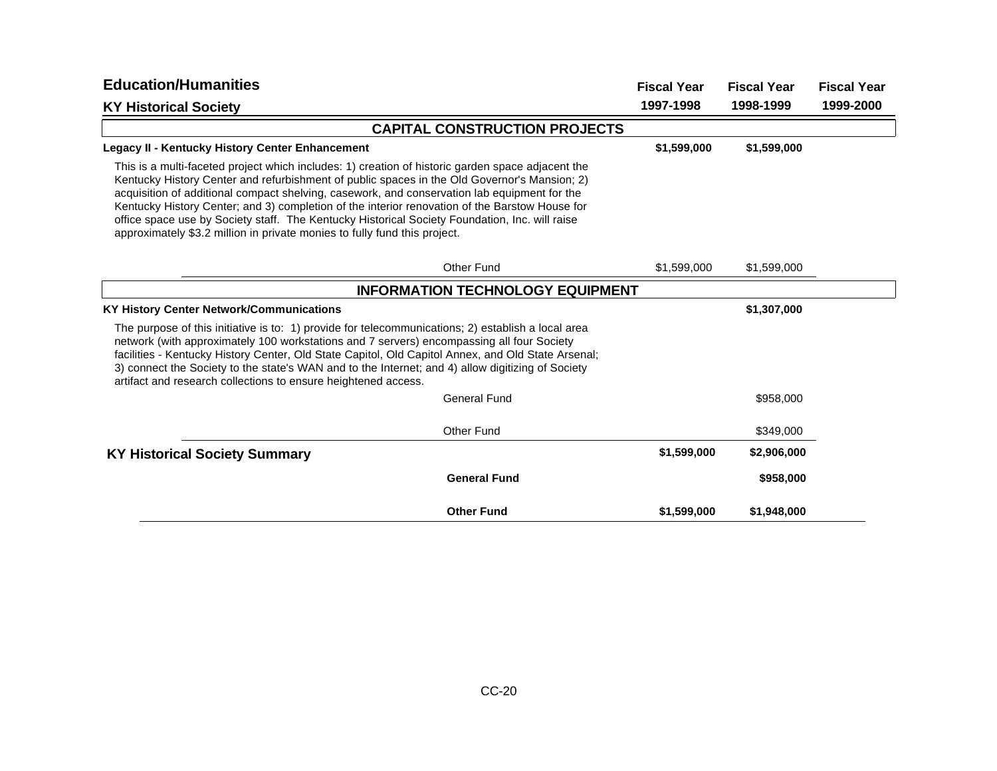| <b>Education/Humanities</b>                                                                                                                                                                                                                                                                                                                                                                                                                                                                                                                                                        |                                         | <b>Fiscal Year</b> | <b>Fiscal Year</b> | <b>Fiscal Year</b> |
|------------------------------------------------------------------------------------------------------------------------------------------------------------------------------------------------------------------------------------------------------------------------------------------------------------------------------------------------------------------------------------------------------------------------------------------------------------------------------------------------------------------------------------------------------------------------------------|-----------------------------------------|--------------------|--------------------|--------------------|
| <b>KY Historical Society</b>                                                                                                                                                                                                                                                                                                                                                                                                                                                                                                                                                       |                                         | 1997-1998          | 1998-1999          | 1999-2000          |
|                                                                                                                                                                                                                                                                                                                                                                                                                                                                                                                                                                                    | <b>CAPITAL CONSTRUCTION PROJECTS</b>    |                    |                    |                    |
| Legacy II - Kentucky History Center Enhancement                                                                                                                                                                                                                                                                                                                                                                                                                                                                                                                                    |                                         | \$1,599,000        | \$1,599,000        |                    |
| This is a multi-faceted project which includes: 1) creation of historic garden space adjacent the<br>Kentucky History Center and refurbishment of public spaces in the Old Governor's Mansion; 2)<br>acquisition of additional compact shelving, casework, and conservation lab equipment for the<br>Kentucky History Center; and 3) completion of the interior renovation of the Barstow House for<br>office space use by Society staff. The Kentucky Historical Society Foundation, Inc. will raise<br>approximately \$3.2 million in private monies to fully fund this project. |                                         |                    |                    |                    |
|                                                                                                                                                                                                                                                                                                                                                                                                                                                                                                                                                                                    | Other Fund                              | \$1,599,000        | \$1,599,000        |                    |
|                                                                                                                                                                                                                                                                                                                                                                                                                                                                                                                                                                                    | <b>INFORMATION TECHNOLOGY EQUIPMENT</b> |                    |                    |                    |
| <b>KY History Center Network/Communications</b>                                                                                                                                                                                                                                                                                                                                                                                                                                                                                                                                    |                                         |                    | \$1,307,000        |                    |
| The purpose of this initiative is to: 1) provide for telecommunications; 2) establish a local area<br>network (with approximately 100 workstations and 7 servers) encompassing all four Society<br>facilities - Kentucky History Center, Old State Capitol, Old Capitol Annex, and Old State Arsenal;<br>3) connect the Society to the state's WAN and to the Internet; and 4) allow digitizing of Society<br>artifact and research collections to ensure heightened access.                                                                                                       |                                         |                    |                    |                    |
|                                                                                                                                                                                                                                                                                                                                                                                                                                                                                                                                                                                    | <b>General Fund</b>                     |                    | \$958,000          |                    |
|                                                                                                                                                                                                                                                                                                                                                                                                                                                                                                                                                                                    | Other Fund                              |                    | \$349,000          |                    |
| <b>KY Historical Society Summary</b>                                                                                                                                                                                                                                                                                                                                                                                                                                                                                                                                               |                                         | \$1,599,000        | \$2,906,000        |                    |
|                                                                                                                                                                                                                                                                                                                                                                                                                                                                                                                                                                                    | <b>General Fund</b>                     |                    | \$958,000          |                    |
|                                                                                                                                                                                                                                                                                                                                                                                                                                                                                                                                                                                    | <b>Other Fund</b>                       | \$1,599,000        | \$1,948,000        |                    |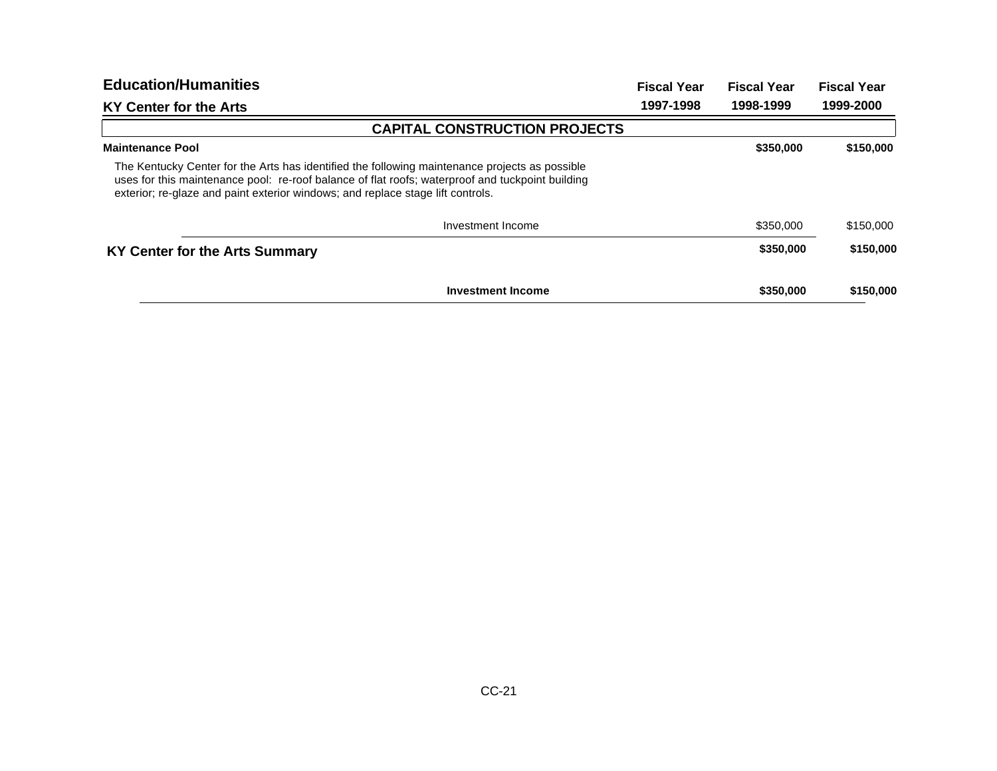| <b>Education/Humanities</b>                                                                                                                                                                                                                                                           | <b>Fiscal Year</b> | <b>Fiscal Year</b> | <b>Fiscal Year</b> |
|---------------------------------------------------------------------------------------------------------------------------------------------------------------------------------------------------------------------------------------------------------------------------------------|--------------------|--------------------|--------------------|
| KY Center for the Arts                                                                                                                                                                                                                                                                | 1997-1998          | 1998-1999          | 1999-2000          |
| <b>CAPITAL CONSTRUCTION PROJECTS</b>                                                                                                                                                                                                                                                  |                    |                    |                    |
| <b>Maintenance Pool</b>                                                                                                                                                                                                                                                               |                    | \$350,000          | \$150,000          |
| The Kentucky Center for the Arts has identified the following maintenance projects as possible<br>uses for this maintenance pool: re-roof balance of flat roofs; waterproof and tuckpoint building<br>exterior; re-glaze and paint exterior windows; and replace stage lift controls. |                    |                    |                    |
| Investment Income                                                                                                                                                                                                                                                                     |                    | \$350,000          | \$150,000          |
| KY Center for the Arts Summary                                                                                                                                                                                                                                                        |                    | \$350,000          | \$150,000          |
| <b>Investment Income</b>                                                                                                                                                                                                                                                              |                    | \$350,000          | \$150,000          |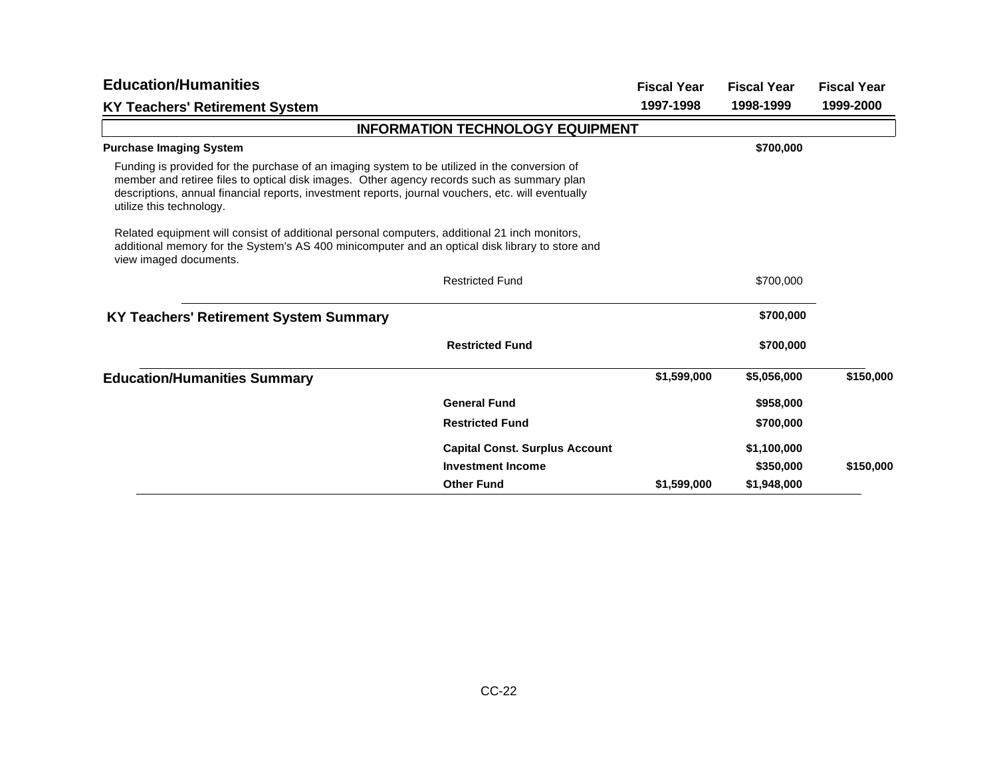| <b>Education/Humanities</b>                                                                                                                                                                                                                                                                                                   |                                         | <b>Fiscal Year</b> | <b>Fiscal Year</b> | <b>Fiscal Year</b> |
|-------------------------------------------------------------------------------------------------------------------------------------------------------------------------------------------------------------------------------------------------------------------------------------------------------------------------------|-----------------------------------------|--------------------|--------------------|--------------------|
| <b>KY Teachers' Retirement System</b>                                                                                                                                                                                                                                                                                         |                                         | 1997-1998          | 1998-1999          | 1999-2000          |
|                                                                                                                                                                                                                                                                                                                               | <b>INFORMATION TECHNOLOGY EQUIPMENT</b> |                    |                    |                    |
| <b>Purchase Imaging System</b>                                                                                                                                                                                                                                                                                                |                                         |                    | \$700,000          |                    |
| Funding is provided for the purchase of an imaging system to be utilized in the conversion of<br>member and retiree files to optical disk images. Other agency records such as summary plan<br>descriptions, annual financial reports, investment reports, journal vouchers, etc. will eventually<br>utilize this technology. |                                         |                    |                    |                    |
| Related equipment will consist of additional personal computers, additional 21 inch monitors,<br>additional memory for the System's AS 400 minicomputer and an optical disk library to store and<br>view imaged documents.                                                                                                    |                                         |                    |                    |                    |
|                                                                                                                                                                                                                                                                                                                               | <b>Restricted Fund</b>                  |                    | \$700,000          |                    |
| KY Teachers' Retirement System Summary                                                                                                                                                                                                                                                                                        |                                         |                    | \$700,000          |                    |
|                                                                                                                                                                                                                                                                                                                               | <b>Restricted Fund</b>                  |                    | \$700,000          |                    |
| <b>Education/Humanities Summary</b>                                                                                                                                                                                                                                                                                           |                                         | \$1,599,000        | \$5,056,000        | \$150,000          |
|                                                                                                                                                                                                                                                                                                                               | <b>General Fund</b>                     |                    | \$958,000          |                    |
|                                                                                                                                                                                                                                                                                                                               | <b>Restricted Fund</b>                  |                    | \$700,000          |                    |
|                                                                                                                                                                                                                                                                                                                               | <b>Capital Const. Surplus Account</b>   |                    | \$1,100,000        |                    |
|                                                                                                                                                                                                                                                                                                                               | <b>Investment Income</b>                |                    | \$350,000          | \$150,000          |
|                                                                                                                                                                                                                                                                                                                               | <b>Other Fund</b>                       | \$1,599,000        | \$1,948,000        |                    |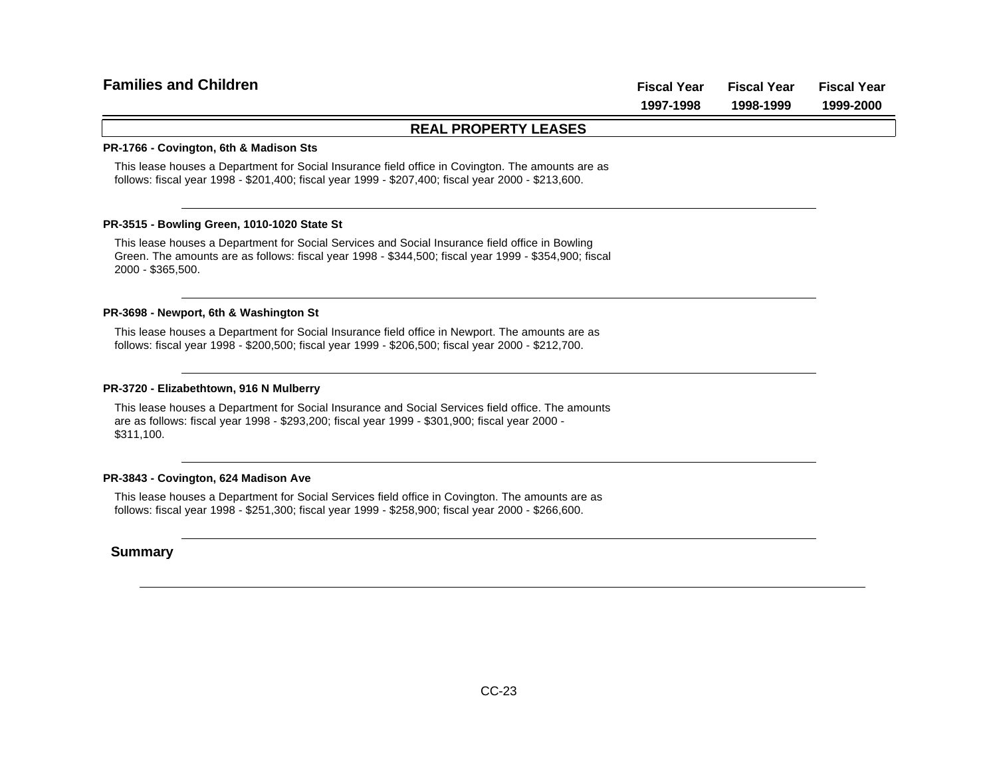# **Fiscal Year Fiscal Year Fiscal Year 1997-1998 1998-1999 1999-2000 Families and Children**

### **REAL PROPERTY LEASES**

#### **PR-1766 - Covington, 6th & Madison Sts**

This lease houses a Department for Social Insurance field office in Covington. The amounts are as follows: fiscal year 1998 - \$201,400; fiscal year 1999 - \$207,400; fiscal year 2000 - \$213,600.

#### **PR-3515 - Bowling Green, 1010-1020 State St**

This lease houses a Department for Social Services and Social Insurance field office in Bowling Green. The amounts are as follows: fiscal year 1998 - \$344,500; fiscal year 1999 - \$354,900; fiscal 2000 - \$365,500.

#### **PR-3698 - Newport, 6th & Washington St**

This lease houses a Department for Social Insurance field office in Newport. The amounts are as follows: fiscal year 1998 - \$200,500; fiscal year 1999 - \$206,500; fiscal year 2000 - \$212,700.

#### **PR-3720 - Elizabethtown, 916 N Mulberry**

This lease houses a Department for Social Insurance and Social Services field office. The amounts are as follows: fiscal year 1998 - \$293,200; fiscal year 1999 - \$301,900; fiscal year 2000 - \$311,100.

#### **PR-3843 - Covington, 624 Madison Ave**

This lease houses a Department for Social Services field office in Covington. The amounts are as follows: fiscal year 1998 - \$251,300; fiscal year 1999 - \$258,900; fiscal year 2000 - \$266,600.

#### **Summary**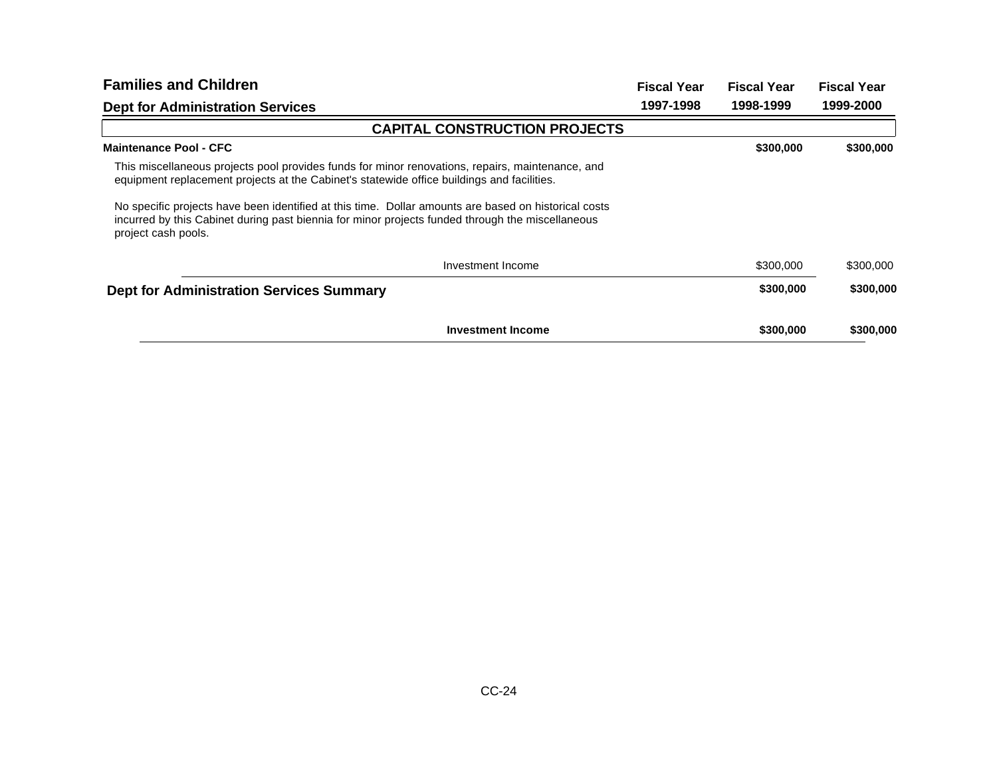| <b>Families and Children</b>                                                                                                                                                                                                    | <b>Fiscal Year</b> | <b>Fiscal Year</b> | <b>Fiscal Year</b> |
|---------------------------------------------------------------------------------------------------------------------------------------------------------------------------------------------------------------------------------|--------------------|--------------------|--------------------|
| <b>Dept for Administration Services</b>                                                                                                                                                                                         | 1997-1998          | 1998-1999          | 1999-2000          |
| <b>CAPITAL CONSTRUCTION PROJECTS</b>                                                                                                                                                                                            |                    |                    |                    |
| <b>Maintenance Pool - CFC</b>                                                                                                                                                                                                   |                    | \$300,000          | \$300,000          |
| This miscellaneous projects pool provides funds for minor renovations, repairs, maintenance, and<br>equipment replacement projects at the Cabinet's statewide office buildings and facilities.                                  |                    |                    |                    |
| No specific projects have been identified at this time. Dollar amounts are based on historical costs<br>incurred by this Cabinet during past biennia for minor projects funded through the miscellaneous<br>project cash pools. |                    |                    |                    |
| Investment Income                                                                                                                                                                                                               |                    | \$300,000          | \$300,000          |
| <b>Dept for Administration Services Summary</b>                                                                                                                                                                                 |                    | \$300,000          | \$300,000          |
| <b>Investment Income</b>                                                                                                                                                                                                        |                    | \$300,000          | \$300,000          |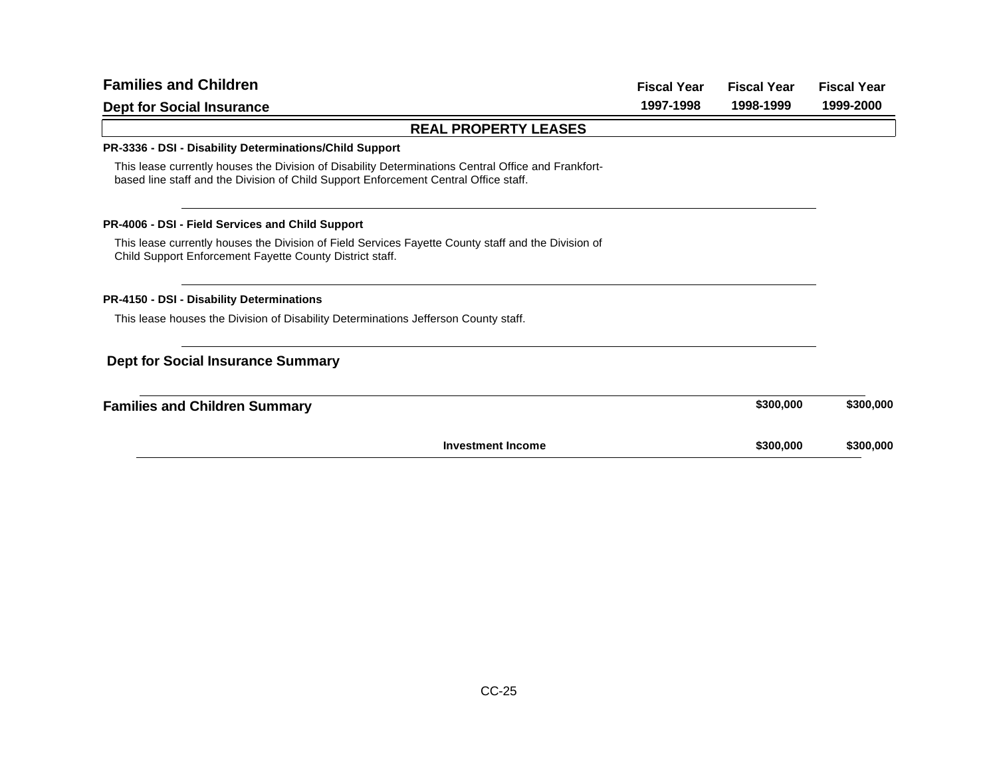| <b>Families and Children</b>                                                                                                                                                                | <b>Fiscal Year</b> | <b>Fiscal Year</b> | <b>Fiscal Year</b> |
|---------------------------------------------------------------------------------------------------------------------------------------------------------------------------------------------|--------------------|--------------------|--------------------|
| <b>Dept for Social Insurance</b>                                                                                                                                                            | 1997-1998          | 1998-1999          | 1999-2000          |
| <b>REAL PROPERTY LEASES</b>                                                                                                                                                                 |                    |                    |                    |
| PR-3336 - DSI - Disability Determinations/Child Support                                                                                                                                     |                    |                    |                    |
| This lease currently houses the Division of Disability Determinations Central Office and Frankfort-<br>based line staff and the Division of Child Support Enforcement Central Office staff. |                    |                    |                    |
| <b>PR-4006 - DSI - Field Services and Child Support</b>                                                                                                                                     |                    |                    |                    |
| This lease currently houses the Division of Field Services Fayette County staff and the Division of<br>Child Support Enforcement Fayette County District staff.                             |                    |                    |                    |
| PR-4150 - DSI - Disability Determinations                                                                                                                                                   |                    |                    |                    |
| This lease houses the Division of Disability Determinations Jefferson County staff.                                                                                                         |                    |                    |                    |
| <b>Dept for Social Insurance Summary</b>                                                                                                                                                    |                    |                    |                    |
| <b>Families and Children Summary</b>                                                                                                                                                        |                    | \$300,000          | \$300,000          |
| <b>Investment Income</b>                                                                                                                                                                    |                    | \$300,000          | \$300,000          |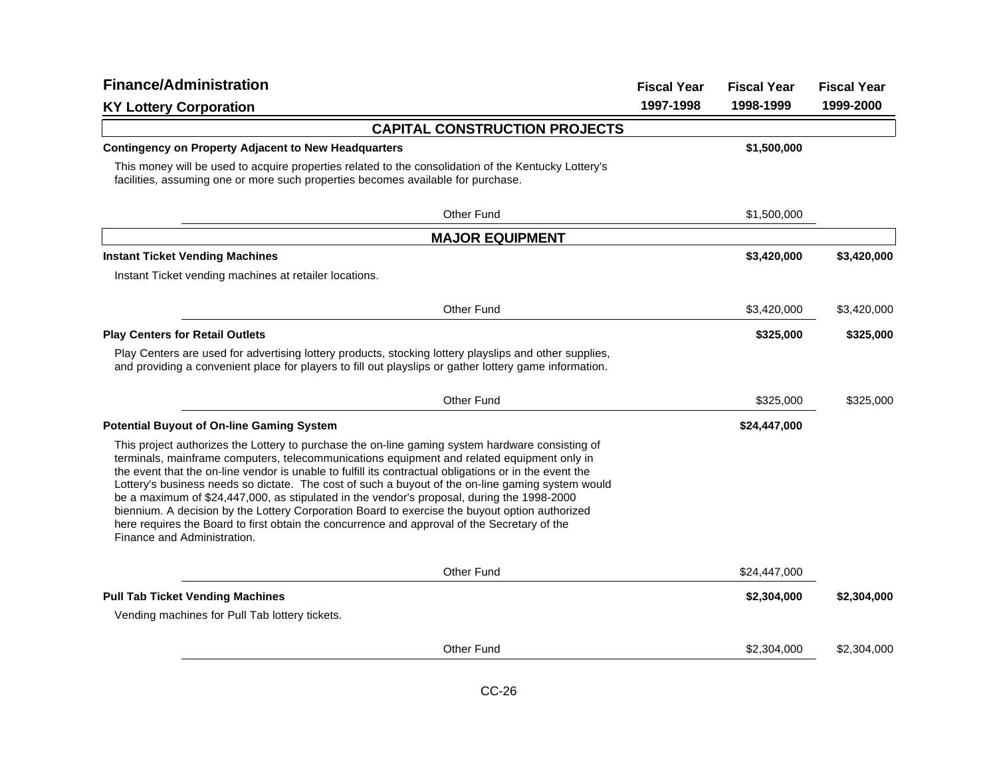| <b>Finance/Administration</b>                                                                                                                                                                                                                                                                                                                                                                                                                                                                                                                                                                                                                                                                                                                | <b>Fiscal Year</b> | <b>Fiscal Year</b> | <b>Fiscal Year</b> |
|----------------------------------------------------------------------------------------------------------------------------------------------------------------------------------------------------------------------------------------------------------------------------------------------------------------------------------------------------------------------------------------------------------------------------------------------------------------------------------------------------------------------------------------------------------------------------------------------------------------------------------------------------------------------------------------------------------------------------------------------|--------------------|--------------------|--------------------|
| <b>KY Lottery Corporation</b>                                                                                                                                                                                                                                                                                                                                                                                                                                                                                                                                                                                                                                                                                                                | 1997-1998          | 1998-1999          | 1999-2000          |
| <b>CAPITAL CONSTRUCTION PROJECTS</b>                                                                                                                                                                                                                                                                                                                                                                                                                                                                                                                                                                                                                                                                                                         |                    |                    |                    |
| <b>Contingency on Property Adjacent to New Headquarters</b>                                                                                                                                                                                                                                                                                                                                                                                                                                                                                                                                                                                                                                                                                  |                    | \$1,500,000        |                    |
| This money will be used to acquire properties related to the consolidation of the Kentucky Lottery's<br>facilities, assuming one or more such properties becomes available for purchase.                                                                                                                                                                                                                                                                                                                                                                                                                                                                                                                                                     |                    |                    |                    |
| Other Fund                                                                                                                                                                                                                                                                                                                                                                                                                                                                                                                                                                                                                                                                                                                                   |                    | \$1,500,000        |                    |
| <b>MAJOR EQUIPMENT</b>                                                                                                                                                                                                                                                                                                                                                                                                                                                                                                                                                                                                                                                                                                                       |                    |                    |                    |
| <b>Instant Ticket Vending Machines</b>                                                                                                                                                                                                                                                                                                                                                                                                                                                                                                                                                                                                                                                                                                       |                    | \$3,420,000        | \$3,420,000        |
| Instant Ticket vending machines at retailer locations.                                                                                                                                                                                                                                                                                                                                                                                                                                                                                                                                                                                                                                                                                       |                    |                    |                    |
| Other Fund                                                                                                                                                                                                                                                                                                                                                                                                                                                                                                                                                                                                                                                                                                                                   |                    | \$3,420,000        | \$3,420,000        |
| <b>Play Centers for Retail Outlets</b>                                                                                                                                                                                                                                                                                                                                                                                                                                                                                                                                                                                                                                                                                                       |                    | \$325,000          | \$325,000          |
| Play Centers are used for advertising lottery products, stocking lottery playslips and other supplies,<br>and providing a convenient place for players to fill out playslips or gather lottery game information.                                                                                                                                                                                                                                                                                                                                                                                                                                                                                                                             |                    |                    |                    |
| Other Fund                                                                                                                                                                                                                                                                                                                                                                                                                                                                                                                                                                                                                                                                                                                                   |                    | \$325,000          | \$325,000          |
| <b>Potential Buyout of On-line Gaming System</b>                                                                                                                                                                                                                                                                                                                                                                                                                                                                                                                                                                                                                                                                                             |                    | \$24,447,000       |                    |
| This project authorizes the Lottery to purchase the on-line gaming system hardware consisting of<br>terminals, mainframe computers, telecommunications equipment and related equipment only in<br>the event that the on-line vendor is unable to fulfill its contractual obligations or in the event the<br>Lottery's business needs so dictate. The cost of such a buyout of the on-line gaming system would<br>be a maximum of \$24,447,000, as stipulated in the vendor's proposal, during the 1998-2000<br>biennium. A decision by the Lottery Corporation Board to exercise the buyout option authorized<br>here requires the Board to first obtain the concurrence and approval of the Secretary of the<br>Finance and Administration. |                    |                    |                    |
| Other Fund                                                                                                                                                                                                                                                                                                                                                                                                                                                                                                                                                                                                                                                                                                                                   |                    | \$24,447,000       |                    |
| <b>Pull Tab Ticket Vending Machines</b>                                                                                                                                                                                                                                                                                                                                                                                                                                                                                                                                                                                                                                                                                                      |                    | \$2,304,000        | \$2,304,000        |
| Vending machines for Pull Tab lottery tickets.                                                                                                                                                                                                                                                                                                                                                                                                                                                                                                                                                                                                                                                                                               |                    |                    |                    |
| <b>Other Fund</b>                                                                                                                                                                                                                                                                                                                                                                                                                                                                                                                                                                                                                                                                                                                            |                    | \$2,304,000        | \$2,304,000        |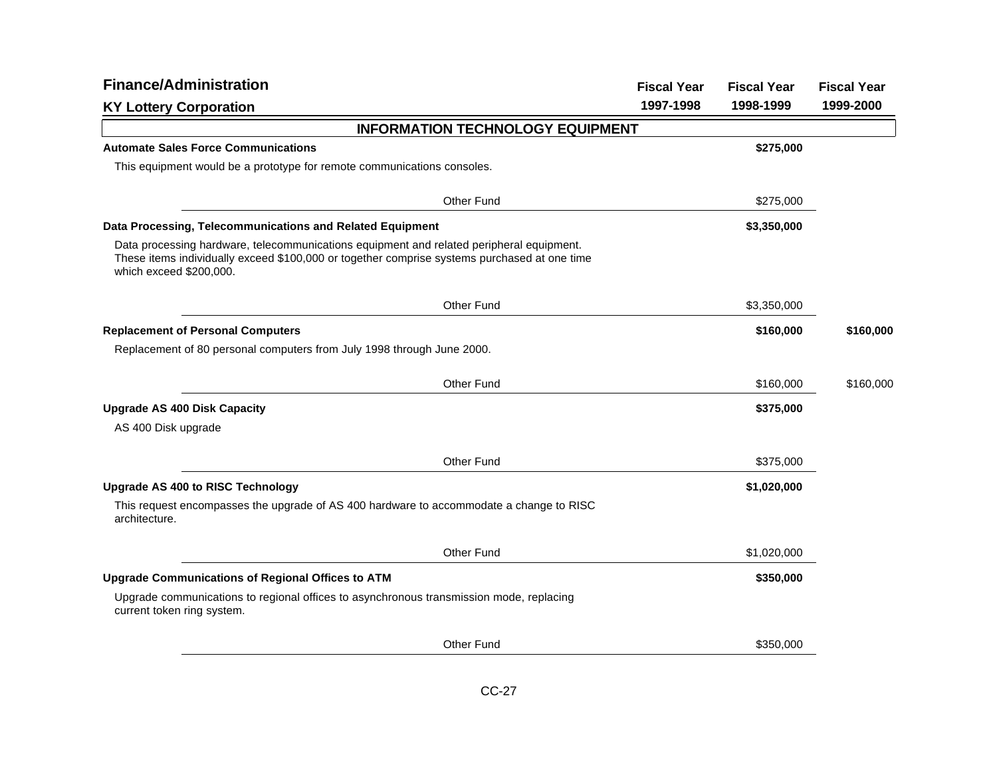| <b>Finance/Administration</b>                                                                                                                                                                                       | <b>Fiscal Year</b> | <b>Fiscal Year</b> | <b>Fiscal Year</b> |
|---------------------------------------------------------------------------------------------------------------------------------------------------------------------------------------------------------------------|--------------------|--------------------|--------------------|
| <b>KY Lottery Corporation</b>                                                                                                                                                                                       | 1997-1998          | 1998-1999          | 1999-2000          |
| <b>INFORMATION TECHNOLOGY EQUIPMENT</b>                                                                                                                                                                             |                    |                    |                    |
| <b>Automate Sales Force Communications</b>                                                                                                                                                                          |                    | \$275,000          |                    |
| This equipment would be a prototype for remote communications consoles.                                                                                                                                             |                    |                    |                    |
| Other Fund                                                                                                                                                                                                          |                    | \$275,000          |                    |
| Data Processing, Telecommunications and Related Equipment                                                                                                                                                           |                    | \$3,350,000        |                    |
| Data processing hardware, telecommunications equipment and related peripheral equipment.<br>These items individually exceed \$100,000 or together comprise systems purchased at one time<br>which exceed \$200,000. |                    |                    |                    |
| Other Fund                                                                                                                                                                                                          |                    | \$3,350,000        |                    |
| <b>Replacement of Personal Computers</b>                                                                                                                                                                            |                    | \$160,000          | \$160,000          |
| Replacement of 80 personal computers from July 1998 through June 2000.                                                                                                                                              |                    |                    |                    |
| <b>Other Fund</b>                                                                                                                                                                                                   |                    | \$160,000          | \$160,000          |
| <b>Upgrade AS 400 Disk Capacity</b>                                                                                                                                                                                 |                    | \$375,000          |                    |
| AS 400 Disk upgrade                                                                                                                                                                                                 |                    |                    |                    |
| Other Fund                                                                                                                                                                                                          |                    | \$375,000          |                    |
| <b>Upgrade AS 400 to RISC Technology</b>                                                                                                                                                                            |                    | \$1,020,000        |                    |
| This request encompasses the upgrade of AS 400 hardware to accommodate a change to RISC<br>architecture.                                                                                                            |                    |                    |                    |
| Other Fund                                                                                                                                                                                                          |                    | \$1,020,000        |                    |
| <b>Upgrade Communications of Regional Offices to ATM</b>                                                                                                                                                            |                    | \$350,000          |                    |
| Upgrade communications to regional offices to asynchronous transmission mode, replacing<br>current token ring system.                                                                                               |                    |                    |                    |
| Other Fund                                                                                                                                                                                                          |                    | \$350,000          |                    |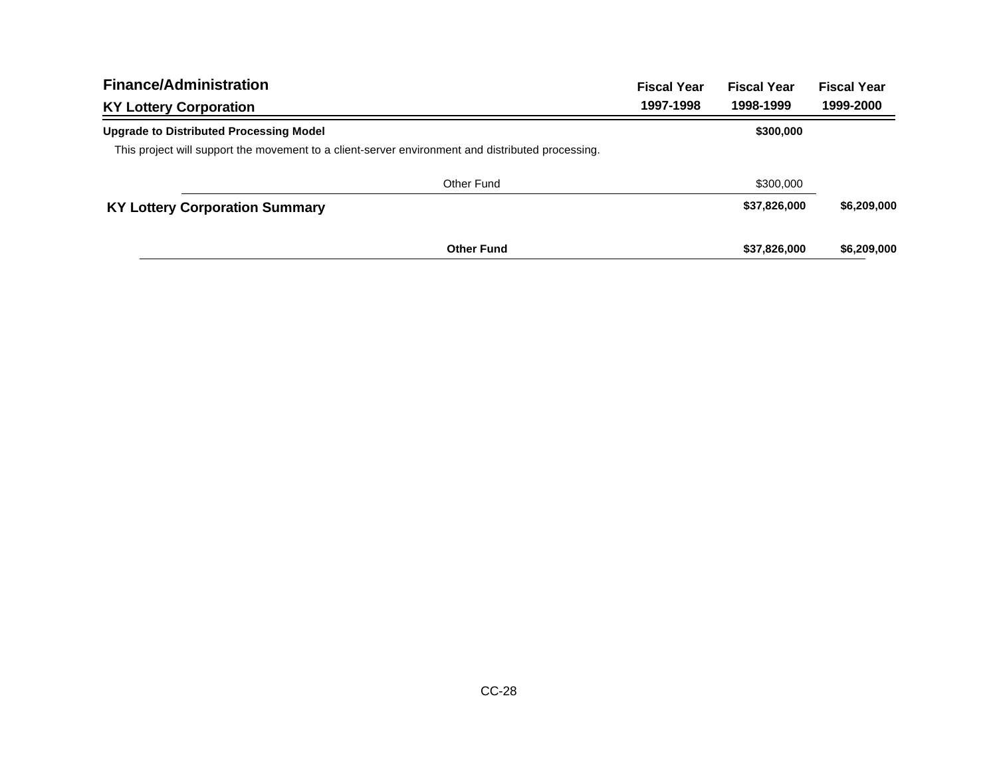| <b>Finance/Administration</b>                                                                     |                   | <b>Fiscal Year</b> | <b>Fiscal Year</b> | <b>Fiscal Year</b> |
|---------------------------------------------------------------------------------------------------|-------------------|--------------------|--------------------|--------------------|
| <b>KY Lottery Corporation</b>                                                                     |                   | 1997-1998          | 1998-1999          | 1999-2000          |
| <b>Upgrade to Distributed Processing Model</b>                                                    |                   |                    | \$300,000          |                    |
| This project will support the movement to a client-server environment and distributed processing. |                   |                    |                    |                    |
|                                                                                                   | Other Fund        |                    | \$300,000          |                    |
| <b>KY Lottery Corporation Summary</b>                                                             |                   |                    | \$37,826,000       | \$6,209,000        |
|                                                                                                   | <b>Other Fund</b> |                    | \$37,826,000       | \$6,209,000        |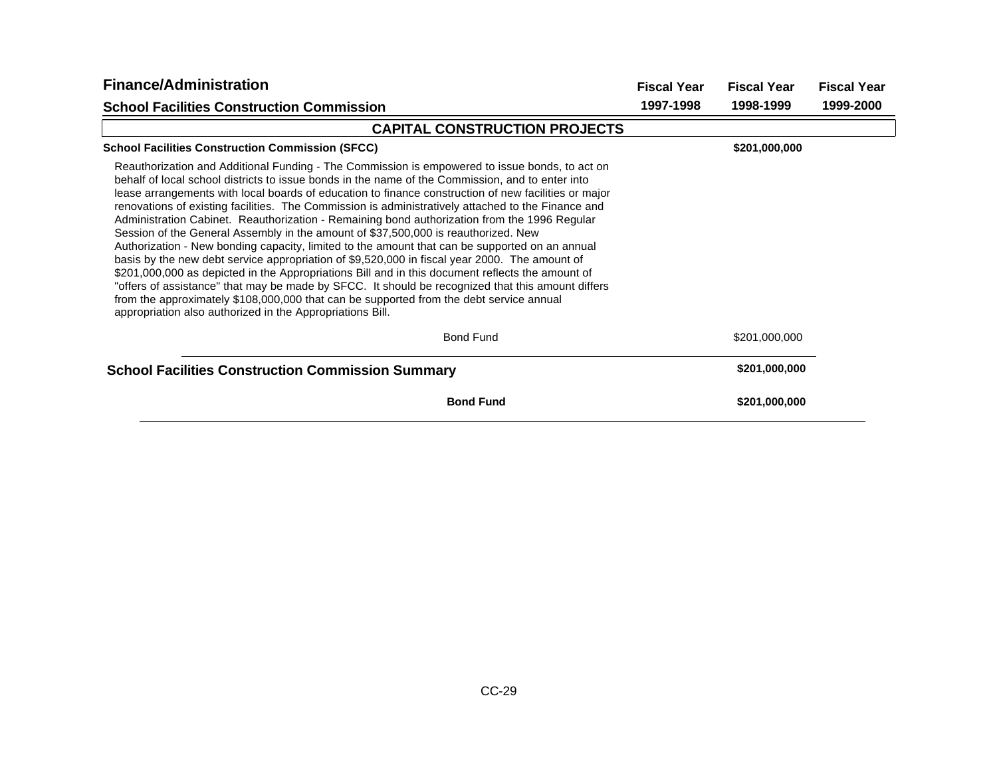| <b>Finance/Administration</b>                                                                                                                                                                                                                                                                                                                                                                                                                                                                                                                                                                                                                                                                                                                                                                                                                                                                                                                                                                                                                                                                                                                                              | <b>Fiscal Year</b> | <b>Fiscal Year</b> | <b>Fiscal Year</b> |
|----------------------------------------------------------------------------------------------------------------------------------------------------------------------------------------------------------------------------------------------------------------------------------------------------------------------------------------------------------------------------------------------------------------------------------------------------------------------------------------------------------------------------------------------------------------------------------------------------------------------------------------------------------------------------------------------------------------------------------------------------------------------------------------------------------------------------------------------------------------------------------------------------------------------------------------------------------------------------------------------------------------------------------------------------------------------------------------------------------------------------------------------------------------------------|--------------------|--------------------|--------------------|
| <b>School Facilities Construction Commission</b>                                                                                                                                                                                                                                                                                                                                                                                                                                                                                                                                                                                                                                                                                                                                                                                                                                                                                                                                                                                                                                                                                                                           | 1997-1998          | 1998-1999          | 1999-2000          |
| <b>CAPITAL CONSTRUCTION PROJECTS</b>                                                                                                                                                                                                                                                                                                                                                                                                                                                                                                                                                                                                                                                                                                                                                                                                                                                                                                                                                                                                                                                                                                                                       |                    |                    |                    |
| <b>School Facilities Construction Commission (SFCC)</b>                                                                                                                                                                                                                                                                                                                                                                                                                                                                                                                                                                                                                                                                                                                                                                                                                                                                                                                                                                                                                                                                                                                    |                    | \$201,000,000      |                    |
| Reauthorization and Additional Funding - The Commission is empowered to issue bonds, to act on<br>behalf of local school districts to issue bonds in the name of the Commission, and to enter into<br>lease arrangements with local boards of education to finance construction of new facilities or major<br>renovations of existing facilities. The Commission is administratively attached to the Finance and<br>Administration Cabinet. Reauthorization - Remaining bond authorization from the 1996 Regular<br>Session of the General Assembly in the amount of \$37,500,000 is reauthorized. New<br>Authorization - New bonding capacity, limited to the amount that can be supported on an annual<br>basis by the new debt service appropriation of \$9,520,000 in fiscal year 2000. The amount of<br>\$201,000,000 as depicted in the Appropriations Bill and in this document reflects the amount of<br>"offers of assistance" that may be made by SFCC. It should be recognized that this amount differs<br>from the approximately \$108,000,000 that can be supported from the debt service annual<br>appropriation also authorized in the Appropriations Bill. |                    |                    |                    |
| <b>Bond Fund</b>                                                                                                                                                                                                                                                                                                                                                                                                                                                                                                                                                                                                                                                                                                                                                                                                                                                                                                                                                                                                                                                                                                                                                           |                    | \$201,000,000      |                    |
| <b>School Facilities Construction Commission Summary</b>                                                                                                                                                                                                                                                                                                                                                                                                                                                                                                                                                                                                                                                                                                                                                                                                                                                                                                                                                                                                                                                                                                                   |                    | \$201,000,000      |                    |
| <b>Bond Fund</b>                                                                                                                                                                                                                                                                                                                                                                                                                                                                                                                                                                                                                                                                                                                                                                                                                                                                                                                                                                                                                                                                                                                                                           |                    | \$201,000,000      |                    |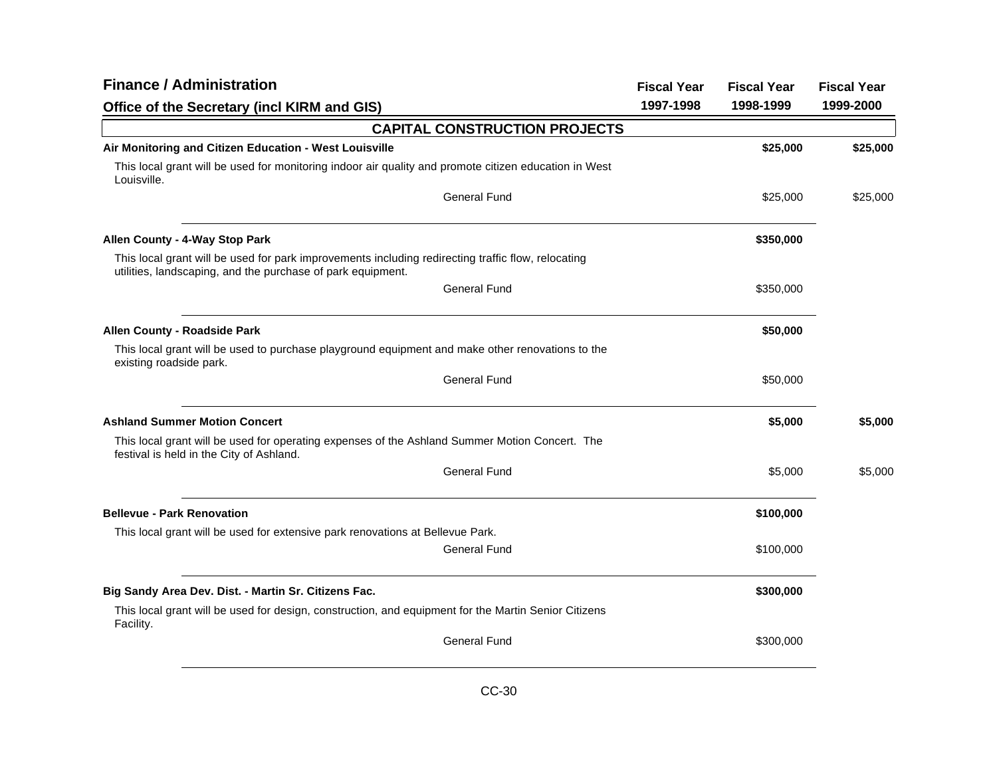| <b>Finance / Administration</b>                                                                                                                                   | <b>Fiscal Year</b> | <b>Fiscal Year</b> | <b>Fiscal Year</b> |
|-------------------------------------------------------------------------------------------------------------------------------------------------------------------|--------------------|--------------------|--------------------|
| Office of the Secretary (incl KIRM and GIS)                                                                                                                       | 1997-1998          | 1998-1999          | 1999-2000          |
| <b>CAPITAL CONSTRUCTION PROJECTS</b>                                                                                                                              |                    |                    |                    |
| Air Monitoring and Citizen Education - West Louisville                                                                                                            |                    | \$25,000           | \$25,000           |
| This local grant will be used for monitoring indoor air quality and promote citizen education in West<br>Louisville.                                              |                    |                    |                    |
| <b>General Fund</b>                                                                                                                                               |                    | \$25,000           | \$25,000           |
| Allen County - 4-Way Stop Park                                                                                                                                    |                    | \$350,000          |                    |
| This local grant will be used for park improvements including redirecting traffic flow, relocating<br>utilities, landscaping, and the purchase of park equipment. |                    |                    |                    |
| <b>General Fund</b>                                                                                                                                               |                    | \$350,000          |                    |
| Allen County - Roadside Park                                                                                                                                      |                    | \$50,000           |                    |
| This local grant will be used to purchase playground equipment and make other renovations to the<br>existing roadside park.                                       |                    |                    |                    |
| <b>General Fund</b>                                                                                                                                               |                    | \$50,000           |                    |
| <b>Ashland Summer Motion Concert</b>                                                                                                                              |                    | \$5,000            | \$5,000            |
| This local grant will be used for operating expenses of the Ashland Summer Motion Concert. The<br>festival is held in the City of Ashland.                        |                    |                    |                    |
| <b>General Fund</b>                                                                                                                                               |                    | \$5,000            | \$5,000            |
| <b>Bellevue - Park Renovation</b>                                                                                                                                 |                    | \$100,000          |                    |
| This local grant will be used for extensive park renovations at Bellevue Park.                                                                                    |                    |                    |                    |
| <b>General Fund</b>                                                                                                                                               |                    | \$100,000          |                    |
| Big Sandy Area Dev. Dist. - Martin Sr. Citizens Fac.                                                                                                              |                    | \$300,000          |                    |
| This local grant will be used for design, construction, and equipment for the Martin Senior Citizens<br>Facility.                                                 |                    |                    |                    |
| <b>General Fund</b>                                                                                                                                               |                    | \$300,000          |                    |
|                                                                                                                                                                   |                    |                    |                    |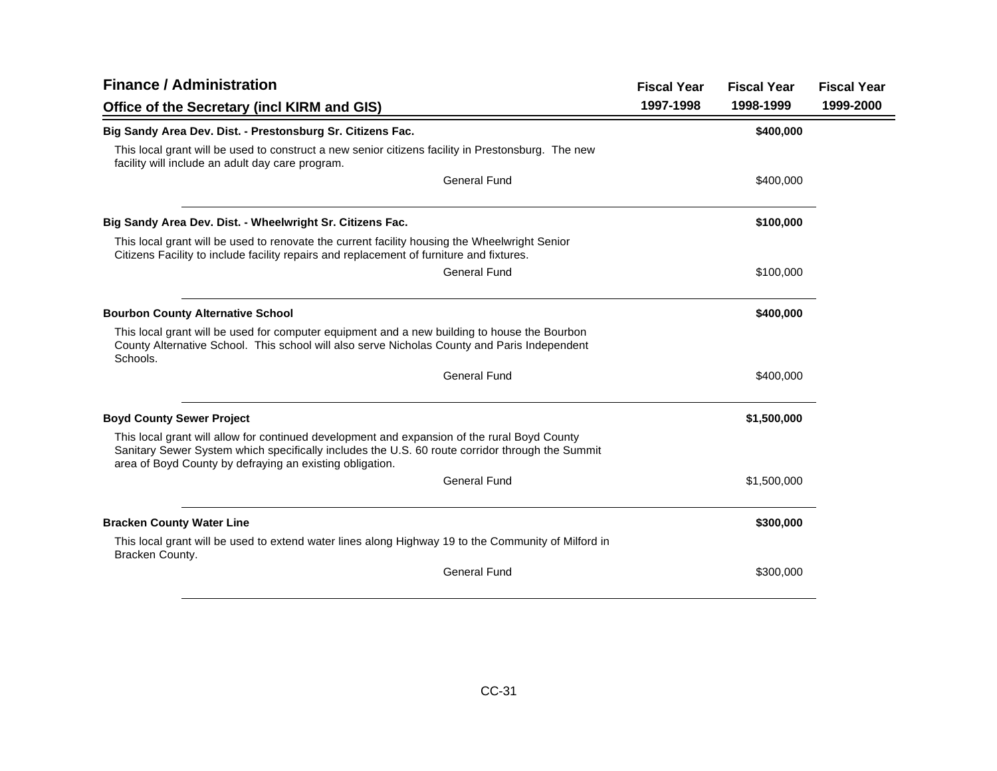| <b>Finance / Administration</b>                                                                                                                                                                                                                             |                     | <b>Fiscal Year</b> | <b>Fiscal Year</b> | <b>Fiscal Year</b> |
|-------------------------------------------------------------------------------------------------------------------------------------------------------------------------------------------------------------------------------------------------------------|---------------------|--------------------|--------------------|--------------------|
| Office of the Secretary (incl KIRM and GIS)                                                                                                                                                                                                                 |                     | 1997-1998          | 1998-1999          | 1999-2000          |
| Big Sandy Area Dev. Dist. - Prestonsburg Sr. Citizens Fac.                                                                                                                                                                                                  |                     |                    | \$400,000          |                    |
| This local grant will be used to construct a new senior citizens facility in Prestonsburg. The new<br>facility will include an adult day care program.                                                                                                      |                     |                    |                    |                    |
|                                                                                                                                                                                                                                                             | <b>General Fund</b> |                    | \$400,000          |                    |
| Big Sandy Area Dev. Dist. - Wheelwright Sr. Citizens Fac.                                                                                                                                                                                                   |                     |                    | \$100,000          |                    |
| This local grant will be used to renovate the current facility housing the Wheelwright Senior<br>Citizens Facility to include facility repairs and replacement of furniture and fixtures.                                                                   |                     |                    |                    |                    |
|                                                                                                                                                                                                                                                             | General Fund        |                    | \$100,000          |                    |
| <b>Bourbon County Alternative School</b>                                                                                                                                                                                                                    |                     |                    | \$400,000          |                    |
| This local grant will be used for computer equipment and a new building to house the Bourbon<br>County Alternative School. This school will also serve Nicholas County and Paris Independent<br>Schools.                                                    |                     |                    |                    |                    |
|                                                                                                                                                                                                                                                             | <b>General Fund</b> |                    | \$400,000          |                    |
| <b>Boyd County Sewer Project</b>                                                                                                                                                                                                                            |                     |                    | \$1,500,000        |                    |
| This local grant will allow for continued development and expansion of the rural Boyd County<br>Sanitary Sewer System which specifically includes the U.S. 60 route corridor through the Summit<br>area of Boyd County by defraying an existing obligation. |                     |                    |                    |                    |
|                                                                                                                                                                                                                                                             | <b>General Fund</b> |                    | \$1,500,000        |                    |
| <b>Bracken County Water Line</b>                                                                                                                                                                                                                            |                     |                    | \$300,000          |                    |
| This local grant will be used to extend water lines along Highway 19 to the Community of Milford in<br>Bracken County.                                                                                                                                      |                     |                    |                    |                    |
|                                                                                                                                                                                                                                                             | <b>General Fund</b> |                    | \$300,000          |                    |
|                                                                                                                                                                                                                                                             |                     |                    |                    |                    |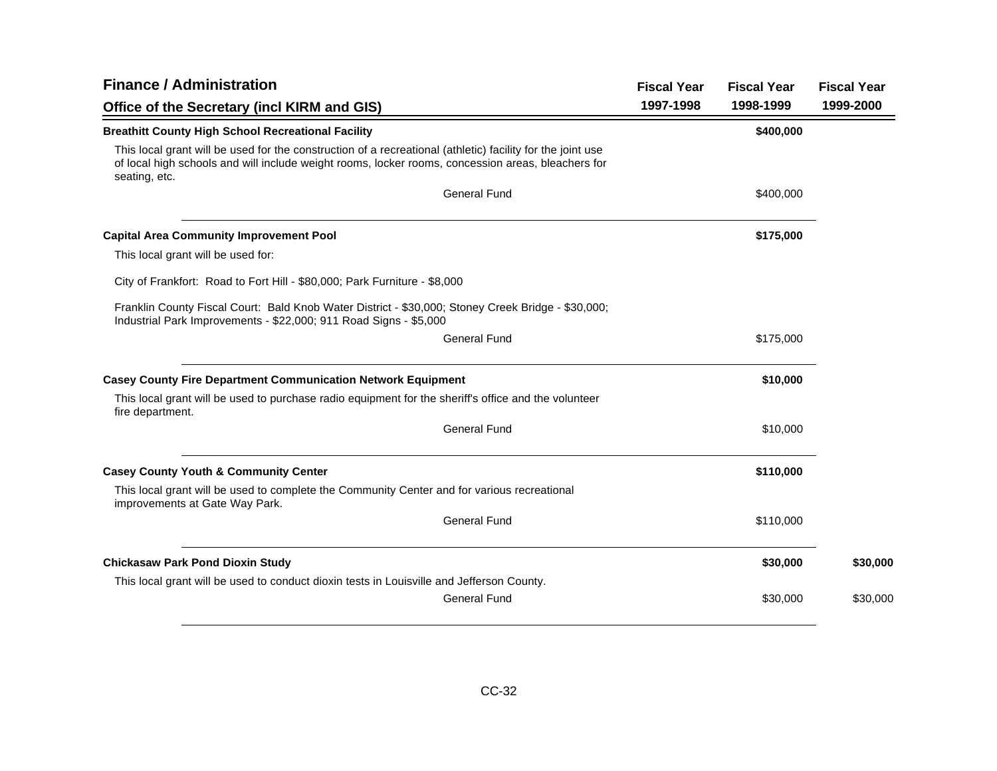| <b>Finance / Administration</b>                                                                                                                                                                                                   | <b>Fiscal Year</b> | <b>Fiscal Year</b> | <b>Fiscal Year</b> |
|-----------------------------------------------------------------------------------------------------------------------------------------------------------------------------------------------------------------------------------|--------------------|--------------------|--------------------|
| Office of the Secretary (incl KIRM and GIS)                                                                                                                                                                                       | 1997-1998          | 1998-1999          | 1999-2000          |
| <b>Breathitt County High School Recreational Facility</b>                                                                                                                                                                         |                    | \$400,000          |                    |
| This local grant will be used for the construction of a recreational (athletic) facility for the joint use<br>of local high schools and will include weight rooms, locker rooms, concession areas, bleachers for<br>seating, etc. |                    |                    |                    |
| <b>General Fund</b>                                                                                                                                                                                                               |                    | \$400,000          |                    |
| <b>Capital Area Community Improvement Pool</b>                                                                                                                                                                                    |                    | \$175,000          |                    |
| This local grant will be used for:                                                                                                                                                                                                |                    |                    |                    |
| City of Frankfort: Road to Fort Hill - \$80,000; Park Furniture - \$8,000                                                                                                                                                         |                    |                    |                    |
| Franklin County Fiscal Court: Bald Knob Water District - \$30,000; Stoney Creek Bridge - \$30,000;<br>Industrial Park Improvements - \$22,000; 911 Road Signs - \$5,000                                                           |                    |                    |                    |
| <b>General Fund</b>                                                                                                                                                                                                               |                    | \$175,000          |                    |
| <b>Casey County Fire Department Communication Network Equipment</b>                                                                                                                                                               |                    | \$10,000           |                    |
| This local grant will be used to purchase radio equipment for the sheriff's office and the volunteer<br>fire department.                                                                                                          |                    |                    |                    |
| <b>General Fund</b>                                                                                                                                                                                                               |                    | \$10,000           |                    |
| <b>Casey County Youth &amp; Community Center</b>                                                                                                                                                                                  |                    | \$110,000          |                    |
| This local grant will be used to complete the Community Center and for various recreational<br>improvements at Gate Way Park.                                                                                                     |                    |                    |                    |
| <b>General Fund</b>                                                                                                                                                                                                               |                    | \$110,000          |                    |
| <b>Chickasaw Park Pond Dioxin Study</b>                                                                                                                                                                                           |                    | \$30,000           | \$30,000           |
| This local grant will be used to conduct dioxin tests in Louisville and Jefferson County.                                                                                                                                         |                    |                    |                    |
| <b>General Fund</b>                                                                                                                                                                                                               |                    | \$30,000           | \$30,000           |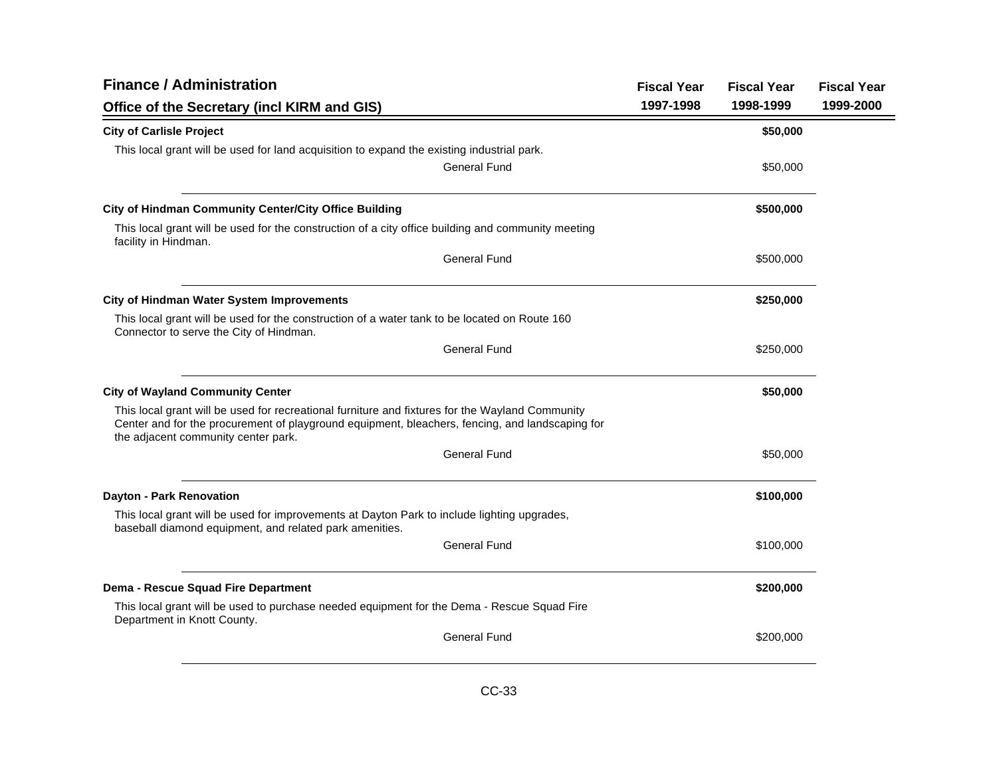| <b>Finance / Administration</b>                                                                                                                                                                                                           | <b>Fiscal Year</b> | <b>Fiscal Year</b> | <b>Fiscal Year</b> |
|-------------------------------------------------------------------------------------------------------------------------------------------------------------------------------------------------------------------------------------------|--------------------|--------------------|--------------------|
| Office of the Secretary (incl KIRM and GIS)                                                                                                                                                                                               | 1997-1998          | 1998-1999          | 1999-2000          |
| <b>City of Carlisle Project</b>                                                                                                                                                                                                           |                    | \$50,000           |                    |
| This local grant will be used for land acquisition to expand the existing industrial park.                                                                                                                                                |                    |                    |                    |
| <b>General Fund</b>                                                                                                                                                                                                                       |                    | \$50,000           |                    |
| City of Hindman Community Center/City Office Building                                                                                                                                                                                     |                    | \$500,000          |                    |
| This local grant will be used for the construction of a city office building and community meeting<br>facility in Hindman.                                                                                                                |                    |                    |                    |
| <b>General Fund</b>                                                                                                                                                                                                                       |                    | \$500,000          |                    |
| <b>City of Hindman Water System Improvements</b>                                                                                                                                                                                          |                    | \$250,000          |                    |
| This local grant will be used for the construction of a water tank to be located on Route 160<br>Connector to serve the City of Hindman.                                                                                                  |                    |                    |                    |
| <b>General Fund</b>                                                                                                                                                                                                                       |                    | \$250,000          |                    |
| <b>City of Wayland Community Center</b>                                                                                                                                                                                                   |                    | \$50,000           |                    |
| This local grant will be used for recreational furniture and fixtures for the Wayland Community<br>Center and for the procurement of playground equipment, bleachers, fencing, and landscaping for<br>the adjacent community center park. |                    |                    |                    |
| <b>General Fund</b>                                                                                                                                                                                                                       |                    | \$50,000           |                    |
| <b>Dayton - Park Renovation</b>                                                                                                                                                                                                           |                    | \$100,000          |                    |
| This local grant will be used for improvements at Dayton Park to include lighting upgrades,<br>baseball diamond equipment, and related park amenities.                                                                                    |                    |                    |                    |
| <b>General Fund</b>                                                                                                                                                                                                                       |                    | \$100,000          |                    |
| Dema - Rescue Squad Fire Department                                                                                                                                                                                                       |                    | \$200,000          |                    |
| This local grant will be used to purchase needed equipment for the Dema - Rescue Squad Fire<br>Department in Knott County.                                                                                                                |                    |                    |                    |
| <b>General Fund</b>                                                                                                                                                                                                                       |                    | \$200,000          |                    |
|                                                                                                                                                                                                                                           |                    |                    |                    |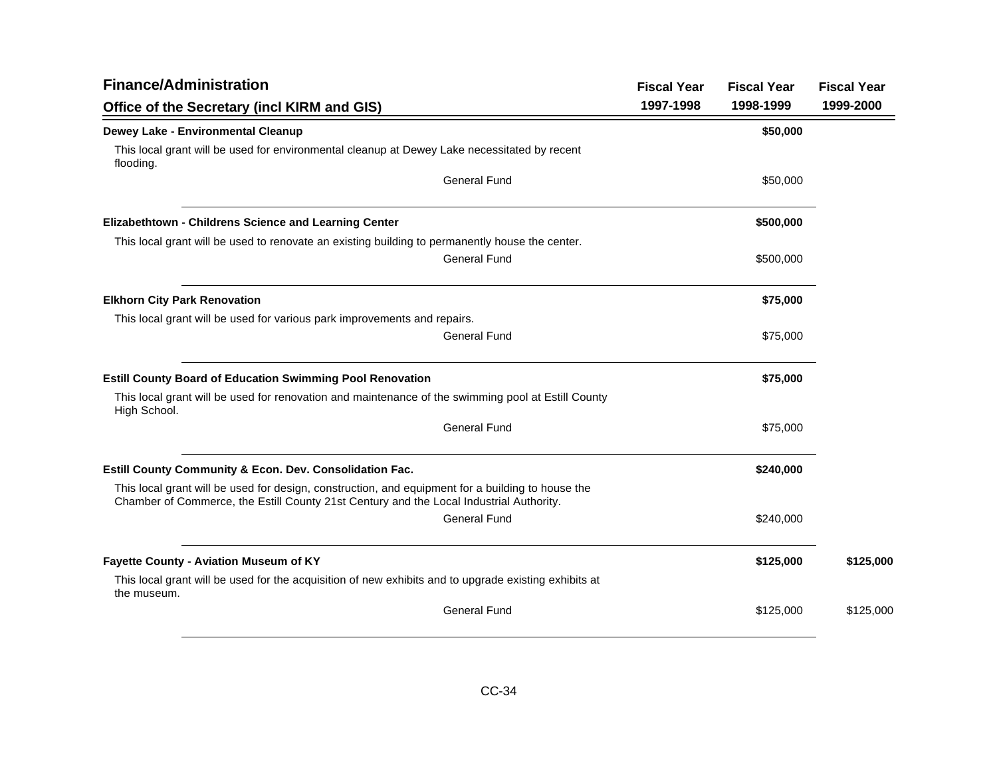| <b>Finance/Administration</b>                                                                                                                                                                | <b>Fiscal Year</b> | <b>Fiscal Year</b> | <b>Fiscal Year</b> |
|----------------------------------------------------------------------------------------------------------------------------------------------------------------------------------------------|--------------------|--------------------|--------------------|
| Office of the Secretary (incl KIRM and GIS)                                                                                                                                                  | 1997-1998          | 1998-1999          | 1999-2000          |
| Dewey Lake - Environmental Cleanup                                                                                                                                                           |                    | \$50,000           |                    |
| This local grant will be used for environmental cleanup at Dewey Lake necessitated by recent<br>flooding.                                                                                    |                    |                    |                    |
| <b>General Fund</b>                                                                                                                                                                          |                    | \$50,000           |                    |
| Elizabethtown - Childrens Science and Learning Center                                                                                                                                        |                    | \$500,000          |                    |
| This local grant will be used to renovate an existing building to permanently house the center.                                                                                              |                    |                    |                    |
| <b>General Fund</b>                                                                                                                                                                          |                    | \$500,000          |                    |
| <b>Elkhorn City Park Renovation</b>                                                                                                                                                          |                    | \$75,000           |                    |
| This local grant will be used for various park improvements and repairs.                                                                                                                     |                    |                    |                    |
| <b>General Fund</b>                                                                                                                                                                          |                    | \$75,000           |                    |
| <b>Estill County Board of Education Swimming Pool Renovation</b>                                                                                                                             |                    | \$75,000           |                    |
| This local grant will be used for renovation and maintenance of the swimming pool at Estill County<br>High School.                                                                           |                    |                    |                    |
| <b>General Fund</b>                                                                                                                                                                          |                    | \$75,000           |                    |
| Estill County Community & Econ. Dev. Consolidation Fac.                                                                                                                                      |                    | \$240,000          |                    |
| This local grant will be used for design, construction, and equipment for a building to house the<br>Chamber of Commerce, the Estill County 21st Century and the Local Industrial Authority. |                    |                    |                    |
| <b>General Fund</b>                                                                                                                                                                          |                    | \$240,000          |                    |
| Fayette County - Aviation Museum of KY                                                                                                                                                       |                    | \$125,000          | \$125,000          |
| This local grant will be used for the acquisition of new exhibits and to upgrade existing exhibits at<br>the museum.                                                                         |                    |                    |                    |
| <b>General Fund</b>                                                                                                                                                                          |                    | \$125,000          | \$125,000          |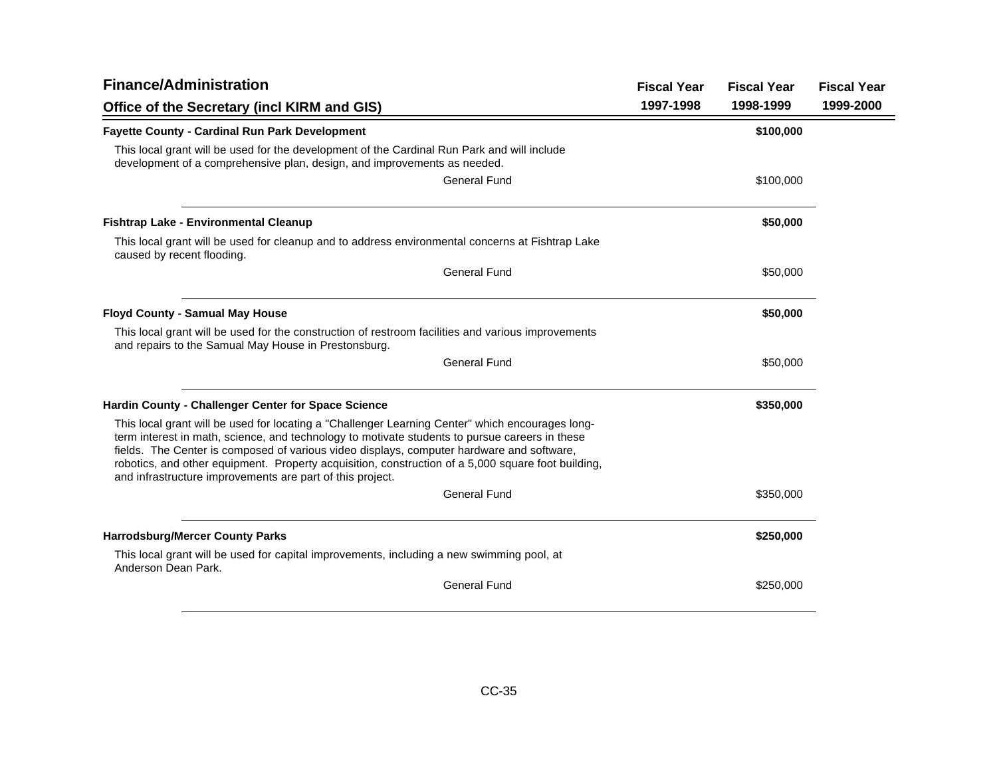| <b>Finance/Administration</b>                                                                                                                                                                                                                                                                                                                                                                                                                                      | <b>Fiscal Year</b> | <b>Fiscal Year</b> | <b>Fiscal Year</b> |
|--------------------------------------------------------------------------------------------------------------------------------------------------------------------------------------------------------------------------------------------------------------------------------------------------------------------------------------------------------------------------------------------------------------------------------------------------------------------|--------------------|--------------------|--------------------|
| Office of the Secretary (incl KIRM and GIS)                                                                                                                                                                                                                                                                                                                                                                                                                        | 1997-1998          | 1998-1999          | 1999-2000          |
| <b>Fayette County - Cardinal Run Park Development</b>                                                                                                                                                                                                                                                                                                                                                                                                              |                    | \$100,000          |                    |
| This local grant will be used for the development of the Cardinal Run Park and will include<br>development of a comprehensive plan, design, and improvements as needed.                                                                                                                                                                                                                                                                                            |                    |                    |                    |
| <b>General Fund</b>                                                                                                                                                                                                                                                                                                                                                                                                                                                |                    | \$100,000          |                    |
| <b>Fishtrap Lake - Environmental Cleanup</b>                                                                                                                                                                                                                                                                                                                                                                                                                       |                    | \$50,000           |                    |
| This local grant will be used for cleanup and to address environmental concerns at Fishtrap Lake<br>caused by recent flooding.                                                                                                                                                                                                                                                                                                                                     |                    |                    |                    |
| <b>General Fund</b>                                                                                                                                                                                                                                                                                                                                                                                                                                                |                    | \$50,000           |                    |
| <b>Floyd County - Samual May House</b>                                                                                                                                                                                                                                                                                                                                                                                                                             |                    | \$50,000           |                    |
| This local grant will be used for the construction of restroom facilities and various improvements<br>and repairs to the Samual May House in Prestonsburg.                                                                                                                                                                                                                                                                                                         |                    |                    |                    |
| <b>General Fund</b>                                                                                                                                                                                                                                                                                                                                                                                                                                                |                    | \$50,000           |                    |
| Hardin County - Challenger Center for Space Science                                                                                                                                                                                                                                                                                                                                                                                                                |                    | \$350,000          |                    |
| This local grant will be used for locating a "Challenger Learning Center" which encourages long-<br>term interest in math, science, and technology to motivate students to pursue careers in these<br>fields. The Center is composed of various video displays, computer hardware and software,<br>robotics, and other equipment. Property acquisition, construction of a 5,000 square foot building,<br>and infrastructure improvements are part of this project. |                    |                    |                    |
| <b>General Fund</b>                                                                                                                                                                                                                                                                                                                                                                                                                                                |                    | \$350,000          |                    |
| <b>Harrodsburg/Mercer County Parks</b>                                                                                                                                                                                                                                                                                                                                                                                                                             |                    | \$250,000          |                    |
| This local grant will be used for capital improvements, including a new swimming pool, at<br>Anderson Dean Park.                                                                                                                                                                                                                                                                                                                                                   |                    |                    |                    |
| General Fund                                                                                                                                                                                                                                                                                                                                                                                                                                                       |                    | \$250,000          |                    |
|                                                                                                                                                                                                                                                                                                                                                                                                                                                                    |                    |                    |                    |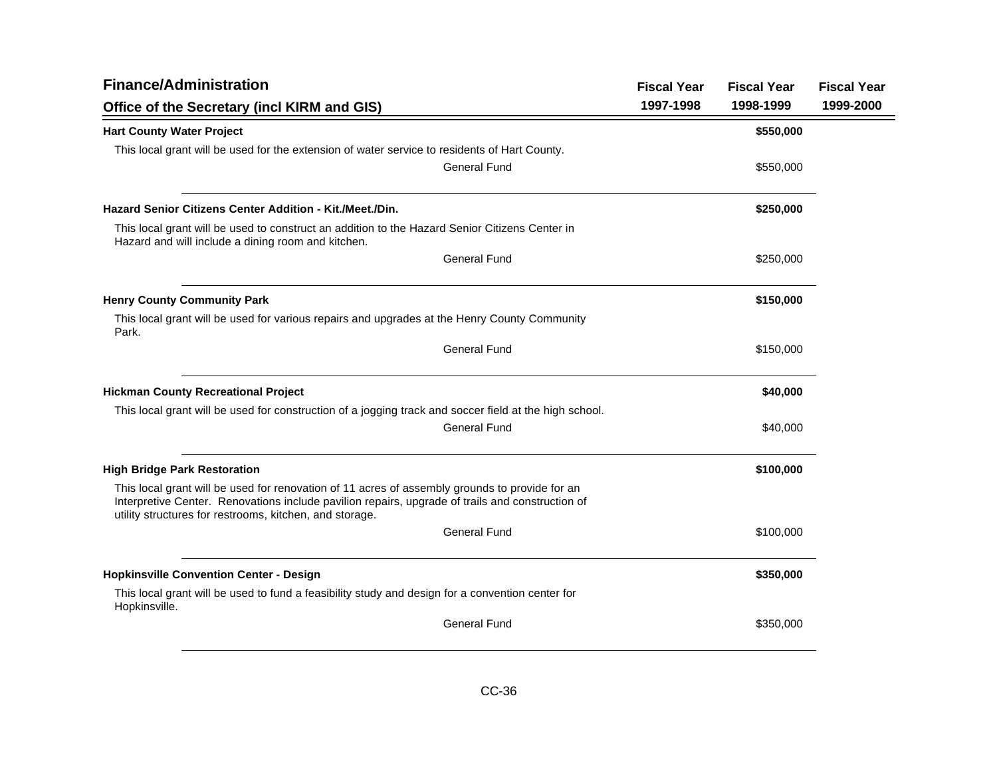| <b>Finance/Administration</b>                                                                                                                                                                                                                                 |                     | <b>Fiscal Year</b> | <b>Fiscal Year</b> | <b>Fiscal Year</b> |
|---------------------------------------------------------------------------------------------------------------------------------------------------------------------------------------------------------------------------------------------------------------|---------------------|--------------------|--------------------|--------------------|
| Office of the Secretary (incl KIRM and GIS)                                                                                                                                                                                                                   |                     | 1997-1998          | 1998-1999          | 1999-2000          |
| <b>Hart County Water Project</b>                                                                                                                                                                                                                              |                     |                    | \$550,000          |                    |
| This local grant will be used for the extension of water service to residents of Hart County.                                                                                                                                                                 |                     |                    |                    |                    |
|                                                                                                                                                                                                                                                               | <b>General Fund</b> |                    | \$550,000          |                    |
| <b>Hazard Senior Citizens Center Addition - Kit./Meet./Din.</b>                                                                                                                                                                                               |                     |                    | \$250,000          |                    |
| This local grant will be used to construct an addition to the Hazard Senior Citizens Center in<br>Hazard and will include a dining room and kitchen.                                                                                                          |                     |                    |                    |                    |
|                                                                                                                                                                                                                                                               | <b>General Fund</b> |                    | \$250,000          |                    |
| <b>Henry County Community Park</b>                                                                                                                                                                                                                            |                     |                    | \$150,000          |                    |
| This local grant will be used for various repairs and upgrades at the Henry County Community<br>Park.                                                                                                                                                         |                     |                    |                    |                    |
|                                                                                                                                                                                                                                                               | <b>General Fund</b> |                    | \$150,000          |                    |
| <b>Hickman County Recreational Project</b>                                                                                                                                                                                                                    |                     |                    | \$40,000           |                    |
| This local grant will be used for construction of a jogging track and soccer field at the high school.                                                                                                                                                        |                     |                    |                    |                    |
|                                                                                                                                                                                                                                                               | <b>General Fund</b> |                    | \$40,000           |                    |
| <b>High Bridge Park Restoration</b>                                                                                                                                                                                                                           |                     |                    | \$100,000          |                    |
| This local grant will be used for renovation of 11 acres of assembly grounds to provide for an<br>Interpretive Center. Renovations include pavilion repairs, upgrade of trails and construction of<br>utility structures for restrooms, kitchen, and storage. |                     |                    |                    |                    |
|                                                                                                                                                                                                                                                               | <b>General Fund</b> |                    | \$100,000          |                    |
| <b>Hopkinsville Convention Center - Design</b>                                                                                                                                                                                                                |                     |                    | \$350,000          |                    |
| This local grant will be used to fund a feasibility study and design for a convention center for<br>Hopkinsville.                                                                                                                                             |                     |                    |                    |                    |
|                                                                                                                                                                                                                                                               | <b>General Fund</b> |                    | \$350,000          |                    |
|                                                                                                                                                                                                                                                               |                     |                    |                    |                    |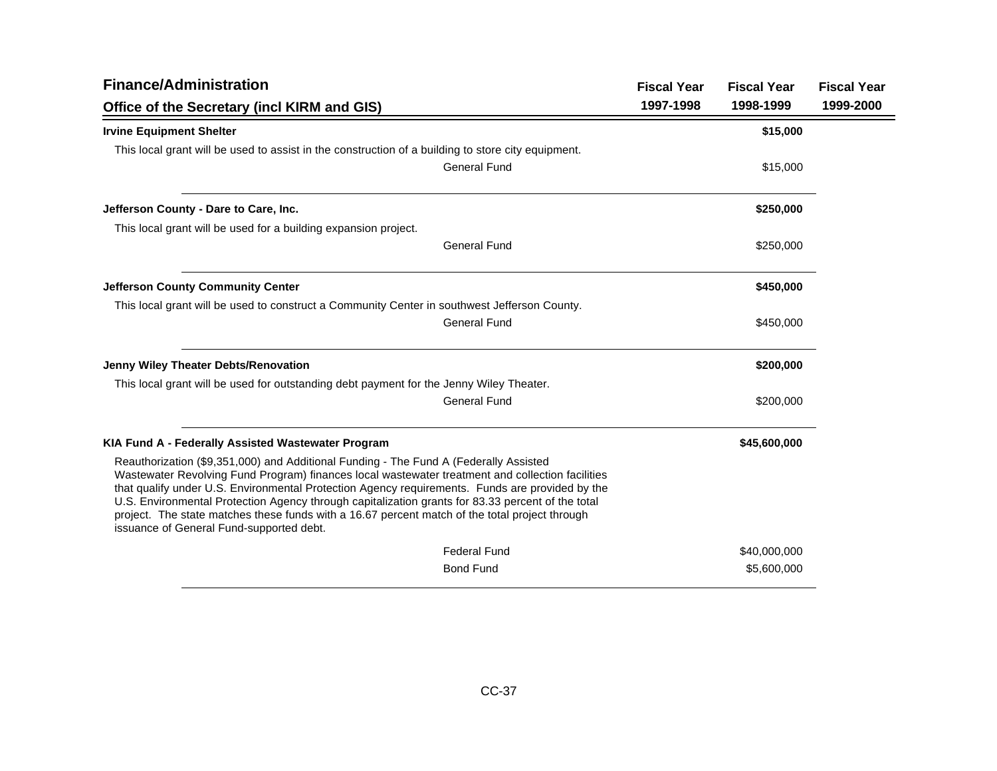| <b>Finance/Administration</b>                                                                                                                                                                                                                                                                                                                                                                                                                                                                                                                   |                     | <b>Fiscal Year</b> | <b>Fiscal Year</b> | <b>Fiscal Year</b> |
|-------------------------------------------------------------------------------------------------------------------------------------------------------------------------------------------------------------------------------------------------------------------------------------------------------------------------------------------------------------------------------------------------------------------------------------------------------------------------------------------------------------------------------------------------|---------------------|--------------------|--------------------|--------------------|
| Office of the Secretary (incl KIRM and GIS)                                                                                                                                                                                                                                                                                                                                                                                                                                                                                                     |                     | 1997-1998          | 1998-1999          | 1999-2000          |
| <b>Irvine Equipment Shelter</b>                                                                                                                                                                                                                                                                                                                                                                                                                                                                                                                 |                     |                    | \$15,000           |                    |
| This local grant will be used to assist in the construction of a building to store city equipment.                                                                                                                                                                                                                                                                                                                                                                                                                                              |                     |                    |                    |                    |
|                                                                                                                                                                                                                                                                                                                                                                                                                                                                                                                                                 | <b>General Fund</b> |                    | \$15,000           |                    |
| Jefferson County - Dare to Care, Inc.                                                                                                                                                                                                                                                                                                                                                                                                                                                                                                           |                     |                    | \$250,000          |                    |
| This local grant will be used for a building expansion project.                                                                                                                                                                                                                                                                                                                                                                                                                                                                                 |                     |                    |                    |                    |
|                                                                                                                                                                                                                                                                                                                                                                                                                                                                                                                                                 | <b>General Fund</b> |                    | \$250,000          |                    |
| <b>Jefferson County Community Center</b>                                                                                                                                                                                                                                                                                                                                                                                                                                                                                                        |                     |                    | \$450,000          |                    |
| This local grant will be used to construct a Community Center in southwest Jefferson County.                                                                                                                                                                                                                                                                                                                                                                                                                                                    |                     |                    |                    |                    |
|                                                                                                                                                                                                                                                                                                                                                                                                                                                                                                                                                 | <b>General Fund</b> |                    | \$450,000          |                    |
| <b>Jenny Wiley Theater Debts/Renovation</b>                                                                                                                                                                                                                                                                                                                                                                                                                                                                                                     |                     |                    | \$200,000          |                    |
| This local grant will be used for outstanding debt payment for the Jenny Wiley Theater.                                                                                                                                                                                                                                                                                                                                                                                                                                                         |                     |                    |                    |                    |
|                                                                                                                                                                                                                                                                                                                                                                                                                                                                                                                                                 | <b>General Fund</b> |                    | \$200,000          |                    |
| KIA Fund A - Federally Assisted Wastewater Program                                                                                                                                                                                                                                                                                                                                                                                                                                                                                              |                     |                    | \$45,600,000       |                    |
| Reauthorization (\$9,351,000) and Additional Funding - The Fund A (Federally Assisted<br>Wastewater Revolving Fund Program) finances local wastewater treatment and collection facilities<br>that qualify under U.S. Environmental Protection Agency requirements. Funds are provided by the<br>U.S. Environmental Protection Agency through capitalization grants for 83.33 percent of the total<br>project. The state matches these funds with a 16.67 percent match of the total project through<br>issuance of General Fund-supported debt. |                     |                    |                    |                    |
|                                                                                                                                                                                                                                                                                                                                                                                                                                                                                                                                                 | <b>Federal Fund</b> |                    | \$40,000,000       |                    |
|                                                                                                                                                                                                                                                                                                                                                                                                                                                                                                                                                 | <b>Bond Fund</b>    |                    | \$5,600,000        |                    |
|                                                                                                                                                                                                                                                                                                                                                                                                                                                                                                                                                 |                     |                    |                    |                    |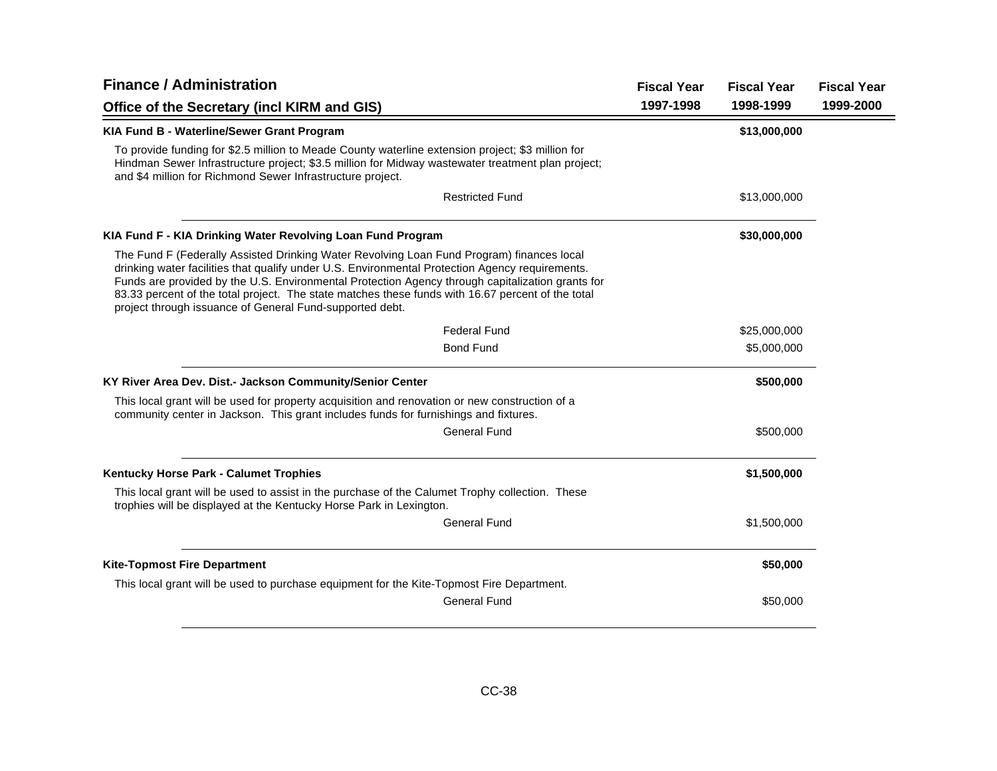| <b>Finance / Administration</b>                                                                                                                                                                                                                                                                                                                                                                                                                                   |           | <b>Fiscal Year</b> | <b>Fiscal Year</b> |
|-------------------------------------------------------------------------------------------------------------------------------------------------------------------------------------------------------------------------------------------------------------------------------------------------------------------------------------------------------------------------------------------------------------------------------------------------------------------|-----------|--------------------|--------------------|
| Office of the Secretary (incl KIRM and GIS)                                                                                                                                                                                                                                                                                                                                                                                                                       | 1997-1998 | 1998-1999          | 1999-2000          |
| KIA Fund B - Waterline/Sewer Grant Program                                                                                                                                                                                                                                                                                                                                                                                                                        |           | \$13,000,000       |                    |
| To provide funding for \$2.5 million to Meade County waterline extension project; \$3 million for<br>Hindman Sewer Infrastructure project; \$3.5 million for Midway wastewater treatment plan project;<br>and \$4 million for Richmond Sewer Infrastructure project.                                                                                                                                                                                              |           |                    |                    |
| <b>Restricted Fund</b>                                                                                                                                                                                                                                                                                                                                                                                                                                            |           | \$13,000,000       |                    |
| KIA Fund F - KIA Drinking Water Revolving Loan Fund Program                                                                                                                                                                                                                                                                                                                                                                                                       |           | \$30,000,000       |                    |
| The Fund F (Federally Assisted Drinking Water Revolving Loan Fund Program) finances local<br>drinking water facilities that qualify under U.S. Environmental Protection Agency requirements.<br>Funds are provided by the U.S. Environmental Protection Agency through capitalization grants for<br>83.33 percent of the total project. The state matches these funds with 16.67 percent of the total<br>project through issuance of General Fund-supported debt. |           |                    |                    |
| <b>Federal Fund</b>                                                                                                                                                                                                                                                                                                                                                                                                                                               |           | \$25,000,000       |                    |
| <b>Bond Fund</b>                                                                                                                                                                                                                                                                                                                                                                                                                                                  |           | \$5,000,000        |                    |
| KY River Area Dev. Dist.- Jackson Community/Senior Center                                                                                                                                                                                                                                                                                                                                                                                                         |           | \$500,000          |                    |
| This local grant will be used for property acquisition and renovation or new construction of a<br>community center in Jackson. This grant includes funds for furnishings and fixtures.                                                                                                                                                                                                                                                                            |           |                    |                    |
| <b>General Fund</b>                                                                                                                                                                                                                                                                                                                                                                                                                                               |           | \$500,000          |                    |
| Kentucky Horse Park - Calumet Trophies                                                                                                                                                                                                                                                                                                                                                                                                                            |           | \$1,500,000        |                    |
| This local grant will be used to assist in the purchase of the Calumet Trophy collection. These<br>trophies will be displayed at the Kentucky Horse Park in Lexington.                                                                                                                                                                                                                                                                                            |           |                    |                    |
| General Fund                                                                                                                                                                                                                                                                                                                                                                                                                                                      |           | \$1,500,000        |                    |
| <b>Kite-Topmost Fire Department</b>                                                                                                                                                                                                                                                                                                                                                                                                                               |           | \$50,000           |                    |
| This local grant will be used to purchase equipment for the Kite-Topmost Fire Department.                                                                                                                                                                                                                                                                                                                                                                         |           |                    |                    |
| <b>General Fund</b>                                                                                                                                                                                                                                                                                                                                                                                                                                               |           | \$50,000           |                    |
|                                                                                                                                                                                                                                                                                                                                                                                                                                                                   |           |                    |                    |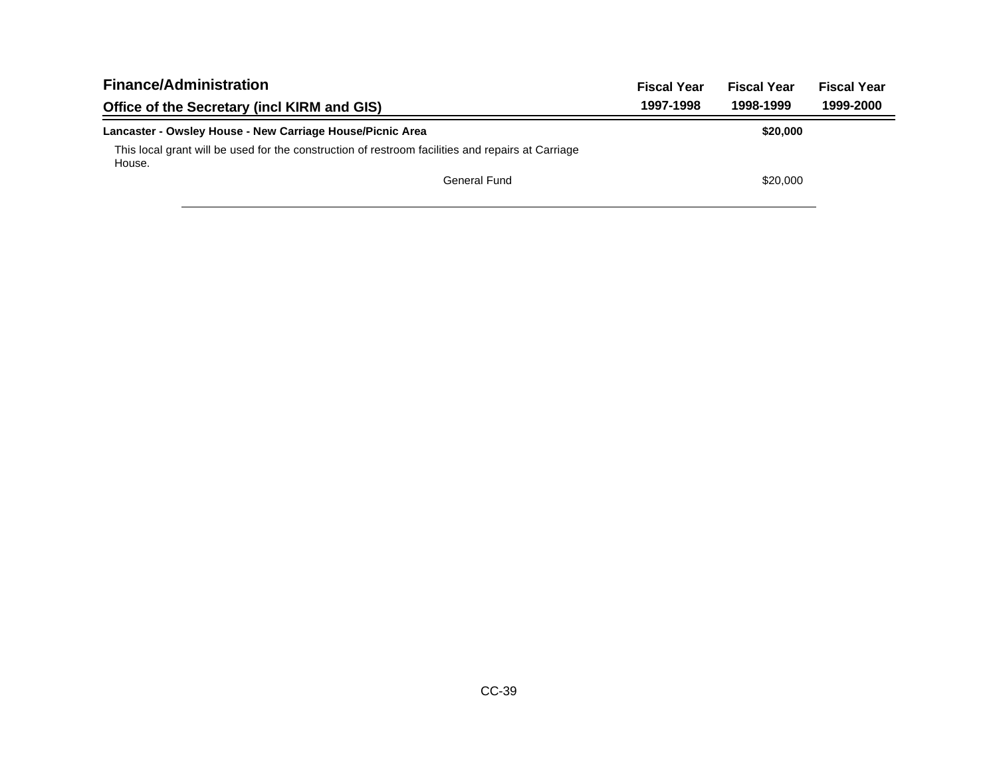| <b>Finance/Administration</b>                                                                               | <b>Fiscal Year</b> | <b>Fiscal Year</b> | <b>Fiscal Year</b> |
|-------------------------------------------------------------------------------------------------------------|--------------------|--------------------|--------------------|
| Office of the Secretary (incl KIRM and GIS)                                                                 | 1997-1998          | 1998-1999          | 1999-2000          |
| Lancaster - Owsley House - New Carriage House/Picnic Area                                                   |                    | \$20,000           |                    |
| This local grant will be used for the construction of restroom facilities and repairs at Carriage<br>House. |                    |                    |                    |
| General Fund                                                                                                |                    | \$20,000           |                    |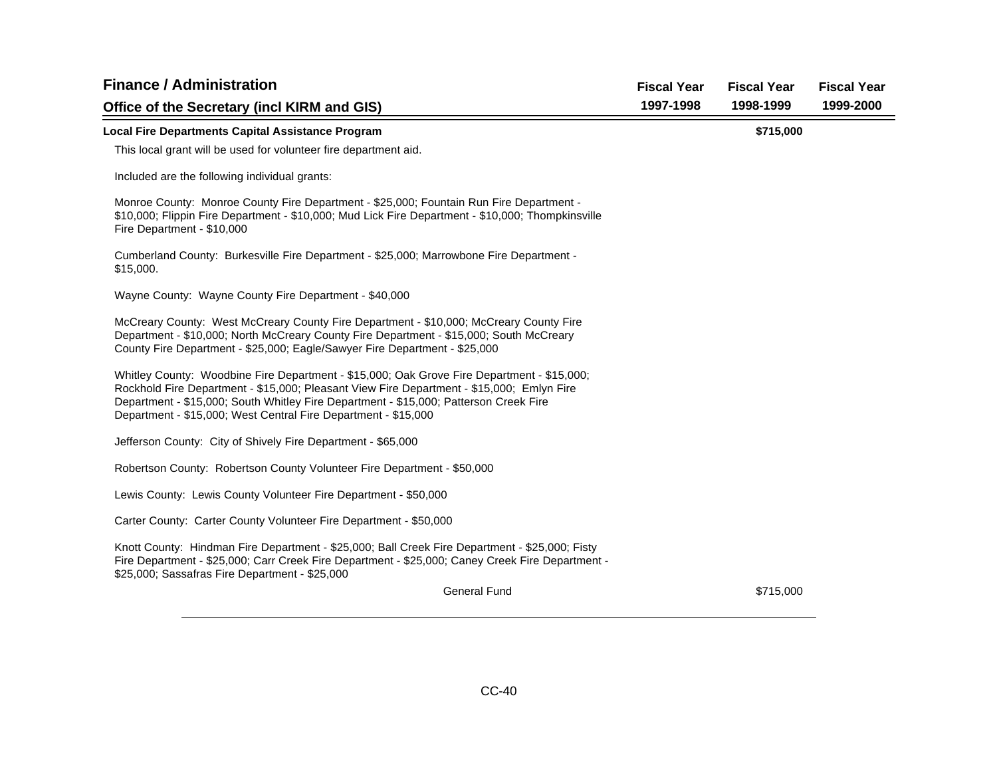| <b>Finance / Administration</b>                                                                                                                                                                                                                                                                                                                    | <b>Fiscal Year</b> | <b>Fiscal Year</b> | <b>Fiscal Year</b> |
|----------------------------------------------------------------------------------------------------------------------------------------------------------------------------------------------------------------------------------------------------------------------------------------------------------------------------------------------------|--------------------|--------------------|--------------------|
| Office of the Secretary (incl KIRM and GIS)                                                                                                                                                                                                                                                                                                        | 1997-1998          | 1998-1999          | 1999-2000          |
| <b>Local Fire Departments Capital Assistance Program</b>                                                                                                                                                                                                                                                                                           |                    | \$715,000          |                    |
| This local grant will be used for volunteer fire department aid.                                                                                                                                                                                                                                                                                   |                    |                    |                    |
| Included are the following individual grants:                                                                                                                                                                                                                                                                                                      |                    |                    |                    |
| Monroe County: Monroe County Fire Department - \$25,000; Fountain Run Fire Department -<br>\$10,000; Flippin Fire Department - \$10,000; Mud Lick Fire Department - \$10,000; Thompkinsville<br>Fire Department - \$10,000                                                                                                                         |                    |                    |                    |
| Cumberland County: Burkesville Fire Department - \$25,000; Marrowbone Fire Department -<br>\$15,000.                                                                                                                                                                                                                                               |                    |                    |                    |
| Wayne County: Wayne County Fire Department - \$40,000                                                                                                                                                                                                                                                                                              |                    |                    |                    |
| McCreary County: West McCreary County Fire Department - \$10,000; McCreary County Fire<br>Department - \$10,000; North McCreary County Fire Department - \$15,000; South McCreary<br>County Fire Department - \$25,000; Eagle/Sawyer Fire Department - \$25,000                                                                                    |                    |                    |                    |
| Whitley County: Woodbine Fire Department - \$15,000; Oak Grove Fire Department - \$15,000;<br>Rockhold Fire Department - \$15,000; Pleasant View Fire Department - \$15,000; Emlyn Fire<br>Department - \$15,000; South Whitley Fire Department - \$15,000; Patterson Creek Fire<br>Department - \$15,000; West Central Fire Department - \$15,000 |                    |                    |                    |
| Jefferson County: City of Shively Fire Department - \$65,000                                                                                                                                                                                                                                                                                       |                    |                    |                    |
| Robertson County: Robertson County Volunteer Fire Department - \$50,000                                                                                                                                                                                                                                                                            |                    |                    |                    |
| Lewis County: Lewis County Volunteer Fire Department - \$50,000                                                                                                                                                                                                                                                                                    |                    |                    |                    |
| Carter County: Carter County Volunteer Fire Department - \$50,000                                                                                                                                                                                                                                                                                  |                    |                    |                    |
| Knott County: Hindman Fire Department - \$25,000; Ball Creek Fire Department - \$25,000; Fisty<br>Fire Department - \$25,000; Carr Creek Fire Department - \$25,000; Caney Creek Fire Department -<br>\$25,000; Sassafras Fire Department - \$25,000                                                                                               |                    |                    |                    |
| <b>General Fund</b>                                                                                                                                                                                                                                                                                                                                |                    | \$715,000          |                    |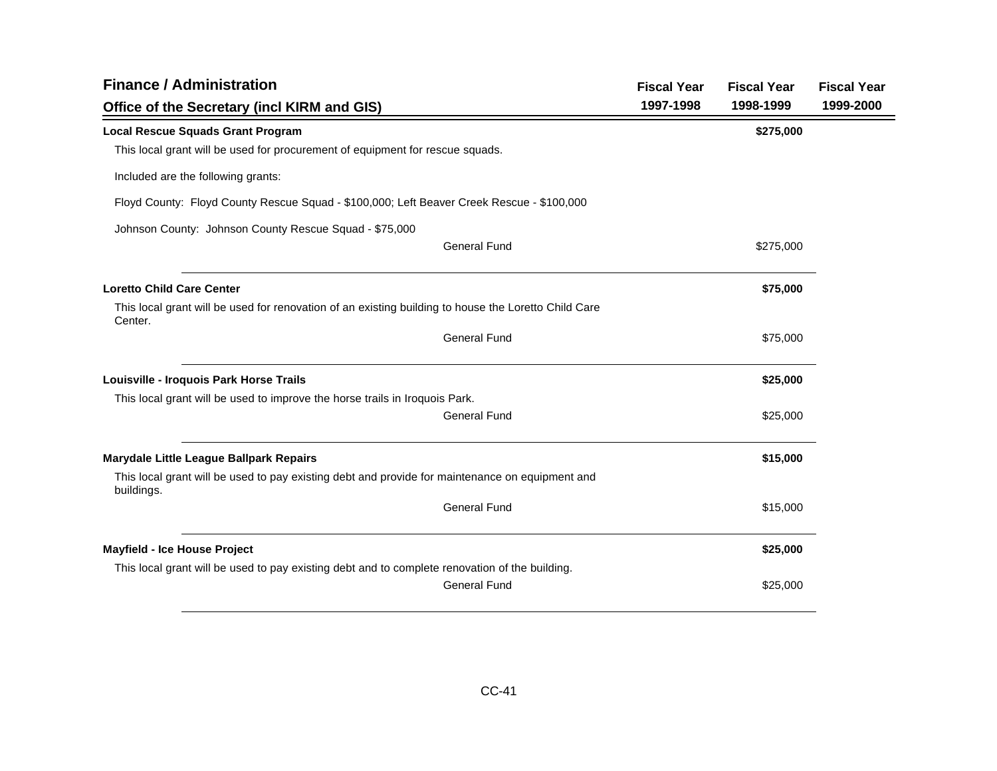| <b>Finance / Administration</b>                                                                                 |           | <b>Fiscal Year</b><br><b>Fiscal Year</b> | <b>Fiscal Year</b> |
|-----------------------------------------------------------------------------------------------------------------|-----------|------------------------------------------|--------------------|
| Office of the Secretary (incl KIRM and GIS)                                                                     | 1997-1998 | 1998-1999                                | 1999-2000          |
| <b>Local Rescue Squads Grant Program</b>                                                                        |           | \$275,000                                |                    |
| This local grant will be used for procurement of equipment for rescue squads.                                   |           |                                          |                    |
| Included are the following grants:                                                                              |           |                                          |                    |
| Floyd County: Floyd County Rescue Squad - \$100,000; Left Beaver Creek Rescue - \$100,000                       |           |                                          |                    |
| Johnson County: Johnson County Rescue Squad - \$75,000                                                          |           |                                          |                    |
| <b>General Fund</b>                                                                                             |           | \$275,000                                |                    |
| <b>Loretto Child Care Center</b>                                                                                |           | \$75,000                                 |                    |
| This local grant will be used for renovation of an existing building to house the Loretto Child Care<br>Center. |           |                                          |                    |
| <b>General Fund</b>                                                                                             |           | \$75,000                                 |                    |
| Louisville - Iroquois Park Horse Trails                                                                         |           | \$25,000                                 |                    |
| This local grant will be used to improve the horse trails in Iroquois Park.                                     |           |                                          |                    |
| <b>General Fund</b>                                                                                             |           | \$25,000                                 |                    |
| Marydale Little League Ballpark Repairs                                                                         |           | \$15,000                                 |                    |
| This local grant will be used to pay existing debt and provide for maintenance on equipment and<br>buildings.   |           |                                          |                    |
| <b>General Fund</b>                                                                                             |           | \$15,000                                 |                    |
| <b>Mayfield - Ice House Project</b>                                                                             |           | \$25,000                                 |                    |
| This local grant will be used to pay existing debt and to complete renovation of the building.                  |           |                                          |                    |
| <b>General Fund</b>                                                                                             |           | \$25,000                                 |                    |
|                                                                                                                 |           |                                          |                    |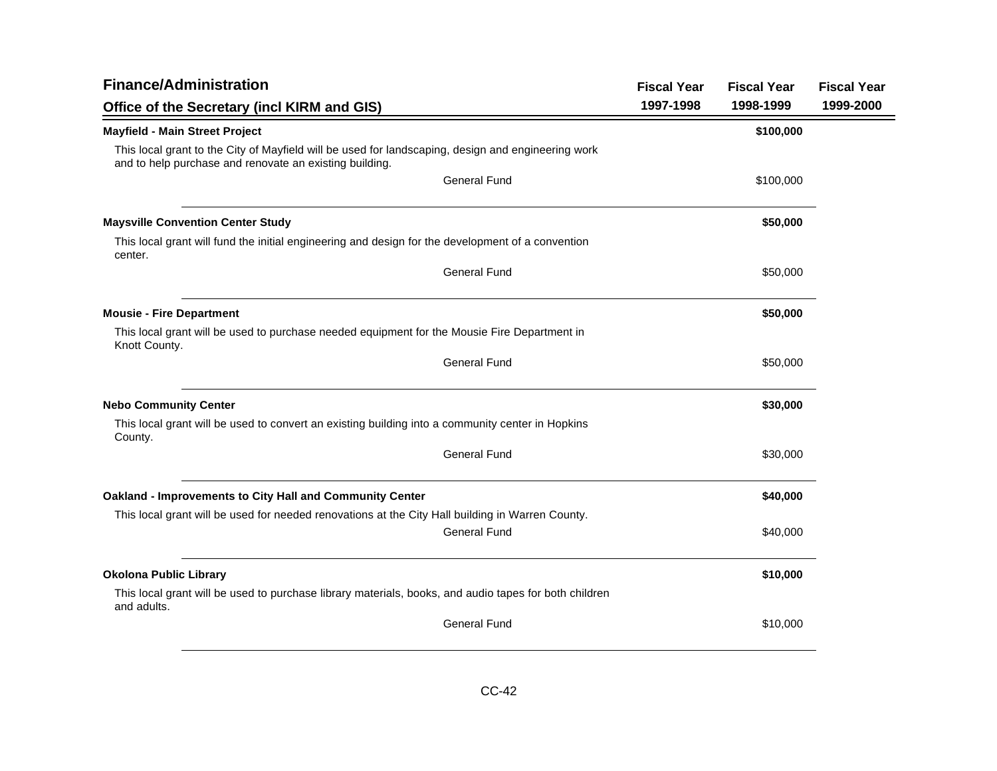| <b>Finance/Administration</b>                                                                                                                                 | <b>Fiscal Year</b> | <b>Fiscal Year</b> | <b>Fiscal Year</b> |
|---------------------------------------------------------------------------------------------------------------------------------------------------------------|--------------------|--------------------|--------------------|
| Office of the Secretary (incl KIRM and GIS)                                                                                                                   | 1997-1998          | 1998-1999          | 1999-2000          |
| <b>Mayfield - Main Street Project</b>                                                                                                                         |                    | \$100,000          |                    |
| This local grant to the City of Mayfield will be used for landscaping, design and engineering work<br>and to help purchase and renovate an existing building. |                    |                    |                    |
| <b>General Fund</b>                                                                                                                                           |                    | \$100,000          |                    |
| <b>Maysville Convention Center Study</b>                                                                                                                      |                    | \$50,000           |                    |
| This local grant will fund the initial engineering and design for the development of a convention<br>center.                                                  |                    |                    |                    |
| <b>General Fund</b>                                                                                                                                           |                    | \$50,000           |                    |
| <b>Mousie - Fire Department</b>                                                                                                                               |                    | \$50,000           |                    |
| This local grant will be used to purchase needed equipment for the Mousie Fire Department in<br>Knott County.                                                 |                    |                    |                    |
| <b>General Fund</b>                                                                                                                                           |                    | \$50,000           |                    |
| <b>Nebo Community Center</b>                                                                                                                                  |                    | \$30,000           |                    |
| This local grant will be used to convert an existing building into a community center in Hopkins<br>County.                                                   |                    |                    |                    |
| <b>General Fund</b>                                                                                                                                           |                    | \$30,000           |                    |
| Oakland - Improvements to City Hall and Community Center                                                                                                      |                    | \$40,000           |                    |
| This local grant will be used for needed renovations at the City Hall building in Warren County.<br><b>General Fund</b>                                       |                    | \$40,000           |                    |
|                                                                                                                                                               |                    |                    |                    |
| <b>Okolona Public Library</b>                                                                                                                                 |                    | \$10,000           |                    |
| This local grant will be used to purchase library materials, books, and audio tapes for both children<br>and adults.                                          |                    |                    |                    |
| <b>General Fund</b>                                                                                                                                           |                    | \$10,000           |                    |
|                                                                                                                                                               |                    |                    |                    |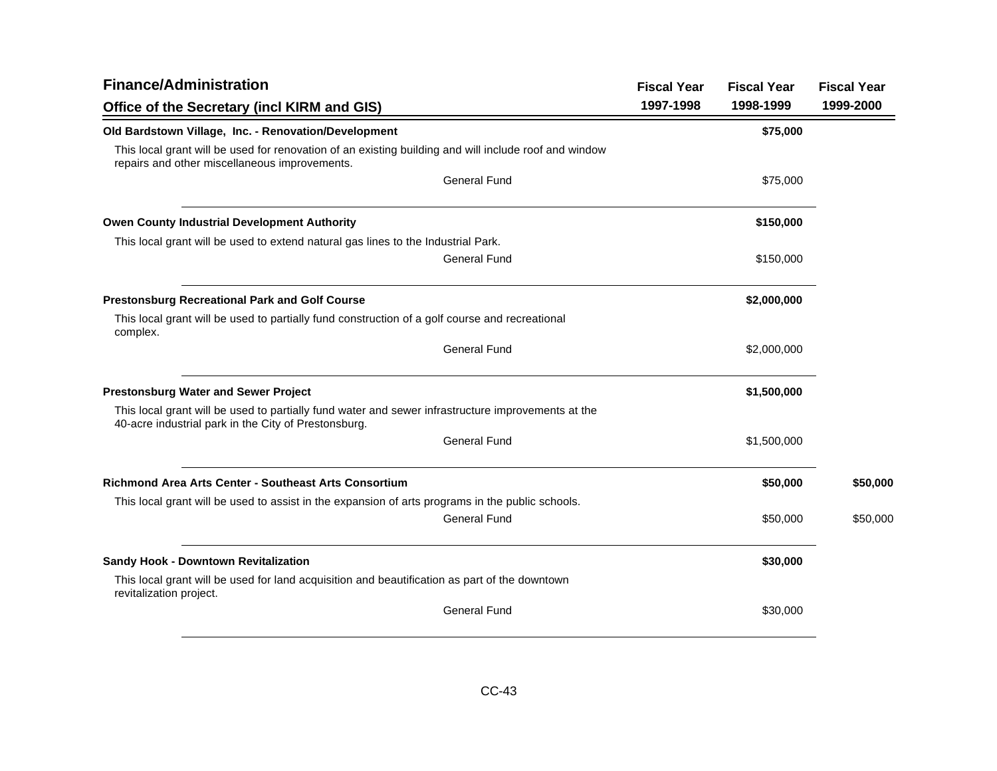| <b>Finance/Administration</b>                                                                                                                              |           | <b>Fiscal Year</b> | <b>Fiscal Year</b> |
|------------------------------------------------------------------------------------------------------------------------------------------------------------|-----------|--------------------|--------------------|
| Office of the Secretary (incl KIRM and GIS)                                                                                                                | 1997-1998 | 1998-1999          | 1999-2000          |
| Old Bardstown Village, Inc. - Renovation/Development                                                                                                       |           | \$75,000           |                    |
| This local grant will be used for renovation of an existing building and will include roof and window<br>repairs and other miscellaneous improvements.     |           |                    |                    |
| <b>General Fund</b>                                                                                                                                        |           | \$75,000           |                    |
| <b>Owen County Industrial Development Authority</b>                                                                                                        |           | \$150,000          |                    |
| This local grant will be used to extend natural gas lines to the Industrial Park.                                                                          |           |                    |                    |
| <b>General Fund</b>                                                                                                                                        |           | \$150,000          |                    |
| <b>Prestonsburg Recreational Park and Golf Course</b>                                                                                                      |           | \$2,000,000        |                    |
| This local grant will be used to partially fund construction of a golf course and recreational<br>complex.                                                 |           |                    |                    |
| <b>General Fund</b>                                                                                                                                        |           | \$2,000,000        |                    |
| <b>Prestonsburg Water and Sewer Project</b>                                                                                                                |           | \$1,500,000        |                    |
| This local grant will be used to partially fund water and sewer infrastructure improvements at the<br>40-acre industrial park in the City of Prestonsburg. |           |                    |                    |
| <b>General Fund</b>                                                                                                                                        |           | \$1,500,000        |                    |
| <b>Richmond Area Arts Center - Southeast Arts Consortium</b>                                                                                               |           | \$50,000           | \$50,000           |
| This local grant will be used to assist in the expansion of arts programs in the public schools.                                                           |           |                    |                    |
| <b>General Fund</b>                                                                                                                                        |           | \$50,000           | \$50,000           |
| <b>Sandy Hook - Downtown Revitalization</b>                                                                                                                |           | \$30,000           |                    |
| This local grant will be used for land acquisition and beautification as part of the downtown<br>revitalization project.                                   |           |                    |                    |
| <b>General Fund</b>                                                                                                                                        |           | \$30,000           |                    |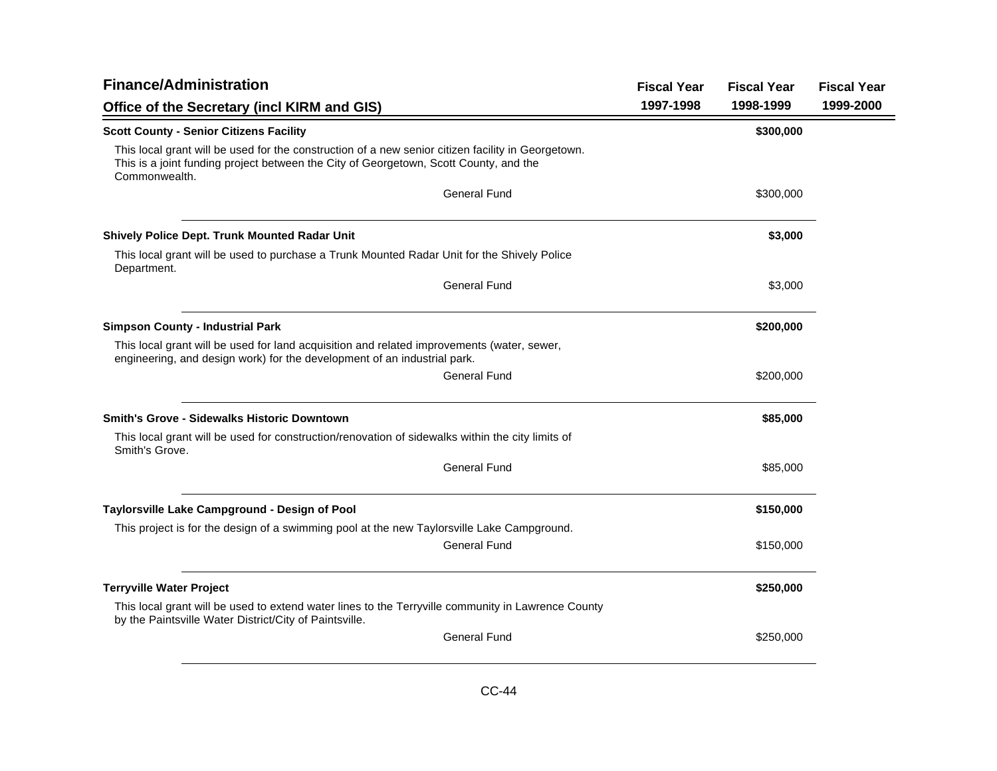| <b>Finance/Administration</b>                                                                                                                                                                                | <b>Fiscal Year</b> | <b>Fiscal Year</b> | <b>Fiscal Year</b> |
|--------------------------------------------------------------------------------------------------------------------------------------------------------------------------------------------------------------|--------------------|--------------------|--------------------|
| Office of the Secretary (incl KIRM and GIS)                                                                                                                                                                  | 1997-1998          | 1998-1999          | 1999-2000          |
| <b>Scott County - Senior Citizens Facility</b>                                                                                                                                                               |                    | \$300,000          |                    |
| This local grant will be used for the construction of a new senior citizen facility in Georgetown.<br>This is a joint funding project between the City of Georgetown, Scott County, and the<br>Commonwealth. |                    |                    |                    |
| <b>General Fund</b>                                                                                                                                                                                          |                    | \$300,000          |                    |
| Shively Police Dept. Trunk Mounted Radar Unit                                                                                                                                                                |                    | \$3,000            |                    |
| This local grant will be used to purchase a Trunk Mounted Radar Unit for the Shively Police<br>Department.                                                                                                   |                    |                    |                    |
| <b>General Fund</b>                                                                                                                                                                                          |                    | \$3,000            |                    |
| <b>Simpson County - Industrial Park</b>                                                                                                                                                                      |                    | \$200,000          |                    |
| This local grant will be used for land acquisition and related improvements (water, sewer,<br>engineering, and design work) for the development of an industrial park.                                       |                    |                    |                    |
| <b>General Fund</b>                                                                                                                                                                                          |                    | \$200,000          |                    |
| <b>Smith's Grove - Sidewalks Historic Downtown</b>                                                                                                                                                           |                    | \$85,000           |                    |
| This local grant will be used for construction/renovation of sidewalks within the city limits of<br>Smith's Grove.                                                                                           |                    |                    |                    |
| <b>General Fund</b>                                                                                                                                                                                          |                    | \$85,000           |                    |
| Taylorsville Lake Campground - Design of Pool                                                                                                                                                                |                    | \$150,000          |                    |
| This project is for the design of a swimming pool at the new Taylorsville Lake Campground.                                                                                                                   |                    |                    |                    |
| General Fund                                                                                                                                                                                                 |                    | \$150,000          |                    |
| <b>Terryville Water Project</b>                                                                                                                                                                              |                    | \$250,000          |                    |
| This local grant will be used to extend water lines to the Terryville community in Lawrence County<br>by the Paintsville Water District/City of Paintsville.                                                 |                    |                    |                    |
| <b>General Fund</b>                                                                                                                                                                                          |                    | \$250,000          |                    |
|                                                                                                                                                                                                              |                    |                    |                    |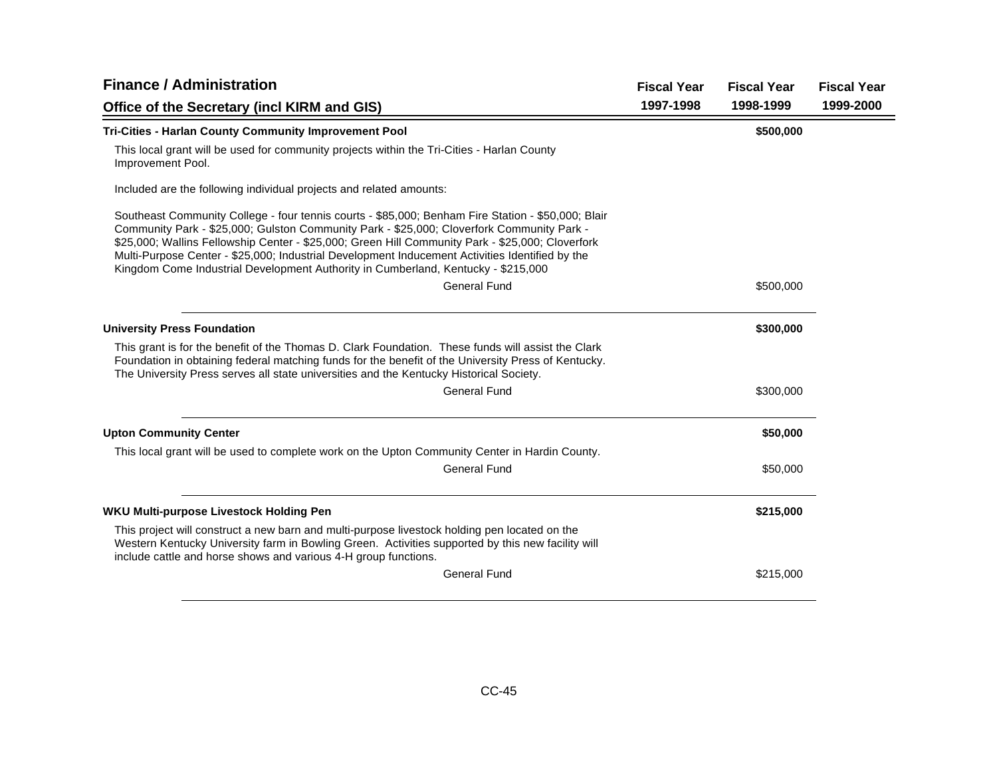| <b>Finance / Administration</b>                                                                                                                                                                                                                                                                                                                                                                                                                                                             | <b>Fiscal Year</b> | <b>Fiscal Year</b> | <b>Fiscal Year</b> |
|---------------------------------------------------------------------------------------------------------------------------------------------------------------------------------------------------------------------------------------------------------------------------------------------------------------------------------------------------------------------------------------------------------------------------------------------------------------------------------------------|--------------------|--------------------|--------------------|
| Office of the Secretary (incl KIRM and GIS)                                                                                                                                                                                                                                                                                                                                                                                                                                                 | 1997-1998          | 1998-1999          | 1999-2000          |
| Tri-Cities - Harlan County Community Improvement Pool                                                                                                                                                                                                                                                                                                                                                                                                                                       |                    | \$500,000          |                    |
| This local grant will be used for community projects within the Tri-Cities - Harlan County<br>Improvement Pool.                                                                                                                                                                                                                                                                                                                                                                             |                    |                    |                    |
| Included are the following individual projects and related amounts:                                                                                                                                                                                                                                                                                                                                                                                                                         |                    |                    |                    |
| Southeast Community College - four tennis courts - \$85,000; Benham Fire Station - \$50,000; Blair<br>Community Park - \$25,000; Gulston Community Park - \$25,000; Cloverfork Community Park -<br>\$25,000; Wallins Fellowship Center - \$25,000; Green Hill Community Park - \$25,000; Cloverfork<br>Multi-Purpose Center - \$25,000; Industrial Development Inducement Activities Identified by the<br>Kingdom Come Industrial Development Authority in Cumberland, Kentucky - \$215,000 |                    |                    |                    |
| <b>General Fund</b>                                                                                                                                                                                                                                                                                                                                                                                                                                                                         |                    | \$500,000          |                    |
| <b>University Press Foundation</b>                                                                                                                                                                                                                                                                                                                                                                                                                                                          |                    | \$300,000          |                    |
| This grant is for the benefit of the Thomas D. Clark Foundation. These funds will assist the Clark<br>Foundation in obtaining federal matching funds for the benefit of the University Press of Kentucky.<br>The University Press serves all state universities and the Kentucky Historical Society.                                                                                                                                                                                        |                    |                    |                    |
| <b>General Fund</b>                                                                                                                                                                                                                                                                                                                                                                                                                                                                         |                    | \$300,000          |                    |
| <b>Upton Community Center</b>                                                                                                                                                                                                                                                                                                                                                                                                                                                               |                    | \$50,000           |                    |
| This local grant will be used to complete work on the Upton Community Center in Hardin County.                                                                                                                                                                                                                                                                                                                                                                                              |                    |                    |                    |
| <b>General Fund</b>                                                                                                                                                                                                                                                                                                                                                                                                                                                                         |                    | \$50,000           |                    |
| WKU Multi-purpose Livestock Holding Pen                                                                                                                                                                                                                                                                                                                                                                                                                                                     |                    | \$215,000          |                    |
| This project will construct a new barn and multi-purpose livestock holding pen located on the<br>Western Kentucky University farm in Bowling Green. Activities supported by this new facility will<br>include cattle and horse shows and various 4-H group functions.                                                                                                                                                                                                                       |                    |                    |                    |
| <b>General Fund</b>                                                                                                                                                                                                                                                                                                                                                                                                                                                                         |                    | \$215,000          |                    |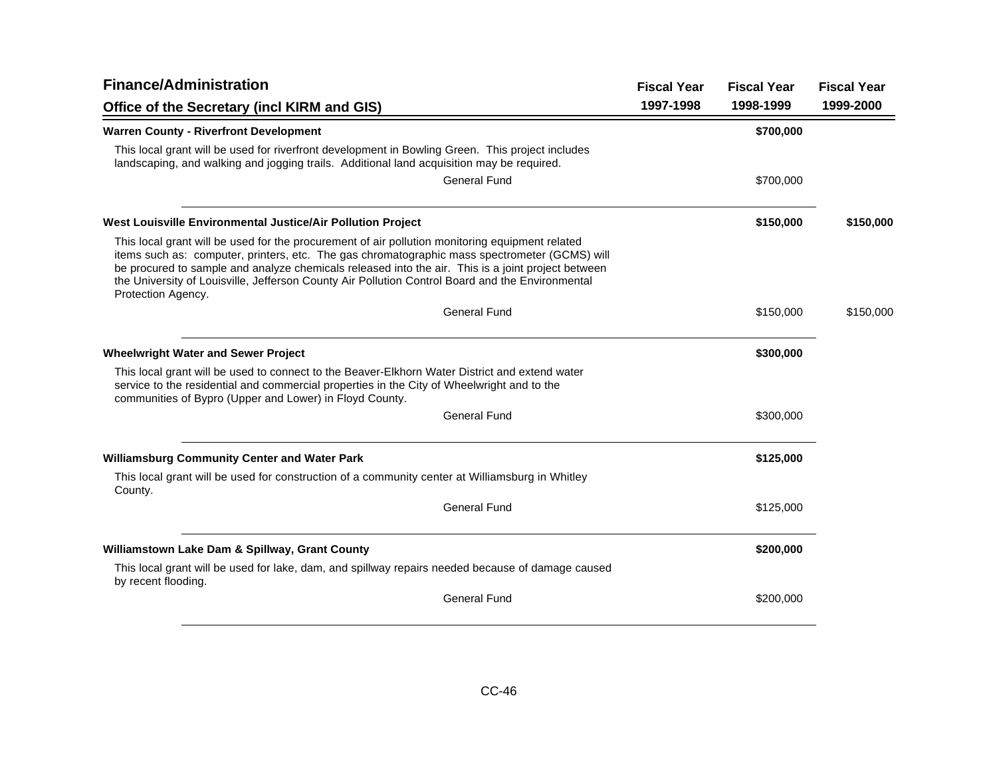| <b>Finance/Administration</b>                                                                                                                                                                                                                                                                                                                                                                                                    |           | <b>Fiscal Year</b> | <b>Fiscal Year</b> |
|----------------------------------------------------------------------------------------------------------------------------------------------------------------------------------------------------------------------------------------------------------------------------------------------------------------------------------------------------------------------------------------------------------------------------------|-----------|--------------------|--------------------|
| Office of the Secretary (incl KIRM and GIS)                                                                                                                                                                                                                                                                                                                                                                                      | 1997-1998 | 1998-1999          | 1999-2000          |
| <b>Warren County - Riverfront Development</b>                                                                                                                                                                                                                                                                                                                                                                                    |           | \$700,000          |                    |
| This local grant will be used for riverfront development in Bowling Green. This project includes<br>landscaping, and walking and jogging trails. Additional land acquisition may be required.                                                                                                                                                                                                                                    |           |                    |                    |
| <b>General Fund</b>                                                                                                                                                                                                                                                                                                                                                                                                              |           | \$700,000          |                    |
| West Louisville Environmental Justice/Air Pollution Project                                                                                                                                                                                                                                                                                                                                                                      |           | \$150,000          | \$150,000          |
| This local grant will be used for the procurement of air pollution monitoring equipment related<br>items such as: computer, printers, etc. The gas chromatographic mass spectrometer (GCMS) will<br>be procured to sample and analyze chemicals released into the air. This is a joint project between<br>the University of Louisville, Jefferson County Air Pollution Control Board and the Environmental<br>Protection Agency. |           |                    |                    |
| <b>General Fund</b>                                                                                                                                                                                                                                                                                                                                                                                                              |           | \$150,000          | \$150,000          |
| <b>Wheelwright Water and Sewer Project</b>                                                                                                                                                                                                                                                                                                                                                                                       |           | \$300,000          |                    |
| This local grant will be used to connect to the Beaver-Elkhorn Water District and extend water<br>service to the residential and commercial properties in the City of Wheelwright and to the<br>communities of Bypro (Upper and Lower) in Floyd County.                                                                                                                                                                          |           |                    |                    |
| <b>General Fund</b>                                                                                                                                                                                                                                                                                                                                                                                                              |           | \$300,000          |                    |
| <b>Williamsburg Community Center and Water Park</b>                                                                                                                                                                                                                                                                                                                                                                              |           | \$125,000          |                    |
| This local grant will be used for construction of a community center at Williamsburg in Whitley<br>County.                                                                                                                                                                                                                                                                                                                       |           |                    |                    |
| <b>General Fund</b>                                                                                                                                                                                                                                                                                                                                                                                                              |           | \$125,000          |                    |
| Williamstown Lake Dam & Spillway, Grant County                                                                                                                                                                                                                                                                                                                                                                                   |           | \$200,000          |                    |
| This local grant will be used for lake, dam, and spillway repairs needed because of damage caused<br>by recent flooding.                                                                                                                                                                                                                                                                                                         |           |                    |                    |
| <b>General Fund</b>                                                                                                                                                                                                                                                                                                                                                                                                              |           | \$200,000          |                    |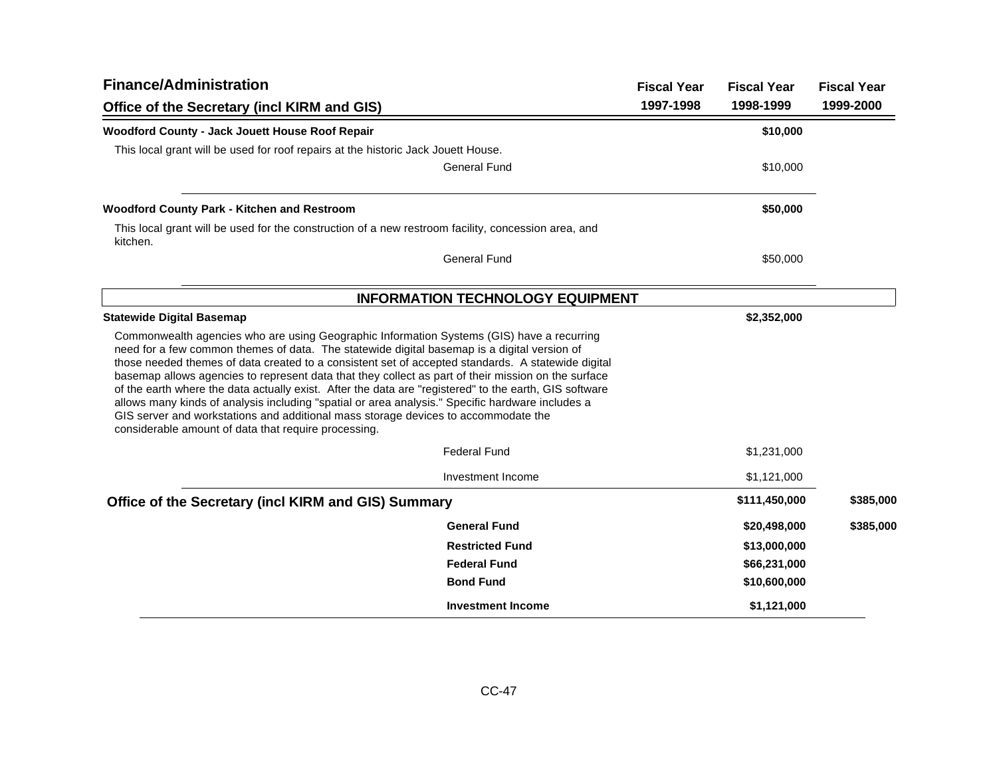| <b>Finance/Administration</b>                                                                                                                                                                                                                                                                                                                                                                                                                                                                                                                                                                                                                                                                                                                                     |                                         | <b>Fiscal Year</b> | <b>Fiscal Year</b> | <b>Fiscal Year</b> |
|-------------------------------------------------------------------------------------------------------------------------------------------------------------------------------------------------------------------------------------------------------------------------------------------------------------------------------------------------------------------------------------------------------------------------------------------------------------------------------------------------------------------------------------------------------------------------------------------------------------------------------------------------------------------------------------------------------------------------------------------------------------------|-----------------------------------------|--------------------|--------------------|--------------------|
| Office of the Secretary (incl KIRM and GIS)                                                                                                                                                                                                                                                                                                                                                                                                                                                                                                                                                                                                                                                                                                                       |                                         | 1997-1998          | 1998-1999          | 1999-2000          |
| Woodford County - Jack Jouett House Roof Repair                                                                                                                                                                                                                                                                                                                                                                                                                                                                                                                                                                                                                                                                                                                   |                                         |                    | \$10,000           |                    |
| This local grant will be used for roof repairs at the historic Jack Jouett House.                                                                                                                                                                                                                                                                                                                                                                                                                                                                                                                                                                                                                                                                                 |                                         |                    |                    |                    |
|                                                                                                                                                                                                                                                                                                                                                                                                                                                                                                                                                                                                                                                                                                                                                                   | <b>General Fund</b>                     |                    | \$10,000           |                    |
| Woodford County Park - Kitchen and Restroom                                                                                                                                                                                                                                                                                                                                                                                                                                                                                                                                                                                                                                                                                                                       |                                         |                    | \$50,000           |                    |
| This local grant will be used for the construction of a new restroom facility, concession area, and<br>kitchen.                                                                                                                                                                                                                                                                                                                                                                                                                                                                                                                                                                                                                                                   |                                         |                    |                    |                    |
|                                                                                                                                                                                                                                                                                                                                                                                                                                                                                                                                                                                                                                                                                                                                                                   | <b>General Fund</b>                     |                    | \$50,000           |                    |
|                                                                                                                                                                                                                                                                                                                                                                                                                                                                                                                                                                                                                                                                                                                                                                   | <b>INFORMATION TECHNOLOGY EQUIPMENT</b> |                    |                    |                    |
| <b>Statewide Digital Basemap</b>                                                                                                                                                                                                                                                                                                                                                                                                                                                                                                                                                                                                                                                                                                                                  |                                         |                    | \$2,352,000        |                    |
| Commonwealth agencies who are using Geographic Information Systems (GIS) have a recurring<br>need for a few common themes of data. The statewide digital basemap is a digital version of<br>those needed themes of data created to a consistent set of accepted standards. A statewide digital<br>basemap allows agencies to represent data that they collect as part of their mission on the surface<br>of the earth where the data actually exist. After the data are "registered" to the earth, GIS software<br>allows many kinds of analysis including "spatial or area analysis." Specific hardware includes a<br>GIS server and workstations and additional mass storage devices to accommodate the<br>considerable amount of data that require processing. |                                         |                    |                    |                    |
|                                                                                                                                                                                                                                                                                                                                                                                                                                                                                                                                                                                                                                                                                                                                                                   | <b>Federal Fund</b>                     |                    | \$1,231,000        |                    |
|                                                                                                                                                                                                                                                                                                                                                                                                                                                                                                                                                                                                                                                                                                                                                                   | Investment Income                       |                    | \$1,121,000        |                    |
| Office of the Secretary (incl KIRM and GIS) Summary                                                                                                                                                                                                                                                                                                                                                                                                                                                                                                                                                                                                                                                                                                               |                                         |                    | \$111,450,000      | \$385,000          |
|                                                                                                                                                                                                                                                                                                                                                                                                                                                                                                                                                                                                                                                                                                                                                                   | <b>General Fund</b>                     |                    | \$20,498,000       | \$385,000          |
|                                                                                                                                                                                                                                                                                                                                                                                                                                                                                                                                                                                                                                                                                                                                                                   | <b>Restricted Fund</b>                  |                    | \$13,000,000       |                    |
|                                                                                                                                                                                                                                                                                                                                                                                                                                                                                                                                                                                                                                                                                                                                                                   | <b>Federal Fund</b>                     |                    | \$66,231,000       |                    |
|                                                                                                                                                                                                                                                                                                                                                                                                                                                                                                                                                                                                                                                                                                                                                                   | <b>Bond Fund</b>                        |                    | \$10,600,000       |                    |
|                                                                                                                                                                                                                                                                                                                                                                                                                                                                                                                                                                                                                                                                                                                                                                   | <b>Investment Income</b>                |                    | \$1,121,000        |                    |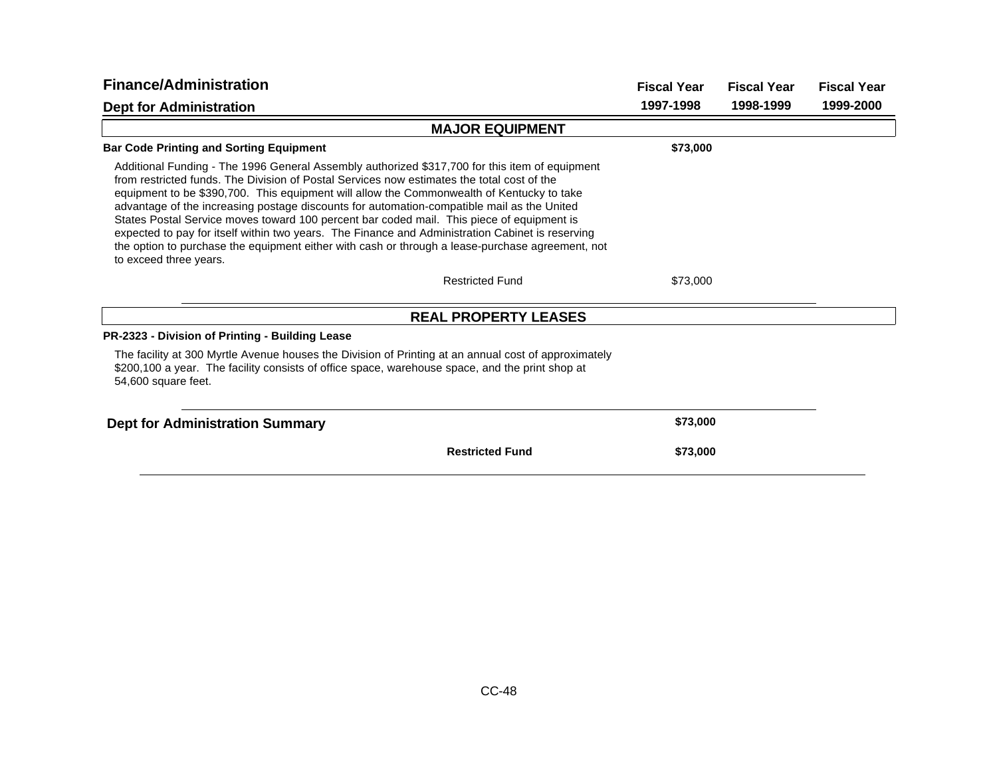| <b>Finance/Administration</b>                                                                                                                                                                                                                                                                                                                                                                                                                                                                                                                                                                                                                                                                                          | <b>Fiscal Year</b> | <b>Fiscal Year</b> | <b>Fiscal Year</b> |
|------------------------------------------------------------------------------------------------------------------------------------------------------------------------------------------------------------------------------------------------------------------------------------------------------------------------------------------------------------------------------------------------------------------------------------------------------------------------------------------------------------------------------------------------------------------------------------------------------------------------------------------------------------------------------------------------------------------------|--------------------|--------------------|--------------------|
| <b>Dept for Administration</b>                                                                                                                                                                                                                                                                                                                                                                                                                                                                                                                                                                                                                                                                                         | 1997-1998          | 1998-1999          | 1999-2000          |
| <b>MAJOR EQUIPMENT</b>                                                                                                                                                                                                                                                                                                                                                                                                                                                                                                                                                                                                                                                                                                 |                    |                    |                    |
| <b>Bar Code Printing and Sorting Equipment</b>                                                                                                                                                                                                                                                                                                                                                                                                                                                                                                                                                                                                                                                                         | \$73,000           |                    |                    |
| Additional Funding - The 1996 General Assembly authorized \$317,700 for this item of equipment<br>from restricted funds. The Division of Postal Services now estimates the total cost of the<br>equipment to be \$390,700. This equipment will allow the Commonwealth of Kentucky to take<br>advantage of the increasing postage discounts for automation-compatible mail as the United<br>States Postal Service moves toward 100 percent bar coded mail. This piece of equipment is<br>expected to pay for itself within two years. The Finance and Administration Cabinet is reserving<br>the option to purchase the equipment either with cash or through a lease-purchase agreement, not<br>to exceed three years. |                    |                    |                    |
| <b>Restricted Fund</b>                                                                                                                                                                                                                                                                                                                                                                                                                                                                                                                                                                                                                                                                                                 | \$73,000           |                    |                    |
| <b>REAL PROPERTY LEASES</b>                                                                                                                                                                                                                                                                                                                                                                                                                                                                                                                                                                                                                                                                                            |                    |                    |                    |
| PR-2323 - Division of Printing - Building Lease                                                                                                                                                                                                                                                                                                                                                                                                                                                                                                                                                                                                                                                                        |                    |                    |                    |
| The facility at 300 Myrtle Avenue houses the Division of Printing at an annual cost of approximately<br>\$200,100 a year. The facility consists of office space, warehouse space, and the print shop at<br>54,600 square feet.                                                                                                                                                                                                                                                                                                                                                                                                                                                                                         |                    |                    |                    |
| <b>Dept for Administration Summary</b>                                                                                                                                                                                                                                                                                                                                                                                                                                                                                                                                                                                                                                                                                 | \$73,000           |                    |                    |
| <b>Restricted Fund</b>                                                                                                                                                                                                                                                                                                                                                                                                                                                                                                                                                                                                                                                                                                 | \$73,000           |                    |                    |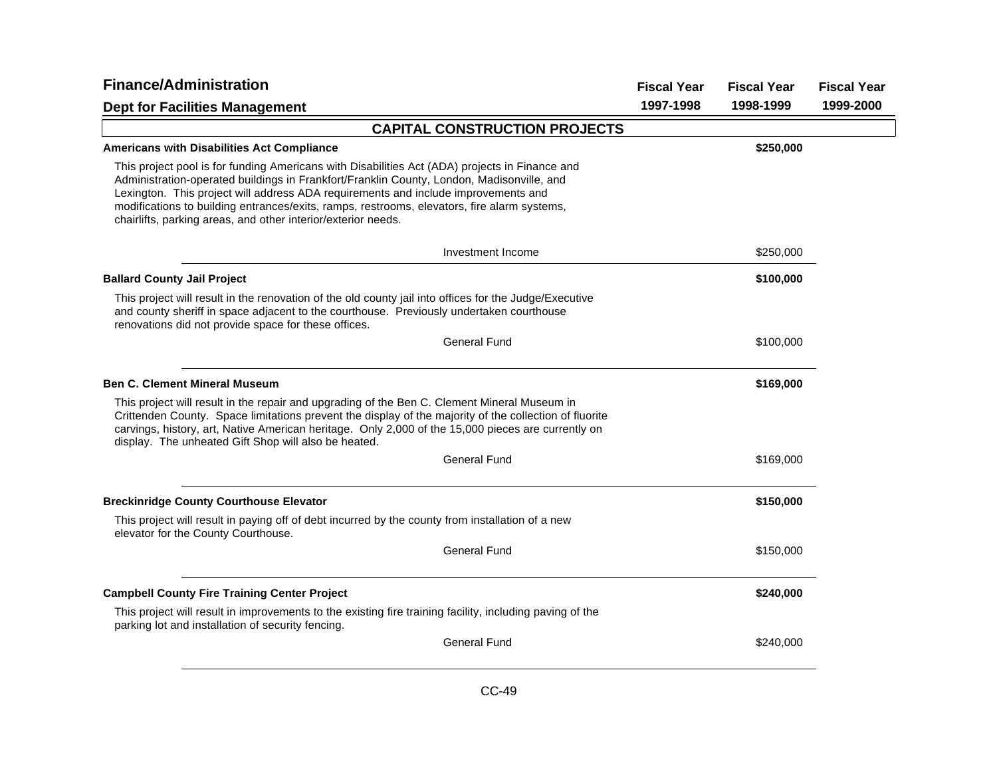| <b>Finance/Administration</b>                                                                                                                                                                                                                                                                                                                                                                                                                     | <b>Fiscal Year</b> | <b>Fiscal Year</b> | <b>Fiscal Year</b> |
|---------------------------------------------------------------------------------------------------------------------------------------------------------------------------------------------------------------------------------------------------------------------------------------------------------------------------------------------------------------------------------------------------------------------------------------------------|--------------------|--------------------|--------------------|
| <b>Dept for Facilities Management</b>                                                                                                                                                                                                                                                                                                                                                                                                             | 1997-1998          | 1998-1999          | 1999-2000          |
| <b>CAPITAL CONSTRUCTION PROJECTS</b>                                                                                                                                                                                                                                                                                                                                                                                                              |                    |                    |                    |
| <b>Americans with Disabilities Act Compliance</b>                                                                                                                                                                                                                                                                                                                                                                                                 |                    | \$250,000          |                    |
| This project pool is for funding Americans with Disabilities Act (ADA) projects in Finance and<br>Administration-operated buildings in Frankfort/Franklin County, London, Madisonville, and<br>Lexington. This project will address ADA requirements and include improvements and<br>modifications to building entrances/exits, ramps, restrooms, elevators, fire alarm systems,<br>chairlifts, parking areas, and other interior/exterior needs. |                    |                    |                    |
| Investment Income                                                                                                                                                                                                                                                                                                                                                                                                                                 |                    | \$250,000          |                    |
| <b>Ballard County Jail Project</b>                                                                                                                                                                                                                                                                                                                                                                                                                |                    | \$100,000          |                    |
| This project will result in the renovation of the old county jail into offices for the Judge/Executive<br>and county sheriff in space adjacent to the courthouse. Previously undertaken courthouse<br>renovations did not provide space for these offices.                                                                                                                                                                                        |                    |                    |                    |
| <b>General Fund</b>                                                                                                                                                                                                                                                                                                                                                                                                                               |                    | \$100,000          |                    |
| <b>Ben C. Clement Mineral Museum</b>                                                                                                                                                                                                                                                                                                                                                                                                              |                    | \$169,000          |                    |
| This project will result in the repair and upgrading of the Ben C. Clement Mineral Museum in<br>Crittenden County. Space limitations prevent the display of the majority of the collection of fluorite<br>carvings, history, art, Native American heritage. Only 2,000 of the 15,000 pieces are currently on<br>display. The unheated Gift Shop will also be heated.                                                                              |                    |                    |                    |
| <b>General Fund</b>                                                                                                                                                                                                                                                                                                                                                                                                                               |                    | \$169,000          |                    |
| <b>Breckinridge County Courthouse Elevator</b>                                                                                                                                                                                                                                                                                                                                                                                                    |                    | \$150,000          |                    |
| This project will result in paying off of debt incurred by the county from installation of a new<br>elevator for the County Courthouse.                                                                                                                                                                                                                                                                                                           |                    |                    |                    |
| <b>General Fund</b>                                                                                                                                                                                                                                                                                                                                                                                                                               |                    | \$150,000          |                    |
| <b>Campbell County Fire Training Center Project</b>                                                                                                                                                                                                                                                                                                                                                                                               |                    | \$240,000          |                    |
| This project will result in improvements to the existing fire training facility, including paving of the<br>parking lot and installation of security fencing.                                                                                                                                                                                                                                                                                     |                    |                    |                    |
| <b>General Fund</b>                                                                                                                                                                                                                                                                                                                                                                                                                               |                    | \$240,000          |                    |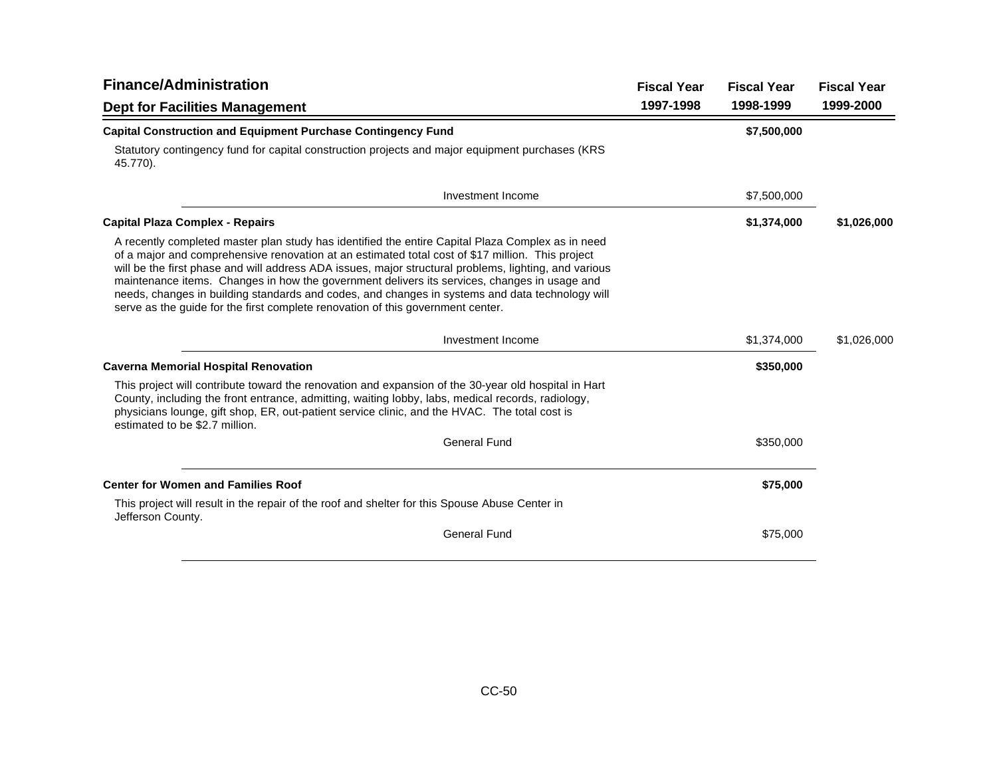| <b>Finance/Administration</b>                                                                                                                                                                                                                                                                                                                                                                                                                                                                                                                                                                        |           | <b>Fiscal Year</b> | <b>Fiscal Year</b> |
|------------------------------------------------------------------------------------------------------------------------------------------------------------------------------------------------------------------------------------------------------------------------------------------------------------------------------------------------------------------------------------------------------------------------------------------------------------------------------------------------------------------------------------------------------------------------------------------------------|-----------|--------------------|--------------------|
| <b>Dept for Facilities Management</b>                                                                                                                                                                                                                                                                                                                                                                                                                                                                                                                                                                | 1997-1998 | 1998-1999          | 1999-2000          |
| <b>Capital Construction and Equipment Purchase Contingency Fund</b>                                                                                                                                                                                                                                                                                                                                                                                                                                                                                                                                  |           | \$7,500,000        |                    |
| Statutory contingency fund for capital construction projects and major equipment purchases (KRS<br>45.770).                                                                                                                                                                                                                                                                                                                                                                                                                                                                                          |           |                    |                    |
| Investment Income                                                                                                                                                                                                                                                                                                                                                                                                                                                                                                                                                                                    |           | \$7,500,000        |                    |
| <b>Capital Plaza Complex - Repairs</b>                                                                                                                                                                                                                                                                                                                                                                                                                                                                                                                                                               |           | \$1,374,000        | \$1,026,000        |
| A recently completed master plan study has identified the entire Capital Plaza Complex as in need<br>of a major and comprehensive renovation at an estimated total cost of \$17 million. This project<br>will be the first phase and will address ADA issues, major structural problems, lighting, and various<br>maintenance items. Changes in how the government delivers its services, changes in usage and<br>needs, changes in building standards and codes, and changes in systems and data technology will<br>serve as the quide for the first complete renovation of this government center. |           |                    |                    |
| Investment Income                                                                                                                                                                                                                                                                                                                                                                                                                                                                                                                                                                                    |           | \$1,374,000        | \$1,026,000        |
| <b>Caverna Memorial Hospital Renovation</b>                                                                                                                                                                                                                                                                                                                                                                                                                                                                                                                                                          |           | \$350,000          |                    |
| This project will contribute toward the renovation and expansion of the 30-year old hospital in Hart<br>County, including the front entrance, admitting, waiting lobby, labs, medical records, radiology,<br>physicians lounge, gift shop, ER, out-patient service clinic, and the HVAC. The total cost is<br>estimated to be \$2.7 million.                                                                                                                                                                                                                                                         |           |                    |                    |
| <b>General Fund</b>                                                                                                                                                                                                                                                                                                                                                                                                                                                                                                                                                                                  |           | \$350,000          |                    |
| <b>Center for Women and Families Roof</b>                                                                                                                                                                                                                                                                                                                                                                                                                                                                                                                                                            |           | \$75,000           |                    |
| This project will result in the repair of the roof and shelter for this Spouse Abuse Center in<br>Jefferson County.                                                                                                                                                                                                                                                                                                                                                                                                                                                                                  |           |                    |                    |
| <b>General Fund</b>                                                                                                                                                                                                                                                                                                                                                                                                                                                                                                                                                                                  |           | \$75,000           |                    |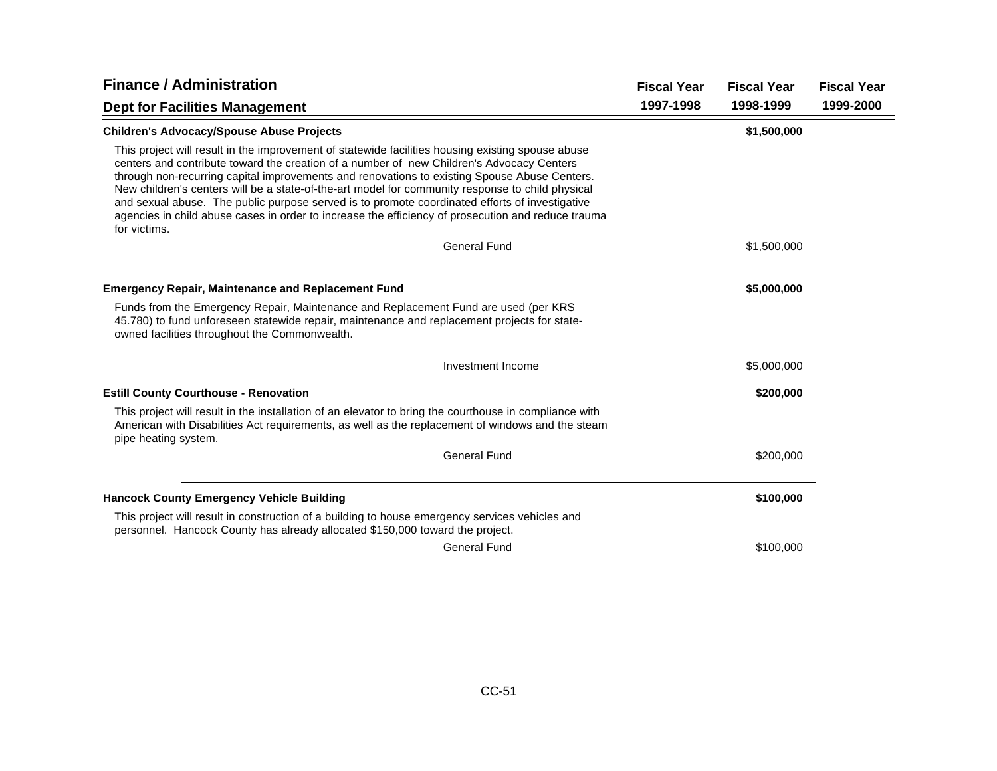| <b>Finance / Administration</b>                                                                                                                                                                                                                                                                                                                                                                                                                                                                                                                                                                                            |                     | <b>Fiscal Year</b> | <b>Fiscal Year</b> | <b>Fiscal Year</b> |
|----------------------------------------------------------------------------------------------------------------------------------------------------------------------------------------------------------------------------------------------------------------------------------------------------------------------------------------------------------------------------------------------------------------------------------------------------------------------------------------------------------------------------------------------------------------------------------------------------------------------------|---------------------|--------------------|--------------------|--------------------|
| <b>Dept for Facilities Management</b>                                                                                                                                                                                                                                                                                                                                                                                                                                                                                                                                                                                      |                     | 1997-1998          | 1998-1999          | 1999-2000          |
| <b>Children's Advocacy/Spouse Abuse Projects</b>                                                                                                                                                                                                                                                                                                                                                                                                                                                                                                                                                                           |                     |                    | \$1,500,000        |                    |
| This project will result in the improvement of statewide facilities housing existing spouse abuse<br>centers and contribute toward the creation of a number of new Children's Advocacy Centers<br>through non-recurring capital improvements and renovations to existing Spouse Abuse Centers.<br>New children's centers will be a state-of-the-art model for community response to child physical<br>and sexual abuse. The public purpose served is to promote coordinated efforts of investigative<br>agencies in child abuse cases in order to increase the efficiency of prosecution and reduce trauma<br>for victims. |                     |                    |                    |                    |
|                                                                                                                                                                                                                                                                                                                                                                                                                                                                                                                                                                                                                            | <b>General Fund</b> |                    | \$1,500,000        |                    |
| <b>Emergency Repair, Maintenance and Replacement Fund</b>                                                                                                                                                                                                                                                                                                                                                                                                                                                                                                                                                                  |                     |                    | \$5,000,000        |                    |
| Funds from the Emergency Repair, Maintenance and Replacement Fund are used (per KRS<br>45.780) to fund unforeseen statewide repair, maintenance and replacement projects for state-<br>owned facilities throughout the Commonwealth.                                                                                                                                                                                                                                                                                                                                                                                       |                     |                    |                    |                    |
|                                                                                                                                                                                                                                                                                                                                                                                                                                                                                                                                                                                                                            | Investment Income   |                    | \$5,000,000        |                    |
| <b>Estill County Courthouse - Renovation</b>                                                                                                                                                                                                                                                                                                                                                                                                                                                                                                                                                                               |                     |                    | \$200,000          |                    |
| This project will result in the installation of an elevator to bring the courthouse in compliance with<br>American with Disabilities Act requirements, as well as the replacement of windows and the steam<br>pipe heating system.                                                                                                                                                                                                                                                                                                                                                                                         |                     |                    |                    |                    |
|                                                                                                                                                                                                                                                                                                                                                                                                                                                                                                                                                                                                                            | <b>General Fund</b> |                    | \$200,000          |                    |
| <b>Hancock County Emergency Vehicle Building</b>                                                                                                                                                                                                                                                                                                                                                                                                                                                                                                                                                                           |                     |                    | \$100,000          |                    |
| This project will result in construction of a building to house emergency services vehicles and<br>personnel. Hancock County has already allocated \$150,000 toward the project.                                                                                                                                                                                                                                                                                                                                                                                                                                           |                     |                    |                    |                    |
|                                                                                                                                                                                                                                                                                                                                                                                                                                                                                                                                                                                                                            | <b>General Fund</b> |                    | \$100,000          |                    |
|                                                                                                                                                                                                                                                                                                                                                                                                                                                                                                                                                                                                                            |                     |                    |                    |                    |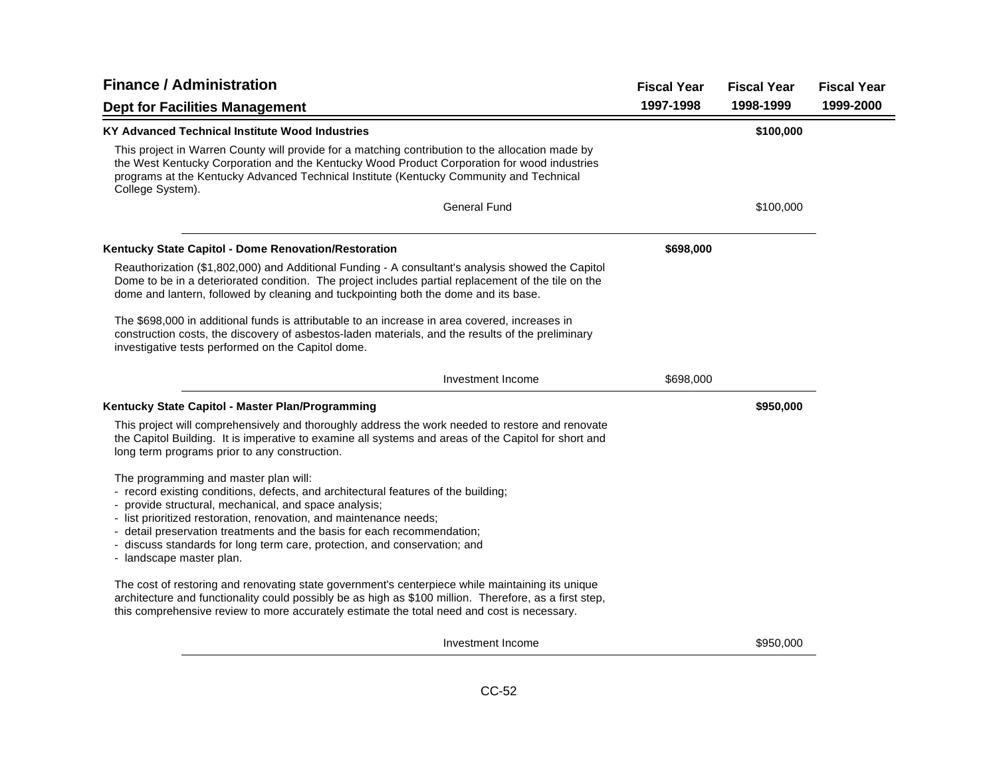| <b>Finance / Administration</b>                                                                                                                                                                                                                                                                                                                                                                                                                | <b>Fiscal Year</b> | <b>Fiscal Year</b> | <b>Fiscal Year</b> |
|------------------------------------------------------------------------------------------------------------------------------------------------------------------------------------------------------------------------------------------------------------------------------------------------------------------------------------------------------------------------------------------------------------------------------------------------|--------------------|--------------------|--------------------|
| <b>Dept for Facilities Management</b>                                                                                                                                                                                                                                                                                                                                                                                                          | 1997-1998          | 1998-1999          | 1999-2000          |
| KY Advanced Technical Institute Wood Industries                                                                                                                                                                                                                                                                                                                                                                                                |                    | \$100,000          |                    |
| This project in Warren County will provide for a matching contribution to the allocation made by<br>the West Kentucky Corporation and the Kentucky Wood Product Corporation for wood industries<br>programs at the Kentucky Advanced Technical Institute (Kentucky Community and Technical<br>College System).                                                                                                                                 |                    |                    |                    |
| <b>General Fund</b>                                                                                                                                                                                                                                                                                                                                                                                                                            |                    | \$100,000          |                    |
| Kentucky State Capitol - Dome Renovation/Restoration                                                                                                                                                                                                                                                                                                                                                                                           | \$698,000          |                    |                    |
| Reauthorization (\$1,802,000) and Additional Funding - A consultant's analysis showed the Capitol<br>Dome to be in a deteriorated condition. The project includes partial replacement of the tile on the<br>dome and lantern, followed by cleaning and tuckpointing both the dome and its base.                                                                                                                                                |                    |                    |                    |
| The \$698,000 in additional funds is attributable to an increase in area covered, increases in<br>construction costs, the discovery of asbestos-laden materials, and the results of the preliminary<br>investigative tests performed on the Capitol dome.                                                                                                                                                                                      |                    |                    |                    |
| Investment Income                                                                                                                                                                                                                                                                                                                                                                                                                              | \$698,000          |                    |                    |
| Kentucky State Capitol - Master Plan/Programming                                                                                                                                                                                                                                                                                                                                                                                               |                    | \$950,000          |                    |
| This project will comprehensively and thoroughly address the work needed to restore and renovate<br>the Capitol Building. It is imperative to examine all systems and areas of the Capitol for short and<br>long term programs prior to any construction.                                                                                                                                                                                      |                    |                    |                    |
| The programming and master plan will:<br>- record existing conditions, defects, and architectural features of the building;<br>- provide structural, mechanical, and space analysis;<br>- list prioritized restoration, renovation, and maintenance needs;<br>- detail preservation treatments and the basis for each recommendation;<br>- discuss standards for long term care, protection, and conservation; and<br>- landscape master plan. |                    |                    |                    |
| The cost of restoring and renovating state government's centerpiece while maintaining its unique<br>architecture and functionality could possibly be as high as \$100 million. Therefore, as a first step,<br>this comprehensive review to more accurately estimate the total need and cost is necessary.                                                                                                                                      |                    |                    |                    |
| Investment Income                                                                                                                                                                                                                                                                                                                                                                                                                              |                    | \$950,000          |                    |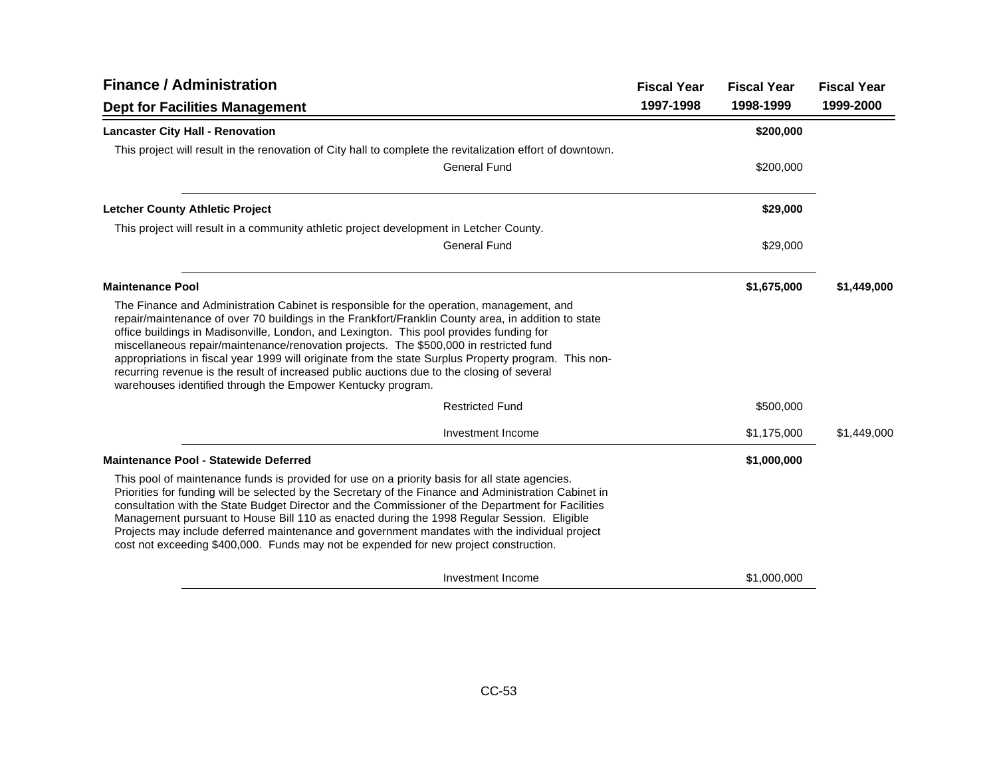| <b>Finance / Administration</b>                                                                                                                                                                                                                                                                                                                                                                                                                                                                                                                                                                                                                           | <b>Fiscal Year</b> | <b>Fiscal Year</b> | <b>Fiscal Year</b> |
|-----------------------------------------------------------------------------------------------------------------------------------------------------------------------------------------------------------------------------------------------------------------------------------------------------------------------------------------------------------------------------------------------------------------------------------------------------------------------------------------------------------------------------------------------------------------------------------------------------------------------------------------------------------|--------------------|--------------------|--------------------|
| <b>Dept for Facilities Management</b>                                                                                                                                                                                                                                                                                                                                                                                                                                                                                                                                                                                                                     | 1997-1998          | 1998-1999          | 1999-2000          |
| <b>Lancaster City Hall - Renovation</b>                                                                                                                                                                                                                                                                                                                                                                                                                                                                                                                                                                                                                   |                    | \$200,000          |                    |
| This project will result in the renovation of City hall to complete the revitalization effort of downtown.                                                                                                                                                                                                                                                                                                                                                                                                                                                                                                                                                |                    |                    |                    |
| General Fund                                                                                                                                                                                                                                                                                                                                                                                                                                                                                                                                                                                                                                              |                    | \$200,000          |                    |
| <b>Letcher County Athletic Project</b>                                                                                                                                                                                                                                                                                                                                                                                                                                                                                                                                                                                                                    |                    | \$29,000           |                    |
| This project will result in a community athletic project development in Letcher County.                                                                                                                                                                                                                                                                                                                                                                                                                                                                                                                                                                   |                    |                    |                    |
| <b>General Fund</b>                                                                                                                                                                                                                                                                                                                                                                                                                                                                                                                                                                                                                                       |                    | \$29,000           |                    |
| <b>Maintenance Pool</b>                                                                                                                                                                                                                                                                                                                                                                                                                                                                                                                                                                                                                                   |                    | \$1,675,000        | \$1,449,000        |
| The Finance and Administration Cabinet is responsible for the operation, management, and<br>repair/maintenance of over 70 buildings in the Frankfort/Franklin County area, in addition to state<br>office buildings in Madisonville, London, and Lexington. This pool provides funding for<br>miscellaneous repair/maintenance/renovation projects. The \$500,000 in restricted fund<br>appropriations in fiscal year 1999 will originate from the state Surplus Property program. This non-<br>recurring revenue is the result of increased public auctions due to the closing of several<br>warehouses identified through the Empower Kentucky program. |                    |                    |                    |
| <b>Restricted Fund</b>                                                                                                                                                                                                                                                                                                                                                                                                                                                                                                                                                                                                                                    |                    | \$500,000          |                    |
| Investment Income                                                                                                                                                                                                                                                                                                                                                                                                                                                                                                                                                                                                                                         |                    | \$1,175,000        | \$1,449,000        |
| <b>Maintenance Pool - Statewide Deferred</b>                                                                                                                                                                                                                                                                                                                                                                                                                                                                                                                                                                                                              |                    | \$1,000,000        |                    |
| This pool of maintenance funds is provided for use on a priority basis for all state agencies.<br>Priorities for funding will be selected by the Secretary of the Finance and Administration Cabinet in<br>consultation with the State Budget Director and the Commissioner of the Department for Facilities<br>Management pursuant to House Bill 110 as enacted during the 1998 Regular Session. Eligible<br>Projects may include deferred maintenance and government mandates with the individual project<br>cost not exceeding \$400,000. Funds may not be expended for new project construction.                                                      |                    |                    |                    |
| Investment Income                                                                                                                                                                                                                                                                                                                                                                                                                                                                                                                                                                                                                                         |                    | \$1,000,000        |                    |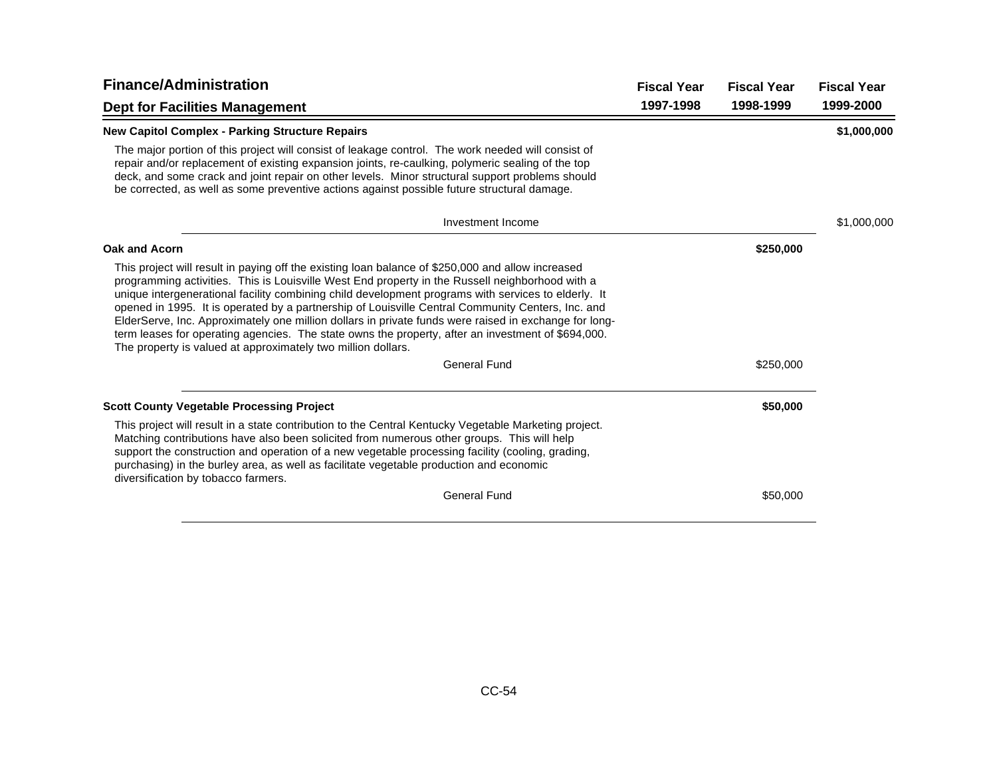| <b>Finance/Administration</b>                                                                                                                                                                                                                                                                                                                                                                                                                                                                                                                                                                                                                                                                   | <b>Fiscal Year</b> | <b>Fiscal Year</b> | <b>Fiscal Year</b> |
|-------------------------------------------------------------------------------------------------------------------------------------------------------------------------------------------------------------------------------------------------------------------------------------------------------------------------------------------------------------------------------------------------------------------------------------------------------------------------------------------------------------------------------------------------------------------------------------------------------------------------------------------------------------------------------------------------|--------------------|--------------------|--------------------|
| <b>Dept for Facilities Management</b>                                                                                                                                                                                                                                                                                                                                                                                                                                                                                                                                                                                                                                                           | 1997-1998          | 1998-1999          | 1999-2000          |
| <b>New Capitol Complex - Parking Structure Repairs</b>                                                                                                                                                                                                                                                                                                                                                                                                                                                                                                                                                                                                                                          |                    |                    | \$1,000,000        |
| The major portion of this project will consist of leakage control. The work needed will consist of<br>repair and/or replacement of existing expansion joints, re-caulking, polymeric sealing of the top<br>deck, and some crack and joint repair on other levels. Minor structural support problems should<br>be corrected, as well as some preventive actions against possible future structural damage.                                                                                                                                                                                                                                                                                       |                    |                    |                    |
| Investment Income                                                                                                                                                                                                                                                                                                                                                                                                                                                                                                                                                                                                                                                                               |                    |                    | \$1,000,000        |
| Oak and Acorn                                                                                                                                                                                                                                                                                                                                                                                                                                                                                                                                                                                                                                                                                   |                    | \$250,000          |                    |
| This project will result in paying off the existing loan balance of \$250,000 and allow increased<br>programming activities. This is Louisville West End property in the Russell neighborhood with a<br>unique intergenerational facility combining child development programs with services to elderly. It<br>opened in 1995. It is operated by a partnership of Louisville Central Community Centers, Inc. and<br>ElderServe, Inc. Approximately one million dollars in private funds were raised in exchange for long-<br>term leases for operating agencies. The state owns the property, after an investment of \$694,000.<br>The property is valued at approximately two million dollars. |                    |                    |                    |
| <b>General Fund</b>                                                                                                                                                                                                                                                                                                                                                                                                                                                                                                                                                                                                                                                                             |                    | \$250,000          |                    |
| <b>Scott County Vegetable Processing Project</b>                                                                                                                                                                                                                                                                                                                                                                                                                                                                                                                                                                                                                                                |                    | \$50,000           |                    |
| This project will result in a state contribution to the Central Kentucky Vegetable Marketing project.<br>Matching contributions have also been solicited from numerous other groups. This will help<br>support the construction and operation of a new vegetable processing facility (cooling, grading,<br>purchasing) in the burley area, as well as facilitate vegetable production and economic<br>diversification by tobacco farmers.                                                                                                                                                                                                                                                       |                    |                    |                    |
| <b>General Fund</b>                                                                                                                                                                                                                                                                                                                                                                                                                                                                                                                                                                                                                                                                             |                    | \$50,000           |                    |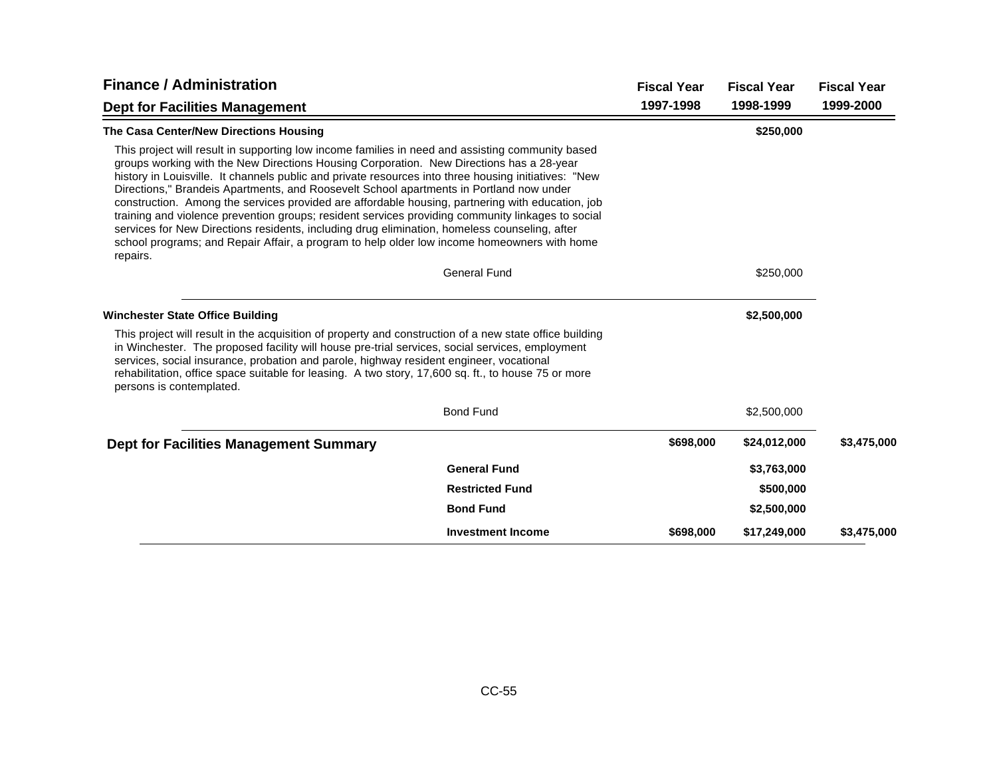| <b>Finance / Administration</b>                                                                                                                                                                                                                                                                                                                                                                                                                                                                                                                                                                                                                                                                                                                                                                                      |                          | <b>Fiscal Year</b> | <b>Fiscal Year</b> | <b>Fiscal Year</b> |
|----------------------------------------------------------------------------------------------------------------------------------------------------------------------------------------------------------------------------------------------------------------------------------------------------------------------------------------------------------------------------------------------------------------------------------------------------------------------------------------------------------------------------------------------------------------------------------------------------------------------------------------------------------------------------------------------------------------------------------------------------------------------------------------------------------------------|--------------------------|--------------------|--------------------|--------------------|
| <b>Dept for Facilities Management</b>                                                                                                                                                                                                                                                                                                                                                                                                                                                                                                                                                                                                                                                                                                                                                                                |                          | 1997-1998          | 1998-1999          | 1999-2000          |
| The Casa Center/New Directions Housing                                                                                                                                                                                                                                                                                                                                                                                                                                                                                                                                                                                                                                                                                                                                                                               |                          |                    | \$250,000          |                    |
| This project will result in supporting low income families in need and assisting community based<br>groups working with the New Directions Housing Corporation. New Directions has a 28-year<br>history in Louisville. It channels public and private resources into three housing initiatives: "New<br>Directions," Brandeis Apartments, and Roosevelt School apartments in Portland now under<br>construction. Among the services provided are affordable housing, partnering with education, job<br>training and violence prevention groups; resident services providing community linkages to social<br>services for New Directions residents, including drug elimination, homeless counseling, after<br>school programs; and Repair Affair, a program to help older low income homeowners with home<br>repairs. |                          |                    |                    |                    |
|                                                                                                                                                                                                                                                                                                                                                                                                                                                                                                                                                                                                                                                                                                                                                                                                                      | <b>General Fund</b>      |                    | \$250,000          |                    |
| <b>Winchester State Office Building</b>                                                                                                                                                                                                                                                                                                                                                                                                                                                                                                                                                                                                                                                                                                                                                                              |                          |                    | \$2,500,000        |                    |
| This project will result in the acquisition of property and construction of a new state office building<br>in Winchester. The proposed facility will house pre-trial services, social services, employment<br>services, social insurance, probation and parole, highway resident engineer, vocational<br>rehabilitation, office space suitable for leasing. A two story, 17,600 sq. ft., to house 75 or more<br>persons is contemplated.                                                                                                                                                                                                                                                                                                                                                                             |                          |                    |                    |                    |
|                                                                                                                                                                                                                                                                                                                                                                                                                                                                                                                                                                                                                                                                                                                                                                                                                      | <b>Bond Fund</b>         |                    | \$2,500,000        |                    |
| <b>Dept for Facilities Management Summary</b>                                                                                                                                                                                                                                                                                                                                                                                                                                                                                                                                                                                                                                                                                                                                                                        |                          | \$698,000          | \$24,012,000       | \$3,475,000        |
|                                                                                                                                                                                                                                                                                                                                                                                                                                                                                                                                                                                                                                                                                                                                                                                                                      | <b>General Fund</b>      |                    | \$3,763,000        |                    |
|                                                                                                                                                                                                                                                                                                                                                                                                                                                                                                                                                                                                                                                                                                                                                                                                                      | <b>Restricted Fund</b>   |                    | \$500,000          |                    |
|                                                                                                                                                                                                                                                                                                                                                                                                                                                                                                                                                                                                                                                                                                                                                                                                                      | <b>Bond Fund</b>         |                    | \$2,500,000        |                    |
|                                                                                                                                                                                                                                                                                                                                                                                                                                                                                                                                                                                                                                                                                                                                                                                                                      | <b>Investment Income</b> | \$698,000          | \$17,249,000       | \$3,475,000        |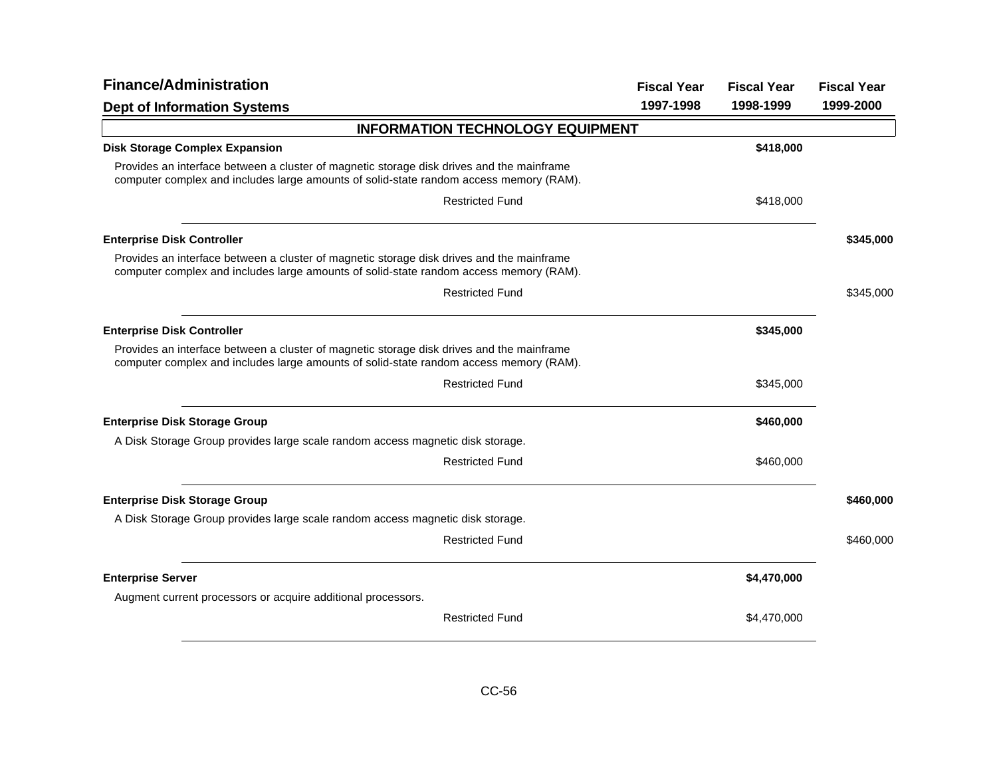| <b>Finance/Administration</b>                                                                                                                                                       | <b>Fiscal Year</b> | <b>Fiscal Year</b> | <b>Fiscal Year</b> |
|-------------------------------------------------------------------------------------------------------------------------------------------------------------------------------------|--------------------|--------------------|--------------------|
| <b>Dept of Information Systems</b>                                                                                                                                                  | 1997-1998          | 1998-1999          | 1999-2000          |
| <b>INFORMATION TECHNOLOGY EQUIPMENT</b>                                                                                                                                             |                    |                    |                    |
| <b>Disk Storage Complex Expansion</b>                                                                                                                                               |                    | \$418,000          |                    |
| Provides an interface between a cluster of magnetic storage disk drives and the mainframe<br>computer complex and includes large amounts of solid-state random access memory (RAM). |                    |                    |                    |
| <b>Restricted Fund</b>                                                                                                                                                              |                    | \$418,000          |                    |
| <b>Enterprise Disk Controller</b>                                                                                                                                                   |                    |                    | \$345,000          |
| Provides an interface between a cluster of magnetic storage disk drives and the mainframe<br>computer complex and includes large amounts of solid-state random access memory (RAM). |                    |                    |                    |
| <b>Restricted Fund</b>                                                                                                                                                              |                    |                    | \$345,000          |
| <b>Enterprise Disk Controller</b>                                                                                                                                                   |                    | \$345,000          |                    |
| Provides an interface between a cluster of magnetic storage disk drives and the mainframe<br>computer complex and includes large amounts of solid-state random access memory (RAM). |                    |                    |                    |
| <b>Restricted Fund</b>                                                                                                                                                              |                    | \$345,000          |                    |
| <b>Enterprise Disk Storage Group</b>                                                                                                                                                |                    | \$460,000          |                    |
| A Disk Storage Group provides large scale random access magnetic disk storage.                                                                                                      |                    |                    |                    |
| <b>Restricted Fund</b>                                                                                                                                                              |                    | \$460,000          |                    |
| <b>Enterprise Disk Storage Group</b>                                                                                                                                                |                    |                    | \$460,000          |
| A Disk Storage Group provides large scale random access magnetic disk storage.                                                                                                      |                    |                    |                    |
| <b>Restricted Fund</b>                                                                                                                                                              |                    |                    | \$460,000          |
| <b>Enterprise Server</b>                                                                                                                                                            |                    | \$4,470,000        |                    |
| Augment current processors or acquire additional processors.                                                                                                                        |                    |                    |                    |
| <b>Restricted Fund</b>                                                                                                                                                              |                    | \$4,470,000        |                    |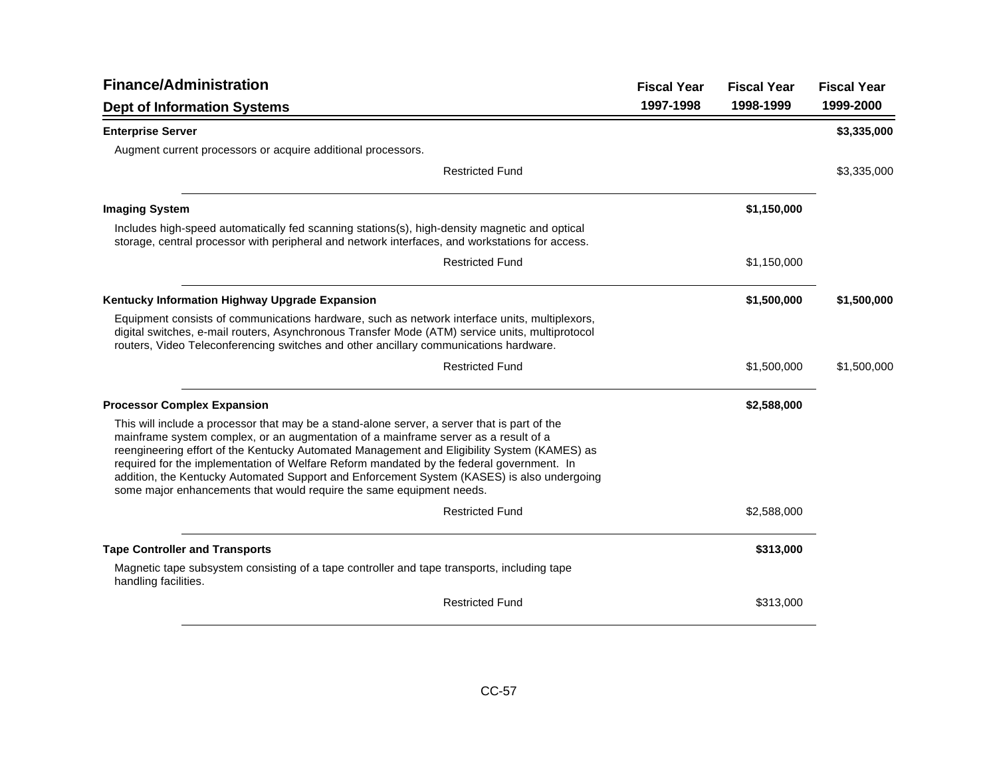| <b>Finance/Administration</b>                                                                                                                                                                                                                                                                                                                                                                                                                                                                                                                        | <b>Fiscal Year</b> | <b>Fiscal Year</b> | <b>Fiscal Year</b> |
|------------------------------------------------------------------------------------------------------------------------------------------------------------------------------------------------------------------------------------------------------------------------------------------------------------------------------------------------------------------------------------------------------------------------------------------------------------------------------------------------------------------------------------------------------|--------------------|--------------------|--------------------|
| <b>Dept of Information Systems</b>                                                                                                                                                                                                                                                                                                                                                                                                                                                                                                                   | 1997-1998          | 1998-1999          | 1999-2000          |
| <b>Enterprise Server</b>                                                                                                                                                                                                                                                                                                                                                                                                                                                                                                                             |                    |                    | \$3,335,000        |
| Augment current processors or acquire additional processors.                                                                                                                                                                                                                                                                                                                                                                                                                                                                                         |                    |                    |                    |
| <b>Restricted Fund</b>                                                                                                                                                                                                                                                                                                                                                                                                                                                                                                                               |                    |                    | \$3,335,000        |
| <b>Imaging System</b>                                                                                                                                                                                                                                                                                                                                                                                                                                                                                                                                |                    | \$1,150,000        |                    |
| Includes high-speed automatically fed scanning stations(s), high-density magnetic and optical<br>storage, central processor with peripheral and network interfaces, and workstations for access.                                                                                                                                                                                                                                                                                                                                                     |                    |                    |                    |
| <b>Restricted Fund</b>                                                                                                                                                                                                                                                                                                                                                                                                                                                                                                                               |                    | \$1,150,000        |                    |
| Kentucky Information Highway Upgrade Expansion                                                                                                                                                                                                                                                                                                                                                                                                                                                                                                       |                    | \$1,500,000        | \$1,500,000        |
| Equipment consists of communications hardware, such as network interface units, multiplexors,<br>digital switches, e-mail routers, Asynchronous Transfer Mode (ATM) service units, multiprotocol<br>routers, Video Teleconferencing switches and other ancillary communications hardware.                                                                                                                                                                                                                                                            |                    |                    |                    |
| <b>Restricted Fund</b>                                                                                                                                                                                                                                                                                                                                                                                                                                                                                                                               |                    | \$1,500,000        | \$1,500,000        |
| <b>Processor Complex Expansion</b>                                                                                                                                                                                                                                                                                                                                                                                                                                                                                                                   |                    | \$2,588,000        |                    |
| This will include a processor that may be a stand-alone server, a server that is part of the<br>mainframe system complex, or an augmentation of a mainframe server as a result of a<br>reengineering effort of the Kentucky Automated Management and Eligibility System (KAMES) as<br>required for the implementation of Welfare Reform mandated by the federal government. In<br>addition, the Kentucky Automated Support and Enforcement System (KASES) is also undergoing<br>some major enhancements that would require the same equipment needs. |                    |                    |                    |
| <b>Restricted Fund</b>                                                                                                                                                                                                                                                                                                                                                                                                                                                                                                                               |                    | \$2,588,000        |                    |
| <b>Tape Controller and Transports</b>                                                                                                                                                                                                                                                                                                                                                                                                                                                                                                                |                    | \$313,000          |                    |
| Magnetic tape subsystem consisting of a tape controller and tape transports, including tape<br>handling facilities.                                                                                                                                                                                                                                                                                                                                                                                                                                  |                    |                    |                    |
| <b>Restricted Fund</b>                                                                                                                                                                                                                                                                                                                                                                                                                                                                                                                               |                    | \$313,000          |                    |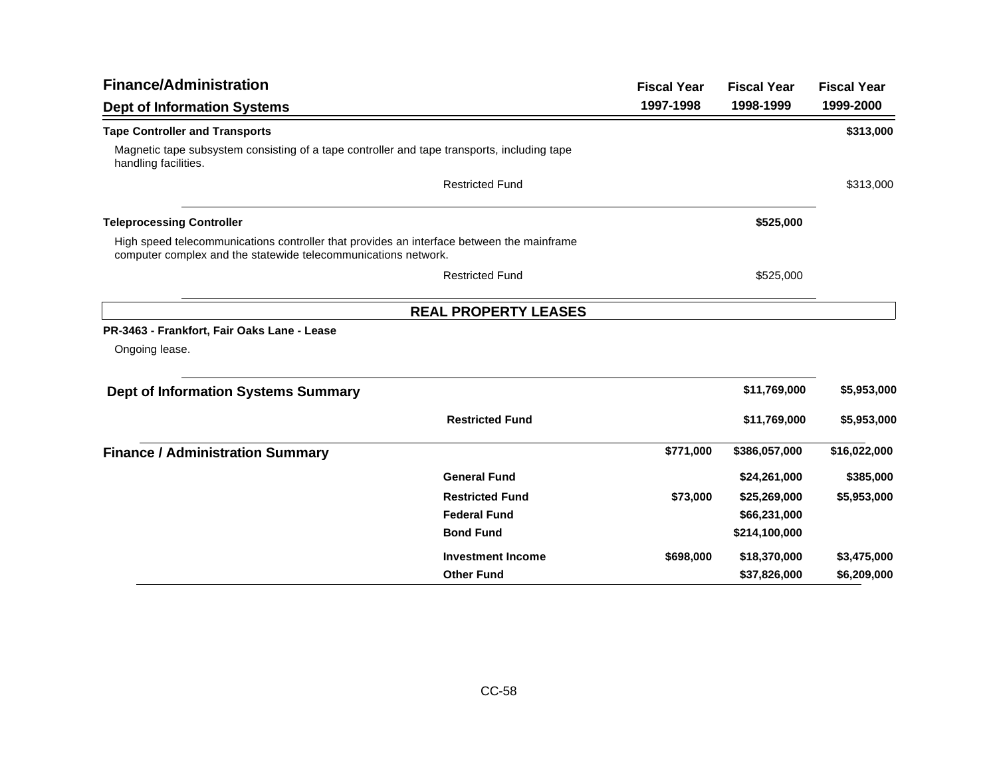| <b>Finance/Administration</b>                                                                                                                               |                             | <b>Fiscal Year</b> | <b>Fiscal Year</b> | <b>Fiscal Year</b> |
|-------------------------------------------------------------------------------------------------------------------------------------------------------------|-----------------------------|--------------------|--------------------|--------------------|
| <b>Dept of Information Systems</b>                                                                                                                          |                             | 1997-1998          | 1998-1999          | 1999-2000          |
| <b>Tape Controller and Transports</b>                                                                                                                       |                             |                    |                    | \$313,000          |
| Magnetic tape subsystem consisting of a tape controller and tape transports, including tape<br>handling facilities.                                         |                             |                    |                    |                    |
|                                                                                                                                                             | <b>Restricted Fund</b>      |                    |                    | \$313,000          |
| <b>Teleprocessing Controller</b>                                                                                                                            |                             |                    | \$525,000          |                    |
| High speed telecommunications controller that provides an interface between the mainframe<br>computer complex and the statewide telecommunications network. |                             |                    |                    |                    |
|                                                                                                                                                             | <b>Restricted Fund</b>      |                    | \$525,000          |                    |
|                                                                                                                                                             | <b>REAL PROPERTY LEASES</b> |                    |                    |                    |
| PR-3463 - Frankfort, Fair Oaks Lane - Lease                                                                                                                 |                             |                    |                    |                    |
| Ongoing lease.                                                                                                                                              |                             |                    |                    |                    |
| <b>Dept of Information Systems Summary</b>                                                                                                                  |                             |                    | \$11,769,000       | \$5,953,000        |
|                                                                                                                                                             | <b>Restricted Fund</b>      |                    | \$11,769,000       | \$5,953,000        |
| <b>Finance / Administration Summary</b>                                                                                                                     |                             | \$771,000          | \$386,057,000      | \$16,022,000       |
|                                                                                                                                                             | <b>General Fund</b>         |                    | \$24,261,000       | \$385,000          |
|                                                                                                                                                             | <b>Restricted Fund</b>      | \$73,000           | \$25,269,000       | \$5,953,000        |
|                                                                                                                                                             | <b>Federal Fund</b>         |                    | \$66,231,000       |                    |
|                                                                                                                                                             | <b>Bond Fund</b>            |                    | \$214,100,000      |                    |
|                                                                                                                                                             | <b>Investment Income</b>    | \$698,000          | \$18,370,000       | \$3,475,000        |
|                                                                                                                                                             | <b>Other Fund</b>           |                    | \$37,826,000       | \$6,209,000        |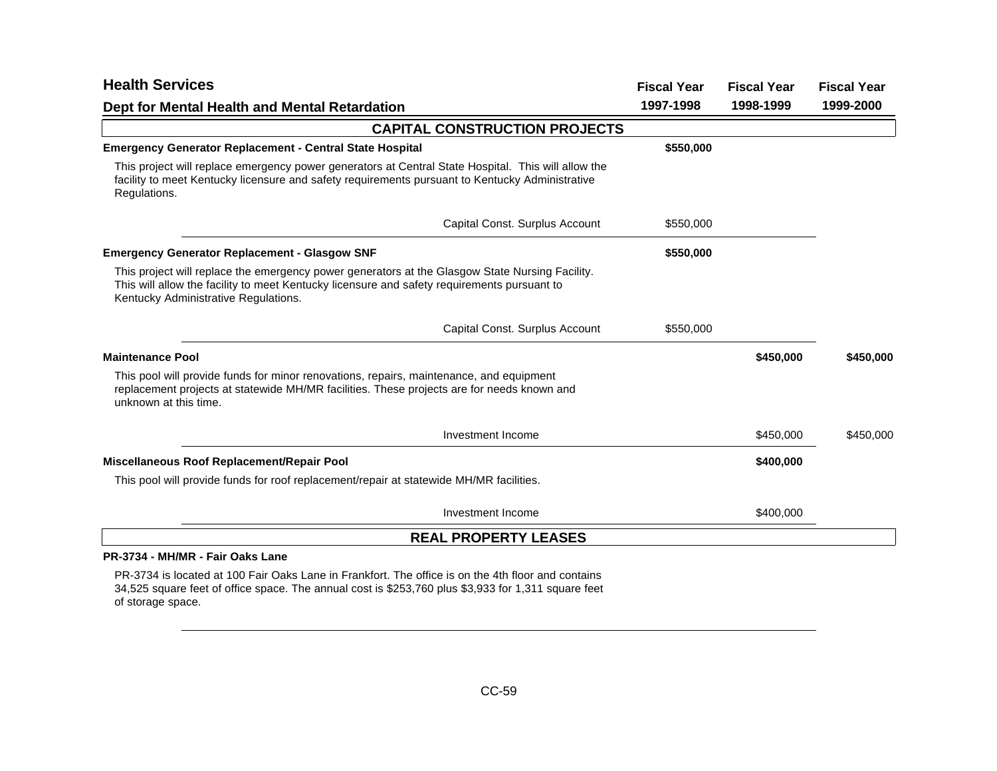| <b>Health Services</b>                                                                                                                                                                                                                 | <b>Fiscal Year</b> | <b>Fiscal Year</b> | <b>Fiscal Year</b> |
|----------------------------------------------------------------------------------------------------------------------------------------------------------------------------------------------------------------------------------------|--------------------|--------------------|--------------------|
| Dept for Mental Health and Mental Retardation                                                                                                                                                                                          | 1997-1998          | 1998-1999          | 1999-2000          |
| <b>CAPITAL CONSTRUCTION PROJECTS</b>                                                                                                                                                                                                   |                    |                    |                    |
| <b>Emergency Generator Replacement - Central State Hospital</b>                                                                                                                                                                        | \$550,000          |                    |                    |
| This project will replace emergency power generators at Central State Hospital. This will allow the<br>facility to meet Kentucky licensure and safety requirements pursuant to Kentucky Administrative<br>Regulations.                 |                    |                    |                    |
| Capital Const. Surplus Account                                                                                                                                                                                                         | \$550,000          |                    |                    |
| <b>Emergency Generator Replacement - Glasgow SNF</b>                                                                                                                                                                                   | \$550,000          |                    |                    |
| This project will replace the emergency power generators at the Glasgow State Nursing Facility.<br>This will allow the facility to meet Kentucky licensure and safety requirements pursuant to<br>Kentucky Administrative Regulations. |                    |                    |                    |
| Capital Const. Surplus Account                                                                                                                                                                                                         | \$550,000          |                    |                    |
| <b>Maintenance Pool</b>                                                                                                                                                                                                                |                    | \$450,000          | \$450,000          |
| This pool will provide funds for minor renovations, repairs, maintenance, and equipment<br>replacement projects at statewide MH/MR facilities. These projects are for needs known and<br>unknown at this time.                         |                    |                    |                    |
| Investment Income                                                                                                                                                                                                                      |                    | \$450,000          | \$450,000          |
| Miscellaneous Roof Replacement/Repair Pool                                                                                                                                                                                             |                    | \$400,000          |                    |
| This pool will provide funds for roof replacement/repair at statewide MH/MR facilities.                                                                                                                                                |                    |                    |                    |
| Investment Income                                                                                                                                                                                                                      |                    | \$400,000          |                    |
| <b>REAL PROPERTY LEASES</b>                                                                                                                                                                                                            |                    |                    |                    |
| PR-3734 - MH/MR - Fair Oaks Lane                                                                                                                                                                                                       |                    |                    |                    |
| DD-3734 is located at 100 Eair Oaks Lane in Frankfort. The office is on the 4th floor and contains                                                                                                                                     |                    |                    |                    |

PR-3734 is located at 100 Fair Oaks Lane in Frankfort. The office is on the 4th floor and contains 34,525 square feet of office space. The annual cost is \$253,760 plus \$3,933 for 1,311 square feet of storage space.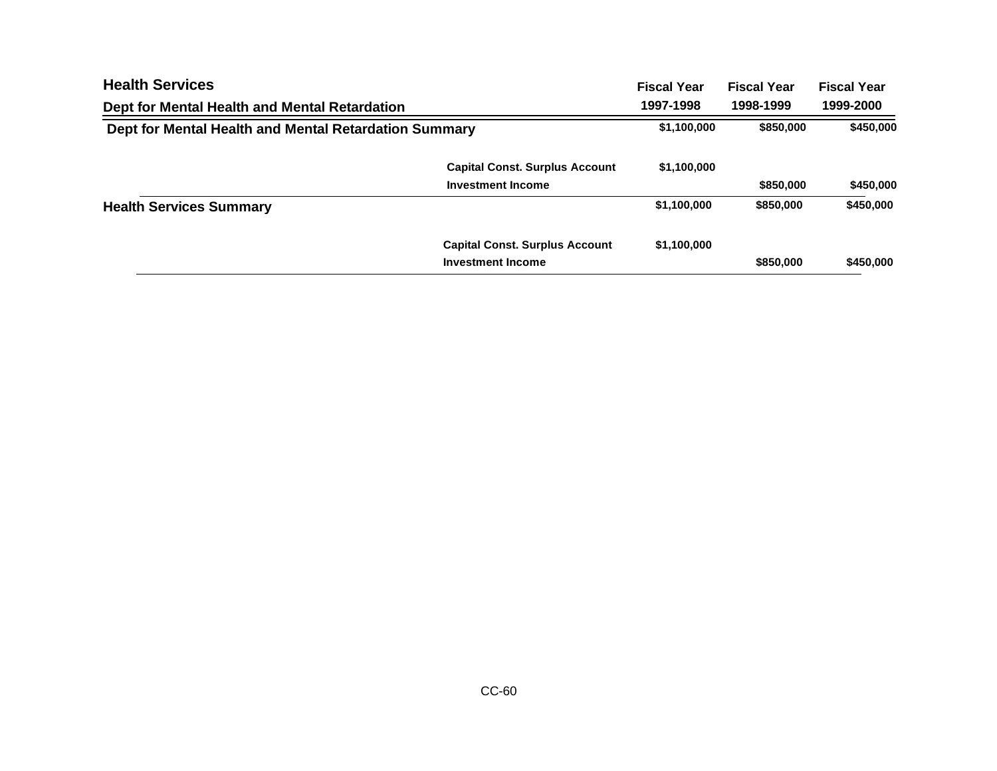| <b>Health Services</b>                                |                                       | <b>Fiscal Year</b> | <b>Fiscal Year</b> | <b>Fiscal Year</b> |
|-------------------------------------------------------|---------------------------------------|--------------------|--------------------|--------------------|
| Dept for Mental Health and Mental Retardation         |                                       | 1997-1998          | 1998-1999          | 1999-2000          |
| Dept for Mental Health and Mental Retardation Summary |                                       | \$1,100,000        | \$850,000          | \$450,000          |
|                                                       | <b>Capital Const. Surplus Account</b> | \$1,100,000        |                    |                    |
|                                                       | <b>Investment Income</b>              |                    | \$850,000          | \$450,000          |
| <b>Health Services Summary</b>                        |                                       | \$1,100,000        | \$850,000          | \$450,000          |
|                                                       | <b>Capital Const. Surplus Account</b> | \$1,100,000        |                    |                    |
|                                                       | <b>Investment Income</b>              |                    | \$850,000          | \$450,000          |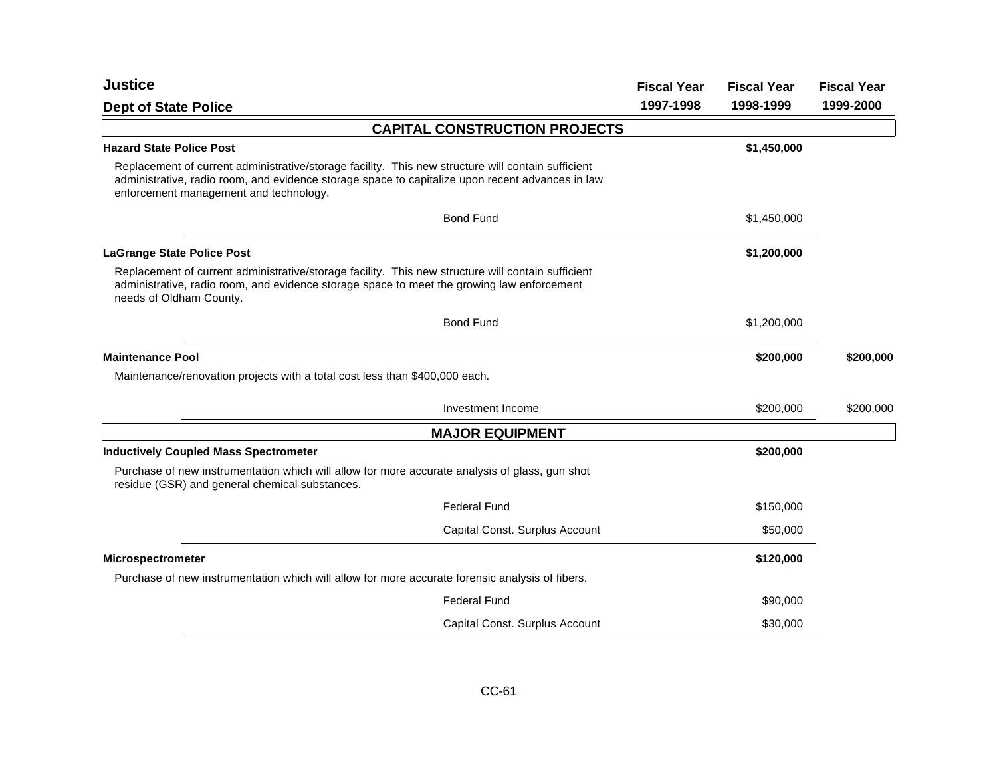| <b>Justice</b>                                                                                                                                                                                                                                   | <b>Fiscal Year</b> | <b>Fiscal Year</b> | <b>Fiscal Year</b> |
|--------------------------------------------------------------------------------------------------------------------------------------------------------------------------------------------------------------------------------------------------|--------------------|--------------------|--------------------|
| <b>Dept of State Police</b>                                                                                                                                                                                                                      | 1997-1998          | 1998-1999          | 1999-2000          |
| <b>CAPITAL CONSTRUCTION PROJECTS</b>                                                                                                                                                                                                             |                    |                    |                    |
| <b>Hazard State Police Post</b>                                                                                                                                                                                                                  |                    | \$1,450,000        |                    |
| Replacement of current administrative/storage facility. This new structure will contain sufficient<br>administrative, radio room, and evidence storage space to capitalize upon recent advances in law<br>enforcement management and technology. |                    |                    |                    |
| <b>Bond Fund</b>                                                                                                                                                                                                                                 |                    | \$1,450,000        |                    |
| <b>LaGrange State Police Post</b>                                                                                                                                                                                                                |                    | \$1,200,000        |                    |
| Replacement of current administrative/storage facility. This new structure will contain sufficient<br>administrative, radio room, and evidence storage space to meet the growing law enforcement<br>needs of Oldham County.                      |                    |                    |                    |
| <b>Bond Fund</b>                                                                                                                                                                                                                                 |                    | \$1,200,000        |                    |
| <b>Maintenance Pool</b>                                                                                                                                                                                                                          |                    | \$200,000          | \$200,000          |
| Maintenance/renovation projects with a total cost less than \$400,000 each.                                                                                                                                                                      |                    |                    |                    |
| Investment Income                                                                                                                                                                                                                                |                    | \$200,000          | \$200,000          |
| <b>MAJOR EQUIPMENT</b>                                                                                                                                                                                                                           |                    |                    |                    |
| <b>Inductively Coupled Mass Spectrometer</b>                                                                                                                                                                                                     |                    | \$200,000          |                    |
| Purchase of new instrumentation which will allow for more accurate analysis of glass, gun shot<br>residue (GSR) and general chemical substances.                                                                                                 |                    |                    |                    |
| <b>Federal Fund</b>                                                                                                                                                                                                                              |                    | \$150,000          |                    |
| Capital Const. Surplus Account                                                                                                                                                                                                                   |                    | \$50,000           |                    |
| <b>Microspectrometer</b>                                                                                                                                                                                                                         |                    | \$120,000          |                    |
| Purchase of new instrumentation which will allow for more accurate forensic analysis of fibers.                                                                                                                                                  |                    |                    |                    |
| <b>Federal Fund</b>                                                                                                                                                                                                                              |                    | \$90,000           |                    |
| Capital Const. Surplus Account                                                                                                                                                                                                                   |                    | \$30,000           |                    |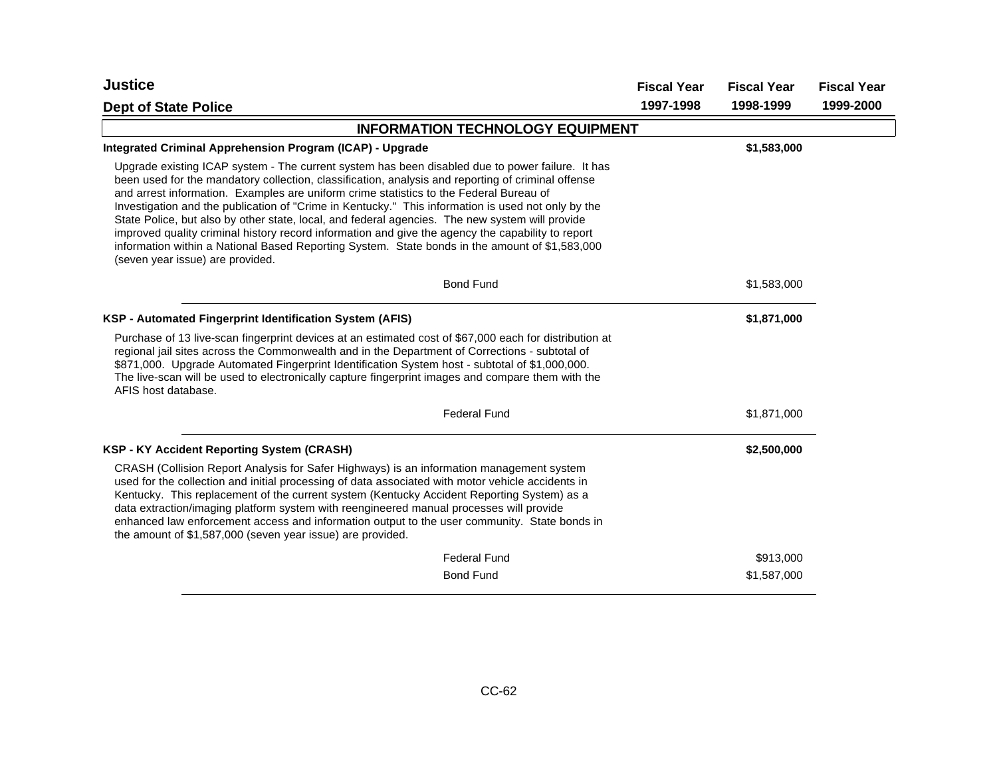| <b>Justice</b>                                                                                                                                                                                                                                                                                                                                                                                                                                                                                                                                                                                                                                                                                                                                       | <b>Fiscal Year</b> | <b>Fiscal Year</b> | <b>Fiscal Year</b> |
|------------------------------------------------------------------------------------------------------------------------------------------------------------------------------------------------------------------------------------------------------------------------------------------------------------------------------------------------------------------------------------------------------------------------------------------------------------------------------------------------------------------------------------------------------------------------------------------------------------------------------------------------------------------------------------------------------------------------------------------------------|--------------------|--------------------|--------------------|
| <b>Dept of State Police</b>                                                                                                                                                                                                                                                                                                                                                                                                                                                                                                                                                                                                                                                                                                                          | 1997-1998          | 1998-1999          | 1999-2000          |
| <b>INFORMATION TECHNOLOGY EQUIPMENT</b>                                                                                                                                                                                                                                                                                                                                                                                                                                                                                                                                                                                                                                                                                                              |                    |                    |                    |
| Integrated Criminal Apprehension Program (ICAP) - Upgrade                                                                                                                                                                                                                                                                                                                                                                                                                                                                                                                                                                                                                                                                                            |                    | \$1,583,000        |                    |
| Upgrade existing ICAP system - The current system has been disabled due to power failure. It has<br>been used for the mandatory collection, classification, analysis and reporting of criminal offense<br>and arrest information. Examples are uniform crime statistics to the Federal Bureau of<br>Investigation and the publication of "Crime in Kentucky." This information is used not only by the<br>State Police, but also by other state, local, and federal agencies. The new system will provide<br>improved quality criminal history record information and give the agency the capability to report<br>information within a National Based Reporting System. State bonds in the amount of \$1,583,000<br>(seven year issue) are provided. |                    |                    |                    |
| <b>Bond Fund</b>                                                                                                                                                                                                                                                                                                                                                                                                                                                                                                                                                                                                                                                                                                                                     |                    | \$1,583,000        |                    |
| KSP - Automated Fingerprint Identification System (AFIS)                                                                                                                                                                                                                                                                                                                                                                                                                                                                                                                                                                                                                                                                                             |                    | \$1,871,000        |                    |
| Purchase of 13 live-scan fingerprint devices at an estimated cost of \$67,000 each for distribution at<br>regional jail sites across the Commonwealth and in the Department of Corrections - subtotal of<br>\$871,000. Upgrade Automated Fingerprint Identification System host - subtotal of \$1,000,000.<br>The live-scan will be used to electronically capture fingerprint images and compare them with the<br>AFIS host database.                                                                                                                                                                                                                                                                                                               |                    |                    |                    |
| <b>Federal Fund</b>                                                                                                                                                                                                                                                                                                                                                                                                                                                                                                                                                                                                                                                                                                                                  |                    | \$1,871,000        |                    |
| <b>KSP - KY Accident Reporting System (CRASH)</b>                                                                                                                                                                                                                                                                                                                                                                                                                                                                                                                                                                                                                                                                                                    |                    | \$2,500,000        |                    |
| CRASH (Collision Report Analysis for Safer Highways) is an information management system<br>used for the collection and initial processing of data associated with motor vehicle accidents in<br>Kentucky. This replacement of the current system (Kentucky Accident Reporting System) as a<br>data extraction/imaging platform system with reengineered manual processes will provide<br>enhanced law enforcement access and information output to the user community. State bonds in<br>the amount of \$1,587,000 (seven year issue) are provided.                                                                                                                                                                                                 |                    |                    |                    |
| <b>Federal Fund</b>                                                                                                                                                                                                                                                                                                                                                                                                                                                                                                                                                                                                                                                                                                                                  |                    | \$913,000          |                    |
| <b>Bond Fund</b>                                                                                                                                                                                                                                                                                                                                                                                                                                                                                                                                                                                                                                                                                                                                     |                    | \$1,587,000        |                    |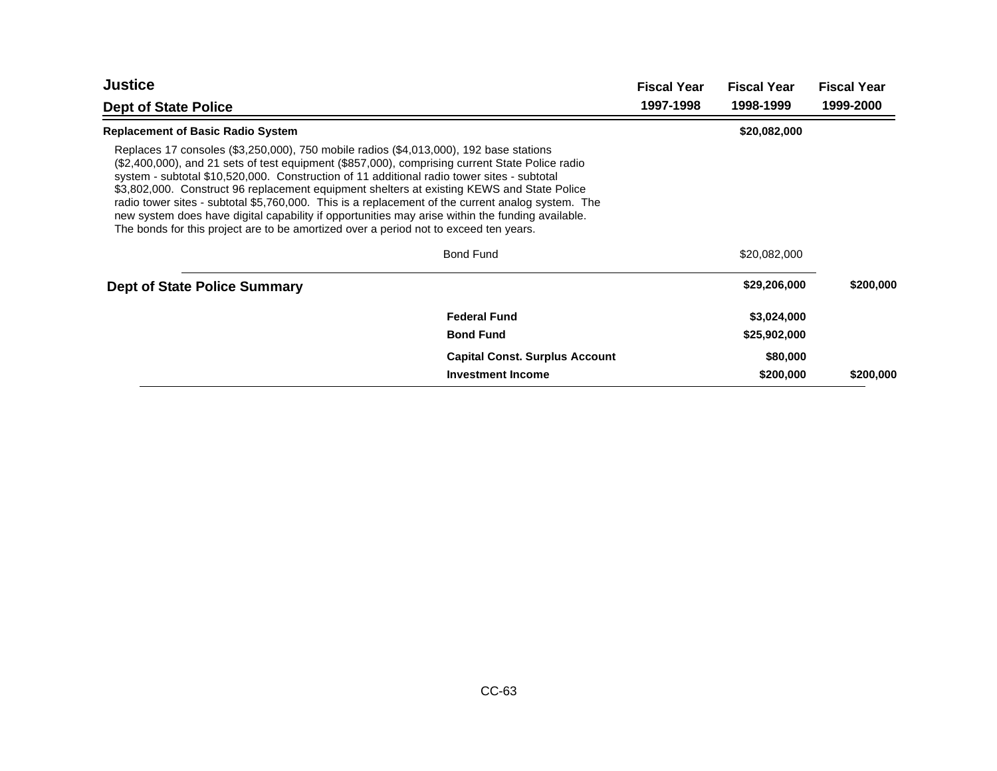| <b>Justice</b>                                                                                                                                                                                                                                                                                                                                                                                                                                                                                                                                                                                                                                                                          |                                       | <b>Fiscal Year</b> | <b>Fiscal Year</b> | <b>Fiscal Year</b> |
|-----------------------------------------------------------------------------------------------------------------------------------------------------------------------------------------------------------------------------------------------------------------------------------------------------------------------------------------------------------------------------------------------------------------------------------------------------------------------------------------------------------------------------------------------------------------------------------------------------------------------------------------------------------------------------------------|---------------------------------------|--------------------|--------------------|--------------------|
| <b>Dept of State Police</b>                                                                                                                                                                                                                                                                                                                                                                                                                                                                                                                                                                                                                                                             |                                       | 1997-1998          | 1998-1999          | 1999-2000          |
| <b>Replacement of Basic Radio System</b>                                                                                                                                                                                                                                                                                                                                                                                                                                                                                                                                                                                                                                                |                                       |                    | \$20,082,000       |                    |
| Replaces 17 consoles (\$3,250,000), 750 mobile radios (\$4,013,000), 192 base stations<br>(\$2,400,000), and 21 sets of test equipment (\$857,000), comprising current State Police radio<br>system - subtotal \$10,520,000. Construction of 11 additional radio tower sites - subtotal<br>\$3,802,000. Construct 96 replacement equipment shelters at existing KEWS and State Police<br>radio tower sites - subtotal \$5,760,000. This is a replacement of the current analog system. The<br>new system does have digital capability if opportunities may arise within the funding available.<br>The bonds for this project are to be amortized over a period not to exceed ten years. |                                       |                    |                    |                    |
|                                                                                                                                                                                                                                                                                                                                                                                                                                                                                                                                                                                                                                                                                         | <b>Bond Fund</b>                      |                    | \$20,082,000       |                    |
| <b>Dept of State Police Summary</b>                                                                                                                                                                                                                                                                                                                                                                                                                                                                                                                                                                                                                                                     |                                       |                    | \$29,206,000       | \$200,000          |
|                                                                                                                                                                                                                                                                                                                                                                                                                                                                                                                                                                                                                                                                                         | <b>Federal Fund</b>                   |                    | \$3,024,000        |                    |
|                                                                                                                                                                                                                                                                                                                                                                                                                                                                                                                                                                                                                                                                                         | <b>Bond Fund</b>                      |                    | \$25,902,000       |                    |
|                                                                                                                                                                                                                                                                                                                                                                                                                                                                                                                                                                                                                                                                                         | <b>Capital Const. Surplus Account</b> |                    | \$80,000           |                    |
|                                                                                                                                                                                                                                                                                                                                                                                                                                                                                                                                                                                                                                                                                         | <b>Investment Income</b>              |                    | \$200,000          | \$200,000          |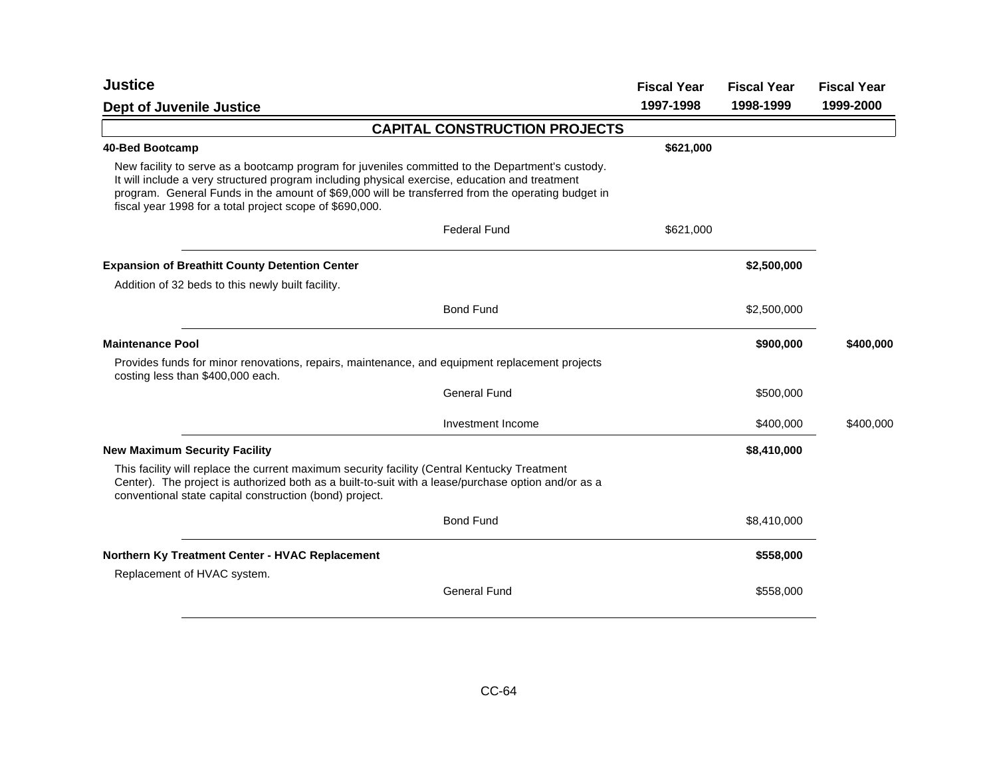| <b>Justice</b>                                                                                                                                                                                                                                                                                                                                                      | <b>Fiscal Year</b> | <b>Fiscal Year</b> | <b>Fiscal Year</b> |
|---------------------------------------------------------------------------------------------------------------------------------------------------------------------------------------------------------------------------------------------------------------------------------------------------------------------------------------------------------------------|--------------------|--------------------|--------------------|
| <b>Dept of Juvenile Justice</b>                                                                                                                                                                                                                                                                                                                                     | 1997-1998          | 1998-1999          | 1999-2000          |
| <b>CAPITAL CONSTRUCTION PROJECTS</b>                                                                                                                                                                                                                                                                                                                                |                    |                    |                    |
| 40-Bed Bootcamp                                                                                                                                                                                                                                                                                                                                                     | \$621,000          |                    |                    |
| New facility to serve as a bootcamp program for juveniles committed to the Department's custody.<br>It will include a very structured program including physical exercise, education and treatment<br>program. General Funds in the amount of \$69,000 will be transferred from the operating budget in<br>fiscal year 1998 for a total project scope of \$690,000. |                    |                    |                    |
| <b>Federal Fund</b>                                                                                                                                                                                                                                                                                                                                                 | \$621,000          |                    |                    |
| <b>Expansion of Breathitt County Detention Center</b>                                                                                                                                                                                                                                                                                                               |                    | \$2,500,000        |                    |
| Addition of 32 beds to this newly built facility.                                                                                                                                                                                                                                                                                                                   |                    |                    |                    |
| <b>Bond Fund</b>                                                                                                                                                                                                                                                                                                                                                    |                    | \$2,500,000        |                    |
| <b>Maintenance Pool</b>                                                                                                                                                                                                                                                                                                                                             |                    | \$900,000          | \$400,000          |
| Provides funds for minor renovations, repairs, maintenance, and equipment replacement projects<br>costing less than \$400,000 each.                                                                                                                                                                                                                                 |                    |                    |                    |
| <b>General Fund</b>                                                                                                                                                                                                                                                                                                                                                 |                    | \$500,000          |                    |
| Investment Income                                                                                                                                                                                                                                                                                                                                                   |                    | \$400,000          | \$400,000          |
| <b>New Maximum Security Facility</b>                                                                                                                                                                                                                                                                                                                                |                    | \$8,410,000        |                    |
| This facility will replace the current maximum security facility (Central Kentucky Treatment<br>Center). The project is authorized both as a built-to-suit with a lease/purchase option and/or as a<br>conventional state capital construction (bond) project.                                                                                                      |                    |                    |                    |
| <b>Bond Fund</b>                                                                                                                                                                                                                                                                                                                                                    |                    | \$8,410,000        |                    |
| Northern Ky Treatment Center - HVAC Replacement                                                                                                                                                                                                                                                                                                                     |                    | \$558,000          |                    |
| Replacement of HVAC system.                                                                                                                                                                                                                                                                                                                                         |                    |                    |                    |
| <b>General Fund</b>                                                                                                                                                                                                                                                                                                                                                 |                    | \$558,000          |                    |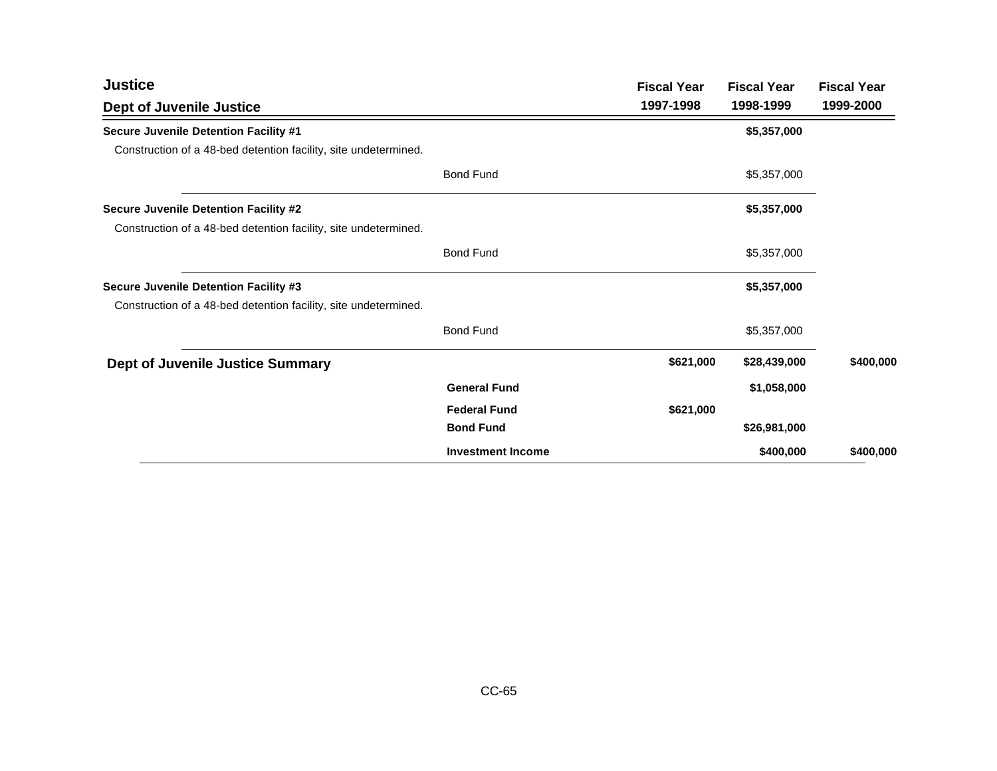| <b>Justice</b>                                                  |                          | <b>Fiscal Year</b> | <b>Fiscal Year</b> | <b>Fiscal Year</b> |
|-----------------------------------------------------------------|--------------------------|--------------------|--------------------|--------------------|
| <b>Dept of Juvenile Justice</b>                                 |                          | 1997-1998          | 1998-1999          | 1999-2000          |
| Secure Juvenile Detention Facility #1                           |                          |                    | \$5,357,000        |                    |
| Construction of a 48-bed detention facility, site undetermined. |                          |                    |                    |                    |
|                                                                 | <b>Bond Fund</b>         |                    | \$5,357,000        |                    |
| Secure Juvenile Detention Facility #2                           |                          |                    | \$5,357,000        |                    |
| Construction of a 48-bed detention facility, site undetermined. |                          |                    |                    |                    |
|                                                                 | <b>Bond Fund</b>         |                    | \$5,357,000        |                    |
| Secure Juvenile Detention Facility #3                           |                          |                    | \$5,357,000        |                    |
| Construction of a 48-bed detention facility, site undetermined. |                          |                    |                    |                    |
|                                                                 | <b>Bond Fund</b>         |                    | \$5,357,000        |                    |
| <b>Dept of Juvenile Justice Summary</b>                         |                          | \$621,000          | \$28,439,000       | \$400,000          |
|                                                                 | <b>General Fund</b>      |                    | \$1,058,000        |                    |
|                                                                 | <b>Federal Fund</b>      | \$621,000          |                    |                    |
|                                                                 | <b>Bond Fund</b>         |                    | \$26,981,000       |                    |
|                                                                 | <b>Investment Income</b> |                    | \$400,000          | \$400,000          |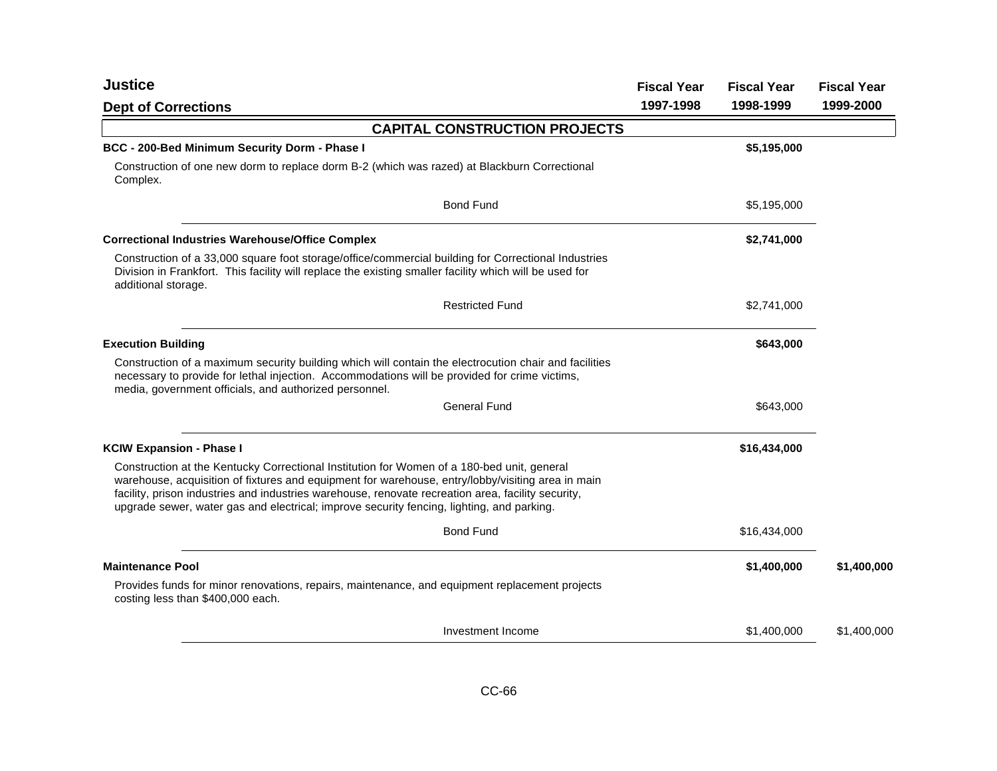| <b>Justice</b>                                                                                                                                                                                                                                                                                                                                                                                     | <b>Fiscal Year</b> | <b>Fiscal Year</b> | <b>Fiscal Year</b> |
|----------------------------------------------------------------------------------------------------------------------------------------------------------------------------------------------------------------------------------------------------------------------------------------------------------------------------------------------------------------------------------------------------|--------------------|--------------------|--------------------|
| <b>Dept of Corrections</b>                                                                                                                                                                                                                                                                                                                                                                         | 1997-1998          | 1998-1999          | 1999-2000          |
| <b>CAPITAL CONSTRUCTION PROJECTS</b>                                                                                                                                                                                                                                                                                                                                                               |                    |                    |                    |
| BCC - 200-Bed Minimum Security Dorm - Phase I                                                                                                                                                                                                                                                                                                                                                      |                    | \$5,195,000        |                    |
| Construction of one new dorm to replace dorm B-2 (which was razed) at Blackburn Correctional<br>Complex.                                                                                                                                                                                                                                                                                           |                    |                    |                    |
| <b>Bond Fund</b>                                                                                                                                                                                                                                                                                                                                                                                   |                    | \$5,195,000        |                    |
| <b>Correctional Industries Warehouse/Office Complex</b>                                                                                                                                                                                                                                                                                                                                            |                    | \$2,741,000        |                    |
| Construction of a 33,000 square foot storage/office/commercial building for Correctional Industries<br>Division in Frankfort. This facility will replace the existing smaller facility which will be used for<br>additional storage.                                                                                                                                                               |                    |                    |                    |
| <b>Restricted Fund</b>                                                                                                                                                                                                                                                                                                                                                                             |                    | \$2,741,000        |                    |
| <b>Execution Building</b>                                                                                                                                                                                                                                                                                                                                                                          |                    | \$643,000          |                    |
| Construction of a maximum security building which will contain the electrocution chair and facilities<br>necessary to provide for lethal injection. Accommodations will be provided for crime victims,<br>media, government officials, and authorized personnel.                                                                                                                                   |                    |                    |                    |
| <b>General Fund</b>                                                                                                                                                                                                                                                                                                                                                                                |                    | \$643,000          |                    |
| <b>KCIW Expansion - Phase I</b>                                                                                                                                                                                                                                                                                                                                                                    |                    | \$16,434,000       |                    |
| Construction at the Kentucky Correctional Institution for Women of a 180-bed unit, general<br>warehouse, acquisition of fixtures and equipment for warehouse, entry/lobby/visiting area in main<br>facility, prison industries and industries warehouse, renovate recreation area, facility security,<br>upgrade sewer, water gas and electrical; improve security fencing, lighting, and parking. |                    |                    |                    |
| <b>Bond Fund</b>                                                                                                                                                                                                                                                                                                                                                                                   |                    | \$16,434,000       |                    |
| <b>Maintenance Pool</b>                                                                                                                                                                                                                                                                                                                                                                            |                    | \$1,400,000        | \$1,400,000        |
| Provides funds for minor renovations, repairs, maintenance, and equipment replacement projects<br>costing less than \$400,000 each.                                                                                                                                                                                                                                                                |                    |                    |                    |
| Investment Income                                                                                                                                                                                                                                                                                                                                                                                  |                    | \$1,400,000        | \$1,400,000        |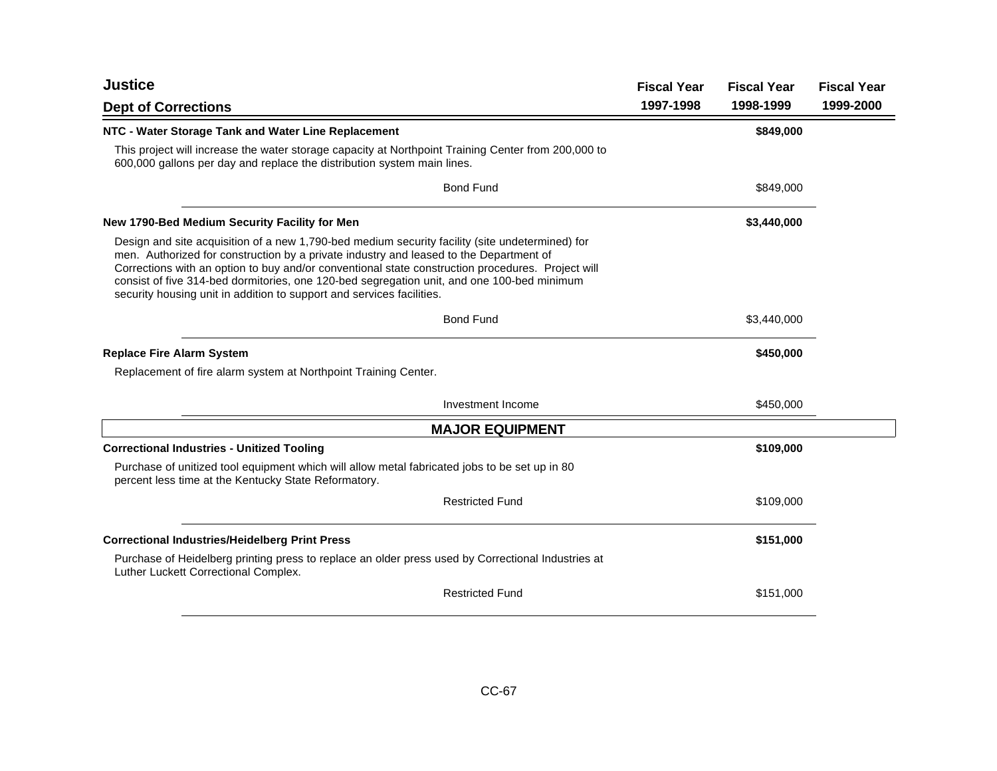| Justice                                                                                                                                                                                                                                                                                                                                                                                                                                                               | <b>Fiscal Year</b> | <b>Fiscal Year</b> | <b>Fiscal Year</b> |
|-----------------------------------------------------------------------------------------------------------------------------------------------------------------------------------------------------------------------------------------------------------------------------------------------------------------------------------------------------------------------------------------------------------------------------------------------------------------------|--------------------|--------------------|--------------------|
| <b>Dept of Corrections</b>                                                                                                                                                                                                                                                                                                                                                                                                                                            | 1997-1998          | 1998-1999          | 1999-2000          |
| NTC - Water Storage Tank and Water Line Replacement                                                                                                                                                                                                                                                                                                                                                                                                                   |                    | \$849,000          |                    |
| This project will increase the water storage capacity at Northpoint Training Center from 200,000 to<br>600,000 gallons per day and replace the distribution system main lines.                                                                                                                                                                                                                                                                                        |                    |                    |                    |
| <b>Bond Fund</b>                                                                                                                                                                                                                                                                                                                                                                                                                                                      |                    | \$849,000          |                    |
| New 1790-Bed Medium Security Facility for Men                                                                                                                                                                                                                                                                                                                                                                                                                         |                    | \$3,440,000        |                    |
| Design and site acquisition of a new 1,790-bed medium security facility (site undetermined) for<br>men. Authorized for construction by a private industry and leased to the Department of<br>Corrections with an option to buy and/or conventional state construction procedures. Project will<br>consist of five 314-bed dormitories, one 120-bed segregation unit, and one 100-bed minimum<br>security housing unit in addition to support and services facilities. |                    |                    |                    |
| <b>Bond Fund</b>                                                                                                                                                                                                                                                                                                                                                                                                                                                      |                    | \$3,440,000        |                    |
| <b>Replace Fire Alarm System</b>                                                                                                                                                                                                                                                                                                                                                                                                                                      |                    | \$450,000          |                    |
| Replacement of fire alarm system at Northpoint Training Center.                                                                                                                                                                                                                                                                                                                                                                                                       |                    |                    |                    |
| Investment Income                                                                                                                                                                                                                                                                                                                                                                                                                                                     |                    | \$450,000          |                    |
| <b>MAJOR EQUIPMENT</b>                                                                                                                                                                                                                                                                                                                                                                                                                                                |                    |                    |                    |
| <b>Correctional Industries - Unitized Tooling</b>                                                                                                                                                                                                                                                                                                                                                                                                                     |                    | \$109,000          |                    |
| Purchase of unitized tool equipment which will allow metal fabricated jobs to be set up in 80<br>percent less time at the Kentucky State Reformatory.                                                                                                                                                                                                                                                                                                                 |                    |                    |                    |
| <b>Restricted Fund</b>                                                                                                                                                                                                                                                                                                                                                                                                                                                |                    | \$109,000          |                    |
| <b>Correctional Industries/Heidelberg Print Press</b>                                                                                                                                                                                                                                                                                                                                                                                                                 |                    | \$151,000          |                    |
| Purchase of Heidelberg printing press to replace an older press used by Correctional Industries at<br>Luther Luckett Correctional Complex.                                                                                                                                                                                                                                                                                                                            |                    |                    |                    |
| <b>Restricted Fund</b>                                                                                                                                                                                                                                                                                                                                                                                                                                                |                    | \$151,000          |                    |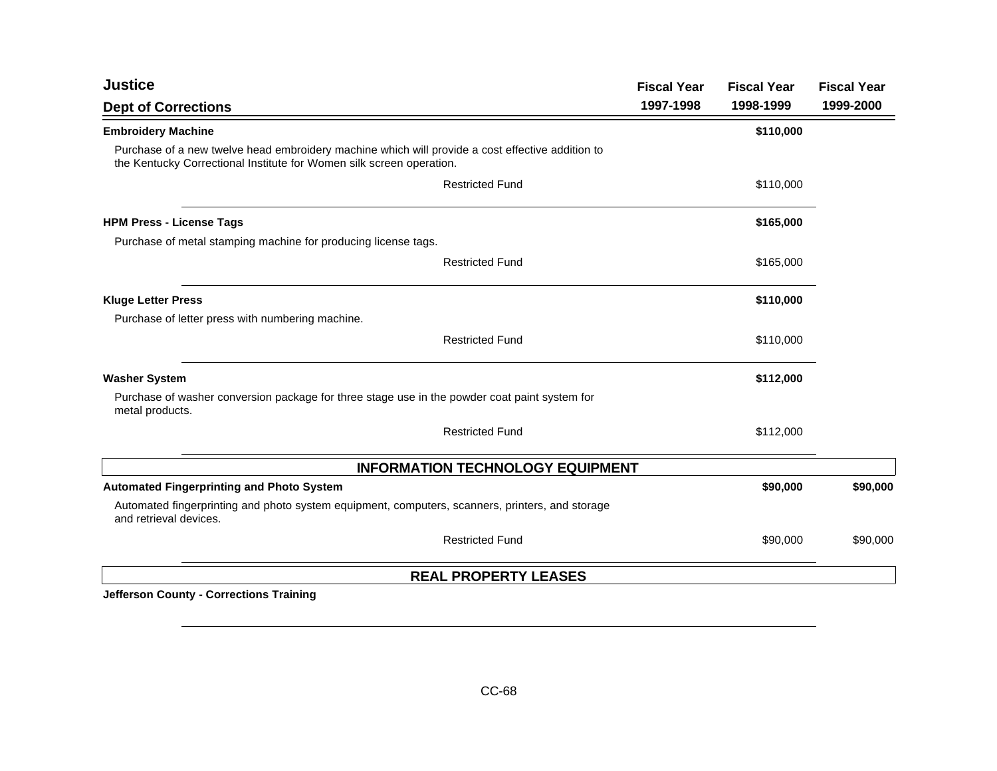| <b>Justice</b>                                                                                                                                                           | <b>Fiscal Year</b> | <b>Fiscal Year</b> | <b>Fiscal Year</b> |
|--------------------------------------------------------------------------------------------------------------------------------------------------------------------------|--------------------|--------------------|--------------------|
| <b>Dept of Corrections</b>                                                                                                                                               | 1997-1998          | 1998-1999          | 1999-2000          |
| <b>Embroidery Machine</b>                                                                                                                                                |                    | \$110,000          |                    |
| Purchase of a new twelve head embroidery machine which will provide a cost effective addition to<br>the Kentucky Correctional Institute for Women silk screen operation. |                    |                    |                    |
| <b>Restricted Fund</b>                                                                                                                                                   |                    | \$110,000          |                    |
| <b>HPM Press - License Tags</b>                                                                                                                                          |                    | \$165,000          |                    |
| Purchase of metal stamping machine for producing license tags.                                                                                                           |                    |                    |                    |
| <b>Restricted Fund</b>                                                                                                                                                   |                    | \$165,000          |                    |
| <b>Kluge Letter Press</b>                                                                                                                                                |                    | \$110,000          |                    |
| Purchase of letter press with numbering machine.                                                                                                                         |                    |                    |                    |
| <b>Restricted Fund</b>                                                                                                                                                   |                    | \$110,000          |                    |
| <b>Washer System</b>                                                                                                                                                     |                    | \$112,000          |                    |
| Purchase of washer conversion package for three stage use in the powder coat paint system for<br>metal products.                                                         |                    |                    |                    |
| <b>Restricted Fund</b>                                                                                                                                                   |                    | \$112,000          |                    |
| <b>INFORMATION TECHNOLOGY EQUIPMENT</b>                                                                                                                                  |                    |                    |                    |
| <b>Automated Fingerprinting and Photo System</b>                                                                                                                         |                    | \$90,000           | \$90,000           |
| Automated fingerprinting and photo system equipment, computers, scanners, printers, and storage<br>and retrieval devices.                                                |                    |                    |                    |
| <b>Restricted Fund</b>                                                                                                                                                   |                    | \$90,000           | \$90,000           |
| <b>REAL PROPERTY LEASES</b>                                                                                                                                              |                    |                    |                    |

**Jefferson County - Corrections Training**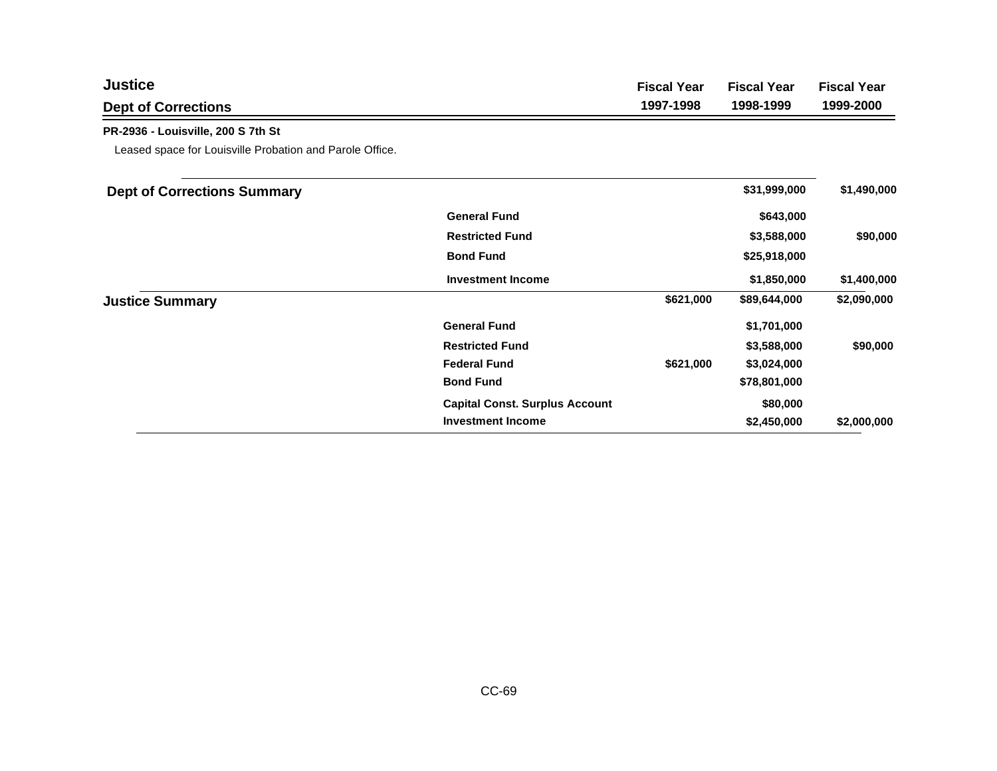| <b>Justice</b>                                           |                                       | <b>Fiscal Year</b> | <b>Fiscal Year</b> | <b>Fiscal Year</b> |
|----------------------------------------------------------|---------------------------------------|--------------------|--------------------|--------------------|
| <b>Dept of Corrections</b>                               |                                       | 1997-1998          | 1998-1999          | 1999-2000          |
| PR-2936 - Louisville, 200 S 7th St                       |                                       |                    |                    |                    |
| Leased space for Louisville Probation and Parole Office. |                                       |                    |                    |                    |
| <b>Dept of Corrections Summary</b>                       |                                       |                    | \$31,999,000       | \$1,490,000        |
|                                                          | <b>General Fund</b>                   |                    | \$643,000          |                    |
|                                                          | <b>Restricted Fund</b>                |                    | \$3,588,000        | \$90,000           |
|                                                          | <b>Bond Fund</b>                      |                    | \$25,918,000       |                    |
|                                                          | <b>Investment Income</b>              |                    | \$1,850,000        | \$1,400,000        |
| <b>Justice Summary</b>                                   |                                       | \$621,000          | \$89,644,000       | \$2,090,000        |
|                                                          | <b>General Fund</b>                   |                    | \$1,701,000        |                    |
|                                                          | <b>Restricted Fund</b>                |                    | \$3,588,000        | \$90,000           |
|                                                          | <b>Federal Fund</b>                   | \$621,000          | \$3,024,000        |                    |
|                                                          | <b>Bond Fund</b>                      |                    | \$78,801,000       |                    |
|                                                          | <b>Capital Const. Surplus Account</b> |                    | \$80,000           |                    |
|                                                          | <b>Investment Income</b>              |                    | \$2,450,000        | \$2,000,000        |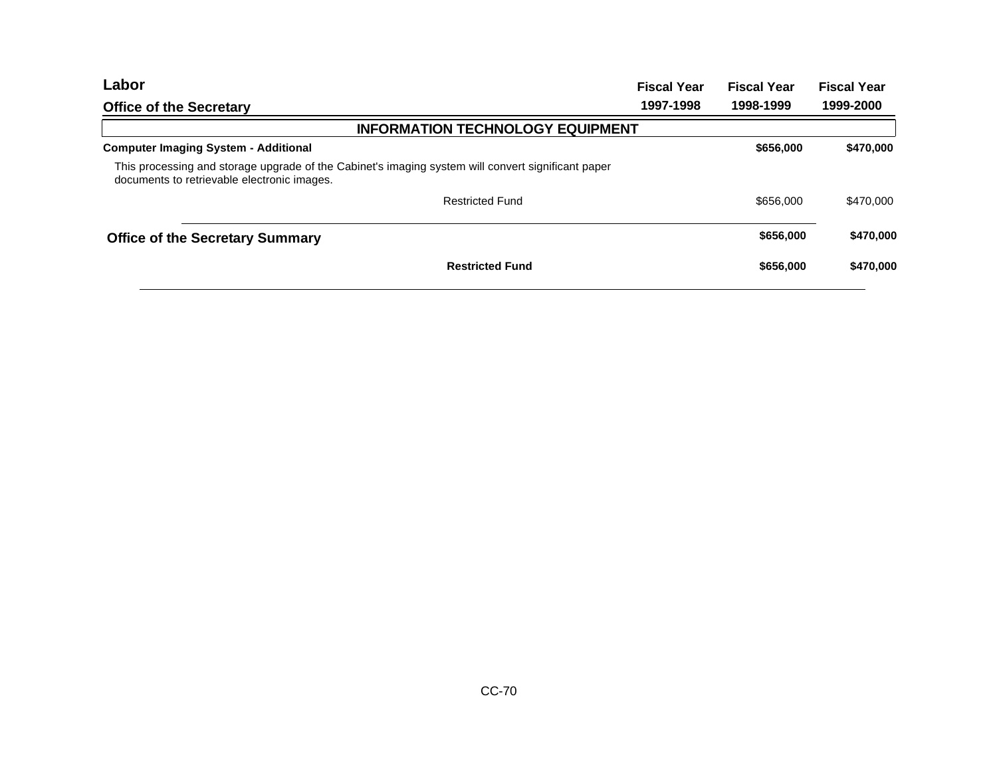| <b>Fiscal Year</b>                                                                                 | <b>Fiscal Year</b> | <b>Fiscal Year</b> |
|----------------------------------------------------------------------------------------------------|--------------------|--------------------|
| 1997-1998                                                                                          | 1998-1999          | 1999-2000          |
| <b>INFORMATION TECHNOLOGY EQUIPMENT</b>                                                            |                    |                    |
|                                                                                                    | \$656,000          | \$470,000          |
| This processing and storage upgrade of the Cabinet's imaging system will convert significant paper |                    |                    |
|                                                                                                    | \$656,000          | \$470,000          |
|                                                                                                    | \$656,000          | \$470,000          |
|                                                                                                    | \$656,000          | \$470,000          |
|                                                                                                    |                    |                    |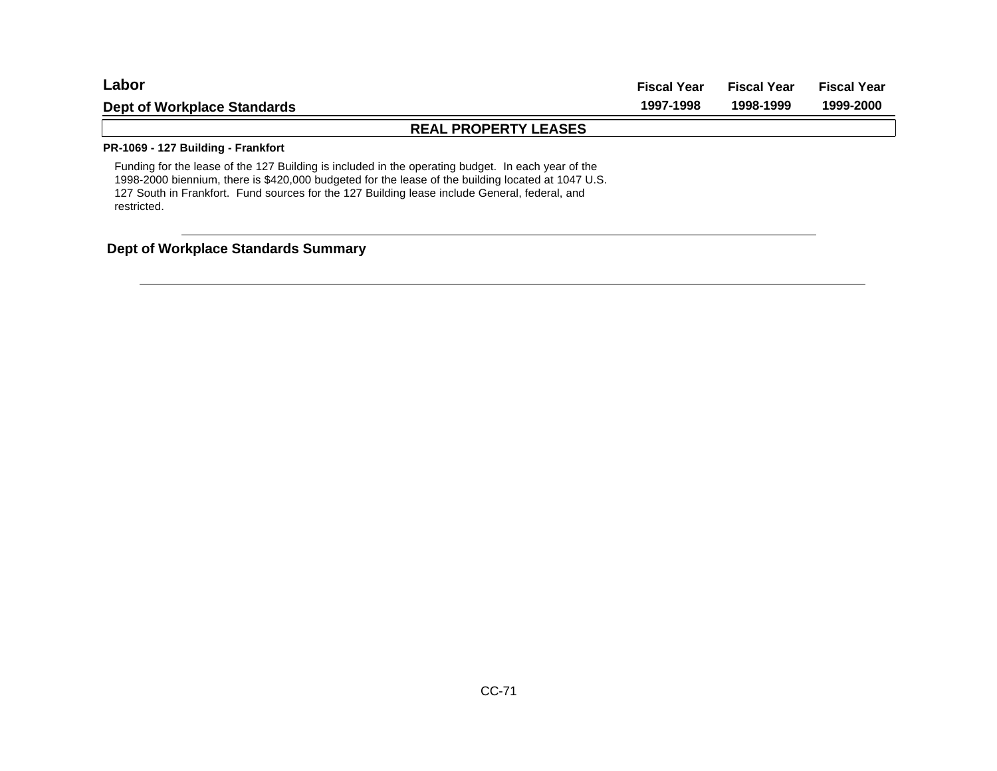| ∟abor                              | <b>Fiscal Year</b> | Fiscal Year | <b>Fiscal Year</b> |
|------------------------------------|--------------------|-------------|--------------------|
| Dept of Workplace Standards        | 1997-1998          | 1998-1999   | 1999-2000          |
| <b>REAL PROPERTY LEASES</b>        |                    |             |                    |
| PR-1069 - 127 Building - Frankfort |                    |             |                    |

Funding for the lease of the 127 Building is included in the operating budget. In each year of the 1998-2000 biennium, there is \$420,000 budgeted for the lease of the building located at 1047 U.S. 127 South in Frankfort. Fund sources for the 127 Building lease include General, federal, and restricted.

## **Dept of Workplace Standards Summary**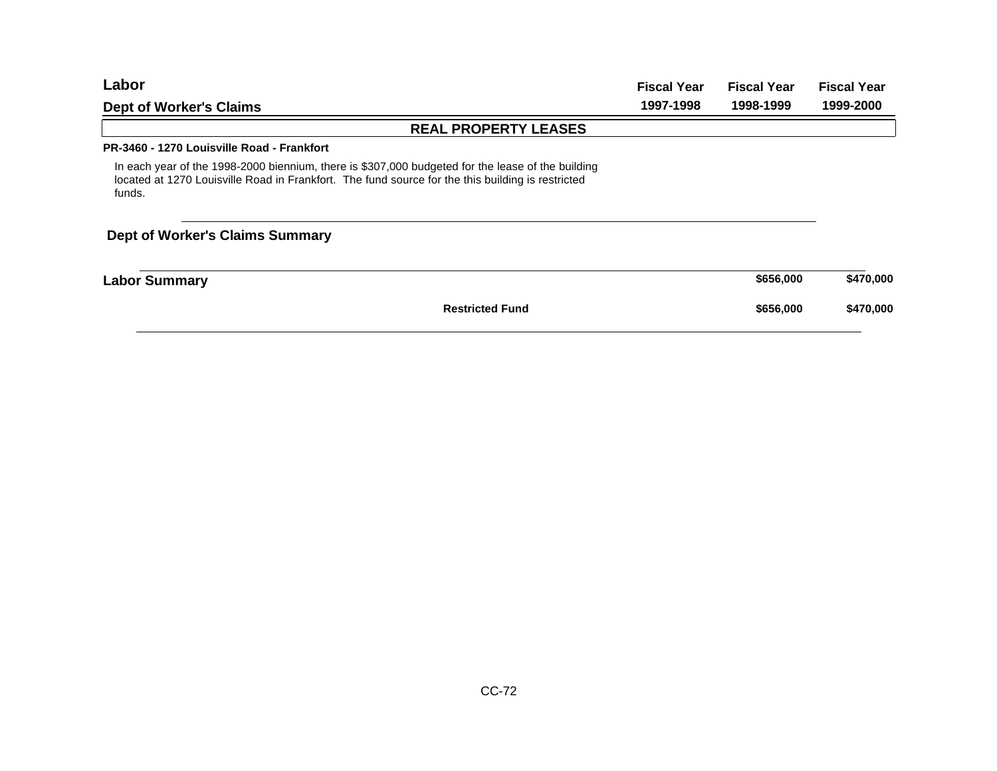| Labor                                                                                                                                                                                                            | <b>Fiscal Year</b> | <b>Fiscal Year</b><br>1998-1999 | <b>Fiscal Year</b><br>1999-2000 |
|------------------------------------------------------------------------------------------------------------------------------------------------------------------------------------------------------------------|--------------------|---------------------------------|---------------------------------|
| <b>Dept of Worker's Claims</b>                                                                                                                                                                                   | 1997-1998          |                                 |                                 |
| <b>REAL PROPERTY LEASES</b>                                                                                                                                                                                      |                    |                                 |                                 |
| PR-3460 - 1270 Louisville Road - Frankfort                                                                                                                                                                       |                    |                                 |                                 |
| In each year of the 1998-2000 biennium, there is \$307,000 budgeted for the lease of the building<br>located at 1270 Louisville Road in Frankfort. The fund source for the this building is restricted<br>funds. |                    |                                 |                                 |
| <b>Dept of Worker's Claims Summary</b>                                                                                                                                                                           |                    |                                 |                                 |
| <b>Labor Summary</b>                                                                                                                                                                                             |                    | \$656,000                       | \$470,000                       |
| <b>Restricted Fund</b>                                                                                                                                                                                           |                    | \$656,000                       | \$470,000                       |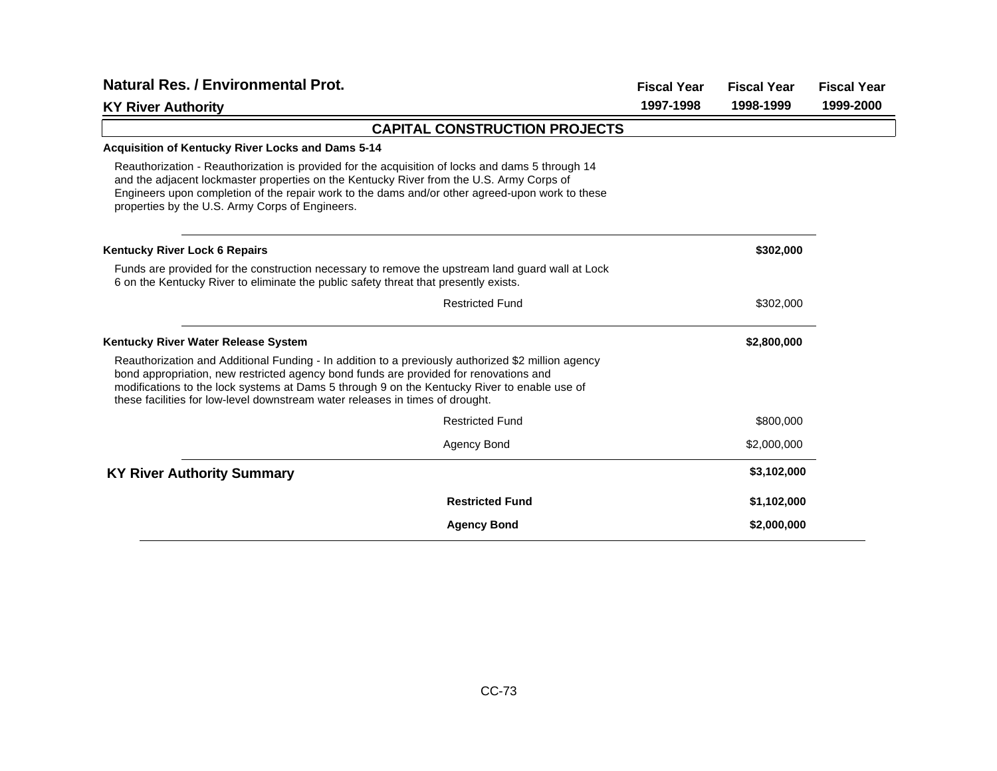| <b>Natural Res. / Environmental Prot.</b>                                                                                                                                                                                                                                                                                                                                    |                                      |           | <b>Fiscal Year</b> | <b>Fiscal Year</b> |
|------------------------------------------------------------------------------------------------------------------------------------------------------------------------------------------------------------------------------------------------------------------------------------------------------------------------------------------------------------------------------|--------------------------------------|-----------|--------------------|--------------------|
| <b>KY River Authority</b>                                                                                                                                                                                                                                                                                                                                                    |                                      | 1997-1998 | 1998-1999          | 1999-2000          |
|                                                                                                                                                                                                                                                                                                                                                                              | <b>CAPITAL CONSTRUCTION PROJECTS</b> |           |                    |                    |
| <b>Acquisition of Kentucky River Locks and Dams 5-14</b>                                                                                                                                                                                                                                                                                                                     |                                      |           |                    |                    |
| Reauthorization - Reauthorization is provided for the acquisition of locks and dams 5 through 14<br>and the adjacent lockmaster properties on the Kentucky River from the U.S. Army Corps of<br>Engineers upon completion of the repair work to the dams and/or other agreed-upon work to these<br>properties by the U.S. Army Corps of Engineers.                           |                                      |           |                    |                    |
| <b>Kentucky River Lock 6 Repairs</b>                                                                                                                                                                                                                                                                                                                                         |                                      |           | \$302,000          |                    |
| Funds are provided for the construction necessary to remove the upstream land guard wall at Lock<br>6 on the Kentucky River to eliminate the public safety threat that presently exists.                                                                                                                                                                                     |                                      |           |                    |                    |
|                                                                                                                                                                                                                                                                                                                                                                              | <b>Restricted Fund</b>               |           | \$302,000          |                    |
| Kentucky River Water Release System                                                                                                                                                                                                                                                                                                                                          |                                      |           | \$2,800,000        |                    |
| Reauthorization and Additional Funding - In addition to a previously authorized \$2 million agency<br>bond appropriation, new restricted agency bond funds are provided for renovations and<br>modifications to the lock systems at Dams 5 through 9 on the Kentucky River to enable use of<br>these facilities for low-level downstream water releases in times of drought. |                                      |           |                    |                    |
|                                                                                                                                                                                                                                                                                                                                                                              | <b>Restricted Fund</b>               |           | \$800,000          |                    |
|                                                                                                                                                                                                                                                                                                                                                                              | Agency Bond                          |           | \$2,000,000        |                    |
| <b>KY River Authority Summary</b>                                                                                                                                                                                                                                                                                                                                            |                                      |           | \$3,102,000        |                    |
|                                                                                                                                                                                                                                                                                                                                                                              | <b>Restricted Fund</b>               |           | \$1,102,000        |                    |
|                                                                                                                                                                                                                                                                                                                                                                              | <b>Agency Bond</b>                   |           | \$2,000,000        |                    |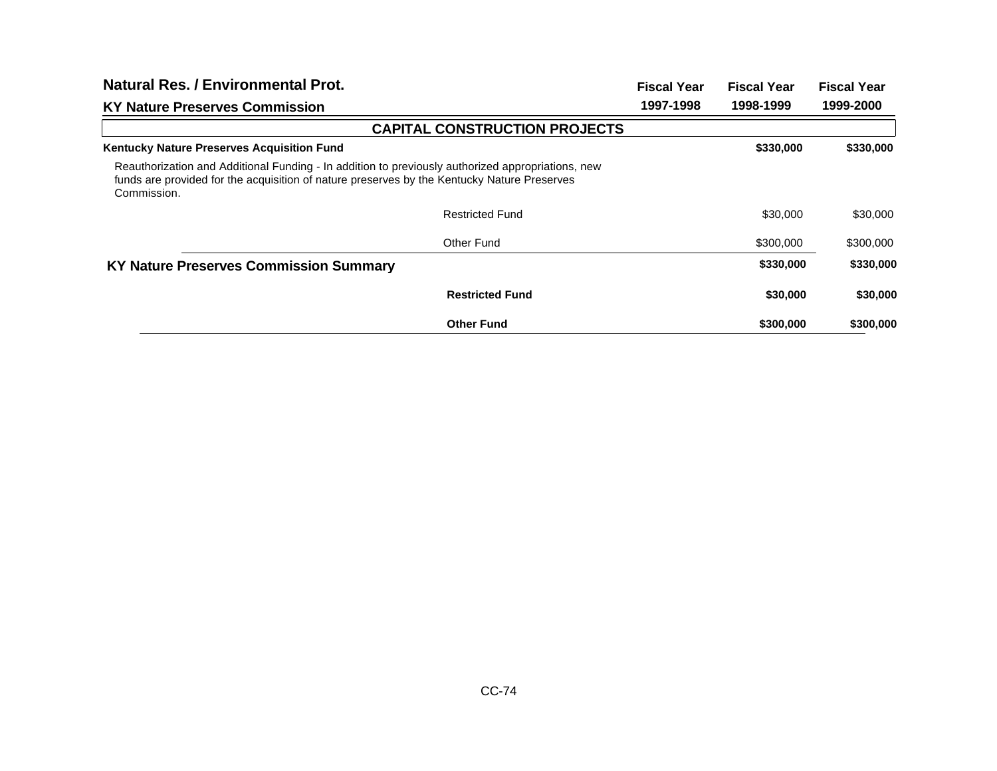| Natural Res. / Environmental Prot.                                                                                                                                                                              |                                      | <b>Fiscal Year</b> | <b>Fiscal Year</b> | <b>Fiscal Year</b> |
|-----------------------------------------------------------------------------------------------------------------------------------------------------------------------------------------------------------------|--------------------------------------|--------------------|--------------------|--------------------|
| <b>KY Nature Preserves Commission</b>                                                                                                                                                                           |                                      | 1997-1998          | 1998-1999          | 1999-2000          |
|                                                                                                                                                                                                                 | <b>CAPITAL CONSTRUCTION PROJECTS</b> |                    |                    |                    |
| <b>Kentucky Nature Preserves Acquisition Fund</b>                                                                                                                                                               |                                      |                    | \$330,000          | \$330,000          |
| Reauthorization and Additional Funding - In addition to previously authorized appropriations, new<br>funds are provided for the acquisition of nature preserves by the Kentucky Nature Preserves<br>Commission. |                                      |                    |                    |                    |
|                                                                                                                                                                                                                 | <b>Restricted Fund</b>               |                    | \$30,000           | \$30,000           |
|                                                                                                                                                                                                                 | Other Fund                           |                    | \$300,000          | \$300,000          |
| <b>KY Nature Preserves Commission Summary</b>                                                                                                                                                                   |                                      |                    | \$330,000          | \$330,000          |
|                                                                                                                                                                                                                 | <b>Restricted Fund</b>               |                    | \$30,000           | \$30,000           |
|                                                                                                                                                                                                                 | <b>Other Fund</b>                    |                    | \$300,000          | \$300,000          |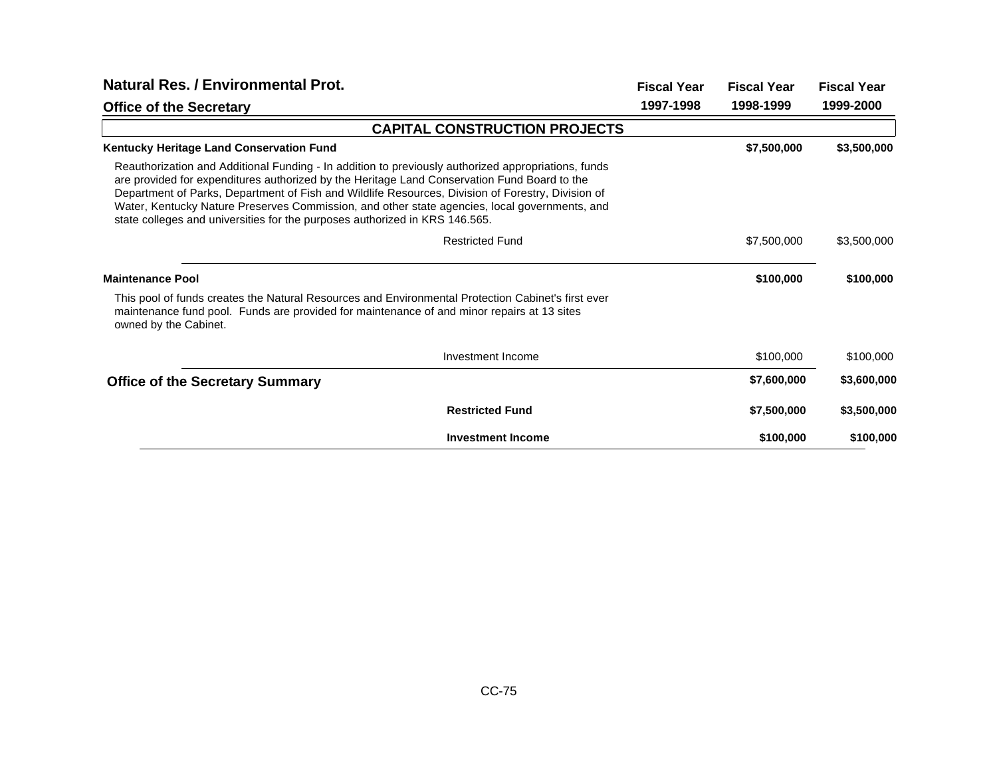| <b>Natural Res. / Environmental Prot.</b>                                                                                                                                                                                                                                                                                                                                                                                                                                                | <b>Fiscal Year</b> | <b>Fiscal Year</b> | <b>Fiscal Year</b> |
|------------------------------------------------------------------------------------------------------------------------------------------------------------------------------------------------------------------------------------------------------------------------------------------------------------------------------------------------------------------------------------------------------------------------------------------------------------------------------------------|--------------------|--------------------|--------------------|
| <b>Office of the Secretary</b>                                                                                                                                                                                                                                                                                                                                                                                                                                                           | 1997-1998          | 1998-1999          | 1999-2000          |
| <b>CAPITAL CONSTRUCTION PROJECTS</b>                                                                                                                                                                                                                                                                                                                                                                                                                                                     |                    |                    |                    |
| Kentucky Heritage Land Conservation Fund                                                                                                                                                                                                                                                                                                                                                                                                                                                 |                    | \$7,500,000        | \$3,500,000        |
| Reauthorization and Additional Funding - In addition to previously authorized appropriations, funds<br>are provided for expenditures authorized by the Heritage Land Conservation Fund Board to the<br>Department of Parks, Department of Fish and Wildlife Resources, Division of Forestry, Division of<br>Water, Kentucky Nature Preserves Commission, and other state agencies, local governments, and<br>state colleges and universities for the purposes authorized in KRS 146.565. |                    |                    |                    |
| <b>Restricted Fund</b>                                                                                                                                                                                                                                                                                                                                                                                                                                                                   |                    | \$7,500,000        | \$3,500,000        |
| <b>Maintenance Pool</b>                                                                                                                                                                                                                                                                                                                                                                                                                                                                  |                    | \$100,000          | \$100,000          |
| This pool of funds creates the Natural Resources and Environmental Protection Cabinet's first ever<br>maintenance fund pool. Funds are provided for maintenance of and minor repairs at 13 sites<br>owned by the Cabinet.                                                                                                                                                                                                                                                                |                    |                    |                    |
| Investment Income                                                                                                                                                                                                                                                                                                                                                                                                                                                                        |                    | \$100,000          | \$100,000          |
| <b>Office of the Secretary Summary</b>                                                                                                                                                                                                                                                                                                                                                                                                                                                   |                    | \$7,600,000        | \$3,600,000        |
| <b>Restricted Fund</b>                                                                                                                                                                                                                                                                                                                                                                                                                                                                   |                    | \$7,500,000        | \$3,500,000        |
| <b>Investment Income</b>                                                                                                                                                                                                                                                                                                                                                                                                                                                                 |                    | \$100,000          | \$100,000          |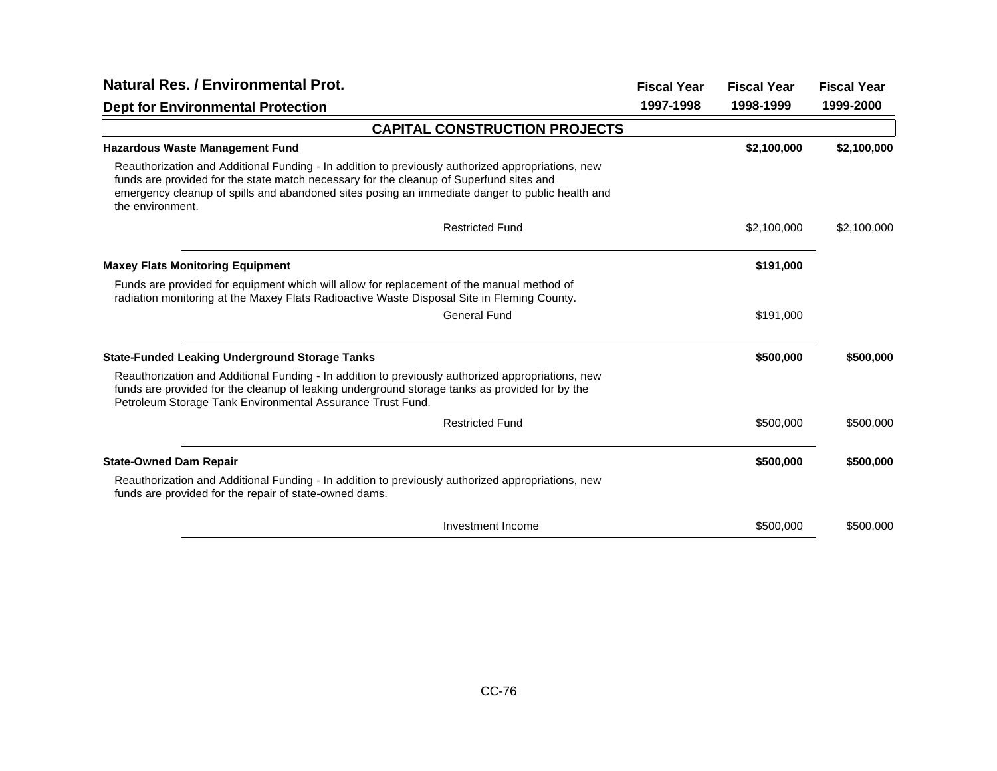| <b>Natural Res. / Environmental Prot.</b>                                                                                                                                                                                                                                                                           |           | <b>Fiscal Year</b> | <b>Fiscal Year</b> |
|---------------------------------------------------------------------------------------------------------------------------------------------------------------------------------------------------------------------------------------------------------------------------------------------------------------------|-----------|--------------------|--------------------|
| <b>Dept for Environmental Protection</b>                                                                                                                                                                                                                                                                            | 1997-1998 | 1998-1999          | 1999-2000          |
| <b>CAPITAL CONSTRUCTION PROJECTS</b>                                                                                                                                                                                                                                                                                |           |                    |                    |
| <b>Hazardous Waste Management Fund</b>                                                                                                                                                                                                                                                                              |           | \$2,100,000        | \$2,100,000        |
| Reauthorization and Additional Funding - In addition to previously authorized appropriations, new<br>funds are provided for the state match necessary for the cleanup of Superfund sites and<br>emergency cleanup of spills and abandoned sites posing an immediate danger to public health and<br>the environment. |           |                    |                    |
| <b>Restricted Fund</b>                                                                                                                                                                                                                                                                                              |           | \$2,100,000        | \$2,100,000        |
| <b>Maxey Flats Monitoring Equipment</b>                                                                                                                                                                                                                                                                             |           | \$191,000          |                    |
| Funds are provided for equipment which will allow for replacement of the manual method of<br>radiation monitoring at the Maxey Flats Radioactive Waste Disposal Site in Fleming County.                                                                                                                             |           |                    |                    |
| <b>General Fund</b>                                                                                                                                                                                                                                                                                                 |           | \$191,000          |                    |
| <b>State-Funded Leaking Underground Storage Tanks</b>                                                                                                                                                                                                                                                               |           | \$500,000          | \$500,000          |
| Reauthorization and Additional Funding - In addition to previously authorized appropriations, new<br>funds are provided for the cleanup of leaking underground storage tanks as provided for by the<br>Petroleum Storage Tank Environmental Assurance Trust Fund.                                                   |           |                    |                    |
| <b>Restricted Fund</b>                                                                                                                                                                                                                                                                                              |           | \$500,000          | \$500,000          |
| <b>State-Owned Dam Repair</b>                                                                                                                                                                                                                                                                                       |           | \$500,000          | \$500,000          |
| Reauthorization and Additional Funding - In addition to previously authorized appropriations, new<br>funds are provided for the repair of state-owned dams.                                                                                                                                                         |           |                    |                    |
| Investment Income                                                                                                                                                                                                                                                                                                   |           | \$500,000          | \$500,000          |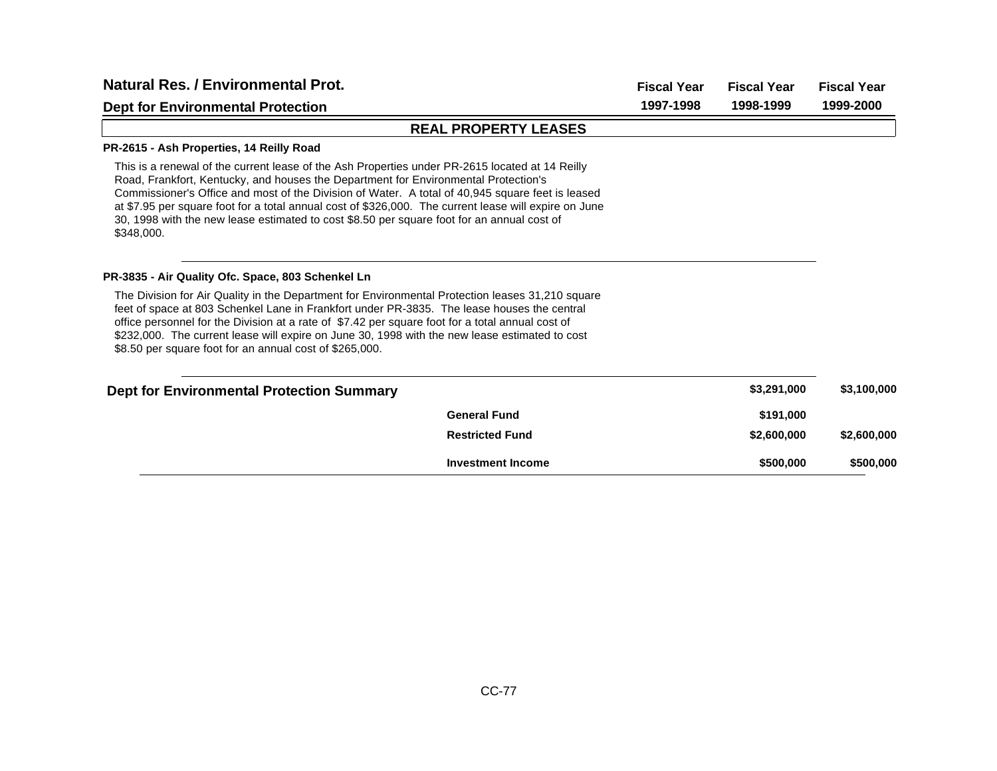| <b>Natural Res. / Environmental Prot.</b>                                                                                                                                                                                                                                                                                                                                                                                                                                                                       | <b>Fiscal Year</b>          | <b>Fiscal Year</b> | <b>Fiscal Year</b> |             |
|-----------------------------------------------------------------------------------------------------------------------------------------------------------------------------------------------------------------------------------------------------------------------------------------------------------------------------------------------------------------------------------------------------------------------------------------------------------------------------------------------------------------|-----------------------------|--------------------|--------------------|-------------|
| <b>Dept for Environmental Protection</b>                                                                                                                                                                                                                                                                                                                                                                                                                                                                        |                             | 1997-1998          | 1998-1999          | 1999-2000   |
|                                                                                                                                                                                                                                                                                                                                                                                                                                                                                                                 | <b>REAL PROPERTY LEASES</b> |                    |                    |             |
| PR-2615 - Ash Properties, 14 Reilly Road                                                                                                                                                                                                                                                                                                                                                                                                                                                                        |                             |                    |                    |             |
| This is a renewal of the current lease of the Ash Properties under PR-2615 located at 14 Reilly<br>Road, Frankfort, Kentucky, and houses the Department for Environmental Protection's<br>Commissioner's Office and most of the Division of Water. A total of 40,945 square feet is leased<br>at \$7.95 per square foot for a total annual cost of \$326,000. The current lease will expire on June<br>30, 1998 with the new lease estimated to cost \$8.50 per square foot for an annual cost of<br>\$348,000. |                             |                    |                    |             |
| PR-3835 - Air Quality Ofc. Space, 803 Schenkel Ln                                                                                                                                                                                                                                                                                                                                                                                                                                                               |                             |                    |                    |             |
| The Division for Air Quality in the Department for Environmental Protection leases 31,210 square<br>feet of space at 803 Schenkel Lane in Frankfort under PR-3835. The lease houses the central<br>office personnel for the Division at a rate of \$7.42 per square foot for a total annual cost of<br>\$232,000. The current lease will expire on June 30, 1998 with the new lease estimated to cost<br>\$8.50 per square foot for an annual cost of \$265,000.                                                |                             |                    |                    |             |
| <b>Dept for Environmental Protection Summary</b>                                                                                                                                                                                                                                                                                                                                                                                                                                                                |                             |                    | \$3,291,000        | \$3,100,000 |
|                                                                                                                                                                                                                                                                                                                                                                                                                                                                                                                 | <b>General Fund</b>         |                    | \$191,000          |             |
|                                                                                                                                                                                                                                                                                                                                                                                                                                                                                                                 | <b>Restricted Fund</b>      |                    | \$2,600,000        | \$2,600,000 |
|                                                                                                                                                                                                                                                                                                                                                                                                                                                                                                                 | <b>Investment Income</b>    |                    | \$500,000          | \$500,000   |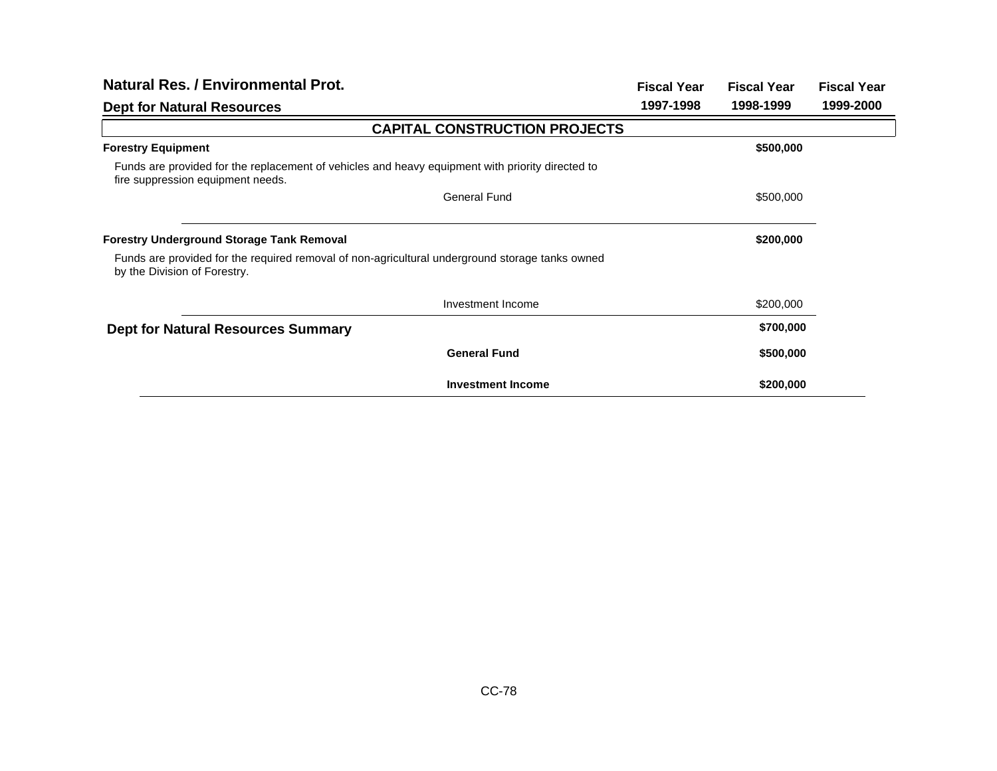| <b>Natural Res. / Environmental Prot.</b>                                                                                             |                                      | <b>Fiscal Year</b> | <b>Fiscal Year</b> | <b>Fiscal Year</b> |
|---------------------------------------------------------------------------------------------------------------------------------------|--------------------------------------|--------------------|--------------------|--------------------|
| <b>Dept for Natural Resources</b>                                                                                                     |                                      | 1997-1998          | 1998-1999          | 1999-2000          |
|                                                                                                                                       | <b>CAPITAL CONSTRUCTION PROJECTS</b> |                    |                    |                    |
| <b>Forestry Equipment</b>                                                                                                             |                                      |                    | \$500,000          |                    |
| Funds are provided for the replacement of vehicles and heavy equipment with priority directed to<br>fire suppression equipment needs. |                                      |                    |                    |                    |
|                                                                                                                                       | <b>General Fund</b>                  |                    | \$500,000          |                    |
| <b>Forestry Underground Storage Tank Removal</b>                                                                                      |                                      |                    | \$200,000          |                    |
| Funds are provided for the required removal of non-agricultural underground storage tanks owned<br>by the Division of Forestry.       |                                      |                    |                    |                    |
|                                                                                                                                       | Investment Income                    |                    | \$200,000          |                    |
| <b>Dept for Natural Resources Summary</b>                                                                                             |                                      |                    | \$700,000          |                    |
|                                                                                                                                       | <b>General Fund</b>                  |                    | \$500,000          |                    |
|                                                                                                                                       | <b>Investment Income</b>             |                    | \$200,000          |                    |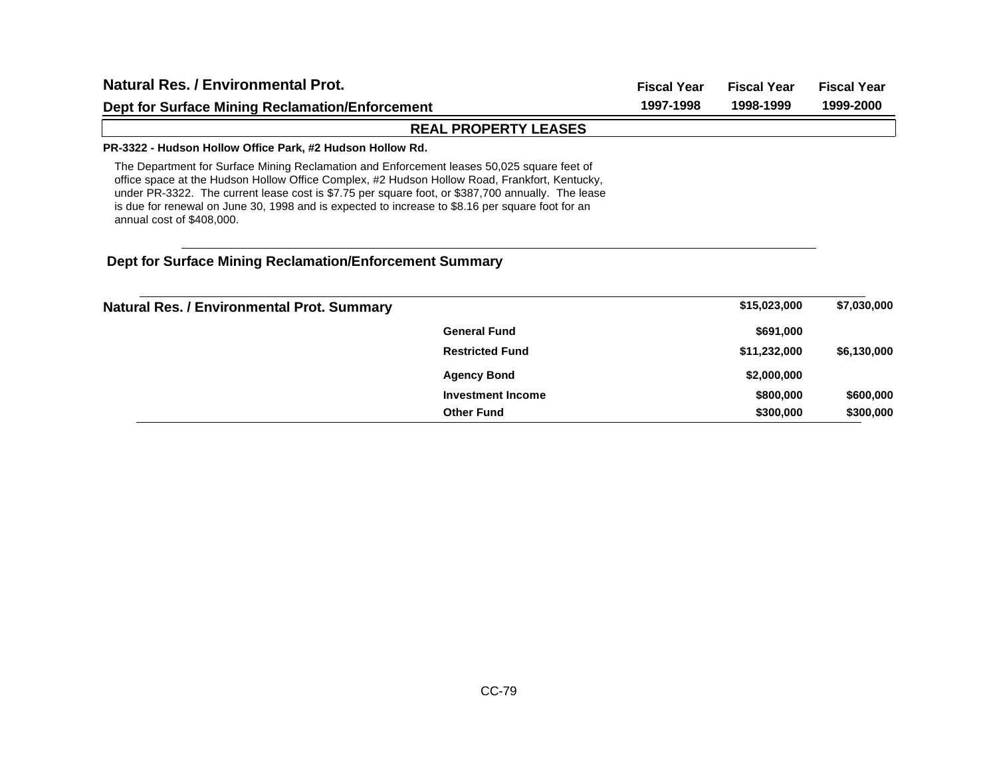| Natural Res. / Environmental Prot.<br><b>Dept for Surface Mining Reclamation/Enforcement</b>                                                                                                                                                                                                                                                                                                                                      |                             | <b>Fiscal Year</b> | <b>Fiscal Year</b> | <b>Fiscal Year</b><br>1999-2000 |
|-----------------------------------------------------------------------------------------------------------------------------------------------------------------------------------------------------------------------------------------------------------------------------------------------------------------------------------------------------------------------------------------------------------------------------------|-----------------------------|--------------------|--------------------|---------------------------------|
|                                                                                                                                                                                                                                                                                                                                                                                                                                   |                             | 1997-1998          | 1998-1999          |                                 |
|                                                                                                                                                                                                                                                                                                                                                                                                                                   | <b>REAL PROPERTY LEASES</b> |                    |                    |                                 |
| PR-3322 - Hudson Hollow Office Park, #2 Hudson Hollow Rd.                                                                                                                                                                                                                                                                                                                                                                         |                             |                    |                    |                                 |
| The Department for Surface Mining Reclamation and Enforcement leases 50,025 square feet of<br>office space at the Hudson Hollow Office Complex, #2 Hudson Hollow Road, Frankfort, Kentucky,<br>under PR-3322. The current lease cost is \$7.75 per square foot, or \$387,700 annually. The lease<br>is due for renewal on June 30, 1998 and is expected to increase to \$8.16 per square foot for an<br>annual cost of \$408,000. |                             |                    |                    |                                 |
| Dept for Surface Mining Reclamation/Enforcement Summary                                                                                                                                                                                                                                                                                                                                                                           |                             |                    |                    |                                 |
| <b>Natural Res. / Environmental Prot. Summary</b>                                                                                                                                                                                                                                                                                                                                                                                 |                             |                    | \$15,023,000       | \$7,030,000                     |
|                                                                                                                                                                                                                                                                                                                                                                                                                                   | <b>General Fund</b>         |                    | \$691,000          |                                 |
|                                                                                                                                                                                                                                                                                                                                                                                                                                   | <b>Restricted Fund</b>      |                    | \$11,232,000       | \$6,130,000                     |
|                                                                                                                                                                                                                                                                                                                                                                                                                                   | <b>Agency Bond</b>          |                    | \$2,000,000        |                                 |

**Investment Income**

**Other Fund**

**\$800,000 \$600,000 \$300,000 \$300,000**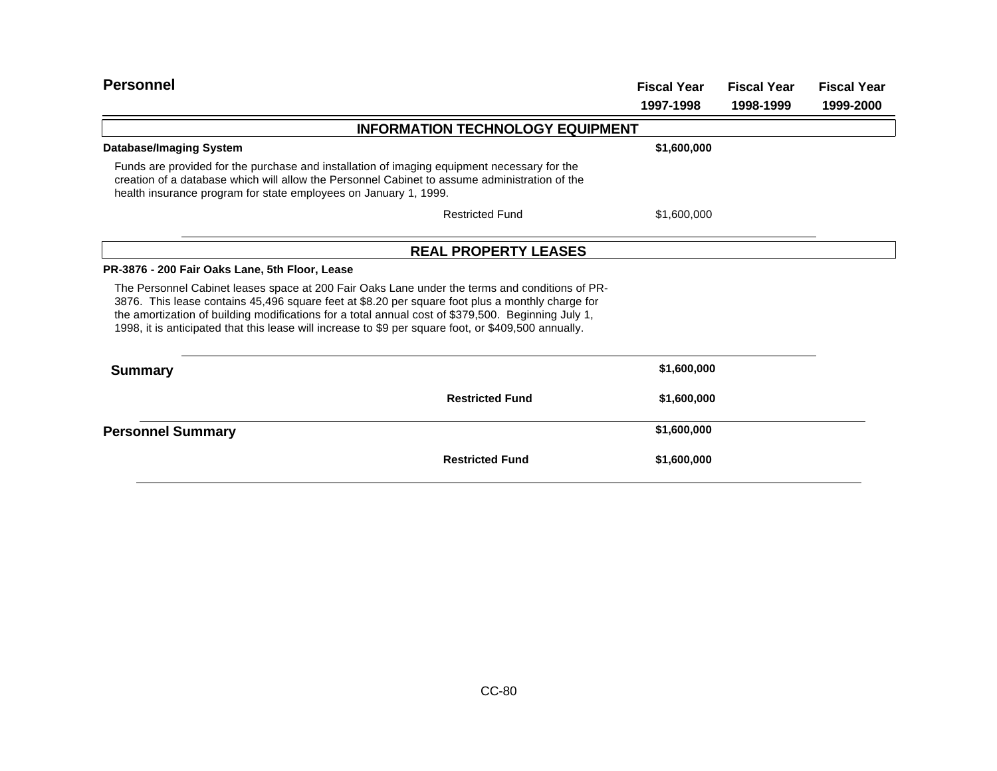| <b>Personnel</b>                                                                                                                                                                                                                                                                                                                                                                                                 |                                         | <b>Fiscal Year</b> | <b>Fiscal Year</b> | <b>Fiscal Year</b> |
|------------------------------------------------------------------------------------------------------------------------------------------------------------------------------------------------------------------------------------------------------------------------------------------------------------------------------------------------------------------------------------------------------------------|-----------------------------------------|--------------------|--------------------|--------------------|
|                                                                                                                                                                                                                                                                                                                                                                                                                  |                                         | 1997-1998          | 1998-1999          | 1999-2000          |
|                                                                                                                                                                                                                                                                                                                                                                                                                  | <b>INFORMATION TECHNOLOGY EQUIPMENT</b> |                    |                    |                    |
| Database/Imaging System                                                                                                                                                                                                                                                                                                                                                                                          |                                         | \$1,600,000        |                    |                    |
| Funds are provided for the purchase and installation of imaging equipment necessary for the<br>creation of a database which will allow the Personnel Cabinet to assume administration of the<br>health insurance program for state employees on January 1, 1999.                                                                                                                                                 |                                         |                    |                    |                    |
|                                                                                                                                                                                                                                                                                                                                                                                                                  | <b>Restricted Fund</b>                  | \$1,600,000        |                    |                    |
|                                                                                                                                                                                                                                                                                                                                                                                                                  | <b>REAL PROPERTY LEASES</b>             |                    |                    |                    |
| PR-3876 - 200 Fair Oaks Lane, 5th Floor, Lease                                                                                                                                                                                                                                                                                                                                                                   |                                         |                    |                    |                    |
| The Personnel Cabinet leases space at 200 Fair Oaks Lane under the terms and conditions of PR-<br>3876. This lease contains 45,496 square feet at \$8.20 per square foot plus a monthly charge for<br>the amortization of building modifications for a total annual cost of \$379,500. Beginning July 1,<br>1998, it is anticipated that this lease will increase to \$9 per square foot, or \$409,500 annually. |                                         |                    |                    |                    |
| <b>Summary</b>                                                                                                                                                                                                                                                                                                                                                                                                   |                                         | \$1,600,000        |                    |                    |
|                                                                                                                                                                                                                                                                                                                                                                                                                  | <b>Restricted Fund</b>                  | \$1,600,000        |                    |                    |
| <b>Personnel Summary</b>                                                                                                                                                                                                                                                                                                                                                                                         |                                         | \$1,600,000        |                    |                    |
|                                                                                                                                                                                                                                                                                                                                                                                                                  | <b>Restricted Fund</b>                  | \$1,600,000        |                    |                    |
|                                                                                                                                                                                                                                                                                                                                                                                                                  |                                         |                    |                    |                    |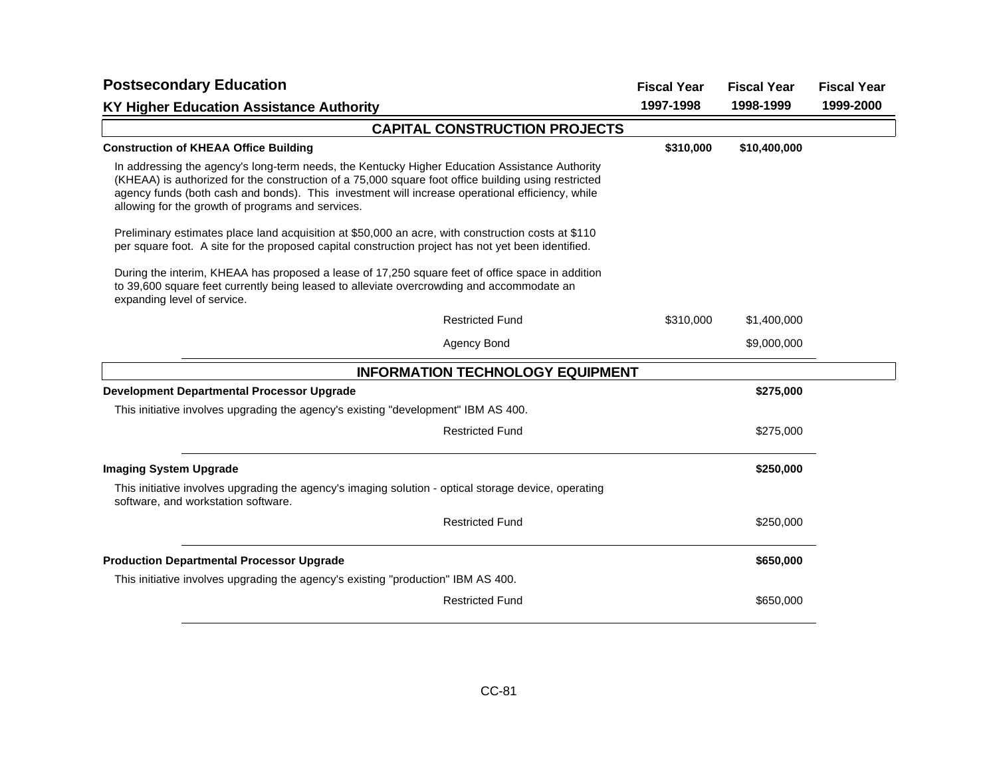| <b>Postsecondary Education</b>                                                                                                                                                                                                                                                                                                                                | <b>Fiscal Year</b>                      | <b>Fiscal Year</b> | <b>Fiscal Year</b> |           |
|---------------------------------------------------------------------------------------------------------------------------------------------------------------------------------------------------------------------------------------------------------------------------------------------------------------------------------------------------------------|-----------------------------------------|--------------------|--------------------|-----------|
| <b>KY Higher Education Assistance Authority</b>                                                                                                                                                                                                                                                                                                               |                                         | 1997-1998          | 1998-1999          | 1999-2000 |
|                                                                                                                                                                                                                                                                                                                                                               | <b>CAPITAL CONSTRUCTION PROJECTS</b>    |                    |                    |           |
| <b>Construction of KHEAA Office Building</b>                                                                                                                                                                                                                                                                                                                  |                                         | \$310,000          | \$10,400,000       |           |
| In addressing the agency's long-term needs, the Kentucky Higher Education Assistance Authority<br>(KHEAA) is authorized for the construction of a 75,000 square foot office building using restricted<br>agency funds (both cash and bonds). This investment will increase operational efficiency, while<br>allowing for the growth of programs and services. |                                         |                    |                    |           |
| Preliminary estimates place land acquisition at \$50,000 an acre, with construction costs at \$110<br>per square foot. A site for the proposed capital construction project has not yet been identified.                                                                                                                                                      |                                         |                    |                    |           |
| During the interim, KHEAA has proposed a lease of 17,250 square feet of office space in addition<br>to 39,600 square feet currently being leased to alleviate overcrowding and accommodate an<br>expanding level of service.                                                                                                                                  |                                         |                    |                    |           |
|                                                                                                                                                                                                                                                                                                                                                               | <b>Restricted Fund</b>                  | \$310,000          | \$1,400,000        |           |
|                                                                                                                                                                                                                                                                                                                                                               | Agency Bond                             |                    | \$9,000,000        |           |
|                                                                                                                                                                                                                                                                                                                                                               | <b>INFORMATION TECHNOLOGY EQUIPMENT</b> |                    |                    |           |
| <b>Development Departmental Processor Upgrade</b>                                                                                                                                                                                                                                                                                                             |                                         |                    | \$275,000          |           |
| This initiative involves upgrading the agency's existing "development" IBM AS 400.                                                                                                                                                                                                                                                                            |                                         |                    |                    |           |
|                                                                                                                                                                                                                                                                                                                                                               | <b>Restricted Fund</b>                  |                    | \$275,000          |           |
| <b>Imaging System Upgrade</b>                                                                                                                                                                                                                                                                                                                                 |                                         |                    | \$250,000          |           |
| This initiative involves upgrading the agency's imaging solution - optical storage device, operating<br>software, and workstation software.                                                                                                                                                                                                                   |                                         |                    |                    |           |
|                                                                                                                                                                                                                                                                                                                                                               | <b>Restricted Fund</b>                  |                    | \$250,000          |           |
| <b>Production Departmental Processor Upgrade</b>                                                                                                                                                                                                                                                                                                              |                                         |                    | \$650,000          |           |
| This initiative involves upgrading the agency's existing "production" IBM AS 400.                                                                                                                                                                                                                                                                             |                                         |                    |                    |           |
|                                                                                                                                                                                                                                                                                                                                                               | <b>Restricted Fund</b>                  |                    | \$650,000          |           |
|                                                                                                                                                                                                                                                                                                                                                               |                                         |                    |                    |           |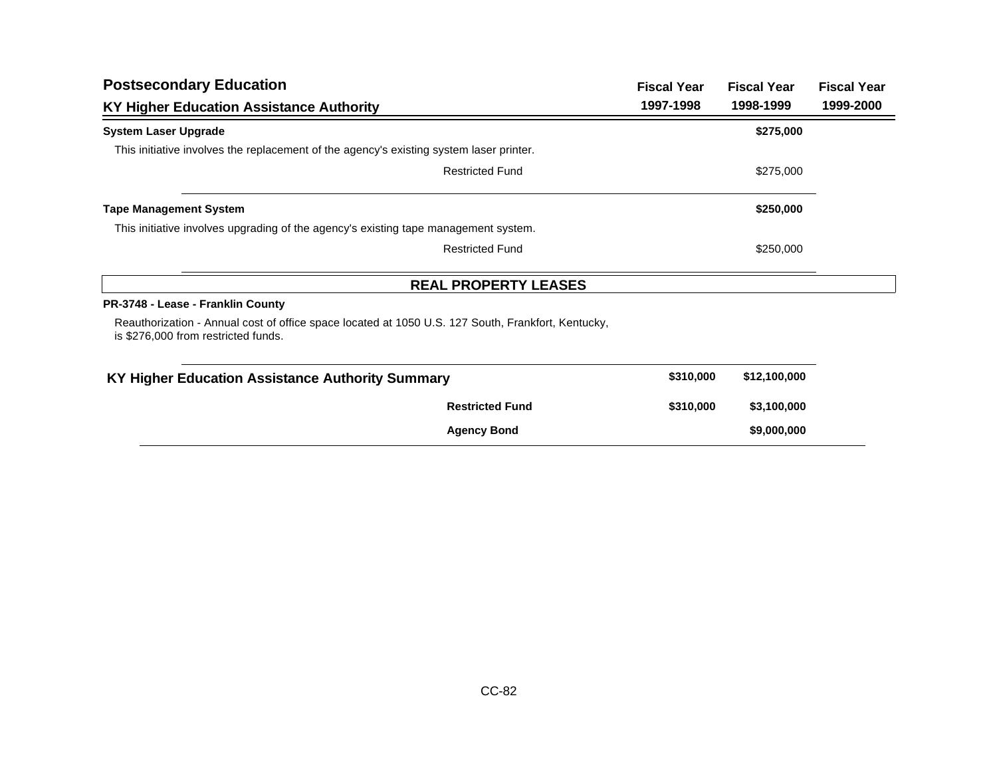| <b>Postsecondary Education</b>                                                                                                            |                             | <b>Fiscal Year</b> | <b>Fiscal Year</b> | <b>Fiscal Year</b> |
|-------------------------------------------------------------------------------------------------------------------------------------------|-----------------------------|--------------------|--------------------|--------------------|
| KY Higher Education Assistance Authority                                                                                                  |                             | 1997-1998          | 1998-1999          | 1999-2000          |
| <b>System Laser Upgrade</b>                                                                                                               |                             |                    | \$275,000          |                    |
| This initiative involves the replacement of the agency's existing system laser printer.                                                   |                             |                    |                    |                    |
|                                                                                                                                           | <b>Restricted Fund</b>      |                    | \$275,000          |                    |
| <b>Tape Management System</b>                                                                                                             |                             |                    | \$250,000          |                    |
| This initiative involves upgrading of the agency's existing tape management system.                                                       |                             |                    |                    |                    |
|                                                                                                                                           | <b>Restricted Fund</b>      |                    | \$250,000          |                    |
|                                                                                                                                           | <b>REAL PROPERTY LEASES</b> |                    |                    |                    |
| PR-3748 - Lease - Franklin County                                                                                                         |                             |                    |                    |                    |
| Reauthorization - Annual cost of office space located at 1050 U.S. 127 South, Frankfort, Kentucky,<br>is \$276,000 from restricted funds. |                             |                    |                    |                    |
| KY Higher Education Assistance Authority Summary                                                                                          |                             | \$310,000          | \$12,100,000       |                    |
|                                                                                                                                           | <b>Restricted Fund</b>      | \$310,000          | \$3,100,000        |                    |
|                                                                                                                                           | <b>Agency Bond</b>          |                    | \$9,000,000        |                    |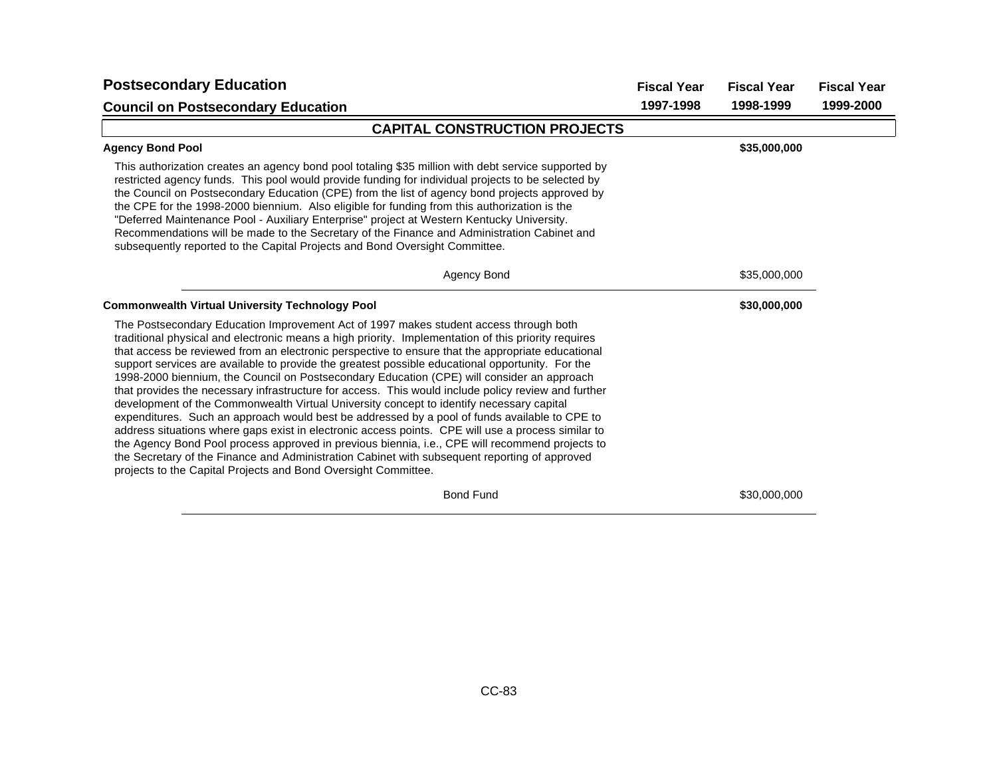| <b>Postsecondary Education</b>                                                                                                                                                                                                                                                                                                                                                                                                                                                                                                                                                                                                                                                                                                                                                                                                                                                                                                                                                                                                                                                                                                                                                      | <b>Fiscal Year</b> | <b>Fiscal Year</b> | <b>Fiscal Year</b> |
|-------------------------------------------------------------------------------------------------------------------------------------------------------------------------------------------------------------------------------------------------------------------------------------------------------------------------------------------------------------------------------------------------------------------------------------------------------------------------------------------------------------------------------------------------------------------------------------------------------------------------------------------------------------------------------------------------------------------------------------------------------------------------------------------------------------------------------------------------------------------------------------------------------------------------------------------------------------------------------------------------------------------------------------------------------------------------------------------------------------------------------------------------------------------------------------|--------------------|--------------------|--------------------|
| <b>Council on Postsecondary Education</b>                                                                                                                                                                                                                                                                                                                                                                                                                                                                                                                                                                                                                                                                                                                                                                                                                                                                                                                                                                                                                                                                                                                                           | 1997-1998          | 1998-1999          | 1999-2000          |
| <b>CAPITAL CONSTRUCTION PROJECTS</b>                                                                                                                                                                                                                                                                                                                                                                                                                                                                                                                                                                                                                                                                                                                                                                                                                                                                                                                                                                                                                                                                                                                                                |                    |                    |                    |
| <b>Agency Bond Pool</b>                                                                                                                                                                                                                                                                                                                                                                                                                                                                                                                                                                                                                                                                                                                                                                                                                                                                                                                                                                                                                                                                                                                                                             |                    | \$35,000,000       |                    |
| This authorization creates an agency bond pool totaling \$35 million with debt service supported by<br>restricted agency funds. This pool would provide funding for individual projects to be selected by<br>the Council on Postsecondary Education (CPE) from the list of agency bond projects approved by<br>the CPE for the 1998-2000 biennium. Also eligible for funding from this authorization is the<br>"Deferred Maintenance Pool - Auxiliary Enterprise" project at Western Kentucky University.<br>Recommendations will be made to the Secretary of the Finance and Administration Cabinet and<br>subsequently reported to the Capital Projects and Bond Oversight Committee.                                                                                                                                                                                                                                                                                                                                                                                                                                                                                             |                    |                    |                    |
| Agency Bond                                                                                                                                                                                                                                                                                                                                                                                                                                                                                                                                                                                                                                                                                                                                                                                                                                                                                                                                                                                                                                                                                                                                                                         |                    | \$35,000,000       |                    |
| <b>Commonwealth Virtual University Technology Pool</b>                                                                                                                                                                                                                                                                                                                                                                                                                                                                                                                                                                                                                                                                                                                                                                                                                                                                                                                                                                                                                                                                                                                              |                    | \$30,000,000       |                    |
| The Postsecondary Education Improvement Act of 1997 makes student access through both<br>traditional physical and electronic means a high priority. Implementation of this priority requires<br>that access be reviewed from an electronic perspective to ensure that the appropriate educational<br>support services are available to provide the greatest possible educational opportunity. For the<br>1998-2000 biennium, the Council on Postsecondary Education (CPE) will consider an approach<br>that provides the necessary infrastructure for access. This would include policy review and further<br>development of the Commonwealth Virtual University concept to identify necessary capital<br>expenditures. Such an approach would best be addressed by a pool of funds available to CPE to<br>address situations where gaps exist in electronic access points. CPE will use a process similar to<br>the Agency Bond Pool process approved in previous biennia, i.e., CPE will recommend projects to<br>the Secretary of the Finance and Administration Cabinet with subsequent reporting of approved<br>projects to the Capital Projects and Bond Oversight Committee. |                    |                    |                    |
| <b>Bond Fund</b>                                                                                                                                                                                                                                                                                                                                                                                                                                                                                                                                                                                                                                                                                                                                                                                                                                                                                                                                                                                                                                                                                                                                                                    |                    | \$30,000,000       |                    |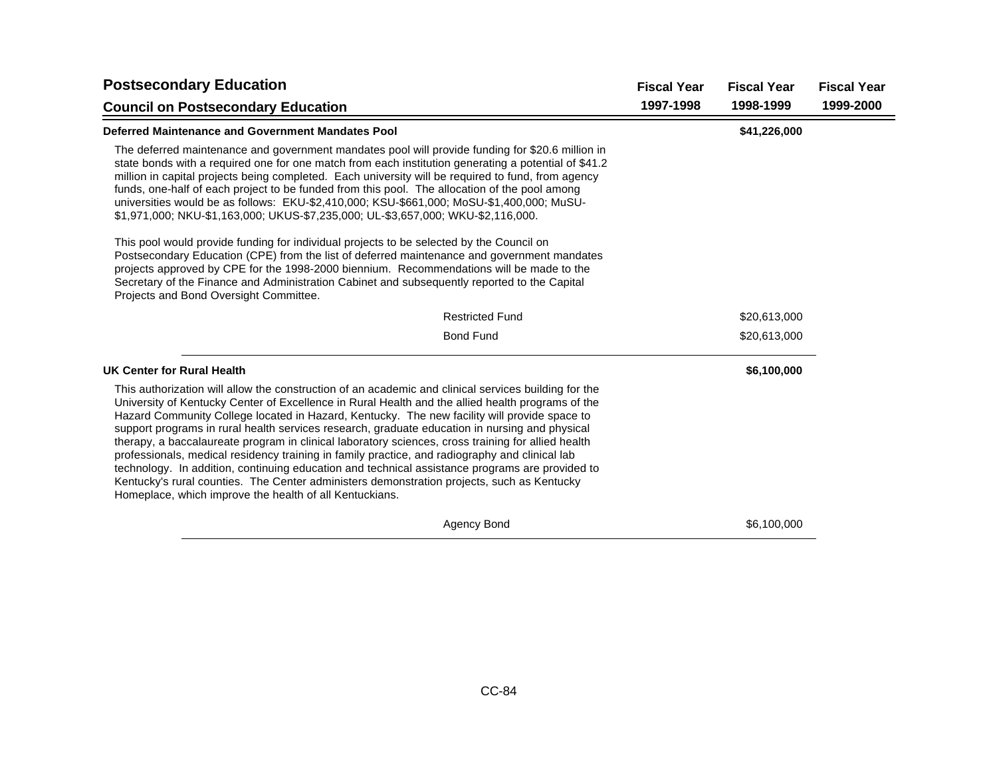| <b>Postsecondary Education</b>                                                                                                                                                                                                                                                                                                                                                                                                                                                                                                                                                                                                                                                                                                                                                                                                                                                  | <b>Fiscal Year</b> | <b>Fiscal Year</b> | <b>Fiscal Year</b> |
|---------------------------------------------------------------------------------------------------------------------------------------------------------------------------------------------------------------------------------------------------------------------------------------------------------------------------------------------------------------------------------------------------------------------------------------------------------------------------------------------------------------------------------------------------------------------------------------------------------------------------------------------------------------------------------------------------------------------------------------------------------------------------------------------------------------------------------------------------------------------------------|--------------------|--------------------|--------------------|
| <b>Council on Postsecondary Education</b>                                                                                                                                                                                                                                                                                                                                                                                                                                                                                                                                                                                                                                                                                                                                                                                                                                       | 1997-1998          | 1998-1999          | 1999-2000          |
| Deferred Maintenance and Government Mandates Pool                                                                                                                                                                                                                                                                                                                                                                                                                                                                                                                                                                                                                                                                                                                                                                                                                               |                    | \$41,226,000       |                    |
| The deferred maintenance and government mandates pool will provide funding for \$20.6 million in<br>state bonds with a required one for one match from each institution generating a potential of \$41.2<br>million in capital projects being completed. Each university will be required to fund, from agency<br>funds, one-half of each project to be funded from this pool. The allocation of the pool among<br>universities would be as follows: EKU-\$2,410,000; KSU-\$661,000; MoSU-\$1,400,000; MuSU-<br>\$1,971,000; NKU-\$1,163,000; UKUS-\$7,235,000; UL-\$3,657,000; WKU-\$2,116,000.                                                                                                                                                                                                                                                                                |                    |                    |                    |
| This pool would provide funding for individual projects to be selected by the Council on<br>Postsecondary Education (CPE) from the list of deferred maintenance and government mandates<br>projects approved by CPE for the 1998-2000 biennium. Recommendations will be made to the<br>Secretary of the Finance and Administration Cabinet and subsequently reported to the Capital<br>Projects and Bond Oversight Committee.                                                                                                                                                                                                                                                                                                                                                                                                                                                   |                    |                    |                    |
| <b>Restricted Fund</b>                                                                                                                                                                                                                                                                                                                                                                                                                                                                                                                                                                                                                                                                                                                                                                                                                                                          |                    | \$20,613,000       |                    |
| <b>Bond Fund</b>                                                                                                                                                                                                                                                                                                                                                                                                                                                                                                                                                                                                                                                                                                                                                                                                                                                                |                    | \$20,613,000       |                    |
| UK Center for Rural Health                                                                                                                                                                                                                                                                                                                                                                                                                                                                                                                                                                                                                                                                                                                                                                                                                                                      |                    | \$6,100,000        |                    |
| This authorization will allow the construction of an academic and clinical services building for the<br>University of Kentucky Center of Excellence in Rural Health and the allied health programs of the<br>Hazard Community College located in Hazard, Kentucky. The new facility will provide space to<br>support programs in rural health services research, graduate education in nursing and physical<br>therapy, a baccalaureate program in clinical laboratory sciences, cross training for allied health<br>professionals, medical residency training in family practice, and radiography and clinical lab<br>technology. In addition, continuing education and technical assistance programs are provided to<br>Kentucky's rural counties. The Center administers demonstration projects, such as Kentucky<br>Homeplace, which improve the health of all Kentuckians. |                    |                    |                    |
| Agency Bond                                                                                                                                                                                                                                                                                                                                                                                                                                                                                                                                                                                                                                                                                                                                                                                                                                                                     |                    | \$6,100,000        |                    |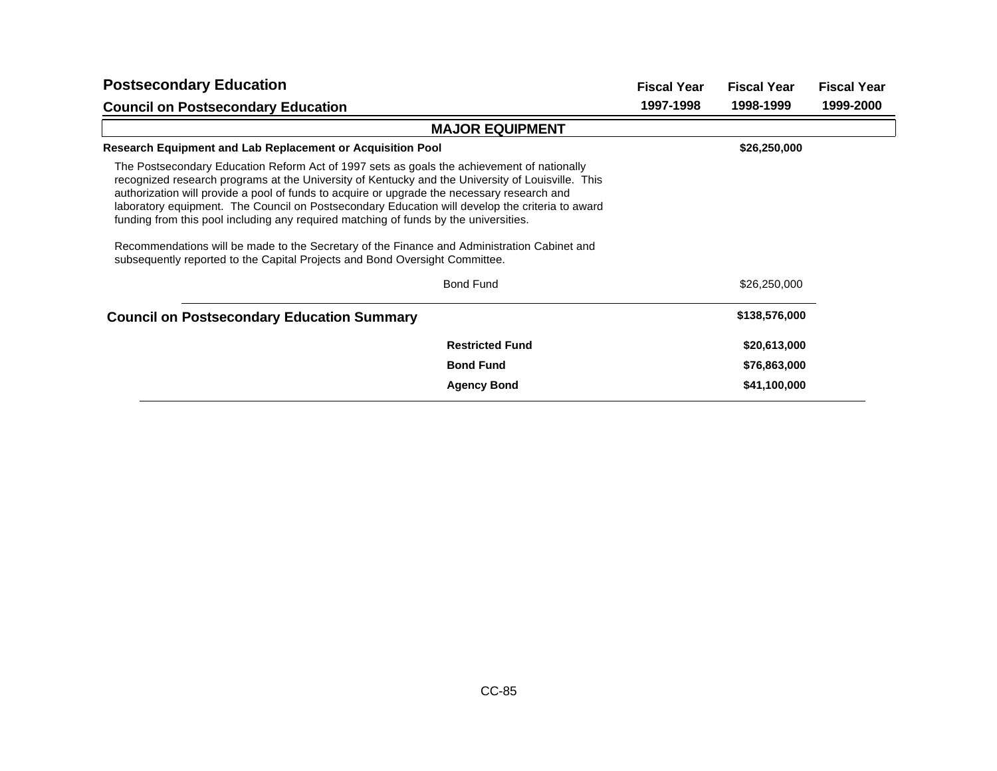| <b>Postsecondary Education</b>                                                                                                                                                                                                                                                                                                                                                                                                                                                                                                                                                                                                                                          |                        | <b>Fiscal Year</b> | <b>Fiscal Year</b> | <b>Fiscal Year</b> |
|-------------------------------------------------------------------------------------------------------------------------------------------------------------------------------------------------------------------------------------------------------------------------------------------------------------------------------------------------------------------------------------------------------------------------------------------------------------------------------------------------------------------------------------------------------------------------------------------------------------------------------------------------------------------------|------------------------|--------------------|--------------------|--------------------|
| <b>Council on Postsecondary Education</b>                                                                                                                                                                                                                                                                                                                                                                                                                                                                                                                                                                                                                               |                        | 1997-1998          | 1998-1999          | 1999-2000          |
|                                                                                                                                                                                                                                                                                                                                                                                                                                                                                                                                                                                                                                                                         | <b>MAJOR EQUIPMENT</b> |                    |                    |                    |
| Research Equipment and Lab Replacement or Acquisition Pool                                                                                                                                                                                                                                                                                                                                                                                                                                                                                                                                                                                                              |                        |                    | \$26,250,000       |                    |
| The Postsecondary Education Reform Act of 1997 sets as goals the achievement of nationally<br>recognized research programs at the University of Kentucky and the University of Louisville. This<br>authorization will provide a pool of funds to acquire or upgrade the necessary research and<br>laboratory equipment. The Council on Postsecondary Education will develop the criteria to award<br>funding from this pool including any required matching of funds by the universities.<br>Recommendations will be made to the Secretary of the Finance and Administration Cabinet and<br>subsequently reported to the Capital Projects and Bond Oversight Committee. |                        |                    |                    |                    |
|                                                                                                                                                                                                                                                                                                                                                                                                                                                                                                                                                                                                                                                                         | <b>Bond Fund</b>       |                    | \$26,250,000       |                    |
| <b>Council on Postsecondary Education Summary</b>                                                                                                                                                                                                                                                                                                                                                                                                                                                                                                                                                                                                                       |                        |                    | \$138,576,000      |                    |
|                                                                                                                                                                                                                                                                                                                                                                                                                                                                                                                                                                                                                                                                         | <b>Restricted Fund</b> |                    | \$20,613,000       |                    |
|                                                                                                                                                                                                                                                                                                                                                                                                                                                                                                                                                                                                                                                                         | <b>Bond Fund</b>       |                    | \$76,863,000       |                    |
|                                                                                                                                                                                                                                                                                                                                                                                                                                                                                                                                                                                                                                                                         | <b>Agency Bond</b>     |                    | \$41,100,000       |                    |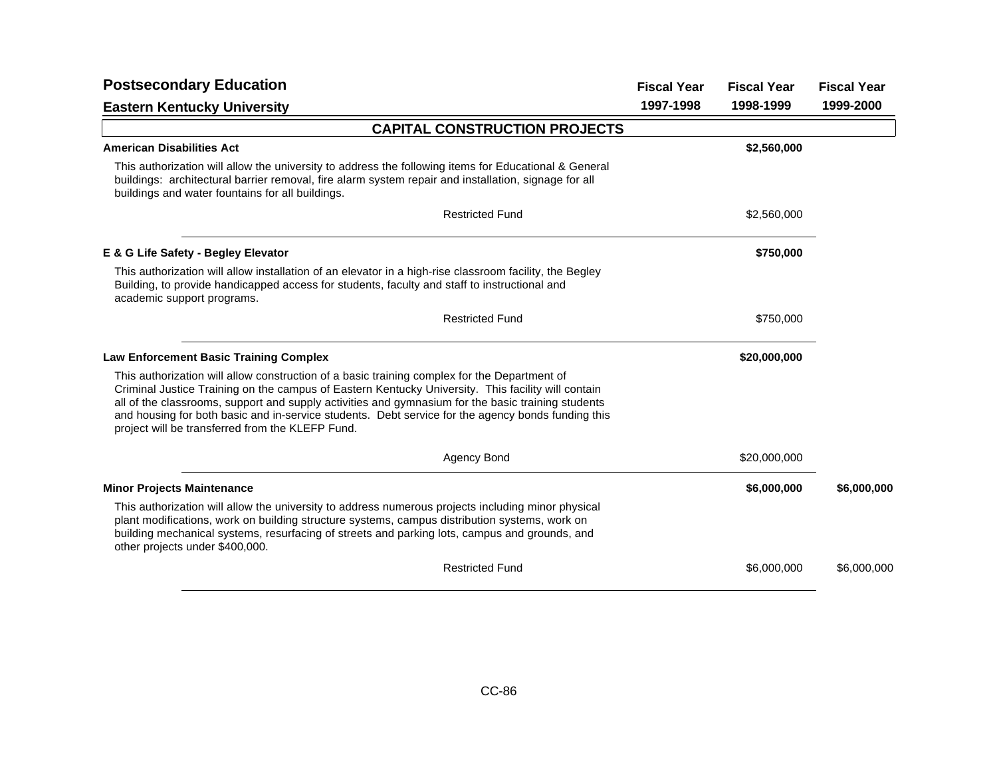| <b>Postsecondary Education</b>                                                                                                                                                                                                                                                                                                                                                                                                                                     | <b>Fiscal Year</b> | <b>Fiscal Year</b> | <b>Fiscal Year</b> |
|--------------------------------------------------------------------------------------------------------------------------------------------------------------------------------------------------------------------------------------------------------------------------------------------------------------------------------------------------------------------------------------------------------------------------------------------------------------------|--------------------|--------------------|--------------------|
| <b>Eastern Kentucky University</b>                                                                                                                                                                                                                                                                                                                                                                                                                                 | 1997-1998          | 1998-1999          | 1999-2000          |
| <b>CAPITAL CONSTRUCTION PROJECTS</b>                                                                                                                                                                                                                                                                                                                                                                                                                               |                    |                    |                    |
| <b>American Disabilities Act</b>                                                                                                                                                                                                                                                                                                                                                                                                                                   |                    | \$2,560,000        |                    |
| This authorization will allow the university to address the following items for Educational & General<br>buildings: architectural barrier removal, fire alarm system repair and installation, signage for all<br>buildings and water fountains for all buildings.                                                                                                                                                                                                  |                    |                    |                    |
| <b>Restricted Fund</b>                                                                                                                                                                                                                                                                                                                                                                                                                                             |                    | \$2,560,000        |                    |
| E & G Life Safety - Begley Elevator                                                                                                                                                                                                                                                                                                                                                                                                                                |                    | \$750,000          |                    |
| This authorization will allow installation of an elevator in a high-rise classroom facility, the Begley<br>Building, to provide handicapped access for students, faculty and staff to instructional and<br>academic support programs.                                                                                                                                                                                                                              |                    |                    |                    |
| <b>Restricted Fund</b>                                                                                                                                                                                                                                                                                                                                                                                                                                             |                    | \$750,000          |                    |
| <b>Law Enforcement Basic Training Complex</b>                                                                                                                                                                                                                                                                                                                                                                                                                      |                    | \$20,000,000       |                    |
| This authorization will allow construction of a basic training complex for the Department of<br>Criminal Justice Training on the campus of Eastern Kentucky University. This facility will contain<br>all of the classrooms, support and supply activities and gymnasium for the basic training students<br>and housing for both basic and in-service students. Debt service for the agency bonds funding this<br>project will be transferred from the KLEFP Fund. |                    |                    |                    |
| Agency Bond                                                                                                                                                                                                                                                                                                                                                                                                                                                        |                    | \$20,000,000       |                    |
| <b>Minor Projects Maintenance</b>                                                                                                                                                                                                                                                                                                                                                                                                                                  |                    | \$6,000,000        | \$6,000,000        |
| This authorization will allow the university to address numerous projects including minor physical<br>plant modifications, work on building structure systems, campus distribution systems, work on<br>building mechanical systems, resurfacing of streets and parking lots, campus and grounds, and<br>other projects under \$400,000.                                                                                                                            |                    |                    |                    |
| <b>Restricted Fund</b>                                                                                                                                                                                                                                                                                                                                                                                                                                             |                    | \$6,000,000        | \$6,000,000        |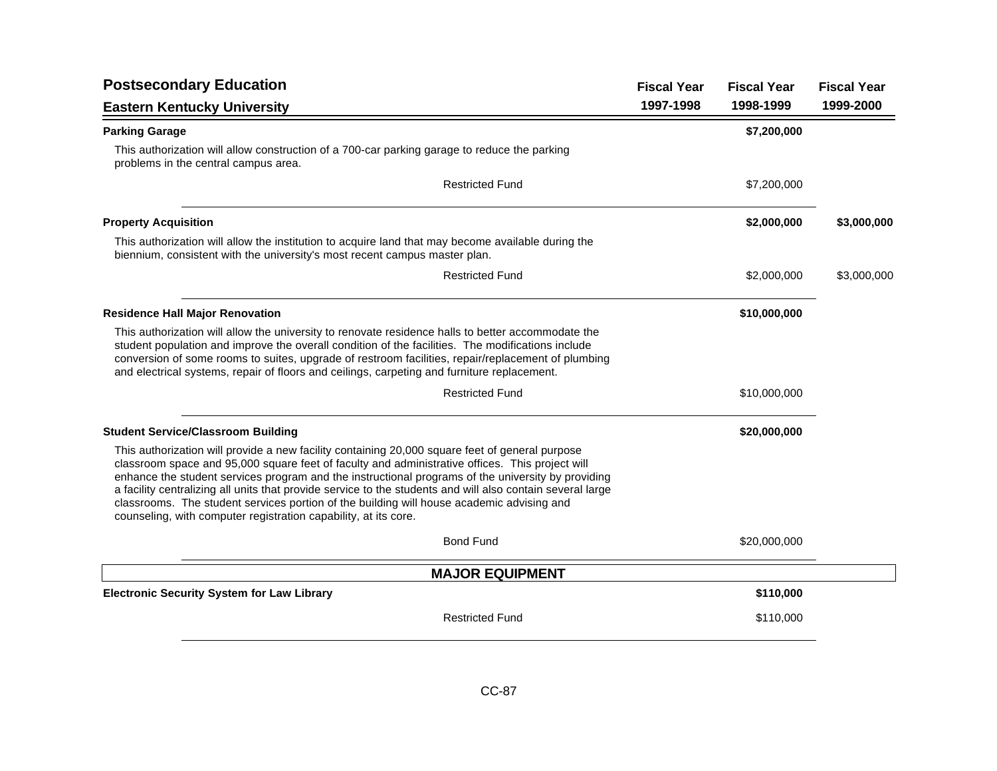| <b>Postsecondary Education</b>                                                                                                                                                                                                                                                                                                                                                                                                                                                                                                                                                         | <b>Fiscal Year</b> | <b>Fiscal Year</b> | <b>Fiscal Year</b> |
|----------------------------------------------------------------------------------------------------------------------------------------------------------------------------------------------------------------------------------------------------------------------------------------------------------------------------------------------------------------------------------------------------------------------------------------------------------------------------------------------------------------------------------------------------------------------------------------|--------------------|--------------------|--------------------|
| <b>Eastern Kentucky University</b>                                                                                                                                                                                                                                                                                                                                                                                                                                                                                                                                                     | 1997-1998          | 1998-1999          | 1999-2000          |
| <b>Parking Garage</b>                                                                                                                                                                                                                                                                                                                                                                                                                                                                                                                                                                  |                    | \$7,200,000        |                    |
| This authorization will allow construction of a 700-car parking garage to reduce the parking<br>problems in the central campus area.                                                                                                                                                                                                                                                                                                                                                                                                                                                   |                    |                    |                    |
| <b>Restricted Fund</b>                                                                                                                                                                                                                                                                                                                                                                                                                                                                                                                                                                 |                    | \$7,200,000        |                    |
| <b>Property Acquisition</b>                                                                                                                                                                                                                                                                                                                                                                                                                                                                                                                                                            |                    | \$2,000,000        | \$3,000,000        |
| This authorization will allow the institution to acquire land that may become available during the<br>biennium, consistent with the university's most recent campus master plan.                                                                                                                                                                                                                                                                                                                                                                                                       |                    |                    |                    |
| <b>Restricted Fund</b>                                                                                                                                                                                                                                                                                                                                                                                                                                                                                                                                                                 |                    | \$2,000,000        | \$3,000,000        |
| <b>Residence Hall Major Renovation</b>                                                                                                                                                                                                                                                                                                                                                                                                                                                                                                                                                 |                    | \$10,000,000       |                    |
| This authorization will allow the university to renovate residence halls to better accommodate the<br>student population and improve the overall condition of the facilities. The modifications include<br>conversion of some rooms to suites, upgrade of restroom facilities, repair/replacement of plumbing<br>and electrical systems, repair of floors and ceilings, carpeting and furniture replacement.                                                                                                                                                                           |                    |                    |                    |
| <b>Restricted Fund</b>                                                                                                                                                                                                                                                                                                                                                                                                                                                                                                                                                                 |                    | \$10,000,000       |                    |
| <b>Student Service/Classroom Building</b>                                                                                                                                                                                                                                                                                                                                                                                                                                                                                                                                              |                    | \$20,000,000       |                    |
| This authorization will provide a new facility containing 20,000 square feet of general purpose<br>classroom space and 95,000 square feet of faculty and administrative offices. This project will<br>enhance the student services program and the instructional programs of the university by providing<br>a facility centralizing all units that provide service to the students and will also contain several large<br>classrooms. The student services portion of the building will house academic advising and<br>counseling, with computer registration capability, at its core. |                    |                    |                    |
| <b>Bond Fund</b>                                                                                                                                                                                                                                                                                                                                                                                                                                                                                                                                                                       |                    | \$20,000,000       |                    |
| <b>MAJOR EQUIPMENT</b>                                                                                                                                                                                                                                                                                                                                                                                                                                                                                                                                                                 |                    |                    |                    |
| <b>Electronic Security System for Law Library</b>                                                                                                                                                                                                                                                                                                                                                                                                                                                                                                                                      |                    | \$110,000          |                    |
| <b>Restricted Fund</b>                                                                                                                                                                                                                                                                                                                                                                                                                                                                                                                                                                 |                    | \$110,000          |                    |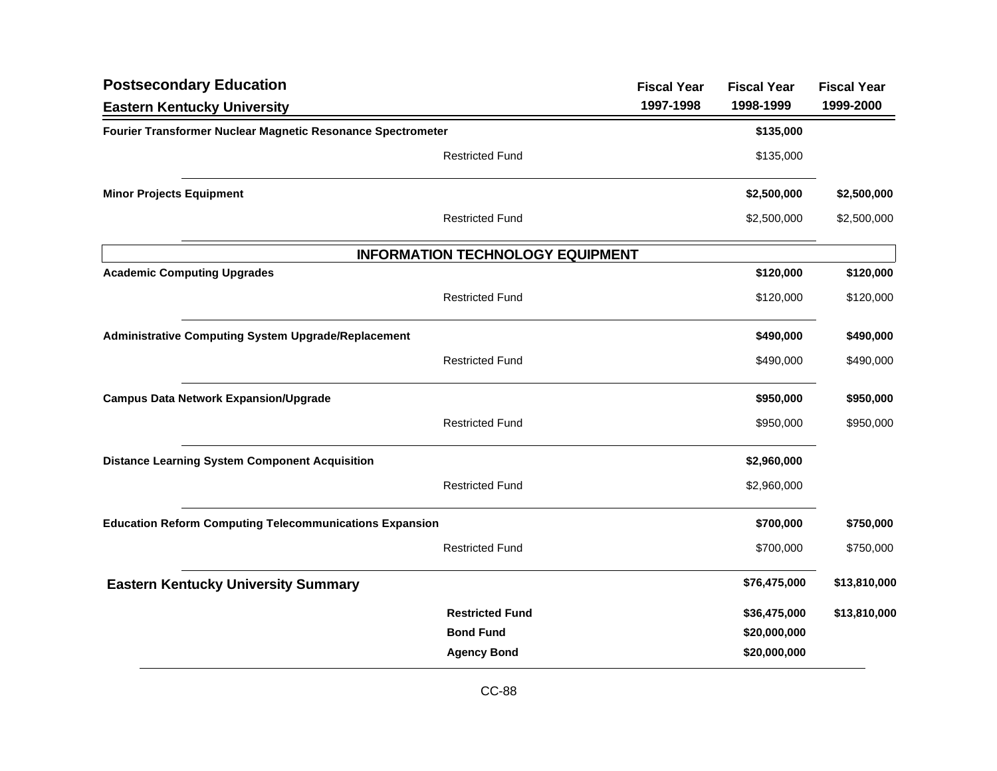| <b>Postsecondary Education</b>                                 |                                         | <b>Fiscal Year</b> | <b>Fiscal Year</b> | <b>Fiscal Year</b> |
|----------------------------------------------------------------|-----------------------------------------|--------------------|--------------------|--------------------|
| <b>Eastern Kentucky University</b>                             |                                         | 1997-1998          | 1998-1999          | 1999-2000          |
| Fourier Transformer Nuclear Magnetic Resonance Spectrometer    |                                         |                    | \$135,000          |                    |
|                                                                | <b>Restricted Fund</b>                  |                    | \$135,000          |                    |
| <b>Minor Projects Equipment</b>                                |                                         |                    | \$2,500,000        | \$2,500,000        |
|                                                                | <b>Restricted Fund</b>                  |                    | \$2,500,000        | \$2,500,000        |
|                                                                | <b>INFORMATION TECHNOLOGY EQUIPMENT</b> |                    |                    |                    |
| <b>Academic Computing Upgrades</b>                             |                                         |                    | \$120,000          | \$120,000          |
|                                                                | <b>Restricted Fund</b>                  |                    | \$120,000          | \$120,000          |
| <b>Administrative Computing System Upgrade/Replacement</b>     |                                         |                    | \$490,000          | \$490,000          |
|                                                                | <b>Restricted Fund</b>                  |                    | \$490,000          | \$490,000          |
| <b>Campus Data Network Expansion/Upgrade</b>                   |                                         |                    | \$950,000          | \$950,000          |
|                                                                | <b>Restricted Fund</b>                  |                    | \$950,000          | \$950,000          |
| <b>Distance Learning System Component Acquisition</b>          |                                         |                    | \$2,960,000        |                    |
|                                                                | <b>Restricted Fund</b>                  |                    | \$2,960,000        |                    |
| <b>Education Reform Computing Telecommunications Expansion</b> |                                         |                    | \$700,000          | \$750,000          |
|                                                                | <b>Restricted Fund</b>                  |                    | \$700,000          | \$750,000          |
| <b>Eastern Kentucky University Summary</b>                     |                                         |                    | \$76,475,000       | \$13,810,000       |
|                                                                | <b>Restricted Fund</b>                  |                    | \$36,475,000       | \$13,810,000       |
|                                                                | <b>Bond Fund</b>                        |                    | \$20,000,000       |                    |
|                                                                | <b>Agency Bond</b>                      |                    | \$20,000,000       |                    |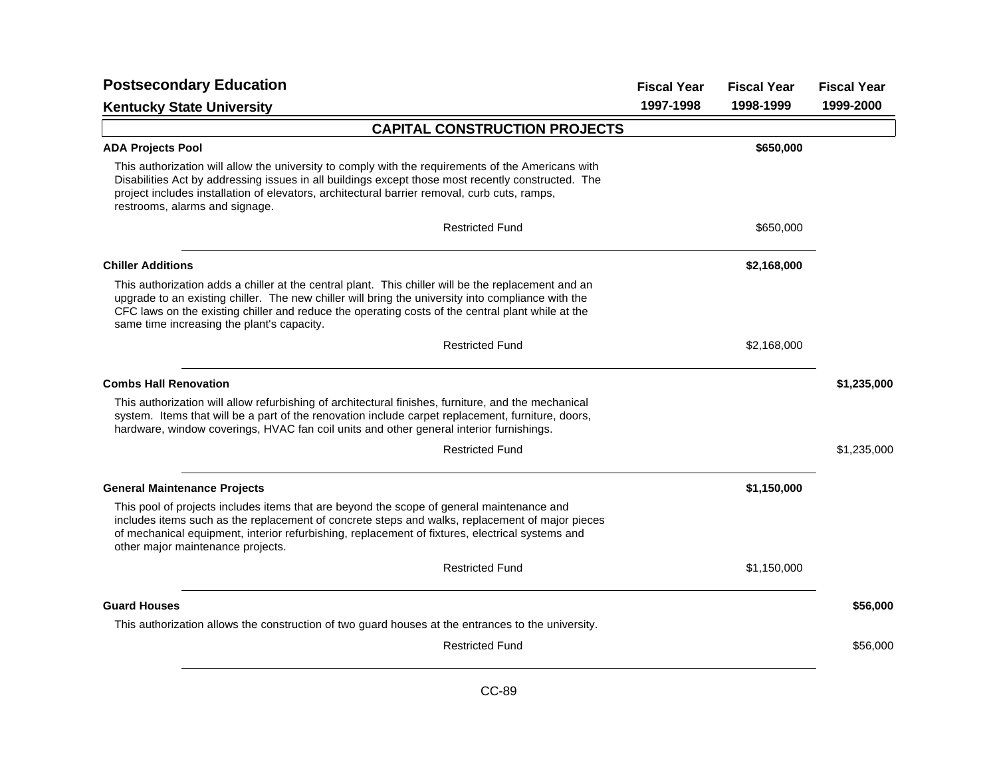| <b>Postsecondary Education</b>                                                                                                                                                                                                                                                                                                                               | <b>Fiscal Year</b> | <b>Fiscal Year</b> | <b>Fiscal Year</b> |
|--------------------------------------------------------------------------------------------------------------------------------------------------------------------------------------------------------------------------------------------------------------------------------------------------------------------------------------------------------------|--------------------|--------------------|--------------------|
| <b>Kentucky State University</b>                                                                                                                                                                                                                                                                                                                             | 1997-1998          | 1998-1999          | 1999-2000          |
| <b>CAPITAL CONSTRUCTION PROJECTS</b>                                                                                                                                                                                                                                                                                                                         |                    |                    |                    |
| <b>ADA Projects Pool</b>                                                                                                                                                                                                                                                                                                                                     |                    | \$650,000          |                    |
| This authorization will allow the university to comply with the requirements of the Americans with<br>Disabilities Act by addressing issues in all buildings except those most recently constructed. The<br>project includes installation of elevators, architectural barrier removal, curb cuts, ramps,<br>restrooms, alarms and signage.                   |                    |                    |                    |
| <b>Restricted Fund</b>                                                                                                                                                                                                                                                                                                                                       |                    | \$650,000          |                    |
| <b>Chiller Additions</b>                                                                                                                                                                                                                                                                                                                                     |                    | \$2,168,000        |                    |
| This authorization adds a chiller at the central plant. This chiller will be the replacement and an<br>upgrade to an existing chiller. The new chiller will bring the university into compliance with the<br>CFC laws on the existing chiller and reduce the operating costs of the central plant while at the<br>same time increasing the plant's capacity. |                    |                    |                    |
| <b>Restricted Fund</b>                                                                                                                                                                                                                                                                                                                                       |                    | \$2,168,000        |                    |
| <b>Combs Hall Renovation</b>                                                                                                                                                                                                                                                                                                                                 |                    |                    | \$1,235,000        |
| This authorization will allow refurbishing of architectural finishes, furniture, and the mechanical<br>system. Items that will be a part of the renovation include carpet replacement, furniture, doors,<br>hardware, window coverings, HVAC fan coil units and other general interior furnishings.                                                          |                    |                    |                    |
| <b>Restricted Fund</b>                                                                                                                                                                                                                                                                                                                                       |                    |                    | \$1,235,000        |
| <b>General Maintenance Projects</b>                                                                                                                                                                                                                                                                                                                          |                    | \$1,150,000        |                    |
| This pool of projects includes items that are beyond the scope of general maintenance and<br>includes items such as the replacement of concrete steps and walks, replacement of major pieces<br>of mechanical equipment, interior refurbishing, replacement of fixtures, electrical systems and<br>other major maintenance projects.                         |                    |                    |                    |
| <b>Restricted Fund</b>                                                                                                                                                                                                                                                                                                                                       |                    | \$1,150,000        |                    |
| <b>Guard Houses</b>                                                                                                                                                                                                                                                                                                                                          |                    |                    | \$56,000           |
| This authorization allows the construction of two guard houses at the entrances to the university.                                                                                                                                                                                                                                                           |                    |                    |                    |
| <b>Restricted Fund</b>                                                                                                                                                                                                                                                                                                                                       |                    |                    | \$56,000           |
|                                                                                                                                                                                                                                                                                                                                                              |                    |                    |                    |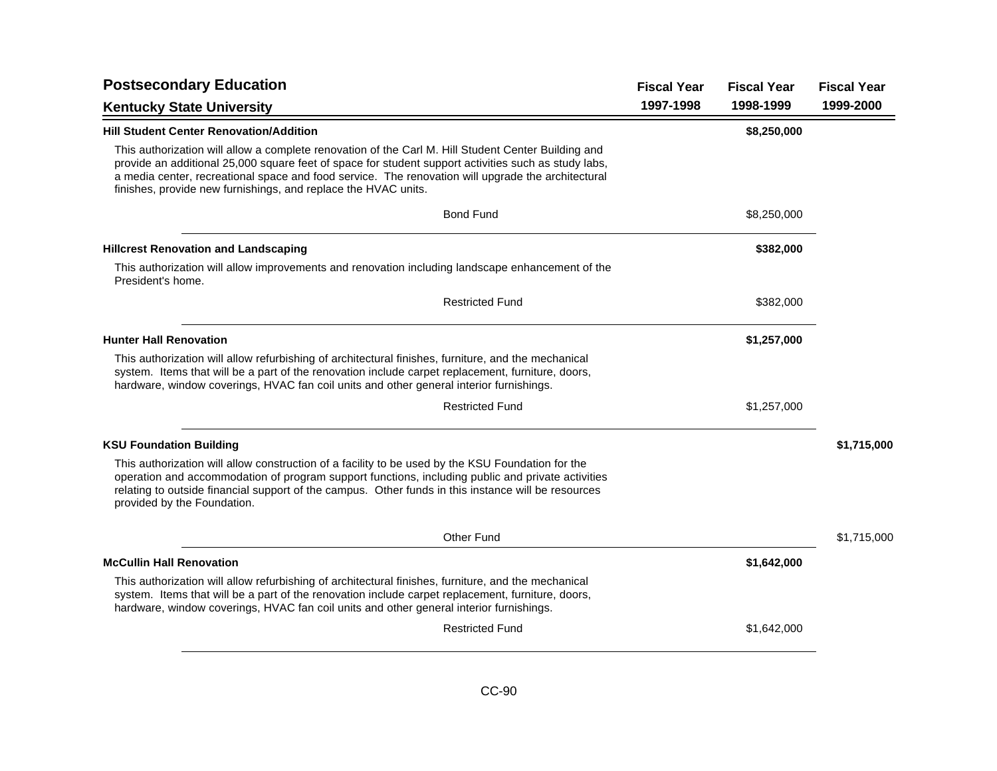| <b>Postsecondary Education</b>                                                                                                                                                                                                                                                                                                                                                      | <b>Fiscal Year</b> | <b>Fiscal Year</b> | <b>Fiscal Year</b> |
|-------------------------------------------------------------------------------------------------------------------------------------------------------------------------------------------------------------------------------------------------------------------------------------------------------------------------------------------------------------------------------------|--------------------|--------------------|--------------------|
| <b>Kentucky State University</b>                                                                                                                                                                                                                                                                                                                                                    | 1997-1998          | 1998-1999          | 1999-2000          |
| <b>Hill Student Center Renovation/Addition</b>                                                                                                                                                                                                                                                                                                                                      |                    | \$8,250,000        |                    |
| This authorization will allow a complete renovation of the Carl M. Hill Student Center Building and<br>provide an additional 25,000 square feet of space for student support activities such as study labs,<br>a media center, recreational space and food service. The renovation will upgrade the architectural<br>finishes, provide new furnishings, and replace the HVAC units. |                    |                    |                    |
| <b>Bond Fund</b>                                                                                                                                                                                                                                                                                                                                                                    |                    | \$8,250,000        |                    |
| <b>Hillcrest Renovation and Landscaping</b>                                                                                                                                                                                                                                                                                                                                         |                    | \$382,000          |                    |
| This authorization will allow improvements and renovation including landscape enhancement of the<br>President's home.                                                                                                                                                                                                                                                               |                    |                    |                    |
| <b>Restricted Fund</b>                                                                                                                                                                                                                                                                                                                                                              |                    | \$382,000          |                    |
| <b>Hunter Hall Renovation</b>                                                                                                                                                                                                                                                                                                                                                       |                    | \$1,257,000        |                    |
| This authorization will allow refurbishing of architectural finishes, furniture, and the mechanical<br>system. Items that will be a part of the renovation include carpet replacement, furniture, doors,<br>hardware, window coverings, HVAC fan coil units and other general interior furnishings.                                                                                 |                    |                    |                    |
| <b>Restricted Fund</b>                                                                                                                                                                                                                                                                                                                                                              |                    | \$1,257,000        |                    |
| <b>KSU Foundation Building</b>                                                                                                                                                                                                                                                                                                                                                      |                    |                    | \$1,715,000        |
| This authorization will allow construction of a facility to be used by the KSU Foundation for the<br>operation and accommodation of program support functions, including public and private activities<br>relating to outside financial support of the campus. Other funds in this instance will be resources<br>provided by the Foundation.                                        |                    |                    |                    |
| <b>Other Fund</b>                                                                                                                                                                                                                                                                                                                                                                   |                    |                    | \$1,715,000        |
| <b>McCullin Hall Renovation</b>                                                                                                                                                                                                                                                                                                                                                     |                    | \$1,642,000        |                    |
| This authorization will allow refurbishing of architectural finishes, furniture, and the mechanical<br>system. Items that will be a part of the renovation include carpet replacement, furniture, doors,<br>hardware, window coverings, HVAC fan coil units and other general interior furnishings.                                                                                 |                    |                    |                    |
| <b>Restricted Fund</b>                                                                                                                                                                                                                                                                                                                                                              |                    | \$1,642,000        |                    |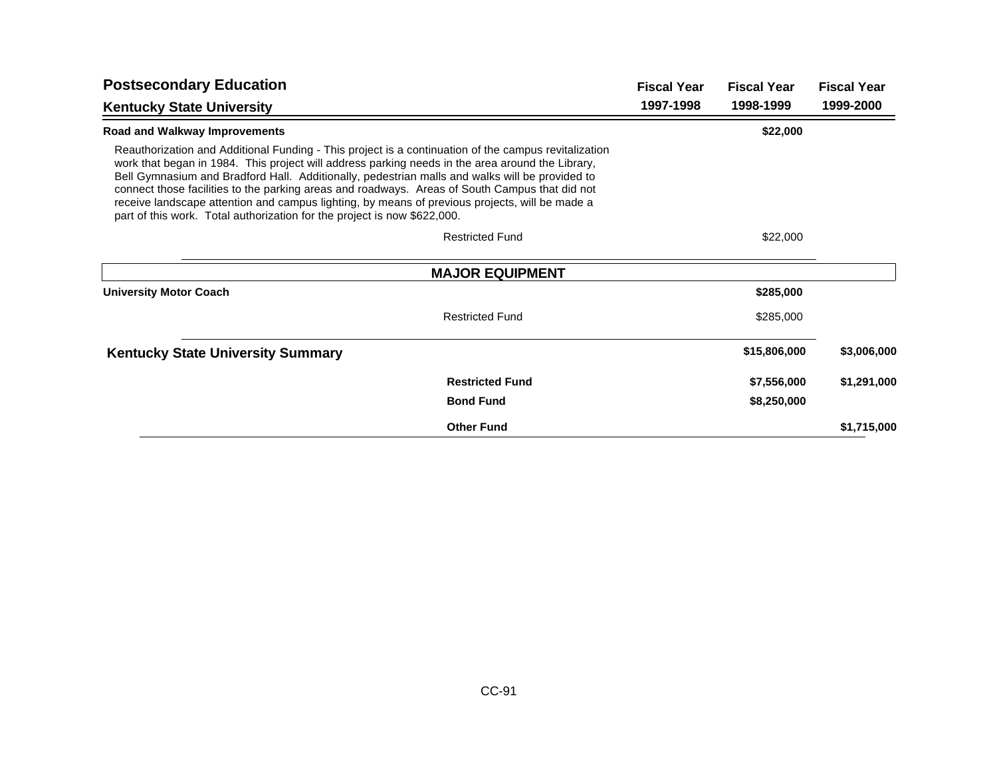| <b>Postsecondary Education</b>                                                                                                                                                                                                                                                                                                                                                                                                                                                                                                                                                             | <b>Fiscal Year</b>     | <b>Fiscal Year</b> | <b>Fiscal Year</b> |
|--------------------------------------------------------------------------------------------------------------------------------------------------------------------------------------------------------------------------------------------------------------------------------------------------------------------------------------------------------------------------------------------------------------------------------------------------------------------------------------------------------------------------------------------------------------------------------------------|------------------------|--------------------|--------------------|
| <b>Kentucky State University</b>                                                                                                                                                                                                                                                                                                                                                                                                                                                                                                                                                           | 1997-1998              | 1998-1999          | 1999-2000          |
| Road and Walkway Improvements                                                                                                                                                                                                                                                                                                                                                                                                                                                                                                                                                              |                        | \$22,000           |                    |
| Reauthorization and Additional Funding - This project is a continuation of the campus revitalization<br>work that began in 1984. This project will address parking needs in the area around the Library,<br>Bell Gymnasium and Bradford Hall. Additionally, pedestrian malls and walks will be provided to<br>connect those facilities to the parking areas and roadways. Areas of South Campus that did not<br>receive landscape attention and campus lighting, by means of previous projects, will be made a<br>part of this work. Total authorization for the project is now \$622,000. |                        |                    |                    |
| <b>Restricted Fund</b>                                                                                                                                                                                                                                                                                                                                                                                                                                                                                                                                                                     |                        | \$22,000           |                    |
|                                                                                                                                                                                                                                                                                                                                                                                                                                                                                                                                                                                            | <b>MAJOR EQUIPMENT</b> |                    |                    |
| <b>University Motor Coach</b>                                                                                                                                                                                                                                                                                                                                                                                                                                                                                                                                                              |                        | \$285,000          |                    |
| <b>Restricted Fund</b>                                                                                                                                                                                                                                                                                                                                                                                                                                                                                                                                                                     |                        | \$285,000          |                    |
| <b>Kentucky State University Summary</b>                                                                                                                                                                                                                                                                                                                                                                                                                                                                                                                                                   |                        | \$15,806,000       | \$3,006,000        |
| <b>Restricted Fund</b>                                                                                                                                                                                                                                                                                                                                                                                                                                                                                                                                                                     |                        | \$7,556,000        | \$1,291,000        |
| <b>Bond Fund</b>                                                                                                                                                                                                                                                                                                                                                                                                                                                                                                                                                                           |                        | \$8,250,000        |                    |
| <b>Other Fund</b>                                                                                                                                                                                                                                                                                                                                                                                                                                                                                                                                                                          |                        |                    | \$1,715,000        |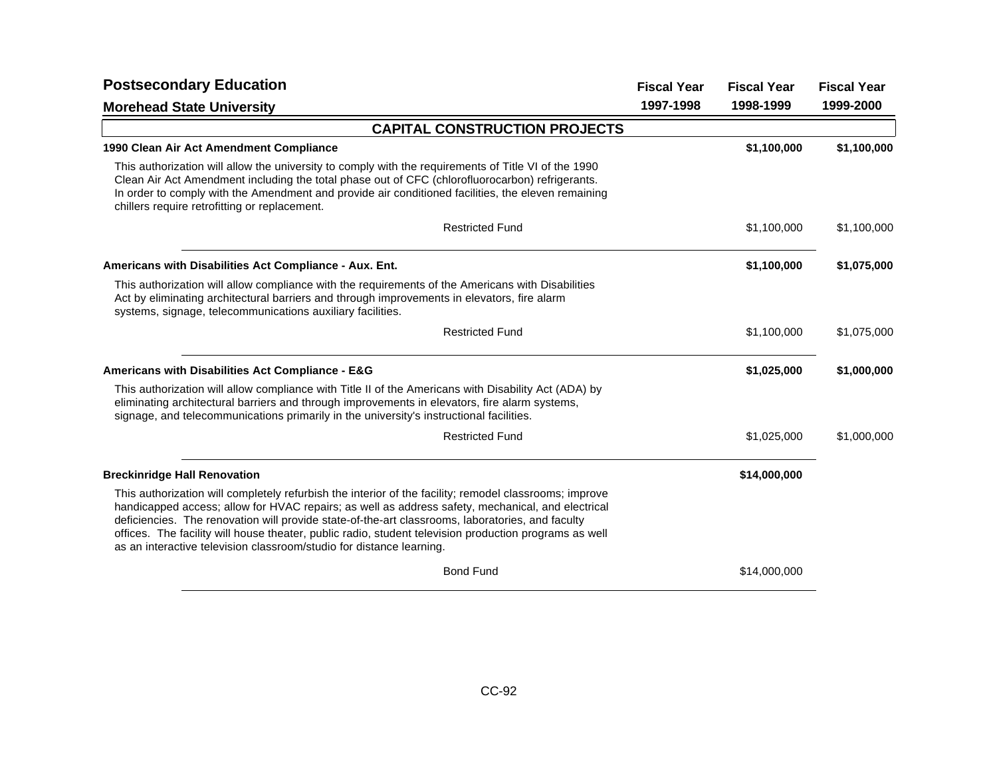| <b>Postsecondary Education</b>                                                                                                                                                                                                                                                                                                                                                                                                                                                                    |           | <b>Fiscal Year</b> | <b>Fiscal Year</b> |
|---------------------------------------------------------------------------------------------------------------------------------------------------------------------------------------------------------------------------------------------------------------------------------------------------------------------------------------------------------------------------------------------------------------------------------------------------------------------------------------------------|-----------|--------------------|--------------------|
| <b>Morehead State University</b>                                                                                                                                                                                                                                                                                                                                                                                                                                                                  | 1997-1998 | 1998-1999          | 1999-2000          |
| <b>CAPITAL CONSTRUCTION PROJECTS</b>                                                                                                                                                                                                                                                                                                                                                                                                                                                              |           |                    |                    |
| 1990 Clean Air Act Amendment Compliance                                                                                                                                                                                                                                                                                                                                                                                                                                                           |           | \$1,100,000        | \$1,100,000        |
| This authorization will allow the university to comply with the requirements of Title VI of the 1990<br>Clean Air Act Amendment including the total phase out of CFC (chlorofluorocarbon) refrigerants.<br>In order to comply with the Amendment and provide air conditioned facilities, the eleven remaining<br>chillers require retrofitting or replacement.                                                                                                                                    |           |                    |                    |
| <b>Restricted Fund</b>                                                                                                                                                                                                                                                                                                                                                                                                                                                                            |           | \$1,100,000        | \$1,100,000        |
| Americans with Disabilities Act Compliance - Aux. Ent.                                                                                                                                                                                                                                                                                                                                                                                                                                            |           | \$1,100,000        | \$1,075,000        |
| This authorization will allow compliance with the requirements of the Americans with Disabilities<br>Act by eliminating architectural barriers and through improvements in elevators, fire alarm<br>systems, signage, telecommunications auxiliary facilities.                                                                                                                                                                                                                                    |           |                    |                    |
| <b>Restricted Fund</b>                                                                                                                                                                                                                                                                                                                                                                                                                                                                            |           | \$1,100,000        | \$1,075,000        |
| Americans with Disabilities Act Compliance - E&G                                                                                                                                                                                                                                                                                                                                                                                                                                                  |           | \$1,025,000        | \$1,000,000        |
| This authorization will allow compliance with Title II of the Americans with Disability Act (ADA) by<br>eliminating architectural barriers and through improvements in elevators, fire alarm systems,<br>signage, and telecommunications primarily in the university's instructional facilities.                                                                                                                                                                                                  |           |                    |                    |
| <b>Restricted Fund</b>                                                                                                                                                                                                                                                                                                                                                                                                                                                                            |           | \$1,025,000        | \$1,000,000        |
| <b>Breckinridge Hall Renovation</b>                                                                                                                                                                                                                                                                                                                                                                                                                                                               |           | \$14,000,000       |                    |
| This authorization will completely refurbish the interior of the facility; remodel classrooms; improve<br>handicapped access; allow for HVAC repairs; as well as address safety, mechanical, and electrical<br>deficiencies. The renovation will provide state-of-the-art classrooms, laboratories, and faculty<br>offices. The facility will house theater, public radio, student television production programs as well<br>as an interactive television classroom/studio for distance learning. |           |                    |                    |
| <b>Bond Fund</b>                                                                                                                                                                                                                                                                                                                                                                                                                                                                                  |           | \$14,000,000       |                    |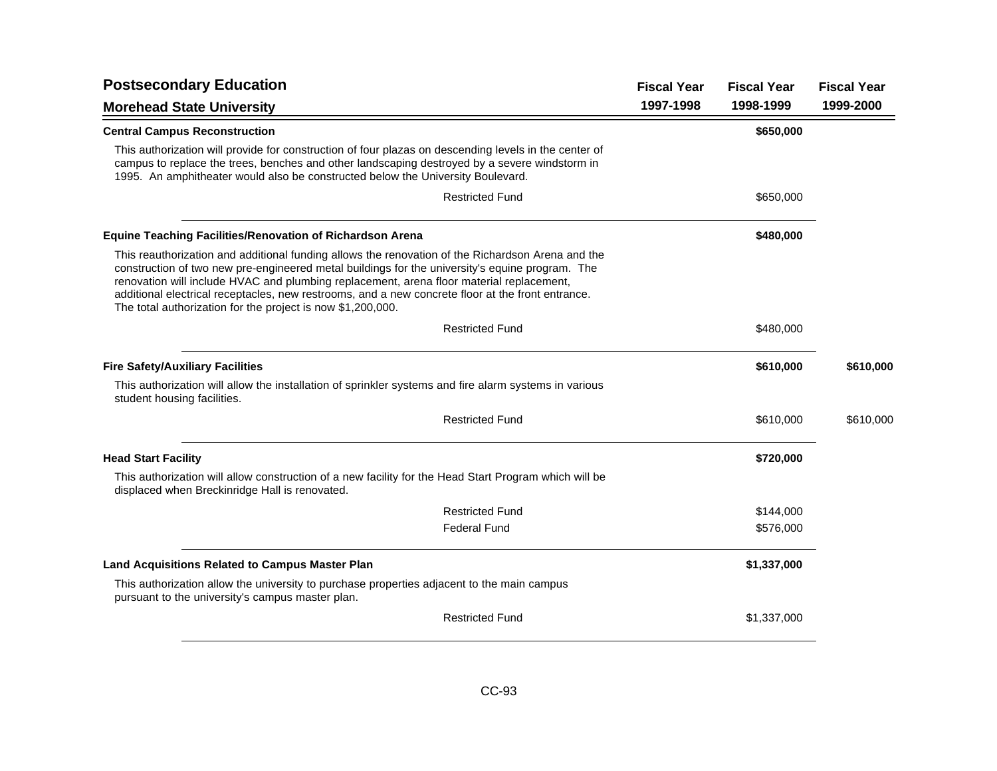| <b>Postsecondary Education</b>                                                                                                                                                                                                                                                                                                                                                                                                                                       |           | <b>Fiscal Year</b> | <b>Fiscal Year</b> |
|----------------------------------------------------------------------------------------------------------------------------------------------------------------------------------------------------------------------------------------------------------------------------------------------------------------------------------------------------------------------------------------------------------------------------------------------------------------------|-----------|--------------------|--------------------|
| <b>Morehead State University</b>                                                                                                                                                                                                                                                                                                                                                                                                                                     | 1997-1998 | 1998-1999          | 1999-2000          |
| <b>Central Campus Reconstruction</b>                                                                                                                                                                                                                                                                                                                                                                                                                                 |           | \$650,000          |                    |
| This authorization will provide for construction of four plazas on descending levels in the center of<br>campus to replace the trees, benches and other landscaping destroyed by a severe windstorm in<br>1995. An amphitheater would also be constructed below the University Boulevard.                                                                                                                                                                            |           |                    |                    |
| <b>Restricted Fund</b>                                                                                                                                                                                                                                                                                                                                                                                                                                               |           | \$650,000          |                    |
| <b>Equine Teaching Facilities/Renovation of Richardson Arena</b>                                                                                                                                                                                                                                                                                                                                                                                                     |           | \$480,000          |                    |
| This reauthorization and additional funding allows the renovation of the Richardson Arena and the<br>construction of two new pre-engineered metal buildings for the university's equine program. The<br>renovation will include HVAC and plumbing replacement, arena floor material replacement,<br>additional electrical receptacles, new restrooms, and a new concrete floor at the front entrance.<br>The total authorization for the project is now \$1,200,000. |           |                    |                    |
| <b>Restricted Fund</b>                                                                                                                                                                                                                                                                                                                                                                                                                                               |           | \$480,000          |                    |
| <b>Fire Safety/Auxiliary Facilities</b>                                                                                                                                                                                                                                                                                                                                                                                                                              |           | \$610,000          | \$610,000          |
| This authorization will allow the installation of sprinkler systems and fire alarm systems in various<br>student housing facilities.                                                                                                                                                                                                                                                                                                                                 |           |                    |                    |
| <b>Restricted Fund</b>                                                                                                                                                                                                                                                                                                                                                                                                                                               |           | \$610,000          | \$610,000          |
| <b>Head Start Facility</b>                                                                                                                                                                                                                                                                                                                                                                                                                                           |           | \$720,000          |                    |
| This authorization will allow construction of a new facility for the Head Start Program which will be<br>displaced when Breckinridge Hall is renovated.                                                                                                                                                                                                                                                                                                              |           |                    |                    |
| <b>Restricted Fund</b>                                                                                                                                                                                                                                                                                                                                                                                                                                               |           | \$144,000          |                    |
| <b>Federal Fund</b>                                                                                                                                                                                                                                                                                                                                                                                                                                                  |           | \$576,000          |                    |
| <b>Land Acquisitions Related to Campus Master Plan</b>                                                                                                                                                                                                                                                                                                                                                                                                               |           | \$1,337,000        |                    |
| This authorization allow the university to purchase properties adjacent to the main campus<br>pursuant to the university's campus master plan.                                                                                                                                                                                                                                                                                                                       |           |                    |                    |
| <b>Restricted Fund</b>                                                                                                                                                                                                                                                                                                                                                                                                                                               |           | \$1,337,000        |                    |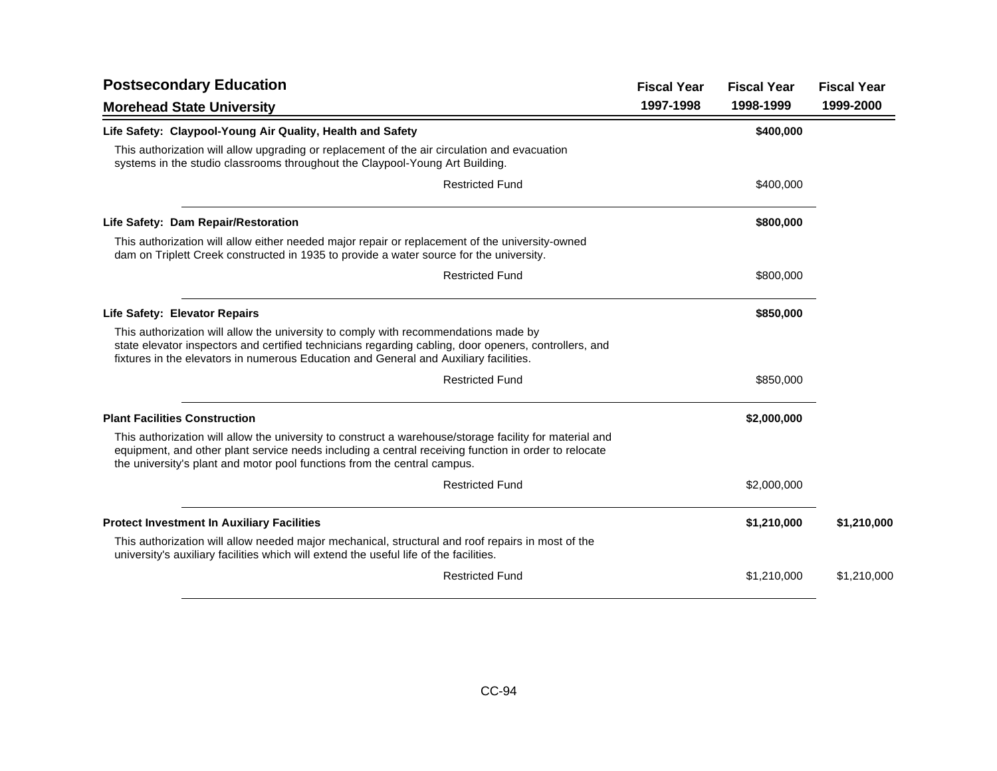| <b>Postsecondary Education</b>                                                                                                                                                                                                                                                              | <b>Fiscal Year</b> | <b>Fiscal Year</b> | <b>Fiscal Year</b> |
|---------------------------------------------------------------------------------------------------------------------------------------------------------------------------------------------------------------------------------------------------------------------------------------------|--------------------|--------------------|--------------------|
| <b>Morehead State University</b>                                                                                                                                                                                                                                                            | 1997-1998          | 1998-1999          | 1999-2000          |
| Life Safety: Claypool-Young Air Quality, Health and Safety                                                                                                                                                                                                                                  |                    | \$400,000          |                    |
| This authorization will allow upgrading or replacement of the air circulation and evacuation<br>systems in the studio classrooms throughout the Claypool-Young Art Building.                                                                                                                |                    |                    |                    |
| <b>Restricted Fund</b>                                                                                                                                                                                                                                                                      |                    | \$400,000          |                    |
| Life Safety: Dam Repair/Restoration                                                                                                                                                                                                                                                         |                    | \$800,000          |                    |
| This authorization will allow either needed major repair or replacement of the university-owned<br>dam on Triplett Creek constructed in 1935 to provide a water source for the university.                                                                                                  |                    |                    |                    |
| <b>Restricted Fund</b>                                                                                                                                                                                                                                                                      |                    | \$800,000          |                    |
| <b>Life Safety: Elevator Repairs</b>                                                                                                                                                                                                                                                        |                    | \$850,000          |                    |
| This authorization will allow the university to comply with recommendations made by<br>state elevator inspectors and certified technicians regarding cabling, door openers, controllers, and<br>fixtures in the elevators in numerous Education and General and Auxiliary facilities.       |                    |                    |                    |
| <b>Restricted Fund</b>                                                                                                                                                                                                                                                                      |                    | \$850,000          |                    |
| <b>Plant Facilities Construction</b>                                                                                                                                                                                                                                                        |                    | \$2,000,000        |                    |
| This authorization will allow the university to construct a warehouse/storage facility for material and<br>equipment, and other plant service needs including a central receiving function in order to relocate<br>the university's plant and motor pool functions from the central campus. |                    |                    |                    |
| <b>Restricted Fund</b>                                                                                                                                                                                                                                                                      |                    | \$2,000,000        |                    |
| <b>Protect Investment In Auxiliary Facilities</b>                                                                                                                                                                                                                                           |                    | \$1,210,000        | \$1,210,000        |
| This authorization will allow needed major mechanical, structural and roof repairs in most of the<br>university's auxiliary facilities which will extend the useful life of the facilities.                                                                                                 |                    |                    |                    |
| <b>Restricted Fund</b>                                                                                                                                                                                                                                                                      |                    | \$1,210,000        | \$1,210,000        |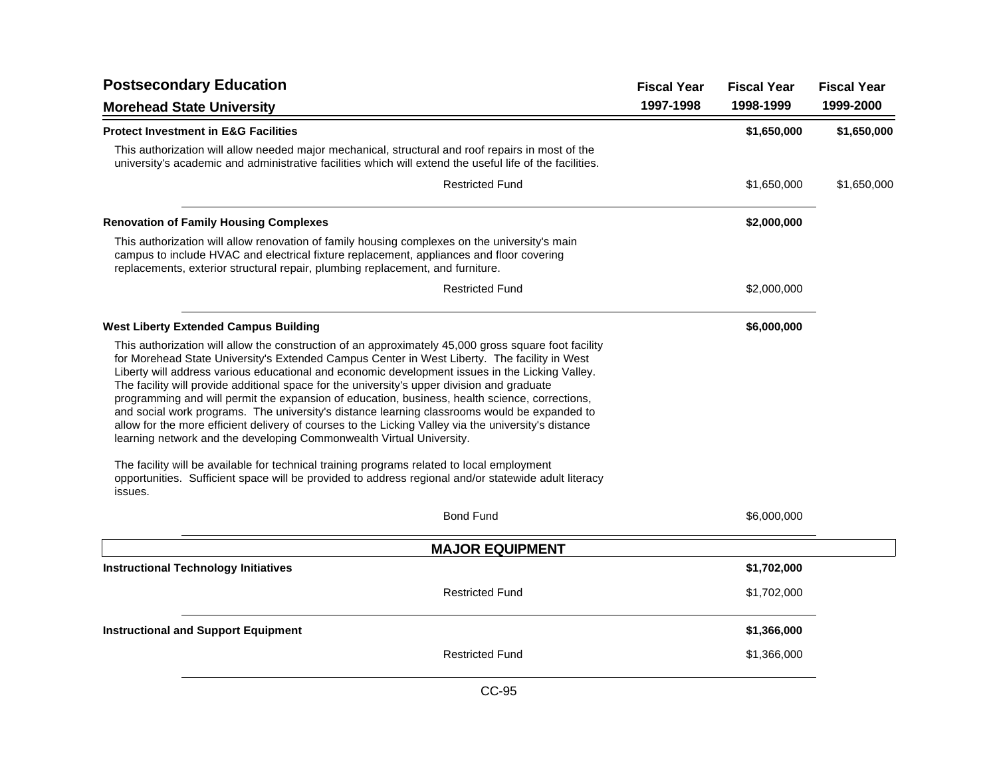| <b>Postsecondary Education</b>                                                                                                                                                                                                                                                                                                                                                                                                                                                                                                                                                                                                                                                                                                                                                           | <b>Fiscal Year</b> | <b>Fiscal Year</b> | <b>Fiscal Year</b> |
|------------------------------------------------------------------------------------------------------------------------------------------------------------------------------------------------------------------------------------------------------------------------------------------------------------------------------------------------------------------------------------------------------------------------------------------------------------------------------------------------------------------------------------------------------------------------------------------------------------------------------------------------------------------------------------------------------------------------------------------------------------------------------------------|--------------------|--------------------|--------------------|
| <b>Morehead State University</b>                                                                                                                                                                                                                                                                                                                                                                                                                                                                                                                                                                                                                                                                                                                                                         | 1997-1998          | 1998-1999          | 1999-2000          |
| <b>Protect Investment in E&amp;G Facilities</b>                                                                                                                                                                                                                                                                                                                                                                                                                                                                                                                                                                                                                                                                                                                                          |                    | \$1,650,000        | \$1,650,000        |
| This authorization will allow needed major mechanical, structural and roof repairs in most of the<br>university's academic and administrative facilities which will extend the useful life of the facilities.                                                                                                                                                                                                                                                                                                                                                                                                                                                                                                                                                                            |                    |                    |                    |
| <b>Restricted Fund</b>                                                                                                                                                                                                                                                                                                                                                                                                                                                                                                                                                                                                                                                                                                                                                                   |                    | \$1,650,000        | \$1,650,000        |
| <b>Renovation of Family Housing Complexes</b>                                                                                                                                                                                                                                                                                                                                                                                                                                                                                                                                                                                                                                                                                                                                            |                    | \$2,000,000        |                    |
| This authorization will allow renovation of family housing complexes on the university's main<br>campus to include HVAC and electrical fixture replacement, appliances and floor covering<br>replacements, exterior structural repair, plumbing replacement, and furniture.                                                                                                                                                                                                                                                                                                                                                                                                                                                                                                              |                    |                    |                    |
| <b>Restricted Fund</b>                                                                                                                                                                                                                                                                                                                                                                                                                                                                                                                                                                                                                                                                                                                                                                   |                    | \$2,000,000        |                    |
| <b>West Liberty Extended Campus Building</b>                                                                                                                                                                                                                                                                                                                                                                                                                                                                                                                                                                                                                                                                                                                                             |                    | \$6,000,000        |                    |
| This authorization will allow the construction of an approximately 45,000 gross square foot facility<br>for Morehead State University's Extended Campus Center in West Liberty. The facility in West<br>Liberty will address various educational and economic development issues in the Licking Valley.<br>The facility will provide additional space for the university's upper division and graduate<br>programming and will permit the expansion of education, business, health science, corrections,<br>and social work programs. The university's distance learning classrooms would be expanded to<br>allow for the more efficient delivery of courses to the Licking Valley via the university's distance<br>learning network and the developing Commonwealth Virtual University. |                    |                    |                    |
| The facility will be available for technical training programs related to local employment<br>opportunities. Sufficient space will be provided to address regional and/or statewide adult literacy<br>issues.                                                                                                                                                                                                                                                                                                                                                                                                                                                                                                                                                                            |                    |                    |                    |
| <b>Bond Fund</b>                                                                                                                                                                                                                                                                                                                                                                                                                                                                                                                                                                                                                                                                                                                                                                         |                    | \$6,000,000        |                    |
| <b>MAJOR EQUIPMENT</b>                                                                                                                                                                                                                                                                                                                                                                                                                                                                                                                                                                                                                                                                                                                                                                   |                    |                    |                    |
| <b>Instructional Technology Initiatives</b>                                                                                                                                                                                                                                                                                                                                                                                                                                                                                                                                                                                                                                                                                                                                              |                    | \$1,702,000        |                    |
| <b>Restricted Fund</b>                                                                                                                                                                                                                                                                                                                                                                                                                                                                                                                                                                                                                                                                                                                                                                   |                    | \$1,702,000        |                    |
| <b>Instructional and Support Equipment</b>                                                                                                                                                                                                                                                                                                                                                                                                                                                                                                                                                                                                                                                                                                                                               |                    | \$1,366,000        |                    |
| <b>Restricted Fund</b>                                                                                                                                                                                                                                                                                                                                                                                                                                                                                                                                                                                                                                                                                                                                                                   |                    | \$1,366,000        |                    |
| <b>CC-95</b>                                                                                                                                                                                                                                                                                                                                                                                                                                                                                                                                                                                                                                                                                                                                                                             |                    |                    |                    |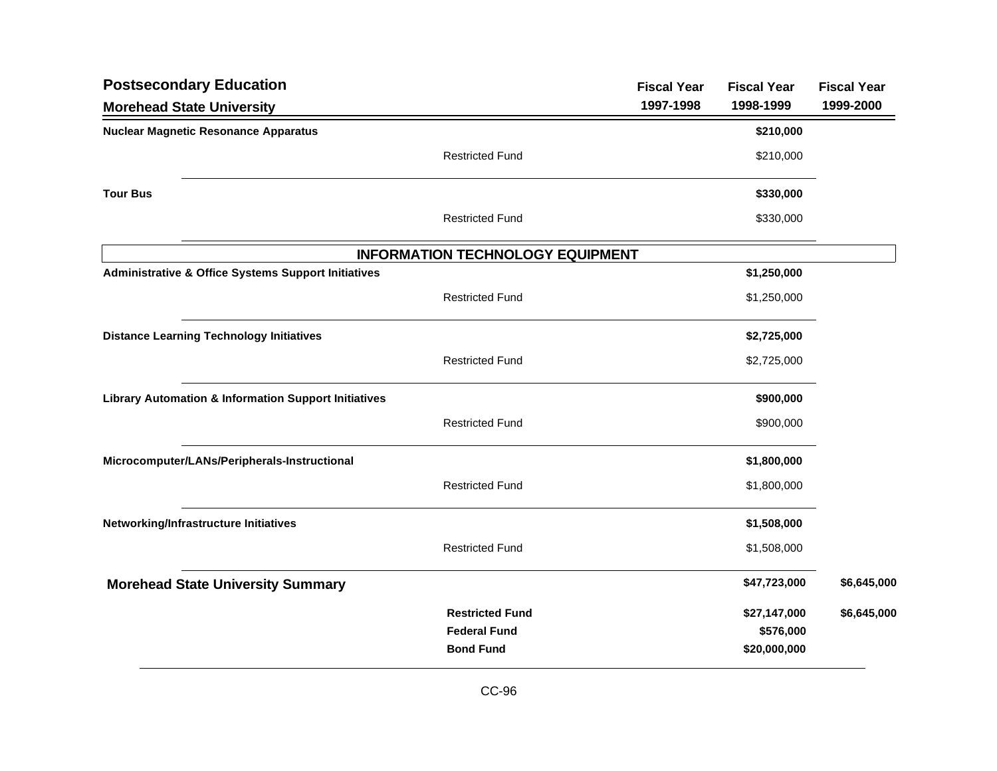| <b>Postsecondary Education</b>                                  |                                         | <b>Fiscal Year</b> | <b>Fiscal Year</b>        | <b>Fiscal Year</b> |
|-----------------------------------------------------------------|-----------------------------------------|--------------------|---------------------------|--------------------|
| <b>Morehead State University</b>                                |                                         | 1997-1998          | 1998-1999                 | 1999-2000          |
| <b>Nuclear Magnetic Resonance Apparatus</b>                     |                                         |                    | \$210,000                 |                    |
|                                                                 | <b>Restricted Fund</b>                  |                    | \$210,000                 |                    |
| <b>Tour Bus</b>                                                 |                                         |                    | \$330,000                 |                    |
|                                                                 | <b>Restricted Fund</b>                  |                    | \$330,000                 |                    |
|                                                                 | <b>INFORMATION TECHNOLOGY EQUIPMENT</b> |                    |                           |                    |
| <b>Administrative &amp; Office Systems Support Initiatives</b>  |                                         |                    | \$1,250,000               |                    |
|                                                                 | <b>Restricted Fund</b>                  |                    | \$1,250,000               |                    |
| <b>Distance Learning Technology Initiatives</b>                 |                                         |                    | \$2,725,000               |                    |
|                                                                 | <b>Restricted Fund</b>                  |                    | \$2,725,000               |                    |
| <b>Library Automation &amp; Information Support Initiatives</b> |                                         |                    | \$900,000                 |                    |
|                                                                 | <b>Restricted Fund</b>                  |                    | \$900,000                 |                    |
| Microcomputer/LANs/Peripherals-Instructional                    |                                         |                    | \$1,800,000               |                    |
|                                                                 | <b>Restricted Fund</b>                  |                    | \$1,800,000               |                    |
| Networking/Infrastructure Initiatives                           |                                         |                    | \$1,508,000               |                    |
|                                                                 | <b>Restricted Fund</b>                  |                    | \$1,508,000               |                    |
| <b>Morehead State University Summary</b>                        |                                         |                    | \$47,723,000              | \$6,645,000        |
|                                                                 | <b>Restricted Fund</b>                  |                    | \$27,147,000              | \$6,645,000        |
|                                                                 | <b>Federal Fund</b><br><b>Bond Fund</b> |                    | \$576,000<br>\$20,000,000 |                    |
|                                                                 |                                         |                    |                           |                    |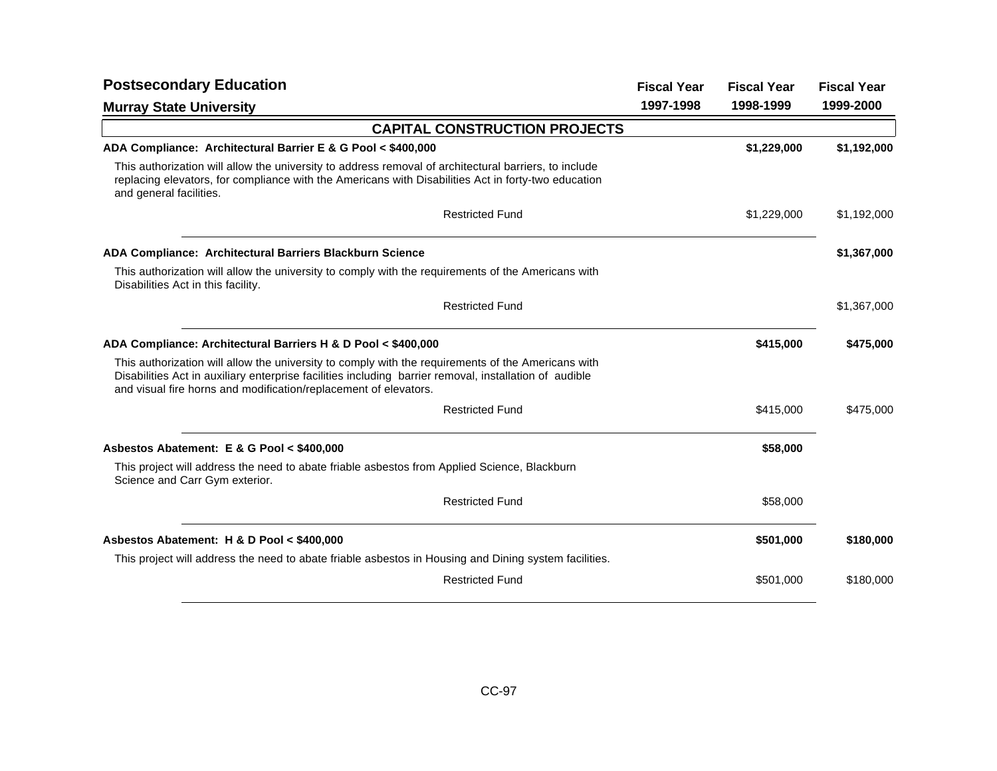| <b>Postsecondary Education</b>                                                                                                                                                                                                                                                   | <b>Fiscal Year</b> | <b>Fiscal Year</b> | <b>Fiscal Year</b> |
|----------------------------------------------------------------------------------------------------------------------------------------------------------------------------------------------------------------------------------------------------------------------------------|--------------------|--------------------|--------------------|
| <b>Murray State University</b>                                                                                                                                                                                                                                                   | 1997-1998          | 1998-1999          | 1999-2000          |
| <b>CAPITAL CONSTRUCTION PROJECTS</b>                                                                                                                                                                                                                                             |                    |                    |                    |
| ADA Compliance: Architectural Barrier E & G Pool < \$400,000                                                                                                                                                                                                                     |                    | \$1,229,000        | \$1,192,000        |
| This authorization will allow the university to address removal of architectural barriers, to include<br>replacing elevators, for compliance with the Americans with Disabilities Act in forty-two education<br>and general facilities.                                          |                    |                    |                    |
| <b>Restricted Fund</b>                                                                                                                                                                                                                                                           |                    | \$1,229,000        | \$1,192,000        |
| ADA Compliance: Architectural Barriers Blackburn Science                                                                                                                                                                                                                         |                    |                    | \$1,367,000        |
| This authorization will allow the university to comply with the requirements of the Americans with<br>Disabilities Act in this facility.                                                                                                                                         |                    |                    |                    |
| <b>Restricted Fund</b>                                                                                                                                                                                                                                                           |                    |                    | \$1,367,000        |
| ADA Compliance: Architectural Barriers H & D Pool < \$400,000                                                                                                                                                                                                                    |                    | \$415,000          | \$475,000          |
| This authorization will allow the university to comply with the requirements of the Americans with<br>Disabilities Act in auxiliary enterprise facilities including barrier removal, installation of audible<br>and visual fire horns and modification/replacement of elevators. |                    |                    |                    |
| <b>Restricted Fund</b>                                                                                                                                                                                                                                                           |                    | \$415,000          | \$475,000          |
| Asbestos Abatement: E & G Pool < \$400,000                                                                                                                                                                                                                                       |                    | \$58,000           |                    |
| This project will address the need to abate friable asbestos from Applied Science, Blackburn<br>Science and Carr Gym exterior.                                                                                                                                                   |                    |                    |                    |
| <b>Restricted Fund</b>                                                                                                                                                                                                                                                           |                    | \$58,000           |                    |
| Asbestos Abatement: H & D Pool < \$400,000                                                                                                                                                                                                                                       |                    | \$501,000          | \$180,000          |
| This project will address the need to abate friable asbestos in Housing and Dining system facilities.                                                                                                                                                                            |                    |                    |                    |
| <b>Restricted Fund</b>                                                                                                                                                                                                                                                           |                    | \$501,000          | \$180,000          |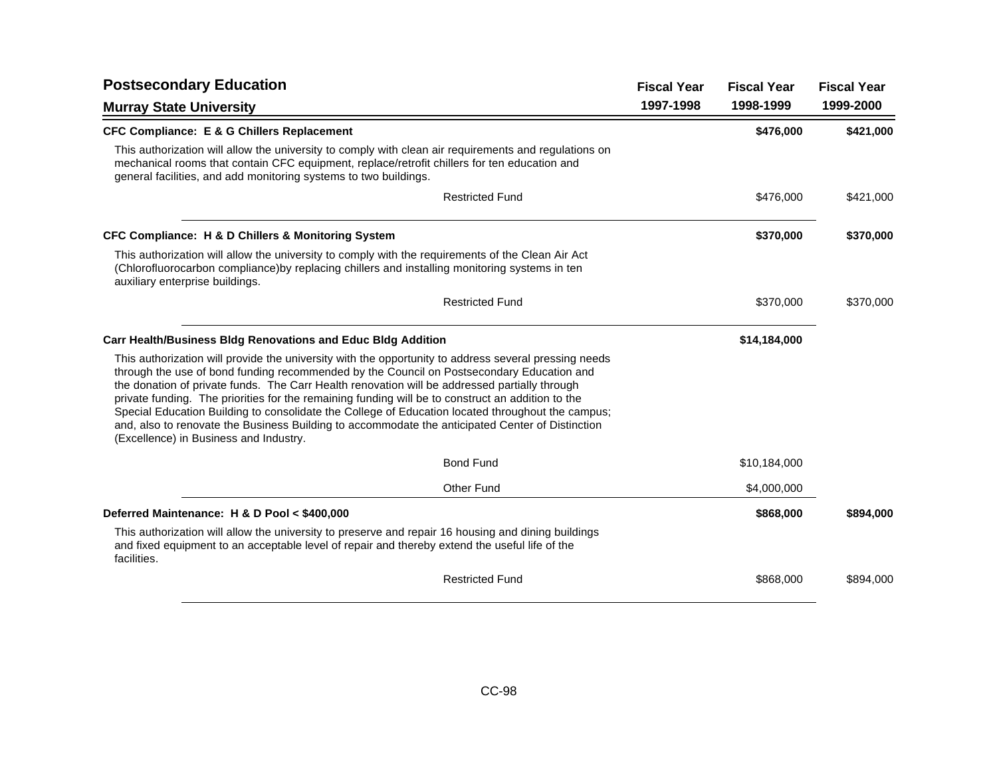| <b>Postsecondary Education</b>                                                                                                                                                                                                                                                                                                                                                                                                                                                                                                                                                                                                                              | <b>Fiscal Year</b> | <b>Fiscal Year</b> | <b>Fiscal Year</b> |
|-------------------------------------------------------------------------------------------------------------------------------------------------------------------------------------------------------------------------------------------------------------------------------------------------------------------------------------------------------------------------------------------------------------------------------------------------------------------------------------------------------------------------------------------------------------------------------------------------------------------------------------------------------------|--------------------|--------------------|--------------------|
| <b>Murray State University</b>                                                                                                                                                                                                                                                                                                                                                                                                                                                                                                                                                                                                                              | 1997-1998          | 1998-1999          | 1999-2000          |
| <b>CFC Compliance: E &amp; G Chillers Replacement</b>                                                                                                                                                                                                                                                                                                                                                                                                                                                                                                                                                                                                       |                    | \$476,000          | \$421,000          |
| This authorization will allow the university to comply with clean air requirements and regulations on<br>mechanical rooms that contain CFC equipment, replace/retrofit chillers for ten education and<br>general facilities, and add monitoring systems to two buildings.                                                                                                                                                                                                                                                                                                                                                                                   |                    |                    |                    |
| <b>Restricted Fund</b>                                                                                                                                                                                                                                                                                                                                                                                                                                                                                                                                                                                                                                      |                    | \$476,000          | \$421,000          |
| CFC Compliance: H & D Chillers & Monitoring System                                                                                                                                                                                                                                                                                                                                                                                                                                                                                                                                                                                                          |                    | \$370,000          | \$370,000          |
| This authorization will allow the university to comply with the requirements of the Clean Air Act<br>(Chlorofluorocarbon compliance) by replacing chillers and installing monitoring systems in ten<br>auxiliary enterprise buildings.                                                                                                                                                                                                                                                                                                                                                                                                                      |                    |                    |                    |
| <b>Restricted Fund</b>                                                                                                                                                                                                                                                                                                                                                                                                                                                                                                                                                                                                                                      |                    | \$370,000          | \$370,000          |
| <b>Carr Health/Business Bldg Renovations and Educ Bldg Addition</b>                                                                                                                                                                                                                                                                                                                                                                                                                                                                                                                                                                                         |                    | \$14,184,000       |                    |
| This authorization will provide the university with the opportunity to address several pressing needs<br>through the use of bond funding recommended by the Council on Postsecondary Education and<br>the donation of private funds. The Carr Health renovation will be addressed partially through<br>private funding. The priorities for the remaining funding will be to construct an addition to the<br>Special Education Building to consolidate the College of Education located throughout the campus;<br>and, also to renovate the Business Building to accommodate the anticipated Center of Distinction<br>(Excellence) in Business and Industry. |                    |                    |                    |
| <b>Bond Fund</b>                                                                                                                                                                                                                                                                                                                                                                                                                                                                                                                                                                                                                                            |                    | \$10,184,000       |                    |
| Other Fund                                                                                                                                                                                                                                                                                                                                                                                                                                                                                                                                                                                                                                                  |                    | \$4,000,000        |                    |
| Deferred Maintenance: H & D Pool < \$400,000                                                                                                                                                                                                                                                                                                                                                                                                                                                                                                                                                                                                                |                    | \$868,000          | \$894,000          |
| This authorization will allow the university to preserve and repair 16 housing and dining buildings<br>and fixed equipment to an acceptable level of repair and thereby extend the useful life of the<br>facilities.                                                                                                                                                                                                                                                                                                                                                                                                                                        |                    |                    |                    |
| <b>Restricted Fund</b>                                                                                                                                                                                                                                                                                                                                                                                                                                                                                                                                                                                                                                      |                    | \$868,000          | \$894,000          |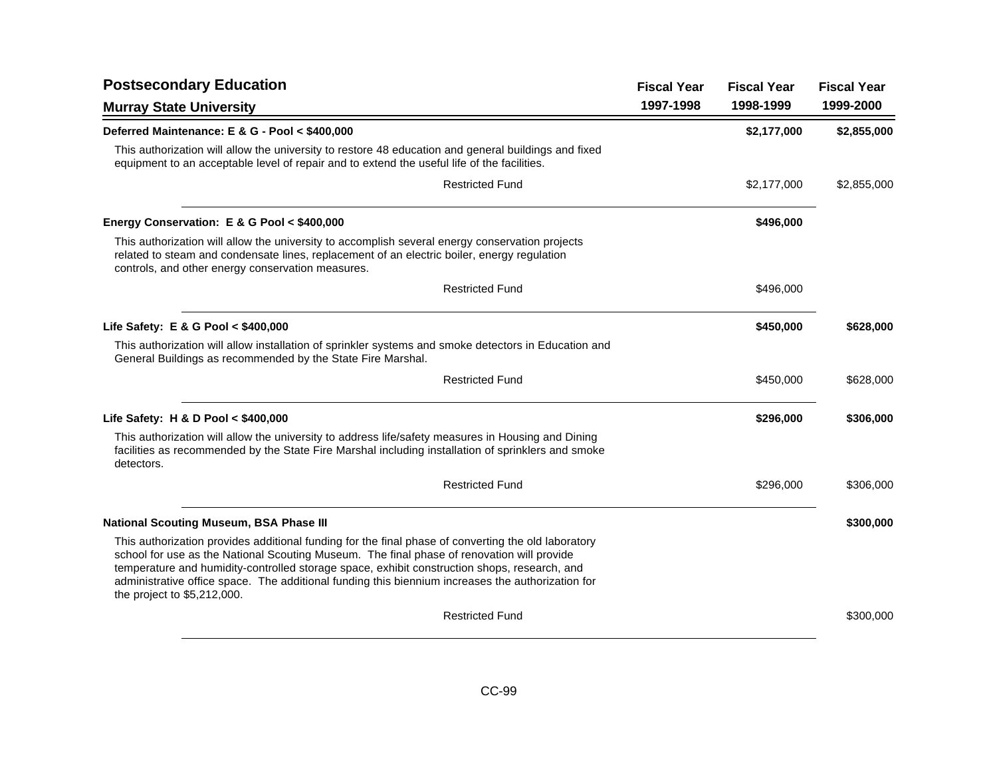| <b>Postsecondary Education</b>                                                                                                                                                                                                                                                                                                                                                                                                        | <b>Fiscal Year</b> | <b>Fiscal Year</b> | <b>Fiscal Year</b> |
|---------------------------------------------------------------------------------------------------------------------------------------------------------------------------------------------------------------------------------------------------------------------------------------------------------------------------------------------------------------------------------------------------------------------------------------|--------------------|--------------------|--------------------|
| <b>Murray State University</b>                                                                                                                                                                                                                                                                                                                                                                                                        | 1997-1998          | 1998-1999          | 1999-2000          |
| Deferred Maintenance: E & G - Pool < \$400,000                                                                                                                                                                                                                                                                                                                                                                                        |                    | \$2,177,000        | \$2,855,000        |
| This authorization will allow the university to restore 48 education and general buildings and fixed<br>equipment to an acceptable level of repair and to extend the useful life of the facilities.                                                                                                                                                                                                                                   |                    |                    |                    |
| <b>Restricted Fund</b>                                                                                                                                                                                                                                                                                                                                                                                                                |                    | \$2,177,000        | \$2,855,000        |
| Energy Conservation: E & G Pool < \$400,000                                                                                                                                                                                                                                                                                                                                                                                           |                    | \$496,000          |                    |
| This authorization will allow the university to accomplish several energy conservation projects<br>related to steam and condensate lines, replacement of an electric boiler, energy regulation<br>controls, and other energy conservation measures.                                                                                                                                                                                   |                    |                    |                    |
| <b>Restricted Fund</b>                                                                                                                                                                                                                                                                                                                                                                                                                |                    | \$496,000          |                    |
| Life Safety: E & G Pool < \$400,000                                                                                                                                                                                                                                                                                                                                                                                                   |                    | \$450,000          | \$628,000          |
| This authorization will allow installation of sprinkler systems and smoke detectors in Education and<br>General Buildings as recommended by the State Fire Marshal.                                                                                                                                                                                                                                                                   |                    |                    |                    |
| <b>Restricted Fund</b>                                                                                                                                                                                                                                                                                                                                                                                                                |                    | \$450,000          | \$628,000          |
| Life Safety: H & D Pool $<$ \$400,000                                                                                                                                                                                                                                                                                                                                                                                                 |                    | \$296,000          | \$306,000          |
| This authorization will allow the university to address life/safety measures in Housing and Dining<br>facilities as recommended by the State Fire Marshal including installation of sprinklers and smoke<br>detectors.                                                                                                                                                                                                                |                    |                    |                    |
| <b>Restricted Fund</b>                                                                                                                                                                                                                                                                                                                                                                                                                |                    | \$296,000          | \$306,000          |
| <b>National Scouting Museum, BSA Phase III</b>                                                                                                                                                                                                                                                                                                                                                                                        |                    |                    | \$300,000          |
| This authorization provides additional funding for the final phase of converting the old laboratory<br>school for use as the National Scouting Museum. The final phase of renovation will provide<br>temperature and humidity-controlled storage space, exhibit construction shops, research, and<br>administrative office space. The additional funding this biennium increases the authorization for<br>the project to \$5,212,000. |                    |                    |                    |
| <b>Restricted Fund</b>                                                                                                                                                                                                                                                                                                                                                                                                                |                    |                    | \$300,000          |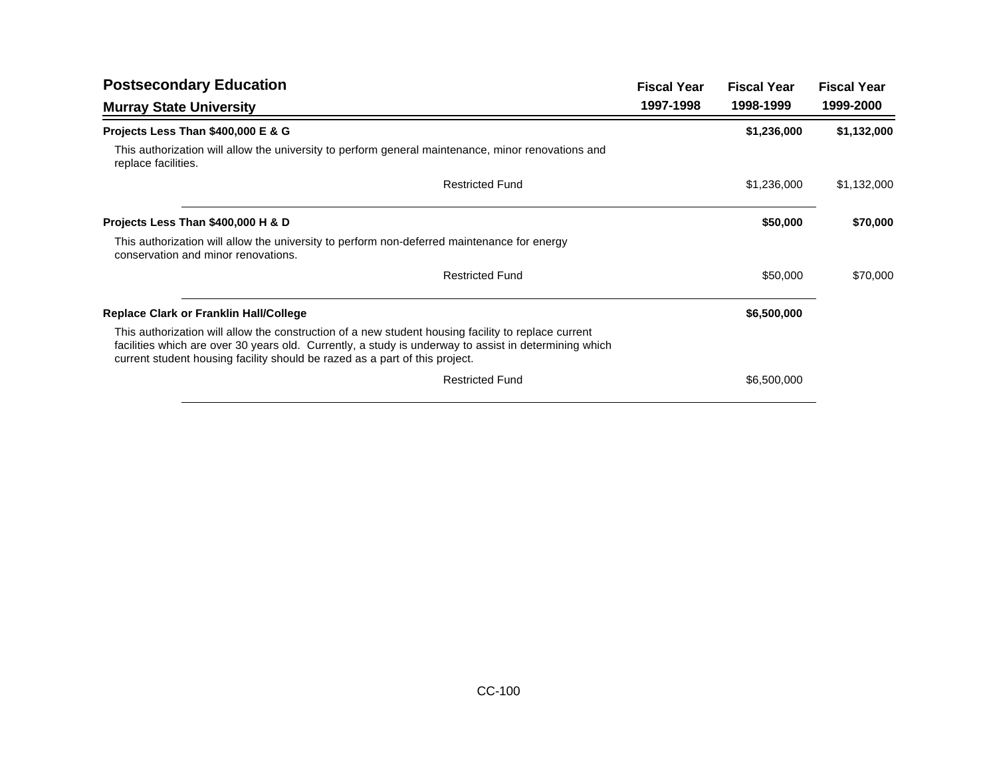| <b>Fiscal Year</b> | <b>Fiscal Year</b> | <b>Fiscal Year</b> |
|--------------------|--------------------|--------------------|
| 1997-1998          | 1998-1999          | 1999-2000          |
|                    | \$1,236,000        | \$1,132,000        |
|                    |                    |                    |
|                    | \$1,236,000        | \$1,132,000        |
|                    | \$50,000           | \$70,000           |
|                    |                    |                    |
|                    | \$50,000           | \$70,000           |
|                    | \$6,500,000        |                    |
|                    |                    |                    |
|                    | \$6,500,000        |                    |
|                    |                    |                    |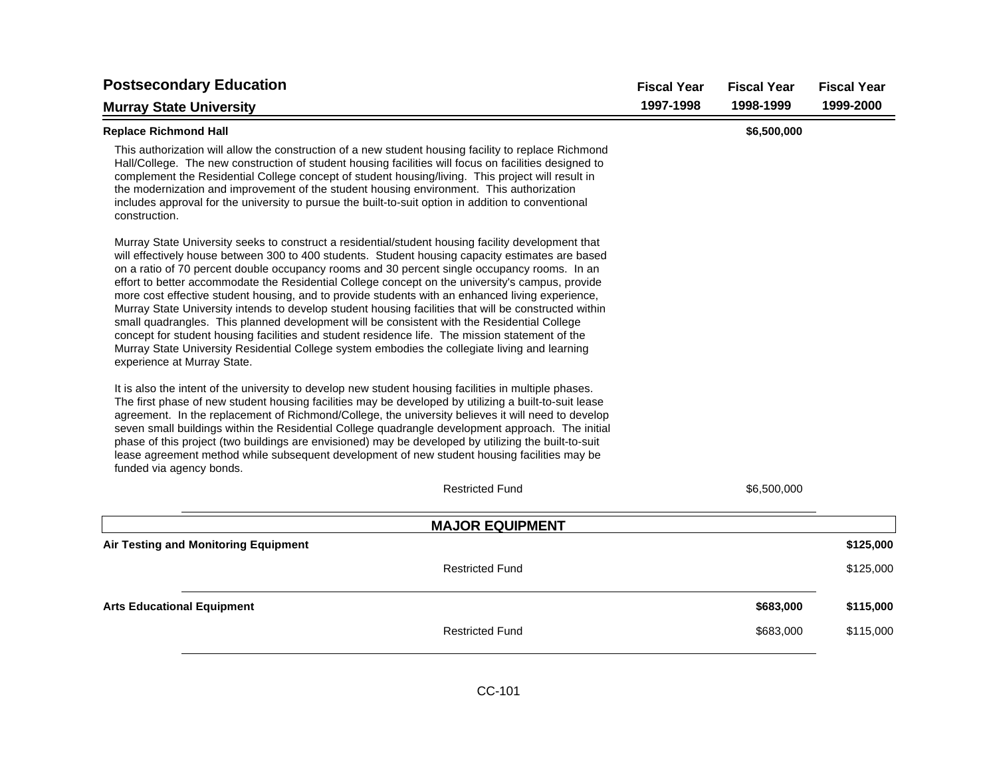| <b>Postsecondary Education</b>                                                                                                                                                                                                                                                                                                                                                                                                                                                                                                                                                                                                                                                                                                                                                                                                                                                                                                                                                                                                                                                                                                                                                                                                                                                                                                                                                                                                                                                                  | <b>Fiscal Year</b> | <b>Fiscal Year</b> | <b>Fiscal Year</b> |
|-------------------------------------------------------------------------------------------------------------------------------------------------------------------------------------------------------------------------------------------------------------------------------------------------------------------------------------------------------------------------------------------------------------------------------------------------------------------------------------------------------------------------------------------------------------------------------------------------------------------------------------------------------------------------------------------------------------------------------------------------------------------------------------------------------------------------------------------------------------------------------------------------------------------------------------------------------------------------------------------------------------------------------------------------------------------------------------------------------------------------------------------------------------------------------------------------------------------------------------------------------------------------------------------------------------------------------------------------------------------------------------------------------------------------------------------------------------------------------------------------|--------------------|--------------------|--------------------|
| <b>Murray State University</b>                                                                                                                                                                                                                                                                                                                                                                                                                                                                                                                                                                                                                                                                                                                                                                                                                                                                                                                                                                                                                                                                                                                                                                                                                                                                                                                                                                                                                                                                  | 1997-1998          | 1998-1999          | 1999-2000          |
| <b>Replace Richmond Hall</b>                                                                                                                                                                                                                                                                                                                                                                                                                                                                                                                                                                                                                                                                                                                                                                                                                                                                                                                                                                                                                                                                                                                                                                                                                                                                                                                                                                                                                                                                    |                    | \$6,500,000        |                    |
| This authorization will allow the construction of a new student housing facility to replace Richmond<br>Hall/College. The new construction of student housing facilities will focus on facilities designed to<br>complement the Residential College concept of student housing/living. This project will result in<br>the modernization and improvement of the student housing environment. This authorization<br>includes approval for the university to pursue the built-to-suit option in addition to conventional<br>construction.                                                                                                                                                                                                                                                                                                                                                                                                                                                                                                                                                                                                                                                                                                                                                                                                                                                                                                                                                          |                    |                    |                    |
| Murray State University seeks to construct a residential/student housing facility development that<br>will effectively house between 300 to 400 students. Student housing capacity estimates are based<br>on a ratio of 70 percent double occupancy rooms and 30 percent single occupancy rooms. In an<br>effort to better accommodate the Residential College concept on the university's campus, provide<br>more cost effective student housing, and to provide students with an enhanced living experience,<br>Murray State University intends to develop student housing facilities that will be constructed within<br>small quadrangles. This planned development will be consistent with the Residential College<br>concept for student housing facilities and student residence life. The mission statement of the<br>Murray State University Residential College system embodies the collegiate living and learning<br>experience at Murray State.<br>It is also the intent of the university to develop new student housing facilities in multiple phases.<br>The first phase of new student housing facilities may be developed by utilizing a built-to-suit lease<br>agreement. In the replacement of Richmond/College, the university believes it will need to develop<br>seven small buildings within the Residential College quadrangle development approach. The initial<br>phase of this project (two buildings are envisioned) may be developed by utilizing the built-to-suit |                    |                    |                    |
| lease agreement method while subsequent development of new student housing facilities may be<br>funded via agency bonds.                                                                                                                                                                                                                                                                                                                                                                                                                                                                                                                                                                                                                                                                                                                                                                                                                                                                                                                                                                                                                                                                                                                                                                                                                                                                                                                                                                        |                    |                    |                    |
| <b>Restricted Fund</b>                                                                                                                                                                                                                                                                                                                                                                                                                                                                                                                                                                                                                                                                                                                                                                                                                                                                                                                                                                                                                                                                                                                                                                                                                                                                                                                                                                                                                                                                          |                    | \$6,500,000        |                    |
| <b>MAJOR EQUIPMENT</b>                                                                                                                                                                                                                                                                                                                                                                                                                                                                                                                                                                                                                                                                                                                                                                                                                                                                                                                                                                                                                                                                                                                                                                                                                                                                                                                                                                                                                                                                          |                    |                    |                    |
| Air Testing and Monitoring Equipment                                                                                                                                                                                                                                                                                                                                                                                                                                                                                                                                                                                                                                                                                                                                                                                                                                                                                                                                                                                                                                                                                                                                                                                                                                                                                                                                                                                                                                                            |                    |                    | \$125,000          |
| <b>Restricted Fund</b>                                                                                                                                                                                                                                                                                                                                                                                                                                                                                                                                                                                                                                                                                                                                                                                                                                                                                                                                                                                                                                                                                                                                                                                                                                                                                                                                                                                                                                                                          |                    |                    | \$125,000          |
| <b>Arts Educational Equipment</b>                                                                                                                                                                                                                                                                                                                                                                                                                                                                                                                                                                                                                                                                                                                                                                                                                                                                                                                                                                                                                                                                                                                                                                                                                                                                                                                                                                                                                                                               |                    | \$683,000          | \$115,000          |
| <b>Restricted Fund</b>                                                                                                                                                                                                                                                                                                                                                                                                                                                                                                                                                                                                                                                                                                                                                                                                                                                                                                                                                                                                                                                                                                                                                                                                                                                                                                                                                                                                                                                                          |                    | \$683,000          | \$115,000          |
|                                                                                                                                                                                                                                                                                                                                                                                                                                                                                                                                                                                                                                                                                                                                                                                                                                                                                                                                                                                                                                                                                                                                                                                                                                                                                                                                                                                                                                                                                                 |                    |                    |                    |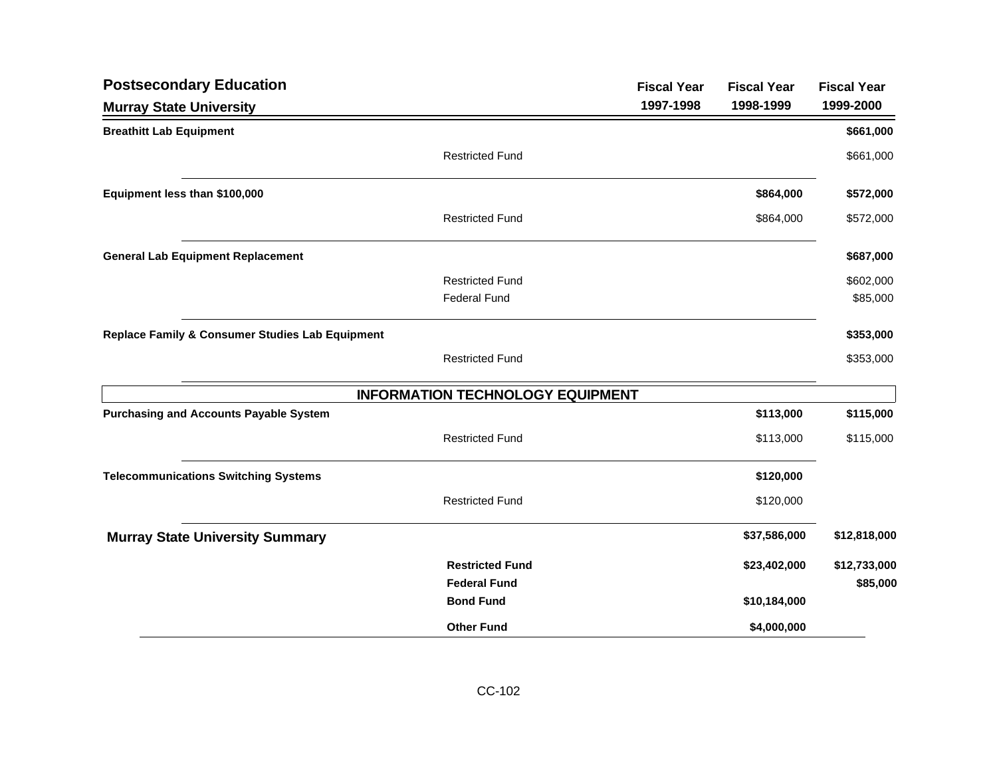| <b>Postsecondary Education</b>                  |                                         | <b>Fiscal Year</b> | <b>Fiscal Year</b> | <b>Fiscal Year</b> |
|-------------------------------------------------|-----------------------------------------|--------------------|--------------------|--------------------|
| <b>Murray State University</b>                  |                                         | 1997-1998          | 1998-1999          | 1999-2000          |
| <b>Breathitt Lab Equipment</b>                  |                                         |                    |                    | \$661,000          |
|                                                 | <b>Restricted Fund</b>                  |                    |                    | \$661,000          |
| Equipment less than \$100,000                   |                                         |                    | \$864,000          | \$572,000          |
|                                                 | <b>Restricted Fund</b>                  |                    | \$864,000          | \$572,000          |
| <b>General Lab Equipment Replacement</b>        |                                         |                    |                    | \$687,000          |
|                                                 | <b>Restricted Fund</b>                  |                    |                    | \$602,000          |
|                                                 | <b>Federal Fund</b>                     |                    |                    | \$85,000           |
| Replace Family & Consumer Studies Lab Equipment |                                         |                    |                    | \$353,000          |
|                                                 | <b>Restricted Fund</b>                  |                    |                    | \$353,000          |
|                                                 | <b>INFORMATION TECHNOLOGY EQUIPMENT</b> |                    |                    |                    |
| <b>Purchasing and Accounts Payable System</b>   |                                         |                    | \$113,000          | \$115,000          |
|                                                 | <b>Restricted Fund</b>                  |                    | \$113,000          | \$115,000          |
| <b>Telecommunications Switching Systems</b>     |                                         |                    | \$120,000          |                    |
|                                                 | <b>Restricted Fund</b>                  |                    | \$120,000          |                    |
| <b>Murray State University Summary</b>          |                                         |                    | \$37,586,000       | \$12,818,000       |
|                                                 | <b>Restricted Fund</b>                  |                    | \$23,402,000       | \$12,733,000       |
|                                                 | <b>Federal Fund</b>                     |                    |                    | \$85,000           |
|                                                 | <b>Bond Fund</b>                        |                    | \$10,184,000       |                    |
|                                                 | <b>Other Fund</b>                       |                    | \$4,000,000        |                    |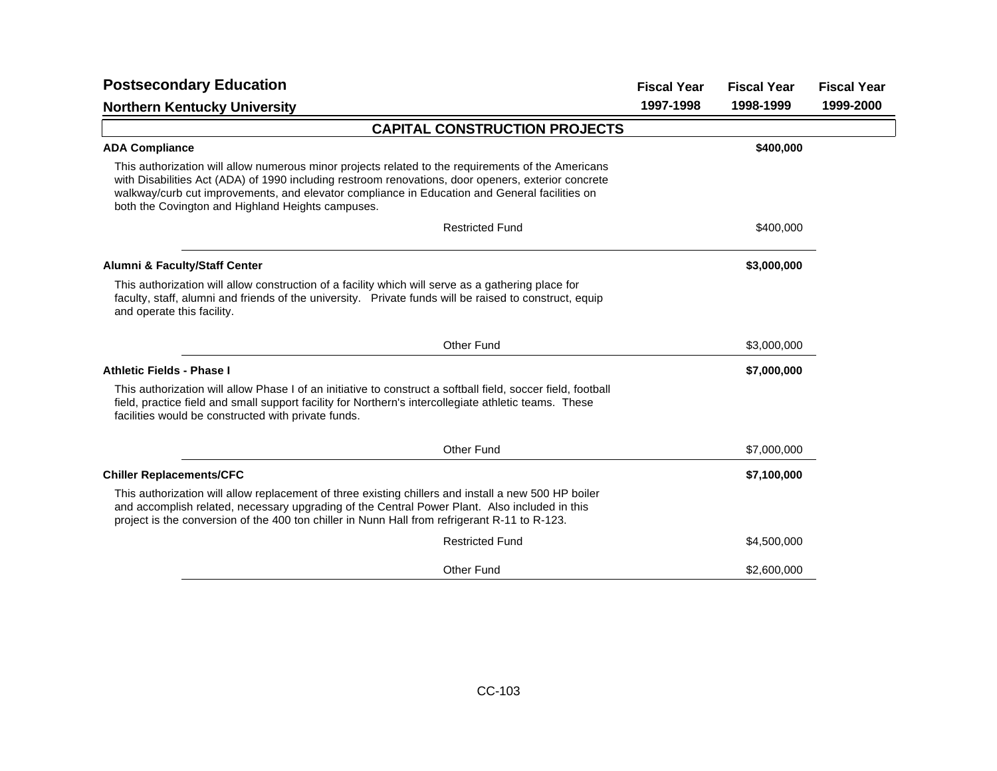| <b>Postsecondary Education</b>                                                                                                                                                                                                                                                                                                                                  | <b>Fiscal Year</b> | <b>Fiscal Year</b> | <b>Fiscal Year</b> |
|-----------------------------------------------------------------------------------------------------------------------------------------------------------------------------------------------------------------------------------------------------------------------------------------------------------------------------------------------------------------|--------------------|--------------------|--------------------|
| <b>Northern Kentucky University</b>                                                                                                                                                                                                                                                                                                                             | 1997-1998          | 1998-1999          | 1999-2000          |
| <b>CAPITAL CONSTRUCTION PROJECTS</b>                                                                                                                                                                                                                                                                                                                            |                    |                    |                    |
| <b>ADA Compliance</b>                                                                                                                                                                                                                                                                                                                                           |                    | \$400,000          |                    |
| This authorization will allow numerous minor projects related to the requirements of the Americans<br>with Disabilities Act (ADA) of 1990 including restroom renovations, door openers, exterior concrete<br>walkway/curb cut improvements, and elevator compliance in Education and General facilities on<br>both the Covington and Highland Heights campuses. |                    |                    |                    |
| <b>Restricted Fund</b>                                                                                                                                                                                                                                                                                                                                          |                    | \$400,000          |                    |
| Alumni & Faculty/Staff Center                                                                                                                                                                                                                                                                                                                                   |                    | \$3,000,000        |                    |
| This authorization will allow construction of a facility which will serve as a gathering place for<br>faculty, staff, alumni and friends of the university. Private funds will be raised to construct, equip<br>and operate this facility.                                                                                                                      |                    |                    |                    |
| <b>Other Fund</b>                                                                                                                                                                                                                                                                                                                                               |                    | \$3,000,000        |                    |
| <b>Athletic Fields - Phase I</b>                                                                                                                                                                                                                                                                                                                                |                    | \$7,000,000        |                    |
| This authorization will allow Phase I of an initiative to construct a softball field, soccer field, football<br>field, practice field and small support facility for Northern's intercollegiate athletic teams. These<br>facilities would be constructed with private funds.                                                                                    |                    |                    |                    |
| <b>Other Fund</b>                                                                                                                                                                                                                                                                                                                                               |                    | \$7,000,000        |                    |
| <b>Chiller Replacements/CFC</b>                                                                                                                                                                                                                                                                                                                                 |                    | \$7,100,000        |                    |
| This authorization will allow replacement of three existing chillers and install a new 500 HP boiler<br>and accomplish related, necessary upgrading of the Central Power Plant. Also included in this<br>project is the conversion of the 400 ton chiller in Nunn Hall from refrigerant R-11 to R-123.                                                          |                    |                    |                    |
| <b>Restricted Fund</b>                                                                                                                                                                                                                                                                                                                                          |                    | \$4,500,000        |                    |
| <b>Other Fund</b>                                                                                                                                                                                                                                                                                                                                               |                    | \$2,600,000        |                    |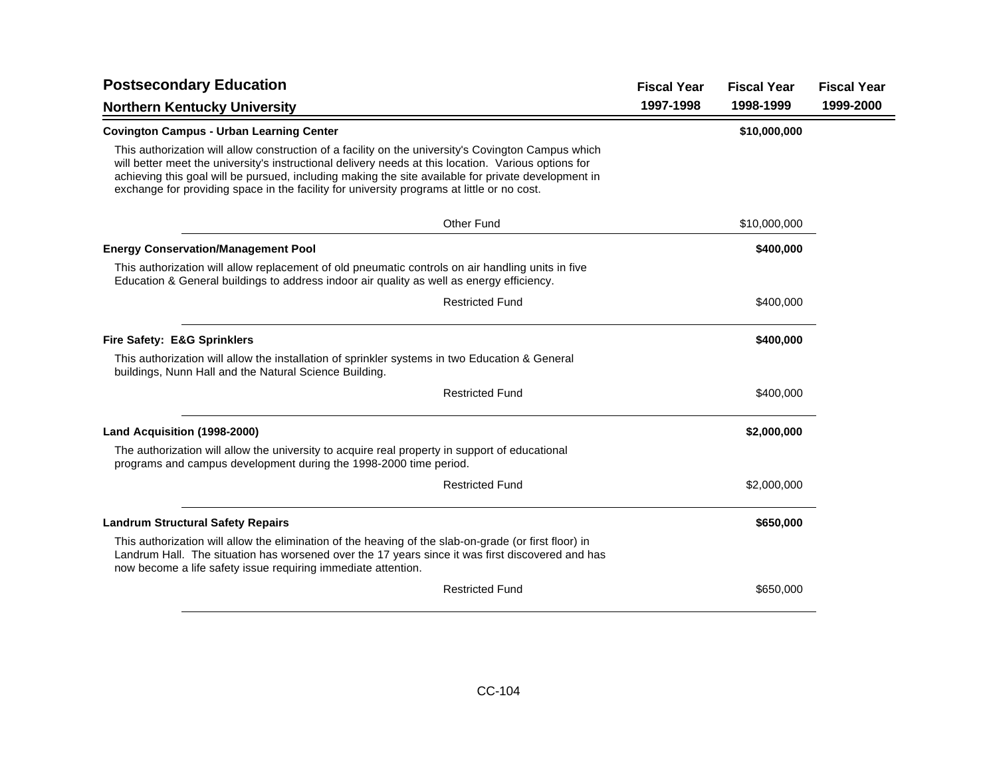| <b>Postsecondary Education</b>                                                                                                                                                                                                                                                                                                                                                                                   | <b>Fiscal Year</b> | <b>Fiscal Year</b> | <b>Fiscal Year</b> |
|------------------------------------------------------------------------------------------------------------------------------------------------------------------------------------------------------------------------------------------------------------------------------------------------------------------------------------------------------------------------------------------------------------------|--------------------|--------------------|--------------------|
| <b>Northern Kentucky University</b>                                                                                                                                                                                                                                                                                                                                                                              | 1997-1998          | 1998-1999          | 1999-2000          |
| <b>Covington Campus - Urban Learning Center</b>                                                                                                                                                                                                                                                                                                                                                                  |                    | \$10,000,000       |                    |
| This authorization will allow construction of a facility on the university's Covington Campus which<br>will better meet the university's instructional delivery needs at this location. Various options for<br>achieving this goal will be pursued, including making the site available for private development in<br>exchange for providing space in the facility for university programs at little or no cost. |                    |                    |                    |
| Other Fund                                                                                                                                                                                                                                                                                                                                                                                                       |                    | \$10,000,000       |                    |
| <b>Energy Conservation/Management Pool</b>                                                                                                                                                                                                                                                                                                                                                                       |                    | \$400,000          |                    |
| This authorization will allow replacement of old pneumatic controls on air handling units in five<br>Education & General buildings to address indoor air quality as well as energy efficiency.                                                                                                                                                                                                                   |                    |                    |                    |
| <b>Restricted Fund</b>                                                                                                                                                                                                                                                                                                                                                                                           |                    | \$400,000          |                    |
| <b>Fire Safety: E&amp;G Sprinklers</b>                                                                                                                                                                                                                                                                                                                                                                           |                    | \$400,000          |                    |
| This authorization will allow the installation of sprinkler systems in two Education & General<br>buildings, Nunn Hall and the Natural Science Building.                                                                                                                                                                                                                                                         |                    |                    |                    |
| <b>Restricted Fund</b>                                                                                                                                                                                                                                                                                                                                                                                           |                    | \$400,000          |                    |
| Land Acquisition (1998-2000)                                                                                                                                                                                                                                                                                                                                                                                     |                    | \$2,000,000        |                    |
| The authorization will allow the university to acquire real property in support of educational<br>programs and campus development during the 1998-2000 time period.                                                                                                                                                                                                                                              |                    |                    |                    |
| <b>Restricted Fund</b>                                                                                                                                                                                                                                                                                                                                                                                           |                    | \$2,000,000        |                    |
| <b>Landrum Structural Safety Repairs</b>                                                                                                                                                                                                                                                                                                                                                                         |                    | \$650,000          |                    |
| This authorization will allow the elimination of the heaving of the slab-on-grade (or first floor) in<br>Landrum Hall. The situation has worsened over the 17 years since it was first discovered and has<br>now become a life safety issue requiring immediate attention.                                                                                                                                       |                    |                    |                    |
| <b>Restricted Fund</b>                                                                                                                                                                                                                                                                                                                                                                                           |                    | \$650,000          |                    |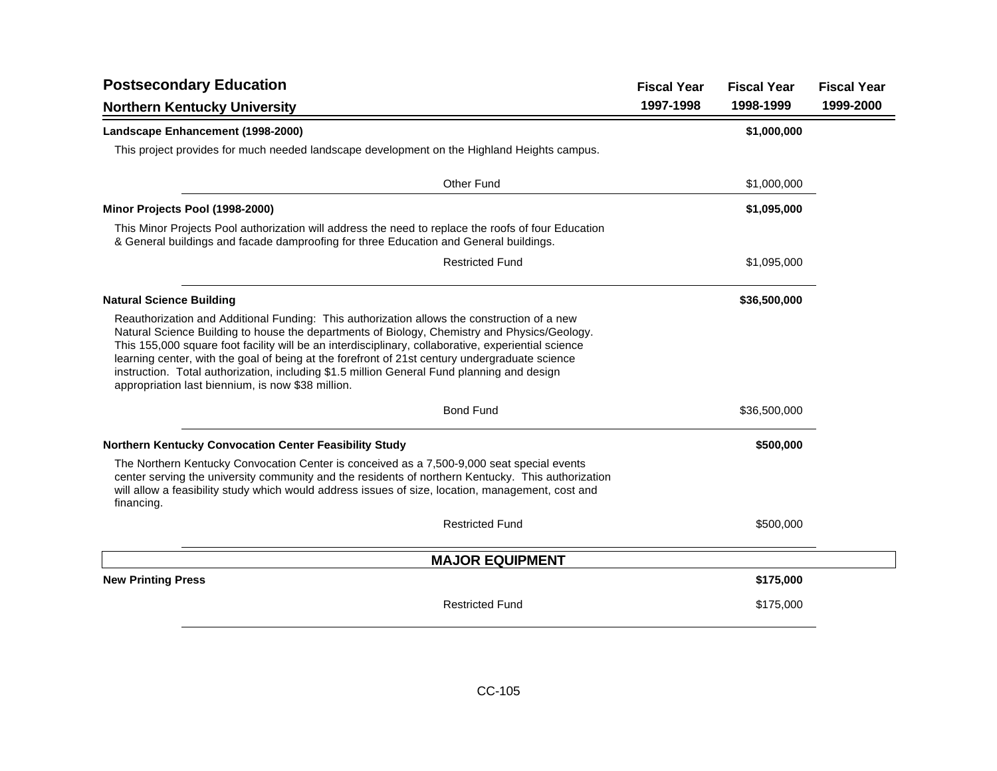| <b>Postsecondary Education</b>                                                                                                                                                                                                                                                                                                                                                                                                                                                                                                                          | <b>Fiscal Year</b> | <b>Fiscal Year</b> | <b>Fiscal Year</b> |
|---------------------------------------------------------------------------------------------------------------------------------------------------------------------------------------------------------------------------------------------------------------------------------------------------------------------------------------------------------------------------------------------------------------------------------------------------------------------------------------------------------------------------------------------------------|--------------------|--------------------|--------------------|
| <b>Northern Kentucky University</b>                                                                                                                                                                                                                                                                                                                                                                                                                                                                                                                     | 1997-1998          | 1998-1999          | 1999-2000          |
| Landscape Enhancement (1998-2000)                                                                                                                                                                                                                                                                                                                                                                                                                                                                                                                       |                    | \$1,000,000        |                    |
| This project provides for much needed landscape development on the Highland Heights campus.                                                                                                                                                                                                                                                                                                                                                                                                                                                             |                    |                    |                    |
| Other Fund                                                                                                                                                                                                                                                                                                                                                                                                                                                                                                                                              |                    | \$1,000,000        |                    |
| Minor Projects Pool (1998-2000)                                                                                                                                                                                                                                                                                                                                                                                                                                                                                                                         |                    | \$1,095,000        |                    |
| This Minor Projects Pool authorization will address the need to replace the roofs of four Education<br>& General buildings and facade damproofing for three Education and General buildings.                                                                                                                                                                                                                                                                                                                                                            |                    |                    |                    |
| <b>Restricted Fund</b>                                                                                                                                                                                                                                                                                                                                                                                                                                                                                                                                  |                    | \$1,095,000        |                    |
| <b>Natural Science Building</b>                                                                                                                                                                                                                                                                                                                                                                                                                                                                                                                         |                    | \$36,500,000       |                    |
| Reauthorization and Additional Funding: This authorization allows the construction of a new<br>Natural Science Building to house the departments of Biology, Chemistry and Physics/Geology.<br>This 155,000 square foot facility will be an interdisciplinary, collaborative, experiential science<br>learning center, with the goal of being at the forefront of 21st century undergraduate science<br>instruction. Total authorization, including \$1.5 million General Fund planning and design<br>appropriation last biennium, is now \$38 million. |                    |                    |                    |
| <b>Bond Fund</b>                                                                                                                                                                                                                                                                                                                                                                                                                                                                                                                                        |                    | \$36,500,000       |                    |
| Northern Kentucky Convocation Center Feasibility Study                                                                                                                                                                                                                                                                                                                                                                                                                                                                                                  |                    | \$500,000          |                    |
| The Northern Kentucky Convocation Center is conceived as a 7,500-9,000 seat special events<br>center serving the university community and the residents of northern Kentucky. This authorization<br>will allow a feasibility study which would address issues of size, location, management, cost and<br>financing.                                                                                                                                                                                                                                     |                    |                    |                    |
| <b>Restricted Fund</b>                                                                                                                                                                                                                                                                                                                                                                                                                                                                                                                                  |                    | \$500,000          |                    |
| <b>MAJOR EQUIPMENT</b>                                                                                                                                                                                                                                                                                                                                                                                                                                                                                                                                  |                    |                    |                    |
| <b>New Printing Press</b>                                                                                                                                                                                                                                                                                                                                                                                                                                                                                                                               |                    | \$175,000          |                    |
| <b>Restricted Fund</b>                                                                                                                                                                                                                                                                                                                                                                                                                                                                                                                                  |                    | \$175,000          |                    |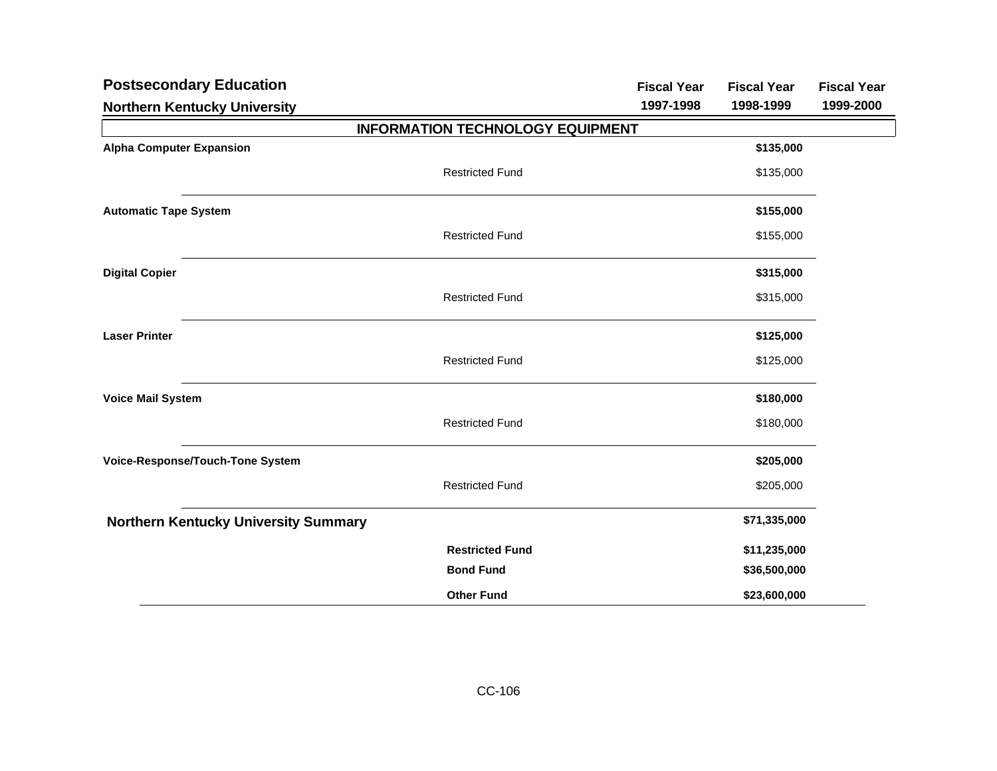| <b>Postsecondary Education</b>              |                                         | <b>Fiscal Year</b> | <b>Fiscal Year</b> | <b>Fiscal Year</b> |
|---------------------------------------------|-----------------------------------------|--------------------|--------------------|--------------------|
| <b>Northern Kentucky University</b>         |                                         | 1997-1998          | 1998-1999          | 1999-2000          |
|                                             | <b>INFORMATION TECHNOLOGY EQUIPMENT</b> |                    |                    |                    |
| <b>Alpha Computer Expansion</b>             |                                         |                    | \$135,000          |                    |
|                                             | <b>Restricted Fund</b>                  |                    | \$135,000          |                    |
| <b>Automatic Tape System</b>                |                                         |                    | \$155,000          |                    |
|                                             | <b>Restricted Fund</b>                  |                    | \$155,000          |                    |
| <b>Digital Copier</b>                       |                                         |                    | \$315,000          |                    |
|                                             | <b>Restricted Fund</b>                  |                    | \$315,000          |                    |
| <b>Laser Printer</b>                        |                                         |                    | \$125,000          |                    |
|                                             | <b>Restricted Fund</b>                  |                    | \$125,000          |                    |
| <b>Voice Mail System</b>                    |                                         |                    | \$180,000          |                    |
|                                             | <b>Restricted Fund</b>                  |                    | \$180,000          |                    |
| Voice-Response/Touch-Tone System            |                                         |                    | \$205,000          |                    |
|                                             | <b>Restricted Fund</b>                  |                    | \$205,000          |                    |
| <b>Northern Kentucky University Summary</b> |                                         |                    | \$71,335,000       |                    |
|                                             | <b>Restricted Fund</b>                  |                    | \$11,235,000       |                    |
|                                             | <b>Bond Fund</b>                        |                    | \$36,500,000       |                    |
|                                             | <b>Other Fund</b>                       |                    | \$23,600,000       |                    |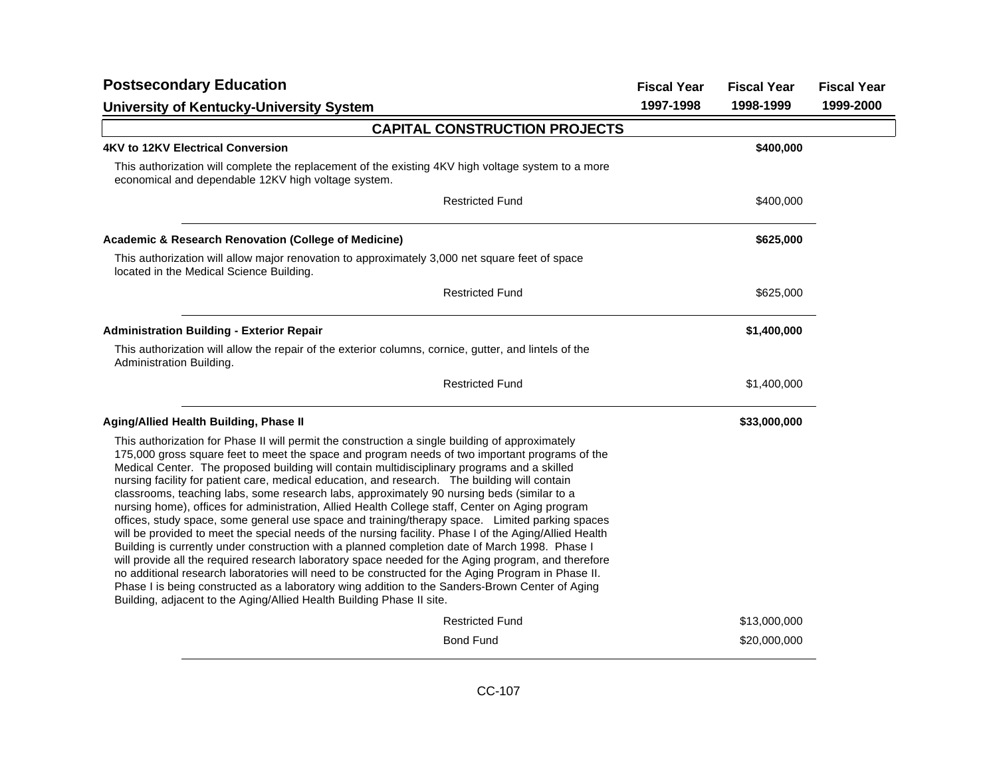| <b>Postsecondary Education</b>                                                                                                                                                                                                                                                                                                                                                                                                                                                                                                                                                                                                                                                                                                                                                                                                                                                                                                                                                                                                                                                                                                                                                                                                                                                                             | <b>Fiscal Year</b> | <b>Fiscal Year</b> | <b>Fiscal Year</b> |
|------------------------------------------------------------------------------------------------------------------------------------------------------------------------------------------------------------------------------------------------------------------------------------------------------------------------------------------------------------------------------------------------------------------------------------------------------------------------------------------------------------------------------------------------------------------------------------------------------------------------------------------------------------------------------------------------------------------------------------------------------------------------------------------------------------------------------------------------------------------------------------------------------------------------------------------------------------------------------------------------------------------------------------------------------------------------------------------------------------------------------------------------------------------------------------------------------------------------------------------------------------------------------------------------------------|--------------------|--------------------|--------------------|
| <b>University of Kentucky-University System</b>                                                                                                                                                                                                                                                                                                                                                                                                                                                                                                                                                                                                                                                                                                                                                                                                                                                                                                                                                                                                                                                                                                                                                                                                                                                            | 1997-1998          | 1998-1999          | 1999-2000          |
| <b>CAPITAL CONSTRUCTION PROJECTS</b>                                                                                                                                                                                                                                                                                                                                                                                                                                                                                                                                                                                                                                                                                                                                                                                                                                                                                                                                                                                                                                                                                                                                                                                                                                                                       |                    |                    |                    |
| 4KV to 12KV Electrical Conversion                                                                                                                                                                                                                                                                                                                                                                                                                                                                                                                                                                                                                                                                                                                                                                                                                                                                                                                                                                                                                                                                                                                                                                                                                                                                          |                    | \$400,000          |                    |
| This authorization will complete the replacement of the existing 4KV high voltage system to a more<br>economical and dependable 12KV high voltage system.                                                                                                                                                                                                                                                                                                                                                                                                                                                                                                                                                                                                                                                                                                                                                                                                                                                                                                                                                                                                                                                                                                                                                  |                    |                    |                    |
| <b>Restricted Fund</b>                                                                                                                                                                                                                                                                                                                                                                                                                                                                                                                                                                                                                                                                                                                                                                                                                                                                                                                                                                                                                                                                                                                                                                                                                                                                                     |                    | \$400,000          |                    |
| <b>Academic &amp; Research Renovation (College of Medicine)</b>                                                                                                                                                                                                                                                                                                                                                                                                                                                                                                                                                                                                                                                                                                                                                                                                                                                                                                                                                                                                                                                                                                                                                                                                                                            |                    | \$625,000          |                    |
| This authorization will allow major renovation to approximately 3,000 net square feet of space<br>located in the Medical Science Building.                                                                                                                                                                                                                                                                                                                                                                                                                                                                                                                                                                                                                                                                                                                                                                                                                                                                                                                                                                                                                                                                                                                                                                 |                    |                    |                    |
| <b>Restricted Fund</b>                                                                                                                                                                                                                                                                                                                                                                                                                                                                                                                                                                                                                                                                                                                                                                                                                                                                                                                                                                                                                                                                                                                                                                                                                                                                                     |                    | \$625,000          |                    |
| <b>Administration Building - Exterior Repair</b>                                                                                                                                                                                                                                                                                                                                                                                                                                                                                                                                                                                                                                                                                                                                                                                                                                                                                                                                                                                                                                                                                                                                                                                                                                                           |                    | \$1,400,000        |                    |
| This authorization will allow the repair of the exterior columns, cornice, gutter, and lintels of the<br>Administration Building.                                                                                                                                                                                                                                                                                                                                                                                                                                                                                                                                                                                                                                                                                                                                                                                                                                                                                                                                                                                                                                                                                                                                                                          |                    |                    |                    |
| <b>Restricted Fund</b>                                                                                                                                                                                                                                                                                                                                                                                                                                                                                                                                                                                                                                                                                                                                                                                                                                                                                                                                                                                                                                                                                                                                                                                                                                                                                     |                    | \$1,400,000        |                    |
| <b>Aging/Allied Health Building, Phase II</b>                                                                                                                                                                                                                                                                                                                                                                                                                                                                                                                                                                                                                                                                                                                                                                                                                                                                                                                                                                                                                                                                                                                                                                                                                                                              |                    | \$33,000,000       |                    |
| This authorization for Phase II will permit the construction a single building of approximately<br>175,000 gross square feet to meet the space and program needs of two important programs of the<br>Medical Center. The proposed building will contain multidisciplinary programs and a skilled<br>nursing facility for patient care, medical education, and research. The building will contain<br>classrooms, teaching labs, some research labs, approximately 90 nursing beds (similar to a<br>nursing home), offices for administration, Allied Health College staff, Center on Aging program<br>offices, study space, some general use space and training/therapy space. Limited parking spaces<br>will be provided to meet the special needs of the nursing facility. Phase I of the Aging/Allied Health<br>Building is currently under construction with a planned completion date of March 1998. Phase I<br>will provide all the required research laboratory space needed for the Aging program, and therefore<br>no additional research laboratories will need to be constructed for the Aging Program in Phase II.<br>Phase I is being constructed as a laboratory wing addition to the Sanders-Brown Center of Aging<br>Building, adjacent to the Aging/Allied Health Building Phase II site. |                    |                    |                    |
| <b>Restricted Fund</b>                                                                                                                                                                                                                                                                                                                                                                                                                                                                                                                                                                                                                                                                                                                                                                                                                                                                                                                                                                                                                                                                                                                                                                                                                                                                                     |                    | \$13,000,000       |                    |
| <b>Bond Fund</b>                                                                                                                                                                                                                                                                                                                                                                                                                                                                                                                                                                                                                                                                                                                                                                                                                                                                                                                                                                                                                                                                                                                                                                                                                                                                                           |                    | \$20,000,000       |                    |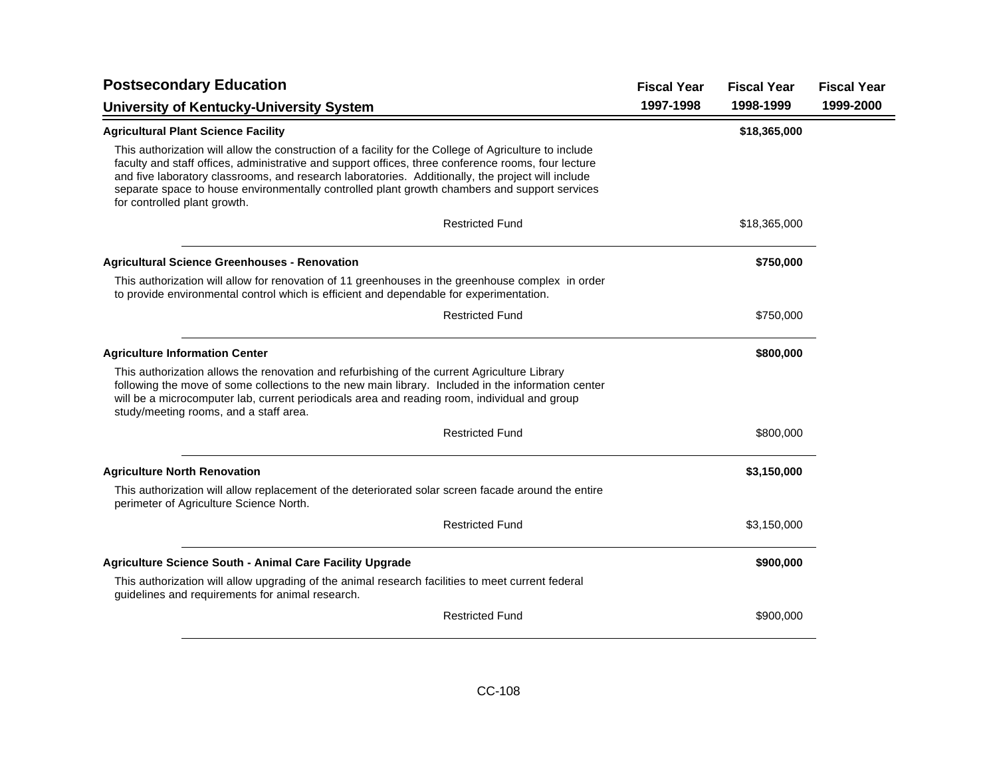| <b>Postsecondary Education</b>                                                                                                                                                                                                                                                                                                                                                                                                                      | <b>Fiscal Year</b> | <b>Fiscal Year</b> | <b>Fiscal Year</b> |
|-----------------------------------------------------------------------------------------------------------------------------------------------------------------------------------------------------------------------------------------------------------------------------------------------------------------------------------------------------------------------------------------------------------------------------------------------------|--------------------|--------------------|--------------------|
| <b>University of Kentucky-University System</b>                                                                                                                                                                                                                                                                                                                                                                                                     | 1997-1998          | 1998-1999          | 1999-2000          |
| <b>Agricultural Plant Science Facility</b>                                                                                                                                                                                                                                                                                                                                                                                                          |                    | \$18,365,000       |                    |
| This authorization will allow the construction of a facility for the College of Agriculture to include<br>faculty and staff offices, administrative and support offices, three conference rooms, four lecture<br>and five laboratory classrooms, and research laboratories. Additionally, the project will include<br>separate space to house environmentally controlled plant growth chambers and support services<br>for controlled plant growth. |                    |                    |                    |
| <b>Restricted Fund</b>                                                                                                                                                                                                                                                                                                                                                                                                                              |                    | \$18,365,000       |                    |
| <b>Agricultural Science Greenhouses - Renovation</b>                                                                                                                                                                                                                                                                                                                                                                                                |                    | \$750,000          |                    |
| This authorization will allow for renovation of 11 greenhouses in the greenhouse complex in order<br>to provide environmental control which is efficient and dependable for experimentation.                                                                                                                                                                                                                                                        |                    |                    |                    |
| <b>Restricted Fund</b>                                                                                                                                                                                                                                                                                                                                                                                                                              |                    | \$750,000          |                    |
| <b>Agriculture Information Center</b>                                                                                                                                                                                                                                                                                                                                                                                                               |                    | \$800,000          |                    |
| This authorization allows the renovation and refurbishing of the current Agriculture Library<br>following the move of some collections to the new main library. Included in the information center<br>will be a microcomputer lab, current periodicals area and reading room, individual and group<br>study/meeting rooms, and a staff area.                                                                                                        |                    |                    |                    |
| <b>Restricted Fund</b>                                                                                                                                                                                                                                                                                                                                                                                                                              |                    | \$800,000          |                    |
| <b>Agriculture North Renovation</b>                                                                                                                                                                                                                                                                                                                                                                                                                 |                    | \$3,150,000        |                    |
| This authorization will allow replacement of the deteriorated solar screen facade around the entire<br>perimeter of Agriculture Science North.                                                                                                                                                                                                                                                                                                      |                    |                    |                    |
| <b>Restricted Fund</b>                                                                                                                                                                                                                                                                                                                                                                                                                              |                    | \$3,150,000        |                    |
| <b>Agriculture Science South - Animal Care Facility Upgrade</b>                                                                                                                                                                                                                                                                                                                                                                                     |                    | \$900,000          |                    |
| This authorization will allow upgrading of the animal research facilities to meet current federal<br>guidelines and requirements for animal research.                                                                                                                                                                                                                                                                                               |                    |                    |                    |
| <b>Restricted Fund</b>                                                                                                                                                                                                                                                                                                                                                                                                                              |                    | \$900,000          |                    |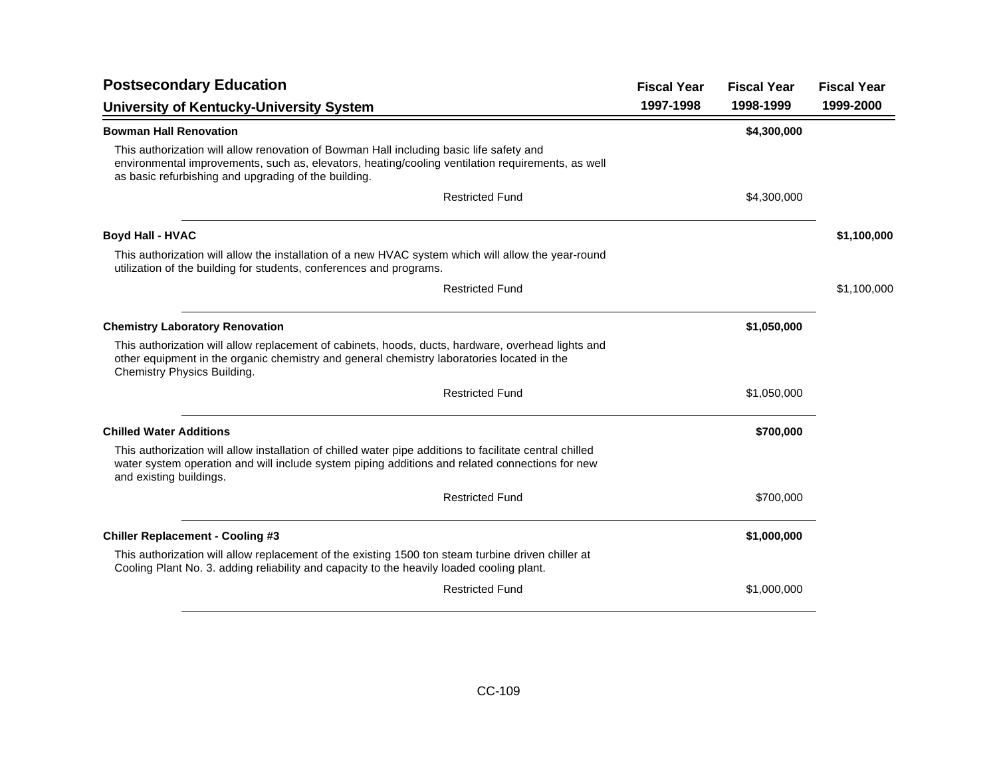| 1997-1998 | 1998-1999   |             |
|-----------|-------------|-------------|
|           |             | 1999-2000   |
|           | \$4,300,000 |             |
|           |             |             |
|           | \$4,300,000 |             |
|           |             | \$1,100,000 |
|           |             |             |
|           |             | \$1,100,000 |
|           | \$1,050,000 |             |
|           |             |             |
|           | \$1,050,000 |             |
|           | \$700,000   |             |
|           |             |             |
|           | \$700,000   |             |
|           | \$1,000,000 |             |
|           |             |             |
|           | \$1,000,000 |             |
|           |             |             |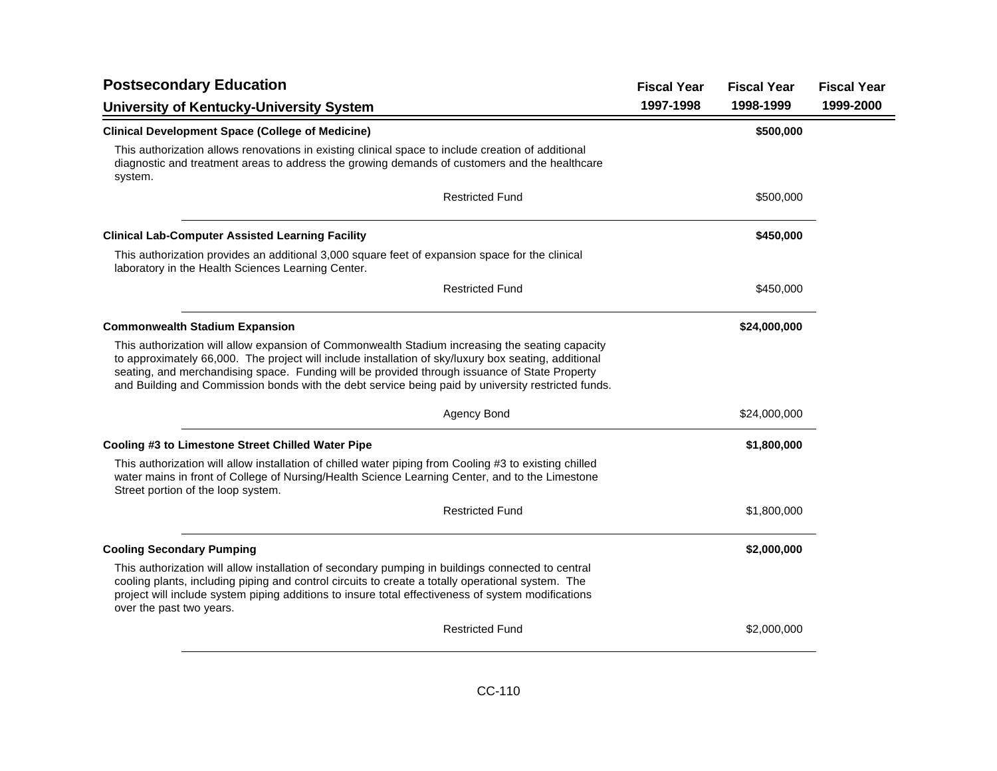| <b>Postsecondary Education</b>                                                                                                                                                                                                                                                                                                                                                                                 | <b>Fiscal Year</b> | <b>Fiscal Year</b> | <b>Fiscal Year</b> |
|----------------------------------------------------------------------------------------------------------------------------------------------------------------------------------------------------------------------------------------------------------------------------------------------------------------------------------------------------------------------------------------------------------------|--------------------|--------------------|--------------------|
| <b>University of Kentucky-University System</b>                                                                                                                                                                                                                                                                                                                                                                | 1997-1998          | 1998-1999          | 1999-2000          |
| <b>Clinical Development Space (College of Medicine)</b>                                                                                                                                                                                                                                                                                                                                                        |                    | \$500,000          |                    |
| This authorization allows renovations in existing clinical space to include creation of additional<br>diagnostic and treatment areas to address the growing demands of customers and the healthcare<br>system.                                                                                                                                                                                                 |                    |                    |                    |
| <b>Restricted Fund</b>                                                                                                                                                                                                                                                                                                                                                                                         |                    | \$500,000          |                    |
| <b>Clinical Lab-Computer Assisted Learning Facility</b>                                                                                                                                                                                                                                                                                                                                                        |                    | \$450,000          |                    |
| This authorization provides an additional 3,000 square feet of expansion space for the clinical<br>laboratory in the Health Sciences Learning Center.                                                                                                                                                                                                                                                          |                    |                    |                    |
| <b>Restricted Fund</b>                                                                                                                                                                                                                                                                                                                                                                                         |                    | \$450,000          |                    |
| <b>Commonwealth Stadium Expansion</b>                                                                                                                                                                                                                                                                                                                                                                          |                    | \$24,000,000       |                    |
| This authorization will allow expansion of Commonwealth Stadium increasing the seating capacity<br>to approximately 66,000. The project will include installation of sky/luxury box seating, additional<br>seating, and merchandising space. Funding will be provided through issuance of State Property<br>and Building and Commission bonds with the debt service being paid by university restricted funds. |                    |                    |                    |
| Agency Bond                                                                                                                                                                                                                                                                                                                                                                                                    |                    | \$24,000,000       |                    |
| Cooling #3 to Limestone Street Chilled Water Pipe                                                                                                                                                                                                                                                                                                                                                              |                    | \$1,800,000        |                    |
| This authorization will allow installation of chilled water piping from Cooling #3 to existing chilled<br>water mains in front of College of Nursing/Health Science Learning Center, and to the Limestone<br>Street portion of the loop system.                                                                                                                                                                |                    |                    |                    |
| <b>Restricted Fund</b>                                                                                                                                                                                                                                                                                                                                                                                         |                    | \$1,800,000        |                    |
| <b>Cooling Secondary Pumping</b>                                                                                                                                                                                                                                                                                                                                                                               |                    | \$2,000,000        |                    |
| This authorization will allow installation of secondary pumping in buildings connected to central<br>cooling plants, including piping and control circuits to create a totally operational system. The<br>project will include system piping additions to insure total effectiveness of system modifications<br>over the past two years.                                                                       |                    |                    |                    |
| <b>Restricted Fund</b>                                                                                                                                                                                                                                                                                                                                                                                         |                    | \$2,000,000        |                    |
|                                                                                                                                                                                                                                                                                                                                                                                                                |                    |                    |                    |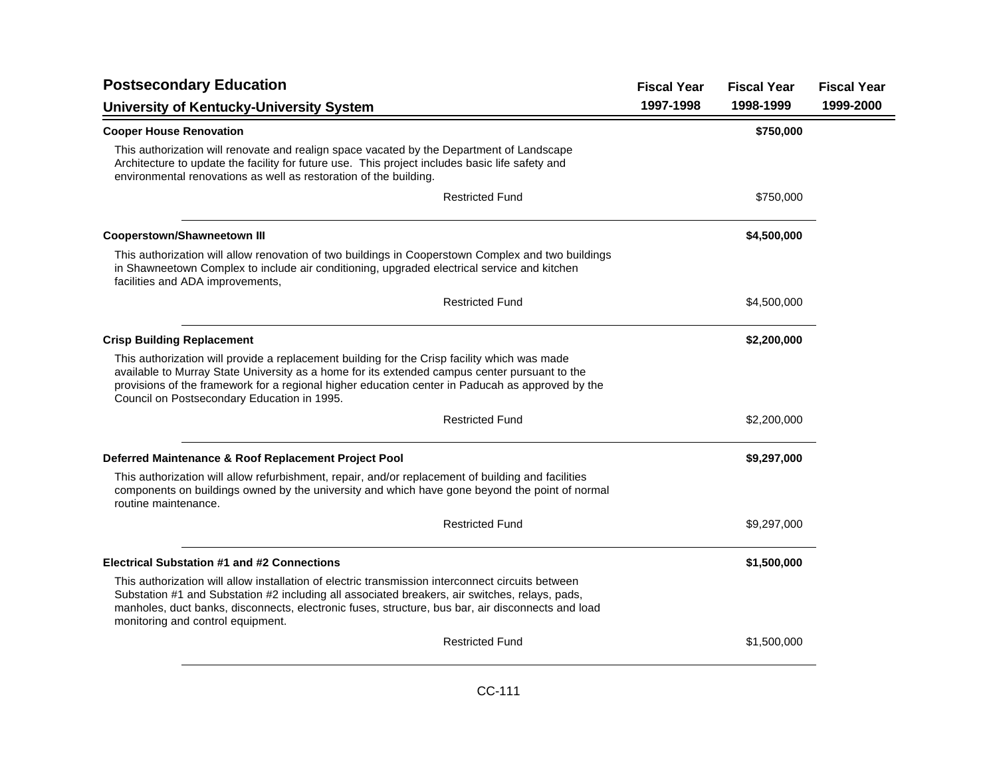| <b>Postsecondary Education</b>                                                                                                                                                                                                                                                                                                                   | <b>Fiscal Year</b> | <b>Fiscal Year</b> | <b>Fiscal Year</b> |
|--------------------------------------------------------------------------------------------------------------------------------------------------------------------------------------------------------------------------------------------------------------------------------------------------------------------------------------------------|--------------------|--------------------|--------------------|
| <b>University of Kentucky-University System</b>                                                                                                                                                                                                                                                                                                  | 1997-1998          | 1998-1999          | 1999-2000          |
| <b>Cooper House Renovation</b>                                                                                                                                                                                                                                                                                                                   |                    | \$750,000          |                    |
| This authorization will renovate and realign space vacated by the Department of Landscape<br>Architecture to update the facility for future use. This project includes basic life safety and<br>environmental renovations as well as restoration of the building.                                                                                |                    |                    |                    |
| <b>Restricted Fund</b>                                                                                                                                                                                                                                                                                                                           |                    | \$750,000          |                    |
| <b>Cooperstown/Shawneetown III</b>                                                                                                                                                                                                                                                                                                               |                    | \$4,500,000        |                    |
| This authorization will allow renovation of two buildings in Cooperstown Complex and two buildings<br>in Shawneetown Complex to include air conditioning, upgraded electrical service and kitchen<br>facilities and ADA improvements,                                                                                                            |                    |                    |                    |
| <b>Restricted Fund</b>                                                                                                                                                                                                                                                                                                                           |                    | \$4,500,000        |                    |
| <b>Crisp Building Replacement</b>                                                                                                                                                                                                                                                                                                                |                    | \$2,200,000        |                    |
| This authorization will provide a replacement building for the Crisp facility which was made<br>available to Murray State University as a home for its extended campus center pursuant to the<br>provisions of the framework for a regional higher education center in Paducah as approved by the<br>Council on Postsecondary Education in 1995. |                    |                    |                    |
| <b>Restricted Fund</b>                                                                                                                                                                                                                                                                                                                           |                    | \$2,200,000        |                    |
| Deferred Maintenance & Roof Replacement Project Pool                                                                                                                                                                                                                                                                                             |                    | \$9,297,000        |                    |
| This authorization will allow refurbishment, repair, and/or replacement of building and facilities<br>components on buildings owned by the university and which have gone beyond the point of normal<br>routine maintenance.                                                                                                                     |                    |                    |                    |
| <b>Restricted Fund</b>                                                                                                                                                                                                                                                                                                                           |                    | \$9,297,000        |                    |
| <b>Electrical Substation #1 and #2 Connections</b>                                                                                                                                                                                                                                                                                               |                    | \$1,500,000        |                    |
| This authorization will allow installation of electric transmission interconnect circuits between<br>Substation #1 and Substation #2 including all associated breakers, air switches, relays, pads,<br>manholes, duct banks, disconnects, electronic fuses, structure, bus bar, air disconnects and load<br>monitoring and control equipment.    |                    |                    |                    |
| <b>Restricted Fund</b>                                                                                                                                                                                                                                                                                                                           |                    | \$1,500,000        |                    |
|                                                                                                                                                                                                                                                                                                                                                  |                    |                    |                    |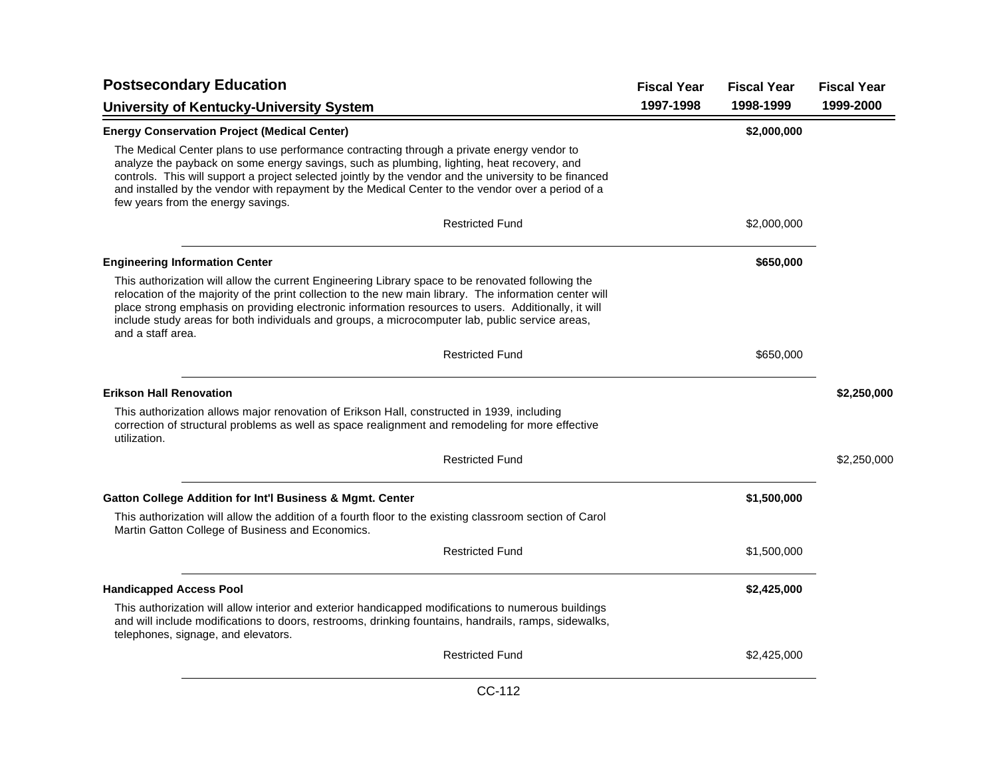| <b>Postsecondary Education</b>                                                                                                                                                                                                                                                                                                                                                                                                                | <b>Fiscal Year</b> | <b>Fiscal Year</b> | <b>Fiscal Year</b> |
|-----------------------------------------------------------------------------------------------------------------------------------------------------------------------------------------------------------------------------------------------------------------------------------------------------------------------------------------------------------------------------------------------------------------------------------------------|--------------------|--------------------|--------------------|
| <b>University of Kentucky-University System</b>                                                                                                                                                                                                                                                                                                                                                                                               | 1997-1998          | 1998-1999          | 1999-2000          |
| <b>Energy Conservation Project (Medical Center)</b>                                                                                                                                                                                                                                                                                                                                                                                           |                    | \$2,000,000        |                    |
| The Medical Center plans to use performance contracting through a private energy vendor to<br>analyze the payback on some energy savings, such as plumbing, lighting, heat recovery, and<br>controls. This will support a project selected jointly by the vendor and the university to be financed<br>and installed by the vendor with repayment by the Medical Center to the vendor over a period of a<br>few years from the energy savings. |                    |                    |                    |
| <b>Restricted Fund</b>                                                                                                                                                                                                                                                                                                                                                                                                                        |                    | \$2,000,000        |                    |
| <b>Engineering Information Center</b>                                                                                                                                                                                                                                                                                                                                                                                                         |                    | \$650,000          |                    |
| This authorization will allow the current Engineering Library space to be renovated following the<br>relocation of the majority of the print collection to the new main library. The information center will<br>place strong emphasis on providing electronic information resources to users. Additionally, it will<br>include study areas for both individuals and groups, a microcomputer lab, public service areas,<br>and a staff area.   |                    |                    |                    |
| <b>Restricted Fund</b>                                                                                                                                                                                                                                                                                                                                                                                                                        |                    | \$650,000          |                    |
| <b>Erikson Hall Renovation</b>                                                                                                                                                                                                                                                                                                                                                                                                                |                    |                    | \$2,250,000        |
| This authorization allows major renovation of Erikson Hall, constructed in 1939, including<br>correction of structural problems as well as space realignment and remodeling for more effective<br>utilization.                                                                                                                                                                                                                                |                    |                    |                    |
| <b>Restricted Fund</b>                                                                                                                                                                                                                                                                                                                                                                                                                        |                    |                    | \$2,250,000        |
| <b>Gatton College Addition for Int'l Business &amp; Mgmt. Center</b>                                                                                                                                                                                                                                                                                                                                                                          |                    | \$1,500,000        |                    |
| This authorization will allow the addition of a fourth floor to the existing classroom section of Carol<br>Martin Gatton College of Business and Economics.                                                                                                                                                                                                                                                                                   |                    |                    |                    |
| <b>Restricted Fund</b>                                                                                                                                                                                                                                                                                                                                                                                                                        |                    | \$1,500,000        |                    |
| <b>Handicapped Access Pool</b>                                                                                                                                                                                                                                                                                                                                                                                                                |                    | \$2,425,000        |                    |
| This authorization will allow interior and exterior handicapped modifications to numerous buildings<br>and will include modifications to doors, restrooms, drinking fountains, handrails, ramps, sidewalks,<br>telephones, signage, and elevators.                                                                                                                                                                                            |                    |                    |                    |
| <b>Restricted Fund</b>                                                                                                                                                                                                                                                                                                                                                                                                                        |                    | \$2,425,000        |                    |
|                                                                                                                                                                                                                                                                                                                                                                                                                                               |                    |                    |                    |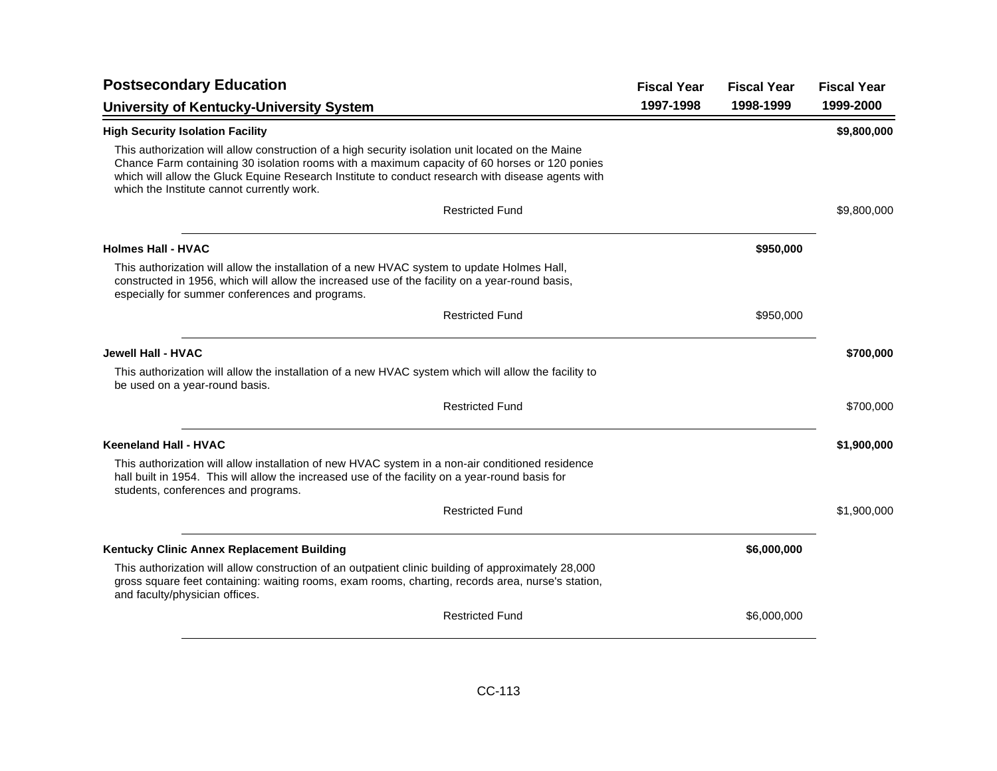| <b>Postsecondary Education</b>                                                                                                                                                                                                                                                                                                                       | <b>Fiscal Year</b> | <b>Fiscal Year</b> | <b>Fiscal Year</b> |
|------------------------------------------------------------------------------------------------------------------------------------------------------------------------------------------------------------------------------------------------------------------------------------------------------------------------------------------------------|--------------------|--------------------|--------------------|
| <b>University of Kentucky-University System</b>                                                                                                                                                                                                                                                                                                      | 1997-1998          | 1998-1999          | 1999-2000          |
| <b>High Security Isolation Facility</b>                                                                                                                                                                                                                                                                                                              |                    |                    | \$9,800,000        |
| This authorization will allow construction of a high security isolation unit located on the Maine<br>Chance Farm containing 30 isolation rooms with a maximum capacity of 60 horses or 120 ponies<br>which will allow the Gluck Equine Research Institute to conduct research with disease agents with<br>which the Institute cannot currently work. |                    |                    |                    |
| <b>Restricted Fund</b>                                                                                                                                                                                                                                                                                                                               |                    |                    | \$9,800,000        |
| <b>Holmes Hall - HVAC</b>                                                                                                                                                                                                                                                                                                                            |                    | \$950,000          |                    |
| This authorization will allow the installation of a new HVAC system to update Holmes Hall,<br>constructed in 1956, which will allow the increased use of the facility on a year-round basis,<br>especially for summer conferences and programs.                                                                                                      |                    |                    |                    |
| <b>Restricted Fund</b>                                                                                                                                                                                                                                                                                                                               |                    | \$950,000          |                    |
| Jewell Hall - HVAC                                                                                                                                                                                                                                                                                                                                   |                    |                    | \$700,000          |
| This authorization will allow the installation of a new HVAC system which will allow the facility to<br>be used on a year-round basis.                                                                                                                                                                                                               |                    |                    |                    |
| <b>Restricted Fund</b>                                                                                                                                                                                                                                                                                                                               |                    |                    | \$700,000          |
| <b>Keeneland Hall - HVAC</b>                                                                                                                                                                                                                                                                                                                         |                    |                    | \$1,900,000        |
| This authorization will allow installation of new HVAC system in a non-air conditioned residence<br>hall built in 1954. This will allow the increased use of the facility on a year-round basis for<br>students, conferences and programs.                                                                                                           |                    |                    |                    |
| <b>Restricted Fund</b>                                                                                                                                                                                                                                                                                                                               |                    |                    | \$1,900,000        |
| Kentucky Clinic Annex Replacement Building                                                                                                                                                                                                                                                                                                           |                    | \$6,000,000        |                    |
| This authorization will allow construction of an outpatient clinic building of approximately 28,000<br>gross square feet containing: waiting rooms, exam rooms, charting, records area, nurse's station,<br>and faculty/physician offices.                                                                                                           |                    |                    |                    |
| <b>Restricted Fund</b>                                                                                                                                                                                                                                                                                                                               |                    | \$6,000,000        |                    |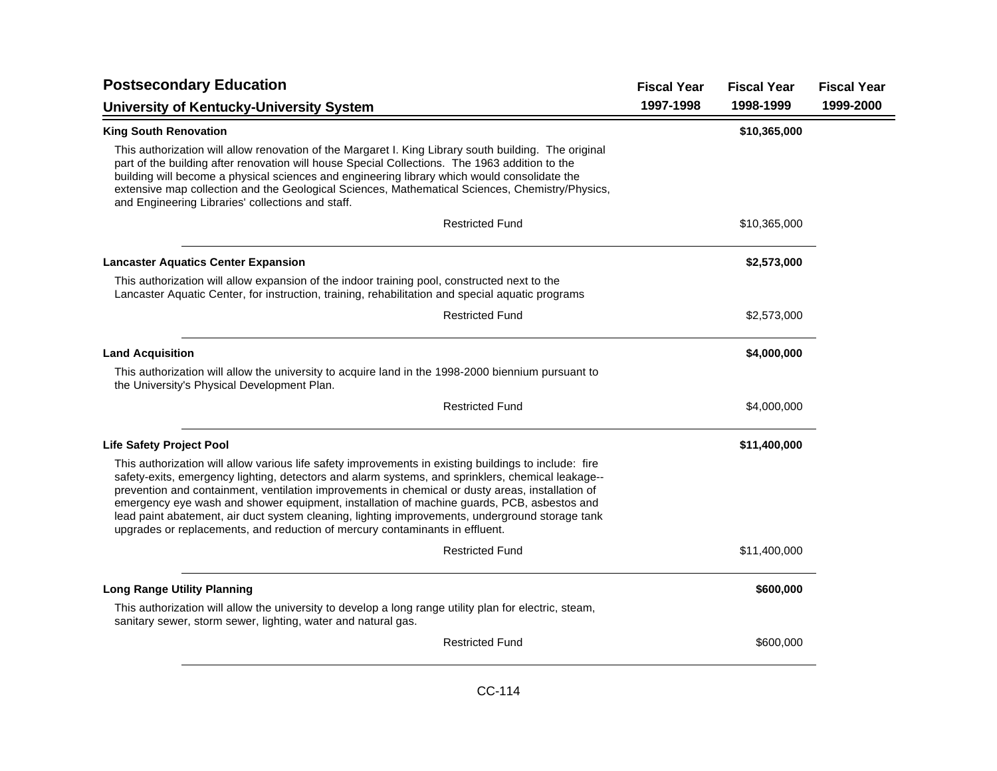| <b>Postsecondary Education</b>                                                                                                                                                                                                                                                                                                                                                                                                                                                                                                                                                                  | <b>Fiscal Year</b> | <b>Fiscal Year</b> | <b>Fiscal Year</b> |
|-------------------------------------------------------------------------------------------------------------------------------------------------------------------------------------------------------------------------------------------------------------------------------------------------------------------------------------------------------------------------------------------------------------------------------------------------------------------------------------------------------------------------------------------------------------------------------------------------|--------------------|--------------------|--------------------|
| <b>University of Kentucky-University System</b>                                                                                                                                                                                                                                                                                                                                                                                                                                                                                                                                                 | 1997-1998          | 1998-1999          | 1999-2000          |
| <b>King South Renovation</b>                                                                                                                                                                                                                                                                                                                                                                                                                                                                                                                                                                    |                    | \$10,365,000       |                    |
| This authorization will allow renovation of the Margaret I. King Library south building. The original<br>part of the building after renovation will house Special Collections. The 1963 addition to the<br>building will become a physical sciences and engineering library which would consolidate the<br>extensive map collection and the Geological Sciences, Mathematical Sciences, Chemistry/Physics,<br>and Engineering Libraries' collections and staff.                                                                                                                                 |                    |                    |                    |
| <b>Restricted Fund</b>                                                                                                                                                                                                                                                                                                                                                                                                                                                                                                                                                                          |                    | \$10,365,000       |                    |
| <b>Lancaster Aquatics Center Expansion</b>                                                                                                                                                                                                                                                                                                                                                                                                                                                                                                                                                      |                    | \$2,573,000        |                    |
| This authorization will allow expansion of the indoor training pool, constructed next to the<br>Lancaster Aquatic Center, for instruction, training, rehabilitation and special aquatic programs                                                                                                                                                                                                                                                                                                                                                                                                |                    |                    |                    |
| <b>Restricted Fund</b>                                                                                                                                                                                                                                                                                                                                                                                                                                                                                                                                                                          |                    | \$2,573,000        |                    |
| <b>Land Acquisition</b>                                                                                                                                                                                                                                                                                                                                                                                                                                                                                                                                                                         |                    | \$4,000,000        |                    |
| This authorization will allow the university to acquire land in the 1998-2000 biennium pursuant to<br>the University's Physical Development Plan.                                                                                                                                                                                                                                                                                                                                                                                                                                               |                    |                    |                    |
| <b>Restricted Fund</b>                                                                                                                                                                                                                                                                                                                                                                                                                                                                                                                                                                          |                    | \$4,000,000        |                    |
| <b>Life Safety Project Pool</b>                                                                                                                                                                                                                                                                                                                                                                                                                                                                                                                                                                 |                    | \$11,400,000       |                    |
| This authorization will allow various life safety improvements in existing buildings to include: fire<br>safety-exits, emergency lighting, detectors and alarm systems, and sprinklers, chemical leakage--<br>prevention and containment, ventilation improvements in chemical or dusty areas, installation of<br>emergency eye wash and shower equipment, installation of machine guards, PCB, asbestos and<br>lead paint abatement, air duct system cleaning, lighting improvements, underground storage tank<br>upgrades or replacements, and reduction of mercury contaminants in effluent. |                    |                    |                    |
| <b>Restricted Fund</b>                                                                                                                                                                                                                                                                                                                                                                                                                                                                                                                                                                          |                    | \$11,400,000       |                    |
| <b>Long Range Utility Planning</b>                                                                                                                                                                                                                                                                                                                                                                                                                                                                                                                                                              |                    | \$600,000          |                    |
| This authorization will allow the university to develop a long range utility plan for electric, steam,<br>sanitary sewer, storm sewer, lighting, water and natural gas.                                                                                                                                                                                                                                                                                                                                                                                                                         |                    |                    |                    |
| <b>Restricted Fund</b>                                                                                                                                                                                                                                                                                                                                                                                                                                                                                                                                                                          |                    | \$600,000          |                    |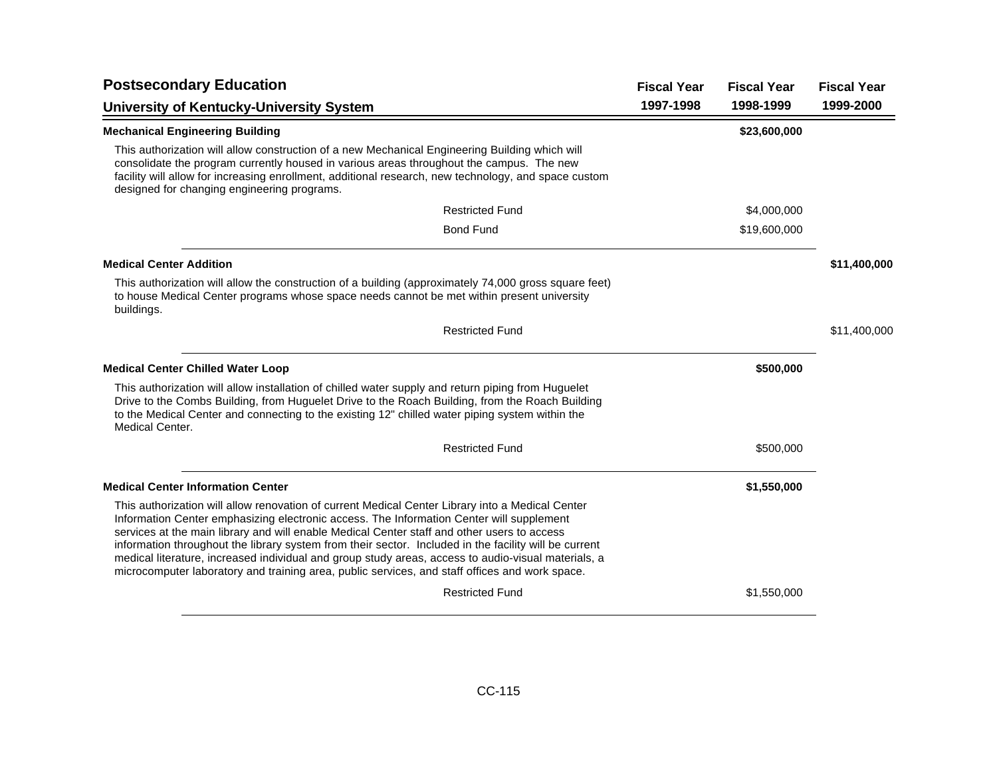| <b>Postsecondary Education</b>                                                                                                                                                                                                                                                                                                                                                                                                                                                                                                                                                                                |           | <b>Fiscal Year</b><br><b>Fiscal Year</b> | <b>Fiscal Year</b> |
|---------------------------------------------------------------------------------------------------------------------------------------------------------------------------------------------------------------------------------------------------------------------------------------------------------------------------------------------------------------------------------------------------------------------------------------------------------------------------------------------------------------------------------------------------------------------------------------------------------------|-----------|------------------------------------------|--------------------|
| <b>University of Kentucky-University System</b>                                                                                                                                                                                                                                                                                                                                                                                                                                                                                                                                                               | 1997-1998 | 1998-1999                                | 1999-2000          |
| <b>Mechanical Engineering Building</b>                                                                                                                                                                                                                                                                                                                                                                                                                                                                                                                                                                        |           | \$23,600,000                             |                    |
| This authorization will allow construction of a new Mechanical Engineering Building which will<br>consolidate the program currently housed in various areas throughout the campus. The new<br>facility will allow for increasing enrollment, additional research, new technology, and space custom<br>designed for changing engineering programs.                                                                                                                                                                                                                                                             |           |                                          |                    |
| <b>Restricted Fund</b>                                                                                                                                                                                                                                                                                                                                                                                                                                                                                                                                                                                        |           | \$4,000,000                              |                    |
| <b>Bond Fund</b>                                                                                                                                                                                                                                                                                                                                                                                                                                                                                                                                                                                              |           | \$19,600,000                             |                    |
| <b>Medical Center Addition</b>                                                                                                                                                                                                                                                                                                                                                                                                                                                                                                                                                                                |           |                                          | \$11,400,000       |
| This authorization will allow the construction of a building (approximately 74,000 gross square feet)<br>to house Medical Center programs whose space needs cannot be met within present university<br>buildings.                                                                                                                                                                                                                                                                                                                                                                                             |           |                                          |                    |
| <b>Restricted Fund</b>                                                                                                                                                                                                                                                                                                                                                                                                                                                                                                                                                                                        |           |                                          | \$11,400,000       |
| <b>Medical Center Chilled Water Loop</b>                                                                                                                                                                                                                                                                                                                                                                                                                                                                                                                                                                      |           | \$500,000                                |                    |
| This authorization will allow installation of chilled water supply and return piping from Huguelet<br>Drive to the Combs Building, from Huguelet Drive to the Roach Building, from the Roach Building<br>to the Medical Center and connecting to the existing 12" chilled water piping system within the<br><b>Medical Center.</b>                                                                                                                                                                                                                                                                            |           |                                          |                    |
| <b>Restricted Fund</b>                                                                                                                                                                                                                                                                                                                                                                                                                                                                                                                                                                                        |           | \$500,000                                |                    |
| <b>Medical Center Information Center</b>                                                                                                                                                                                                                                                                                                                                                                                                                                                                                                                                                                      |           | \$1,550,000                              |                    |
| This authorization will allow renovation of current Medical Center Library into a Medical Center<br>Information Center emphasizing electronic access. The Information Center will supplement<br>services at the main library and will enable Medical Center staff and other users to access<br>information throughout the library system from their sector. Included in the facility will be current<br>medical literature, increased individual and group study areas, access to audio-visual materials, a<br>microcomputer laboratory and training area, public services, and staff offices and work space. |           |                                          |                    |
| <b>Restricted Fund</b>                                                                                                                                                                                                                                                                                                                                                                                                                                                                                                                                                                                        |           | \$1,550,000                              |                    |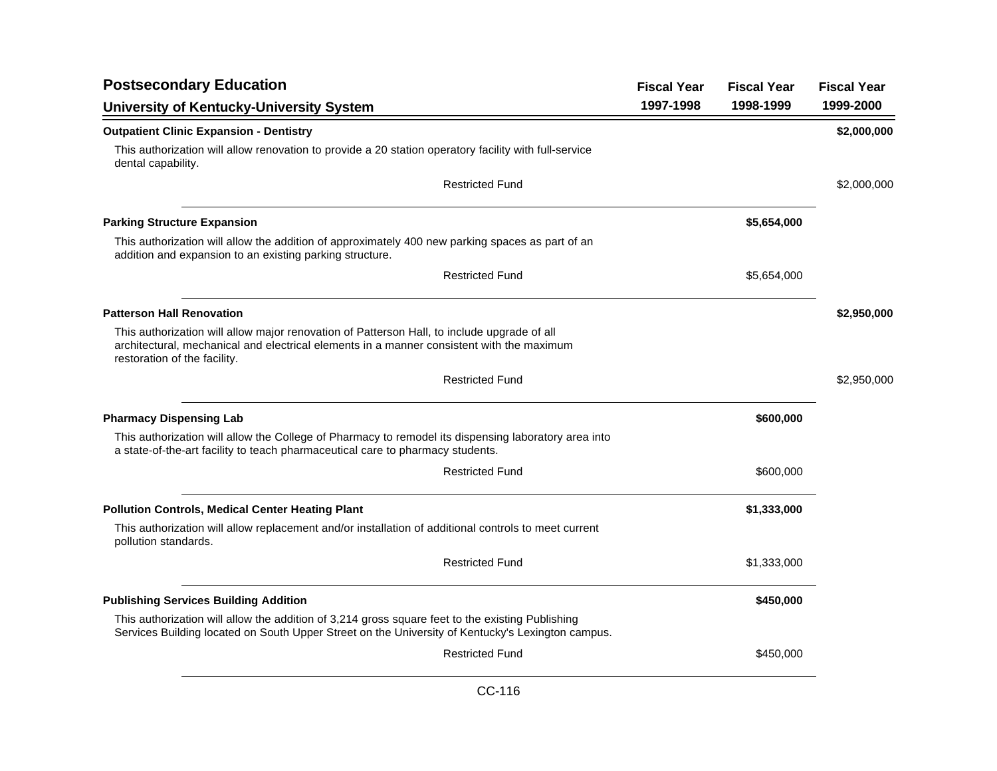| <b>Postsecondary Education</b>                                                                                                                                                                                           | <b>Fiscal Year</b> | <b>Fiscal Year</b> | <b>Fiscal Year</b> |
|--------------------------------------------------------------------------------------------------------------------------------------------------------------------------------------------------------------------------|--------------------|--------------------|--------------------|
| <b>University of Kentucky-University System</b>                                                                                                                                                                          | 1997-1998          | 1998-1999          | 1999-2000          |
| <b>Outpatient Clinic Expansion - Dentistry</b>                                                                                                                                                                           |                    |                    | \$2,000,000        |
| This authorization will allow renovation to provide a 20 station operatory facility with full-service<br>dental capability.                                                                                              |                    |                    |                    |
| <b>Restricted Fund</b>                                                                                                                                                                                                   |                    |                    | \$2,000,000        |
| <b>Parking Structure Expansion</b>                                                                                                                                                                                       |                    | \$5,654,000        |                    |
| This authorization will allow the addition of approximately 400 new parking spaces as part of an<br>addition and expansion to an existing parking structure.                                                             |                    |                    |                    |
| <b>Restricted Fund</b>                                                                                                                                                                                                   |                    | \$5,654,000        |                    |
| <b>Patterson Hall Renovation</b>                                                                                                                                                                                         |                    |                    | \$2,950,000        |
| This authorization will allow major renovation of Patterson Hall, to include upgrade of all<br>architectural, mechanical and electrical elements in a manner consistent with the maximum<br>restoration of the facility. |                    |                    |                    |
| <b>Restricted Fund</b>                                                                                                                                                                                                   |                    |                    | \$2,950,000        |
| <b>Pharmacy Dispensing Lab</b>                                                                                                                                                                                           |                    | \$600,000          |                    |
| This authorization will allow the College of Pharmacy to remodel its dispensing laboratory area into<br>a state-of-the-art facility to teach pharmaceutical care to pharmacy students.                                   |                    |                    |                    |
| <b>Restricted Fund</b>                                                                                                                                                                                                   |                    | \$600,000          |                    |
| <b>Pollution Controls, Medical Center Heating Plant</b>                                                                                                                                                                  |                    | \$1,333,000        |                    |
| This authorization will allow replacement and/or installation of additional controls to meet current<br>pollution standards.                                                                                             |                    |                    |                    |
| <b>Restricted Fund</b>                                                                                                                                                                                                   |                    | \$1,333,000        |                    |
| <b>Publishing Services Building Addition</b>                                                                                                                                                                             |                    | \$450,000          |                    |
| This authorization will allow the addition of 3,214 gross square feet to the existing Publishing<br>Services Building located on South Upper Street on the University of Kentucky's Lexington campus.                    |                    |                    |                    |
| <b>Restricted Fund</b>                                                                                                                                                                                                   |                    | \$450,000          |                    |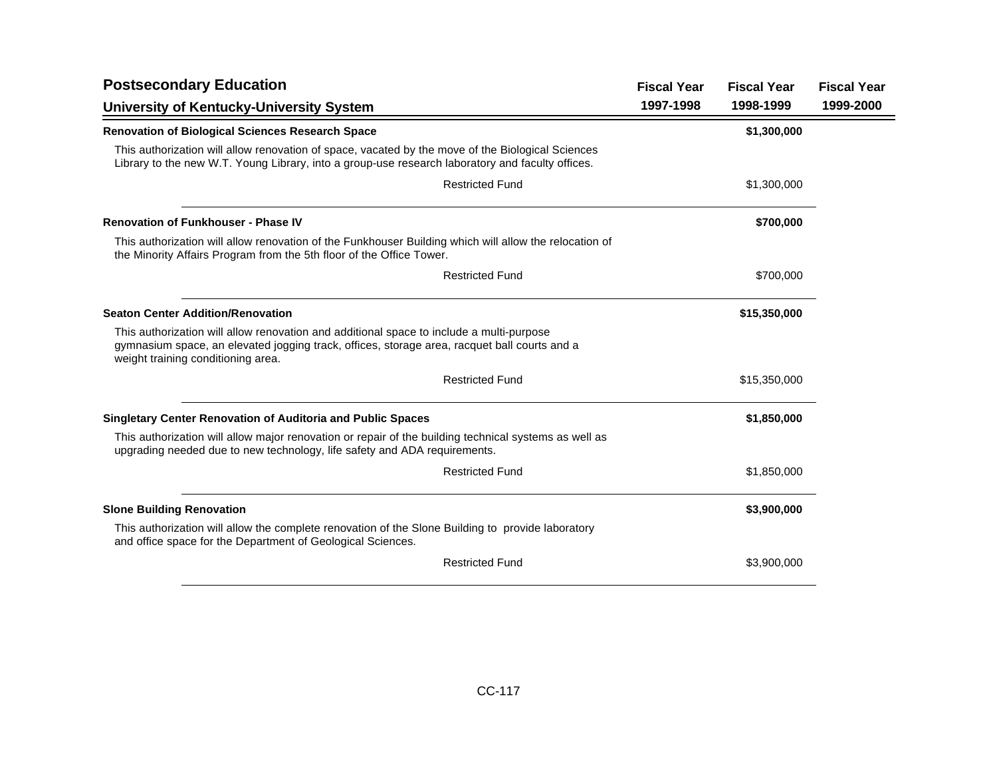| <b>Postsecondary Education</b>                                                                                                                                                                                                 | <b>Fiscal Year</b> | <b>Fiscal Year</b> | <b>Fiscal Year</b> |
|--------------------------------------------------------------------------------------------------------------------------------------------------------------------------------------------------------------------------------|--------------------|--------------------|--------------------|
| <b>University of Kentucky-University System</b>                                                                                                                                                                                | 1997-1998          | 1998-1999          | 1999-2000          |
| <b>Renovation of Biological Sciences Research Space</b>                                                                                                                                                                        |                    | \$1,300,000        |                    |
| This authorization will allow renovation of space, vacated by the move of the Biological Sciences<br>Library to the new W.T. Young Library, into a group-use research laboratory and faculty offices.                          |                    |                    |                    |
| <b>Restricted Fund</b>                                                                                                                                                                                                         |                    | \$1,300,000        |                    |
| <b>Renovation of Funkhouser - Phase IV</b>                                                                                                                                                                                     |                    | \$700,000          |                    |
| This authorization will allow renovation of the Funkhouser Building which will allow the relocation of<br>the Minority Affairs Program from the 5th floor of the Office Tower.                                                 |                    |                    |                    |
| <b>Restricted Fund</b>                                                                                                                                                                                                         |                    | \$700,000          |                    |
| <b>Seaton Center Addition/Renovation</b>                                                                                                                                                                                       |                    | \$15,350,000       |                    |
| This authorization will allow renovation and additional space to include a multi-purpose<br>gymnasium space, an elevated jogging track, offices, storage area, racquet ball courts and a<br>weight training conditioning area. |                    |                    |                    |
| <b>Restricted Fund</b>                                                                                                                                                                                                         |                    | \$15,350,000       |                    |
| <b>Singletary Center Renovation of Auditoria and Public Spaces</b>                                                                                                                                                             |                    | \$1,850,000        |                    |
| This authorization will allow major renovation or repair of the building technical systems as well as<br>upgrading needed due to new technology, life safety and ADA requirements.                                             |                    |                    |                    |
| <b>Restricted Fund</b>                                                                                                                                                                                                         |                    | \$1,850,000        |                    |
| <b>Slone Building Renovation</b>                                                                                                                                                                                               |                    | \$3,900,000        |                    |
| This authorization will allow the complete renovation of the Slone Building to provide laboratory<br>and office space for the Department of Geological Sciences.                                                               |                    |                    |                    |
| <b>Restricted Fund</b>                                                                                                                                                                                                         |                    | \$3,900,000        |                    |
|                                                                                                                                                                                                                                |                    |                    |                    |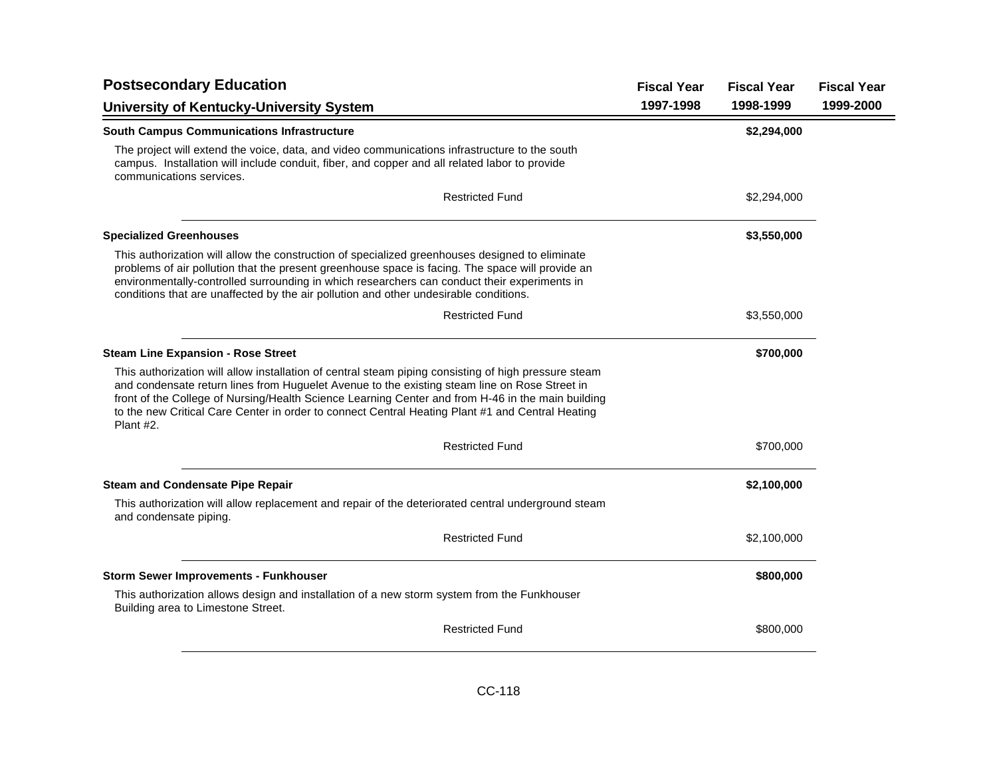| <b>Postsecondary Education</b>                                                                                                                                                                                                                                                                                                                                                                                              | <b>Fiscal Year</b> | <b>Fiscal Year</b> | <b>Fiscal Year</b> |
|-----------------------------------------------------------------------------------------------------------------------------------------------------------------------------------------------------------------------------------------------------------------------------------------------------------------------------------------------------------------------------------------------------------------------------|--------------------|--------------------|--------------------|
| <b>University of Kentucky-University System</b>                                                                                                                                                                                                                                                                                                                                                                             | 1997-1998          | 1998-1999          | 1999-2000          |
| <b>South Campus Communications Infrastructure</b>                                                                                                                                                                                                                                                                                                                                                                           |                    | \$2,294,000        |                    |
| The project will extend the voice, data, and video communications infrastructure to the south<br>campus. Installation will include conduit, fiber, and copper and all related labor to provide<br>communications services.                                                                                                                                                                                                  |                    |                    |                    |
| <b>Restricted Fund</b>                                                                                                                                                                                                                                                                                                                                                                                                      |                    | \$2,294,000        |                    |
| <b>Specialized Greenhouses</b>                                                                                                                                                                                                                                                                                                                                                                                              |                    | \$3,550,000        |                    |
| This authorization will allow the construction of specialized greenhouses designed to eliminate<br>problems of air pollution that the present greenhouse space is facing. The space will provide an<br>environmentally-controlled surrounding in which researchers can conduct their experiments in<br>conditions that are unaffected by the air pollution and other undesirable conditions.                                |                    |                    |                    |
| <b>Restricted Fund</b>                                                                                                                                                                                                                                                                                                                                                                                                      |                    | \$3,550,000        |                    |
| <b>Steam Line Expansion - Rose Street</b>                                                                                                                                                                                                                                                                                                                                                                                   |                    | \$700,000          |                    |
| This authorization will allow installation of central steam piping consisting of high pressure steam<br>and condensate return lines from Huguelet Avenue to the existing steam line on Rose Street in<br>front of the College of Nursing/Health Science Learning Center and from H-46 in the main building<br>to the new Critical Care Center in order to connect Central Heating Plant #1 and Central Heating<br>Plant #2. |                    |                    |                    |
| <b>Restricted Fund</b>                                                                                                                                                                                                                                                                                                                                                                                                      |                    | \$700,000          |                    |
| <b>Steam and Condensate Pipe Repair</b>                                                                                                                                                                                                                                                                                                                                                                                     |                    | \$2,100,000        |                    |
| This authorization will allow replacement and repair of the deteriorated central underground steam<br>and condensate piping.                                                                                                                                                                                                                                                                                                |                    |                    |                    |
| <b>Restricted Fund</b>                                                                                                                                                                                                                                                                                                                                                                                                      |                    | \$2,100,000        |                    |
| <b>Storm Sewer Improvements - Funkhouser</b>                                                                                                                                                                                                                                                                                                                                                                                |                    | \$800,000          |                    |
| This authorization allows design and installation of a new storm system from the Funkhouser<br>Building area to Limestone Street.                                                                                                                                                                                                                                                                                           |                    |                    |                    |
| <b>Restricted Fund</b>                                                                                                                                                                                                                                                                                                                                                                                                      |                    | \$800,000          |                    |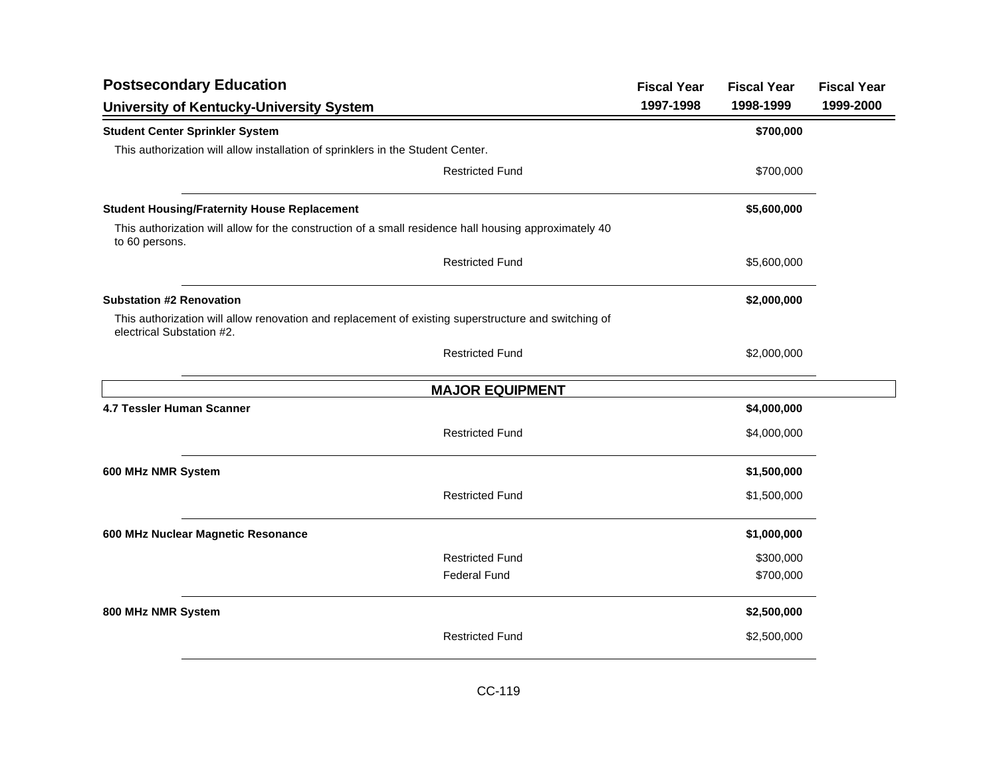| <b>Postsecondary Education</b>                                                                                                    |                        | <b>Fiscal Year</b> | <b>Fiscal Year</b> | <b>Fiscal Year</b> |
|-----------------------------------------------------------------------------------------------------------------------------------|------------------------|--------------------|--------------------|--------------------|
| <b>University of Kentucky-University System</b>                                                                                   |                        | 1997-1998          | 1998-1999          | 1999-2000          |
| <b>Student Center Sprinkler System</b>                                                                                            |                        |                    | \$700,000          |                    |
| This authorization will allow installation of sprinklers in the Student Center.                                                   |                        |                    |                    |                    |
|                                                                                                                                   | <b>Restricted Fund</b> |                    | \$700,000          |                    |
| <b>Student Housing/Fraternity House Replacement</b>                                                                               |                        |                    | \$5,600,000        |                    |
| This authorization will allow for the construction of a small residence hall housing approximately 40<br>to 60 persons.           |                        |                    |                    |                    |
|                                                                                                                                   | <b>Restricted Fund</b> |                    | \$5,600,000        |                    |
| <b>Substation #2 Renovation</b>                                                                                                   |                        |                    | \$2,000,000        |                    |
| This authorization will allow renovation and replacement of existing superstructure and switching of<br>electrical Substation #2. |                        |                    |                    |                    |
|                                                                                                                                   | <b>Restricted Fund</b> |                    | \$2,000,000        |                    |
|                                                                                                                                   | <b>MAJOR EQUIPMENT</b> |                    |                    |                    |
| 4.7 Tessler Human Scanner                                                                                                         |                        |                    | \$4,000,000        |                    |
|                                                                                                                                   | <b>Restricted Fund</b> |                    | \$4,000,000        |                    |
| 600 MHz NMR System                                                                                                                |                        |                    | \$1,500,000        |                    |
|                                                                                                                                   | <b>Restricted Fund</b> |                    | \$1,500,000        |                    |
| 600 MHz Nuclear Magnetic Resonance                                                                                                |                        |                    | \$1,000,000        |                    |
|                                                                                                                                   | <b>Restricted Fund</b> |                    | \$300,000          |                    |
|                                                                                                                                   | <b>Federal Fund</b>    |                    | \$700,000          |                    |
| 800 MHz NMR System                                                                                                                |                        |                    | \$2,500,000        |                    |
|                                                                                                                                   | <b>Restricted Fund</b> |                    | \$2,500,000        |                    |
|                                                                                                                                   |                        |                    |                    |                    |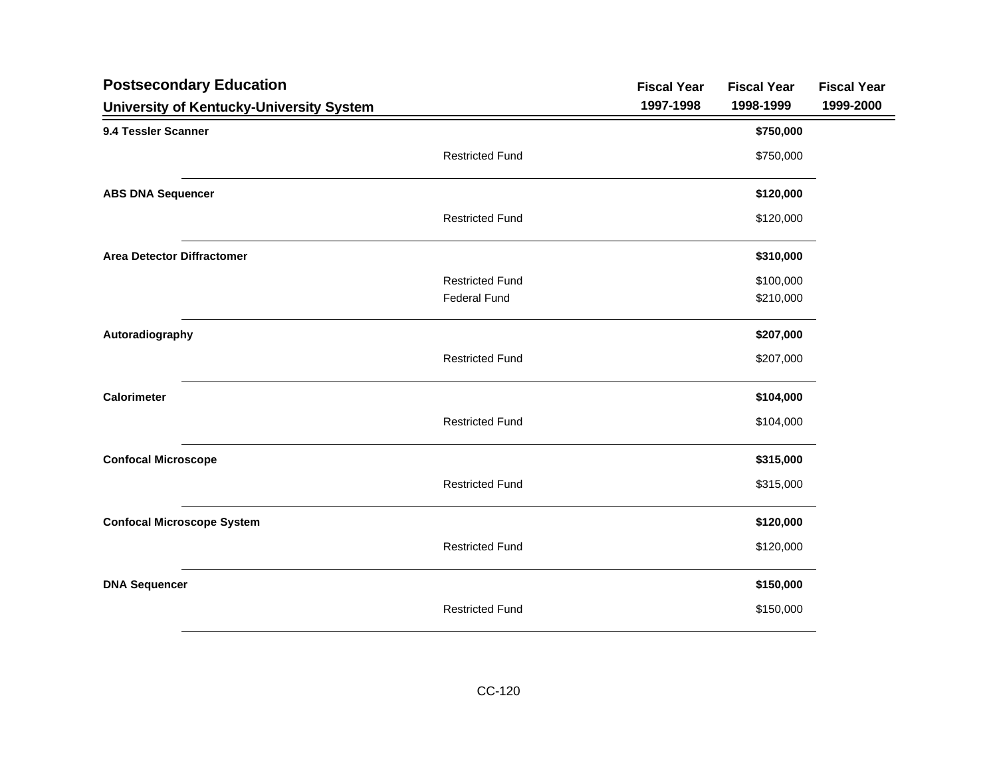| <b>Postsecondary Education</b>           |                        | <b>Fiscal Year</b> | <b>Fiscal Year</b> | <b>Fiscal Year</b> |
|------------------------------------------|------------------------|--------------------|--------------------|--------------------|
| University of Kentucky-University System |                        | 1997-1998          | 1998-1999          | 1999-2000          |
| 9.4 Tessler Scanner                      |                        |                    | \$750,000          |                    |
|                                          | <b>Restricted Fund</b> |                    | \$750,000          |                    |
| <b>ABS DNA Sequencer</b>                 |                        |                    | \$120,000          |                    |
|                                          | <b>Restricted Fund</b> |                    | \$120,000          |                    |
| <b>Area Detector Diffractomer</b>        |                        |                    | \$310,000          |                    |
|                                          | <b>Restricted Fund</b> |                    | \$100,000          |                    |
|                                          | <b>Federal Fund</b>    |                    | \$210,000          |                    |
| Autoradiography                          |                        |                    | \$207,000          |                    |
|                                          | <b>Restricted Fund</b> |                    | \$207,000          |                    |
| <b>Calorimeter</b>                       |                        |                    | \$104,000          |                    |
|                                          | <b>Restricted Fund</b> |                    | \$104,000          |                    |
| <b>Confocal Microscope</b>               |                        |                    | \$315,000          |                    |
|                                          | <b>Restricted Fund</b> |                    | \$315,000          |                    |
| <b>Confocal Microscope System</b>        |                        |                    | \$120,000          |                    |
|                                          | <b>Restricted Fund</b> |                    | \$120,000          |                    |
| <b>DNA Sequencer</b>                     |                        |                    | \$150,000          |                    |
|                                          | <b>Restricted Fund</b> |                    | \$150,000          |                    |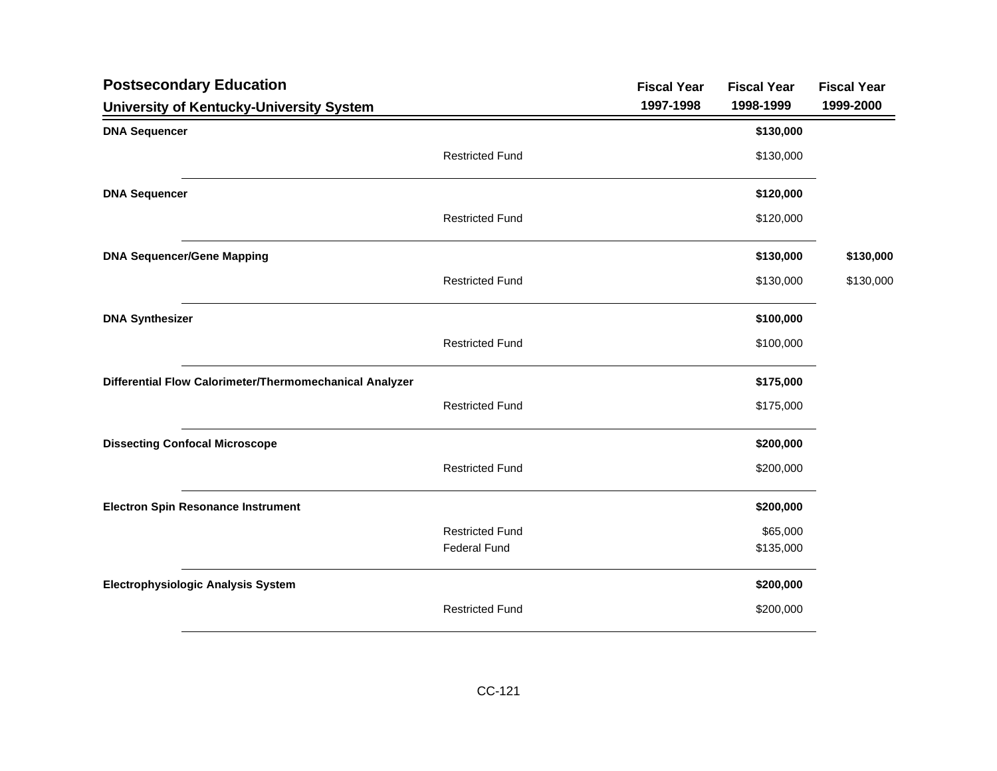| <b>Postsecondary Education</b>                          |                        | <b>Fiscal Year</b> | <b>Fiscal Year</b> | <b>Fiscal Year</b> |
|---------------------------------------------------------|------------------------|--------------------|--------------------|--------------------|
| University of Kentucky-University System                |                        | 1997-1998          | 1998-1999          | 1999-2000          |
| <b>DNA Sequencer</b>                                    |                        |                    | \$130,000          |                    |
|                                                         | <b>Restricted Fund</b> |                    | \$130,000          |                    |
| <b>DNA Sequencer</b>                                    |                        |                    | \$120,000          |                    |
|                                                         | <b>Restricted Fund</b> |                    | \$120,000          |                    |
| <b>DNA Sequencer/Gene Mapping</b>                       |                        |                    | \$130,000          | \$130,000          |
|                                                         | <b>Restricted Fund</b> |                    | \$130,000          | \$130,000          |
| <b>DNA Synthesizer</b>                                  |                        |                    | \$100,000          |                    |
|                                                         | <b>Restricted Fund</b> |                    | \$100,000          |                    |
| Differential Flow Calorimeter/Thermomechanical Analyzer |                        |                    | \$175,000          |                    |
|                                                         | <b>Restricted Fund</b> |                    | \$175,000          |                    |
| <b>Dissecting Confocal Microscope</b>                   |                        |                    | \$200,000          |                    |
|                                                         | <b>Restricted Fund</b> |                    | \$200,000          |                    |
| <b>Electron Spin Resonance Instrument</b>               |                        |                    | \$200,000          |                    |
|                                                         | <b>Restricted Fund</b> |                    | \$65,000           |                    |
|                                                         | <b>Federal Fund</b>    |                    | \$135,000          |                    |
| <b>Electrophysiologic Analysis System</b>               |                        |                    | \$200,000          |                    |
|                                                         | <b>Restricted Fund</b> |                    | \$200,000          |                    |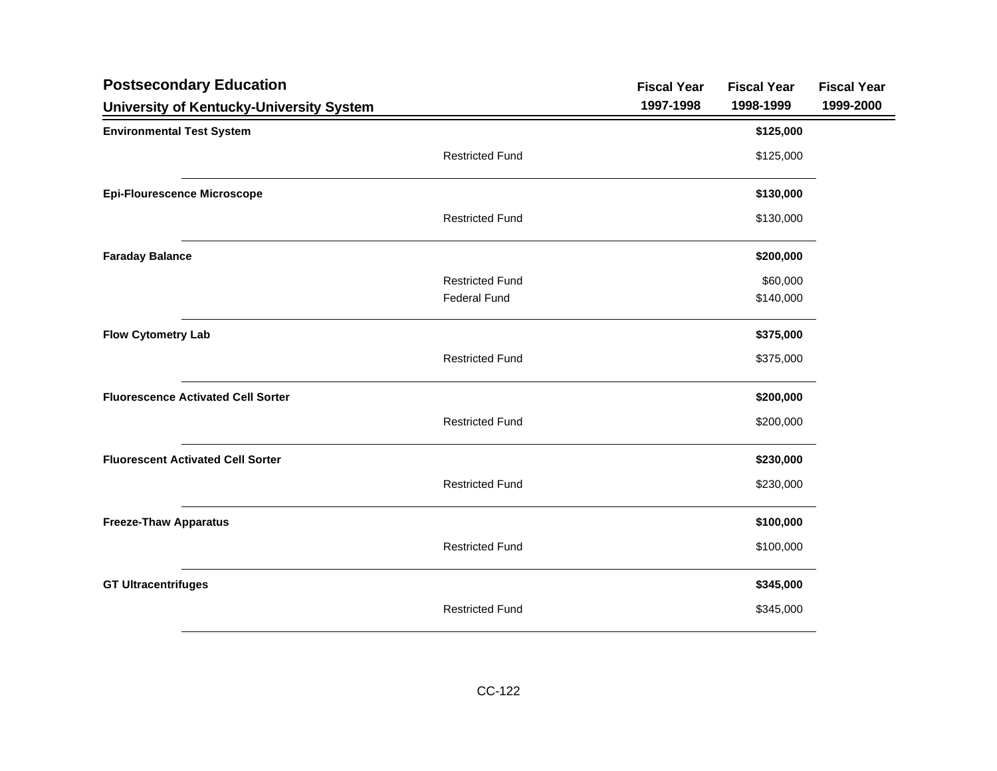| <b>Postsecondary Education</b>            |                        | <b>Fiscal Year</b> | <b>Fiscal Year</b> | <b>Fiscal Year</b> |
|-------------------------------------------|------------------------|--------------------|--------------------|--------------------|
| University of Kentucky-University System  |                        | 1997-1998          | 1998-1999          | 1999-2000          |
| <b>Environmental Test System</b>          |                        |                    | \$125,000          |                    |
|                                           | <b>Restricted Fund</b> |                    | \$125,000          |                    |
| <b>Epi-Flourescence Microscope</b>        |                        |                    | \$130,000          |                    |
|                                           | <b>Restricted Fund</b> |                    | \$130,000          |                    |
| <b>Faraday Balance</b>                    |                        |                    | \$200,000          |                    |
|                                           | <b>Restricted Fund</b> |                    | \$60,000           |                    |
|                                           | <b>Federal Fund</b>    |                    | \$140,000          |                    |
| <b>Flow Cytometry Lab</b>                 |                        |                    | \$375,000          |                    |
|                                           | <b>Restricted Fund</b> |                    | \$375,000          |                    |
| <b>Fluorescence Activated Cell Sorter</b> |                        |                    | \$200,000          |                    |
|                                           | <b>Restricted Fund</b> |                    | \$200,000          |                    |
| <b>Fluorescent Activated Cell Sorter</b>  |                        |                    | \$230,000          |                    |
|                                           | <b>Restricted Fund</b> |                    | \$230,000          |                    |
| <b>Freeze-Thaw Apparatus</b>              |                        |                    | \$100,000          |                    |
|                                           | <b>Restricted Fund</b> |                    | \$100,000          |                    |
| <b>GT Ultracentrifuges</b>                |                        |                    | \$345,000          |                    |
|                                           | <b>Restricted Fund</b> |                    | \$345,000          |                    |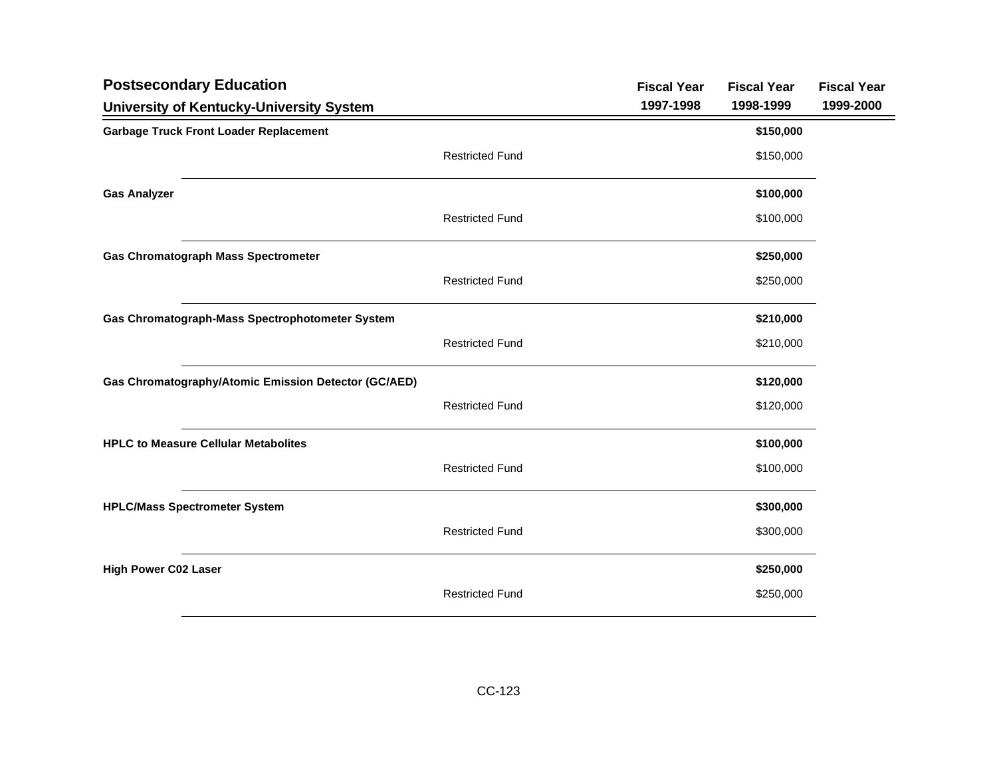| <b>Postsecondary Education</b>                       |                        | <b>Fiscal Year</b> | <b>Fiscal Year</b> | <b>Fiscal Year</b> |
|------------------------------------------------------|------------------------|--------------------|--------------------|--------------------|
| University of Kentucky-University System             |                        | 1997-1998          | 1998-1999          | 1999-2000          |
| <b>Garbage Truck Front Loader Replacement</b>        |                        |                    | \$150,000          |                    |
|                                                      | <b>Restricted Fund</b> |                    | \$150,000          |                    |
| <b>Gas Analyzer</b>                                  |                        |                    | \$100,000          |                    |
|                                                      | <b>Restricted Fund</b> |                    | \$100,000          |                    |
| <b>Gas Chromatograph Mass Spectrometer</b>           |                        |                    | \$250,000          |                    |
|                                                      | <b>Restricted Fund</b> |                    | \$250,000          |                    |
| Gas Chromatograph-Mass Spectrophotometer System      |                        |                    | \$210,000          |                    |
|                                                      | <b>Restricted Fund</b> |                    | \$210,000          |                    |
| Gas Chromatography/Atomic Emission Detector (GC/AED) |                        |                    | \$120,000          |                    |
|                                                      | <b>Restricted Fund</b> |                    | \$120,000          |                    |
| <b>HPLC to Measure Cellular Metabolites</b>          |                        |                    | \$100,000          |                    |
|                                                      | <b>Restricted Fund</b> |                    | \$100,000          |                    |
| <b>HPLC/Mass Spectrometer System</b>                 |                        |                    | \$300,000          |                    |
|                                                      | <b>Restricted Fund</b> |                    | \$300,000          |                    |
| <b>High Power C02 Laser</b>                          |                        |                    | \$250,000          |                    |
|                                                      | <b>Restricted Fund</b> |                    | \$250,000          |                    |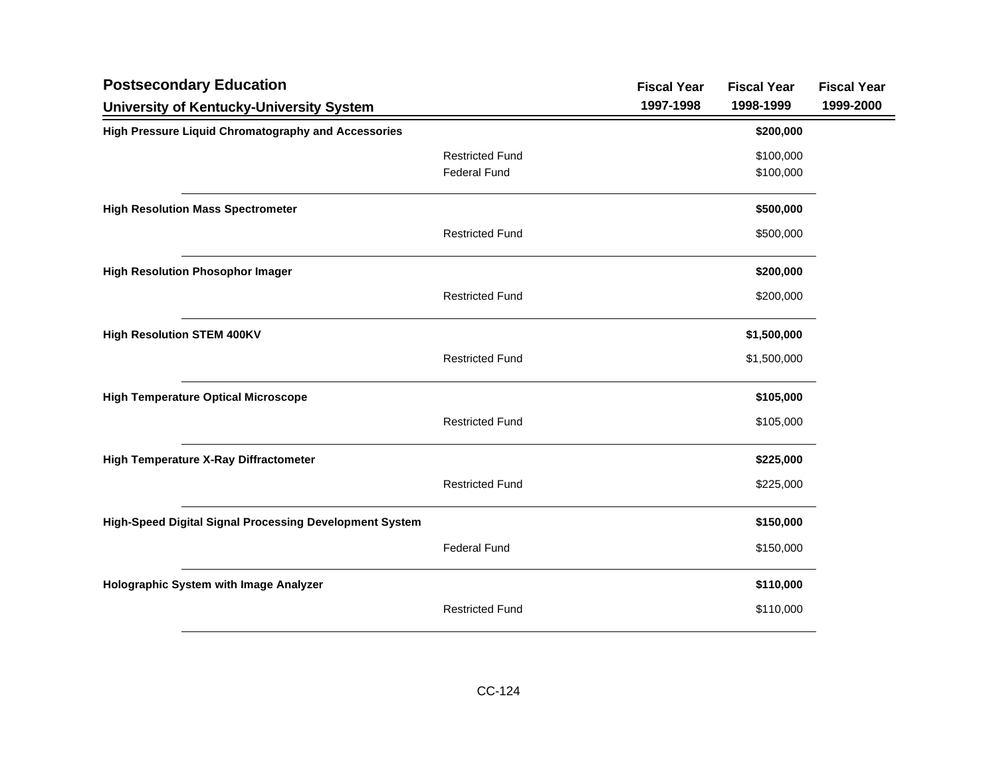| <b>Postsecondary Education</b>                             |                        | <b>Fiscal Year</b> | <b>Fiscal Year</b> | <b>Fiscal Year</b> |
|------------------------------------------------------------|------------------------|--------------------|--------------------|--------------------|
| University of Kentucky-University System                   |                        | 1997-1998          | 1998-1999          | 1999-2000          |
| <b>High Pressure Liquid Chromatography and Accessories</b> |                        |                    | \$200,000          |                    |
|                                                            | <b>Restricted Fund</b> |                    | \$100,000          |                    |
|                                                            | <b>Federal Fund</b>    |                    | \$100,000          |                    |
| <b>High Resolution Mass Spectrometer</b>                   |                        |                    | \$500,000          |                    |
|                                                            | <b>Restricted Fund</b> |                    | \$500,000          |                    |
| <b>High Resolution Phosophor Imager</b>                    |                        |                    | \$200,000          |                    |
|                                                            | <b>Restricted Fund</b> |                    | \$200,000          |                    |
| <b>High Resolution STEM 400KV</b>                          |                        |                    | \$1,500,000        |                    |
|                                                            | <b>Restricted Fund</b> |                    | \$1,500,000        |                    |
| <b>High Temperature Optical Microscope</b>                 |                        |                    | \$105,000          |                    |
|                                                            | <b>Restricted Fund</b> |                    | \$105,000          |                    |
| <b>High Temperature X-Ray Diffractometer</b>               |                        |                    | \$225,000          |                    |
|                                                            | <b>Restricted Fund</b> |                    | \$225,000          |                    |
| High-Speed Digital Signal Processing Development System    |                        |                    | \$150,000          |                    |
|                                                            | <b>Federal Fund</b>    |                    | \$150,000          |                    |
| Holographic System with Image Analyzer                     |                        |                    | \$110,000          |                    |
|                                                            | <b>Restricted Fund</b> |                    | \$110,000          |                    |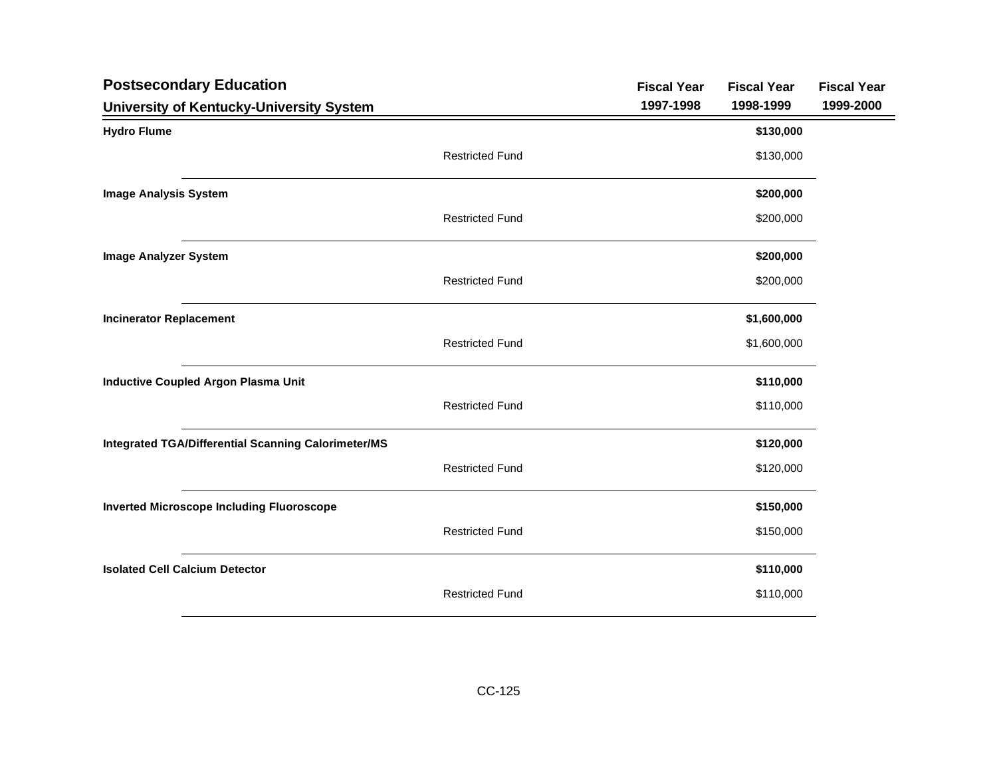| <b>Postsecondary Education</b>                             | <b>Fiscal Year</b> | <b>Fiscal Year</b> | <b>Fiscal Year</b> |
|------------------------------------------------------------|--------------------|--------------------|--------------------|
| University of Kentucky-University System                   | 1997-1998          | 1998-1999          | 1999-2000          |
| <b>Hydro Flume</b>                                         |                    | \$130,000          |                    |
| <b>Restricted Fund</b>                                     |                    | \$130,000          |                    |
| <b>Image Analysis System</b>                               |                    | \$200,000          |                    |
| <b>Restricted Fund</b>                                     |                    | \$200,000          |                    |
| <b>Image Analyzer System</b>                               |                    | \$200,000          |                    |
| <b>Restricted Fund</b>                                     |                    | \$200,000          |                    |
| <b>Incinerator Replacement</b>                             |                    | \$1,600,000        |                    |
| <b>Restricted Fund</b>                                     |                    | \$1,600,000        |                    |
| <b>Inductive Coupled Argon Plasma Unit</b>                 |                    | \$110,000          |                    |
| <b>Restricted Fund</b>                                     |                    | \$110,000          |                    |
| <b>Integrated TGA/Differential Scanning Calorimeter/MS</b> |                    | \$120,000          |                    |
| <b>Restricted Fund</b>                                     |                    | \$120,000          |                    |
| <b>Inverted Microscope Including Fluoroscope</b>           |                    | \$150,000          |                    |
| <b>Restricted Fund</b>                                     |                    | \$150,000          |                    |
| <b>Isolated Cell Calcium Detector</b>                      |                    | \$110,000          |                    |
| <b>Restricted Fund</b>                                     |                    | \$110,000          |                    |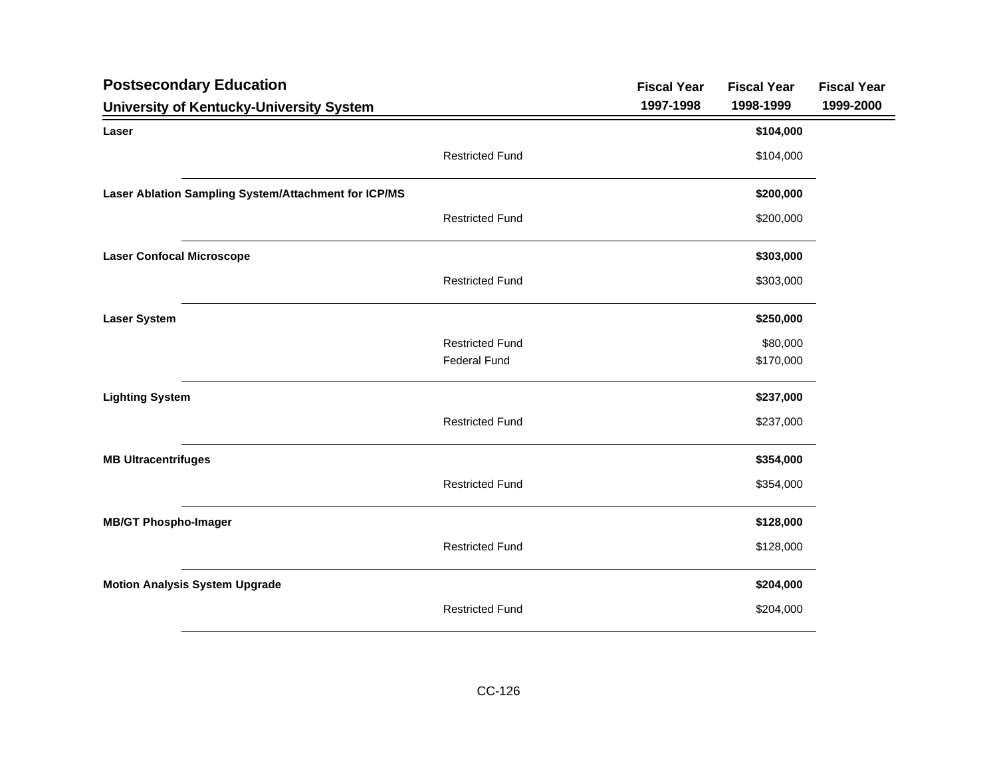| <b>Postsecondary Education</b>                       | <b>Fiscal Year</b> | <b>Fiscal Year</b> | <b>Fiscal Year</b> |
|------------------------------------------------------|--------------------|--------------------|--------------------|
| University of Kentucky-University System             | 1997-1998          | 1998-1999          | 1999-2000          |
| Laser                                                |                    | \$104,000          |                    |
| <b>Restricted Fund</b>                               |                    | \$104,000          |                    |
| Laser Ablation Sampling System/Attachment for ICP/MS |                    | \$200,000          |                    |
| <b>Restricted Fund</b>                               |                    | \$200,000          |                    |
| <b>Laser Confocal Microscope</b>                     |                    | \$303,000          |                    |
| <b>Restricted Fund</b>                               |                    | \$303,000          |                    |
| <b>Laser System</b>                                  |                    | \$250,000          |                    |
| <b>Restricted Fund</b>                               |                    | \$80,000           |                    |
| <b>Federal Fund</b>                                  |                    | \$170,000          |                    |
| <b>Lighting System</b>                               |                    | \$237,000          |                    |
| <b>Restricted Fund</b>                               |                    | \$237,000          |                    |
| <b>MB Ultracentrifuges</b>                           |                    | \$354,000          |                    |
| <b>Restricted Fund</b>                               |                    | \$354,000          |                    |
| <b>MB/GT Phospho-Imager</b>                          |                    | \$128,000          |                    |
| <b>Restricted Fund</b>                               |                    | \$128,000          |                    |
| <b>Motion Analysis System Upgrade</b>                |                    | \$204,000          |                    |
| <b>Restricted Fund</b>                               |                    | \$204,000          |                    |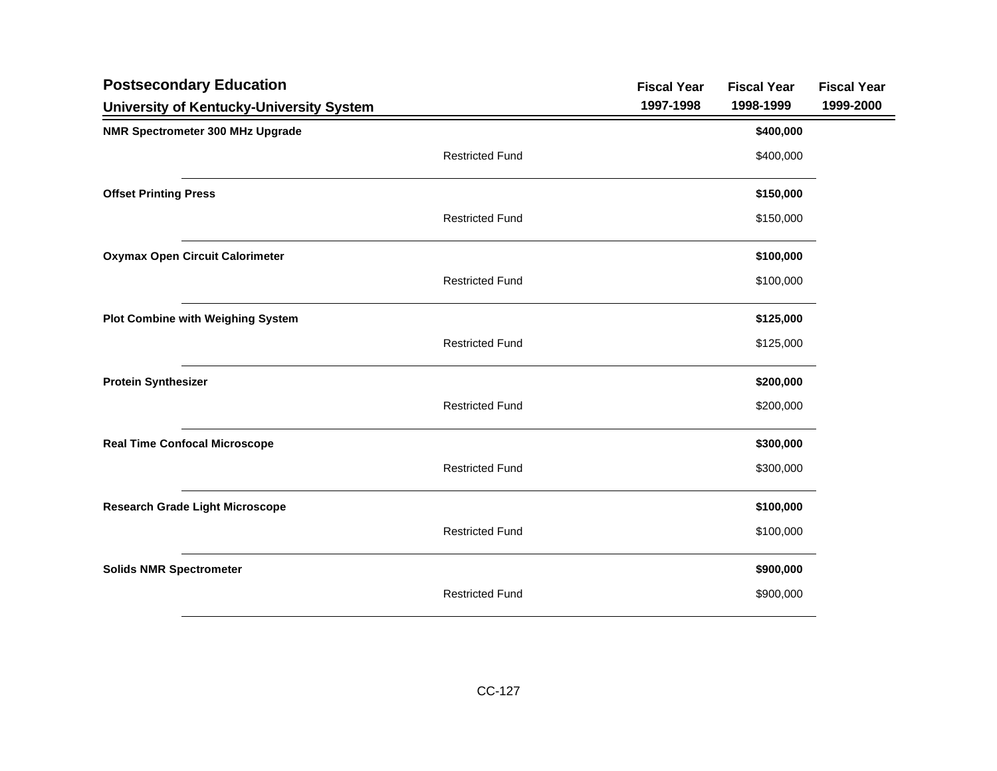| <b>Postsecondary Education</b>           |                        | <b>Fiscal Year</b> | <b>Fiscal Year</b> | <b>Fiscal Year</b> |
|------------------------------------------|------------------------|--------------------|--------------------|--------------------|
| University of Kentucky-University System |                        | 1997-1998          | 1998-1999          | 1999-2000          |
| NMR Spectrometer 300 MHz Upgrade         |                        |                    | \$400,000          |                    |
|                                          | <b>Restricted Fund</b> |                    | \$400,000          |                    |
| <b>Offset Printing Press</b>             |                        |                    | \$150,000          |                    |
|                                          | <b>Restricted Fund</b> |                    | \$150,000          |                    |
| <b>Oxymax Open Circuit Calorimeter</b>   |                        |                    | \$100,000          |                    |
|                                          | <b>Restricted Fund</b> |                    | \$100,000          |                    |
| <b>Plot Combine with Weighing System</b> |                        |                    | \$125,000          |                    |
|                                          | <b>Restricted Fund</b> |                    | \$125,000          |                    |
| <b>Protein Synthesizer</b>               |                        |                    | \$200,000          |                    |
|                                          | <b>Restricted Fund</b> |                    | \$200,000          |                    |
| <b>Real Time Confocal Microscope</b>     |                        |                    | \$300,000          |                    |
|                                          | <b>Restricted Fund</b> |                    | \$300,000          |                    |
| <b>Research Grade Light Microscope</b>   |                        |                    | \$100,000          |                    |
|                                          | <b>Restricted Fund</b> |                    | \$100,000          |                    |
| <b>Solids NMR Spectrometer</b>           |                        |                    | \$900,000          |                    |
|                                          | <b>Restricted Fund</b> |                    | \$900,000          |                    |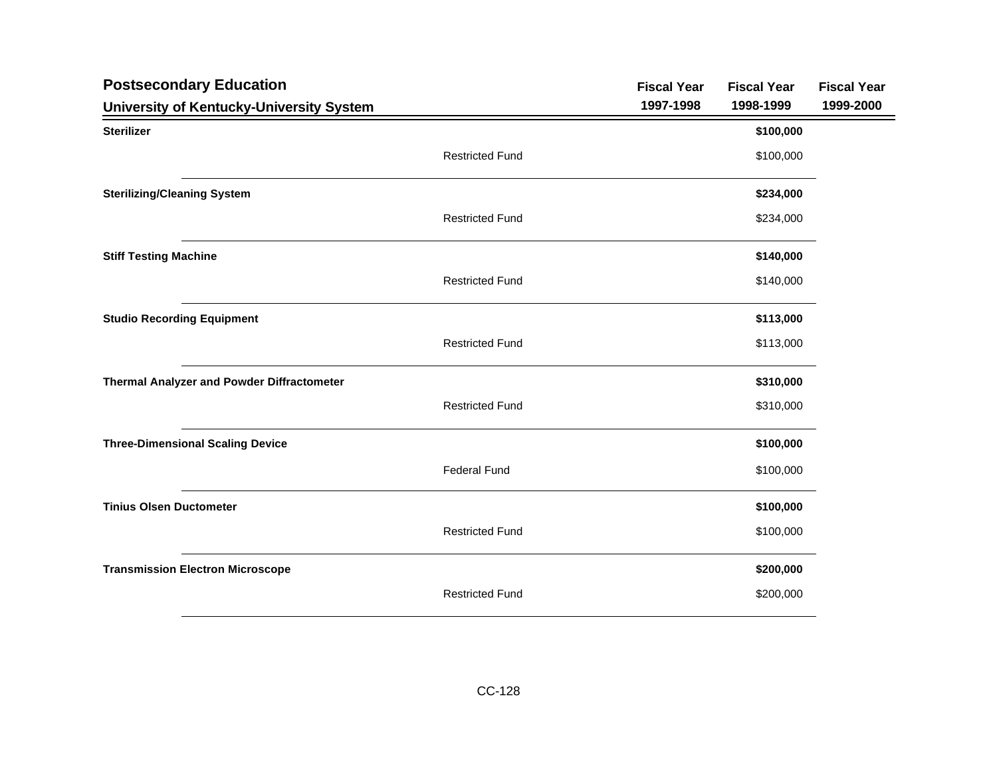| <b>Postsecondary Education</b>             |                        | <b>Fiscal Year</b> | <b>Fiscal Year</b> | <b>Fiscal Year</b> |
|--------------------------------------------|------------------------|--------------------|--------------------|--------------------|
| University of Kentucky-University System   |                        | 1997-1998          | 1998-1999          | 1999-2000          |
| <b>Sterilizer</b>                          |                        |                    | \$100,000          |                    |
|                                            | <b>Restricted Fund</b> |                    | \$100,000          |                    |
| <b>Sterilizing/Cleaning System</b>         |                        |                    | \$234,000          |                    |
|                                            | <b>Restricted Fund</b> |                    | \$234,000          |                    |
| <b>Stiff Testing Machine</b>               |                        |                    | \$140,000          |                    |
|                                            | <b>Restricted Fund</b> |                    | \$140,000          |                    |
| <b>Studio Recording Equipment</b>          |                        |                    | \$113,000          |                    |
|                                            | <b>Restricted Fund</b> |                    | \$113,000          |                    |
| Thermal Analyzer and Powder Diffractometer |                        |                    | \$310,000          |                    |
|                                            | <b>Restricted Fund</b> |                    | \$310,000          |                    |
| <b>Three-Dimensional Scaling Device</b>    |                        |                    | \$100,000          |                    |
|                                            | <b>Federal Fund</b>    |                    | \$100,000          |                    |
| <b>Tinius Olsen Ductometer</b>             |                        |                    | \$100,000          |                    |
|                                            | <b>Restricted Fund</b> |                    | \$100,000          |                    |
| <b>Transmission Electron Microscope</b>    |                        |                    | \$200,000          |                    |
|                                            | <b>Restricted Fund</b> |                    | \$200,000          |                    |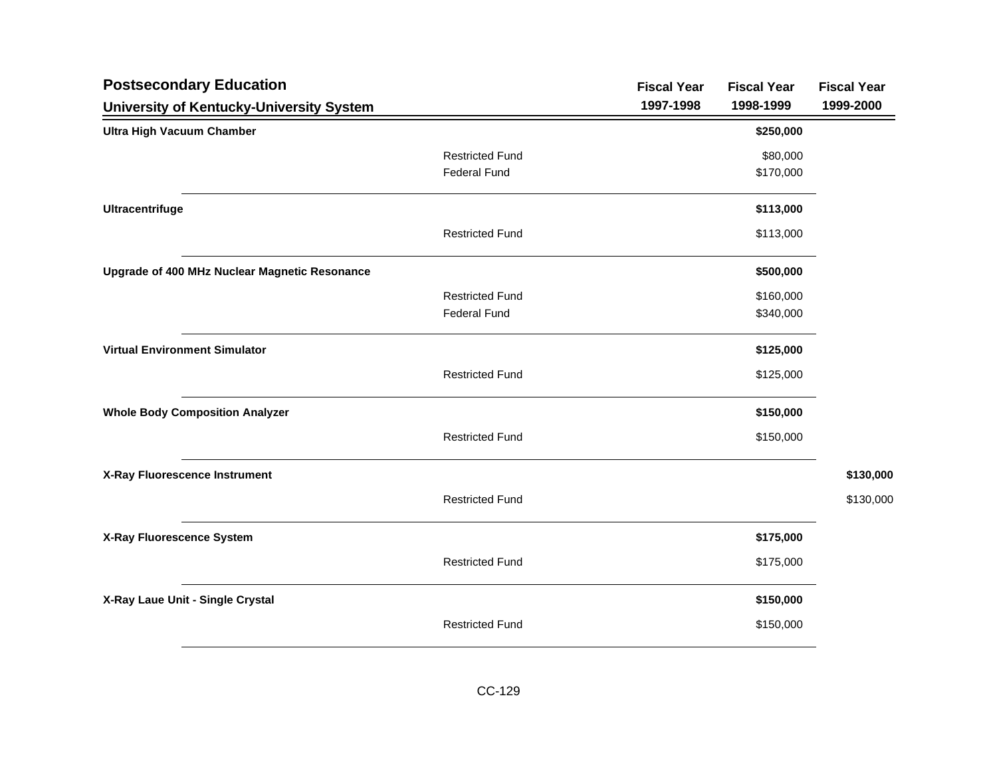| <b>Postsecondary Education</b>                  |                        | <b>Fiscal Year</b> | <b>Fiscal Year</b> | <b>Fiscal Year</b> |
|-------------------------------------------------|------------------------|--------------------|--------------------|--------------------|
| <b>University of Kentucky-University System</b> |                        | 1997-1998          | 1998-1999          | 1999-2000          |
| <b>Ultra High Vacuum Chamber</b>                |                        |                    | \$250,000          |                    |
|                                                 | <b>Restricted Fund</b> |                    | \$80,000           |                    |
|                                                 | <b>Federal Fund</b>    |                    | \$170,000          |                    |
| <b>Ultracentrifuge</b>                          |                        |                    | \$113,000          |                    |
|                                                 | <b>Restricted Fund</b> |                    | \$113,000          |                    |
| Upgrade of 400 MHz Nuclear Magnetic Resonance   |                        |                    | \$500,000          |                    |
|                                                 | <b>Restricted Fund</b> |                    | \$160,000          |                    |
|                                                 | <b>Federal Fund</b>    |                    | \$340,000          |                    |
| <b>Virtual Environment Simulator</b>            |                        |                    | \$125,000          |                    |
|                                                 | <b>Restricted Fund</b> |                    | \$125,000          |                    |
| <b>Whole Body Composition Analyzer</b>          |                        |                    | \$150,000          |                    |
|                                                 | <b>Restricted Fund</b> |                    | \$150,000          |                    |
| X-Ray Fluorescence Instrument                   |                        |                    |                    | \$130,000          |
|                                                 | <b>Restricted Fund</b> |                    |                    | \$130,000          |
| X-Ray Fluorescence System                       |                        |                    | \$175,000          |                    |
|                                                 | <b>Restricted Fund</b> |                    | \$175,000          |                    |
| X-Ray Laue Unit - Single Crystal                |                        |                    | \$150,000          |                    |
|                                                 | <b>Restricted Fund</b> |                    | \$150,000          |                    |
|                                                 |                        |                    |                    |                    |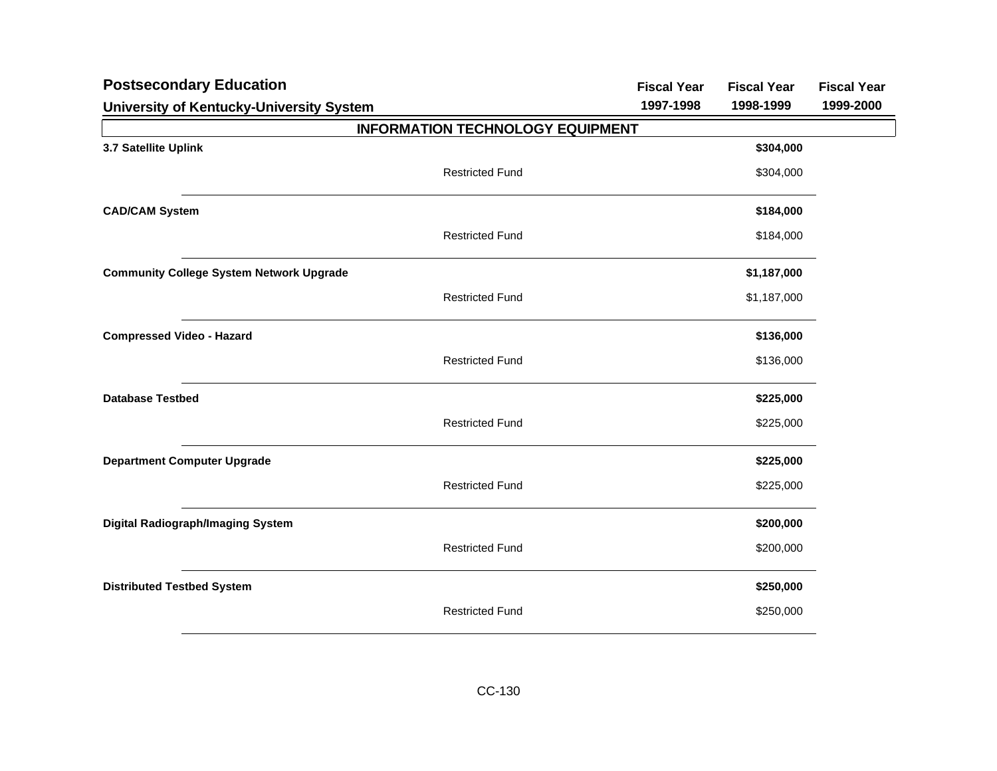| <b>Postsecondary Education</b>                  | <b>Fiscal Year</b> | <b>Fiscal Year</b> | <b>Fiscal Year</b> |
|-------------------------------------------------|--------------------|--------------------|--------------------|
| University of Kentucky-University System        | 1997-1998          | 1998-1999          | 1999-2000          |
| <b>INFORMATION TECHNOLOGY EQUIPMENT</b>         |                    |                    |                    |
| 3.7 Satellite Uplink                            |                    | \$304,000          |                    |
| <b>Restricted Fund</b>                          |                    | \$304,000          |                    |
| <b>CAD/CAM System</b>                           |                    | \$184,000          |                    |
| <b>Restricted Fund</b>                          |                    | \$184,000          |                    |
| <b>Community College System Network Upgrade</b> |                    | \$1,187,000        |                    |
| <b>Restricted Fund</b>                          |                    | \$1,187,000        |                    |
| <b>Compressed Video - Hazard</b>                |                    | \$136,000          |                    |
| <b>Restricted Fund</b>                          |                    | \$136,000          |                    |
| <b>Database Testbed</b>                         |                    | \$225,000          |                    |
| <b>Restricted Fund</b>                          |                    | \$225,000          |                    |
| <b>Department Computer Upgrade</b>              |                    | \$225,000          |                    |
| <b>Restricted Fund</b>                          |                    | \$225,000          |                    |
| <b>Digital Radiograph/Imaging System</b>        |                    | \$200,000          |                    |
| <b>Restricted Fund</b>                          |                    | \$200,000          |                    |
| <b>Distributed Testbed System</b>               |                    | \$250,000          |                    |
| <b>Restricted Fund</b>                          |                    | \$250,000          |                    |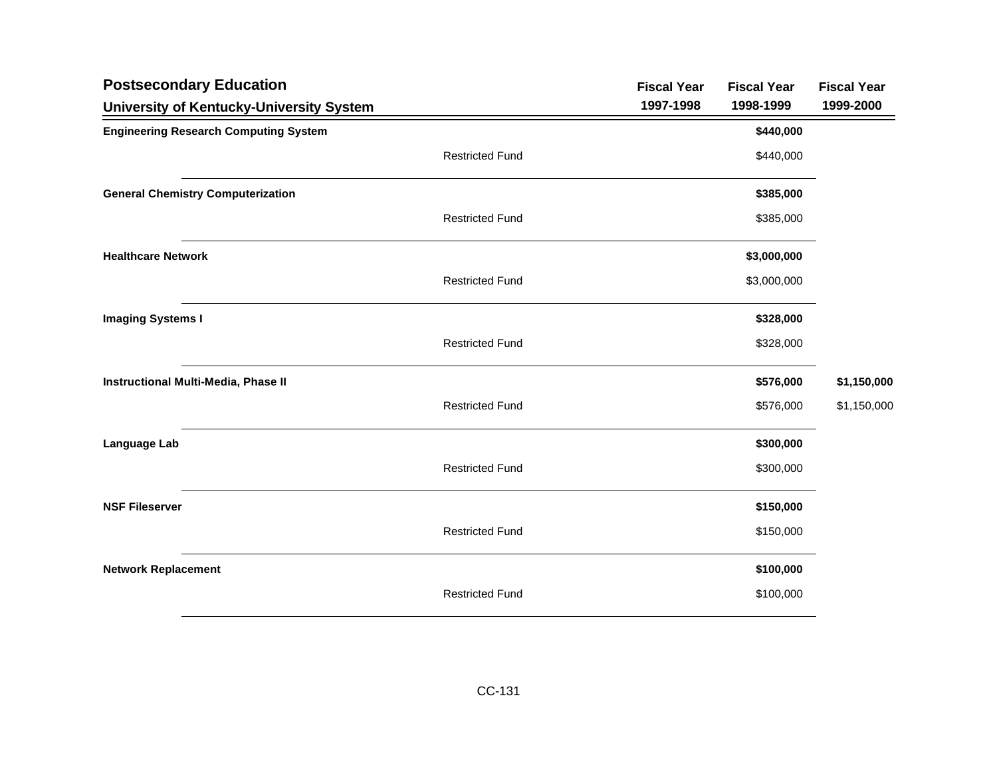| <b>Postsecondary Education</b>               |                        | <b>Fiscal Year</b> | <b>Fiscal Year</b> | <b>Fiscal Year</b> |
|----------------------------------------------|------------------------|--------------------|--------------------|--------------------|
| University of Kentucky-University System     |                        | 1997-1998          | 1998-1999          | 1999-2000          |
| <b>Engineering Research Computing System</b> |                        |                    | \$440,000          |                    |
|                                              | <b>Restricted Fund</b> |                    | \$440,000          |                    |
| <b>General Chemistry Computerization</b>     |                        |                    | \$385,000          |                    |
|                                              | <b>Restricted Fund</b> |                    | \$385,000          |                    |
| <b>Healthcare Network</b>                    |                        |                    | \$3,000,000        |                    |
|                                              | <b>Restricted Fund</b> |                    | \$3,000,000        |                    |
| <b>Imaging Systems I</b>                     |                        |                    | \$328,000          |                    |
|                                              | <b>Restricted Fund</b> |                    | \$328,000          |                    |
| Instructional Multi-Media, Phase II          |                        |                    | \$576,000          | \$1,150,000        |
|                                              | <b>Restricted Fund</b> |                    | \$576,000          | \$1,150,000        |
| Language Lab                                 |                        |                    | \$300,000          |                    |
|                                              | <b>Restricted Fund</b> |                    | \$300,000          |                    |
| <b>NSF Fileserver</b>                        |                        |                    | \$150,000          |                    |
|                                              | <b>Restricted Fund</b> |                    | \$150,000          |                    |
| <b>Network Replacement</b>                   |                        |                    | \$100,000          |                    |
|                                              | <b>Restricted Fund</b> |                    | \$100,000          |                    |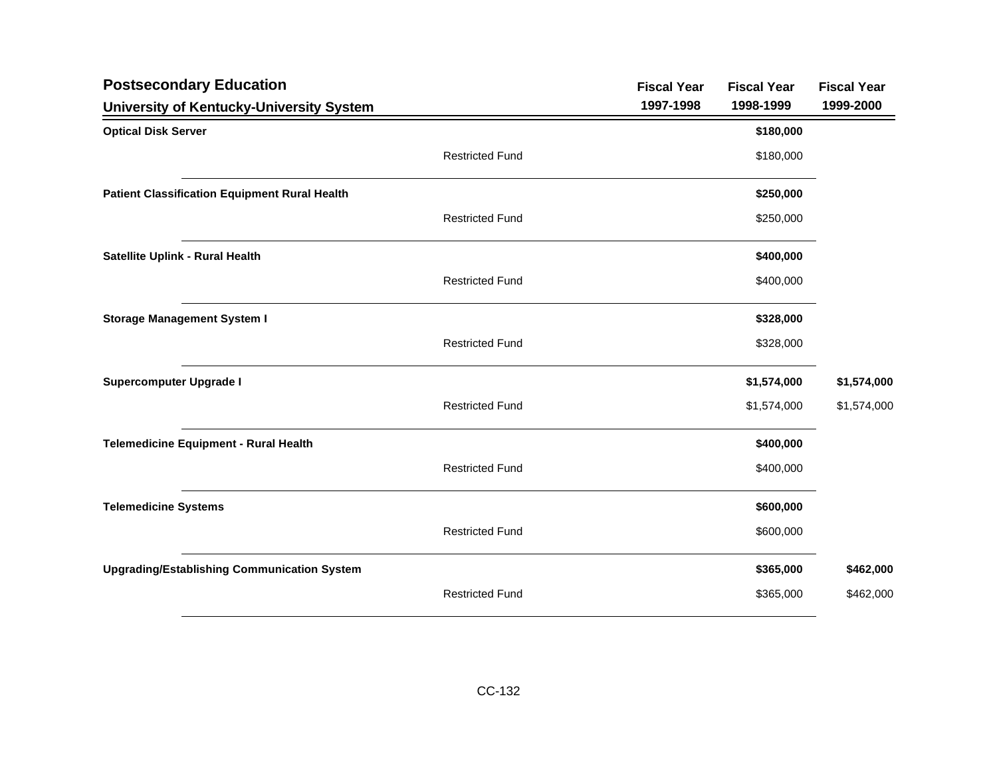| <b>Postsecondary Education</b>                       |                        | <b>Fiscal Year</b> | <b>Fiscal Year</b> | <b>Fiscal Year</b> |
|------------------------------------------------------|------------------------|--------------------|--------------------|--------------------|
| University of Kentucky-University System             |                        | 1997-1998          | 1998-1999          | 1999-2000          |
| <b>Optical Disk Server</b>                           |                        |                    | \$180,000          |                    |
|                                                      | <b>Restricted Fund</b> |                    | \$180,000          |                    |
| <b>Patient Classification Equipment Rural Health</b> |                        |                    | \$250,000          |                    |
|                                                      | <b>Restricted Fund</b> |                    | \$250,000          |                    |
| Satellite Uplink - Rural Health                      |                        |                    | \$400,000          |                    |
|                                                      | <b>Restricted Fund</b> |                    | \$400,000          |                    |
| <b>Storage Management System I</b>                   |                        |                    | \$328,000          |                    |
|                                                      | <b>Restricted Fund</b> |                    | \$328,000          |                    |
| <b>Supercomputer Upgrade I</b>                       |                        |                    | \$1,574,000        | \$1,574,000        |
|                                                      | <b>Restricted Fund</b> |                    | \$1,574,000        | \$1,574,000        |
| <b>Telemedicine Equipment - Rural Health</b>         |                        |                    | \$400,000          |                    |
|                                                      | <b>Restricted Fund</b> |                    | \$400,000          |                    |
| <b>Telemedicine Systems</b>                          |                        |                    | \$600,000          |                    |
|                                                      | <b>Restricted Fund</b> |                    | \$600,000          |                    |
| <b>Upgrading/Establishing Communication System</b>   |                        |                    | \$365,000          | \$462,000          |
|                                                      | <b>Restricted Fund</b> |                    | \$365,000          | \$462,000          |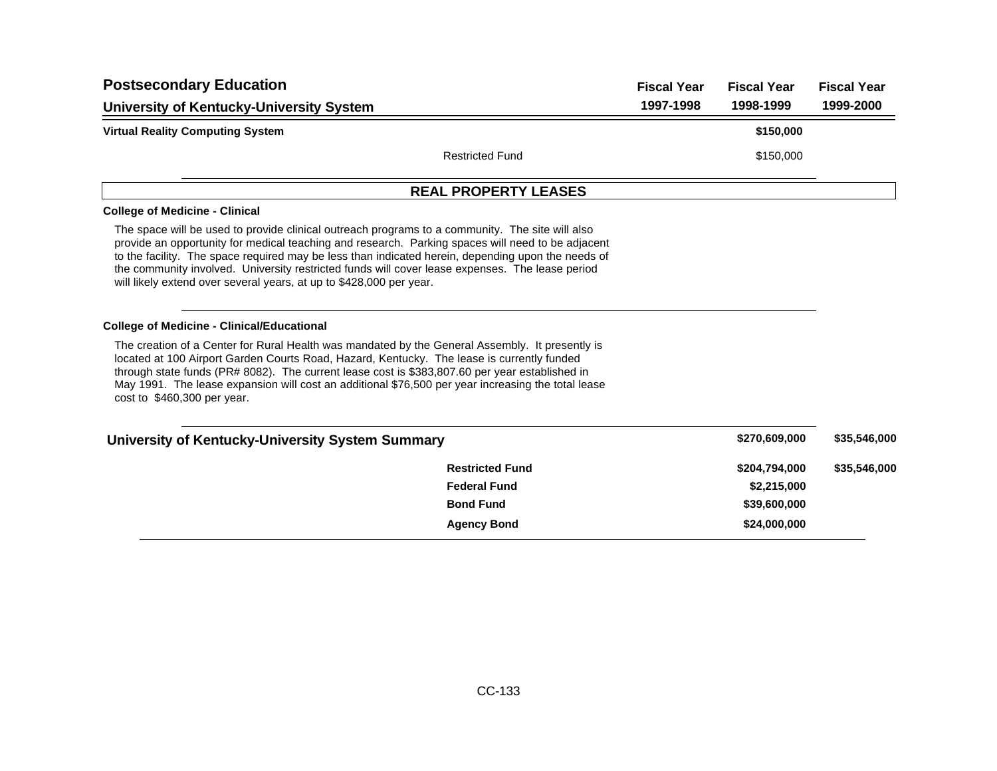| <b>Postsecondary Education</b>                                                                                                                                                                                                                                                                                                                                                                                                                                                       |                             | <b>Fiscal Year</b> | <b>Fiscal Year</b> | <b>Fiscal Year</b> |
|--------------------------------------------------------------------------------------------------------------------------------------------------------------------------------------------------------------------------------------------------------------------------------------------------------------------------------------------------------------------------------------------------------------------------------------------------------------------------------------|-----------------------------|--------------------|--------------------|--------------------|
| University of Kentucky-University System                                                                                                                                                                                                                                                                                                                                                                                                                                             |                             | 1997-1998          | 1998-1999          | 1999-2000          |
| <b>Virtual Reality Computing System</b>                                                                                                                                                                                                                                                                                                                                                                                                                                              |                             |                    | \$150,000          |                    |
|                                                                                                                                                                                                                                                                                                                                                                                                                                                                                      | <b>Restricted Fund</b>      |                    | \$150,000          |                    |
|                                                                                                                                                                                                                                                                                                                                                                                                                                                                                      | <b>REAL PROPERTY LEASES</b> |                    |                    |                    |
| <b>College of Medicine - Clinical</b>                                                                                                                                                                                                                                                                                                                                                                                                                                                |                             |                    |                    |                    |
| The space will be used to provide clinical outreach programs to a community. The site will also<br>provide an opportunity for medical teaching and research. Parking spaces will need to be adjacent<br>to the facility. The space required may be less than indicated herein, depending upon the needs of<br>the community involved. University restricted funds will cover lease expenses. The lease period<br>will likely extend over several years, at up to \$428,000 per year. |                             |                    |                    |                    |
| <b>College of Medicine - Clinical/Educational</b>                                                                                                                                                                                                                                                                                                                                                                                                                                    |                             |                    |                    |                    |
| The creation of a Center for Rural Health was mandated by the General Assembly. It presently is<br>located at 100 Airport Garden Courts Road, Hazard, Kentucky. The lease is currently funded<br>through state funds (PR# 8082). The current lease cost is \$383,807.60 per year established in<br>May 1991. The lease expansion will cost an additional \$76,500 per year increasing the total lease<br>cost to \$460,300 per year.                                                 |                             |                    |                    |                    |
| University of Kentucky-University System Summary                                                                                                                                                                                                                                                                                                                                                                                                                                     |                             |                    | \$270,609,000      | \$35,546,000       |
|                                                                                                                                                                                                                                                                                                                                                                                                                                                                                      | <b>Restricted Fund</b>      |                    | \$204,794,000      | \$35,546,000       |
|                                                                                                                                                                                                                                                                                                                                                                                                                                                                                      | <b>Federal Fund</b>         |                    | \$2,215,000        |                    |
|                                                                                                                                                                                                                                                                                                                                                                                                                                                                                      | <b>Bond Fund</b>            |                    | \$39,600,000       |                    |
|                                                                                                                                                                                                                                                                                                                                                                                                                                                                                      | <b>Agency Bond</b>          |                    | \$24,000,000       |                    |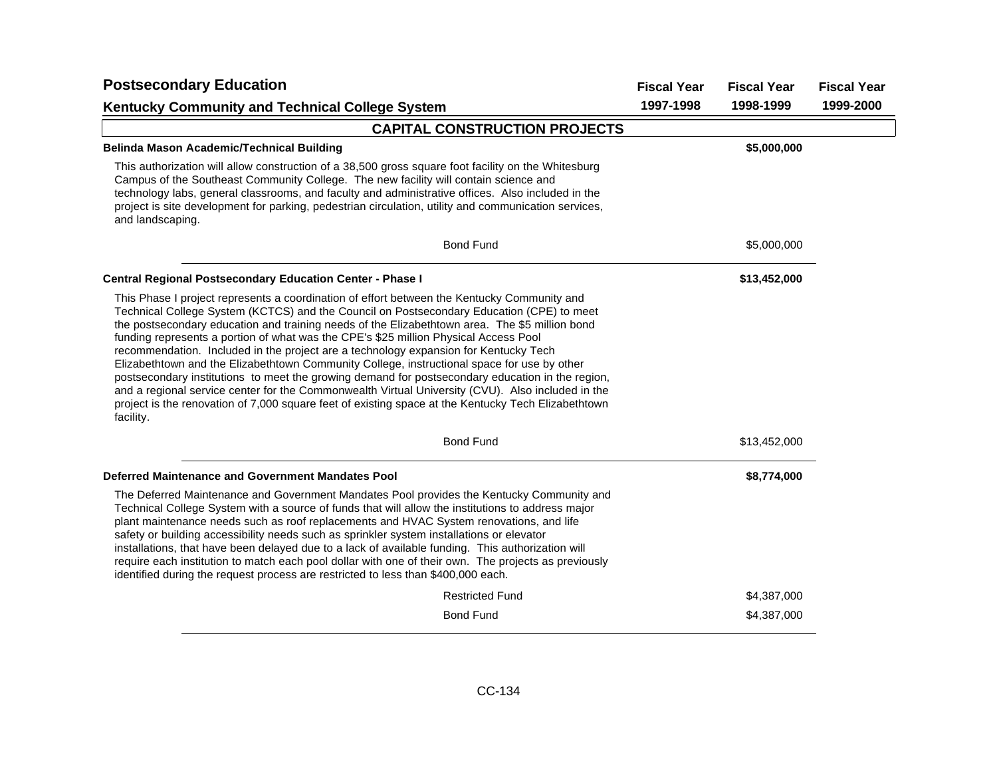| <b>Postsecondary Education</b>                                                                                                                                                                                                                                                                                                                                                                                                                                                                                                                                                                                                                                                                                                                                                                                                                                                                         | <b>Fiscal Year</b> | <b>Fiscal Year</b> | <b>Fiscal Year</b> |
|--------------------------------------------------------------------------------------------------------------------------------------------------------------------------------------------------------------------------------------------------------------------------------------------------------------------------------------------------------------------------------------------------------------------------------------------------------------------------------------------------------------------------------------------------------------------------------------------------------------------------------------------------------------------------------------------------------------------------------------------------------------------------------------------------------------------------------------------------------------------------------------------------------|--------------------|--------------------|--------------------|
| <b>Kentucky Community and Technical College System</b>                                                                                                                                                                                                                                                                                                                                                                                                                                                                                                                                                                                                                                                                                                                                                                                                                                                 | 1997-1998          | 1998-1999          | 1999-2000          |
| <b>CAPITAL CONSTRUCTION PROJECTS</b>                                                                                                                                                                                                                                                                                                                                                                                                                                                                                                                                                                                                                                                                                                                                                                                                                                                                   |                    |                    |                    |
| <b>Belinda Mason Academic/Technical Building</b>                                                                                                                                                                                                                                                                                                                                                                                                                                                                                                                                                                                                                                                                                                                                                                                                                                                       |                    | \$5,000,000        |                    |
| This authorization will allow construction of a 38,500 gross square foot facility on the Whitesburg<br>Campus of the Southeast Community College. The new facility will contain science and<br>technology labs, general classrooms, and faculty and administrative offices. Also included in the<br>project is site development for parking, pedestrian circulation, utility and communication services,<br>and landscaping.                                                                                                                                                                                                                                                                                                                                                                                                                                                                           |                    |                    |                    |
| <b>Bond Fund</b>                                                                                                                                                                                                                                                                                                                                                                                                                                                                                                                                                                                                                                                                                                                                                                                                                                                                                       |                    | \$5,000,000        |                    |
| <b>Central Regional Postsecondary Education Center - Phase I</b>                                                                                                                                                                                                                                                                                                                                                                                                                                                                                                                                                                                                                                                                                                                                                                                                                                       |                    | \$13,452,000       |                    |
| This Phase I project represents a coordination of effort between the Kentucky Community and<br>Technical College System (KCTCS) and the Council on Postsecondary Education (CPE) to meet<br>the postsecondary education and training needs of the Elizabethtown area. The \$5 million bond<br>funding represents a portion of what was the CPE's \$25 million Physical Access Pool<br>recommendation. Included in the project are a technology expansion for Kentucky Tech<br>Elizabethtown and the Elizabethtown Community College, instructional space for use by other<br>postsecondary institutions to meet the growing demand for postsecondary education in the region,<br>and a regional service center for the Commonwealth Virtual University (CVU). Also included in the<br>project is the renovation of 7,000 square feet of existing space at the Kentucky Tech Elizabethtown<br>facility. |                    |                    |                    |
| <b>Bond Fund</b>                                                                                                                                                                                                                                                                                                                                                                                                                                                                                                                                                                                                                                                                                                                                                                                                                                                                                       |                    | \$13,452,000       |                    |
| Deferred Maintenance and Government Mandates Pool                                                                                                                                                                                                                                                                                                                                                                                                                                                                                                                                                                                                                                                                                                                                                                                                                                                      |                    | \$8,774,000        |                    |
| The Deferred Maintenance and Government Mandates Pool provides the Kentucky Community and<br>Technical College System with a source of funds that will allow the institutions to address major<br>plant maintenance needs such as roof replacements and HVAC System renovations, and life<br>safety or building accessibility needs such as sprinkler system installations or elevator<br>installations, that have been delayed due to a lack of available funding. This authorization will<br>require each institution to match each pool dollar with one of their own. The projects as previously<br>identified during the request process are restricted to less than \$400,000 each.                                                                                                                                                                                                               |                    |                    |                    |
| <b>Restricted Fund</b>                                                                                                                                                                                                                                                                                                                                                                                                                                                                                                                                                                                                                                                                                                                                                                                                                                                                                 |                    | \$4,387,000        |                    |
| <b>Bond Fund</b>                                                                                                                                                                                                                                                                                                                                                                                                                                                                                                                                                                                                                                                                                                                                                                                                                                                                                       |                    | \$4,387,000        |                    |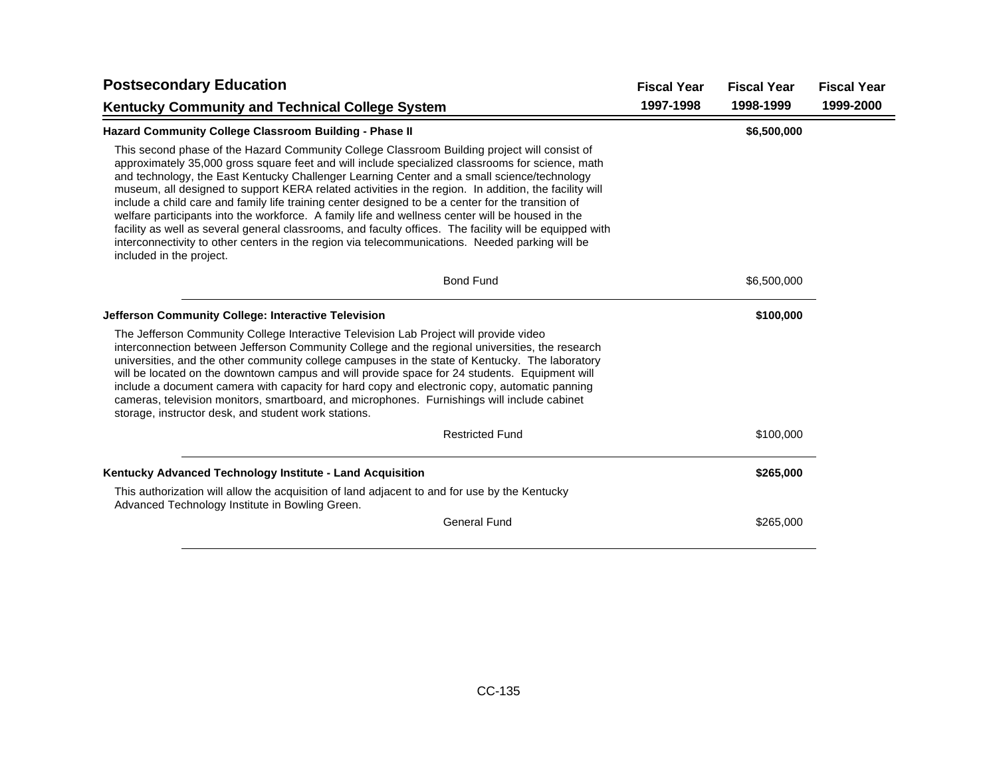| <b>Postsecondary Education</b>                                                                                                                                                                                                                                                                                                                                                                                                                                                                                                                                                                                                                                                                                                                                                                                                                               | <b>Fiscal Year</b> | <b>Fiscal Year</b> | <b>Fiscal Year</b> |
|--------------------------------------------------------------------------------------------------------------------------------------------------------------------------------------------------------------------------------------------------------------------------------------------------------------------------------------------------------------------------------------------------------------------------------------------------------------------------------------------------------------------------------------------------------------------------------------------------------------------------------------------------------------------------------------------------------------------------------------------------------------------------------------------------------------------------------------------------------------|--------------------|--------------------|--------------------|
| <b>Kentucky Community and Technical College System</b>                                                                                                                                                                                                                                                                                                                                                                                                                                                                                                                                                                                                                                                                                                                                                                                                       | 1997-1998          | 1998-1999          | 1999-2000          |
| <b>Hazard Community College Classroom Building - Phase II</b>                                                                                                                                                                                                                                                                                                                                                                                                                                                                                                                                                                                                                                                                                                                                                                                                |                    | \$6,500,000        |                    |
| This second phase of the Hazard Community College Classroom Building project will consist of<br>approximately 35,000 gross square feet and will include specialized classrooms for science, math<br>and technology, the East Kentucky Challenger Learning Center and a small science/technology<br>museum, all designed to support KERA related activities in the region. In addition, the facility will<br>include a child care and family life training center designed to be a center for the transition of<br>welfare participants into the workforce. A family life and wellness center will be housed in the<br>facility as well as several general classrooms, and faculty offices. The facility will be equipped with<br>interconnectivity to other centers in the region via telecommunications. Needed parking will be<br>included in the project. |                    |                    |                    |
| <b>Bond Fund</b>                                                                                                                                                                                                                                                                                                                                                                                                                                                                                                                                                                                                                                                                                                                                                                                                                                             |                    | \$6,500,000        |                    |
| Jefferson Community College: Interactive Television                                                                                                                                                                                                                                                                                                                                                                                                                                                                                                                                                                                                                                                                                                                                                                                                          |                    | \$100,000          |                    |
| The Jefferson Community College Interactive Television Lab Project will provide video<br>interconnection between Jefferson Community College and the regional universities, the research<br>universities, and the other community college campuses in the state of Kentucky. The laboratory<br>will be located on the downtown campus and will provide space for 24 students. Equipment will<br>include a document camera with capacity for hard copy and electronic copy, automatic panning<br>cameras, television monitors, smartboard, and microphones. Furnishings will include cabinet<br>storage, instructor desk, and student work stations.                                                                                                                                                                                                          |                    |                    |                    |
| <b>Restricted Fund</b>                                                                                                                                                                                                                                                                                                                                                                                                                                                                                                                                                                                                                                                                                                                                                                                                                                       |                    | \$100,000          |                    |
| Kentucky Advanced Technology Institute - Land Acquisition                                                                                                                                                                                                                                                                                                                                                                                                                                                                                                                                                                                                                                                                                                                                                                                                    |                    | \$265,000          |                    |
| This authorization will allow the acquisition of land adjacent to and for use by the Kentucky<br>Advanced Technology Institute in Bowling Green.                                                                                                                                                                                                                                                                                                                                                                                                                                                                                                                                                                                                                                                                                                             |                    |                    |                    |
| <b>General Fund</b>                                                                                                                                                                                                                                                                                                                                                                                                                                                                                                                                                                                                                                                                                                                                                                                                                                          |                    | \$265,000          |                    |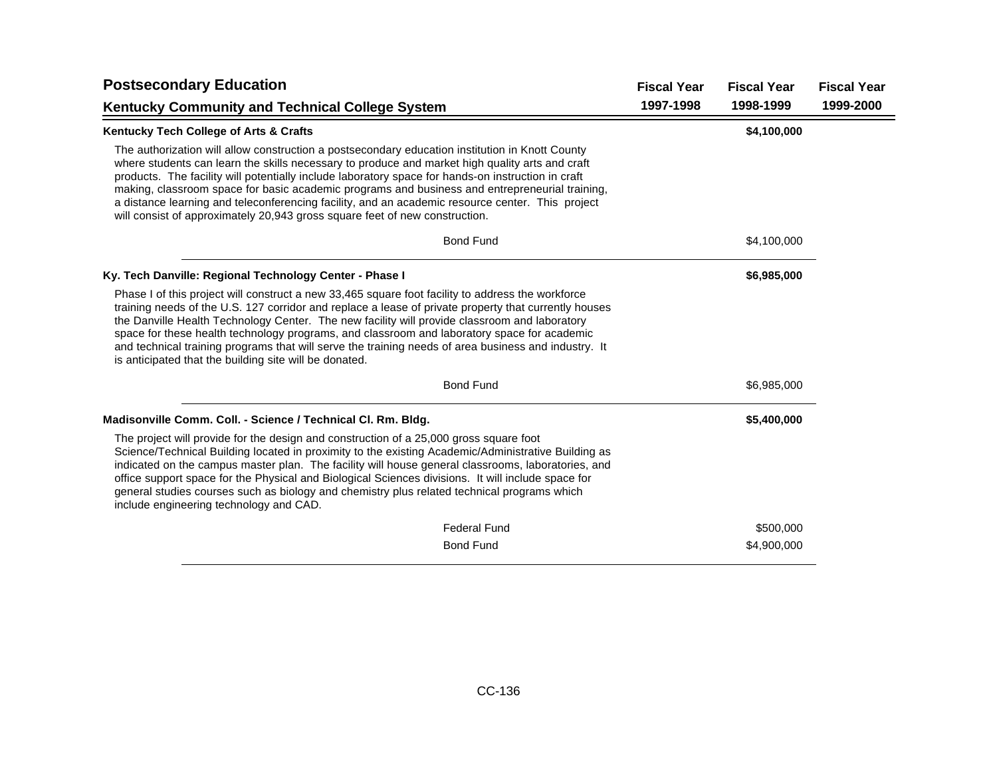| <b>Postsecondary Education</b>                                                                                                                                                                                                                                                                                                                                                                                                                                                                                                                                                                | <b>Fiscal Year</b> | <b>Fiscal Year</b> | <b>Fiscal Year</b> |
|-----------------------------------------------------------------------------------------------------------------------------------------------------------------------------------------------------------------------------------------------------------------------------------------------------------------------------------------------------------------------------------------------------------------------------------------------------------------------------------------------------------------------------------------------------------------------------------------------|--------------------|--------------------|--------------------|
| <b>Kentucky Community and Technical College System</b>                                                                                                                                                                                                                                                                                                                                                                                                                                                                                                                                        | 1997-1998          | 1998-1999          | 1999-2000          |
| Kentucky Tech College of Arts & Crafts                                                                                                                                                                                                                                                                                                                                                                                                                                                                                                                                                        |                    | \$4,100,000        |                    |
| The authorization will allow construction a postsecondary education institution in Knott County<br>where students can learn the skills necessary to produce and market high quality arts and craft<br>products. The facility will potentially include laboratory space for hands-on instruction in craft<br>making, classroom space for basic academic programs and business and entrepreneurial training,<br>a distance learning and teleconferencing facility, and an academic resource center. This project<br>will consist of approximately 20,943 gross square feet of new construction. |                    |                    |                    |
| <b>Bond Fund</b>                                                                                                                                                                                                                                                                                                                                                                                                                                                                                                                                                                              |                    | \$4,100,000        |                    |
| Ky. Tech Danville: Regional Technology Center - Phase I                                                                                                                                                                                                                                                                                                                                                                                                                                                                                                                                       |                    | \$6,985,000        |                    |
| Phase I of this project will construct a new 33,465 square foot facility to address the workforce<br>training needs of the U.S. 127 corridor and replace a lease of private property that currently houses<br>the Danville Health Technology Center. The new facility will provide classroom and laboratory<br>space for these health technology programs, and classroom and laboratory space for academic<br>and technical training programs that will serve the training needs of area business and industry. It<br>is anticipated that the building site will be donated.                  |                    |                    |                    |
| <b>Bond Fund</b>                                                                                                                                                                                                                                                                                                                                                                                                                                                                                                                                                                              |                    | \$6,985,000        |                    |
| Madisonville Comm. Coll. - Science / Technical Cl. Rm. Bldg.                                                                                                                                                                                                                                                                                                                                                                                                                                                                                                                                  |                    | \$5,400,000        |                    |
| The project will provide for the design and construction of a 25,000 gross square foot<br>Science/Technical Building located in proximity to the existing Academic/Administrative Building as<br>indicated on the campus master plan. The facility will house general classrooms, laboratories, and<br>office support space for the Physical and Biological Sciences divisions. It will include space for<br>general studies courses such as biology and chemistry plus related technical programs which<br>include engineering technology and CAD.                                           |                    |                    |                    |
| <b>Federal Fund</b>                                                                                                                                                                                                                                                                                                                                                                                                                                                                                                                                                                           |                    | \$500,000          |                    |
| <b>Bond Fund</b>                                                                                                                                                                                                                                                                                                                                                                                                                                                                                                                                                                              |                    | \$4,900,000        |                    |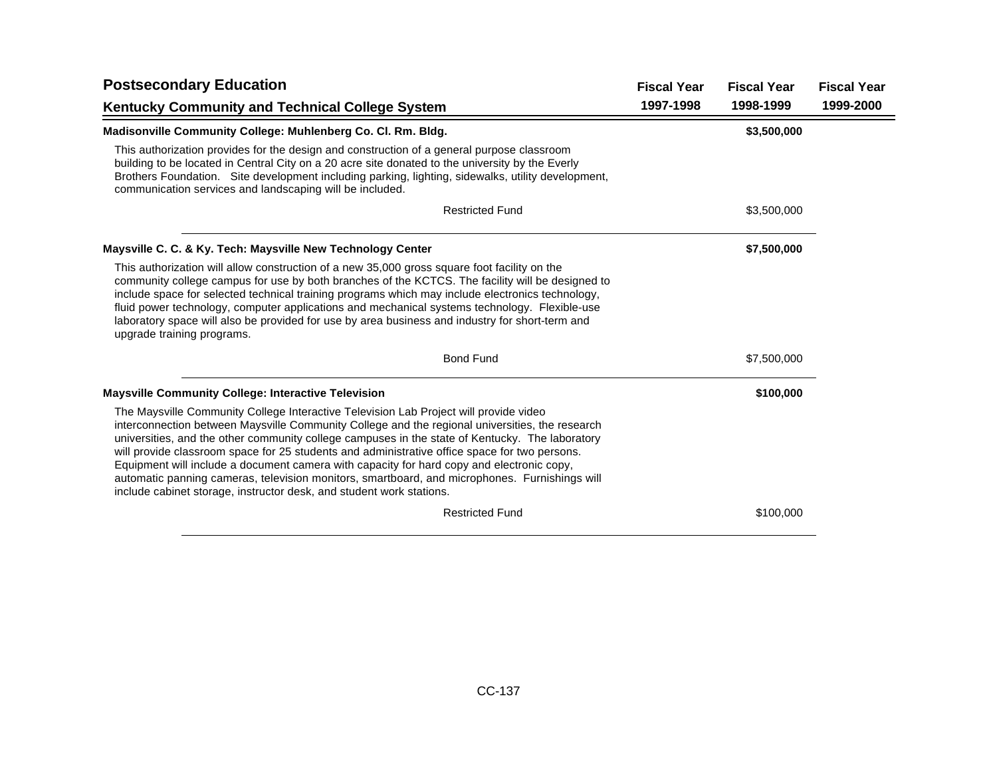| <b>Postsecondary Education</b>                                                                                                                                                                                                                                                                                                                                                                                                                                                                                                                                                                                                                                     | <b>Fiscal Year</b> | <b>Fiscal Year</b> | <b>Fiscal Year</b> |
|--------------------------------------------------------------------------------------------------------------------------------------------------------------------------------------------------------------------------------------------------------------------------------------------------------------------------------------------------------------------------------------------------------------------------------------------------------------------------------------------------------------------------------------------------------------------------------------------------------------------------------------------------------------------|--------------------|--------------------|--------------------|
| <b>Kentucky Community and Technical College System</b>                                                                                                                                                                                                                                                                                                                                                                                                                                                                                                                                                                                                             | 1997-1998          | 1998-1999          | 1999-2000          |
| Madisonville Community College: Muhlenberg Co. Cl. Rm. Bldg.                                                                                                                                                                                                                                                                                                                                                                                                                                                                                                                                                                                                       |                    | \$3,500,000        |                    |
| This authorization provides for the design and construction of a general purpose classroom<br>building to be located in Central City on a 20 acre site donated to the university by the Everly<br>Brothers Foundation. Site development including parking, lighting, sidewalks, utility development,<br>communication services and landscaping will be included.                                                                                                                                                                                                                                                                                                   |                    |                    |                    |
| <b>Restricted Fund</b>                                                                                                                                                                                                                                                                                                                                                                                                                                                                                                                                                                                                                                             |                    | \$3,500,000        |                    |
| Maysville C. C. & Ky. Tech: Maysville New Technology Center                                                                                                                                                                                                                                                                                                                                                                                                                                                                                                                                                                                                        |                    | \$7,500,000        |                    |
| This authorization will allow construction of a new 35,000 gross square foot facility on the<br>community college campus for use by both branches of the KCTCS. The facility will be designed to<br>include space for selected technical training programs which may include electronics technology,<br>fluid power technology, computer applications and mechanical systems technology. Flexible-use<br>laboratory space will also be provided for use by area business and industry for short-term and<br>upgrade training programs.                                                                                                                             |                    |                    |                    |
| <b>Bond Fund</b>                                                                                                                                                                                                                                                                                                                                                                                                                                                                                                                                                                                                                                                   |                    | \$7,500,000        |                    |
| <b>Maysville Community College: Interactive Television</b>                                                                                                                                                                                                                                                                                                                                                                                                                                                                                                                                                                                                         |                    | \$100,000          |                    |
| The Maysville Community College Interactive Television Lab Project will provide video<br>interconnection between Maysville Community College and the regional universities, the research<br>universities, and the other community college campuses in the state of Kentucky. The laboratory<br>will provide classroom space for 25 students and administrative office space for two persons.<br>Equipment will include a document camera with capacity for hard copy and electronic copy,<br>automatic panning cameras, television monitors, smartboard, and microphones. Furnishings will<br>include cabinet storage, instructor desk, and student work stations. |                    |                    |                    |
| <b>Restricted Fund</b>                                                                                                                                                                                                                                                                                                                                                                                                                                                                                                                                                                                                                                             |                    | \$100,000          |                    |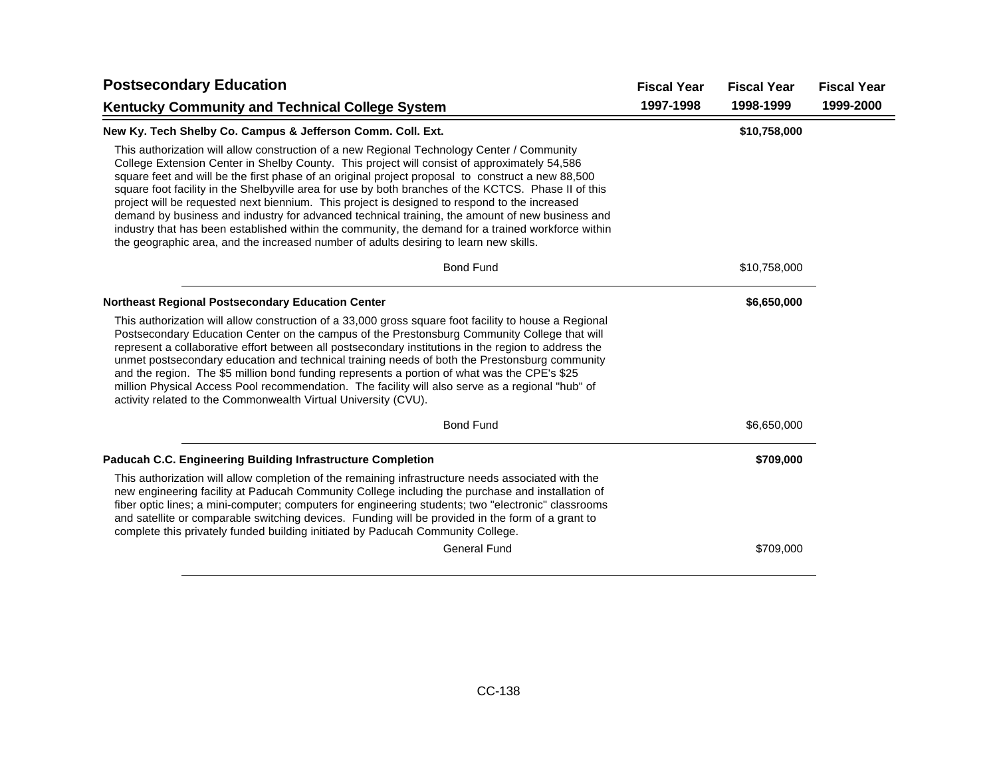| <b>Fiscal Year</b> | <b>Fiscal Year</b> | <b>Fiscal Year</b> |
|--------------------|--------------------|--------------------|
| 1997-1998          | 1998-1999          | 1999-2000          |
|                    | \$10,758,000       |                    |
|                    |                    |                    |
|                    | \$10,758,000       |                    |
|                    | \$6,650,000        |                    |
|                    |                    |                    |
|                    | \$6,650,000        |                    |
|                    | \$709,000          |                    |
|                    |                    |                    |
|                    | \$709,000          |                    |
|                    |                    |                    |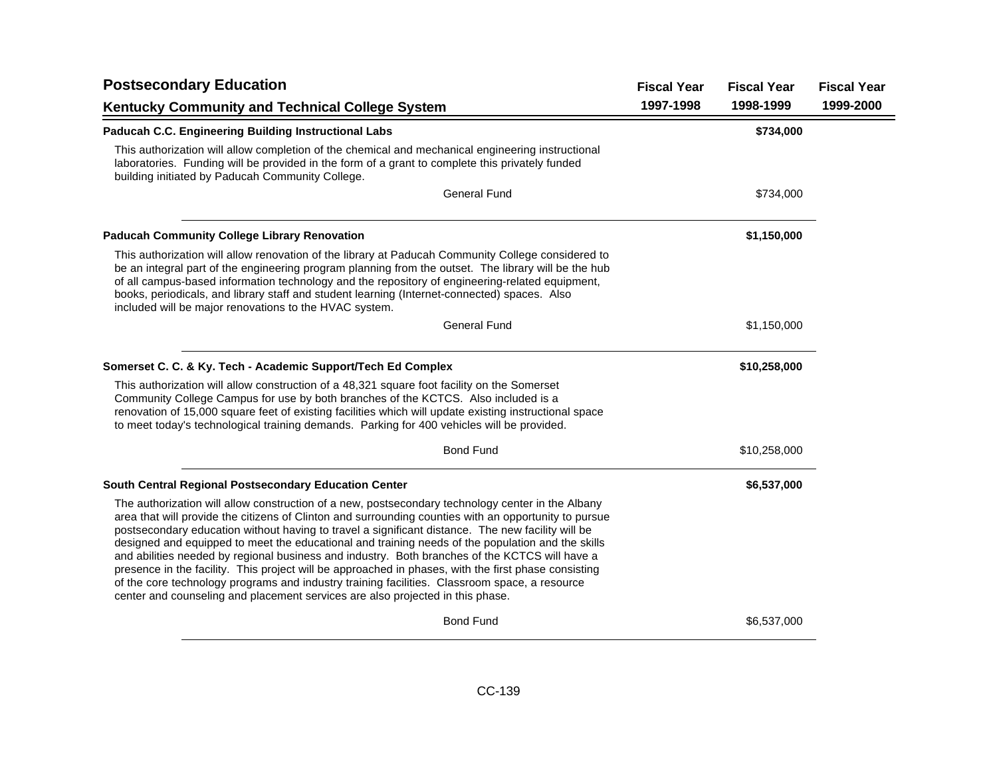| <b>Postsecondary Education</b>                                                                                                                                                                                                                                                                                                                                                                                                                                                                                                                                                                                                                                                                                                                                                                                    | <b>Fiscal Year</b> | <b>Fiscal Year</b> | <b>Fiscal Year</b> |
|-------------------------------------------------------------------------------------------------------------------------------------------------------------------------------------------------------------------------------------------------------------------------------------------------------------------------------------------------------------------------------------------------------------------------------------------------------------------------------------------------------------------------------------------------------------------------------------------------------------------------------------------------------------------------------------------------------------------------------------------------------------------------------------------------------------------|--------------------|--------------------|--------------------|
| Kentucky Community and Technical College System                                                                                                                                                                                                                                                                                                                                                                                                                                                                                                                                                                                                                                                                                                                                                                   | 1997-1998          | 1998-1999          | 1999-2000          |
| Paducah C.C. Engineering Building Instructional Labs                                                                                                                                                                                                                                                                                                                                                                                                                                                                                                                                                                                                                                                                                                                                                              |                    | \$734,000          |                    |
| This authorization will allow completion of the chemical and mechanical engineering instructional<br>laboratories. Funding will be provided in the form of a grant to complete this privately funded<br>building initiated by Paducah Community College.                                                                                                                                                                                                                                                                                                                                                                                                                                                                                                                                                          |                    |                    |                    |
| <b>General Fund</b>                                                                                                                                                                                                                                                                                                                                                                                                                                                                                                                                                                                                                                                                                                                                                                                               |                    | \$734,000          |                    |
| <b>Paducah Community College Library Renovation</b>                                                                                                                                                                                                                                                                                                                                                                                                                                                                                                                                                                                                                                                                                                                                                               |                    | \$1,150,000        |                    |
| This authorization will allow renovation of the library at Paducah Community College considered to<br>be an integral part of the engineering program planning from the outset. The library will be the hub<br>of all campus-based information technology and the repository of engineering-related equipment,<br>books, periodicals, and library staff and student learning (Internet-connected) spaces. Also<br>included will be major renovations to the HVAC system.                                                                                                                                                                                                                                                                                                                                           |                    |                    |                    |
| <b>General Fund</b>                                                                                                                                                                                                                                                                                                                                                                                                                                                                                                                                                                                                                                                                                                                                                                                               |                    | \$1,150,000        |                    |
| Somerset C. C. & Ky. Tech - Academic Support/Tech Ed Complex                                                                                                                                                                                                                                                                                                                                                                                                                                                                                                                                                                                                                                                                                                                                                      |                    | \$10,258,000       |                    |
| This authorization will allow construction of a 48,321 square foot facility on the Somerset<br>Community College Campus for use by both branches of the KCTCS. Also included is a<br>renovation of 15,000 square feet of existing facilities which will update existing instructional space<br>to meet today's technological training demands. Parking for 400 vehicles will be provided.                                                                                                                                                                                                                                                                                                                                                                                                                         |                    |                    |                    |
| <b>Bond Fund</b>                                                                                                                                                                                                                                                                                                                                                                                                                                                                                                                                                                                                                                                                                                                                                                                                  |                    | \$10,258,000       |                    |
| South Central Regional Postsecondary Education Center                                                                                                                                                                                                                                                                                                                                                                                                                                                                                                                                                                                                                                                                                                                                                             |                    | \$6,537,000        |                    |
| The authorization will allow construction of a new, postsecondary technology center in the Albany<br>area that will provide the citizens of Clinton and surrounding counties with an opportunity to pursue<br>postsecondary education without having to travel a significant distance. The new facility will be<br>designed and equipped to meet the educational and training needs of the population and the skills<br>and abilities needed by regional business and industry. Both branches of the KCTCS will have a<br>presence in the facility. This project will be approached in phases, with the first phase consisting<br>of the core technology programs and industry training facilities. Classroom space, a resource<br>center and counseling and placement services are also projected in this phase. |                    |                    |                    |
| <b>Bond Fund</b>                                                                                                                                                                                                                                                                                                                                                                                                                                                                                                                                                                                                                                                                                                                                                                                                  |                    | \$6,537,000        |                    |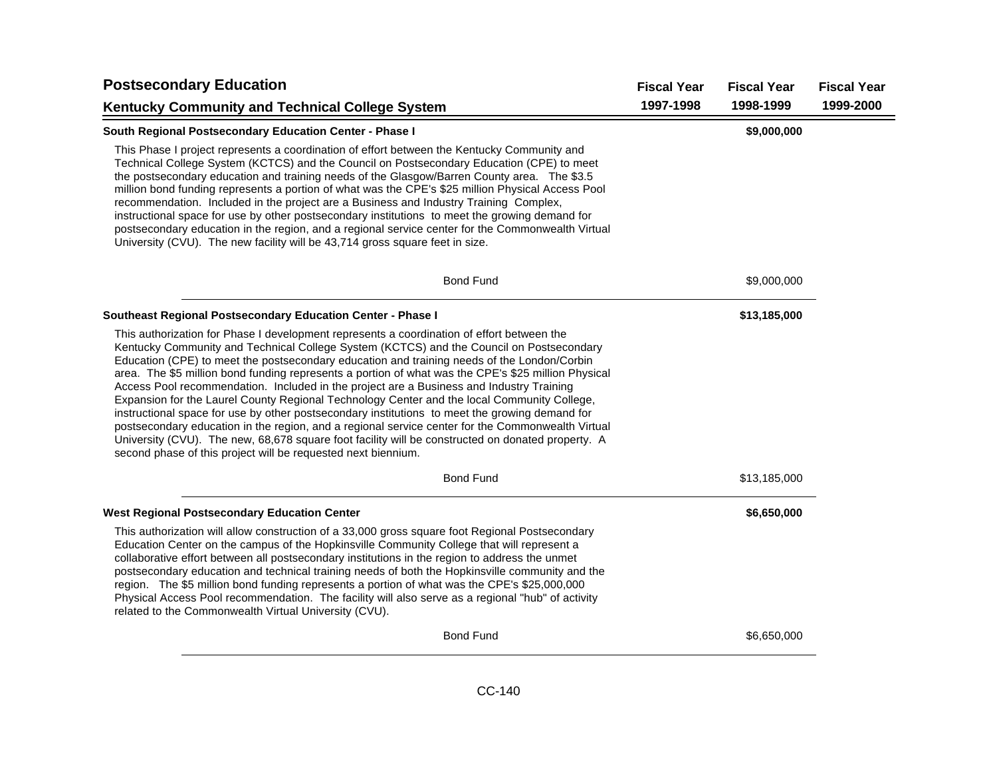| <b>Postsecondary Education</b>                                                                                                                                                                                                                                                                                                                                                                                                                                                                                                                                                                                                                                                                                                                                                                                                                                                                                                                                       | <b>Fiscal Year</b> | <b>Fiscal Year</b> | <b>Fiscal Year</b> |
|----------------------------------------------------------------------------------------------------------------------------------------------------------------------------------------------------------------------------------------------------------------------------------------------------------------------------------------------------------------------------------------------------------------------------------------------------------------------------------------------------------------------------------------------------------------------------------------------------------------------------------------------------------------------------------------------------------------------------------------------------------------------------------------------------------------------------------------------------------------------------------------------------------------------------------------------------------------------|--------------------|--------------------|--------------------|
| <b>Kentucky Community and Technical College System</b>                                                                                                                                                                                                                                                                                                                                                                                                                                                                                                                                                                                                                                                                                                                                                                                                                                                                                                               | 1997-1998          | 1998-1999          | 1999-2000          |
| South Regional Postsecondary Education Center - Phase I                                                                                                                                                                                                                                                                                                                                                                                                                                                                                                                                                                                                                                                                                                                                                                                                                                                                                                              |                    | \$9,000,000        |                    |
| This Phase I project represents a coordination of effort between the Kentucky Community and<br>Technical College System (KCTCS) and the Council on Postsecondary Education (CPE) to meet<br>the postsecondary education and training needs of the Glasgow/Barren County area. The \$3.5<br>million bond funding represents a portion of what was the CPE's \$25 million Physical Access Pool<br>recommendation. Included in the project are a Business and Industry Training Complex,<br>instructional space for use by other postsecondary institutions to meet the growing demand for<br>postsecondary education in the region, and a regional service center for the Commonwealth Virtual<br>University (CVU). The new facility will be 43,714 gross square feet in size.                                                                                                                                                                                         |                    |                    |                    |
| <b>Bond Fund</b>                                                                                                                                                                                                                                                                                                                                                                                                                                                                                                                                                                                                                                                                                                                                                                                                                                                                                                                                                     |                    | \$9,000,000        |                    |
| Southeast Regional Postsecondary Education Center - Phase I                                                                                                                                                                                                                                                                                                                                                                                                                                                                                                                                                                                                                                                                                                                                                                                                                                                                                                          |                    | \$13,185,000       |                    |
| This authorization for Phase I development represents a coordination of effort between the<br>Kentucky Community and Technical College System (KCTCS) and the Council on Postsecondary<br>Education (CPE) to meet the postsecondary education and training needs of the London/Corbin<br>area. The \$5 million bond funding represents a portion of what was the CPE's \$25 million Physical<br>Access Pool recommendation. Included in the project are a Business and Industry Training<br>Expansion for the Laurel County Regional Technology Center and the local Community College,<br>instructional space for use by other postsecondary institutions to meet the growing demand for<br>postsecondary education in the region, and a regional service center for the Commonwealth Virtual<br>University (CVU). The new, 68,678 square foot facility will be constructed on donated property. A<br>second phase of this project will be requested next biennium. |                    |                    |                    |
| <b>Bond Fund</b>                                                                                                                                                                                                                                                                                                                                                                                                                                                                                                                                                                                                                                                                                                                                                                                                                                                                                                                                                     |                    | \$13,185,000       |                    |
| <b>West Regional Postsecondary Education Center</b>                                                                                                                                                                                                                                                                                                                                                                                                                                                                                                                                                                                                                                                                                                                                                                                                                                                                                                                  |                    | \$6,650,000        |                    |
| This authorization will allow construction of a 33,000 gross square foot Regional Postsecondary<br>Education Center on the campus of the Hopkinsville Community College that will represent a<br>collaborative effort between all postsecondary institutions in the region to address the unmet<br>postsecondary education and technical training needs of both the Hopkinsville community and the<br>region. The \$5 million bond funding represents a portion of what was the CPE's \$25,000,000<br>Physical Access Pool recommendation. The facility will also serve as a regional "hub" of activity<br>related to the Commonwealth Virtual University (CVU).                                                                                                                                                                                                                                                                                                     |                    |                    |                    |
| <b>Bond Fund</b>                                                                                                                                                                                                                                                                                                                                                                                                                                                                                                                                                                                                                                                                                                                                                                                                                                                                                                                                                     |                    | \$6,650,000        |                    |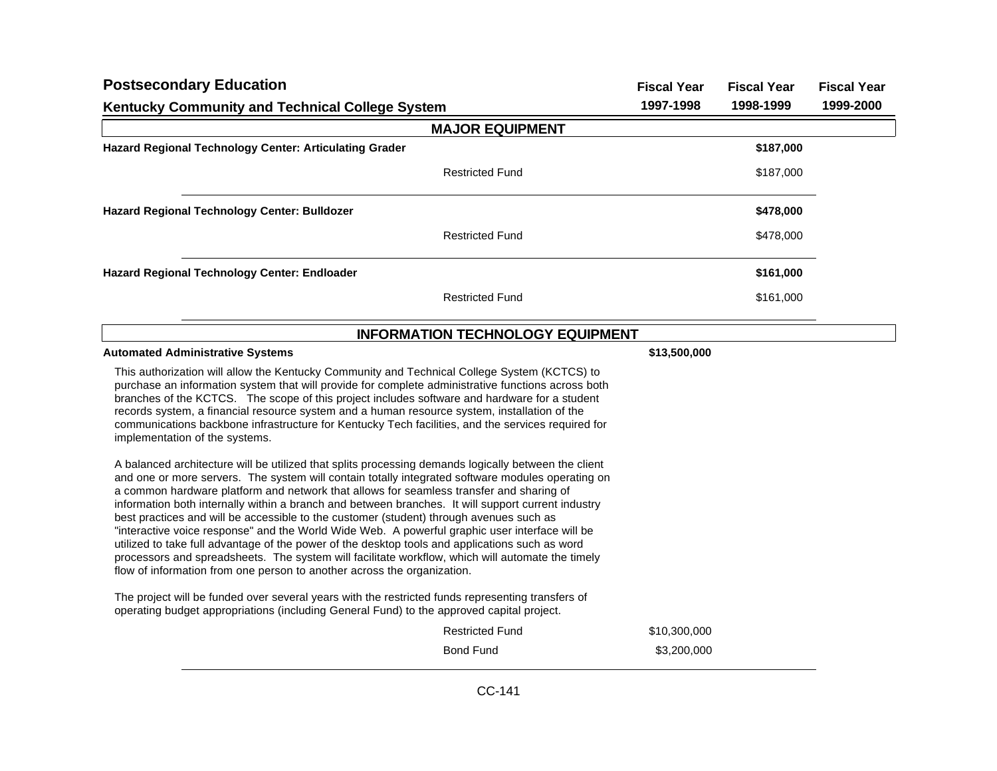| <b>Postsecondary Education</b>                                                                                                                                                                                                                                                                                                                                                                                                                                                                                                                                                                                                                                                                                                                                                                                                                                                            | <b>Fiscal Year</b> | <b>Fiscal Year</b> | <b>Fiscal Year</b> |
|-------------------------------------------------------------------------------------------------------------------------------------------------------------------------------------------------------------------------------------------------------------------------------------------------------------------------------------------------------------------------------------------------------------------------------------------------------------------------------------------------------------------------------------------------------------------------------------------------------------------------------------------------------------------------------------------------------------------------------------------------------------------------------------------------------------------------------------------------------------------------------------------|--------------------|--------------------|--------------------|
| <b>Kentucky Community and Technical College System</b>                                                                                                                                                                                                                                                                                                                                                                                                                                                                                                                                                                                                                                                                                                                                                                                                                                    | 1997-1998          | 1998-1999          | 1999-2000          |
| <b>MAJOR EQUIPMENT</b>                                                                                                                                                                                                                                                                                                                                                                                                                                                                                                                                                                                                                                                                                                                                                                                                                                                                    |                    |                    |                    |
| Hazard Regional Technology Center: Articulating Grader                                                                                                                                                                                                                                                                                                                                                                                                                                                                                                                                                                                                                                                                                                                                                                                                                                    |                    | \$187,000          |                    |
| <b>Restricted Fund</b>                                                                                                                                                                                                                                                                                                                                                                                                                                                                                                                                                                                                                                                                                                                                                                                                                                                                    |                    | \$187,000          |                    |
| Hazard Regional Technology Center: Bulldozer                                                                                                                                                                                                                                                                                                                                                                                                                                                                                                                                                                                                                                                                                                                                                                                                                                              |                    | \$478,000          |                    |
| <b>Restricted Fund</b>                                                                                                                                                                                                                                                                                                                                                                                                                                                                                                                                                                                                                                                                                                                                                                                                                                                                    |                    | \$478,000          |                    |
| Hazard Regional Technology Center: Endloader                                                                                                                                                                                                                                                                                                                                                                                                                                                                                                                                                                                                                                                                                                                                                                                                                                              |                    | \$161,000          |                    |
| <b>Restricted Fund</b>                                                                                                                                                                                                                                                                                                                                                                                                                                                                                                                                                                                                                                                                                                                                                                                                                                                                    |                    | \$161,000          |                    |
| <b>INFORMATION TECHNOLOGY EQUIPMENT</b>                                                                                                                                                                                                                                                                                                                                                                                                                                                                                                                                                                                                                                                                                                                                                                                                                                                   |                    |                    |                    |
| <b>Automated Administrative Systems</b>                                                                                                                                                                                                                                                                                                                                                                                                                                                                                                                                                                                                                                                                                                                                                                                                                                                   | \$13,500,000       |                    |                    |
| This authorization will allow the Kentucky Community and Technical College System (KCTCS) to<br>purchase an information system that will provide for complete administrative functions across both<br>branches of the KCTCS. The scope of this project includes software and hardware for a student<br>records system, a financial resource system and a human resource system, installation of the<br>communications backbone infrastructure for Kentucky Tech facilities, and the services required for<br>implementation of the systems.                                                                                                                                                                                                                                                                                                                                               |                    |                    |                    |
| A balanced architecture will be utilized that splits processing demands logically between the client<br>and one or more servers. The system will contain totally integrated software modules operating on<br>a common hardware platform and network that allows for seamless transfer and sharing of<br>information both internally within a branch and between branches. It will support current industry<br>best practices and will be accessible to the customer (student) through avenues such as<br>"interactive voice response" and the World Wide Web. A powerful graphic user interface will be<br>utilized to take full advantage of the power of the desktop tools and applications such as word<br>processors and spreadsheets. The system will facilitate workflow, which will automate the timely<br>flow of information from one person to another across the organization. |                    |                    |                    |
| The project will be funded over several years with the restricted funds representing transfers of<br>operating budget appropriations (including General Fund) to the approved capital project.                                                                                                                                                                                                                                                                                                                                                                                                                                                                                                                                                                                                                                                                                            |                    |                    |                    |
| <b>Restricted Fund</b>                                                                                                                                                                                                                                                                                                                                                                                                                                                                                                                                                                                                                                                                                                                                                                                                                                                                    | \$10,300,000       |                    |                    |
| <b>Bond Fund</b>                                                                                                                                                                                                                                                                                                                                                                                                                                                                                                                                                                                                                                                                                                                                                                                                                                                                          | \$3,200,000        |                    |                    |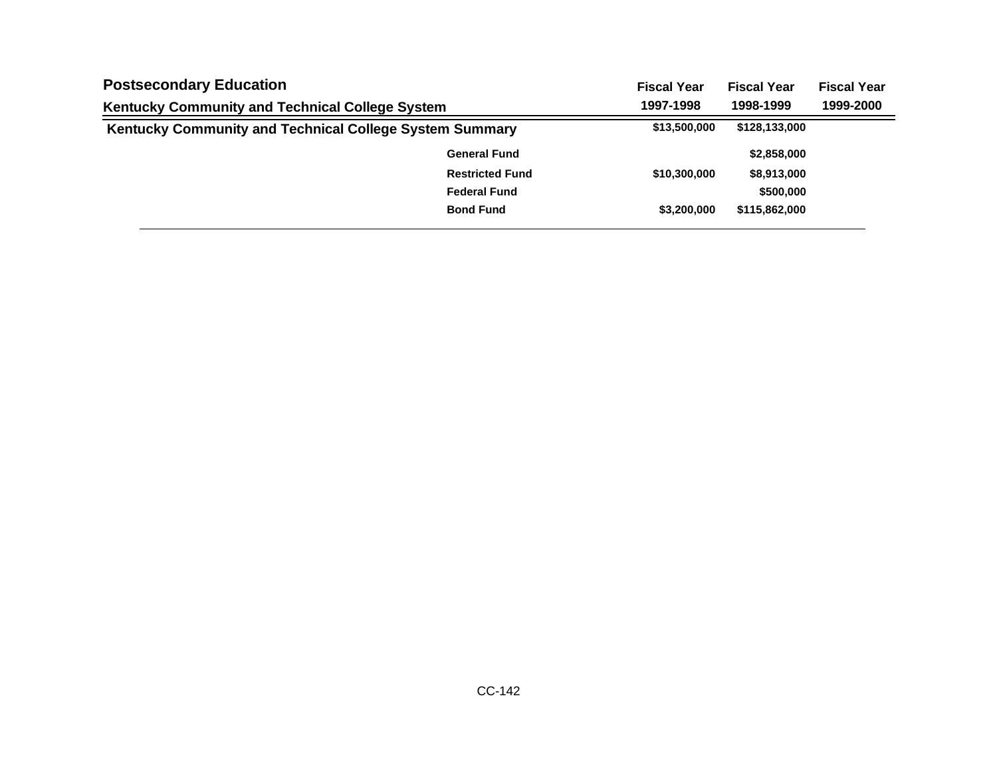| <b>Postsecondary Education</b><br>Kentucky Community and Technical College System |                        | <b>Fiscal Year</b> | <b>Fiscal Year</b> | <b>Fiscal Year</b> |
|-----------------------------------------------------------------------------------|------------------------|--------------------|--------------------|--------------------|
|                                                                                   |                        | 1997-1998          | 1998-1999          | 1999-2000          |
| Kentucky Community and Technical College System Summary                           |                        | \$13,500,000       | \$128,133,000      |                    |
|                                                                                   | <b>General Fund</b>    |                    | \$2,858,000        |                    |
|                                                                                   | <b>Restricted Fund</b> | \$10,300,000       | \$8,913,000        |                    |
|                                                                                   | <b>Federal Fund</b>    |                    | \$500,000          |                    |
|                                                                                   | <b>Bond Fund</b>       | \$3,200,000        | \$115,862,000      |                    |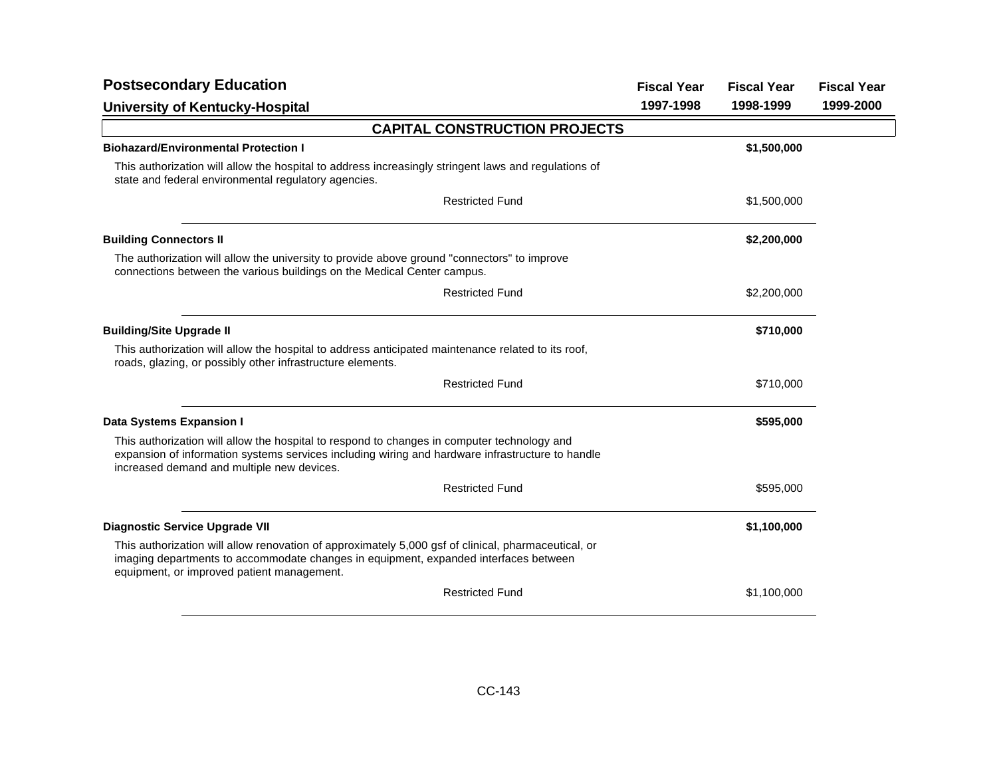| <b>Fiscal Year</b>                   | <b>Fiscal Year</b> | <b>Fiscal Year</b> |
|--------------------------------------|--------------------|--------------------|
| 1997-1998                            | 1998-1999          | 1999-2000          |
|                                      |                    |                    |
|                                      | \$1,500,000        |                    |
|                                      |                    |                    |
|                                      | \$1,500,000        |                    |
|                                      | \$2,200,000        |                    |
|                                      |                    |                    |
|                                      | \$2,200,000        |                    |
|                                      | \$710,000          |                    |
|                                      |                    |                    |
|                                      | \$710,000          |                    |
|                                      | \$595,000          |                    |
|                                      |                    |                    |
|                                      | \$595,000          |                    |
|                                      | \$1,100,000        |                    |
|                                      |                    |                    |
|                                      | \$1,100,000        |                    |
| <b>CAPITAL CONSTRUCTION PROJECTS</b> |                    |                    |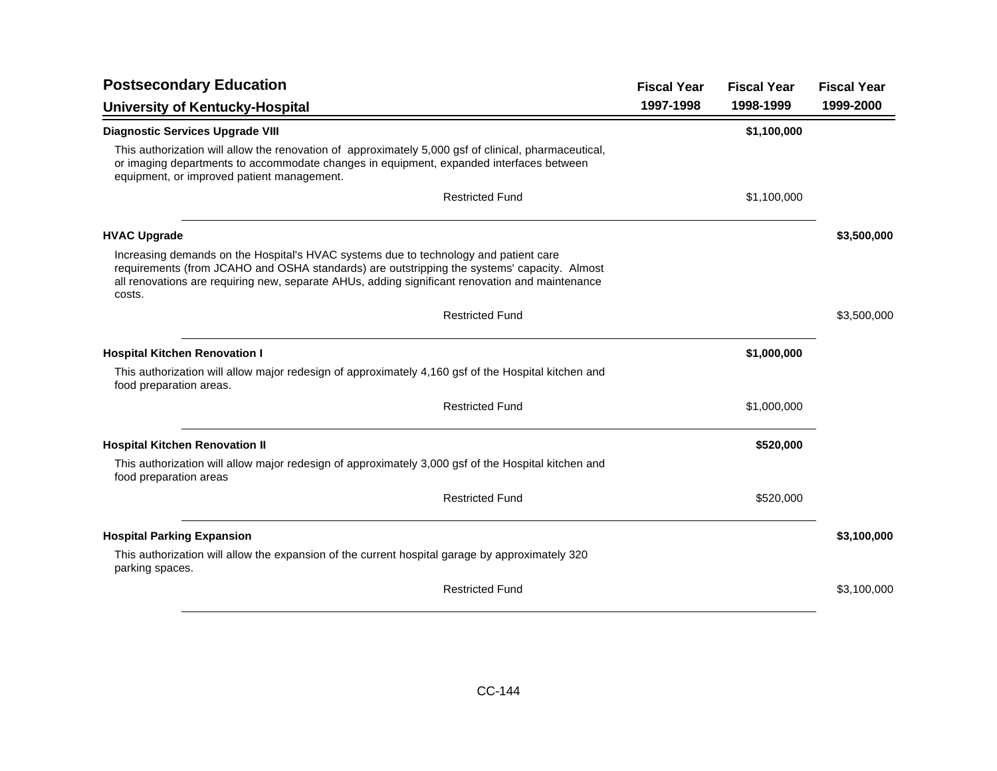| <b>Postsecondary Education</b>                                                                                                                                                                                                                                                                   | <b>Fiscal Year</b> | <b>Fiscal Year</b> | <b>Fiscal Year</b> |
|--------------------------------------------------------------------------------------------------------------------------------------------------------------------------------------------------------------------------------------------------------------------------------------------------|--------------------|--------------------|--------------------|
| University of Kentucky-Hospital                                                                                                                                                                                                                                                                  | 1997-1998          | 1998-1999          | 1999-2000          |
| <b>Diagnostic Services Upgrade VIII</b>                                                                                                                                                                                                                                                          |                    | \$1,100,000        |                    |
| This authorization will allow the renovation of approximately 5,000 gsf of clinical, pharmaceutical,<br>or imaging departments to accommodate changes in equipment, expanded interfaces between<br>equipment, or improved patient management.                                                    |                    |                    |                    |
| <b>Restricted Fund</b>                                                                                                                                                                                                                                                                           |                    | \$1,100,000        |                    |
| <b>HVAC Upgrade</b>                                                                                                                                                                                                                                                                              |                    |                    | \$3,500,000        |
| Increasing demands on the Hospital's HVAC systems due to technology and patient care<br>requirements (from JCAHO and OSHA standards) are outstripping the systems' capacity. Almost<br>all renovations are requiring new, separate AHUs, adding significant renovation and maintenance<br>costs. |                    |                    |                    |
| <b>Restricted Fund</b>                                                                                                                                                                                                                                                                           |                    |                    | \$3,500,000        |
| <b>Hospital Kitchen Renovation I</b>                                                                                                                                                                                                                                                             |                    | \$1,000,000        |                    |
| This authorization will allow major redesign of approximately 4,160 gsf of the Hospital kitchen and<br>food preparation areas.                                                                                                                                                                   |                    |                    |                    |
| <b>Restricted Fund</b>                                                                                                                                                                                                                                                                           |                    | \$1,000,000        |                    |
| <b>Hospital Kitchen Renovation II</b>                                                                                                                                                                                                                                                            |                    | \$520,000          |                    |
| This authorization will allow major redesign of approximately 3,000 gsf of the Hospital kitchen and<br>food preparation areas                                                                                                                                                                    |                    |                    |                    |
| <b>Restricted Fund</b>                                                                                                                                                                                                                                                                           |                    | \$520,000          |                    |
| <b>Hospital Parking Expansion</b>                                                                                                                                                                                                                                                                |                    |                    | \$3,100,000        |
| This authorization will allow the expansion of the current hospital garage by approximately 320<br>parking spaces.                                                                                                                                                                               |                    |                    |                    |
| <b>Restricted Fund</b>                                                                                                                                                                                                                                                                           |                    |                    | \$3,100,000        |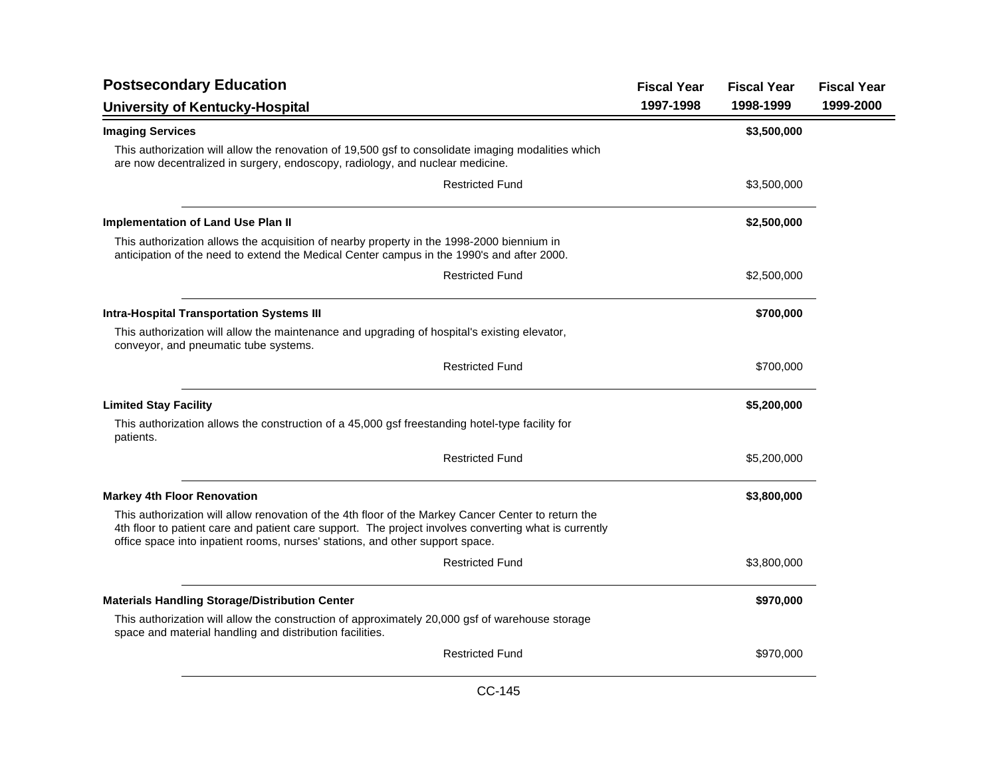| <b>Postsecondary Education</b>                                                                                                                                                                                                                                                                | <b>Fiscal Year</b> | <b>Fiscal Year</b> | <b>Fiscal Year</b> |
|-----------------------------------------------------------------------------------------------------------------------------------------------------------------------------------------------------------------------------------------------------------------------------------------------|--------------------|--------------------|--------------------|
| University of Kentucky-Hospital                                                                                                                                                                                                                                                               | 1997-1998          | 1998-1999          | 1999-2000          |
| <b>Imaging Services</b>                                                                                                                                                                                                                                                                       |                    | \$3,500,000        |                    |
| This authorization will allow the renovation of 19,500 gsf to consolidate imaging modalities which<br>are now decentralized in surgery, endoscopy, radiology, and nuclear medicine.                                                                                                           |                    |                    |                    |
| <b>Restricted Fund</b>                                                                                                                                                                                                                                                                        |                    | \$3,500,000        |                    |
| <b>Implementation of Land Use Plan II</b>                                                                                                                                                                                                                                                     |                    | \$2,500,000        |                    |
| This authorization allows the acquisition of nearby property in the 1998-2000 biennium in<br>anticipation of the need to extend the Medical Center campus in the 1990's and after 2000.                                                                                                       |                    |                    |                    |
| <b>Restricted Fund</b>                                                                                                                                                                                                                                                                        |                    | \$2,500,000        |                    |
| <b>Intra-Hospital Transportation Systems III</b>                                                                                                                                                                                                                                              |                    | \$700,000          |                    |
| This authorization will allow the maintenance and upgrading of hospital's existing elevator,<br>conveyor, and pneumatic tube systems.                                                                                                                                                         |                    |                    |                    |
| <b>Restricted Fund</b>                                                                                                                                                                                                                                                                        |                    | \$700,000          |                    |
| <b>Limited Stay Facility</b>                                                                                                                                                                                                                                                                  |                    | \$5,200,000        |                    |
| This authorization allows the construction of a 45,000 gsf freestanding hotel-type facility for<br>patients.                                                                                                                                                                                  |                    |                    |                    |
| <b>Restricted Fund</b>                                                                                                                                                                                                                                                                        |                    | \$5,200,000        |                    |
| <b>Markey 4th Floor Renovation</b>                                                                                                                                                                                                                                                            |                    | \$3,800,000        |                    |
| This authorization will allow renovation of the 4th floor of the Markey Cancer Center to return the<br>4th floor to patient care and patient care support. The project involves converting what is currently<br>office space into inpatient rooms, nurses' stations, and other support space. |                    |                    |                    |
| <b>Restricted Fund</b>                                                                                                                                                                                                                                                                        |                    | \$3,800,000        |                    |
| <b>Materials Handling Storage/Distribution Center</b>                                                                                                                                                                                                                                         |                    | \$970,000          |                    |
| This authorization will allow the construction of approximately 20,000 gsf of warehouse storage<br>space and material handling and distribution facilities.                                                                                                                                   |                    |                    |                    |
| <b>Restricted Fund</b>                                                                                                                                                                                                                                                                        |                    | \$970,000          |                    |
|                                                                                                                                                                                                                                                                                               |                    |                    |                    |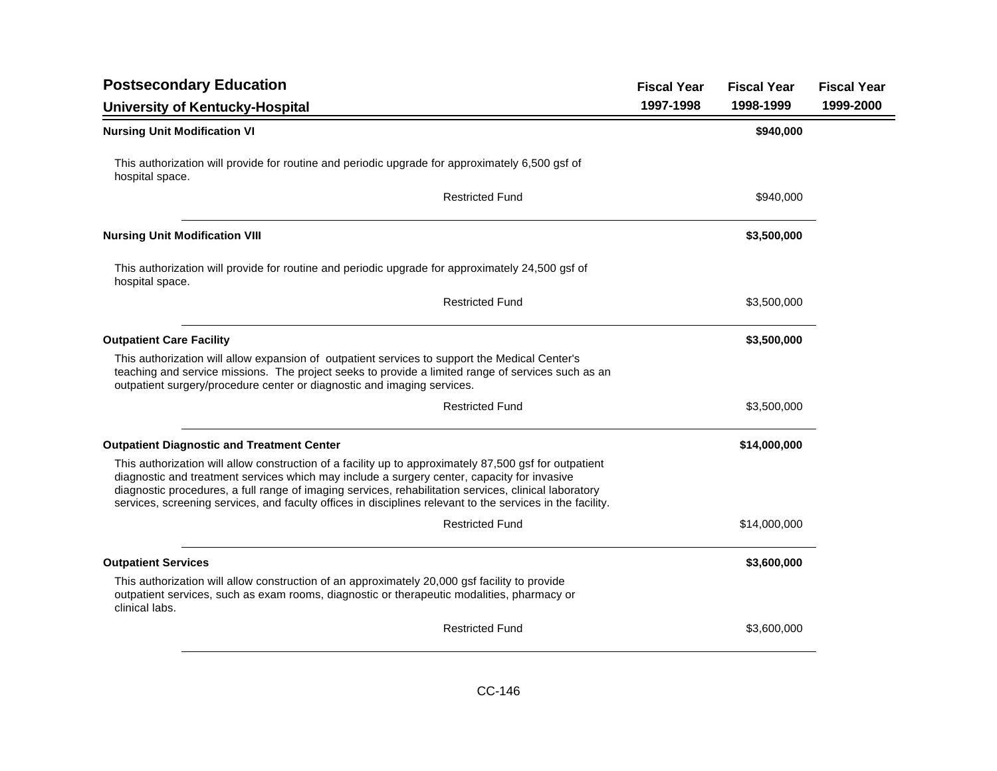| <b>Postsecondary Education</b>                                                                                                                                                                                                                                                                                                                                                                                               | <b>Fiscal Year</b> | <b>Fiscal Year</b> | <b>Fiscal Year</b> |
|------------------------------------------------------------------------------------------------------------------------------------------------------------------------------------------------------------------------------------------------------------------------------------------------------------------------------------------------------------------------------------------------------------------------------|--------------------|--------------------|--------------------|
| University of Kentucky-Hospital                                                                                                                                                                                                                                                                                                                                                                                              | 1997-1998          | 1998-1999          | 1999-2000          |
| <b>Nursing Unit Modification VI</b>                                                                                                                                                                                                                                                                                                                                                                                          |                    | \$940,000          |                    |
| This authorization will provide for routine and periodic upgrade for approximately 6,500 gsf of<br>hospital space.                                                                                                                                                                                                                                                                                                           |                    |                    |                    |
| <b>Restricted Fund</b>                                                                                                                                                                                                                                                                                                                                                                                                       |                    | \$940,000          |                    |
| <b>Nursing Unit Modification VIII</b>                                                                                                                                                                                                                                                                                                                                                                                        |                    | \$3,500,000        |                    |
| This authorization will provide for routine and periodic upgrade for approximately 24,500 gsf of<br>hospital space.                                                                                                                                                                                                                                                                                                          |                    |                    |                    |
| <b>Restricted Fund</b>                                                                                                                                                                                                                                                                                                                                                                                                       |                    | \$3,500,000        |                    |
| <b>Outpatient Care Facility</b>                                                                                                                                                                                                                                                                                                                                                                                              |                    | \$3,500,000        |                    |
| This authorization will allow expansion of outpatient services to support the Medical Center's<br>teaching and service missions. The project seeks to provide a limited range of services such as an<br>outpatient surgery/procedure center or diagnostic and imaging services.                                                                                                                                              |                    |                    |                    |
| <b>Restricted Fund</b>                                                                                                                                                                                                                                                                                                                                                                                                       |                    | \$3,500,000        |                    |
| <b>Outpatient Diagnostic and Treatment Center</b>                                                                                                                                                                                                                                                                                                                                                                            |                    | \$14,000,000       |                    |
| This authorization will allow construction of a facility up to approximately 87,500 gsf for outpatient<br>diagnostic and treatment services which may include a surgery center, capacity for invasive<br>diagnostic procedures, a full range of imaging services, rehabilitation services, clinical laboratory<br>services, screening services, and faculty offices in disciplines relevant to the services in the facility. |                    |                    |                    |
| <b>Restricted Fund</b>                                                                                                                                                                                                                                                                                                                                                                                                       |                    | \$14,000,000       |                    |
| <b>Outpatient Services</b>                                                                                                                                                                                                                                                                                                                                                                                                   |                    | \$3,600,000        |                    |
| This authorization will allow construction of an approximately 20,000 gsf facility to provide<br>outpatient services, such as exam rooms, diagnostic or therapeutic modalities, pharmacy or<br>clinical labs.                                                                                                                                                                                                                |                    |                    |                    |
| <b>Restricted Fund</b>                                                                                                                                                                                                                                                                                                                                                                                                       |                    | \$3,600,000        |                    |
|                                                                                                                                                                                                                                                                                                                                                                                                                              |                    |                    |                    |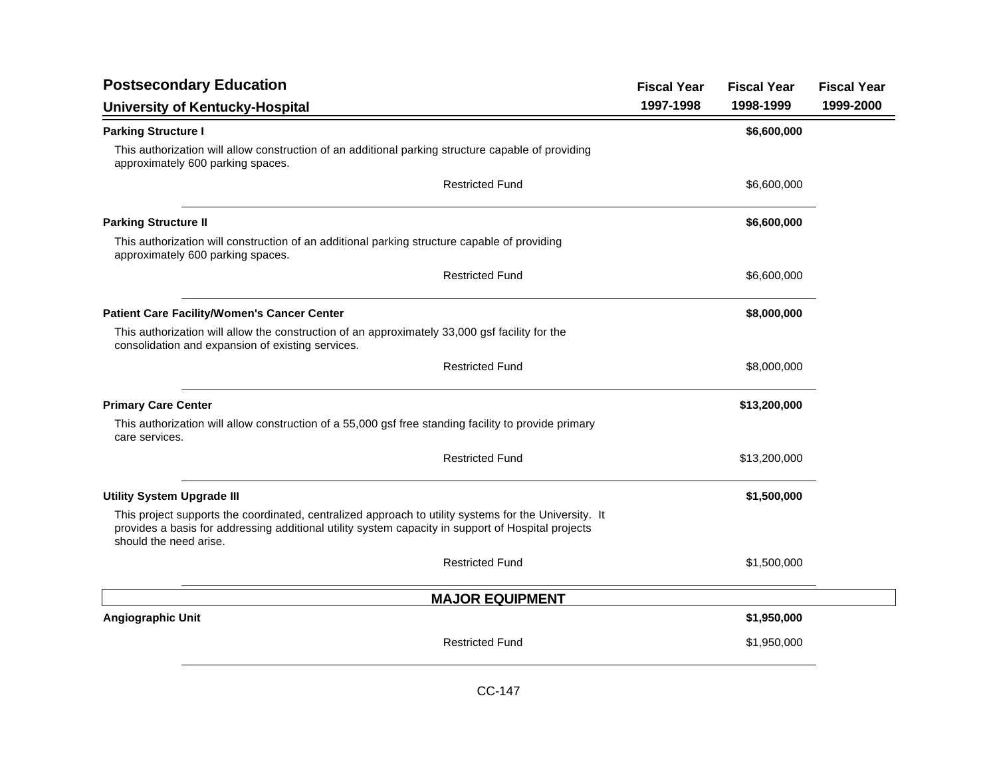| <b>Postsecondary Education</b>                                                                                                                                                                                                        |                        | <b>Fiscal Year</b> | <b>Fiscal Year</b> | <b>Fiscal Year</b> |
|---------------------------------------------------------------------------------------------------------------------------------------------------------------------------------------------------------------------------------------|------------------------|--------------------|--------------------|--------------------|
| <b>University of Kentucky-Hospital</b>                                                                                                                                                                                                |                        | 1997-1998          | 1998-1999          | 1999-2000          |
| <b>Parking Structure I</b>                                                                                                                                                                                                            |                        |                    | \$6,600,000        |                    |
| This authorization will allow construction of an additional parking structure capable of providing<br>approximately 600 parking spaces.                                                                                               |                        |                    |                    |                    |
|                                                                                                                                                                                                                                       | <b>Restricted Fund</b> |                    | \$6,600,000        |                    |
| <b>Parking Structure II</b>                                                                                                                                                                                                           |                        |                    | \$6,600,000        |                    |
| This authorization will construction of an additional parking structure capable of providing<br>approximately 600 parking spaces.                                                                                                     |                        |                    |                    |                    |
|                                                                                                                                                                                                                                       | <b>Restricted Fund</b> |                    | \$6,600,000        |                    |
| <b>Patient Care Facility/Women's Cancer Center</b>                                                                                                                                                                                    |                        |                    | \$8,000,000        |                    |
| This authorization will allow the construction of an approximately 33,000 gsf facility for the<br>consolidation and expansion of existing services.                                                                                   |                        |                    |                    |                    |
|                                                                                                                                                                                                                                       | <b>Restricted Fund</b> |                    | \$8,000,000        |                    |
| <b>Primary Care Center</b>                                                                                                                                                                                                            |                        |                    | \$13,200,000       |                    |
| This authorization will allow construction of a 55,000 gsf free standing facility to provide primary<br>care services.                                                                                                                |                        |                    |                    |                    |
|                                                                                                                                                                                                                                       | <b>Restricted Fund</b> |                    | \$13,200,000       |                    |
| <b>Utility System Upgrade III</b>                                                                                                                                                                                                     |                        |                    | \$1,500,000        |                    |
| This project supports the coordinated, centralized approach to utility systems for the University. It<br>provides a basis for addressing additional utility system capacity in support of Hospital projects<br>should the need arise. |                        |                    |                    |                    |
|                                                                                                                                                                                                                                       | <b>Restricted Fund</b> |                    | \$1,500,000        |                    |
|                                                                                                                                                                                                                                       | <b>MAJOR EQUIPMENT</b> |                    |                    |                    |
| Angiographic Unit                                                                                                                                                                                                                     |                        |                    | \$1,950,000        |                    |
|                                                                                                                                                                                                                                       | <b>Restricted Fund</b> |                    | \$1,950,000        |                    |
|                                                                                                                                                                                                                                       |                        |                    |                    |                    |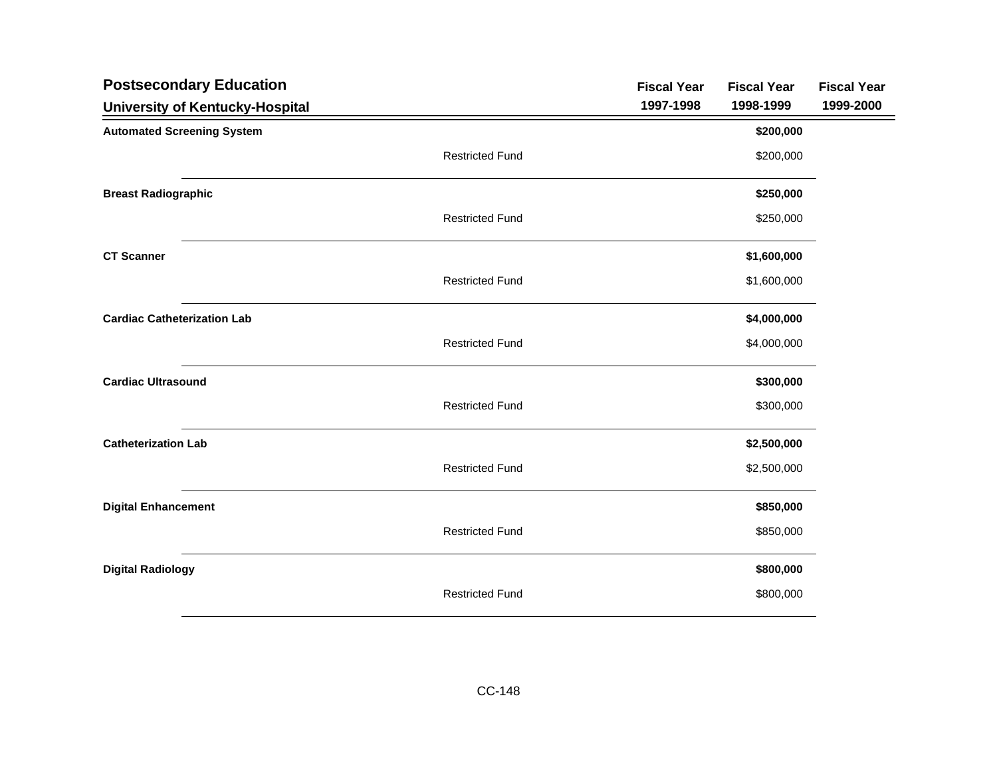| <b>Postsecondary Education</b>     |                        | <b>Fiscal Year</b> | <b>Fiscal Year</b> | <b>Fiscal Year</b> |
|------------------------------------|------------------------|--------------------|--------------------|--------------------|
| University of Kentucky-Hospital    |                        | 1997-1998          | 1998-1999          | 1999-2000          |
| <b>Automated Screening System</b>  |                        |                    | \$200,000          |                    |
|                                    | <b>Restricted Fund</b> |                    | \$200,000          |                    |
| <b>Breast Radiographic</b>         |                        |                    | \$250,000          |                    |
|                                    | <b>Restricted Fund</b> |                    | \$250,000          |                    |
| <b>CT Scanner</b>                  |                        |                    | \$1,600,000        |                    |
|                                    | <b>Restricted Fund</b> |                    | \$1,600,000        |                    |
| <b>Cardiac Catheterization Lab</b> |                        |                    | \$4,000,000        |                    |
|                                    | <b>Restricted Fund</b> |                    | \$4,000,000        |                    |
| <b>Cardiac Ultrasound</b>          |                        |                    | \$300,000          |                    |
|                                    | <b>Restricted Fund</b> |                    | \$300,000          |                    |
| <b>Catheterization Lab</b>         |                        |                    | \$2,500,000        |                    |
|                                    | <b>Restricted Fund</b> |                    | \$2,500,000        |                    |
| <b>Digital Enhancement</b>         |                        |                    | \$850,000          |                    |
|                                    | <b>Restricted Fund</b> |                    | \$850,000          |                    |
| <b>Digital Radiology</b>           |                        |                    | \$800,000          |                    |
|                                    | <b>Restricted Fund</b> |                    | \$800,000          |                    |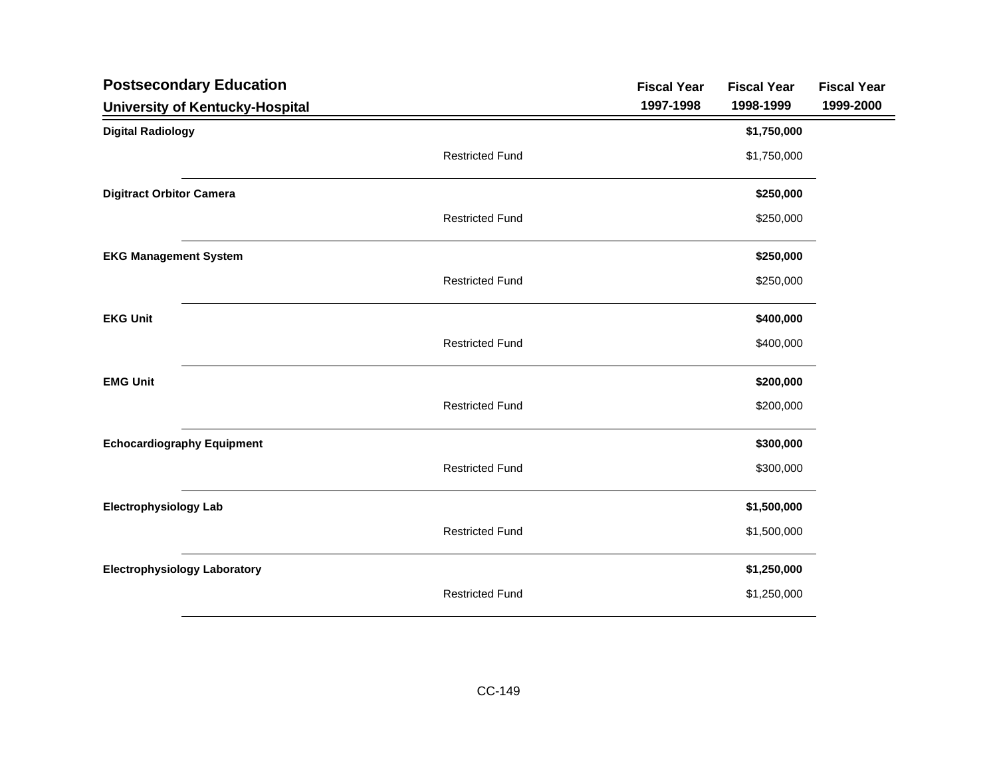| <b>Postsecondary Education</b>         | <b>Fiscal Year</b> | <b>Fiscal Year</b> | <b>Fiscal Year</b> |
|----------------------------------------|--------------------|--------------------|--------------------|
| <b>University of Kentucky-Hospital</b> | 1997-1998          | 1998-1999          | 1999-2000          |
| <b>Digital Radiology</b>               |                    | \$1,750,000        |                    |
| <b>Restricted Fund</b>                 |                    | \$1,750,000        |                    |
| <b>Digitract Orbitor Camera</b>        |                    | \$250,000          |                    |
| <b>Restricted Fund</b>                 |                    | \$250,000          |                    |
| <b>EKG Management System</b>           |                    | \$250,000          |                    |
| <b>Restricted Fund</b>                 |                    | \$250,000          |                    |
| <b>EKG Unit</b>                        |                    | \$400,000          |                    |
| <b>Restricted Fund</b>                 |                    | \$400,000          |                    |
| <b>EMG Unit</b>                        |                    | \$200,000          |                    |
| <b>Restricted Fund</b>                 |                    | \$200,000          |                    |
| <b>Echocardiography Equipment</b>      |                    | \$300,000          |                    |
| <b>Restricted Fund</b>                 |                    | \$300,000          |                    |
| <b>Electrophysiology Lab</b>           |                    | \$1,500,000        |                    |
| <b>Restricted Fund</b>                 |                    | \$1,500,000        |                    |
| <b>Electrophysiology Laboratory</b>    |                    | \$1,250,000        |                    |
| <b>Restricted Fund</b>                 |                    | \$1,250,000        |                    |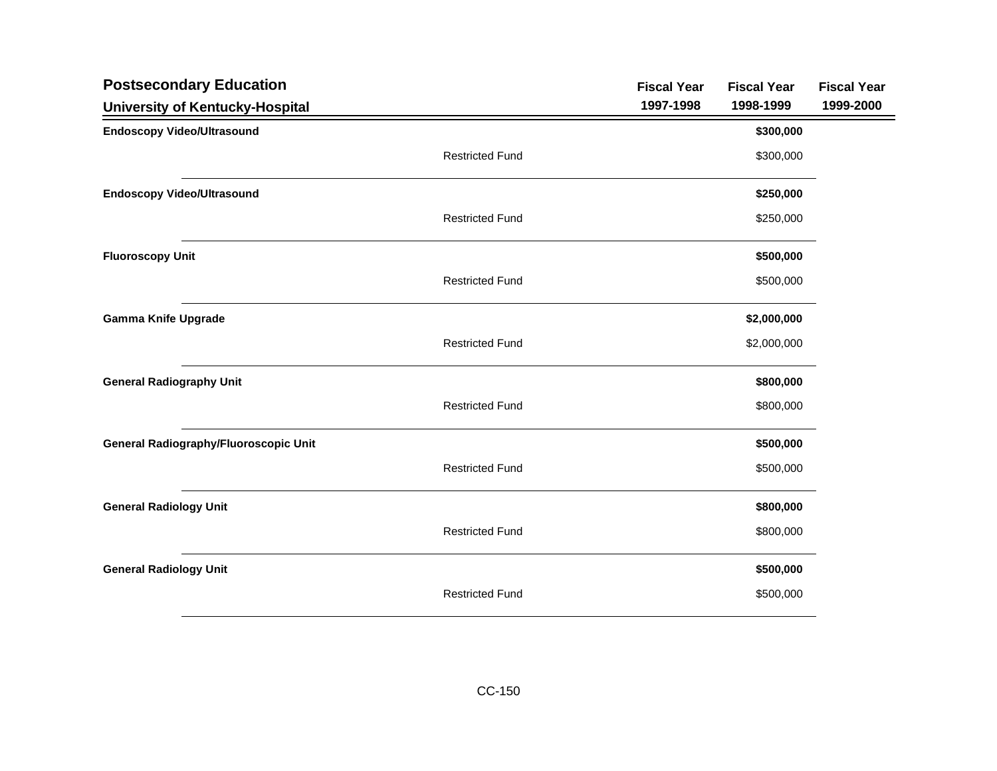| <b>Postsecondary Education</b>               |                        | <b>Fiscal Year</b> | <b>Fiscal Year</b> | <b>Fiscal Year</b> |
|----------------------------------------------|------------------------|--------------------|--------------------|--------------------|
| University of Kentucky-Hospital              |                        | 1997-1998          | 1998-1999          | 1999-2000          |
| <b>Endoscopy Video/Ultrasound</b>            |                        |                    | \$300,000          |                    |
|                                              | <b>Restricted Fund</b> |                    | \$300,000          |                    |
| <b>Endoscopy Video/Ultrasound</b>            |                        |                    | \$250,000          |                    |
|                                              | <b>Restricted Fund</b> |                    | \$250,000          |                    |
| <b>Fluoroscopy Unit</b>                      |                        |                    | \$500,000          |                    |
|                                              | <b>Restricted Fund</b> |                    | \$500,000          |                    |
| <b>Gamma Knife Upgrade</b>                   |                        |                    | \$2,000,000        |                    |
|                                              | <b>Restricted Fund</b> |                    | \$2,000,000        |                    |
| <b>General Radiography Unit</b>              |                        |                    | \$800,000          |                    |
|                                              | <b>Restricted Fund</b> |                    | \$800,000          |                    |
| <b>General Radiography/Fluoroscopic Unit</b> |                        |                    | \$500,000          |                    |
|                                              | <b>Restricted Fund</b> |                    | \$500,000          |                    |
| <b>General Radiology Unit</b>                |                        |                    | \$800,000          |                    |
|                                              | <b>Restricted Fund</b> |                    | \$800,000          |                    |
| <b>General Radiology Unit</b>                |                        |                    | \$500,000          |                    |
|                                              | <b>Restricted Fund</b> |                    | \$500,000          |                    |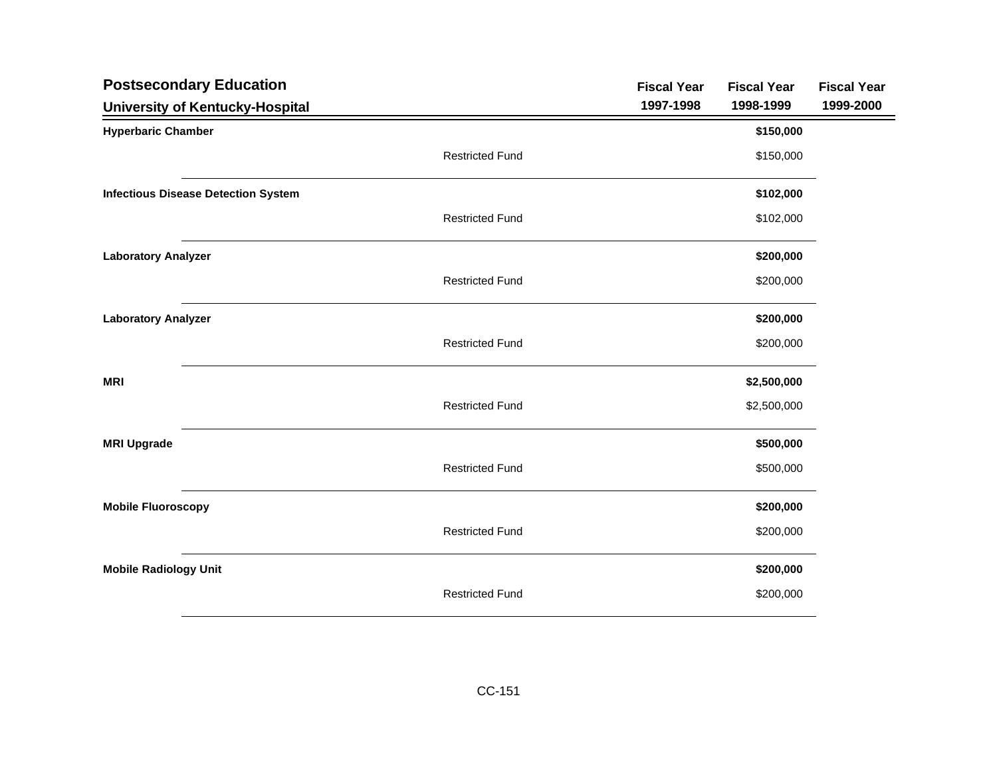| <b>Postsecondary Education</b>             |                        | <b>Fiscal Year</b> | <b>Fiscal Year</b> | <b>Fiscal Year</b> |
|--------------------------------------------|------------------------|--------------------|--------------------|--------------------|
| <b>University of Kentucky-Hospital</b>     |                        | 1997-1998          | 1998-1999          | 1999-2000          |
| <b>Hyperbaric Chamber</b>                  |                        |                    | \$150,000          |                    |
|                                            | <b>Restricted Fund</b> |                    | \$150,000          |                    |
| <b>Infectious Disease Detection System</b> |                        |                    | \$102,000          |                    |
|                                            | <b>Restricted Fund</b> |                    | \$102,000          |                    |
| <b>Laboratory Analyzer</b>                 |                        |                    | \$200,000          |                    |
|                                            | <b>Restricted Fund</b> |                    | \$200,000          |                    |
| <b>Laboratory Analyzer</b>                 |                        |                    | \$200,000          |                    |
|                                            | <b>Restricted Fund</b> |                    | \$200,000          |                    |
| <b>MRI</b>                                 |                        |                    | \$2,500,000        |                    |
|                                            | <b>Restricted Fund</b> |                    | \$2,500,000        |                    |
| <b>MRI Upgrade</b>                         |                        |                    | \$500,000          |                    |
|                                            | <b>Restricted Fund</b> |                    | \$500,000          |                    |
| <b>Mobile Fluoroscopy</b>                  |                        |                    | \$200,000          |                    |
|                                            | <b>Restricted Fund</b> |                    | \$200,000          |                    |
| <b>Mobile Radiology Unit</b>               |                        |                    | \$200,000          |                    |
|                                            | <b>Restricted Fund</b> |                    | \$200,000          |                    |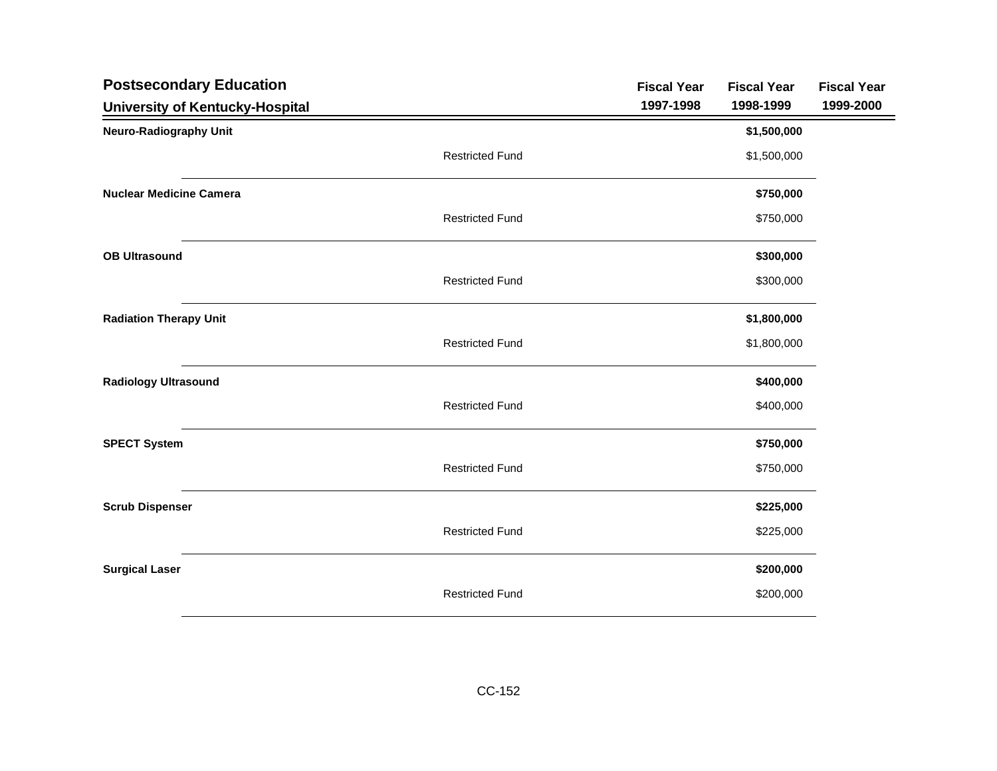| <b>Postsecondary Education</b>  | <b>Fiscal Year</b> | <b>Fiscal Year</b> | <b>Fiscal Year</b> |
|---------------------------------|--------------------|--------------------|--------------------|
| University of Kentucky-Hospital | 1997-1998          | 1998-1999          | 1999-2000          |
| <b>Neuro-Radiography Unit</b>   |                    | \$1,500,000        |                    |
| <b>Restricted Fund</b>          |                    | \$1,500,000        |                    |
| <b>Nuclear Medicine Camera</b>  |                    | \$750,000          |                    |
| <b>Restricted Fund</b>          |                    | \$750,000          |                    |
| <b>OB Ultrasound</b>            |                    | \$300,000          |                    |
| <b>Restricted Fund</b>          |                    | \$300,000          |                    |
| <b>Radiation Therapy Unit</b>   |                    | \$1,800,000        |                    |
| <b>Restricted Fund</b>          |                    | \$1,800,000        |                    |
| <b>Radiology Ultrasound</b>     |                    | \$400,000          |                    |
| <b>Restricted Fund</b>          |                    | \$400,000          |                    |
| <b>SPECT System</b>             |                    | \$750,000          |                    |
| <b>Restricted Fund</b>          |                    | \$750,000          |                    |
| <b>Scrub Dispenser</b>          |                    | \$225,000          |                    |
| <b>Restricted Fund</b>          |                    | \$225,000          |                    |
| <b>Surgical Laser</b>           |                    | \$200,000          |                    |
| <b>Restricted Fund</b>          |                    | \$200,000          |                    |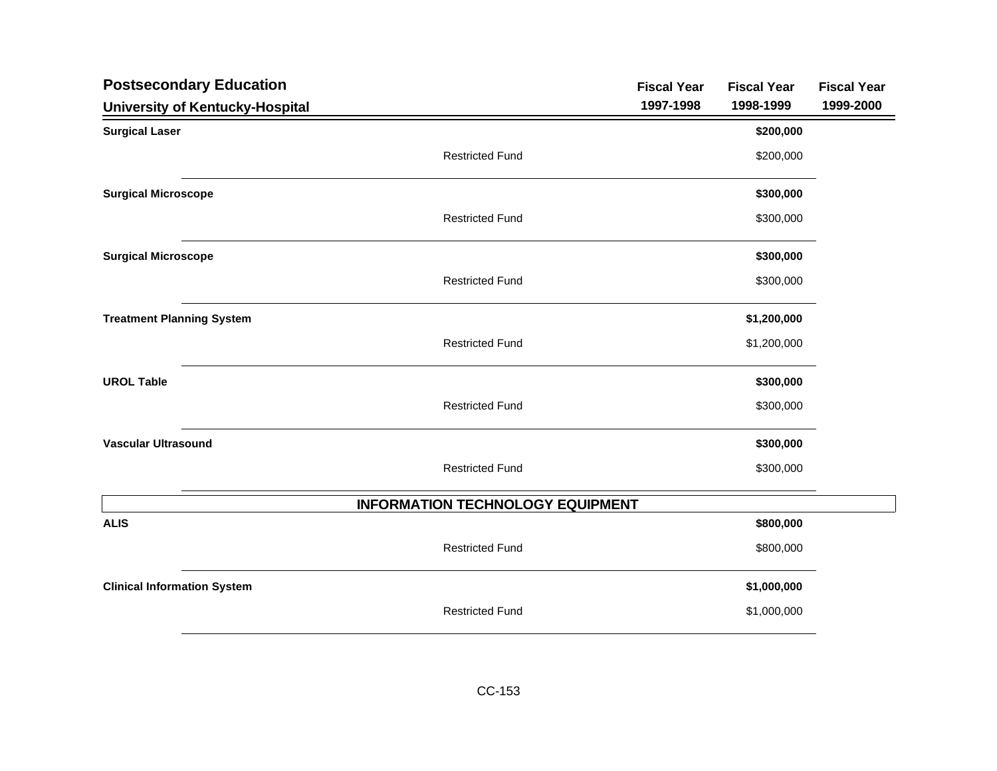| <b>Postsecondary Education</b>     |                                         | <b>Fiscal Year</b> | <b>Fiscal Year</b> | <b>Fiscal Year</b> |
|------------------------------------|-----------------------------------------|--------------------|--------------------|--------------------|
| University of Kentucky-Hospital    |                                         | 1997-1998          | 1998-1999          | 1999-2000          |
| <b>Surgical Laser</b>              |                                         |                    | \$200,000          |                    |
|                                    | <b>Restricted Fund</b>                  |                    | \$200,000          |                    |
| <b>Surgical Microscope</b>         |                                         |                    | \$300,000          |                    |
|                                    | <b>Restricted Fund</b>                  |                    | \$300,000          |                    |
| <b>Surgical Microscope</b>         |                                         |                    | \$300,000          |                    |
|                                    | <b>Restricted Fund</b>                  |                    | \$300,000          |                    |
| <b>Treatment Planning System</b>   |                                         |                    | \$1,200,000        |                    |
|                                    | <b>Restricted Fund</b>                  |                    | \$1,200,000        |                    |
| <b>UROL Table</b>                  |                                         |                    | \$300,000          |                    |
|                                    | <b>Restricted Fund</b>                  |                    | \$300,000          |                    |
| <b>Vascular Ultrasound</b>         |                                         |                    | \$300,000          |                    |
|                                    | <b>Restricted Fund</b>                  |                    | \$300,000          |                    |
|                                    | <b>INFORMATION TECHNOLOGY EQUIPMENT</b> |                    |                    |                    |
| <b>ALIS</b>                        |                                         |                    | \$800,000          |                    |
|                                    | <b>Restricted Fund</b>                  |                    | \$800,000          |                    |
| <b>Clinical Information System</b> |                                         |                    | \$1,000,000        |                    |
|                                    | <b>Restricted Fund</b>                  |                    | \$1,000,000        |                    |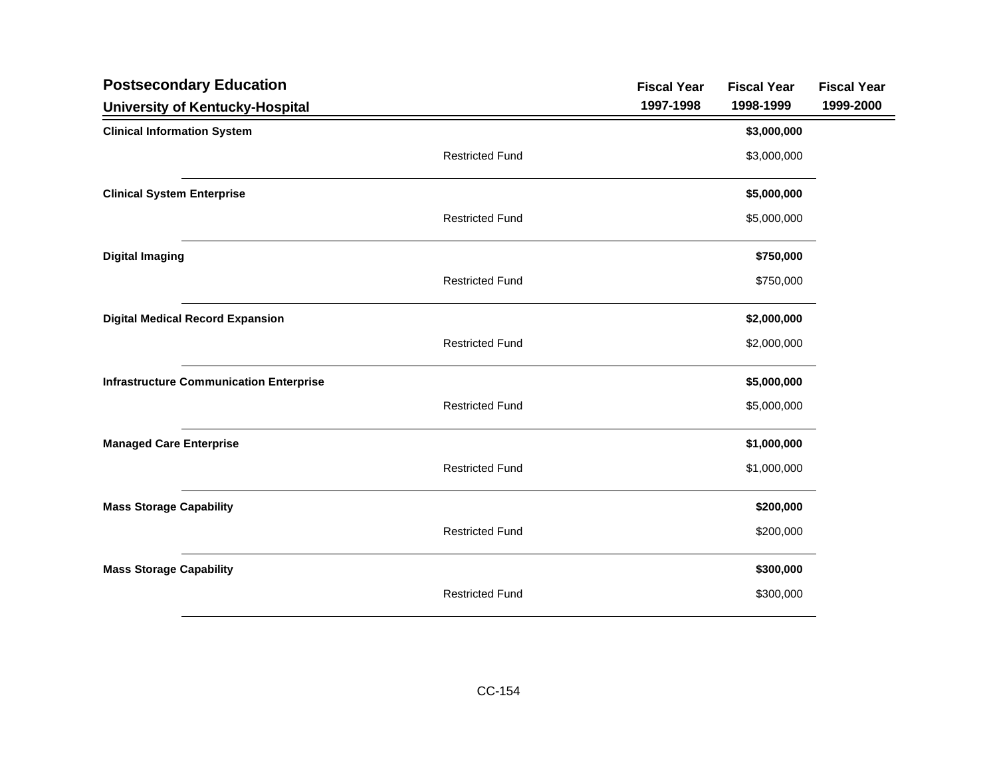| <b>Postsecondary Education</b>                 |                        | <b>Fiscal Year</b> | <b>Fiscal Year</b> | <b>Fiscal Year</b> |
|------------------------------------------------|------------------------|--------------------|--------------------|--------------------|
| University of Kentucky-Hospital                |                        | 1997-1998          | 1998-1999          | 1999-2000          |
| <b>Clinical Information System</b>             |                        |                    | \$3,000,000        |                    |
|                                                | <b>Restricted Fund</b> |                    | \$3,000,000        |                    |
| <b>Clinical System Enterprise</b>              |                        |                    | \$5,000,000        |                    |
|                                                | <b>Restricted Fund</b> |                    | \$5,000,000        |                    |
| <b>Digital Imaging</b>                         |                        |                    | \$750,000          |                    |
|                                                | <b>Restricted Fund</b> |                    | \$750,000          |                    |
| <b>Digital Medical Record Expansion</b>        |                        |                    | \$2,000,000        |                    |
|                                                | <b>Restricted Fund</b> |                    | \$2,000,000        |                    |
| <b>Infrastructure Communication Enterprise</b> |                        |                    | \$5,000,000        |                    |
|                                                | <b>Restricted Fund</b> |                    | \$5,000,000        |                    |
| <b>Managed Care Enterprise</b>                 |                        |                    | \$1,000,000        |                    |
|                                                | <b>Restricted Fund</b> |                    | \$1,000,000        |                    |
| <b>Mass Storage Capability</b>                 |                        |                    | \$200,000          |                    |
|                                                | <b>Restricted Fund</b> |                    | \$200,000          |                    |
| <b>Mass Storage Capability</b>                 |                        |                    | \$300,000          |                    |
|                                                | <b>Restricted Fund</b> |                    | \$300,000          |                    |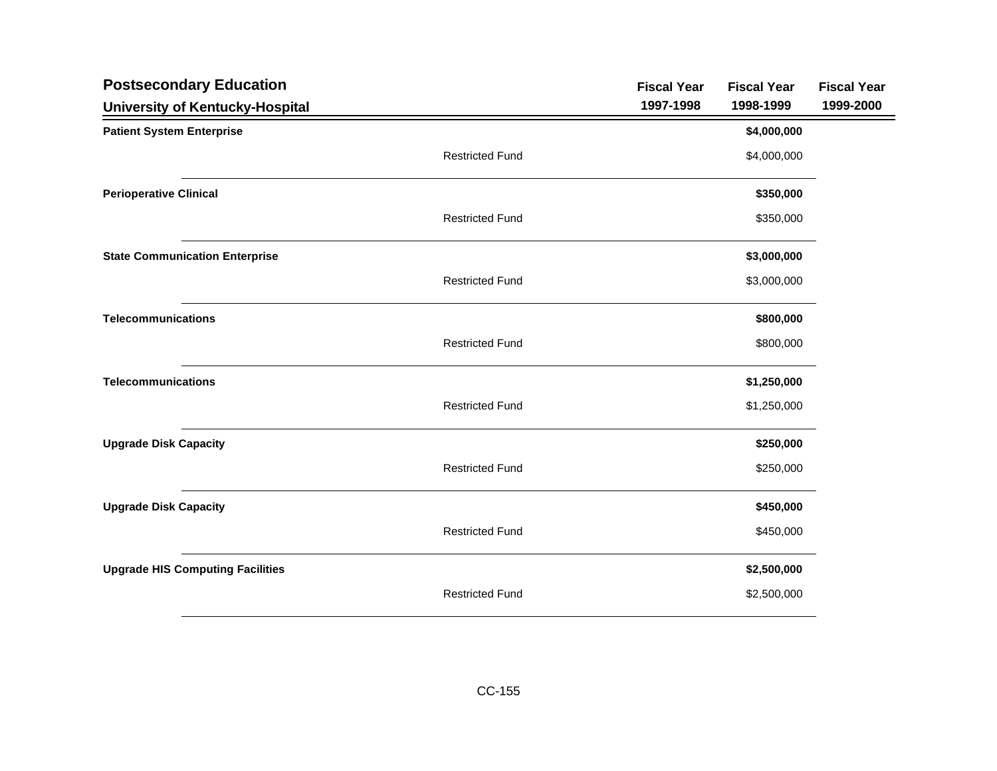| <b>Postsecondary Education</b>          |                        | <b>Fiscal Year</b> | <b>Fiscal Year</b> | <b>Fiscal Year</b> |
|-----------------------------------------|------------------------|--------------------|--------------------|--------------------|
| University of Kentucky-Hospital         |                        | 1997-1998          | 1998-1999          | 1999-2000          |
| <b>Patient System Enterprise</b>        |                        |                    | \$4,000,000        |                    |
|                                         | <b>Restricted Fund</b> |                    | \$4,000,000        |                    |
| <b>Perioperative Clinical</b>           |                        |                    | \$350,000          |                    |
|                                         | <b>Restricted Fund</b> |                    | \$350,000          |                    |
| <b>State Communication Enterprise</b>   |                        |                    | \$3,000,000        |                    |
|                                         | <b>Restricted Fund</b> |                    | \$3,000,000        |                    |
| <b>Telecommunications</b>               |                        |                    | \$800,000          |                    |
|                                         | <b>Restricted Fund</b> |                    | \$800,000          |                    |
| <b>Telecommunications</b>               |                        |                    | \$1,250,000        |                    |
|                                         | <b>Restricted Fund</b> |                    | \$1,250,000        |                    |
| <b>Upgrade Disk Capacity</b>            |                        |                    | \$250,000          |                    |
|                                         | <b>Restricted Fund</b> |                    | \$250,000          |                    |
| <b>Upgrade Disk Capacity</b>            |                        |                    | \$450,000          |                    |
|                                         | <b>Restricted Fund</b> |                    | \$450,000          |                    |
| <b>Upgrade HIS Computing Facilities</b> |                        |                    | \$2,500,000        |                    |
|                                         | <b>Restricted Fund</b> |                    | \$2,500,000        |                    |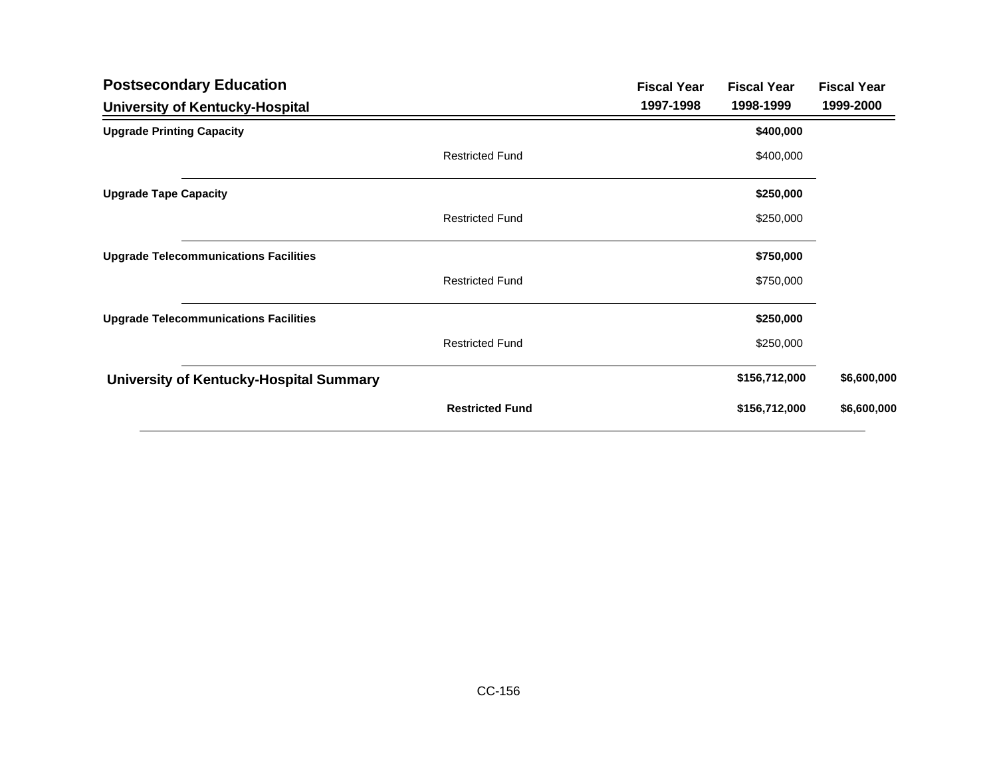| <b>Postsecondary Education</b>               |                        | <b>Fiscal Year</b> | <b>Fiscal Year</b> | <b>Fiscal Year</b> |
|----------------------------------------------|------------------------|--------------------|--------------------|--------------------|
| University of Kentucky-Hospital              |                        | 1997-1998          | 1998-1999          | 1999-2000          |
| <b>Upgrade Printing Capacity</b>             |                        |                    | \$400,000          |                    |
|                                              | <b>Restricted Fund</b> |                    | \$400,000          |                    |
| <b>Upgrade Tape Capacity</b>                 |                        |                    | \$250,000          |                    |
|                                              | <b>Restricted Fund</b> |                    | \$250,000          |                    |
| <b>Upgrade Telecommunications Facilities</b> |                        |                    | \$750,000          |                    |
|                                              | <b>Restricted Fund</b> |                    | \$750,000          |                    |
| <b>Upgrade Telecommunications Facilities</b> |                        |                    | \$250,000          |                    |
|                                              | <b>Restricted Fund</b> |                    | \$250,000          |                    |
| University of Kentucky-Hospital Summary      |                        |                    | \$156,712,000      | \$6,600,000        |
|                                              | <b>Restricted Fund</b> |                    | \$156,712,000      | \$6,600,000        |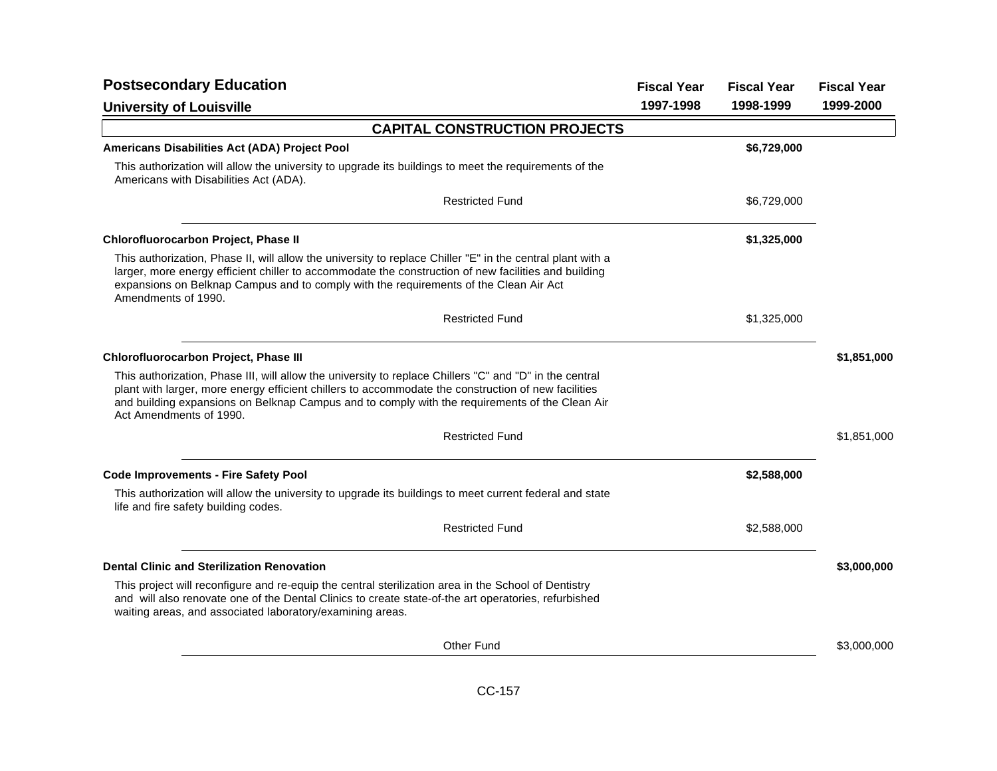| <b>Postsecondary Education</b>                                                                                                                                                                                                                                                                                                              |           | <b>Fiscal Year</b> | <b>Fiscal Year</b> |
|---------------------------------------------------------------------------------------------------------------------------------------------------------------------------------------------------------------------------------------------------------------------------------------------------------------------------------------------|-----------|--------------------|--------------------|
| <b>University of Louisville</b>                                                                                                                                                                                                                                                                                                             | 1997-1998 | 1998-1999          | 1999-2000          |
| <b>CAPITAL CONSTRUCTION PROJECTS</b>                                                                                                                                                                                                                                                                                                        |           |                    |                    |
| Americans Disabilities Act (ADA) Project Pool                                                                                                                                                                                                                                                                                               |           | \$6,729,000        |                    |
| This authorization will allow the university to upgrade its buildings to meet the requirements of the<br>Americans with Disabilities Act (ADA).                                                                                                                                                                                             |           |                    |                    |
| <b>Restricted Fund</b>                                                                                                                                                                                                                                                                                                                      |           | \$6,729,000        |                    |
| Chlorofluorocarbon Project, Phase II                                                                                                                                                                                                                                                                                                        |           | \$1,325,000        |                    |
| This authorization, Phase II, will allow the university to replace Chiller "E" in the central plant with a<br>larger, more energy efficient chiller to accommodate the construction of new facilities and building<br>expansions on Belknap Campus and to comply with the requirements of the Clean Air Act<br>Amendments of 1990.          |           |                    |                    |
| <b>Restricted Fund</b>                                                                                                                                                                                                                                                                                                                      |           | \$1,325,000        |                    |
| Chlorofluorocarbon Project, Phase III                                                                                                                                                                                                                                                                                                       |           |                    | \$1,851,000        |
| This authorization, Phase III, will allow the university to replace Chillers "C" and "D" in the central<br>plant with larger, more energy efficient chillers to accommodate the construction of new facilities<br>and building expansions on Belknap Campus and to comply with the requirements of the Clean Air<br>Act Amendments of 1990. |           |                    |                    |
| <b>Restricted Fund</b>                                                                                                                                                                                                                                                                                                                      |           |                    | \$1,851,000        |
| <b>Code Improvements - Fire Safety Pool</b>                                                                                                                                                                                                                                                                                                 |           | \$2,588,000        |                    |
| This authorization will allow the university to upgrade its buildings to meet current federal and state<br>life and fire safety building codes.                                                                                                                                                                                             |           |                    |                    |
| <b>Restricted Fund</b>                                                                                                                                                                                                                                                                                                                      |           | \$2,588,000        |                    |
| <b>Dental Clinic and Sterilization Renovation</b>                                                                                                                                                                                                                                                                                           |           |                    | \$3,000,000        |
| This project will reconfigure and re-equip the central sterilization area in the School of Dentistry<br>and will also renovate one of the Dental Clinics to create state-of-the art operatories, refurbished<br>waiting areas, and associated laboratory/examining areas.                                                                   |           |                    |                    |
| <b>Other Fund</b>                                                                                                                                                                                                                                                                                                                           |           |                    | \$3,000,000        |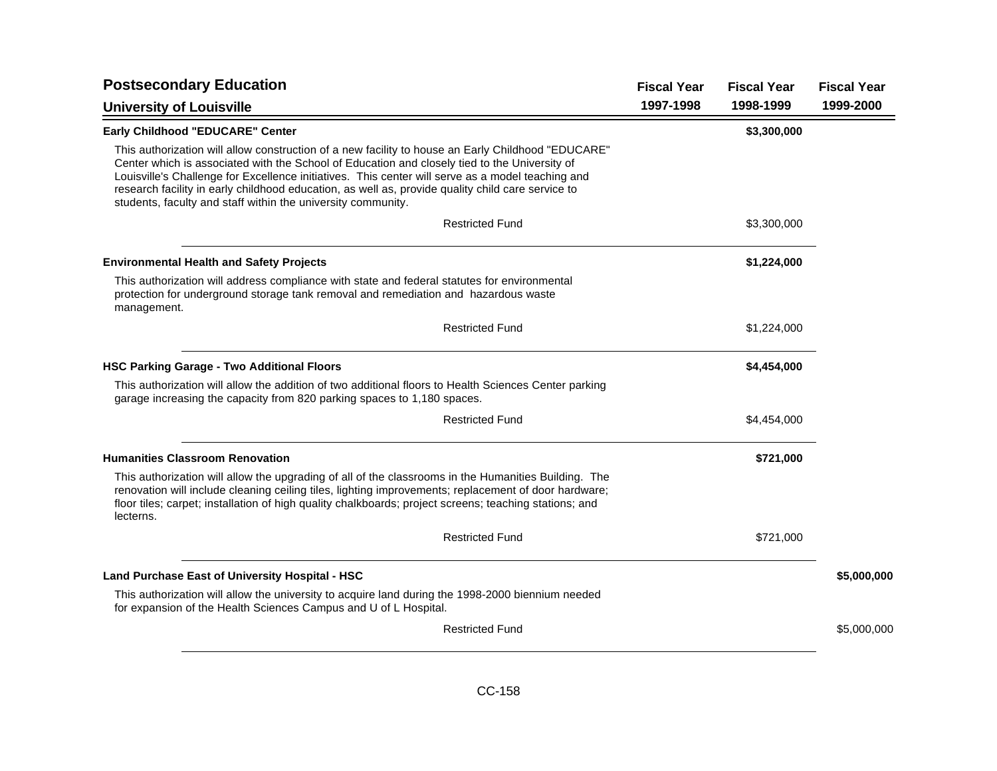| <b>Postsecondary Education</b>                                                                                                                                                                                                                                                                                                                                                                                                                                                | <b>Fiscal Year</b> | <b>Fiscal Year</b> | <b>Fiscal Year</b> |
|-------------------------------------------------------------------------------------------------------------------------------------------------------------------------------------------------------------------------------------------------------------------------------------------------------------------------------------------------------------------------------------------------------------------------------------------------------------------------------|--------------------|--------------------|--------------------|
| <b>University of Louisville</b>                                                                                                                                                                                                                                                                                                                                                                                                                                               | 1997-1998          | 1998-1999          | 1999-2000          |
| Early Childhood "EDUCARE" Center                                                                                                                                                                                                                                                                                                                                                                                                                                              |                    | \$3,300,000        |                    |
| This authorization will allow construction of a new facility to house an Early Childhood "EDUCARE"<br>Center which is associated with the School of Education and closely tied to the University of<br>Louisville's Challenge for Excellence initiatives. This center will serve as a model teaching and<br>research facility in early childhood education, as well as, provide quality child care service to<br>students, faculty and staff within the university community. |                    |                    |                    |
| <b>Restricted Fund</b>                                                                                                                                                                                                                                                                                                                                                                                                                                                        |                    | \$3,300,000        |                    |
| <b>Environmental Health and Safety Projects</b>                                                                                                                                                                                                                                                                                                                                                                                                                               |                    | \$1,224,000        |                    |
| This authorization will address compliance with state and federal statutes for environmental<br>protection for underground storage tank removal and remediation and hazardous waste<br>management.                                                                                                                                                                                                                                                                            |                    |                    |                    |
| <b>Restricted Fund</b>                                                                                                                                                                                                                                                                                                                                                                                                                                                        |                    | \$1,224,000        |                    |
| <b>HSC Parking Garage - Two Additional Floors</b>                                                                                                                                                                                                                                                                                                                                                                                                                             |                    | \$4,454,000        |                    |
| This authorization will allow the addition of two additional floors to Health Sciences Center parking<br>garage increasing the capacity from 820 parking spaces to 1,180 spaces.                                                                                                                                                                                                                                                                                              |                    |                    |                    |
| <b>Restricted Fund</b>                                                                                                                                                                                                                                                                                                                                                                                                                                                        |                    | \$4,454,000        |                    |
| <b>Humanities Classroom Renovation</b>                                                                                                                                                                                                                                                                                                                                                                                                                                        |                    | \$721,000          |                    |
| This authorization will allow the upgrading of all of the classrooms in the Humanities Building. The<br>renovation will include cleaning ceiling tiles, lighting improvements; replacement of door hardware;<br>floor tiles; carpet; installation of high quality chalkboards; project screens; teaching stations; and<br>lecterns.                                                                                                                                           |                    |                    |                    |
| <b>Restricted Fund</b>                                                                                                                                                                                                                                                                                                                                                                                                                                                        |                    | \$721,000          |                    |
| Land Purchase East of University Hospital - HSC                                                                                                                                                                                                                                                                                                                                                                                                                               |                    |                    | \$5,000,000        |
| This authorization will allow the university to acquire land during the 1998-2000 biennium needed<br>for expansion of the Health Sciences Campus and U of L Hospital.                                                                                                                                                                                                                                                                                                         |                    |                    |                    |
| <b>Restricted Fund</b>                                                                                                                                                                                                                                                                                                                                                                                                                                                        |                    |                    | \$5,000,000        |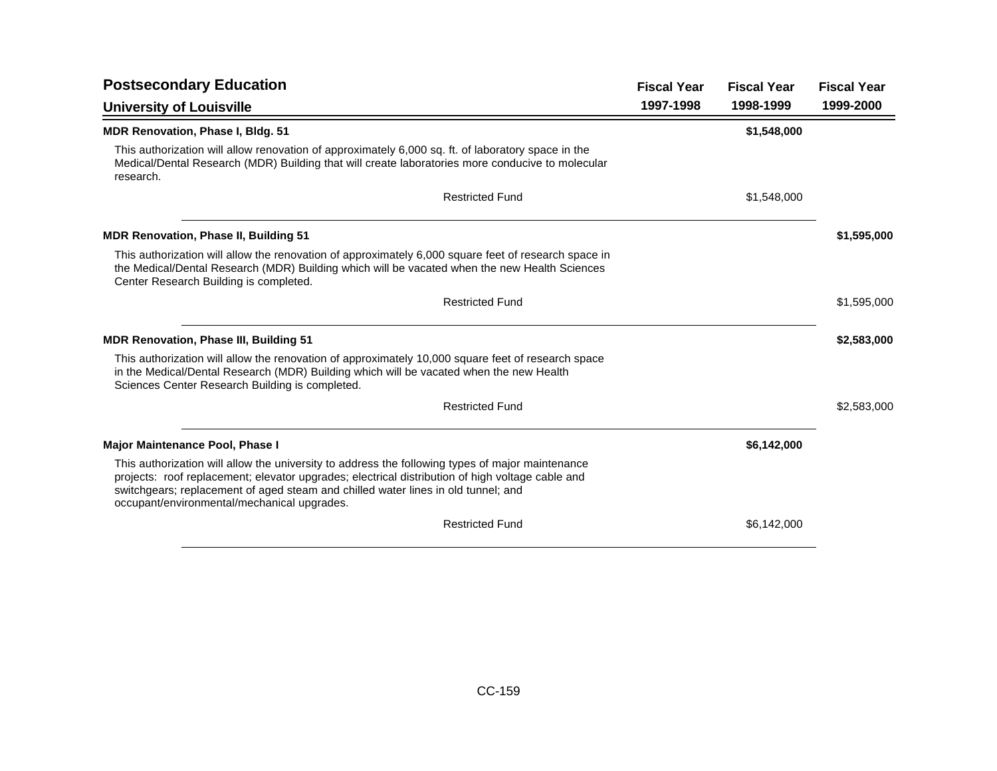| <b>Postsecondary Education</b>                                                                                                                                                                                                                                                                                                           | <b>Fiscal Year</b> | <b>Fiscal Year</b> | <b>Fiscal Year</b> |
|------------------------------------------------------------------------------------------------------------------------------------------------------------------------------------------------------------------------------------------------------------------------------------------------------------------------------------------|--------------------|--------------------|--------------------|
| <b>University of Louisville</b>                                                                                                                                                                                                                                                                                                          | 1997-1998          | 1998-1999          | 1999-2000          |
| <b>MDR Renovation, Phase I, Bldg. 51</b>                                                                                                                                                                                                                                                                                                 |                    | \$1,548,000        |                    |
| This authorization will allow renovation of approximately 6,000 sq. ft. of laboratory space in the<br>Medical/Dental Research (MDR) Building that will create laboratories more conducive to molecular<br>research.                                                                                                                      |                    |                    |                    |
| <b>Restricted Fund</b>                                                                                                                                                                                                                                                                                                                   |                    | \$1,548,000        |                    |
| <b>MDR Renovation, Phase II, Building 51</b>                                                                                                                                                                                                                                                                                             |                    |                    | \$1,595,000        |
| This authorization will allow the renovation of approximately 6,000 square feet of research space in<br>the Medical/Dental Research (MDR) Building which will be vacated when the new Health Sciences<br>Center Research Building is completed.                                                                                          |                    |                    |                    |
| <b>Restricted Fund</b>                                                                                                                                                                                                                                                                                                                   |                    |                    | \$1,595,000        |
| <b>MDR Renovation, Phase III, Building 51</b>                                                                                                                                                                                                                                                                                            |                    |                    | \$2,583,000        |
| This authorization will allow the renovation of approximately 10,000 square feet of research space<br>in the Medical/Dental Research (MDR) Building which will be vacated when the new Health<br>Sciences Center Research Building is completed.                                                                                         |                    |                    |                    |
| <b>Restricted Fund</b>                                                                                                                                                                                                                                                                                                                   |                    |                    | \$2,583,000        |
| Major Maintenance Pool, Phase I                                                                                                                                                                                                                                                                                                          |                    | \$6,142,000        |                    |
| This authorization will allow the university to address the following types of major maintenance<br>projects: roof replacement; elevator upgrades; electrical distribution of high voltage cable and<br>switchgears; replacement of aged steam and chilled water lines in old tunnel; and<br>occupant/environmental/mechanical upgrades. |                    |                    |                    |
| <b>Restricted Fund</b>                                                                                                                                                                                                                                                                                                                   |                    | \$6,142,000        |                    |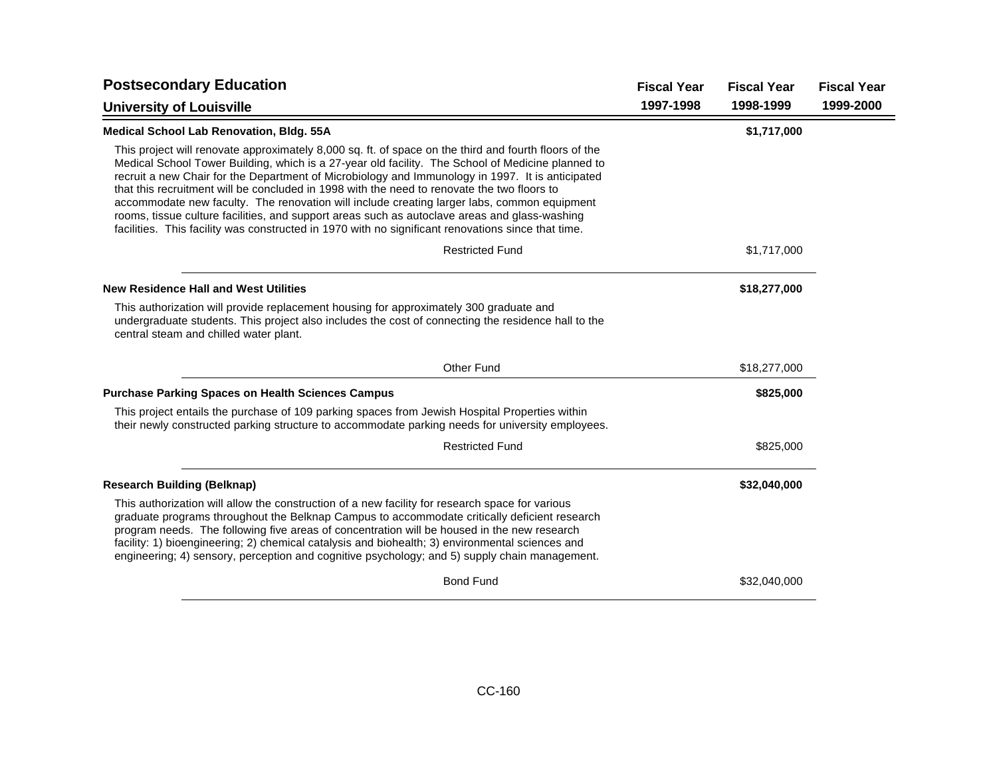| <b>Postsecondary Education</b>                                                                                                                                                                                                                                                                                                                                                                                                                                                                                                                                                                                                                                                                                      | <b>Fiscal Year</b> | <b>Fiscal Year</b> | <b>Fiscal Year</b> |
|---------------------------------------------------------------------------------------------------------------------------------------------------------------------------------------------------------------------------------------------------------------------------------------------------------------------------------------------------------------------------------------------------------------------------------------------------------------------------------------------------------------------------------------------------------------------------------------------------------------------------------------------------------------------------------------------------------------------|--------------------|--------------------|--------------------|
| <b>University of Louisville</b>                                                                                                                                                                                                                                                                                                                                                                                                                                                                                                                                                                                                                                                                                     | 1997-1998          | 1998-1999          | 1999-2000          |
| <b>Medical School Lab Renovation, Bldg. 55A</b>                                                                                                                                                                                                                                                                                                                                                                                                                                                                                                                                                                                                                                                                     |                    | \$1,717,000        |                    |
| This project will renovate approximately 8,000 sq. ft. of space on the third and fourth floors of the<br>Medical School Tower Building, which is a 27-year old facility. The School of Medicine planned to<br>recruit a new Chair for the Department of Microbiology and Immunology in 1997. It is anticipated<br>that this recruitment will be concluded in 1998 with the need to renovate the two floors to<br>accommodate new faculty. The renovation will include creating larger labs, common equipment<br>rooms, tissue culture facilities, and support areas such as autoclave areas and glass-washing<br>facilities. This facility was constructed in 1970 with no significant renovations since that time. |                    |                    |                    |
| <b>Restricted Fund</b>                                                                                                                                                                                                                                                                                                                                                                                                                                                                                                                                                                                                                                                                                              |                    | \$1,717,000        |                    |
| <b>New Residence Hall and West Utilities</b>                                                                                                                                                                                                                                                                                                                                                                                                                                                                                                                                                                                                                                                                        |                    | \$18,277,000       |                    |
| This authorization will provide replacement housing for approximately 300 graduate and<br>undergraduate students. This project also includes the cost of connecting the residence hall to the<br>central steam and chilled water plant.                                                                                                                                                                                                                                                                                                                                                                                                                                                                             |                    |                    |                    |
| <b>Other Fund</b>                                                                                                                                                                                                                                                                                                                                                                                                                                                                                                                                                                                                                                                                                                   |                    | \$18,277,000       |                    |
| <b>Purchase Parking Spaces on Health Sciences Campus</b>                                                                                                                                                                                                                                                                                                                                                                                                                                                                                                                                                                                                                                                            |                    | \$825,000          |                    |
| This project entails the purchase of 109 parking spaces from Jewish Hospital Properties within<br>their newly constructed parking structure to accommodate parking needs for university employees.                                                                                                                                                                                                                                                                                                                                                                                                                                                                                                                  |                    |                    |                    |
| <b>Restricted Fund</b>                                                                                                                                                                                                                                                                                                                                                                                                                                                                                                                                                                                                                                                                                              |                    | \$825,000          |                    |
| <b>Research Building (Belknap)</b>                                                                                                                                                                                                                                                                                                                                                                                                                                                                                                                                                                                                                                                                                  |                    | \$32,040,000       |                    |
| This authorization will allow the construction of a new facility for research space for various<br>graduate programs throughout the Belknap Campus to accommodate critically deficient research<br>program needs. The following five areas of concentration will be housed in the new research<br>facility: 1) bioengineering; 2) chemical catalysis and biohealth; 3) environmental sciences and<br>engineering; 4) sensory, perception and cognitive psychology; and 5) supply chain management.                                                                                                                                                                                                                  |                    |                    |                    |
| <b>Bond Fund</b>                                                                                                                                                                                                                                                                                                                                                                                                                                                                                                                                                                                                                                                                                                    |                    | \$32,040,000       |                    |
|                                                                                                                                                                                                                                                                                                                                                                                                                                                                                                                                                                                                                                                                                                                     |                    |                    |                    |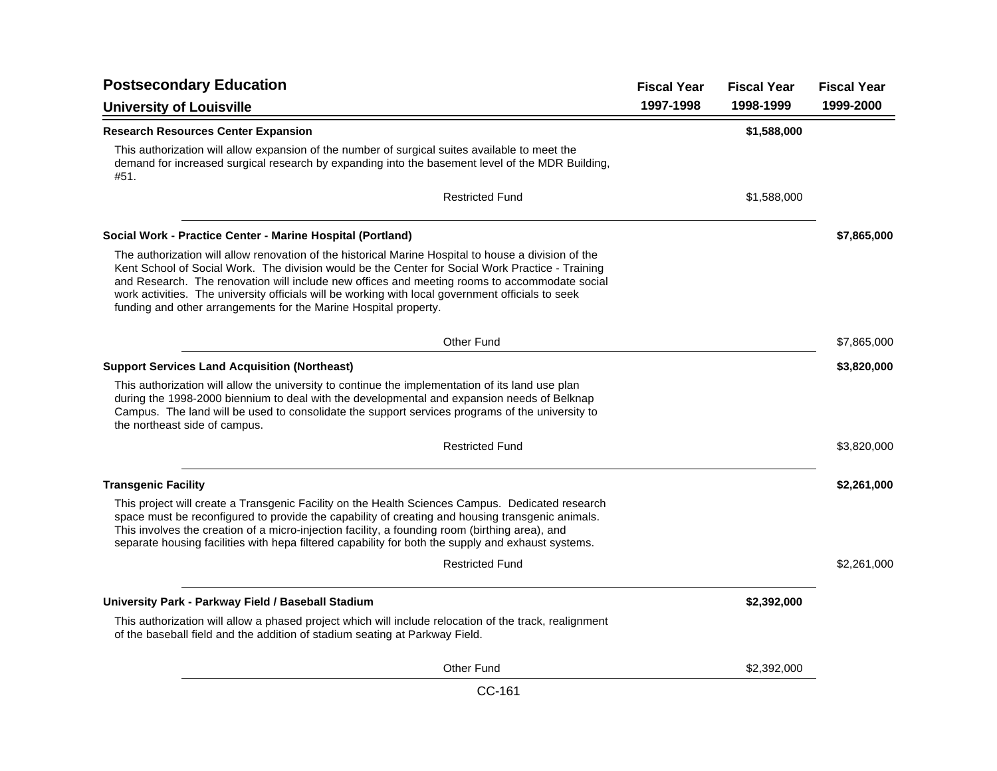| <b>Postsecondary Education</b>                                                                                                                                                                                                                                                                                                                                                                                                                                                     |           | <b>Fiscal Year</b> | <b>Fiscal Year</b> |
|------------------------------------------------------------------------------------------------------------------------------------------------------------------------------------------------------------------------------------------------------------------------------------------------------------------------------------------------------------------------------------------------------------------------------------------------------------------------------------|-----------|--------------------|--------------------|
| <b>University of Louisville</b>                                                                                                                                                                                                                                                                                                                                                                                                                                                    | 1997-1998 | 1998-1999          | 1999-2000          |
| <b>Research Resources Center Expansion</b>                                                                                                                                                                                                                                                                                                                                                                                                                                         |           | \$1,588,000        |                    |
| This authorization will allow expansion of the number of surgical suites available to meet the<br>demand for increased surgical research by expanding into the basement level of the MDR Building,<br>#51.                                                                                                                                                                                                                                                                         |           |                    |                    |
| <b>Restricted Fund</b>                                                                                                                                                                                                                                                                                                                                                                                                                                                             |           | \$1,588,000        |                    |
| Social Work - Practice Center - Marine Hospital (Portland)                                                                                                                                                                                                                                                                                                                                                                                                                         |           |                    | \$7,865,000        |
| The authorization will allow renovation of the historical Marine Hospital to house a division of the<br>Kent School of Social Work. The division would be the Center for Social Work Practice - Training<br>and Research. The renovation will include new offices and meeting rooms to accommodate social<br>work activities. The university officials will be working with local government officials to seek<br>funding and other arrangements for the Marine Hospital property. |           |                    |                    |
| Other Fund                                                                                                                                                                                                                                                                                                                                                                                                                                                                         |           |                    | \$7,865,000        |
| <b>Support Services Land Acquisition (Northeast)</b>                                                                                                                                                                                                                                                                                                                                                                                                                               |           |                    | \$3,820,000        |
| This authorization will allow the university to continue the implementation of its land use plan<br>during the 1998-2000 biennium to deal with the developmental and expansion needs of Belknap<br>Campus. The land will be used to consolidate the support services programs of the university to<br>the northeast side of campus.                                                                                                                                                |           |                    |                    |
| <b>Restricted Fund</b>                                                                                                                                                                                                                                                                                                                                                                                                                                                             |           |                    | \$3,820,000        |
| <b>Transgenic Facility</b>                                                                                                                                                                                                                                                                                                                                                                                                                                                         |           |                    | \$2,261,000        |
| This project will create a Transgenic Facility on the Health Sciences Campus. Dedicated research<br>space must be reconfigured to provide the capability of creating and housing transgenic animals.<br>This involves the creation of a micro-injection facility, a founding room (birthing area), and<br>separate housing facilities with hepa filtered capability for both the supply and exhaust systems.                                                                       |           |                    |                    |
| <b>Restricted Fund</b>                                                                                                                                                                                                                                                                                                                                                                                                                                                             |           |                    | \$2,261,000        |
| University Park - Parkway Field / Baseball Stadium                                                                                                                                                                                                                                                                                                                                                                                                                                 |           | \$2,392,000        |                    |
| This authorization will allow a phased project which will include relocation of the track, realignment<br>of the baseball field and the addition of stadium seating at Parkway Field.                                                                                                                                                                                                                                                                                              |           |                    |                    |
| Other Fund                                                                                                                                                                                                                                                                                                                                                                                                                                                                         |           | \$2,392,000        |                    |

CC-161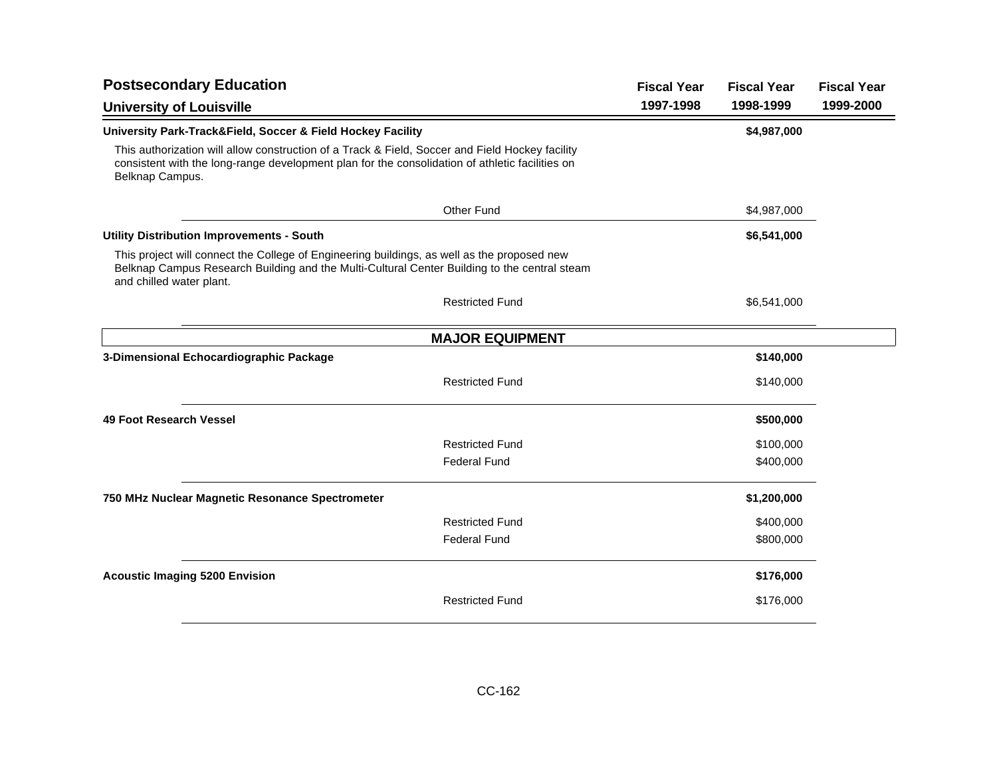| <b>Postsecondary Education</b>                                                                                                                                                                                          | <b>Fiscal Year</b> | <b>Fiscal Year</b> | <b>Fiscal Year</b> |
|-------------------------------------------------------------------------------------------------------------------------------------------------------------------------------------------------------------------------|--------------------|--------------------|--------------------|
| <b>University of Louisville</b>                                                                                                                                                                                         | 1997-1998          | 1998-1999          | 1999-2000          |
| University Park-Track&Field, Soccer & Field Hockey Facility                                                                                                                                                             |                    | \$4,987,000        |                    |
| This authorization will allow construction of a Track & Field, Soccer and Field Hockey facility<br>consistent with the long-range development plan for the consolidation of athletic facilities on<br>Belknap Campus.   |                    |                    |                    |
| <b>Other Fund</b>                                                                                                                                                                                                       |                    | \$4,987,000        |                    |
| <b>Utility Distribution Improvements - South</b>                                                                                                                                                                        |                    | \$6,541,000        |                    |
| This project will connect the College of Engineering buildings, as well as the proposed new<br>Belknap Campus Research Building and the Multi-Cultural Center Building to the central steam<br>and chilled water plant. |                    |                    |                    |
| <b>Restricted Fund</b>                                                                                                                                                                                                  |                    | \$6,541,000        |                    |
| <b>MAJOR EQUIPMENT</b>                                                                                                                                                                                                  |                    |                    |                    |
| 3-Dimensional Echocardiographic Package                                                                                                                                                                                 |                    | \$140,000          |                    |
| <b>Restricted Fund</b>                                                                                                                                                                                                  |                    | \$140,000          |                    |
| 49 Foot Research Vessel                                                                                                                                                                                                 |                    | \$500,000          |                    |
| <b>Restricted Fund</b>                                                                                                                                                                                                  |                    | \$100,000          |                    |
| <b>Federal Fund</b>                                                                                                                                                                                                     |                    | \$400,000          |                    |
| 750 MHz Nuclear Magnetic Resonance Spectrometer                                                                                                                                                                         |                    | \$1,200,000        |                    |
| <b>Restricted Fund</b>                                                                                                                                                                                                  |                    | \$400,000          |                    |
| <b>Federal Fund</b>                                                                                                                                                                                                     |                    | \$800,000          |                    |
| <b>Acoustic Imaging 5200 Envision</b>                                                                                                                                                                                   |                    | \$176,000          |                    |
| <b>Restricted Fund</b>                                                                                                                                                                                                  |                    | \$176,000          |                    |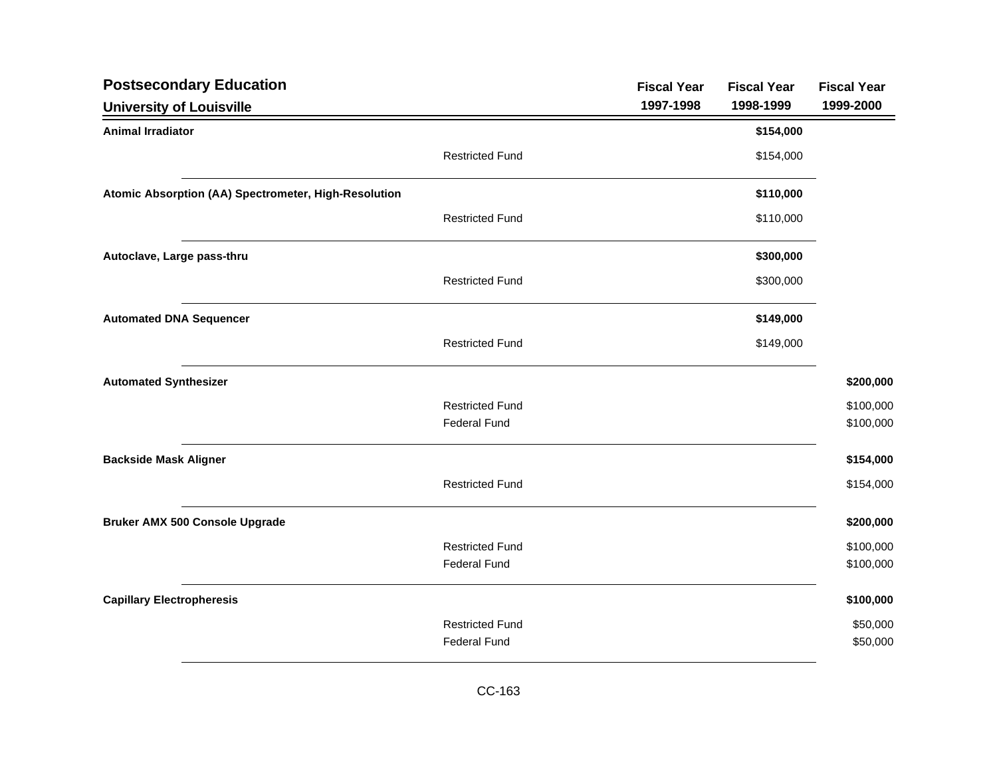| <b>Postsecondary Education</b>                       |                        | <b>Fiscal Year</b> | <b>Fiscal Year</b> | <b>Fiscal Year</b> |
|------------------------------------------------------|------------------------|--------------------|--------------------|--------------------|
| <b>University of Louisville</b>                      |                        | 1997-1998          | 1998-1999          | 1999-2000          |
| <b>Animal Irradiator</b>                             |                        |                    | \$154,000          |                    |
|                                                      | <b>Restricted Fund</b> |                    | \$154,000          |                    |
| Atomic Absorption (AA) Spectrometer, High-Resolution |                        |                    | \$110,000          |                    |
|                                                      | <b>Restricted Fund</b> |                    | \$110,000          |                    |
| Autoclave, Large pass-thru                           |                        |                    | \$300,000          |                    |
|                                                      | <b>Restricted Fund</b> |                    | \$300,000          |                    |
| <b>Automated DNA Sequencer</b>                       |                        |                    | \$149,000          |                    |
|                                                      | <b>Restricted Fund</b> |                    | \$149,000          |                    |
| <b>Automated Synthesizer</b>                         |                        |                    |                    | \$200,000          |
|                                                      | <b>Restricted Fund</b> |                    |                    | \$100,000          |
|                                                      | <b>Federal Fund</b>    |                    |                    | \$100,000          |
| <b>Backside Mask Aligner</b>                         |                        |                    |                    | \$154,000          |
|                                                      | <b>Restricted Fund</b> |                    |                    | \$154,000          |
| <b>Bruker AMX 500 Console Upgrade</b>                |                        |                    |                    | \$200,000          |
|                                                      | <b>Restricted Fund</b> |                    |                    | \$100,000          |
|                                                      | <b>Federal Fund</b>    |                    |                    | \$100,000          |
| <b>Capillary Electropheresis</b>                     |                        |                    |                    | \$100,000          |
|                                                      | <b>Restricted Fund</b> |                    |                    | \$50,000           |
|                                                      | <b>Federal Fund</b>    |                    |                    | \$50,000           |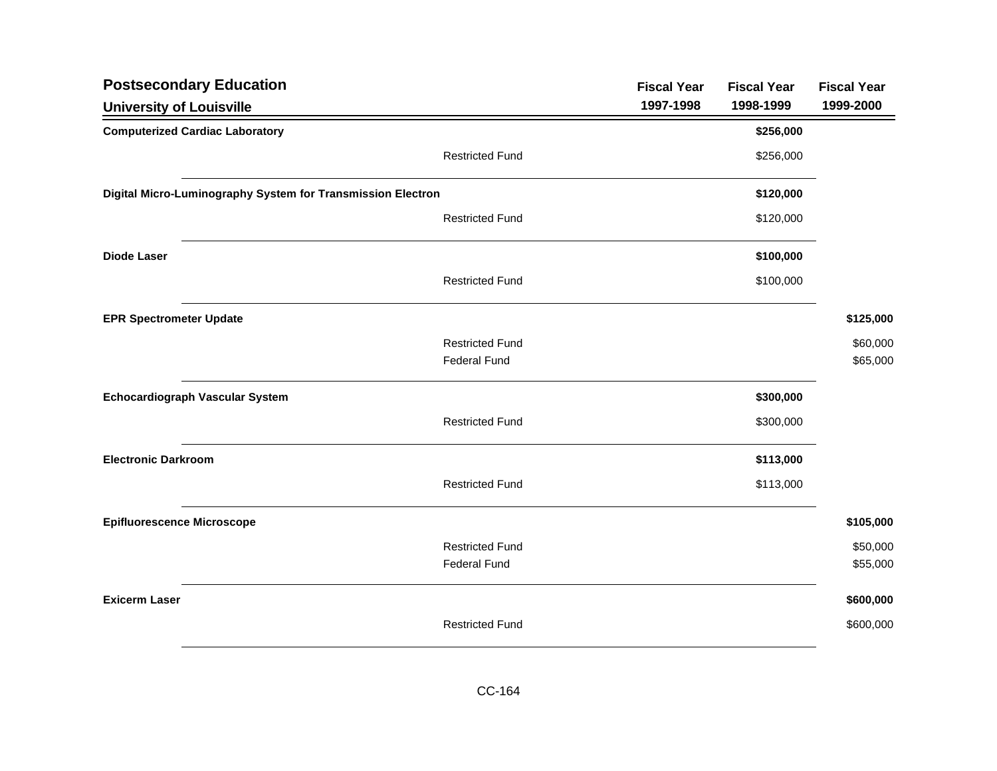| <b>Postsecondary Education</b>                              |                        | <b>Fiscal Year</b> | <b>Fiscal Year</b> | <b>Fiscal Year</b> |
|-------------------------------------------------------------|------------------------|--------------------|--------------------|--------------------|
| <b>University of Louisville</b>                             |                        | 1997-1998          | 1998-1999          | 1999-2000          |
| <b>Computerized Cardiac Laboratory</b>                      |                        |                    | \$256,000          |                    |
|                                                             | <b>Restricted Fund</b> |                    | \$256,000          |                    |
| Digital Micro-Luminography System for Transmission Electron |                        |                    | \$120,000          |                    |
|                                                             | <b>Restricted Fund</b> |                    | \$120,000          |                    |
| <b>Diode Laser</b>                                          |                        |                    | \$100,000          |                    |
|                                                             | <b>Restricted Fund</b> |                    | \$100,000          |                    |
| <b>EPR Spectrometer Update</b>                              |                        |                    |                    | \$125,000          |
|                                                             | <b>Restricted Fund</b> |                    |                    | \$60,000           |
|                                                             | <b>Federal Fund</b>    |                    |                    | \$65,000           |
| <b>Echocardiograph Vascular System</b>                      |                        |                    | \$300,000          |                    |
|                                                             | <b>Restricted Fund</b> |                    | \$300,000          |                    |
| <b>Electronic Darkroom</b>                                  |                        |                    | \$113,000          |                    |
|                                                             | <b>Restricted Fund</b> |                    | \$113,000          |                    |
| <b>Epifluorescence Microscope</b>                           |                        |                    |                    | \$105,000          |
|                                                             | <b>Restricted Fund</b> |                    |                    | \$50,000           |
|                                                             | <b>Federal Fund</b>    |                    |                    | \$55,000           |
| <b>Exicerm Laser</b>                                        |                        |                    |                    | \$600,000          |
|                                                             | <b>Restricted Fund</b> |                    |                    | \$600,000          |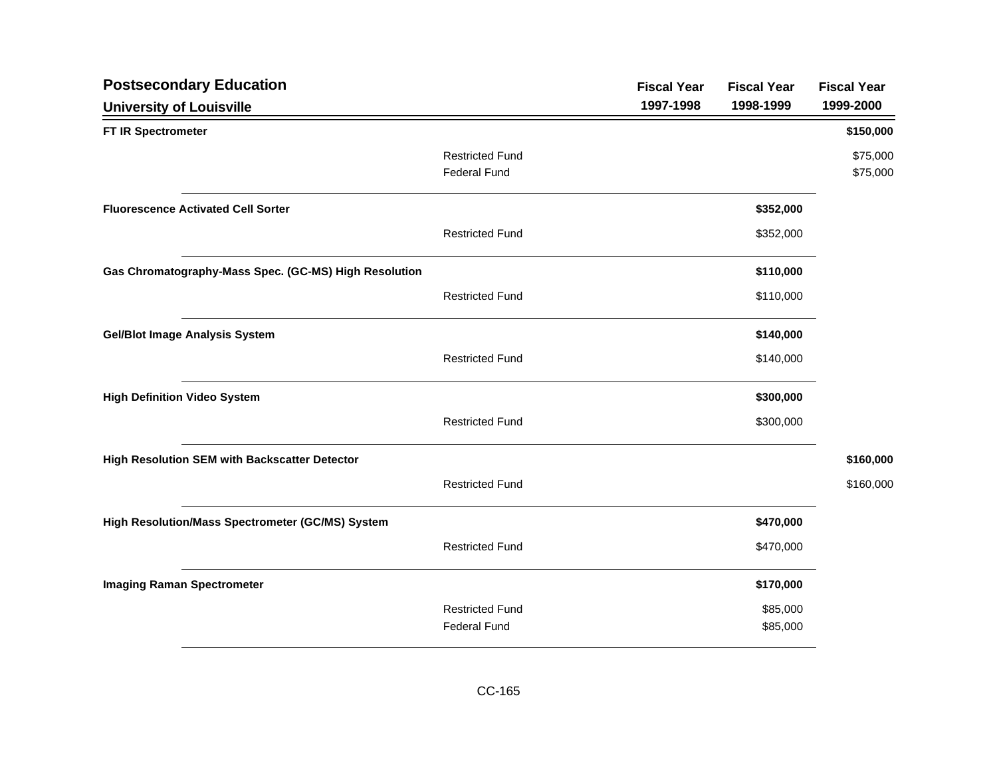| <b>Postsecondary Education</b>                        |                        | <b>Fiscal Year</b> | <b>Fiscal Year</b> | <b>Fiscal Year</b> |
|-------------------------------------------------------|------------------------|--------------------|--------------------|--------------------|
| <b>University of Louisville</b>                       |                        | 1997-1998          | 1998-1999          | 1999-2000          |
| FT IR Spectrometer                                    |                        |                    |                    | \$150,000          |
|                                                       | <b>Restricted Fund</b> |                    |                    | \$75,000           |
|                                                       | <b>Federal Fund</b>    |                    |                    | \$75,000           |
| <b>Fluorescence Activated Cell Sorter</b>             |                        |                    | \$352,000          |                    |
|                                                       | <b>Restricted Fund</b> |                    | \$352,000          |                    |
| Gas Chromatography-Mass Spec. (GC-MS) High Resolution |                        |                    | \$110,000          |                    |
|                                                       | <b>Restricted Fund</b> |                    | \$110,000          |                    |
| <b>Gel/Blot Image Analysis System</b>                 |                        |                    | \$140,000          |                    |
|                                                       | <b>Restricted Fund</b> |                    | \$140,000          |                    |
| <b>High Definition Video System</b>                   |                        |                    | \$300,000          |                    |
|                                                       | <b>Restricted Fund</b> |                    | \$300,000          |                    |
| High Resolution SEM with Backscatter Detector         |                        |                    |                    | \$160,000          |
|                                                       | <b>Restricted Fund</b> |                    |                    | \$160,000          |
| High Resolution/Mass Spectrometer (GC/MS) System      |                        |                    | \$470,000          |                    |
|                                                       | <b>Restricted Fund</b> |                    | \$470,000          |                    |
| <b>Imaging Raman Spectrometer</b>                     |                        |                    | \$170,000          |                    |
|                                                       | <b>Restricted Fund</b> |                    | \$85,000           |                    |
|                                                       | <b>Federal Fund</b>    |                    | \$85,000           |                    |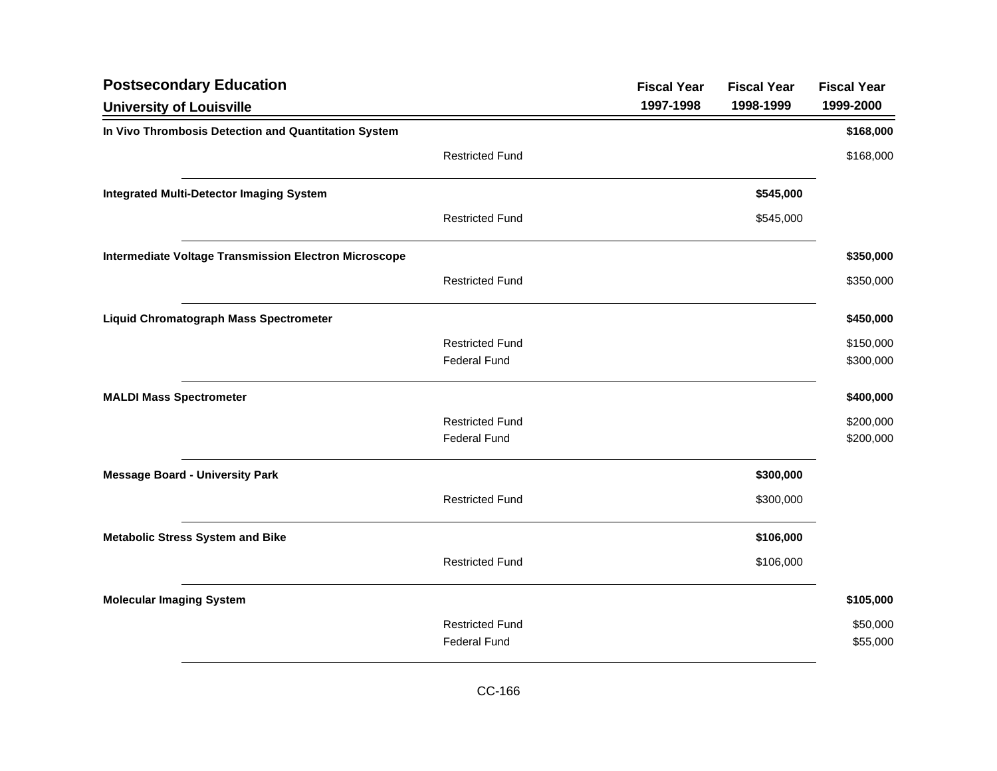| <b>Postsecondary Education</b>                               |                        | <b>Fiscal Year</b> | <b>Fiscal Year</b> | <b>Fiscal Year</b> |
|--------------------------------------------------------------|------------------------|--------------------|--------------------|--------------------|
| <b>University of Louisville</b>                              |                        | 1997-1998          | 1998-1999          | 1999-2000          |
| In Vivo Thrombosis Detection and Quantitation System         |                        |                    |                    | \$168,000          |
|                                                              | <b>Restricted Fund</b> |                    |                    | \$168,000          |
| <b>Integrated Multi-Detector Imaging System</b>              |                        |                    | \$545,000          |                    |
|                                                              | <b>Restricted Fund</b> |                    | \$545,000          |                    |
| <b>Intermediate Voltage Transmission Electron Microscope</b> |                        |                    |                    | \$350,000          |
|                                                              | <b>Restricted Fund</b> |                    |                    | \$350,000          |
| <b>Liquid Chromatograph Mass Spectrometer</b>                |                        |                    |                    | \$450,000          |
|                                                              | <b>Restricted Fund</b> |                    |                    | \$150,000          |
|                                                              | <b>Federal Fund</b>    |                    |                    | \$300,000          |
| <b>MALDI Mass Spectrometer</b>                               |                        |                    |                    | \$400,000          |
|                                                              | <b>Restricted Fund</b> |                    |                    | \$200,000          |
|                                                              | <b>Federal Fund</b>    |                    |                    | \$200,000          |
| <b>Message Board - University Park</b>                       |                        |                    | \$300,000          |                    |
|                                                              | <b>Restricted Fund</b> |                    | \$300,000          |                    |
| <b>Metabolic Stress System and Bike</b>                      |                        |                    | \$106,000          |                    |
|                                                              | <b>Restricted Fund</b> |                    | \$106,000          |                    |
| <b>Molecular Imaging System</b>                              |                        |                    |                    | \$105,000          |
|                                                              | <b>Restricted Fund</b> |                    |                    | \$50,000           |
|                                                              | <b>Federal Fund</b>    |                    |                    | \$55,000           |
|                                                              |                        |                    |                    |                    |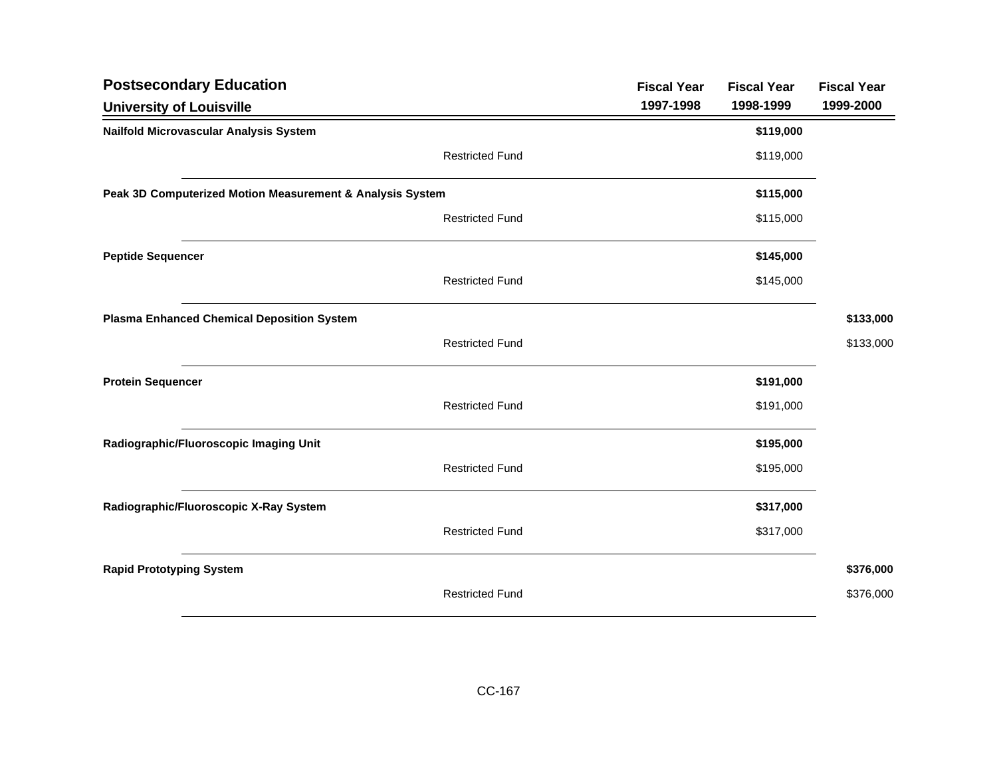| <b>Postsecondary Education</b>                            |                        | <b>Fiscal Year</b> | <b>Fiscal Year</b> | <b>Fiscal Year</b> |
|-----------------------------------------------------------|------------------------|--------------------|--------------------|--------------------|
| <b>University of Louisville</b>                           |                        | 1997-1998          | 1998-1999          | 1999-2000          |
| Nailfold Microvascular Analysis System                    |                        |                    | \$119,000          |                    |
|                                                           | <b>Restricted Fund</b> |                    | \$119,000          |                    |
| Peak 3D Computerized Motion Measurement & Analysis System |                        |                    | \$115,000          |                    |
|                                                           | <b>Restricted Fund</b> |                    | \$115,000          |                    |
| <b>Peptide Sequencer</b>                                  |                        |                    | \$145,000          |                    |
|                                                           | <b>Restricted Fund</b> |                    | \$145,000          |                    |
| <b>Plasma Enhanced Chemical Deposition System</b>         |                        |                    |                    | \$133,000          |
|                                                           | <b>Restricted Fund</b> |                    |                    | \$133,000          |
| <b>Protein Sequencer</b>                                  |                        |                    | \$191,000          |                    |
|                                                           | <b>Restricted Fund</b> |                    | \$191,000          |                    |
| Radiographic/Fluoroscopic Imaging Unit                    |                        |                    | \$195,000          |                    |
|                                                           | <b>Restricted Fund</b> |                    | \$195,000          |                    |
| Radiographic/Fluoroscopic X-Ray System                    |                        |                    | \$317,000          |                    |
|                                                           | <b>Restricted Fund</b> |                    | \$317,000          |                    |
| <b>Rapid Prototyping System</b>                           |                        |                    |                    | \$376,000          |
|                                                           | <b>Restricted Fund</b> |                    |                    | \$376,000          |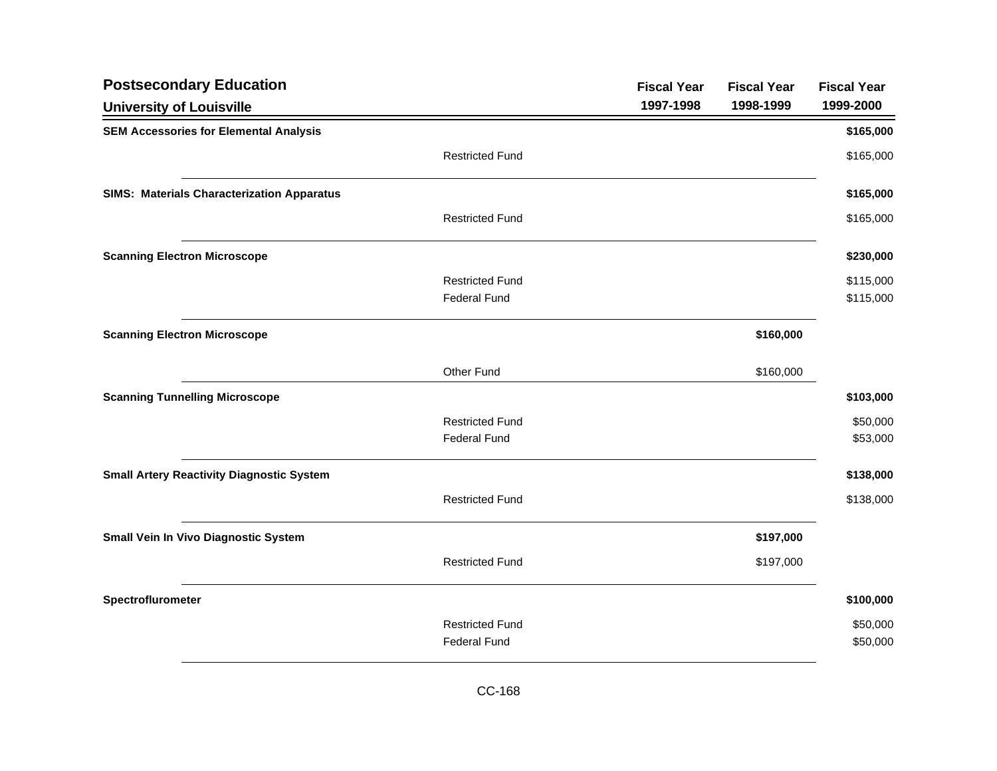| <b>Postsecondary Education</b>                    |                        | <b>Fiscal Year</b> | <b>Fiscal Year</b> | <b>Fiscal Year</b> |
|---------------------------------------------------|------------------------|--------------------|--------------------|--------------------|
| <b>University of Louisville</b>                   |                        | 1997-1998          | 1998-1999          | 1999-2000          |
| <b>SEM Accessories for Elemental Analysis</b>     |                        |                    |                    | \$165,000          |
|                                                   | <b>Restricted Fund</b> |                    |                    | \$165,000          |
| <b>SIMS: Materials Characterization Apparatus</b> |                        |                    |                    | \$165,000          |
|                                                   | <b>Restricted Fund</b> |                    |                    | \$165,000          |
| <b>Scanning Electron Microscope</b>               |                        |                    |                    | \$230,000          |
|                                                   | <b>Restricted Fund</b> |                    |                    | \$115,000          |
|                                                   | <b>Federal Fund</b>    |                    |                    | \$115,000          |
| <b>Scanning Electron Microscope</b>               |                        |                    | \$160,000          |                    |
|                                                   | Other Fund             |                    | \$160,000          |                    |
| <b>Scanning Tunnelling Microscope</b>             |                        |                    |                    | \$103,000          |
|                                                   | <b>Restricted Fund</b> |                    |                    | \$50,000           |
|                                                   | <b>Federal Fund</b>    |                    |                    | \$53,000           |
| <b>Small Artery Reactivity Diagnostic System</b>  |                        |                    |                    | \$138,000          |
|                                                   | <b>Restricted Fund</b> |                    |                    | \$138,000          |
| Small Vein In Vivo Diagnostic System              |                        |                    | \$197,000          |                    |
|                                                   | <b>Restricted Fund</b> |                    | \$197,000          |                    |
| Spectroflurometer                                 |                        |                    |                    | \$100,000          |
|                                                   | <b>Restricted Fund</b> |                    |                    | \$50,000           |
|                                                   | <b>Federal Fund</b>    |                    |                    | \$50,000           |
|                                                   |                        |                    |                    |                    |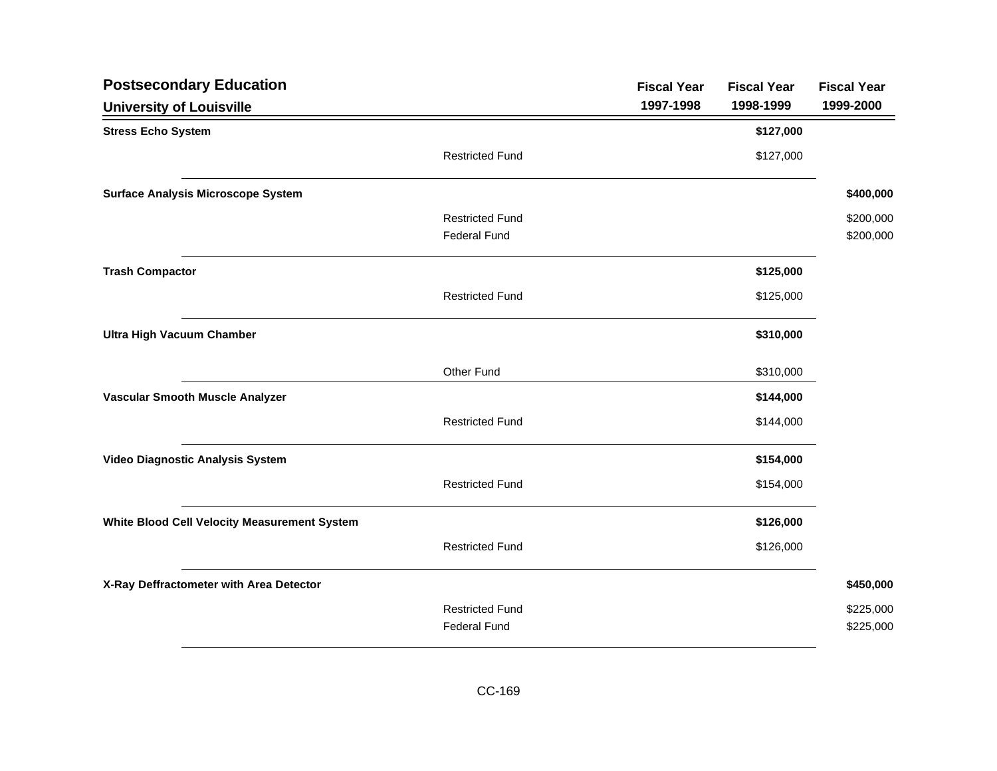| <b>Postsecondary Education</b>               |                        | <b>Fiscal Year</b> | <b>Fiscal Year</b> | <b>Fiscal Year</b> |
|----------------------------------------------|------------------------|--------------------|--------------------|--------------------|
| <b>University of Louisville</b>              |                        | 1997-1998          | 1998-1999          | 1999-2000          |
| <b>Stress Echo System</b>                    |                        |                    | \$127,000          |                    |
|                                              | <b>Restricted Fund</b> |                    | \$127,000          |                    |
| <b>Surface Analysis Microscope System</b>    |                        |                    |                    | \$400,000          |
|                                              | <b>Restricted Fund</b> |                    |                    | \$200,000          |
|                                              | <b>Federal Fund</b>    |                    |                    | \$200,000          |
| <b>Trash Compactor</b>                       |                        |                    | \$125,000          |                    |
|                                              | <b>Restricted Fund</b> |                    | \$125,000          |                    |
| <b>Ultra High Vacuum Chamber</b>             |                        |                    | \$310,000          |                    |
|                                              | Other Fund             |                    | \$310,000          |                    |
| Vascular Smooth Muscle Analyzer              |                        |                    | \$144,000          |                    |
|                                              | <b>Restricted Fund</b> |                    | \$144,000          |                    |
| Video Diagnostic Analysis System             |                        |                    | \$154,000          |                    |
|                                              | <b>Restricted Fund</b> |                    | \$154,000          |                    |
| White Blood Cell Velocity Measurement System |                        |                    | \$126,000          |                    |
|                                              | <b>Restricted Fund</b> |                    | \$126,000          |                    |
| X-Ray Deffractometer with Area Detector      |                        |                    |                    | \$450,000          |
|                                              | <b>Restricted Fund</b> |                    |                    | \$225,000          |
|                                              | <b>Federal Fund</b>    |                    |                    | \$225,000          |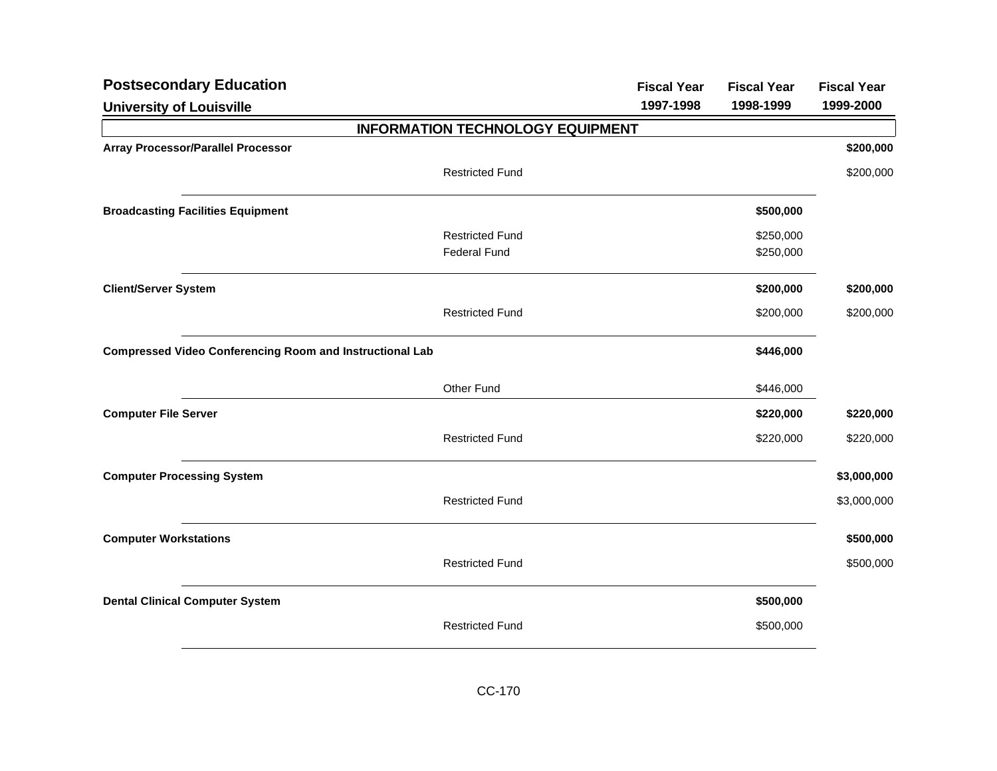| <b>Postsecondary Education</b>                                  |                                         | <b>Fiscal Year</b> | <b>Fiscal Year</b> | <b>Fiscal Year</b> |
|-----------------------------------------------------------------|-----------------------------------------|--------------------|--------------------|--------------------|
| <b>University of Louisville</b>                                 |                                         | 1997-1998          | 1998-1999          | 1999-2000          |
|                                                                 | <b>INFORMATION TECHNOLOGY EQUIPMENT</b> |                    |                    |                    |
| <b>Array Processor/Parallel Processor</b>                       |                                         |                    |                    | \$200,000          |
|                                                                 | <b>Restricted Fund</b>                  |                    |                    | \$200,000          |
| <b>Broadcasting Facilities Equipment</b>                        |                                         |                    | \$500,000          |                    |
|                                                                 | <b>Restricted Fund</b>                  |                    | \$250,000          |                    |
|                                                                 | <b>Federal Fund</b>                     |                    | \$250,000          |                    |
| <b>Client/Server System</b>                                     |                                         |                    | \$200,000          | \$200,000          |
|                                                                 | <b>Restricted Fund</b>                  |                    | \$200,000          | \$200,000          |
| <b>Compressed Video Conferencing Room and Instructional Lab</b> |                                         |                    | \$446,000          |                    |
|                                                                 | Other Fund                              |                    | \$446,000          |                    |
| <b>Computer File Server</b>                                     |                                         |                    | \$220,000          | \$220,000          |
|                                                                 | <b>Restricted Fund</b>                  |                    | \$220,000          | \$220,000          |
| <b>Computer Processing System</b>                               |                                         |                    |                    | \$3,000,000        |
|                                                                 | <b>Restricted Fund</b>                  |                    |                    | \$3,000,000        |
| <b>Computer Workstations</b>                                    |                                         |                    |                    | \$500,000          |
|                                                                 | <b>Restricted Fund</b>                  |                    |                    | \$500,000          |
| <b>Dental Clinical Computer System</b>                          |                                         |                    | \$500,000          |                    |
|                                                                 | <b>Restricted Fund</b>                  |                    | \$500,000          |                    |
|                                                                 |                                         |                    |                    |                    |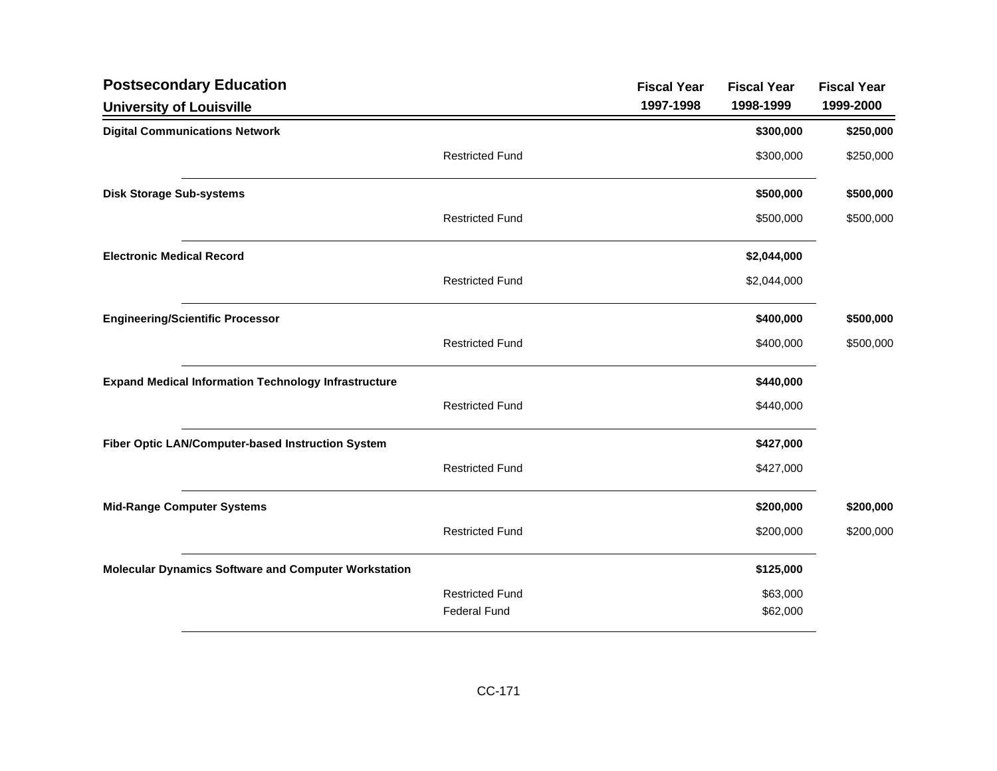| <b>Postsecondary Education</b>                              |                        | <b>Fiscal Year</b> | <b>Fiscal Year</b> | <b>Fiscal Year</b> |
|-------------------------------------------------------------|------------------------|--------------------|--------------------|--------------------|
| <b>University of Louisville</b>                             |                        | 1997-1998          | 1998-1999          | 1999-2000          |
| <b>Digital Communications Network</b>                       |                        |                    | \$300,000          | \$250,000          |
|                                                             | <b>Restricted Fund</b> |                    | \$300,000          | \$250,000          |
| <b>Disk Storage Sub-systems</b>                             |                        |                    | \$500,000          | \$500,000          |
|                                                             | <b>Restricted Fund</b> |                    | \$500,000          | \$500,000          |
| <b>Electronic Medical Record</b>                            |                        |                    | \$2,044,000        |                    |
|                                                             | <b>Restricted Fund</b> |                    | \$2,044,000        |                    |
| <b>Engineering/Scientific Processor</b>                     |                        |                    | \$400,000          | \$500,000          |
|                                                             | <b>Restricted Fund</b> |                    | \$400,000          | \$500,000          |
| <b>Expand Medical Information Technology Infrastructure</b> |                        |                    | \$440,000          |                    |
|                                                             | <b>Restricted Fund</b> |                    | \$440,000          |                    |
| Fiber Optic LAN/Computer-based Instruction System           |                        |                    | \$427,000          |                    |
|                                                             | <b>Restricted Fund</b> |                    | \$427,000          |                    |
| <b>Mid-Range Computer Systems</b>                           |                        |                    | \$200,000          | \$200,000          |
|                                                             | <b>Restricted Fund</b> |                    | \$200,000          | \$200,000          |
| <b>Molecular Dynamics Software and Computer Workstation</b> |                        |                    | \$125,000          |                    |
|                                                             | <b>Restricted Fund</b> |                    | \$63,000           |                    |
|                                                             | <b>Federal Fund</b>    |                    | \$62,000           |                    |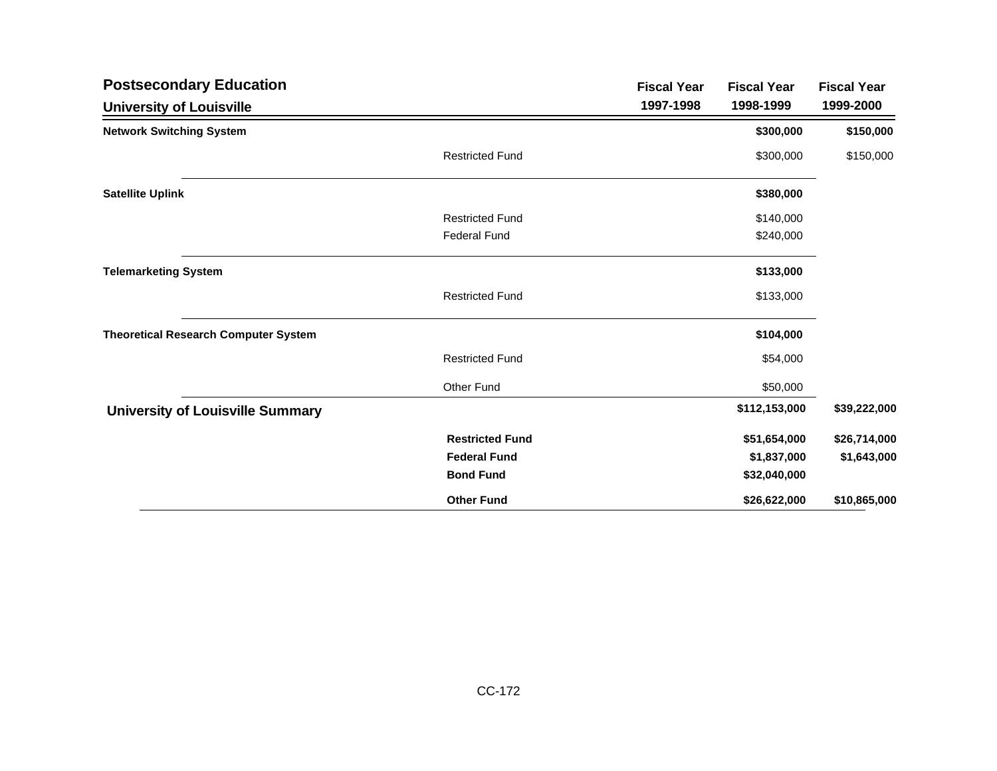| <b>Postsecondary Education</b>              |                        | <b>Fiscal Year</b> | <b>Fiscal Year</b> | <b>Fiscal Year</b> |
|---------------------------------------------|------------------------|--------------------|--------------------|--------------------|
| <b>University of Louisville</b>             |                        | 1997-1998          | 1998-1999          | 1999-2000          |
| <b>Network Switching System</b>             |                        |                    | \$300,000          | \$150,000          |
|                                             | <b>Restricted Fund</b> |                    | \$300,000          | \$150,000          |
| <b>Satellite Uplink</b>                     |                        |                    | \$380,000          |                    |
|                                             | <b>Restricted Fund</b> |                    | \$140,000          |                    |
|                                             | <b>Federal Fund</b>    |                    | \$240,000          |                    |
| <b>Telemarketing System</b>                 |                        |                    | \$133,000          |                    |
|                                             | <b>Restricted Fund</b> |                    | \$133,000          |                    |
| <b>Theoretical Research Computer System</b> |                        |                    | \$104,000          |                    |
|                                             | <b>Restricted Fund</b> |                    | \$54,000           |                    |
|                                             | Other Fund             |                    | \$50,000           |                    |
| <b>University of Louisville Summary</b>     |                        |                    | \$112,153,000      | \$39,222,000       |
|                                             | <b>Restricted Fund</b> |                    | \$51,654,000       | \$26,714,000       |
|                                             | <b>Federal Fund</b>    |                    | \$1,837,000        | \$1,643,000        |
|                                             | <b>Bond Fund</b>       |                    | \$32,040,000       |                    |
|                                             | <b>Other Fund</b>      |                    | \$26,622,000       | \$10,865,000       |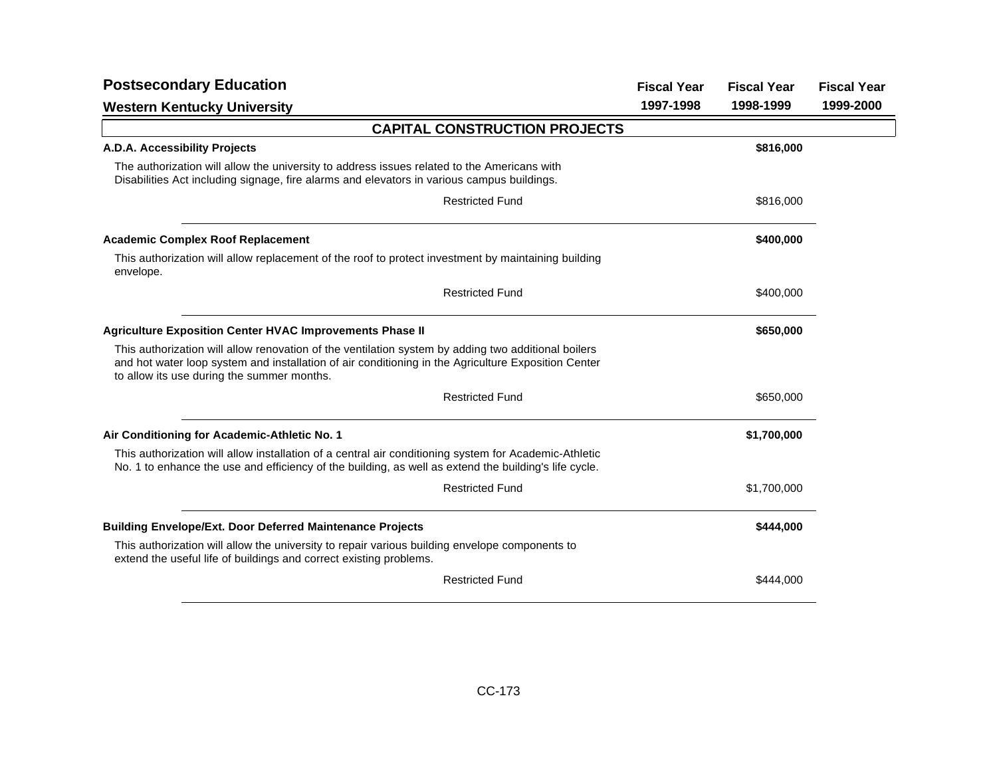| <b>Postsecondary Education</b>                                                                                                                                                                                                                           |           | <b>Fiscal Year</b><br><b>Fiscal Year</b> | <b>Fiscal Year</b> |
|----------------------------------------------------------------------------------------------------------------------------------------------------------------------------------------------------------------------------------------------------------|-----------|------------------------------------------|--------------------|
| <b>Western Kentucky University</b>                                                                                                                                                                                                                       | 1997-1998 | 1998-1999                                | 1999-2000          |
| <b>CAPITAL CONSTRUCTION PROJECTS</b>                                                                                                                                                                                                                     |           |                                          |                    |
| A.D.A. Accessibility Projects                                                                                                                                                                                                                            |           | \$816,000                                |                    |
| The authorization will allow the university to address issues related to the Americans with<br>Disabilities Act including signage, fire alarms and elevators in various campus buildings.                                                                |           |                                          |                    |
| <b>Restricted Fund</b>                                                                                                                                                                                                                                   |           | \$816,000                                |                    |
| <b>Academic Complex Roof Replacement</b>                                                                                                                                                                                                                 |           | \$400,000                                |                    |
| This authorization will allow replacement of the roof to protect investment by maintaining building<br>envelope.                                                                                                                                         |           |                                          |                    |
| <b>Restricted Fund</b>                                                                                                                                                                                                                                   |           | \$400,000                                |                    |
| <b>Agriculture Exposition Center HVAC Improvements Phase II</b>                                                                                                                                                                                          |           | \$650,000                                |                    |
| This authorization will allow renovation of the ventilation system by adding two additional boilers<br>and hot water loop system and installation of air conditioning in the Agriculture Exposition Center<br>to allow its use during the summer months. |           |                                          |                    |
| <b>Restricted Fund</b>                                                                                                                                                                                                                                   |           | \$650,000                                |                    |
| Air Conditioning for Academic-Athletic No. 1                                                                                                                                                                                                             |           | \$1,700,000                              |                    |
| This authorization will allow installation of a central air conditioning system for Academic-Athletic<br>No. 1 to enhance the use and efficiency of the building, as well as extend the building's life cycle.                                           |           |                                          |                    |
| <b>Restricted Fund</b>                                                                                                                                                                                                                                   |           | \$1,700,000                              |                    |
| <b>Building Envelope/Ext. Door Deferred Maintenance Projects</b>                                                                                                                                                                                         |           | \$444,000                                |                    |
| This authorization will allow the university to repair various building envelope components to<br>extend the useful life of buildings and correct existing problems.                                                                                     |           |                                          |                    |
| <b>Restricted Fund</b>                                                                                                                                                                                                                                   |           | \$444,000                                |                    |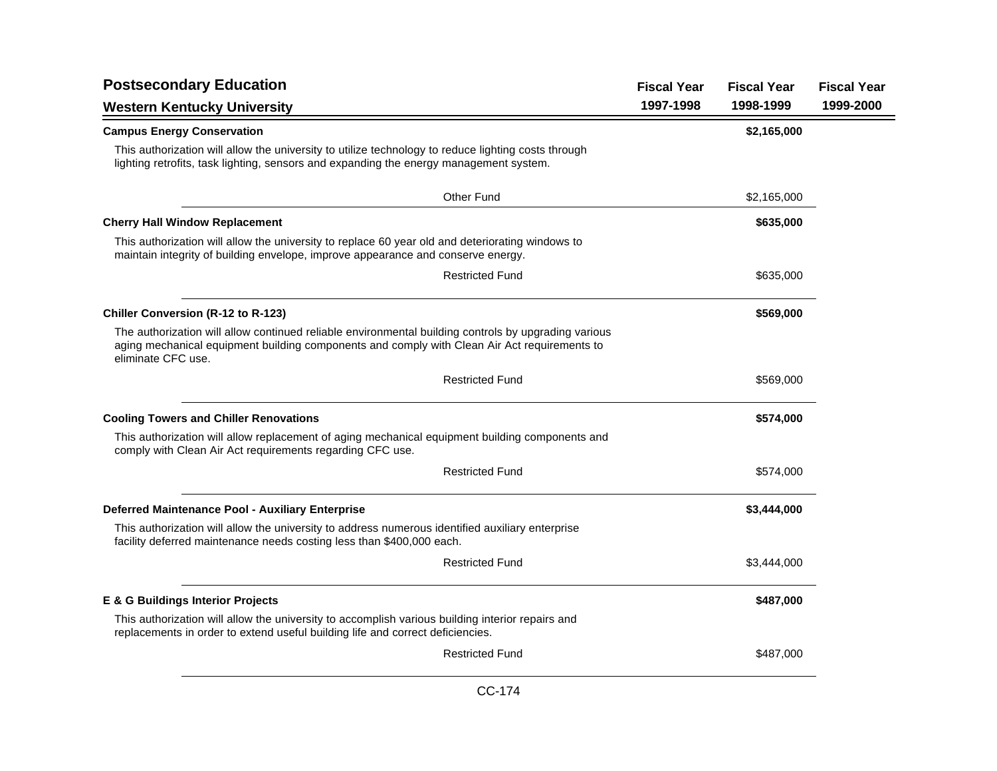| <b>Postsecondary Education</b>                                                                                                                                                                                             | <b>Fiscal Year</b> | <b>Fiscal Year</b> | <b>Fiscal Year</b> |
|----------------------------------------------------------------------------------------------------------------------------------------------------------------------------------------------------------------------------|--------------------|--------------------|--------------------|
| <b>Western Kentucky University</b>                                                                                                                                                                                         | 1997-1998          | 1998-1999          | 1999-2000          |
| <b>Campus Energy Conservation</b>                                                                                                                                                                                          |                    | \$2,165,000        |                    |
| This authorization will allow the university to utilize technology to reduce lighting costs through<br>lighting retrofits, task lighting, sensors and expanding the energy management system.                              |                    |                    |                    |
| <b>Other Fund</b>                                                                                                                                                                                                          |                    | \$2,165,000        |                    |
| <b>Cherry Hall Window Replacement</b>                                                                                                                                                                                      |                    | \$635,000          |                    |
| This authorization will allow the university to replace 60 year old and deteriorating windows to<br>maintain integrity of building envelope, improve appearance and conserve energy.                                       |                    |                    |                    |
| <b>Restricted Fund</b>                                                                                                                                                                                                     |                    | \$635,000          |                    |
| <b>Chiller Conversion (R-12 to R-123)</b>                                                                                                                                                                                  |                    | \$569,000          |                    |
| The authorization will allow continued reliable environmental building controls by upgrading various<br>aging mechanical equipment building components and comply with Clean Air Act requirements to<br>eliminate CFC use. |                    |                    |                    |
| <b>Restricted Fund</b>                                                                                                                                                                                                     |                    | \$569,000          |                    |
| <b>Cooling Towers and Chiller Renovations</b>                                                                                                                                                                              |                    | \$574,000          |                    |
| This authorization will allow replacement of aging mechanical equipment building components and<br>comply with Clean Air Act requirements regarding CFC use.                                                               |                    |                    |                    |
| <b>Restricted Fund</b>                                                                                                                                                                                                     |                    | \$574,000          |                    |
| Deferred Maintenance Pool - Auxiliary Enterprise                                                                                                                                                                           |                    | \$3,444,000        |                    |
| This authorization will allow the university to address numerous identified auxiliary enterprise<br>facility deferred maintenance needs costing less than \$400,000 each.                                                  |                    |                    |                    |
| <b>Restricted Fund</b>                                                                                                                                                                                                     |                    | \$3,444,000        |                    |
| E & G Buildings Interior Projects                                                                                                                                                                                          |                    | \$487,000          |                    |
| This authorization will allow the university to accomplish various building interior repairs and<br>replacements in order to extend useful building life and correct deficiencies.                                         |                    |                    |                    |
| <b>Restricted Fund</b>                                                                                                                                                                                                     |                    | \$487,000          |                    |
|                                                                                                                                                                                                                            |                    |                    |                    |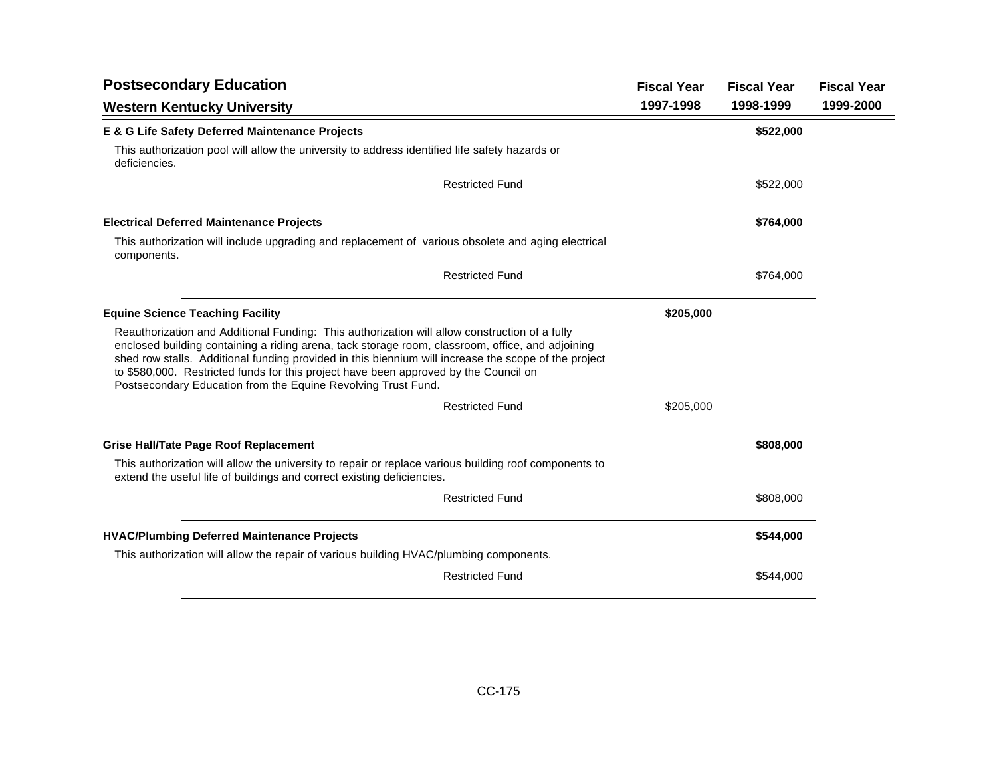| <b>Postsecondary Education</b>                                                                                                                                                                                                                                                                                                                                                                                                                                     | <b>Fiscal Year</b> | <b>Fiscal Year</b> | <b>Fiscal Year</b> |
|--------------------------------------------------------------------------------------------------------------------------------------------------------------------------------------------------------------------------------------------------------------------------------------------------------------------------------------------------------------------------------------------------------------------------------------------------------------------|--------------------|--------------------|--------------------|
| <b>Western Kentucky University</b>                                                                                                                                                                                                                                                                                                                                                                                                                                 | 1997-1998          | 1998-1999          | 1999-2000          |
| E & G Life Safety Deferred Maintenance Projects                                                                                                                                                                                                                                                                                                                                                                                                                    |                    | \$522,000          |                    |
| This authorization pool will allow the university to address identified life safety hazards or<br>deficiencies.                                                                                                                                                                                                                                                                                                                                                    |                    |                    |                    |
| <b>Restricted Fund</b>                                                                                                                                                                                                                                                                                                                                                                                                                                             |                    | \$522,000          |                    |
| <b>Electrical Deferred Maintenance Projects</b>                                                                                                                                                                                                                                                                                                                                                                                                                    |                    | \$764,000          |                    |
| This authorization will include upgrading and replacement of various obsolete and aging electrical<br>components.                                                                                                                                                                                                                                                                                                                                                  |                    |                    |                    |
| <b>Restricted Fund</b>                                                                                                                                                                                                                                                                                                                                                                                                                                             |                    | \$764,000          |                    |
| <b>Equine Science Teaching Facility</b>                                                                                                                                                                                                                                                                                                                                                                                                                            | \$205,000          |                    |                    |
| Reauthorization and Additional Funding: This authorization will allow construction of a fully<br>enclosed building containing a riding arena, tack storage room, classroom, office, and adjoining<br>shed row stalls. Additional funding provided in this biennium will increase the scope of the project<br>to \$580,000. Restricted funds for this project have been approved by the Council on<br>Postsecondary Education from the Equine Revolving Trust Fund. |                    |                    |                    |
| <b>Restricted Fund</b>                                                                                                                                                                                                                                                                                                                                                                                                                                             | \$205,000          |                    |                    |
| <b>Grise Hall/Tate Page Roof Replacement</b>                                                                                                                                                                                                                                                                                                                                                                                                                       |                    | \$808,000          |                    |
| This authorization will allow the university to repair or replace various building roof components to<br>extend the useful life of buildings and correct existing deficiencies.                                                                                                                                                                                                                                                                                    |                    |                    |                    |
| <b>Restricted Fund</b>                                                                                                                                                                                                                                                                                                                                                                                                                                             |                    | \$808,000          |                    |
| <b>HVAC/Plumbing Deferred Maintenance Projects</b>                                                                                                                                                                                                                                                                                                                                                                                                                 |                    | \$544,000          |                    |
| This authorization will allow the repair of various building HVAC/plumbing components.                                                                                                                                                                                                                                                                                                                                                                             |                    |                    |                    |
| <b>Restricted Fund</b>                                                                                                                                                                                                                                                                                                                                                                                                                                             |                    | \$544,000          |                    |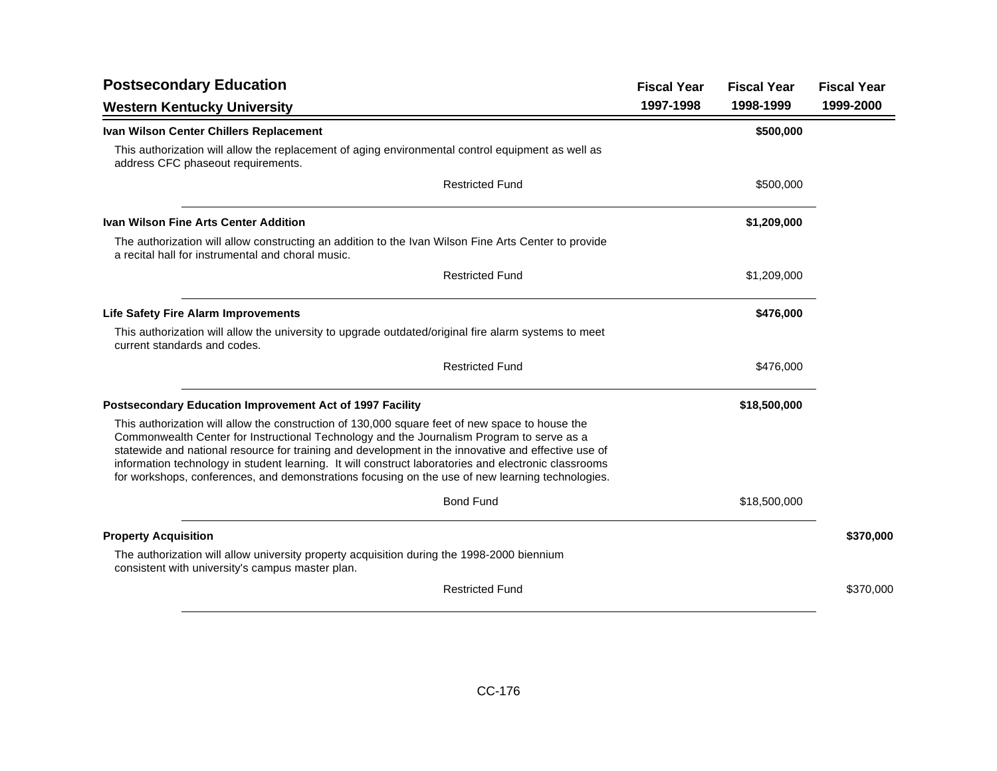| <b>Postsecondary Education</b>                                                                                                                                                                                                                                                                                                                                                                                                                                                                                  | <b>Fiscal Year</b> | <b>Fiscal Year</b> | <b>Fiscal Year</b> |
|-----------------------------------------------------------------------------------------------------------------------------------------------------------------------------------------------------------------------------------------------------------------------------------------------------------------------------------------------------------------------------------------------------------------------------------------------------------------------------------------------------------------|--------------------|--------------------|--------------------|
| <b>Western Kentucky University</b>                                                                                                                                                                                                                                                                                                                                                                                                                                                                              | 1997-1998          | 1998-1999          | 1999-2000          |
| Ivan Wilson Center Chillers Replacement                                                                                                                                                                                                                                                                                                                                                                                                                                                                         |                    | \$500,000          |                    |
| This authorization will allow the replacement of aging environmental control equipment as well as<br>address CFC phaseout requirements.                                                                                                                                                                                                                                                                                                                                                                         |                    |                    |                    |
| <b>Restricted Fund</b>                                                                                                                                                                                                                                                                                                                                                                                                                                                                                          |                    | \$500,000          |                    |
| <b>Ivan Wilson Fine Arts Center Addition</b>                                                                                                                                                                                                                                                                                                                                                                                                                                                                    |                    | \$1,209,000        |                    |
| The authorization will allow constructing an addition to the Ivan Wilson Fine Arts Center to provide<br>a recital hall for instrumental and choral music.                                                                                                                                                                                                                                                                                                                                                       |                    |                    |                    |
| <b>Restricted Fund</b>                                                                                                                                                                                                                                                                                                                                                                                                                                                                                          |                    | \$1,209,000        |                    |
| <b>Life Safety Fire Alarm Improvements</b>                                                                                                                                                                                                                                                                                                                                                                                                                                                                      |                    | \$476,000          |                    |
| This authorization will allow the university to upgrade outdated/original fire alarm systems to meet<br>current standards and codes.                                                                                                                                                                                                                                                                                                                                                                            |                    |                    |                    |
| <b>Restricted Fund</b>                                                                                                                                                                                                                                                                                                                                                                                                                                                                                          |                    | \$476,000          |                    |
| Postsecondary Education Improvement Act of 1997 Facility                                                                                                                                                                                                                                                                                                                                                                                                                                                        |                    | \$18,500,000       |                    |
| This authorization will allow the construction of 130,000 square feet of new space to house the<br>Commonwealth Center for Instructional Technology and the Journalism Program to serve as a<br>statewide and national resource for training and development in the innovative and effective use of<br>information technology in student learning. It will construct laboratories and electronic classrooms<br>for workshops, conferences, and demonstrations focusing on the use of new learning technologies. |                    |                    |                    |
| <b>Bond Fund</b>                                                                                                                                                                                                                                                                                                                                                                                                                                                                                                |                    | \$18,500,000       |                    |
| <b>Property Acquisition</b>                                                                                                                                                                                                                                                                                                                                                                                                                                                                                     |                    |                    | \$370,000          |
| The authorization will allow university property acquisition during the 1998-2000 biennium<br>consistent with university's campus master plan.                                                                                                                                                                                                                                                                                                                                                                  |                    |                    |                    |
| <b>Restricted Fund</b>                                                                                                                                                                                                                                                                                                                                                                                                                                                                                          |                    |                    | \$370,000          |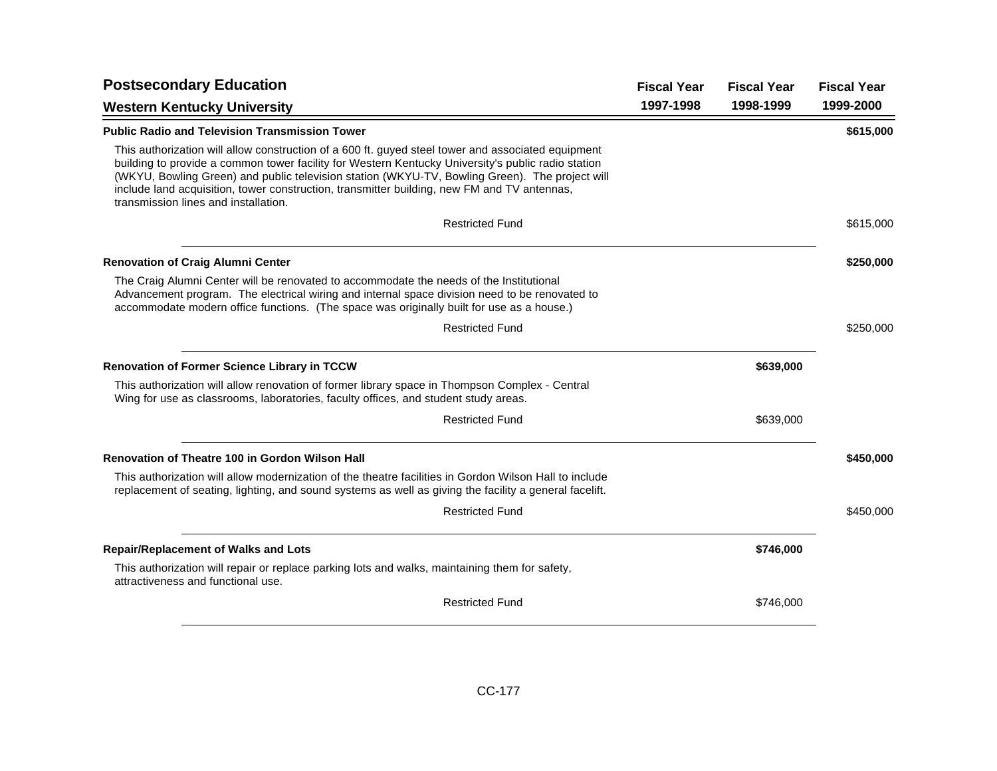| <b>Postsecondary Education</b>                                                                                                                                                                                                                                                                                                                                                                                                                    | <b>Fiscal Year</b> | <b>Fiscal Year</b> | <b>Fiscal Year</b> |
|---------------------------------------------------------------------------------------------------------------------------------------------------------------------------------------------------------------------------------------------------------------------------------------------------------------------------------------------------------------------------------------------------------------------------------------------------|--------------------|--------------------|--------------------|
| <b>Western Kentucky University</b>                                                                                                                                                                                                                                                                                                                                                                                                                | 1997-1998          | 1998-1999          | 1999-2000          |
| <b>Public Radio and Television Transmission Tower</b>                                                                                                                                                                                                                                                                                                                                                                                             |                    |                    | \$615,000          |
| This authorization will allow construction of a 600 ft. guyed steel tower and associated equipment<br>building to provide a common tower facility for Western Kentucky University's public radio station<br>(WKYU, Bowling Green) and public television station (WKYU-TV, Bowling Green). The project will<br>include land acquisition, tower construction, transmitter building, new FM and TV antennas,<br>transmission lines and installation. |                    |                    |                    |
| <b>Restricted Fund</b>                                                                                                                                                                                                                                                                                                                                                                                                                            |                    |                    | \$615,000          |
| <b>Renovation of Craig Alumni Center</b>                                                                                                                                                                                                                                                                                                                                                                                                          |                    |                    | \$250,000          |
| The Craig Alumni Center will be renovated to accommodate the needs of the Institutional<br>Advancement program. The electrical wiring and internal space division need to be renovated to<br>accommodate modern office functions. (The space was originally built for use as a house.)                                                                                                                                                            |                    |                    |                    |
| <b>Restricted Fund</b>                                                                                                                                                                                                                                                                                                                                                                                                                            |                    |                    | \$250,000          |
| <b>Renovation of Former Science Library in TCCW</b>                                                                                                                                                                                                                                                                                                                                                                                               |                    | \$639,000          |                    |
| This authorization will allow renovation of former library space in Thompson Complex - Central<br>Wing for use as classrooms, laboratories, faculty offices, and student study areas.                                                                                                                                                                                                                                                             |                    |                    |                    |
| <b>Restricted Fund</b>                                                                                                                                                                                                                                                                                                                                                                                                                            |                    | \$639,000          |                    |
| Renovation of Theatre 100 in Gordon Wilson Hall                                                                                                                                                                                                                                                                                                                                                                                                   |                    |                    | \$450,000          |
| This authorization will allow modernization of the theatre facilities in Gordon Wilson Hall to include<br>replacement of seating, lighting, and sound systems as well as giving the facility a general facelift.                                                                                                                                                                                                                                  |                    |                    |                    |
| <b>Restricted Fund</b>                                                                                                                                                                                                                                                                                                                                                                                                                            |                    |                    | \$450,000          |
| <b>Repair/Replacement of Walks and Lots</b>                                                                                                                                                                                                                                                                                                                                                                                                       |                    | \$746,000          |                    |
| This authorization will repair or replace parking lots and walks, maintaining them for safety,<br>attractiveness and functional use.                                                                                                                                                                                                                                                                                                              |                    |                    |                    |
| <b>Restricted Fund</b>                                                                                                                                                                                                                                                                                                                                                                                                                            |                    | \$746,000          |                    |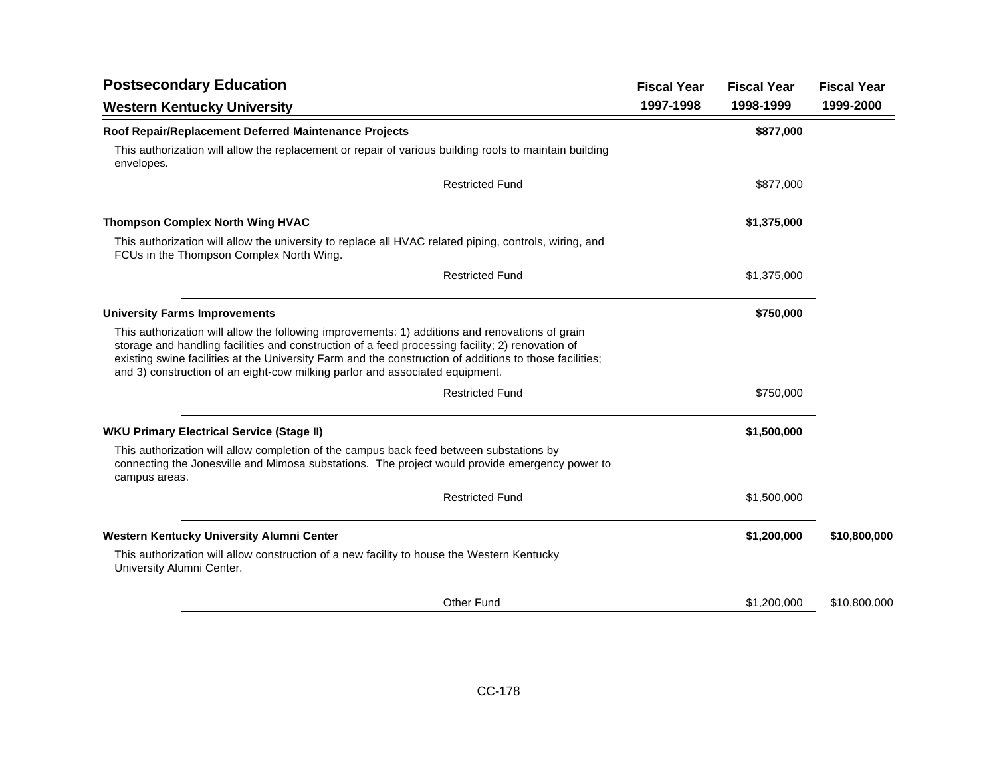| <b>Postsecondary Education</b>                                                                                                                                                                                                                                                                                                                                                                 | <b>Fiscal Year</b> | <b>Fiscal Year</b> | <b>Fiscal Year</b> |
|------------------------------------------------------------------------------------------------------------------------------------------------------------------------------------------------------------------------------------------------------------------------------------------------------------------------------------------------------------------------------------------------|--------------------|--------------------|--------------------|
| <b>Western Kentucky University</b>                                                                                                                                                                                                                                                                                                                                                             | 1997-1998          | 1998-1999          | 1999-2000          |
| Roof Repair/Replacement Deferred Maintenance Projects                                                                                                                                                                                                                                                                                                                                          |                    | \$877,000          |                    |
| This authorization will allow the replacement or repair of various building roofs to maintain building<br>envelopes.                                                                                                                                                                                                                                                                           |                    |                    |                    |
| <b>Restricted Fund</b>                                                                                                                                                                                                                                                                                                                                                                         |                    | \$877,000          |                    |
| <b>Thompson Complex North Wing HVAC</b>                                                                                                                                                                                                                                                                                                                                                        |                    | \$1,375,000        |                    |
| This authorization will allow the university to replace all HVAC related piping, controls, wiring, and<br>FCUs in the Thompson Complex North Wing.                                                                                                                                                                                                                                             |                    |                    |                    |
| <b>Restricted Fund</b>                                                                                                                                                                                                                                                                                                                                                                         |                    | \$1,375,000        |                    |
| <b>University Farms Improvements</b>                                                                                                                                                                                                                                                                                                                                                           |                    | \$750,000          |                    |
| This authorization will allow the following improvements: 1) additions and renovations of grain<br>storage and handling facilities and construction of a feed processing facility; 2) renovation of<br>existing swine facilities at the University Farm and the construction of additions to those facilities;<br>and 3) construction of an eight-cow milking parlor and associated equipment. |                    |                    |                    |
| <b>Restricted Fund</b>                                                                                                                                                                                                                                                                                                                                                                         |                    | \$750,000          |                    |
| <b>WKU Primary Electrical Service (Stage II)</b>                                                                                                                                                                                                                                                                                                                                               |                    | \$1,500,000        |                    |
| This authorization will allow completion of the campus back feed between substations by<br>connecting the Jonesville and Mimosa substations. The project would provide emergency power to<br>campus areas.                                                                                                                                                                                     |                    |                    |                    |
| <b>Restricted Fund</b>                                                                                                                                                                                                                                                                                                                                                                         |                    | \$1,500,000        |                    |
| Western Kentucky University Alumni Center                                                                                                                                                                                                                                                                                                                                                      |                    | \$1,200,000        | \$10,800,000       |
| This authorization will allow construction of a new facility to house the Western Kentucky<br>University Alumni Center.                                                                                                                                                                                                                                                                        |                    |                    |                    |
| <b>Other Fund</b>                                                                                                                                                                                                                                                                                                                                                                              |                    | \$1,200,000        | \$10,800,000       |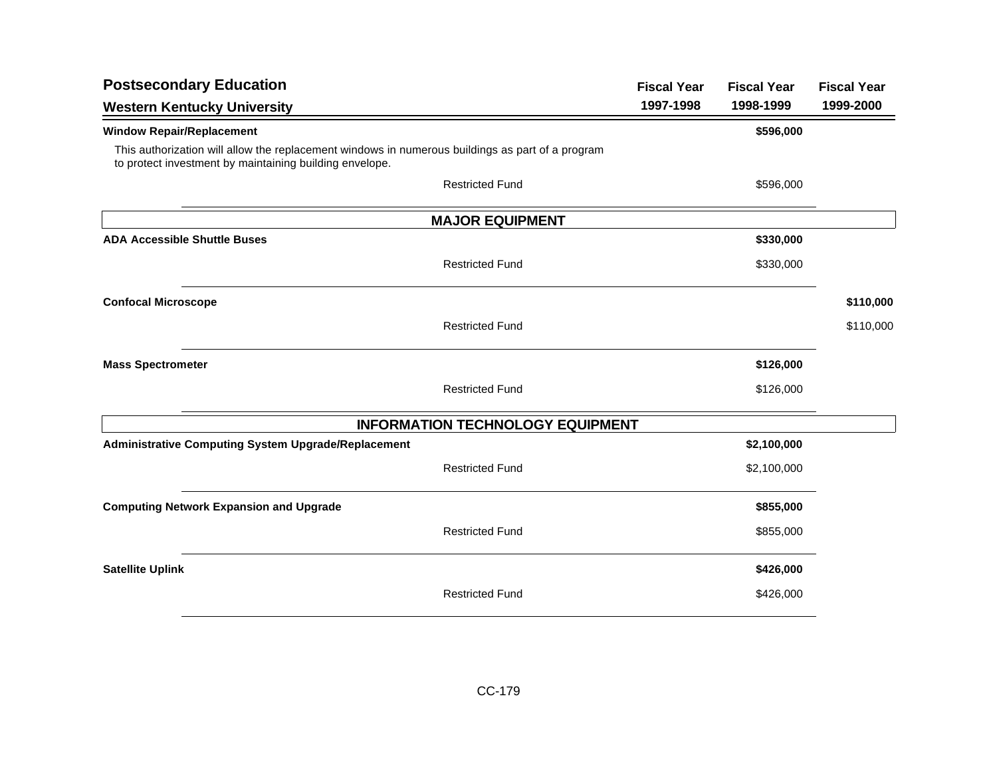| <b>Postsecondary Education</b>                                                                                                                              | <b>Fiscal Year</b> | <b>Fiscal Year</b> | <b>Fiscal Year</b> |
|-------------------------------------------------------------------------------------------------------------------------------------------------------------|--------------------|--------------------|--------------------|
| <b>Western Kentucky University</b>                                                                                                                          | 1997-1998          | 1998-1999          | 1999-2000          |
| <b>Window Repair/Replacement</b>                                                                                                                            |                    | \$596,000          |                    |
| This authorization will allow the replacement windows in numerous buildings as part of a program<br>to protect investment by maintaining building envelope. |                    |                    |                    |
| <b>Restricted Fund</b>                                                                                                                                      |                    | \$596,000          |                    |
| <b>MAJOR EQUIPMENT</b>                                                                                                                                      |                    |                    |                    |
| <b>ADA Accessible Shuttle Buses</b>                                                                                                                         |                    | \$330,000          |                    |
| <b>Restricted Fund</b>                                                                                                                                      |                    | \$330,000          |                    |
| <b>Confocal Microscope</b>                                                                                                                                  |                    |                    | \$110,000          |
| <b>Restricted Fund</b>                                                                                                                                      |                    |                    | \$110,000          |
| <b>Mass Spectrometer</b>                                                                                                                                    |                    | \$126,000          |                    |
| <b>Restricted Fund</b>                                                                                                                                      |                    | \$126,000          |                    |
| <b>INFORMATION TECHNOLOGY EQUIPMENT</b>                                                                                                                     |                    |                    |                    |
| <b>Administrative Computing System Upgrade/Replacement</b>                                                                                                  |                    | \$2,100,000        |                    |
| <b>Restricted Fund</b>                                                                                                                                      |                    | \$2,100,000        |                    |
| <b>Computing Network Expansion and Upgrade</b>                                                                                                              |                    | \$855,000          |                    |
| <b>Restricted Fund</b>                                                                                                                                      |                    | \$855,000          |                    |
| <b>Satellite Uplink</b>                                                                                                                                     |                    | \$426,000          |                    |
| <b>Restricted Fund</b>                                                                                                                                      |                    | \$426,000          |                    |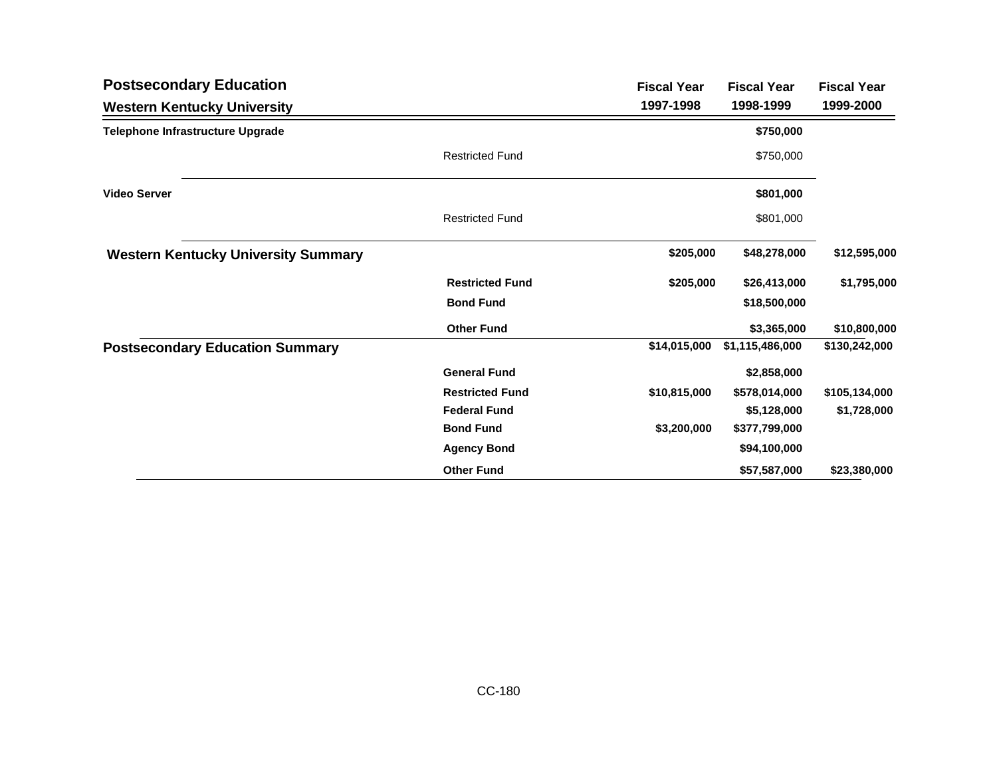| <b>Postsecondary Education</b>             |                        | <b>Fiscal Year</b> | <b>Fiscal Year</b> | <b>Fiscal Year</b> |
|--------------------------------------------|------------------------|--------------------|--------------------|--------------------|
| <b>Western Kentucky University</b>         |                        | 1997-1998          | 1998-1999          | 1999-2000          |
| Telephone Infrastructure Upgrade           |                        |                    | \$750,000          |                    |
|                                            | <b>Restricted Fund</b> |                    | \$750,000          |                    |
| <b>Video Server</b>                        |                        |                    | \$801,000          |                    |
|                                            | <b>Restricted Fund</b> |                    | \$801,000          |                    |
| <b>Western Kentucky University Summary</b> |                        | \$205,000          | \$48,278,000       | \$12,595,000       |
|                                            | <b>Restricted Fund</b> | \$205,000          | \$26,413,000       | \$1,795,000        |
|                                            | <b>Bond Fund</b>       |                    | \$18,500,000       |                    |
|                                            | <b>Other Fund</b>      |                    | \$3,365,000        | \$10,800,000       |
| <b>Postsecondary Education Summary</b>     |                        | \$14,015,000       | \$1,115,486,000    | \$130,242,000      |
|                                            | <b>General Fund</b>    |                    | \$2,858,000        |                    |
|                                            | <b>Restricted Fund</b> | \$10,815,000       | \$578,014,000      | \$105,134,000      |
|                                            | <b>Federal Fund</b>    |                    | \$5,128,000        | \$1,728,000        |
|                                            | <b>Bond Fund</b>       | \$3,200,000        | \$377,799,000      |                    |
|                                            | <b>Agency Bond</b>     |                    | \$94,100,000       |                    |
|                                            | <b>Other Fund</b>      |                    | \$57,587,000       | \$23,380,000       |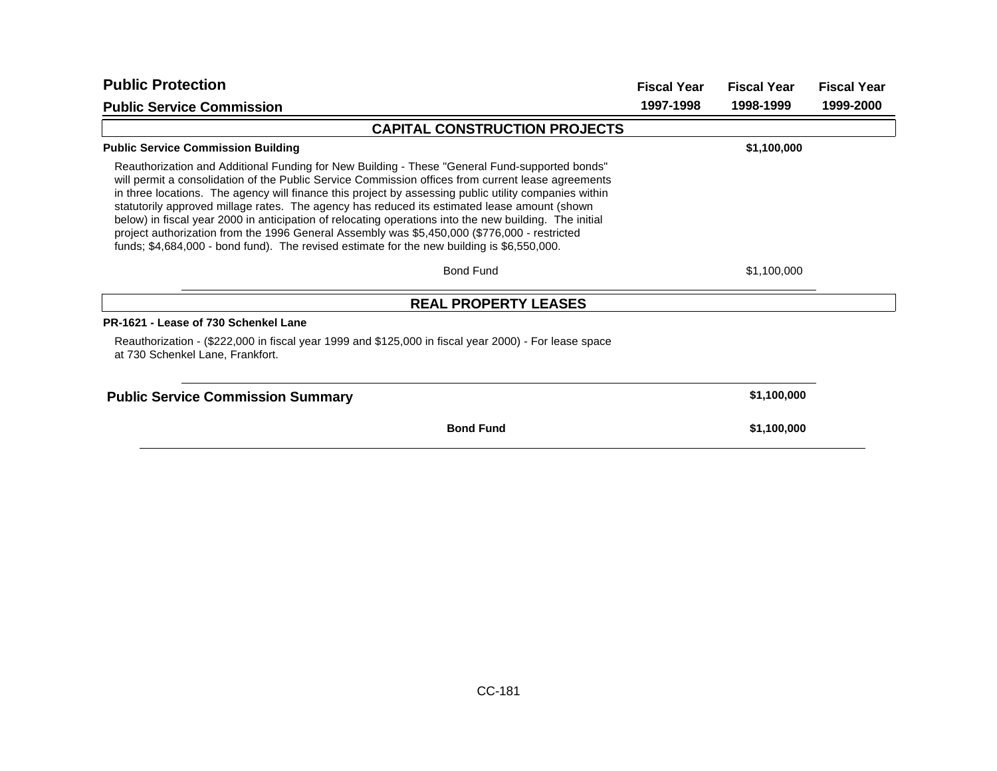| <b>Public Protection</b>                                                                                                                                                                                                                                                                                                                                                                                                                                                                                                                                                                                                                                                                                              | <b>Fiscal Year</b> | <b>Fiscal Year</b> | <b>Fiscal Year</b> |
|-----------------------------------------------------------------------------------------------------------------------------------------------------------------------------------------------------------------------------------------------------------------------------------------------------------------------------------------------------------------------------------------------------------------------------------------------------------------------------------------------------------------------------------------------------------------------------------------------------------------------------------------------------------------------------------------------------------------------|--------------------|--------------------|--------------------|
| <b>Public Service Commission</b>                                                                                                                                                                                                                                                                                                                                                                                                                                                                                                                                                                                                                                                                                      | 1997-1998          | 1998-1999          | 1999-2000          |
| <b>CAPITAL CONSTRUCTION PROJECTS</b>                                                                                                                                                                                                                                                                                                                                                                                                                                                                                                                                                                                                                                                                                  |                    |                    |                    |
| <b>Public Service Commission Building</b>                                                                                                                                                                                                                                                                                                                                                                                                                                                                                                                                                                                                                                                                             |                    | \$1,100,000        |                    |
| Reauthorization and Additional Funding for New Building - These "General Fund-supported bonds"<br>will permit a consolidation of the Public Service Commission offices from current lease agreements<br>in three locations. The agency will finance this project by assessing public utility companies within<br>statutorily approved millage rates. The agency has reduced its estimated lease amount (shown<br>below) in fiscal year 2000 in anticipation of relocating operations into the new building. The initial<br>project authorization from the 1996 General Assembly was \$5,450,000 (\$776,000 - restricted<br>funds; \$4,684,000 - bond fund). The revised estimate for the new building is \$6,550,000. |                    |                    |                    |
| <b>Bond Fund</b>                                                                                                                                                                                                                                                                                                                                                                                                                                                                                                                                                                                                                                                                                                      |                    | \$1,100,000        |                    |
| <b>REAL PROPERTY LEASES</b>                                                                                                                                                                                                                                                                                                                                                                                                                                                                                                                                                                                                                                                                                           |                    |                    |                    |
| PR-1621 - Lease of 730 Schenkel Lane                                                                                                                                                                                                                                                                                                                                                                                                                                                                                                                                                                                                                                                                                  |                    |                    |                    |
| Reauthorization - (\$222,000 in fiscal year 1999 and \$125,000 in fiscal year 2000) - For lease space<br>at 730 Schenkel Lane, Frankfort.                                                                                                                                                                                                                                                                                                                                                                                                                                                                                                                                                                             |                    |                    |                    |
| <b>Public Service Commission Summary</b>                                                                                                                                                                                                                                                                                                                                                                                                                                                                                                                                                                                                                                                                              |                    | \$1,100,000        |                    |
| <b>Bond Fund</b>                                                                                                                                                                                                                                                                                                                                                                                                                                                                                                                                                                                                                                                                                                      |                    | \$1,100,000        |                    |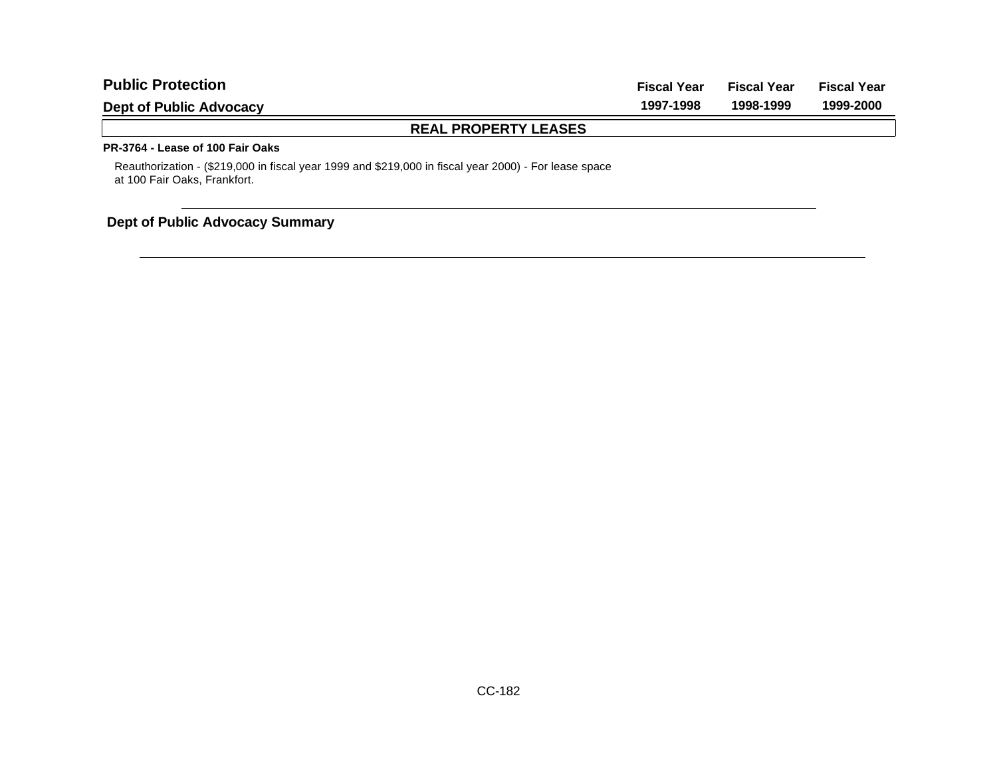| <b>Public Protection</b>         | <b>Fiscal Year</b> | <b>Fiscal Year</b> | <b>Fiscal Year</b> |
|----------------------------------|--------------------|--------------------|--------------------|
| <b>Dept of Public Advocacy</b>   | 1997-1998          | 1998-1999          | 1999-2000          |
| <b>REAL PROPERTY LEASES</b>      |                    |                    |                    |
| PR-3764 - Lease of 100 Fair Oaks |                    |                    |                    |

Reauthorization - (\$219,000 in fiscal year 1999 and \$219,000 in fiscal year 2000) - For lease space at 100 Fair Oaks, Frankfort.

## **Dept of Public Advocacy Summary**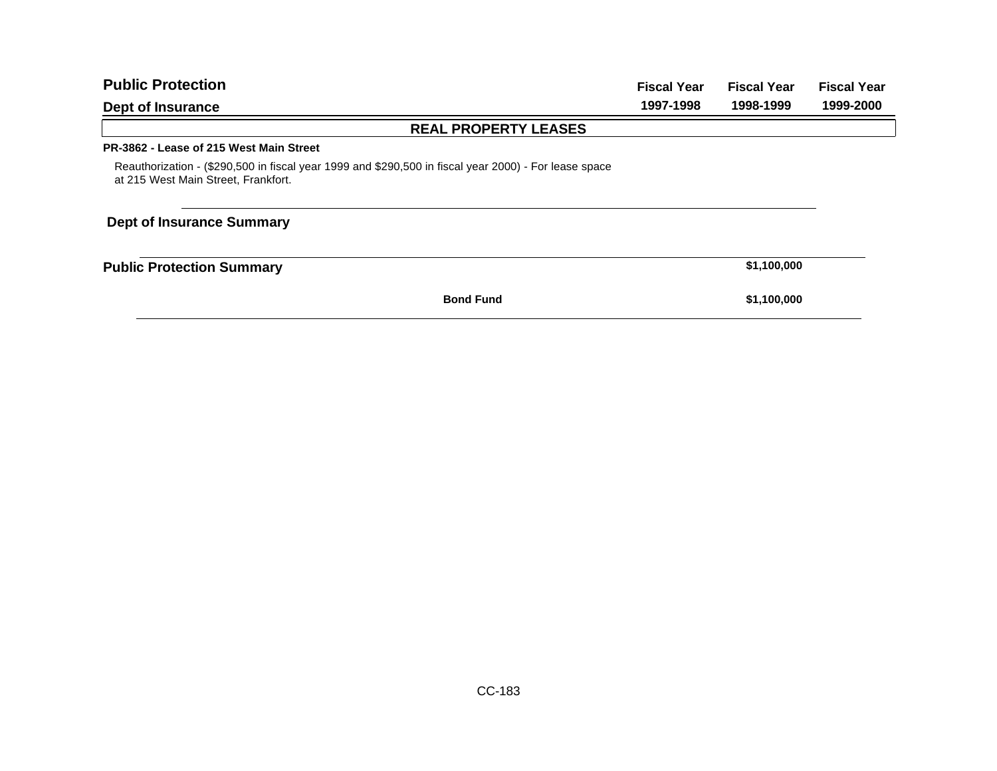| <b>Public Protection</b>                                                                                                                     | <b>Fiscal Year</b> | <b>Fiscal Year</b> | <b>Fiscal Year</b> |
|----------------------------------------------------------------------------------------------------------------------------------------------|--------------------|--------------------|--------------------|
| Dept of Insurance                                                                                                                            | 1997-1998          | 1998-1999          | 1999-2000          |
| <b>REAL PROPERTY LEASES</b>                                                                                                                  |                    |                    |                    |
| PR-3862 - Lease of 215 West Main Street                                                                                                      |                    |                    |                    |
| Reauthorization - (\$290,500 in fiscal year 1999 and \$290,500 in fiscal year 2000) - For lease space<br>at 215 West Main Street, Frankfort. |                    |                    |                    |
| <b>Dept of Insurance Summary</b>                                                                                                             |                    |                    |                    |
| <b>Public Protection Summary</b>                                                                                                             |                    | \$1,100,000        |                    |
| <b>Bond Fund</b>                                                                                                                             |                    | \$1,100,000        |                    |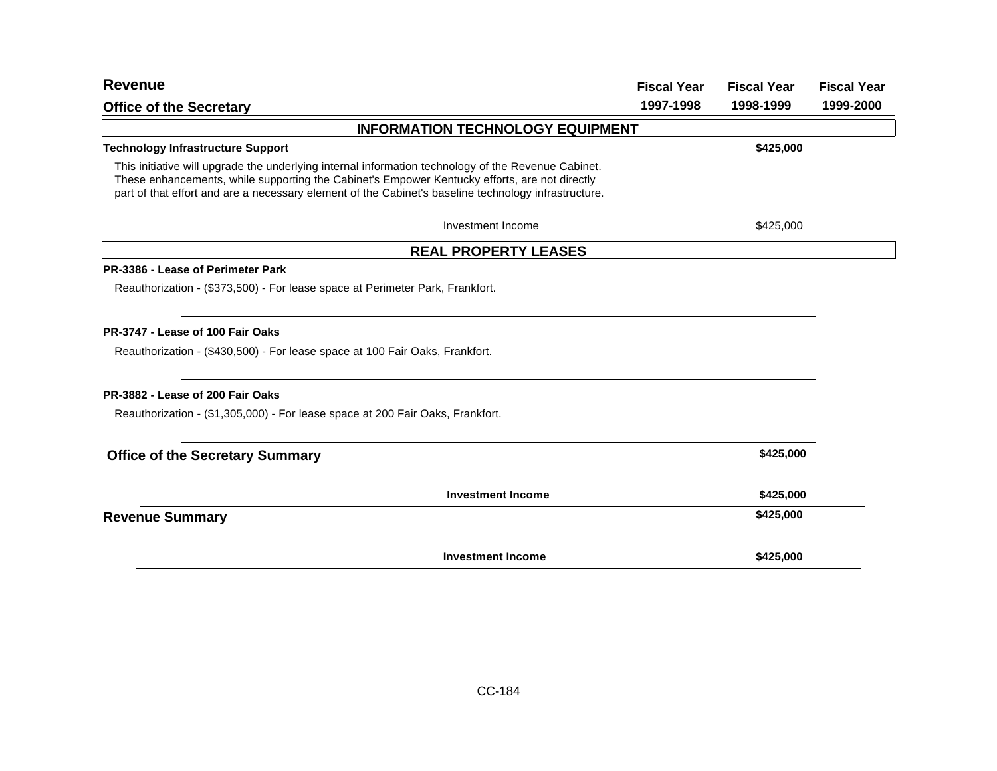| <b>Revenue</b>                                                                                                                                                                                                                                                                                               | <b>Fiscal Year</b> | <b>Fiscal Year</b> | <b>Fiscal Year</b> |
|--------------------------------------------------------------------------------------------------------------------------------------------------------------------------------------------------------------------------------------------------------------------------------------------------------------|--------------------|--------------------|--------------------|
| <b>Office of the Secretary</b>                                                                                                                                                                                                                                                                               | 1997-1998          | 1998-1999          | 1999-2000          |
| <b>INFORMATION TECHNOLOGY EQUIPMENT</b>                                                                                                                                                                                                                                                                      |                    |                    |                    |
| <b>Technology Infrastructure Support</b>                                                                                                                                                                                                                                                                     |                    | \$425,000          |                    |
| This initiative will upgrade the underlying internal information technology of the Revenue Cabinet.<br>These enhancements, while supporting the Cabinet's Empower Kentucky efforts, are not directly<br>part of that effort and are a necessary element of the Cabinet's baseline technology infrastructure. |                    |                    |                    |
| Investment Income                                                                                                                                                                                                                                                                                            |                    | \$425,000          |                    |
| <b>REAL PROPERTY LEASES</b>                                                                                                                                                                                                                                                                                  |                    |                    |                    |
| PR-3386 - Lease of Perimeter Park                                                                                                                                                                                                                                                                            |                    |                    |                    |
| Reauthorization - (\$373,500) - For lease space at Perimeter Park, Frankfort.                                                                                                                                                                                                                                |                    |                    |                    |
| PR-3747 - Lease of 100 Fair Oaks                                                                                                                                                                                                                                                                             |                    |                    |                    |
| Reauthorization - (\$430,500) - For lease space at 100 Fair Oaks, Frankfort.                                                                                                                                                                                                                                 |                    |                    |                    |
| PR-3882 - Lease of 200 Fair Oaks                                                                                                                                                                                                                                                                             |                    |                    |                    |
| Reauthorization - (\$1,305,000) - For lease space at 200 Fair Oaks, Frankfort.                                                                                                                                                                                                                               |                    |                    |                    |
| <b>Office of the Secretary Summary</b>                                                                                                                                                                                                                                                                       |                    | \$425,000          |                    |
| <b>Investment Income</b>                                                                                                                                                                                                                                                                                     |                    | \$425,000          |                    |
| <b>Revenue Summary</b>                                                                                                                                                                                                                                                                                       |                    | \$425,000          |                    |
| <b>Investment Income</b>                                                                                                                                                                                                                                                                                     |                    | \$425,000          |                    |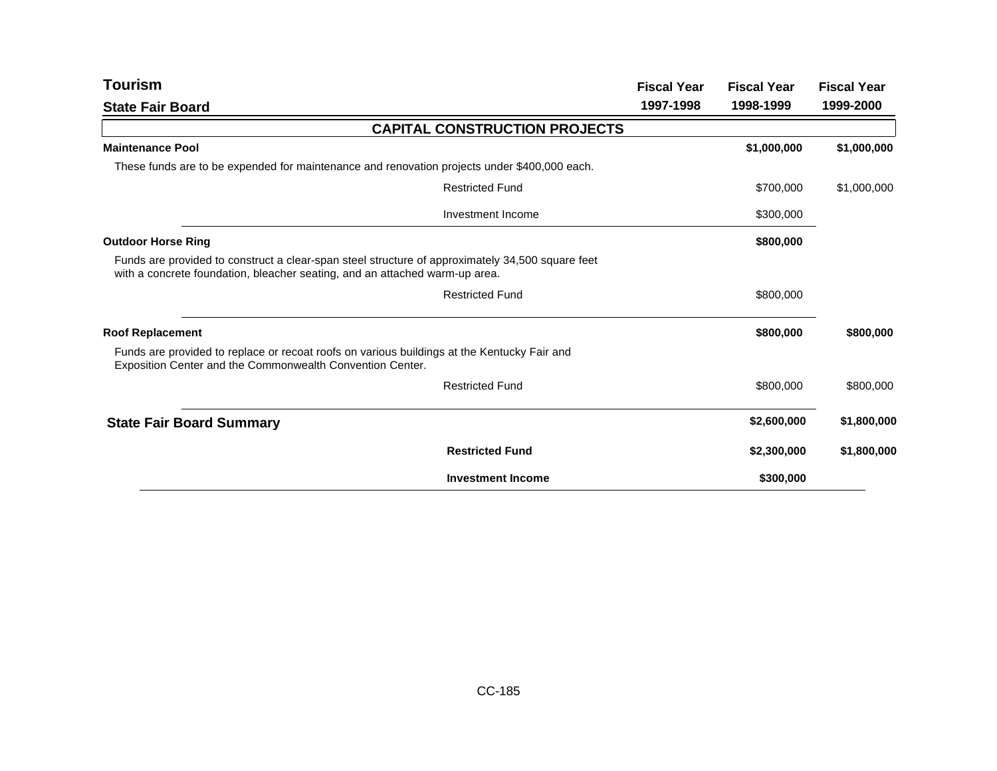| <b>Tourism</b>                                                                                                                                                                  |                                      | <b>Fiscal Year</b> | <b>Fiscal Year</b> | <b>Fiscal Year</b> |
|---------------------------------------------------------------------------------------------------------------------------------------------------------------------------------|--------------------------------------|--------------------|--------------------|--------------------|
| <b>State Fair Board</b>                                                                                                                                                         |                                      | 1997-1998          | 1998-1999          | 1999-2000          |
|                                                                                                                                                                                 | <b>CAPITAL CONSTRUCTION PROJECTS</b> |                    |                    |                    |
| <b>Maintenance Pool</b>                                                                                                                                                         |                                      |                    | \$1,000,000        | \$1,000,000        |
| These funds are to be expended for maintenance and renovation projects under \$400,000 each.                                                                                    |                                      |                    |                    |                    |
|                                                                                                                                                                                 | <b>Restricted Fund</b>               |                    | \$700,000          | \$1,000,000        |
|                                                                                                                                                                                 | Investment Income                    |                    | \$300,000          |                    |
| <b>Outdoor Horse Ring</b>                                                                                                                                                       |                                      |                    | \$800,000          |                    |
| Funds are provided to construct a clear-span steel structure of approximately 34,500 square feet<br>with a concrete foundation, bleacher seating, and an attached warm-up area. |                                      |                    |                    |                    |
|                                                                                                                                                                                 | <b>Restricted Fund</b>               |                    | \$800,000          |                    |
| <b>Roof Replacement</b>                                                                                                                                                         |                                      |                    | \$800,000          | \$800,000          |
| Funds are provided to replace or recoat roofs on various buildings at the Kentucky Fair and<br>Exposition Center and the Commonwealth Convention Center.                        |                                      |                    |                    |                    |
|                                                                                                                                                                                 | <b>Restricted Fund</b>               |                    | \$800,000          | \$800,000          |
| <b>State Fair Board Summary</b>                                                                                                                                                 |                                      |                    | \$2,600,000        | \$1,800,000        |
|                                                                                                                                                                                 | <b>Restricted Fund</b>               |                    | \$2,300,000        | \$1,800,000        |
|                                                                                                                                                                                 | <b>Investment Income</b>             |                    | \$300,000          |                    |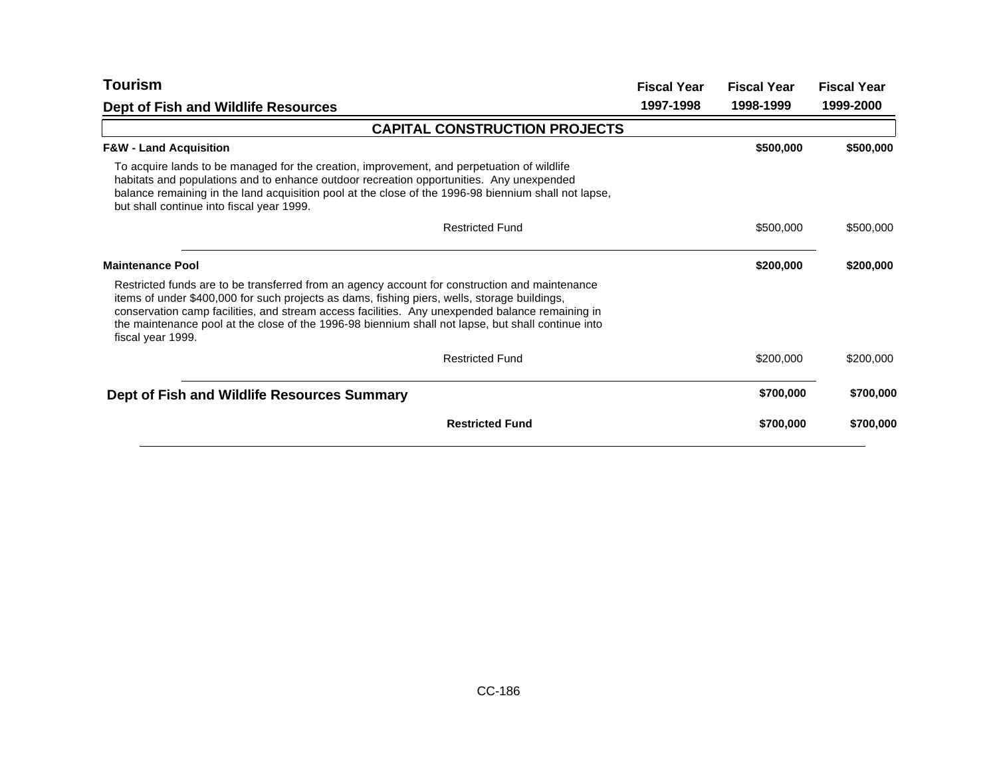| Tourism                                                                                                                                                                                                                                                                                                                                                                                                                      | <b>Fiscal Year</b> | <b>Fiscal Year</b> | <b>Fiscal Year</b> |
|------------------------------------------------------------------------------------------------------------------------------------------------------------------------------------------------------------------------------------------------------------------------------------------------------------------------------------------------------------------------------------------------------------------------------|--------------------|--------------------|--------------------|
| Dept of Fish and Wildlife Resources                                                                                                                                                                                                                                                                                                                                                                                          | 1997-1998          | 1998-1999          | 1999-2000          |
| <b>CAPITAL CONSTRUCTION PROJECTS</b>                                                                                                                                                                                                                                                                                                                                                                                         |                    |                    |                    |
| <b>F&amp;W - Land Acquisition</b>                                                                                                                                                                                                                                                                                                                                                                                            |                    | \$500,000          | \$500,000          |
| To acquire lands to be managed for the creation, improvement, and perpetuation of wildlife<br>habitats and populations and to enhance outdoor recreation opportunities. Any unexpended<br>balance remaining in the land acquisition pool at the close of the 1996-98 biennium shall not lapse,<br>but shall continue into fiscal year 1999.                                                                                  |                    |                    |                    |
| <b>Restricted Fund</b>                                                                                                                                                                                                                                                                                                                                                                                                       |                    | \$500,000          | \$500,000          |
| <b>Maintenance Pool</b>                                                                                                                                                                                                                                                                                                                                                                                                      |                    | \$200,000          | \$200,000          |
| Restricted funds are to be transferred from an agency account for construction and maintenance<br>items of under \$400,000 for such projects as dams, fishing piers, wells, storage buildings,<br>conservation camp facilities, and stream access facilities. Any unexpended balance remaining in<br>the maintenance pool at the close of the 1996-98 biennium shall not lapse, but shall continue into<br>fiscal year 1999. |                    |                    |                    |
| <b>Restricted Fund</b>                                                                                                                                                                                                                                                                                                                                                                                                       |                    | \$200,000          | \$200,000          |
| Dept of Fish and Wildlife Resources Summary                                                                                                                                                                                                                                                                                                                                                                                  |                    | \$700,000          | \$700,000          |
| <b>Restricted Fund</b>                                                                                                                                                                                                                                                                                                                                                                                                       |                    | \$700,000          | \$700,000          |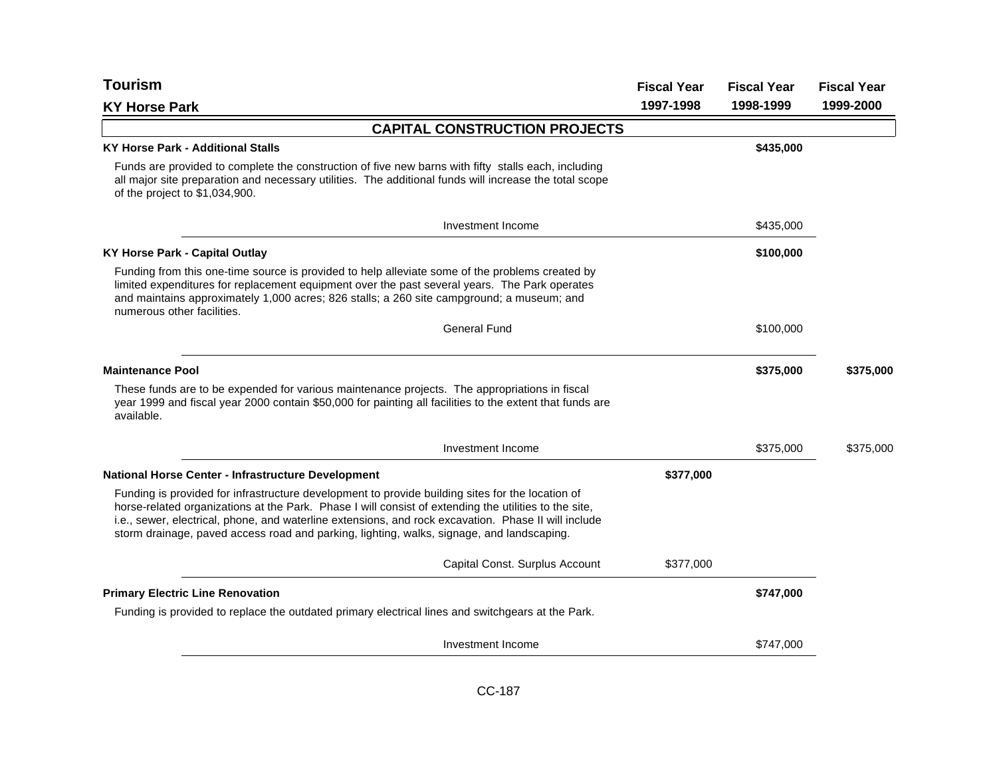| <b>Tourism</b>                                                                                                                                                                                                                                                                                                                                                                                                 | <b>Fiscal Year</b> | <b>Fiscal Year</b> | <b>Fiscal Year</b> |
|----------------------------------------------------------------------------------------------------------------------------------------------------------------------------------------------------------------------------------------------------------------------------------------------------------------------------------------------------------------------------------------------------------------|--------------------|--------------------|--------------------|
| <b>KY Horse Park</b>                                                                                                                                                                                                                                                                                                                                                                                           | 1997-1998          | 1998-1999          | 1999-2000          |
| <b>CAPITAL CONSTRUCTION PROJECTS</b>                                                                                                                                                                                                                                                                                                                                                                           |                    |                    |                    |
| <b>KY Horse Park - Additional Stalls</b>                                                                                                                                                                                                                                                                                                                                                                       |                    | \$435,000          |                    |
| Funds are provided to complete the construction of five new barns with fifty stalls each, including<br>all major site preparation and necessary utilities. The additional funds will increase the total scope<br>of the project to \$1,034,900.                                                                                                                                                                |                    |                    |                    |
| Investment Income                                                                                                                                                                                                                                                                                                                                                                                              |                    | \$435,000          |                    |
| <b>KY Horse Park - Capital Outlay</b>                                                                                                                                                                                                                                                                                                                                                                          |                    | \$100,000          |                    |
| Funding from this one-time source is provided to help alleviate some of the problems created by<br>limited expenditures for replacement equipment over the past several years. The Park operates<br>and maintains approximately 1,000 acres; 826 stalls; a 260 site campground; a museum; and<br>numerous other facilities.                                                                                    |                    |                    |                    |
| <b>General Fund</b>                                                                                                                                                                                                                                                                                                                                                                                            |                    | \$100,000          |                    |
| <b>Maintenance Pool</b>                                                                                                                                                                                                                                                                                                                                                                                        |                    | \$375,000          | \$375,000          |
| These funds are to be expended for various maintenance projects. The appropriations in fiscal<br>year 1999 and fiscal year 2000 contain \$50,000 for painting all facilities to the extent that funds are<br>available.                                                                                                                                                                                        |                    |                    |                    |
| Investment Income                                                                                                                                                                                                                                                                                                                                                                                              |                    | \$375,000          | \$375,000          |
| National Horse Center - Infrastructure Development                                                                                                                                                                                                                                                                                                                                                             | \$377,000          |                    |                    |
| Funding is provided for infrastructure development to provide building sites for the location of<br>horse-related organizations at the Park. Phase I will consist of extending the utilities to the site,<br>i.e., sewer, electrical, phone, and waterline extensions, and rock excavation. Phase II will include<br>storm drainage, paved access road and parking, lighting, walks, signage, and landscaping. |                    |                    |                    |
| Capital Const. Surplus Account                                                                                                                                                                                                                                                                                                                                                                                 | \$377,000          |                    |                    |
| <b>Primary Electric Line Renovation</b>                                                                                                                                                                                                                                                                                                                                                                        |                    | \$747,000          |                    |
| Funding is provided to replace the outdated primary electrical lines and switchgears at the Park.                                                                                                                                                                                                                                                                                                              |                    |                    |                    |
| Investment Income                                                                                                                                                                                                                                                                                                                                                                                              |                    | \$747,000          |                    |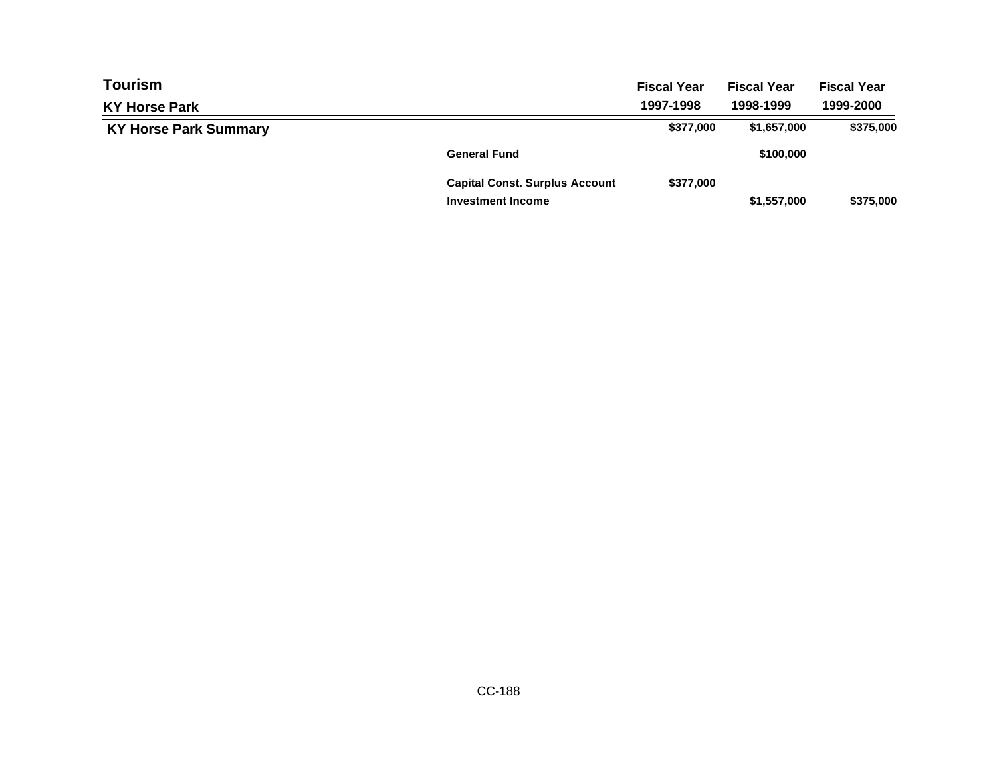| <b>Tourism</b>               |                                       | <b>Fiscal Year</b> | <b>Fiscal Year</b> | <b>Fiscal Year</b> |
|------------------------------|---------------------------------------|--------------------|--------------------|--------------------|
| <b>KY Horse Park</b>         |                                       | 1997-1998          | 1998-1999          | 1999-2000          |
| <b>KY Horse Park Summary</b> |                                       | \$377,000          | \$1,657,000        | \$375,000          |
|                              | <b>General Fund</b>                   |                    | \$100,000          |                    |
|                              | <b>Capital Const. Surplus Account</b> | \$377,000          |                    |                    |
|                              | <b>Investment Income</b>              |                    | \$1,557,000        | \$375,000          |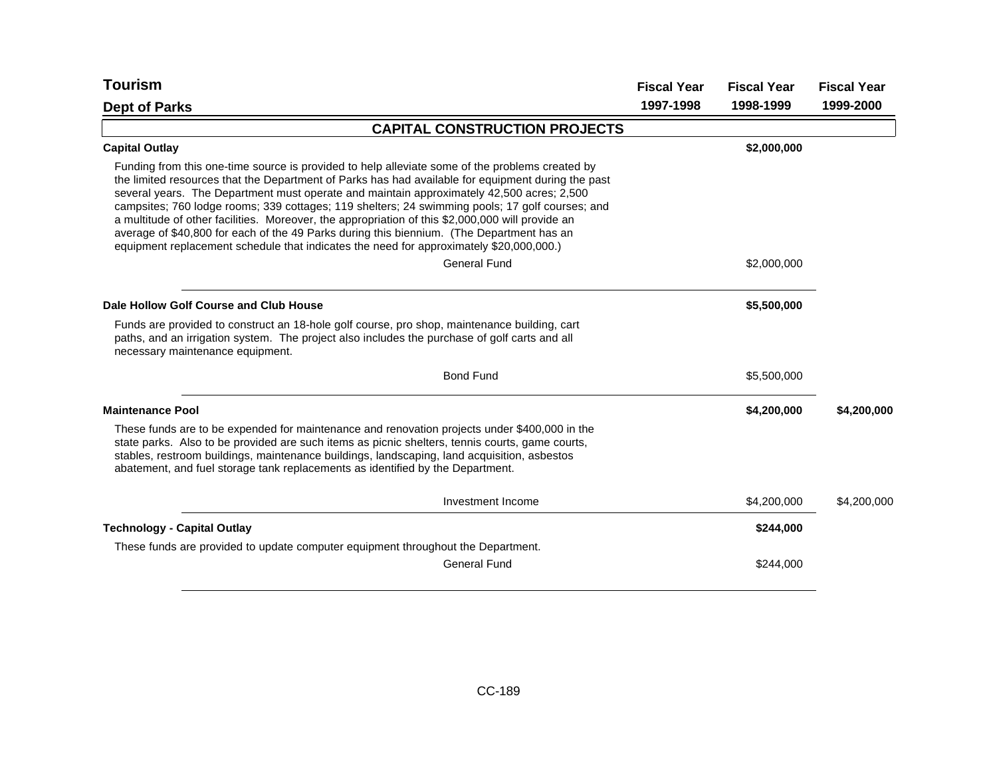| <b>Tourism</b>                                                                                                                                                                                                                                                                                                                                                                                                                                                                                                                                                                                                                                                                                    | <b>Fiscal Year</b> | <b>Fiscal Year</b> | <b>Fiscal Year</b> |
|---------------------------------------------------------------------------------------------------------------------------------------------------------------------------------------------------------------------------------------------------------------------------------------------------------------------------------------------------------------------------------------------------------------------------------------------------------------------------------------------------------------------------------------------------------------------------------------------------------------------------------------------------------------------------------------------------|--------------------|--------------------|--------------------|
| <b>Dept of Parks</b>                                                                                                                                                                                                                                                                                                                                                                                                                                                                                                                                                                                                                                                                              | 1997-1998          | 1998-1999          | 1999-2000          |
| <b>CAPITAL CONSTRUCTION PROJECTS</b>                                                                                                                                                                                                                                                                                                                                                                                                                                                                                                                                                                                                                                                              |                    |                    |                    |
| <b>Capital Outlay</b>                                                                                                                                                                                                                                                                                                                                                                                                                                                                                                                                                                                                                                                                             |                    | \$2,000,000        |                    |
| Funding from this one-time source is provided to help alleviate some of the problems created by<br>the limited resources that the Department of Parks has had available for equipment during the past<br>several years. The Department must operate and maintain approximately 42,500 acres; 2,500<br>campsites; 760 lodge rooms; 339 cottages; 119 shelters; 24 swimming pools; 17 golf courses; and<br>a multitude of other facilities. Moreover, the appropriation of this \$2,000,000 will provide an<br>average of \$40,800 for each of the 49 Parks during this biennium. (The Department has an<br>equipment replacement schedule that indicates the need for approximately \$20,000,000.) |                    |                    |                    |
| <b>General Fund</b>                                                                                                                                                                                                                                                                                                                                                                                                                                                                                                                                                                                                                                                                               |                    | \$2,000,000        |                    |
| Dale Hollow Golf Course and Club House                                                                                                                                                                                                                                                                                                                                                                                                                                                                                                                                                                                                                                                            |                    | \$5,500,000        |                    |
| Funds are provided to construct an 18-hole golf course, pro shop, maintenance building, cart<br>paths, and an irrigation system. The project also includes the purchase of golf carts and all<br>necessary maintenance equipment.                                                                                                                                                                                                                                                                                                                                                                                                                                                                 |                    |                    |                    |
| <b>Bond Fund</b>                                                                                                                                                                                                                                                                                                                                                                                                                                                                                                                                                                                                                                                                                  |                    | \$5,500,000        |                    |
| <b>Maintenance Pool</b>                                                                                                                                                                                                                                                                                                                                                                                                                                                                                                                                                                                                                                                                           |                    | \$4,200,000        | \$4,200,000        |
| These funds are to be expended for maintenance and renovation projects under \$400,000 in the<br>state parks. Also to be provided are such items as picnic shelters, tennis courts, game courts,<br>stables, restroom buildings, maintenance buildings, landscaping, land acquisition, asbestos<br>abatement, and fuel storage tank replacements as identified by the Department.                                                                                                                                                                                                                                                                                                                 |                    |                    |                    |
| Investment Income                                                                                                                                                                                                                                                                                                                                                                                                                                                                                                                                                                                                                                                                                 |                    | \$4,200,000        | \$4,200,000        |
| <b>Technology - Capital Outlay</b>                                                                                                                                                                                                                                                                                                                                                                                                                                                                                                                                                                                                                                                                |                    | \$244,000          |                    |
| These funds are provided to update computer equipment throughout the Department.                                                                                                                                                                                                                                                                                                                                                                                                                                                                                                                                                                                                                  |                    |                    |                    |
| <b>General Fund</b>                                                                                                                                                                                                                                                                                                                                                                                                                                                                                                                                                                                                                                                                               |                    | \$244,000          |                    |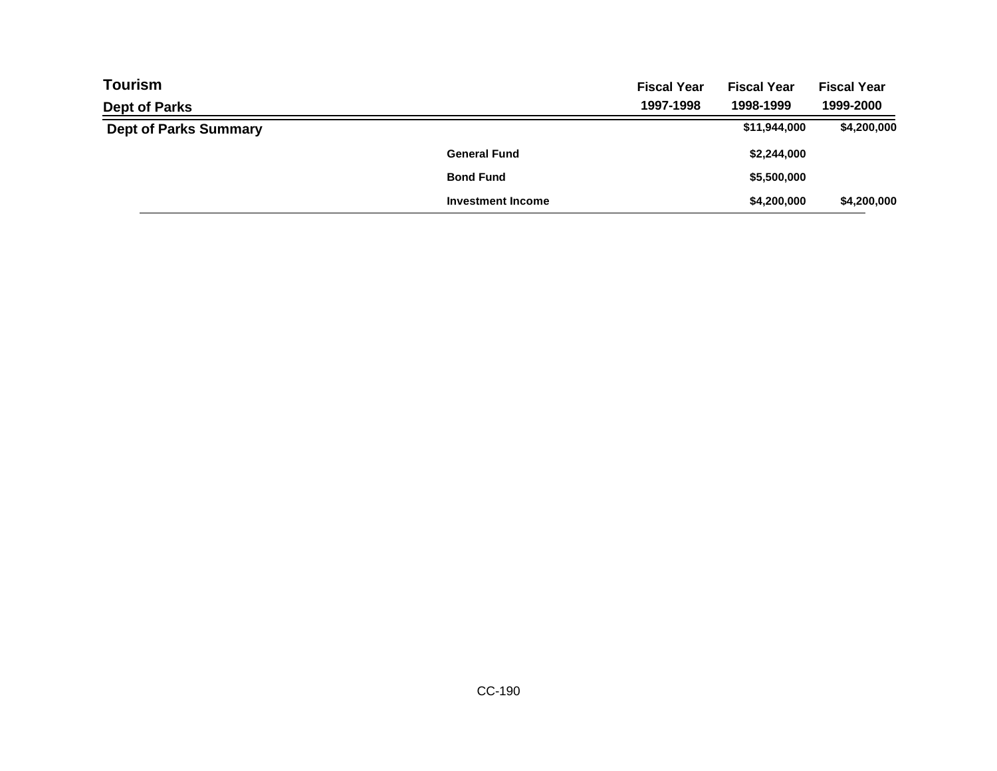| <b>Tourism</b>               |                          | <b>Fiscal Year</b> | <b>Fiscal Year</b> | <b>Fiscal Year</b> |
|------------------------------|--------------------------|--------------------|--------------------|--------------------|
| <b>Dept of Parks</b>         |                          | 1997-1998          | 1998-1999          | 1999-2000          |
| <b>Dept of Parks Summary</b> |                          |                    | \$11,944,000       | \$4,200,000        |
|                              | <b>General Fund</b>      |                    | \$2,244,000        |                    |
|                              | <b>Bond Fund</b>         |                    | \$5,500,000        |                    |
|                              | <b>Investment Income</b> |                    | \$4,200,000        | \$4,200,000        |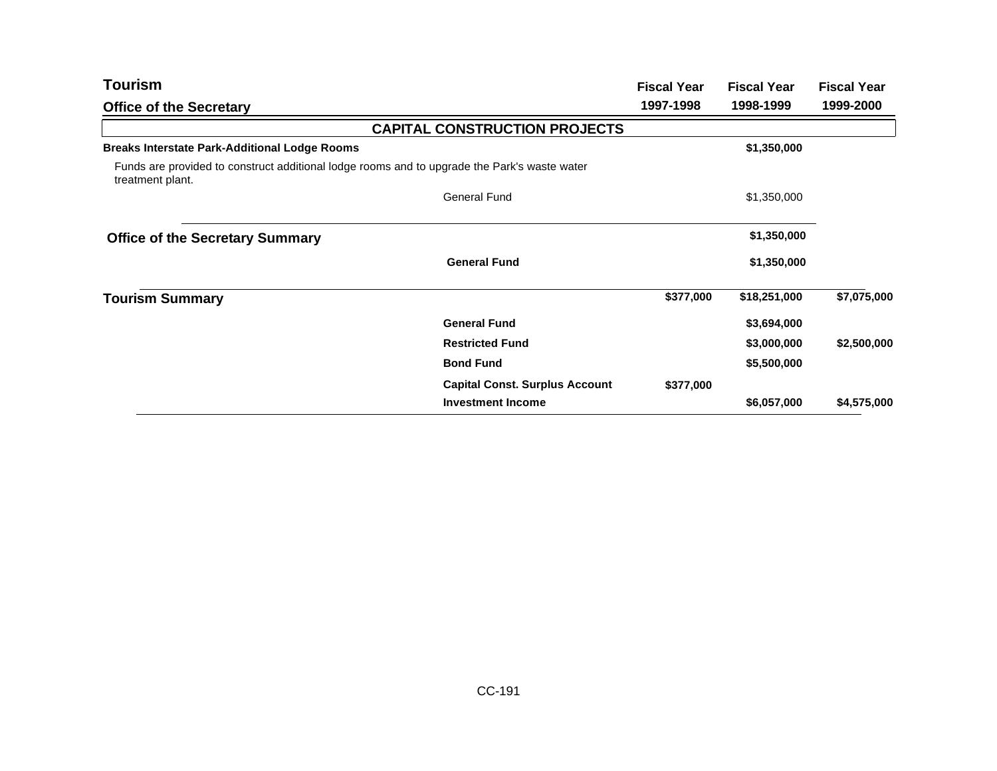| Tourism                                                                                                          |                                       | <b>Fiscal Year</b> | <b>Fiscal Year</b> | <b>Fiscal Year</b> |
|------------------------------------------------------------------------------------------------------------------|---------------------------------------|--------------------|--------------------|--------------------|
| <b>Office of the Secretary</b>                                                                                   |                                       | 1997-1998          | 1998-1999          | 1999-2000          |
|                                                                                                                  | <b>CAPITAL CONSTRUCTION PROJECTS</b>  |                    |                    |                    |
| <b>Breaks Interstate Park-Additional Lodge Rooms</b>                                                             |                                       |                    | \$1,350,000        |                    |
| Funds are provided to construct additional lodge rooms and to upgrade the Park's waste water<br>treatment plant. |                                       |                    |                    |                    |
|                                                                                                                  | <b>General Fund</b>                   |                    | \$1,350,000        |                    |
| <b>Office of the Secretary Summary</b>                                                                           |                                       |                    | \$1,350,000        |                    |
|                                                                                                                  | <b>General Fund</b>                   |                    | \$1,350,000        |                    |
| <b>Tourism Summary</b>                                                                                           |                                       | \$377,000          | \$18,251,000       | \$7,075,000        |
|                                                                                                                  | <b>General Fund</b>                   |                    | \$3,694,000        |                    |
|                                                                                                                  | <b>Restricted Fund</b>                |                    | \$3,000,000        | \$2,500,000        |
|                                                                                                                  | <b>Bond Fund</b>                      |                    | \$5,500,000        |                    |
|                                                                                                                  | <b>Capital Const. Surplus Account</b> | \$377,000          |                    |                    |
|                                                                                                                  | <b>Investment Income</b>              |                    | \$6,057,000        | \$4,575,000        |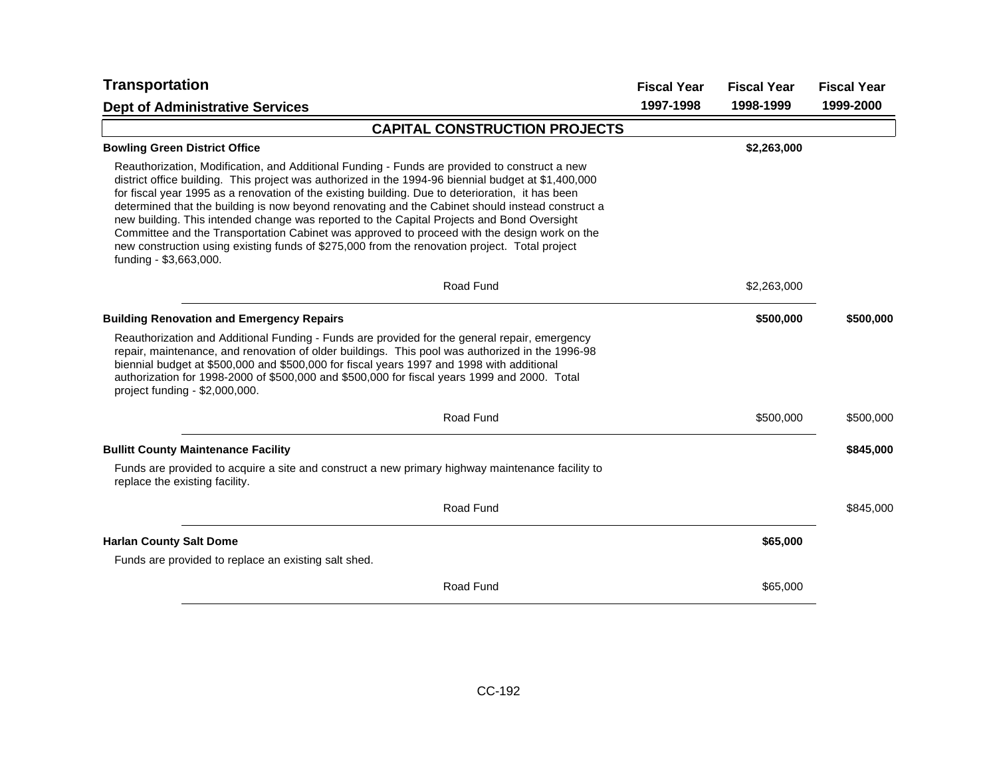| <b>Transportation</b>                                                                                                                                                                                                                                                                                                                                                                                                                                                                                                                                                                                                                                                                                                                 | <b>Fiscal Year</b> | <b>Fiscal Year</b> | <b>Fiscal Year</b> |
|---------------------------------------------------------------------------------------------------------------------------------------------------------------------------------------------------------------------------------------------------------------------------------------------------------------------------------------------------------------------------------------------------------------------------------------------------------------------------------------------------------------------------------------------------------------------------------------------------------------------------------------------------------------------------------------------------------------------------------------|--------------------|--------------------|--------------------|
| <b>Dept of Administrative Services</b>                                                                                                                                                                                                                                                                                                                                                                                                                                                                                                                                                                                                                                                                                                | 1997-1998          | 1998-1999          | 1999-2000          |
| <b>CAPITAL CONSTRUCTION PROJECTS</b>                                                                                                                                                                                                                                                                                                                                                                                                                                                                                                                                                                                                                                                                                                  |                    |                    |                    |
| <b>Bowling Green District Office</b>                                                                                                                                                                                                                                                                                                                                                                                                                                                                                                                                                                                                                                                                                                  |                    | \$2,263,000        |                    |
| Reauthorization, Modification, and Additional Funding - Funds are provided to construct a new<br>district office building. This project was authorized in the 1994-96 biennial budget at \$1,400,000<br>for fiscal year 1995 as a renovation of the existing building. Due to deterioration, it has been<br>determined that the building is now beyond renovating and the Cabinet should instead construct a<br>new building. This intended change was reported to the Capital Projects and Bond Oversight<br>Committee and the Transportation Cabinet was approved to proceed with the design work on the<br>new construction using existing funds of \$275,000 from the renovation project. Total project<br>funding - \$3,663,000. |                    |                    |                    |
| Road Fund                                                                                                                                                                                                                                                                                                                                                                                                                                                                                                                                                                                                                                                                                                                             |                    | \$2,263,000        |                    |
| <b>Building Renovation and Emergency Repairs</b>                                                                                                                                                                                                                                                                                                                                                                                                                                                                                                                                                                                                                                                                                      |                    | \$500,000          | \$500,000          |
| Reauthorization and Additional Funding - Funds are provided for the general repair, emergency<br>repair, maintenance, and renovation of older buildings. This pool was authorized in the 1996-98<br>biennial budget at \$500,000 and \$500,000 for fiscal years 1997 and 1998 with additional<br>authorization for 1998-2000 of \$500,000 and \$500,000 for fiscal years 1999 and 2000. Total<br>project funding - \$2,000,000.                                                                                                                                                                                                                                                                                                       |                    |                    |                    |
| Road Fund                                                                                                                                                                                                                                                                                                                                                                                                                                                                                                                                                                                                                                                                                                                             |                    | \$500,000          | \$500,000          |
| <b>Bullitt County Maintenance Facility</b>                                                                                                                                                                                                                                                                                                                                                                                                                                                                                                                                                                                                                                                                                            |                    |                    | \$845,000          |
| Funds are provided to acquire a site and construct a new primary highway maintenance facility to<br>replace the existing facility.                                                                                                                                                                                                                                                                                                                                                                                                                                                                                                                                                                                                    |                    |                    |                    |
| Road Fund                                                                                                                                                                                                                                                                                                                                                                                                                                                                                                                                                                                                                                                                                                                             |                    |                    | \$845,000          |
| <b>Harlan County Salt Dome</b>                                                                                                                                                                                                                                                                                                                                                                                                                                                                                                                                                                                                                                                                                                        |                    | \$65,000           |                    |
| Funds are provided to replace an existing salt shed.                                                                                                                                                                                                                                                                                                                                                                                                                                                                                                                                                                                                                                                                                  |                    |                    |                    |
| Road Fund                                                                                                                                                                                                                                                                                                                                                                                                                                                                                                                                                                                                                                                                                                                             |                    | \$65,000           |                    |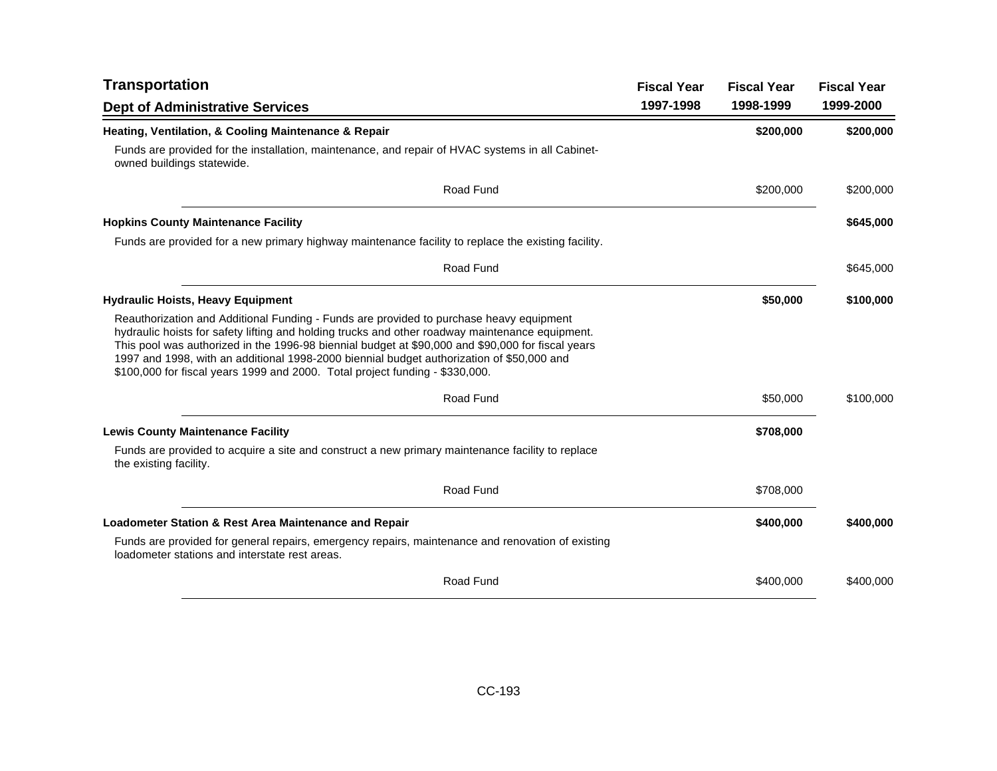| <b>Transportation</b>                                                                                                                                                                                                                                                                                                                                                                                                                                                        | <b>Fiscal Year</b> | <b>Fiscal Year</b> | <b>Fiscal Year</b> |
|------------------------------------------------------------------------------------------------------------------------------------------------------------------------------------------------------------------------------------------------------------------------------------------------------------------------------------------------------------------------------------------------------------------------------------------------------------------------------|--------------------|--------------------|--------------------|
| <b>Dept of Administrative Services</b>                                                                                                                                                                                                                                                                                                                                                                                                                                       | 1997-1998          | 1998-1999          | 1999-2000          |
| Heating, Ventilation, & Cooling Maintenance & Repair                                                                                                                                                                                                                                                                                                                                                                                                                         |                    | \$200,000          | \$200,000          |
| Funds are provided for the installation, maintenance, and repair of HVAC systems in all Cabinet-<br>owned buildings statewide.                                                                                                                                                                                                                                                                                                                                               |                    |                    |                    |
| Road Fund                                                                                                                                                                                                                                                                                                                                                                                                                                                                    |                    | \$200,000          | \$200,000          |
| <b>Hopkins County Maintenance Facility</b>                                                                                                                                                                                                                                                                                                                                                                                                                                   |                    |                    | \$645,000          |
| Funds are provided for a new primary highway maintenance facility to replace the existing facility.                                                                                                                                                                                                                                                                                                                                                                          |                    |                    |                    |
| Road Fund                                                                                                                                                                                                                                                                                                                                                                                                                                                                    |                    |                    | \$645,000          |
| <b>Hydraulic Hoists, Heavy Equipment</b>                                                                                                                                                                                                                                                                                                                                                                                                                                     |                    | \$50,000           | \$100,000          |
| Reauthorization and Additional Funding - Funds are provided to purchase heavy equipment<br>hydraulic hoists for safety lifting and holding trucks and other roadway maintenance equipment.<br>This pool was authorized in the 1996-98 biennial budget at \$90,000 and \$90,000 for fiscal years<br>1997 and 1998, with an additional 1998-2000 biennial budget authorization of \$50,000 and<br>\$100,000 for fiscal years 1999 and 2000. Total project funding - \$330,000. |                    |                    |                    |
| Road Fund                                                                                                                                                                                                                                                                                                                                                                                                                                                                    |                    | \$50,000           | \$100,000          |
| <b>Lewis County Maintenance Facility</b>                                                                                                                                                                                                                                                                                                                                                                                                                                     |                    | \$708,000          |                    |
| Funds are provided to acquire a site and construct a new primary maintenance facility to replace<br>the existing facility.                                                                                                                                                                                                                                                                                                                                                   |                    |                    |                    |
| Road Fund                                                                                                                                                                                                                                                                                                                                                                                                                                                                    |                    | \$708,000          |                    |
| <b>Loadometer Station &amp; Rest Area Maintenance and Repair</b>                                                                                                                                                                                                                                                                                                                                                                                                             |                    | \$400,000          | \$400,000          |
| Funds are provided for general repairs, emergency repairs, maintenance and renovation of existing<br>loadometer stations and interstate rest areas.                                                                                                                                                                                                                                                                                                                          |                    |                    |                    |
| Road Fund                                                                                                                                                                                                                                                                                                                                                                                                                                                                    |                    | \$400,000          | \$400,000          |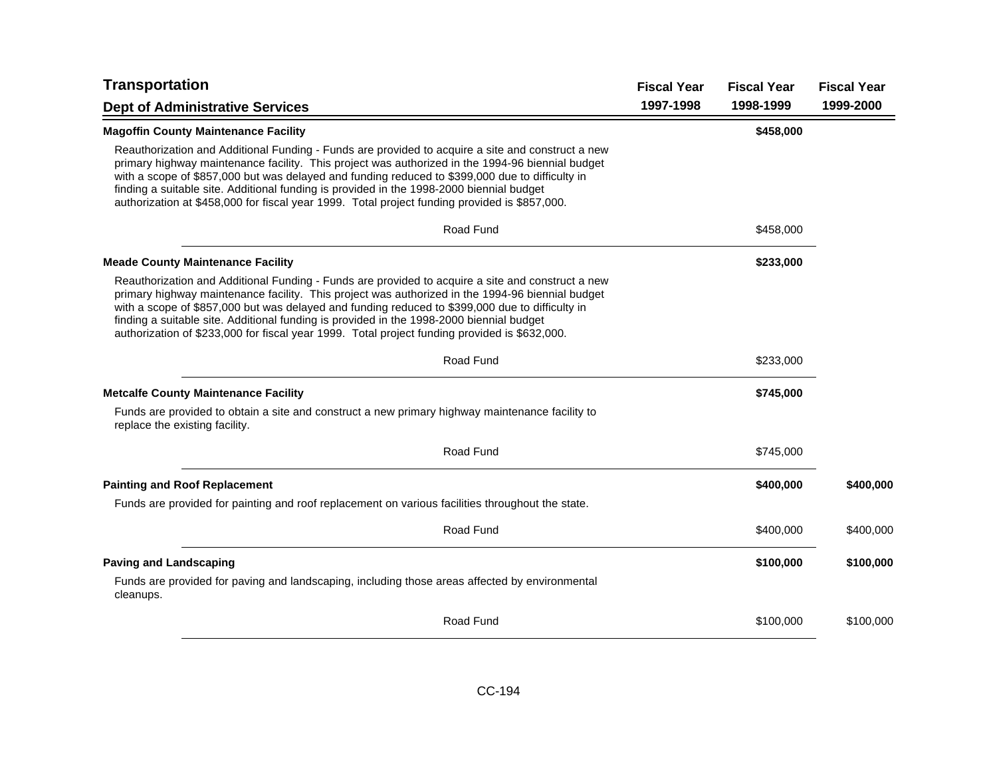| <b>Transportation</b>                                                                                                                                                                                                                                                                                                                                                                                                                                                                                 | <b>Fiscal Year</b> | <b>Fiscal Year</b> | <b>Fiscal Year</b> |
|-------------------------------------------------------------------------------------------------------------------------------------------------------------------------------------------------------------------------------------------------------------------------------------------------------------------------------------------------------------------------------------------------------------------------------------------------------------------------------------------------------|--------------------|--------------------|--------------------|
| <b>Dept of Administrative Services</b>                                                                                                                                                                                                                                                                                                                                                                                                                                                                | 1997-1998          | 1998-1999          | 1999-2000          |
| <b>Magoffin County Maintenance Facility</b>                                                                                                                                                                                                                                                                                                                                                                                                                                                           |                    | \$458,000          |                    |
| Reauthorization and Additional Funding - Funds are provided to acquire a site and construct a new<br>primary highway maintenance facility. This project was authorized in the 1994-96 biennial budget<br>with a scope of \$857,000 but was delayed and funding reduced to \$399,000 due to difficulty in<br>finding a suitable site. Additional funding is provided in the 1998-2000 biennial budget<br>authorization at \$458,000 for fiscal year 1999. Total project funding provided is \$857,000. |                    |                    |                    |
| Road Fund                                                                                                                                                                                                                                                                                                                                                                                                                                                                                             |                    | \$458,000          |                    |
| <b>Meade County Maintenance Facility</b>                                                                                                                                                                                                                                                                                                                                                                                                                                                              |                    | \$233,000          |                    |
| Reauthorization and Additional Funding - Funds are provided to acquire a site and construct a new<br>primary highway maintenance facility. This project was authorized in the 1994-96 biennial budget<br>with a scope of \$857,000 but was delayed and funding reduced to \$399,000 due to difficulty in<br>finding a suitable site. Additional funding is provided in the 1998-2000 biennial budget<br>authorization of \$233,000 for fiscal year 1999. Total project funding provided is \$632,000. |                    |                    |                    |
| Road Fund                                                                                                                                                                                                                                                                                                                                                                                                                                                                                             |                    | \$233,000          |                    |
| <b>Metcalfe County Maintenance Facility</b>                                                                                                                                                                                                                                                                                                                                                                                                                                                           |                    | \$745,000          |                    |
| Funds are provided to obtain a site and construct a new primary highway maintenance facility to<br>replace the existing facility.                                                                                                                                                                                                                                                                                                                                                                     |                    |                    |                    |
| Road Fund                                                                                                                                                                                                                                                                                                                                                                                                                                                                                             |                    | \$745,000          |                    |
| <b>Painting and Roof Replacement</b>                                                                                                                                                                                                                                                                                                                                                                                                                                                                  |                    | \$400,000          | \$400,000          |
| Funds are provided for painting and roof replacement on various facilities throughout the state.                                                                                                                                                                                                                                                                                                                                                                                                      |                    |                    |                    |
| Road Fund                                                                                                                                                                                                                                                                                                                                                                                                                                                                                             |                    | \$400,000          | \$400,000          |
| <b>Paving and Landscaping</b>                                                                                                                                                                                                                                                                                                                                                                                                                                                                         |                    | \$100,000          | \$100,000          |
| Funds are provided for paving and landscaping, including those areas affected by environmental<br>cleanups.                                                                                                                                                                                                                                                                                                                                                                                           |                    |                    |                    |
| Road Fund                                                                                                                                                                                                                                                                                                                                                                                                                                                                                             |                    | \$100,000          | \$100,000          |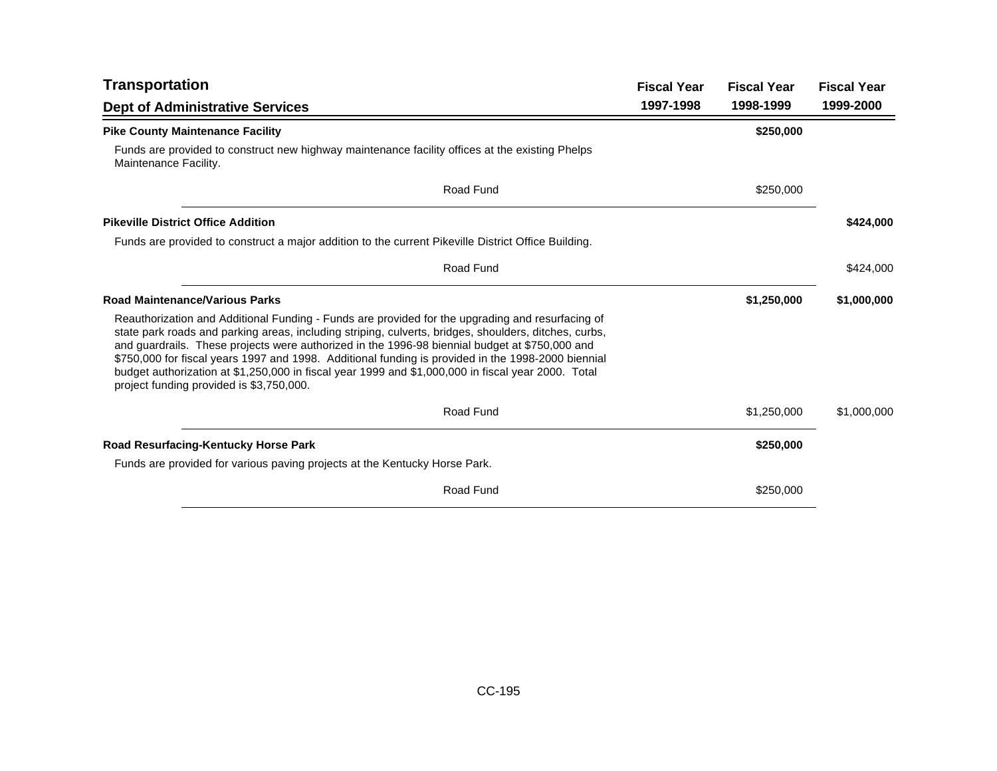| <b>Transportation</b>                                                                                                                                                                                                                                                                                                                                                                                                                                                                                                                                               | <b>Fiscal Year</b> | <b>Fiscal Year</b> | <b>Fiscal Year</b> |
|---------------------------------------------------------------------------------------------------------------------------------------------------------------------------------------------------------------------------------------------------------------------------------------------------------------------------------------------------------------------------------------------------------------------------------------------------------------------------------------------------------------------------------------------------------------------|--------------------|--------------------|--------------------|
| <b>Dept of Administrative Services</b>                                                                                                                                                                                                                                                                                                                                                                                                                                                                                                                              | 1997-1998          | 1998-1999          | 1999-2000          |
| <b>Pike County Maintenance Facility</b>                                                                                                                                                                                                                                                                                                                                                                                                                                                                                                                             |                    | \$250,000          |                    |
| Funds are provided to construct new highway maintenance facility offices at the existing Phelps<br>Maintenance Facility.                                                                                                                                                                                                                                                                                                                                                                                                                                            |                    |                    |                    |
| Road Fund                                                                                                                                                                                                                                                                                                                                                                                                                                                                                                                                                           |                    | \$250,000          |                    |
| <b>Pikeville District Office Addition</b>                                                                                                                                                                                                                                                                                                                                                                                                                                                                                                                           |                    |                    | \$424,000          |
| Funds are provided to construct a major addition to the current Pikeville District Office Building.                                                                                                                                                                                                                                                                                                                                                                                                                                                                 |                    |                    |                    |
| Road Fund                                                                                                                                                                                                                                                                                                                                                                                                                                                                                                                                                           |                    |                    | \$424,000          |
| <b>Road Maintenance/Various Parks</b>                                                                                                                                                                                                                                                                                                                                                                                                                                                                                                                               |                    | \$1,250,000        | \$1,000,000        |
| Reauthorization and Additional Funding - Funds are provided for the upgrading and resurfacing of<br>state park roads and parking areas, including striping, culverts, bridges, shoulders, ditches, curbs,<br>and guardrails. These projects were authorized in the 1996-98 biennial budget at \$750,000 and<br>\$750,000 for fiscal years 1997 and 1998. Additional funding is provided in the 1998-2000 biennial<br>budget authorization at \$1,250,000 in fiscal year 1999 and \$1,000,000 in fiscal year 2000. Total<br>project funding provided is \$3,750,000. |                    |                    |                    |
| Road Fund                                                                                                                                                                                                                                                                                                                                                                                                                                                                                                                                                           |                    | \$1,250,000        | \$1,000,000        |
| Road Resurfacing-Kentucky Horse Park                                                                                                                                                                                                                                                                                                                                                                                                                                                                                                                                |                    | \$250,000          |                    |
| Funds are provided for various paving projects at the Kentucky Horse Park.                                                                                                                                                                                                                                                                                                                                                                                                                                                                                          |                    |                    |                    |
| Road Fund                                                                                                                                                                                                                                                                                                                                                                                                                                                                                                                                                           |                    | \$250,000          |                    |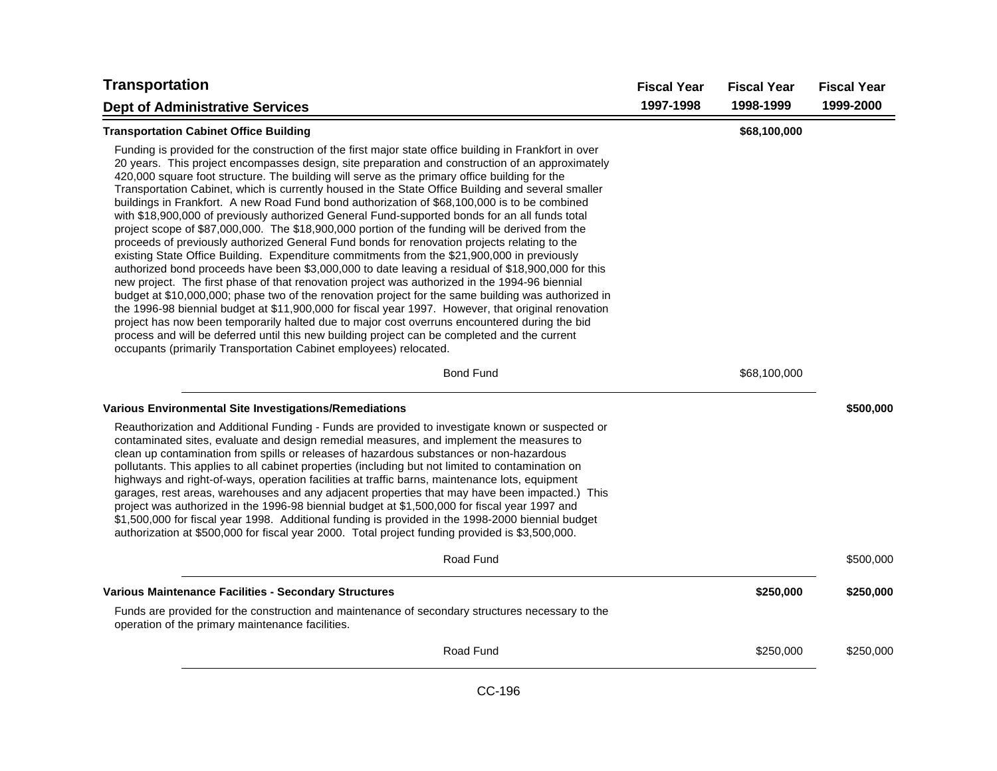| <b>Transportation</b>                                                                                                                                                                                                                                                                                                                                                                                                                                                                                                                                                                                                                                                                                                                                                                                                                                                                                                                                                                                                                                                                                                                                                                                                                                                                                                                                                                                                                                                                                                                                                                                              | <b>Fiscal Year</b> | <b>Fiscal Year</b> | <b>Fiscal Year</b> |
|--------------------------------------------------------------------------------------------------------------------------------------------------------------------------------------------------------------------------------------------------------------------------------------------------------------------------------------------------------------------------------------------------------------------------------------------------------------------------------------------------------------------------------------------------------------------------------------------------------------------------------------------------------------------------------------------------------------------------------------------------------------------------------------------------------------------------------------------------------------------------------------------------------------------------------------------------------------------------------------------------------------------------------------------------------------------------------------------------------------------------------------------------------------------------------------------------------------------------------------------------------------------------------------------------------------------------------------------------------------------------------------------------------------------------------------------------------------------------------------------------------------------------------------------------------------------------------------------------------------------|--------------------|--------------------|--------------------|
| <b>Dept of Administrative Services</b>                                                                                                                                                                                                                                                                                                                                                                                                                                                                                                                                                                                                                                                                                                                                                                                                                                                                                                                                                                                                                                                                                                                                                                                                                                                                                                                                                                                                                                                                                                                                                                             | 1997-1998          | 1998-1999          | 1999-2000          |
| <b>Transportation Cabinet Office Building</b>                                                                                                                                                                                                                                                                                                                                                                                                                                                                                                                                                                                                                                                                                                                                                                                                                                                                                                                                                                                                                                                                                                                                                                                                                                                                                                                                                                                                                                                                                                                                                                      |                    | \$68,100,000       |                    |
| Funding is provided for the construction of the first major state office building in Frankfort in over<br>20 years. This project encompasses design, site preparation and construction of an approximately<br>420,000 square foot structure. The building will serve as the primary office building for the<br>Transportation Cabinet, which is currently housed in the State Office Building and several smaller<br>buildings in Frankfort. A new Road Fund bond authorization of \$68,100,000 is to be combined<br>with \$18,900,000 of previously authorized General Fund-supported bonds for an all funds total<br>project scope of \$87,000,000. The \$18,900,000 portion of the funding will be derived from the<br>proceeds of previously authorized General Fund bonds for renovation projects relating to the<br>existing State Office Building. Expenditure commitments from the \$21,900,000 in previously<br>authorized bond proceeds have been \$3,000,000 to date leaving a residual of \$18,900,000 for this<br>new project. The first phase of that renovation project was authorized in the 1994-96 biennial<br>budget at \$10,000,000; phase two of the renovation project for the same building was authorized in<br>the 1996-98 biennial budget at \$11,900,000 for fiscal year 1997. However, that original renovation<br>project has now been temporarily halted due to major cost overruns encountered during the bid<br>process and will be deferred until this new building project can be completed and the current<br>occupants (primarily Transportation Cabinet employees) relocated. |                    |                    |                    |
| <b>Bond Fund</b>                                                                                                                                                                                                                                                                                                                                                                                                                                                                                                                                                                                                                                                                                                                                                                                                                                                                                                                                                                                                                                                                                                                                                                                                                                                                                                                                                                                                                                                                                                                                                                                                   |                    | \$68,100,000       |                    |
| Various Environmental Site Investigations/Remediations                                                                                                                                                                                                                                                                                                                                                                                                                                                                                                                                                                                                                                                                                                                                                                                                                                                                                                                                                                                                                                                                                                                                                                                                                                                                                                                                                                                                                                                                                                                                                             |                    |                    | \$500,000          |
| Reauthorization and Additional Funding - Funds are provided to investigate known or suspected or<br>contaminated sites, evaluate and design remedial measures, and implement the measures to<br>clean up contamination from spills or releases of hazardous substances or non-hazardous<br>pollutants. This applies to all cabinet properties (including but not limited to contamination on<br>highways and right-of-ways, operation facilities at traffic barns, maintenance lots, equipment<br>garages, rest areas, warehouses and any adjacent properties that may have been impacted.) This<br>project was authorized in the 1996-98 biennial budget at \$1,500,000 for fiscal year 1997 and<br>\$1,500,000 for fiscal year 1998. Additional funding is provided in the 1998-2000 biennial budget<br>authorization at \$500,000 for fiscal year 2000. Total project funding provided is \$3,500,000.                                                                                                                                                                                                                                                                                                                                                                                                                                                                                                                                                                                                                                                                                                          |                    |                    |                    |
| Road Fund                                                                                                                                                                                                                                                                                                                                                                                                                                                                                                                                                                                                                                                                                                                                                                                                                                                                                                                                                                                                                                                                                                                                                                                                                                                                                                                                                                                                                                                                                                                                                                                                          |                    |                    | \$500,000          |
| Various Maintenance Facilities - Secondary Structures                                                                                                                                                                                                                                                                                                                                                                                                                                                                                                                                                                                                                                                                                                                                                                                                                                                                                                                                                                                                                                                                                                                                                                                                                                                                                                                                                                                                                                                                                                                                                              |                    | \$250,000          | \$250,000          |
| Funds are provided for the construction and maintenance of secondary structures necessary to the<br>operation of the primary maintenance facilities.                                                                                                                                                                                                                                                                                                                                                                                                                                                                                                                                                                                                                                                                                                                                                                                                                                                                                                                                                                                                                                                                                                                                                                                                                                                                                                                                                                                                                                                               |                    |                    |                    |
| Road Fund                                                                                                                                                                                                                                                                                                                                                                                                                                                                                                                                                                                                                                                                                                                                                                                                                                                                                                                                                                                                                                                                                                                                                                                                                                                                                                                                                                                                                                                                                                                                                                                                          |                    | \$250,000          | \$250,000          |
|                                                                                                                                                                                                                                                                                                                                                                                                                                                                                                                                                                                                                                                                                                                                                                                                                                                                                                                                                                                                                                                                                                                                                                                                                                                                                                                                                                                                                                                                                                                                                                                                                    |                    |                    |                    |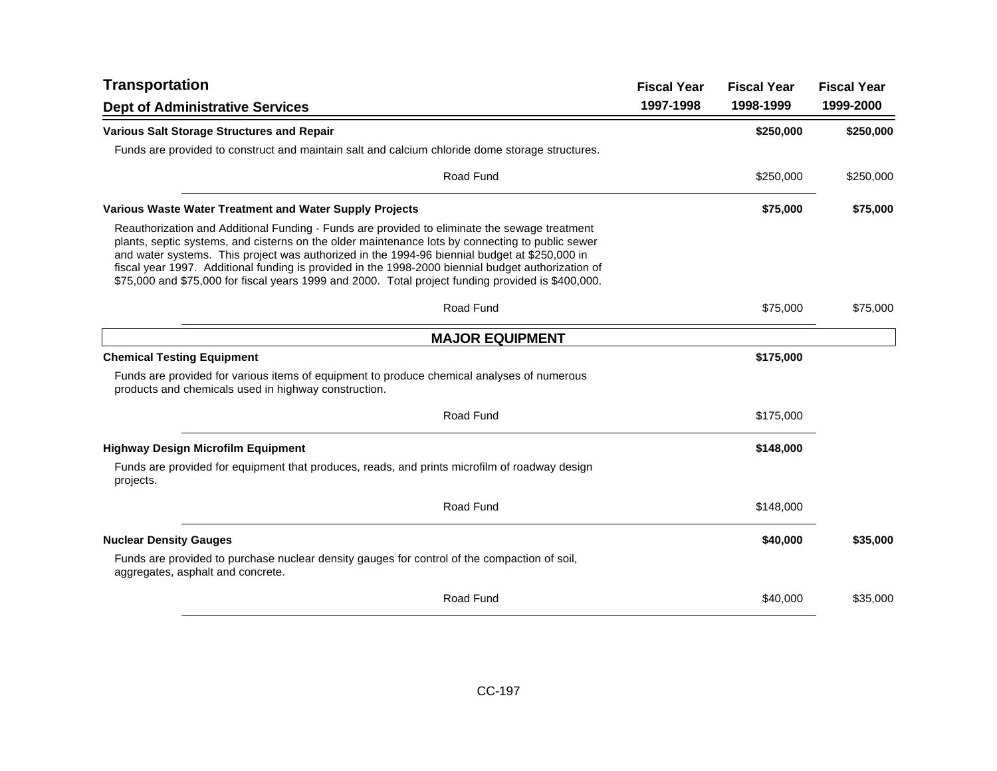| <b>Transportation</b>                                                                                                                                                                                                                                                                                                                                                                                                                                                                                          | <b>Fiscal Year</b> | <b>Fiscal Year</b> | <b>Fiscal Year</b> |
|----------------------------------------------------------------------------------------------------------------------------------------------------------------------------------------------------------------------------------------------------------------------------------------------------------------------------------------------------------------------------------------------------------------------------------------------------------------------------------------------------------------|--------------------|--------------------|--------------------|
| <b>Dept of Administrative Services</b>                                                                                                                                                                                                                                                                                                                                                                                                                                                                         | 1997-1998          | 1998-1999          | 1999-2000          |
| <b>Various Salt Storage Structures and Repair</b>                                                                                                                                                                                                                                                                                                                                                                                                                                                              |                    | \$250,000          | \$250,000          |
| Funds are provided to construct and maintain salt and calcium chloride dome storage structures.                                                                                                                                                                                                                                                                                                                                                                                                                |                    |                    |                    |
| Road Fund                                                                                                                                                                                                                                                                                                                                                                                                                                                                                                      |                    | \$250,000          | \$250,000          |
| Various Waste Water Treatment and Water Supply Projects                                                                                                                                                                                                                                                                                                                                                                                                                                                        |                    | \$75,000           | \$75,000           |
| Reauthorization and Additional Funding - Funds are provided to eliminate the sewage treatment<br>plants, septic systems, and cisterns on the older maintenance lots by connecting to public sewer<br>and water systems. This project was authorized in the 1994-96 biennial budget at \$250,000 in<br>fiscal year 1997. Additional funding is provided in the 1998-2000 biennial budget authorization of<br>\$75,000 and \$75,000 for fiscal years 1999 and 2000. Total project funding provided is \$400,000. |                    |                    |                    |
| Road Fund                                                                                                                                                                                                                                                                                                                                                                                                                                                                                                      |                    | \$75,000           | \$75,000           |
| <b>MAJOR EQUIPMENT</b>                                                                                                                                                                                                                                                                                                                                                                                                                                                                                         |                    |                    |                    |
| <b>Chemical Testing Equipment</b>                                                                                                                                                                                                                                                                                                                                                                                                                                                                              |                    | \$175,000          |                    |
| Funds are provided for various items of equipment to produce chemical analyses of numerous<br>products and chemicals used in highway construction.                                                                                                                                                                                                                                                                                                                                                             |                    |                    |                    |
| Road Fund                                                                                                                                                                                                                                                                                                                                                                                                                                                                                                      |                    | \$175,000          |                    |
| <b>Highway Design Microfilm Equipment</b>                                                                                                                                                                                                                                                                                                                                                                                                                                                                      |                    | \$148,000          |                    |
| Funds are provided for equipment that produces, reads, and prints microfilm of roadway design<br>projects.                                                                                                                                                                                                                                                                                                                                                                                                     |                    |                    |                    |
| Road Fund                                                                                                                                                                                                                                                                                                                                                                                                                                                                                                      |                    | \$148,000          |                    |
| <b>Nuclear Density Gauges</b>                                                                                                                                                                                                                                                                                                                                                                                                                                                                                  |                    | \$40,000           | \$35,000           |
| Funds are provided to purchase nuclear density gauges for control of the compaction of soil,<br>aggregates, asphalt and concrete.                                                                                                                                                                                                                                                                                                                                                                              |                    |                    |                    |
| Road Fund                                                                                                                                                                                                                                                                                                                                                                                                                                                                                                      |                    | \$40,000           | \$35,000           |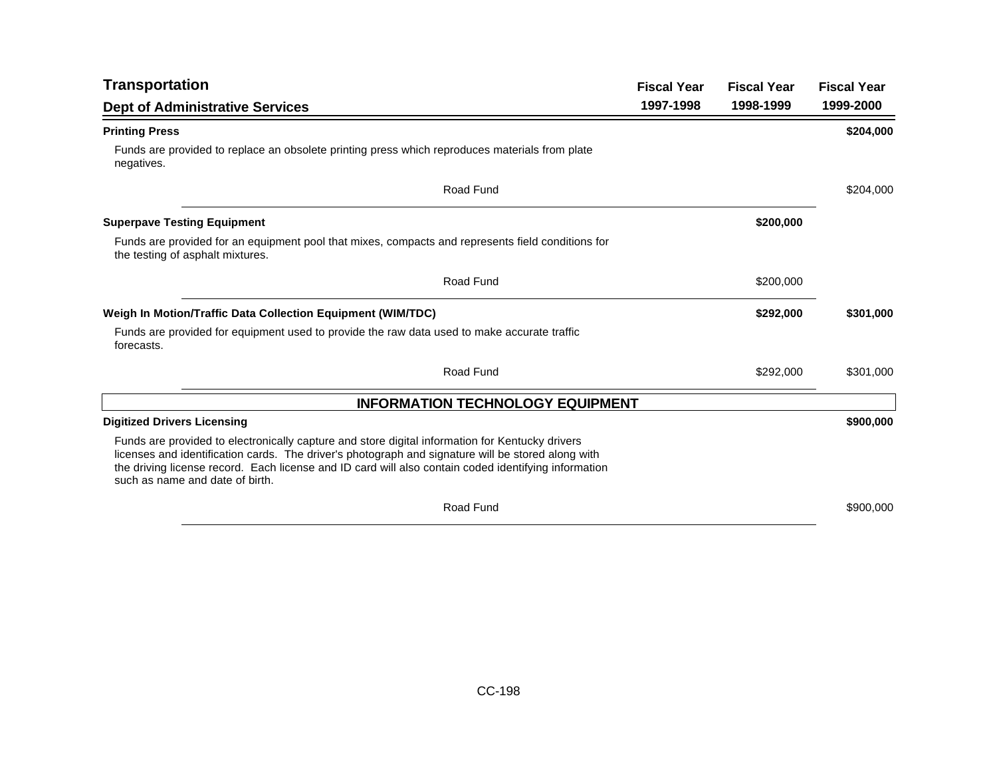| <b>Transportation</b>                                                                                                                                                                                                                                                                                                                            | <b>Fiscal Year</b> | <b>Fiscal Year</b> | <b>Fiscal Year</b> |
|--------------------------------------------------------------------------------------------------------------------------------------------------------------------------------------------------------------------------------------------------------------------------------------------------------------------------------------------------|--------------------|--------------------|--------------------|
| <b>Dept of Administrative Services</b>                                                                                                                                                                                                                                                                                                           | 1997-1998          | 1998-1999          | 1999-2000          |
| <b>Printing Press</b>                                                                                                                                                                                                                                                                                                                            |                    |                    | \$204,000          |
| Funds are provided to replace an obsolete printing press which reproduces materials from plate<br>negatives.                                                                                                                                                                                                                                     |                    |                    |                    |
| Road Fund                                                                                                                                                                                                                                                                                                                                        |                    |                    | \$204,000          |
| <b>Superpave Testing Equipment</b>                                                                                                                                                                                                                                                                                                               |                    | \$200,000          |                    |
| Funds are provided for an equipment pool that mixes, compacts and represents field conditions for<br>the testing of asphalt mixtures.                                                                                                                                                                                                            |                    |                    |                    |
| Road Fund                                                                                                                                                                                                                                                                                                                                        |                    | \$200,000          |                    |
| Weigh In Motion/Traffic Data Collection Equipment (WIM/TDC)                                                                                                                                                                                                                                                                                      |                    | \$292,000          | \$301,000          |
| Funds are provided for equipment used to provide the raw data used to make accurate traffic<br>forecasts.                                                                                                                                                                                                                                        |                    |                    |                    |
| Road Fund                                                                                                                                                                                                                                                                                                                                        |                    | \$292,000          | \$301,000          |
| <b>INFORMATION TECHNOLOGY EQUIPMENT</b>                                                                                                                                                                                                                                                                                                          |                    |                    |                    |
| <b>Digitized Drivers Licensing</b>                                                                                                                                                                                                                                                                                                               |                    |                    | \$900,000          |
| Funds are provided to electronically capture and store digital information for Kentucky drivers<br>licenses and identification cards. The driver's photograph and signature will be stored along with<br>the driving license record. Each license and ID card will also contain coded identifying information<br>such as name and date of birth. |                    |                    |                    |
| Road Fund                                                                                                                                                                                                                                                                                                                                        |                    |                    | \$900,000          |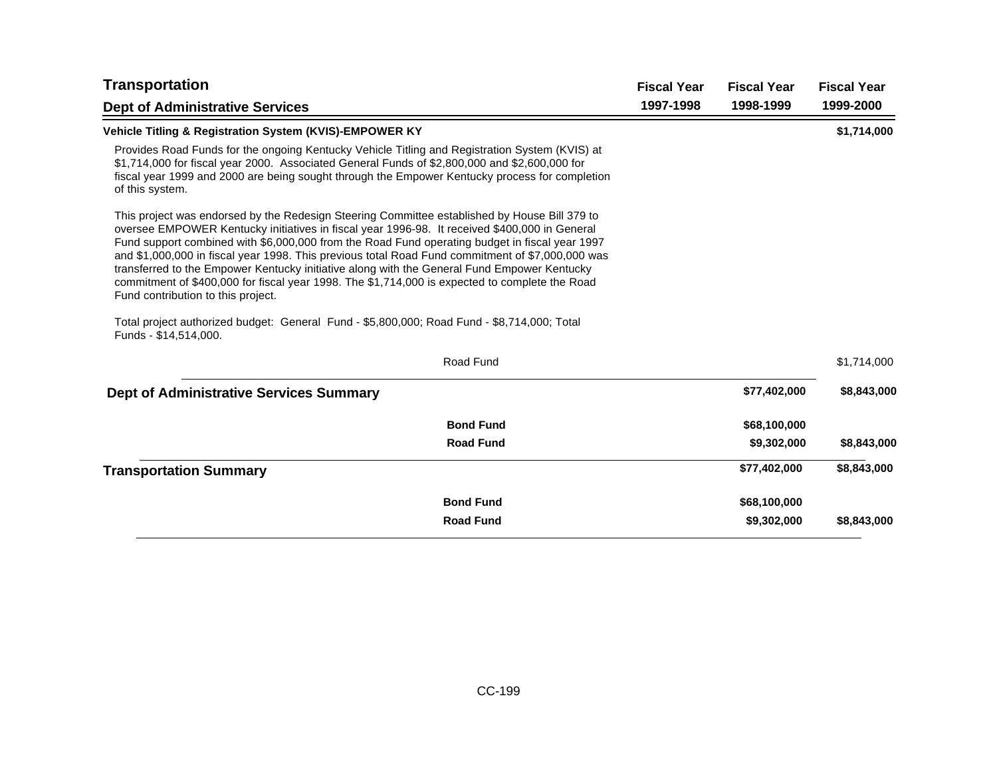| <b>Transportation</b>                                                                                                                                                                                                                                                                                                                                                                                                                                                                                                                                                                                                                       | <b>Fiscal Year</b> | <b>Fiscal Year</b> | <b>Fiscal Year</b> |
|---------------------------------------------------------------------------------------------------------------------------------------------------------------------------------------------------------------------------------------------------------------------------------------------------------------------------------------------------------------------------------------------------------------------------------------------------------------------------------------------------------------------------------------------------------------------------------------------------------------------------------------------|--------------------|--------------------|--------------------|
| <b>Dept of Administrative Services</b>                                                                                                                                                                                                                                                                                                                                                                                                                                                                                                                                                                                                      | 1997-1998          | 1998-1999          | 1999-2000          |
| Vehicle Titling & Registration System (KVIS)-EMPOWER KY                                                                                                                                                                                                                                                                                                                                                                                                                                                                                                                                                                                     |                    |                    | \$1,714,000        |
| Provides Road Funds for the ongoing Kentucky Vehicle Titling and Registration System (KVIS) at<br>\$1,714,000 for fiscal year 2000. Associated General Funds of \$2,800,000 and \$2,600,000 for<br>fiscal year 1999 and 2000 are being sought through the Empower Kentucky process for completion<br>of this system.                                                                                                                                                                                                                                                                                                                        |                    |                    |                    |
| This project was endorsed by the Redesign Steering Committee established by House Bill 379 to<br>oversee EMPOWER Kentucky initiatives in fiscal year 1996-98. It received \$400,000 in General<br>Fund support combined with \$6,000,000 from the Road Fund operating budget in fiscal year 1997<br>and \$1,000,000 in fiscal year 1998. This previous total Road Fund commitment of \$7,000,000 was<br>transferred to the Empower Kentucky initiative along with the General Fund Empower Kentucky<br>commitment of \$400,000 for fiscal year 1998. The \$1,714,000 is expected to complete the Road<br>Fund contribution to this project. |                    |                    |                    |
| Total project authorized budget: General Fund - \$5,800,000; Road Fund - \$8,714,000; Total<br>Funds - \$14,514,000.                                                                                                                                                                                                                                                                                                                                                                                                                                                                                                                        |                    |                    |                    |
| Road Fund                                                                                                                                                                                                                                                                                                                                                                                                                                                                                                                                                                                                                                   |                    |                    | \$1,714,000        |
| <b>Dept of Administrative Services Summary</b>                                                                                                                                                                                                                                                                                                                                                                                                                                                                                                                                                                                              |                    | \$77,402,000       | \$8,843,000        |
| <b>Bond Fund</b>                                                                                                                                                                                                                                                                                                                                                                                                                                                                                                                                                                                                                            |                    | \$68,100,000       |                    |
| <b>Road Fund</b>                                                                                                                                                                                                                                                                                                                                                                                                                                                                                                                                                                                                                            |                    | \$9,302,000        | \$8,843,000        |
| <b>Transportation Summary</b>                                                                                                                                                                                                                                                                                                                                                                                                                                                                                                                                                                                                               |                    | \$77,402,000       | \$8,843,000        |
| <b>Bond Fund</b>                                                                                                                                                                                                                                                                                                                                                                                                                                                                                                                                                                                                                            |                    | \$68,100,000       |                    |
| <b>Road Fund</b>                                                                                                                                                                                                                                                                                                                                                                                                                                                                                                                                                                                                                            |                    | \$9,302,000        | \$8,843,000        |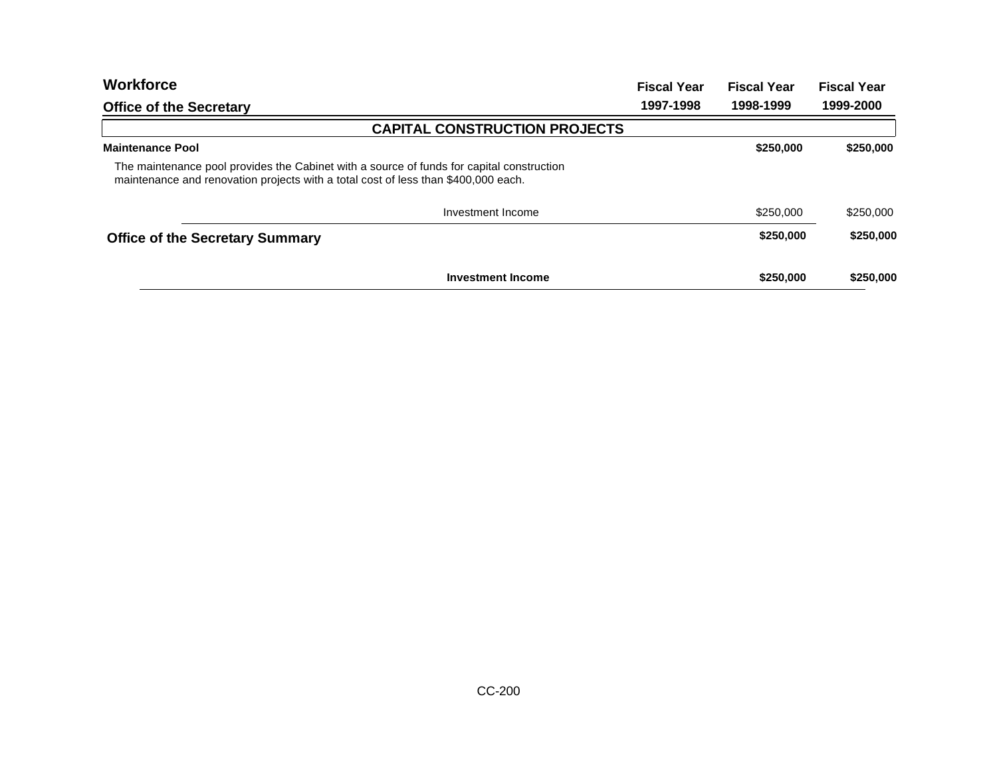| <b>Workforce</b>                                                                                                                                                                | <b>Fiscal Year</b> | <b>Fiscal Year</b> | <b>Fiscal Year</b> |
|---------------------------------------------------------------------------------------------------------------------------------------------------------------------------------|--------------------|--------------------|--------------------|
| <b>Office of the Secretary</b>                                                                                                                                                  | 1997-1998          | 1998-1999          | 1999-2000          |
| <b>CAPITAL CONSTRUCTION PROJECTS</b>                                                                                                                                            |                    |                    |                    |
| <b>Maintenance Pool</b>                                                                                                                                                         |                    | \$250,000          | \$250,000          |
| The maintenance pool provides the Cabinet with a source of funds for capital construction<br>maintenance and renovation projects with a total cost of less than \$400,000 each. |                    |                    |                    |
| Investment Income                                                                                                                                                               |                    | \$250,000          | \$250,000          |
| <b>Office of the Secretary Summary</b>                                                                                                                                          |                    | \$250,000          | \$250,000          |
| <b>Investment Income</b>                                                                                                                                                        |                    | \$250,000          | \$250,000          |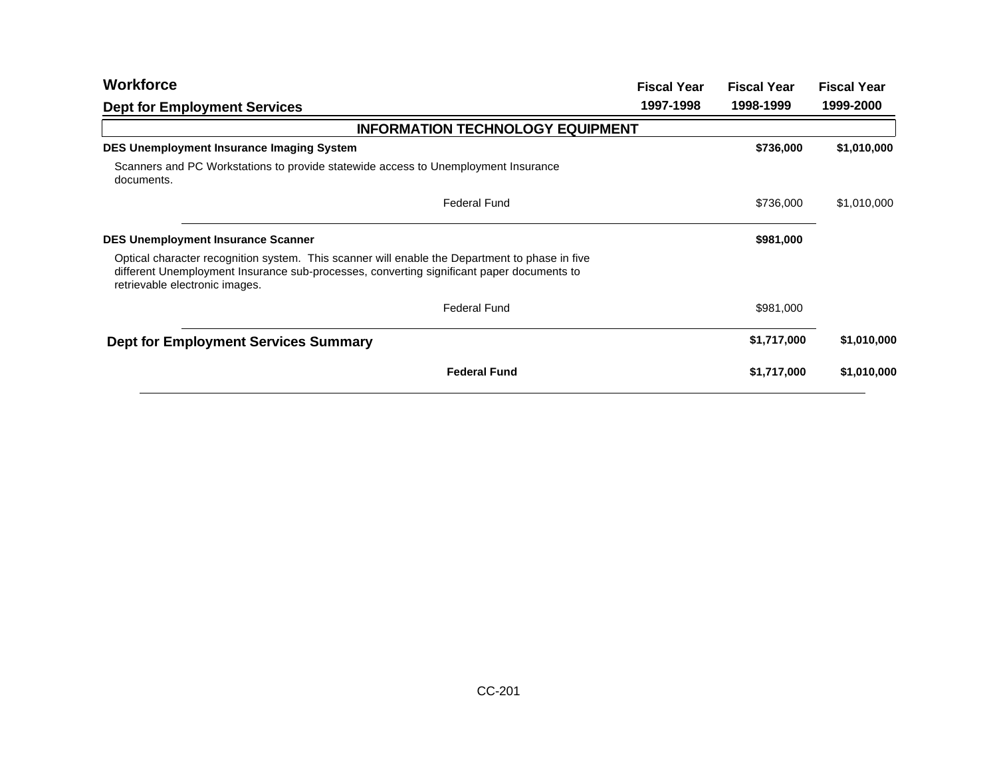| <b>Workforce</b>                                                                                                                                                                                                              | <b>Fiscal Year</b> | <b>Fiscal Year</b> | <b>Fiscal Year</b> |
|-------------------------------------------------------------------------------------------------------------------------------------------------------------------------------------------------------------------------------|--------------------|--------------------|--------------------|
| <b>Dept for Employment Services</b>                                                                                                                                                                                           | 1997-1998          | 1998-1999          | 1999-2000          |
| <b>INFORMATION TECHNOLOGY EQUIPMENT</b>                                                                                                                                                                                       |                    |                    |                    |
| <b>DES Unemployment Insurance Imaging System</b>                                                                                                                                                                              |                    | \$736,000          | \$1,010,000        |
| Scanners and PC Workstations to provide statewide access to Unemployment Insurance<br>documents.                                                                                                                              |                    |                    |                    |
| <b>Federal Fund</b>                                                                                                                                                                                                           |                    | \$736,000          | \$1,010,000        |
| <b>DES Unemployment Insurance Scanner</b>                                                                                                                                                                                     |                    | \$981,000          |                    |
| Optical character recognition system. This scanner will enable the Department to phase in five<br>different Unemployment Insurance sub-processes, converting significant paper documents to<br>retrievable electronic images. |                    |                    |                    |
| <b>Federal Fund</b>                                                                                                                                                                                                           |                    | \$981,000          |                    |
| <b>Dept for Employment Services Summary</b>                                                                                                                                                                                   |                    | \$1,717,000        | \$1,010,000        |
| <b>Federal Fund</b>                                                                                                                                                                                                           |                    | \$1,717,000        | \$1,010,000        |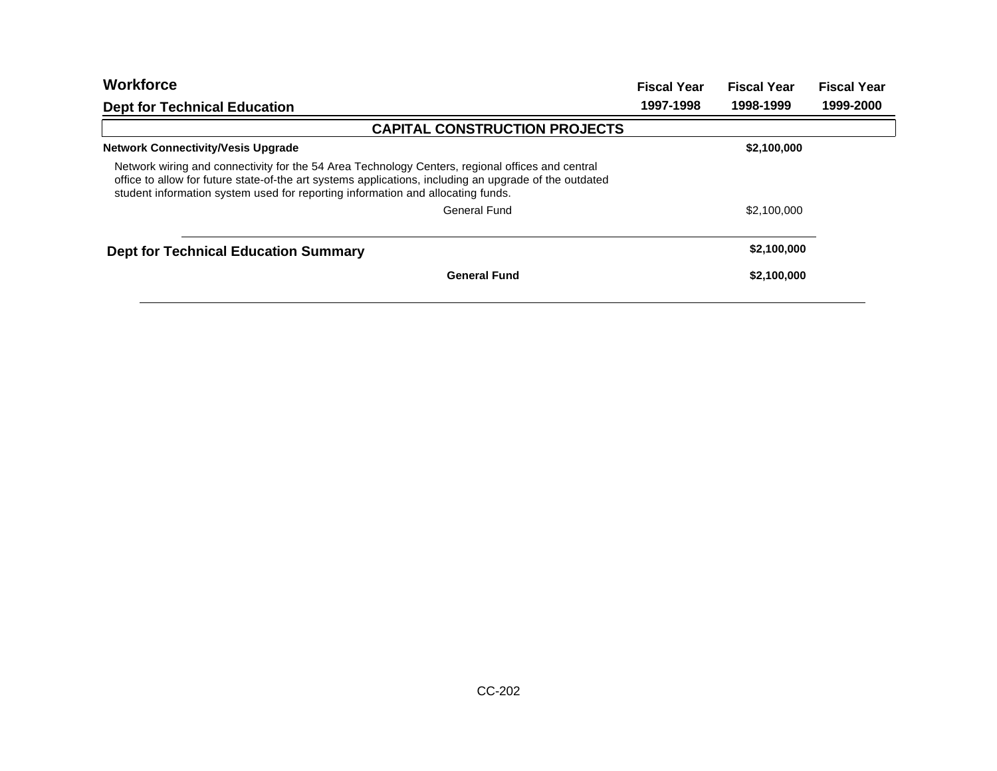| <b>Workforce</b>                                                                                                                                                                                                                                                                              | <b>Fiscal Year</b> | <b>Fiscal Year</b> | <b>Fiscal Year</b> |
|-----------------------------------------------------------------------------------------------------------------------------------------------------------------------------------------------------------------------------------------------------------------------------------------------|--------------------|--------------------|--------------------|
| <b>Dept for Technical Education</b>                                                                                                                                                                                                                                                           | 1997-1998          | 1998-1999          | 1999-2000          |
| <b>CAPITAL CONSTRUCTION PROJECTS</b>                                                                                                                                                                                                                                                          |                    |                    |                    |
| <b>Network Connectivity/Vesis Upgrade</b>                                                                                                                                                                                                                                                     |                    | \$2,100,000        |                    |
| Network wiring and connectivity for the 54 Area Technology Centers, regional offices and central<br>office to allow for future state-of-the art systems applications, including an upgrade of the outdated<br>student information system used for reporting information and allocating funds. |                    |                    |                    |
| General Fund                                                                                                                                                                                                                                                                                  |                    | \$2,100,000        |                    |
| <b>Dept for Technical Education Summary</b>                                                                                                                                                                                                                                                   |                    | \$2,100,000        |                    |
| <b>General Fund</b>                                                                                                                                                                                                                                                                           |                    | \$2,100,000        |                    |
|                                                                                                                                                                                                                                                                                               |                    |                    |                    |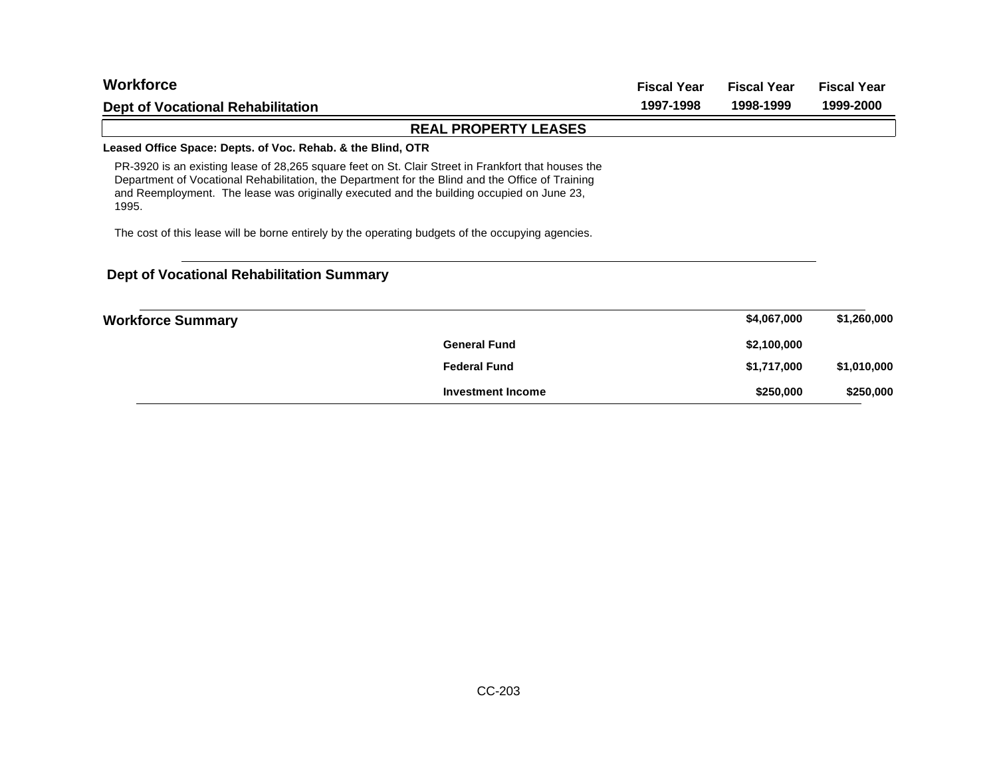| <b>Workforce</b>                                                                                                                                                                                                                                                                                              | <b>Fiscal Year</b> | <b>Fiscal Year</b> | <b>Fiscal Year</b> |
|---------------------------------------------------------------------------------------------------------------------------------------------------------------------------------------------------------------------------------------------------------------------------------------------------------------|--------------------|--------------------|--------------------|
| <b>Dept of Vocational Rehabilitation</b>                                                                                                                                                                                                                                                                      | 1997-1998          | 1998-1999          | 1999-2000          |
| <b>REAL PROPERTY LEASES</b>                                                                                                                                                                                                                                                                                   |                    |                    |                    |
| Leased Office Space: Depts. of Voc. Rehab. & the Blind, OTR                                                                                                                                                                                                                                                   |                    |                    |                    |
| PR-3920 is an existing lease of 28,265 square feet on St. Clair Street in Frankfort that houses the<br>Department of Vocational Rehabilitation, the Department for the Blind and the Office of Training<br>and Reemployment. The lease was originally executed and the building occupied on June 23,<br>1995. |                    |                    |                    |
| The cost of this lease will be borne entirely by the operating budgets of the occupying agencies.                                                                                                                                                                                                             |                    |                    |                    |
| <b>Dept of Vocational Rehabilitation Summary</b>                                                                                                                                                                                                                                                              |                    |                    |                    |
| Workforce Summary                                                                                                                                                                                                                                                                                             |                    | \$4.067.000        | \$1.260.000        |

| <b>Workforce Summary</b> |                          | \$4,067,000 | \$1,260,000 |
|--------------------------|--------------------------|-------------|-------------|
|                          | <b>General Fund</b>      | \$2,100,000 |             |
|                          | <b>Federal Fund</b>      | \$1,717,000 | \$1,010,000 |
|                          | <b>Investment Income</b> | \$250,000   | \$250,000   |
|                          |                          |             |             |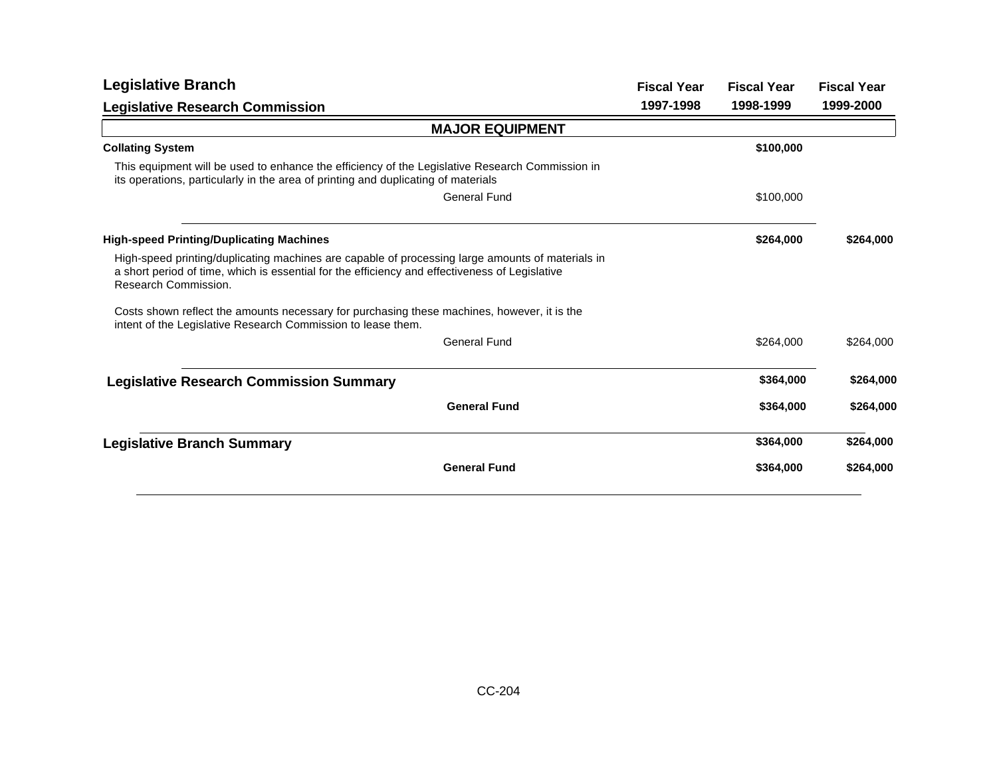| <b>Legislative Branch</b>                                                                                                                                                                                                  | <b>Fiscal Year</b><br>1997-1998 | <b>Fiscal Year</b><br>1998-1999 | <b>Fiscal Year</b><br>1999-2000 |
|----------------------------------------------------------------------------------------------------------------------------------------------------------------------------------------------------------------------------|---------------------------------|---------------------------------|---------------------------------|
| <b>Legislative Research Commission</b>                                                                                                                                                                                     |                                 |                                 |                                 |
| <b>MAJOR EQUIPMENT</b>                                                                                                                                                                                                     |                                 |                                 |                                 |
| <b>Collating System</b>                                                                                                                                                                                                    |                                 | \$100,000                       |                                 |
| This equipment will be used to enhance the efficiency of the Legislative Research Commission in<br>its operations, particularly in the area of printing and duplicating of materials                                       |                                 |                                 |                                 |
| General Fund                                                                                                                                                                                                               |                                 | \$100,000                       |                                 |
| <b>High-speed Printing/Duplicating Machines</b>                                                                                                                                                                            |                                 | \$264,000                       | \$264,000                       |
| High-speed printing/duplicating machines are capable of processing large amounts of materials in<br>a short period of time, which is essential for the efficiency and effectiveness of Legislative<br>Research Commission. |                                 |                                 |                                 |
| Costs shown reflect the amounts necessary for purchasing these machines, however, it is the<br>intent of the Legislative Research Commission to lease them.                                                                |                                 |                                 |                                 |
| General Fund                                                                                                                                                                                                               |                                 | \$264,000                       | \$264,000                       |
| <b>Legislative Research Commission Summary</b>                                                                                                                                                                             |                                 | \$364,000                       | \$264,000                       |
| <b>General Fund</b>                                                                                                                                                                                                        |                                 | \$364,000                       | \$264,000                       |
| <b>Legislative Branch Summary</b>                                                                                                                                                                                          |                                 | \$364,000                       | \$264,000                       |
| <b>General Fund</b>                                                                                                                                                                                                        |                                 | \$364,000                       | \$264,000                       |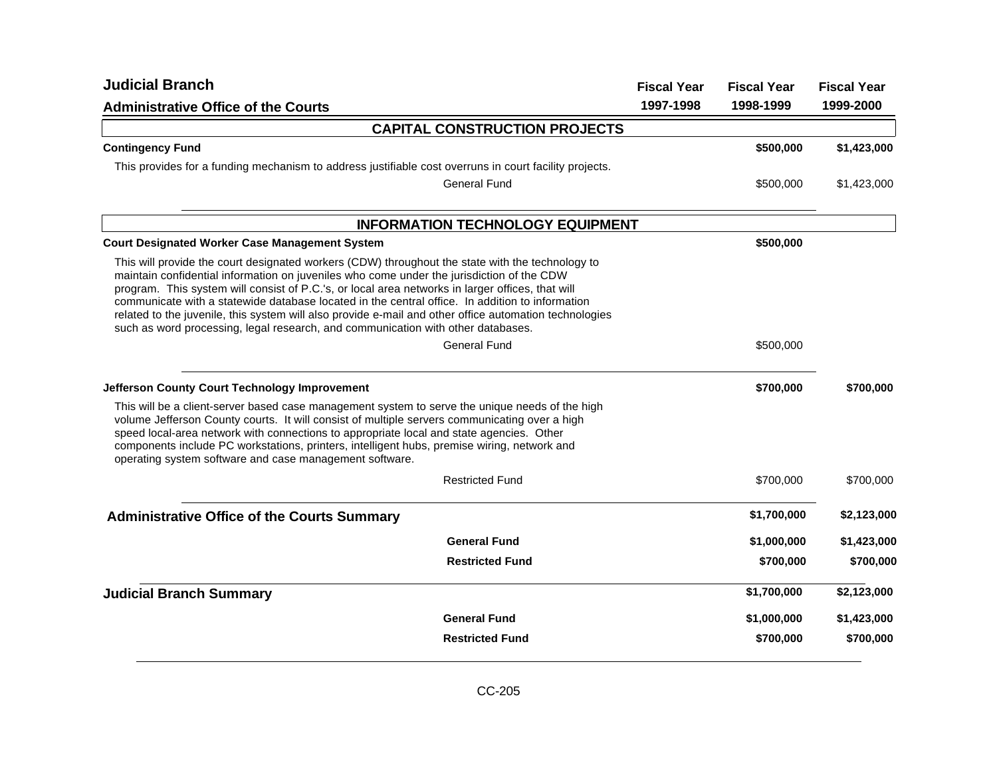| <b>Judicial Branch</b>                                                                                                                                                                                                                                                                                                                                                                                                                                                                                                                                                                                                    | <b>Fiscal Year</b> | <b>Fiscal Year</b> | <b>Fiscal Year</b> |
|---------------------------------------------------------------------------------------------------------------------------------------------------------------------------------------------------------------------------------------------------------------------------------------------------------------------------------------------------------------------------------------------------------------------------------------------------------------------------------------------------------------------------------------------------------------------------------------------------------------------------|--------------------|--------------------|--------------------|
| <b>Administrative Office of the Courts</b>                                                                                                                                                                                                                                                                                                                                                                                                                                                                                                                                                                                | 1997-1998          | 1998-1999          | 1999-2000          |
| <b>CAPITAL CONSTRUCTION PROJECTS</b>                                                                                                                                                                                                                                                                                                                                                                                                                                                                                                                                                                                      |                    |                    |                    |
| <b>Contingency Fund</b>                                                                                                                                                                                                                                                                                                                                                                                                                                                                                                                                                                                                   |                    | \$500,000          | \$1,423,000        |
| This provides for a funding mechanism to address justifiable cost overruns in court facility projects.                                                                                                                                                                                                                                                                                                                                                                                                                                                                                                                    |                    |                    |                    |
| <b>General Fund</b>                                                                                                                                                                                                                                                                                                                                                                                                                                                                                                                                                                                                       |                    | \$500,000          | \$1,423,000        |
| <b>INFORMATION TECHNOLOGY EQUIPMENT</b>                                                                                                                                                                                                                                                                                                                                                                                                                                                                                                                                                                                   |                    |                    |                    |
| <b>Court Designated Worker Case Management System</b>                                                                                                                                                                                                                                                                                                                                                                                                                                                                                                                                                                     |                    | \$500,000          |                    |
| This will provide the court designated workers (CDW) throughout the state with the technology to<br>maintain confidential information on juveniles who come under the jurisdiction of the CDW<br>program. This system will consist of P.C.'s, or local area networks in larger offices, that will<br>communicate with a statewide database located in the central office. In addition to information<br>related to the juvenile, this system will also provide e-mail and other office automation technologies<br>such as word processing, legal research, and communication with other databases.<br><b>General Fund</b> |                    | \$500,000          |                    |
|                                                                                                                                                                                                                                                                                                                                                                                                                                                                                                                                                                                                                           |                    |                    |                    |
| <b>Jefferson County Court Technology Improvement</b>                                                                                                                                                                                                                                                                                                                                                                                                                                                                                                                                                                      |                    | \$700,000          | \$700,000          |
| This will be a client-server based case management system to serve the unique needs of the high<br>volume Jefferson County courts. It will consist of multiple servers communicating over a high<br>speed local-area network with connections to appropriate local and state agencies. Other<br>components include PC workstations, printers, intelligent hubs, premise wiring, network and<br>operating system software and case management software.                                                                                                                                                                    |                    |                    |                    |
| <b>Restricted Fund</b>                                                                                                                                                                                                                                                                                                                                                                                                                                                                                                                                                                                                    |                    | \$700,000          | \$700,000          |
| <b>Administrative Office of the Courts Summary</b>                                                                                                                                                                                                                                                                                                                                                                                                                                                                                                                                                                        |                    | \$1,700,000        | \$2,123,000        |
| <b>General Fund</b>                                                                                                                                                                                                                                                                                                                                                                                                                                                                                                                                                                                                       |                    | \$1,000,000        | \$1,423,000        |
| <b>Restricted Fund</b>                                                                                                                                                                                                                                                                                                                                                                                                                                                                                                                                                                                                    |                    | \$700,000          | \$700,000          |
| <b>Judicial Branch Summary</b>                                                                                                                                                                                                                                                                                                                                                                                                                                                                                                                                                                                            |                    | \$1,700,000        | \$2,123,000        |
| <b>General Fund</b>                                                                                                                                                                                                                                                                                                                                                                                                                                                                                                                                                                                                       |                    | \$1,000,000        | \$1,423,000        |
| <b>Restricted Fund</b>                                                                                                                                                                                                                                                                                                                                                                                                                                                                                                                                                                                                    |                    | \$700,000          | \$700,000          |